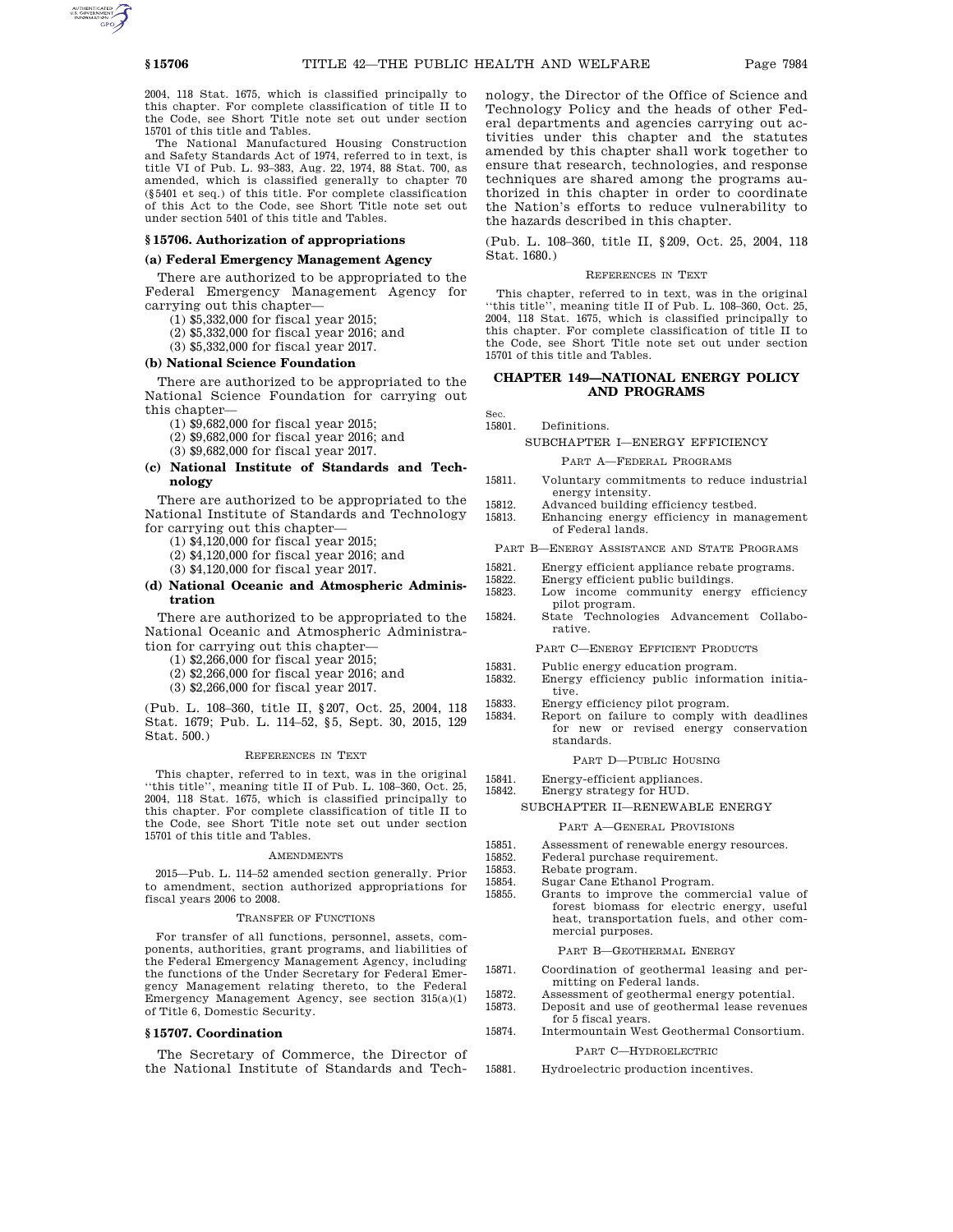2004, 118 Stat. 1675, which is classified principally to this chapter. For complete classification of title II to the Code, see Short Title note set out under section 15701 of this title and Tables.

The National Manufactured Housing Construction and Safety Standards Act of 1974, referred to in text, is title VI of Pub. L. 93–383, Aug. 22, 1974, 88 Stat. 700, as amended, which is classified generally to chapter 70 (§5401 et seq.) of this title. For complete classification of this Act to the Code, see Short Title note set out under section 5401 of this title and Tables.

#### **§ 15706. Authorization of appropriations**

### **(a) Federal Emergency Management Agency**

There are authorized to be appropriated to the Federal Emergency Management Agency for carrying out this chapter—

- (1) \$5,332,000 for fiscal year 2015;
- (2) \$5,332,000 for fiscal year 2016; and
- (3) \$5,332,000 for fiscal year 2017.

#### **(b) National Science Foundation**

There are authorized to be appropriated to the National Science Foundation for carrying out this chapter—

- (1) \$9,682,000 for fiscal year 2015;
- (2) \$9,682,000 for fiscal year 2016; and
- (3) \$9,682,000 for fiscal year 2017.
- **(c) National Institute of Standards and Technology**

There are authorized to be appropriated to the National Institute of Standards and Technology for carrying out this chapter—

- (1) \$4,120,000 for fiscal year 2015;
- (2) \$4,120,000 for fiscal year 2016; and
- (3) \$4,120,000 for fiscal year 2017.
- **(d) National Oceanic and Atmospheric Administration**

There are authorized to be appropriated to the National Oceanic and Atmospheric Administration for carrying out this chapter—

- (1) \$2,266,000 for fiscal year 2015;
- (2) \$2,266,000 for fiscal year 2016; and
- (3) \$2,266,000 for fiscal year 2017.

(Pub. L. 108–360, title II, §207, Oct. 25, 2004, 118 Stat. 1679; Pub. L. 114–52, §5, Sept. 30, 2015, 129 Stat. 500.)

#### REFERENCES IN TEXT

This chapter, referred to in text, was in the original ''this title'', meaning title II of Pub. L. 108–360, Oct. 25, 2004, 118 Stat. 1675, which is classified principally to this chapter. For complete classification of title II to the Code, see Short Title note set out under section 15701 of this title and Tables.

#### AMENDMENTS

2015—Pub. L. 114–52 amended section generally. Prior to amendment, section authorized appropriations for fiscal years 2006 to 2008.

#### TRANSFER OF FUNCTIONS

For transfer of all functions, personnel, assets, components, authorities, grant programs, and liabilities of the Federal Emergency Management Agency, including the functions of the Under Secretary for Federal Emergency Management relating thereto, to the Federal Emergency Management Agency, see section 315(a)(1) of Title 6, Domestic Security.

#### **§ 15707. Coordination**

The Secretary of Commerce, the Director of the National Institute of Standards and Technology, the Director of the Office of Science and Technology Policy and the heads of other Federal departments and agencies carrying out activities under this chapter and the statutes amended by this chapter shall work together to ensure that research, technologies, and response techniques are shared among the programs authorized in this chapter in order to coordinate the Nation's efforts to reduce vulnerability to the hazards described in this chapter.

(Pub. L. 108–360, title II, §209, Oct. 25, 2004, 118 Stat. 1680.)

#### REFERENCES IN TEXT

This chapter, referred to in text, was in the original ''this title'', meaning title II of Pub. L. 108–360, Oct. 25, 2004, 118 Stat. 1675, which is classified principally to this chapter. For complete classification of title II to the Code, see Short Title note set out under section 15701 of this title and Tables.

## **CHAPTER 149—NATIONAL ENERGY POLICY AND PROGRAMS**

Sec.<br>15801. Definitions.

#### SUBCHAPTER I—ENERGY EFFICIENCY

#### PART A—FEDERAL PROGRAMS

- 15811. Voluntary commitments to reduce industrial energy intensity.
- 15812. Advanced building efficiency testbed.
- 15813. Enhancing energy efficiency in management of Federal lands.

PART B—ENERGY ASSISTANCE AND STATE PROGRAMS

- 15821. Energy efficient appliance rebate programs.<br>15822 Energy efficient public buildings
- 
- 15822. Energy efficient public buildings.<br>15823. Low income community energ Low income community energy efficiency pilot program.
- 15824. State Technologies Advancement Collaborative.

PART C—ENERGY EFFICIENT PRODUCTS

- 
- 15831. Public energy education program.<br>15832. Energy efficiency public informa Energy efficiency public information initiative.
- 15833. Energy efficiency pilot program.<br>15834 Report on failure to comply w
	- ${\rm Report}$  on failure to comply with deadlines for new or revised energy conservation standards.

#### PART D—PUBLIC HOUSING

- 15841. Energy-efficient appliances.
- 15842. Energy strategy for HUD.

## SUBCHAPTER II—RENEWABLE ENERGY

#### PART A—GENERAL PROVISIONS

- 15851. Assessment of renewable energy resources.<br>15852. Federal purchase requirement.
	-
- 15852. Federal purchase requirement.<br>15853. Rebate program. 15853. Rebate program.<br>15854. Sugar Cane Etha
	-
- 15854. Sugar Cane Ethanol Program. Grants to improve the commercial value of forest biomass for electric energy, useful heat, transportation fuels, and other commercial purposes.

PART B—GEOTHERMAL ENERGY

- 15871. Coordination of geothermal leasing and permitting on Federal lands.
- 15872. Assessment of geothermal energy potential.<br>15873. Deposit and use of geothermal lease revenue
	- Deposit and use of geothermal lease revenues for 5 fiscal years.
- 15874. Intermountain West Geothermal Consortium.

## PART C—HYDROELECTRIC

15881. Hydroelectric production incentives.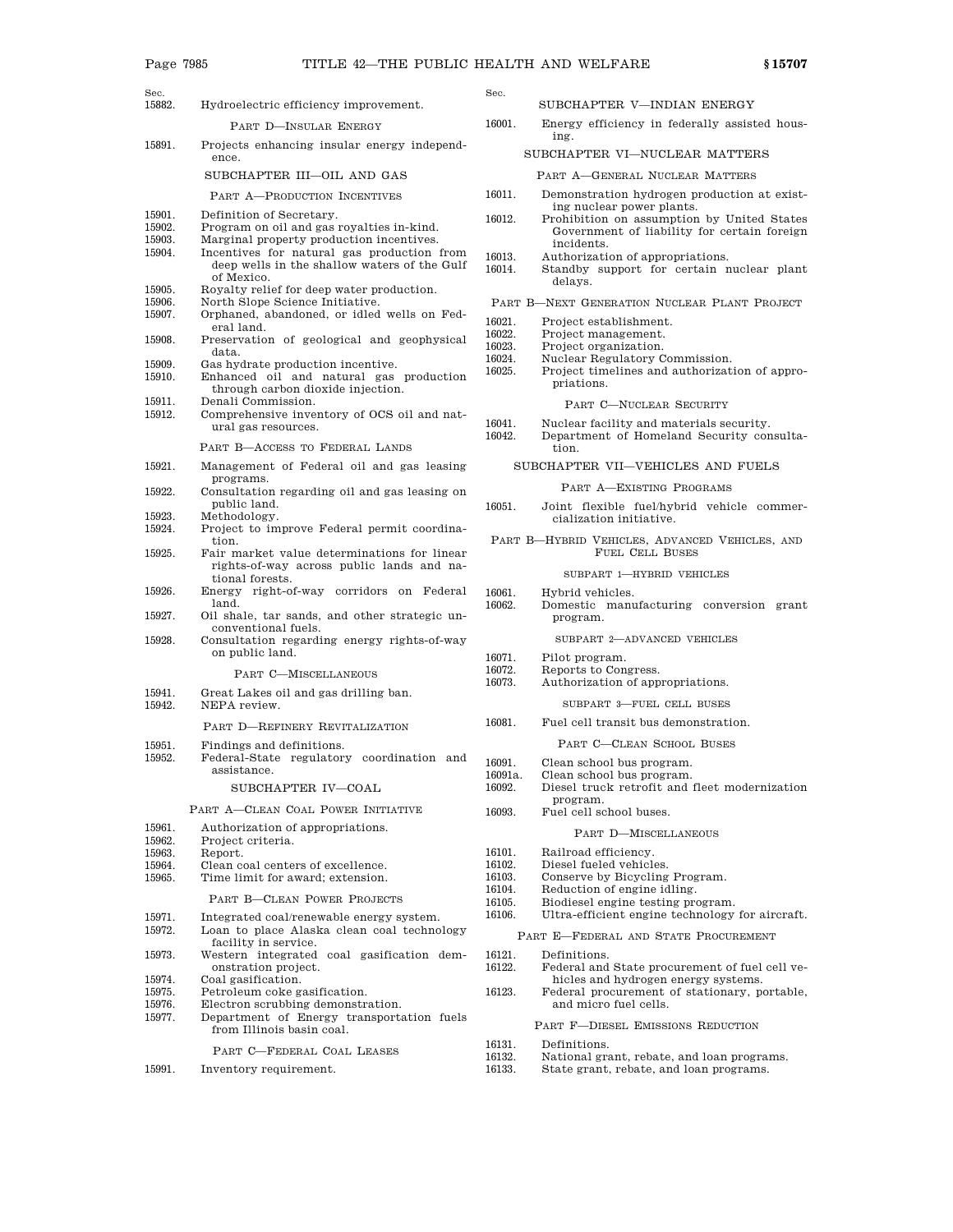- Sec.
- Sec.<br>15882. Hydroelectric efficiency improvement.

PART D—INSULAR ENERGY

15891. Projects enhancing insular energy independence.

#### SUBCHAPTER III—OIL AND GAS

- PART A—PRODUCTION INCENTIVES
- 
- 15901. Definition of Secretary.<br>15902. Program on oil and gas 15902. Program on oil and gas royalties in-kind.<br>15903. Marginal property production incentives.
- Marginal property production incentives.
- 15904. Incentives for natural gas production from deep wells in the shallow waters of the Gulf of Mexico.
- 15905. Royalty relief for deep water production.<br>15906 North Slope Science Initiative
- 15906. North Slope Science Initiative.<br>15907. Orphaned, abandoned, or idled Orphaned, abandoned, or idled wells on Fed-
- eral land. 15908. Preservation of geological and geophysical
- data.
- 15909. Gas hydrate production incentive.<br>15910. Enhanced oil and natural gas 15910. Enhanced oil and natural gas production
- through carbon dioxide injection.
- 15911. Denali Commission.<br>15912. Comprehensive inve Comprehensive inventory of OCS oil and natural gas resources.

PART B—ACCESS TO FEDERAL LANDS

- 15921. Management of Federal oil and gas leasing programs.
- 15922. Consultation regarding oil and gas leasing on public land.
- 15923. Methodology.
- 15924. Project to improve Federal permit coordination.
- 15925. Fair market value determinations for linear rights-of-way across public lands and national forests.
- 15926. Energy right-of-way corridors on Federal land.
- 15927. Oil shale, tar sands, and other strategic unconventional fuels.
- 15928. Consultation regarding energy rights-of-way on public land.

PART C—MISCELLANEOUS

- 15941. Great Lakes oil and gas drilling ban.<br>15942. NEPA review.
- NEPA review.

#### PART D—REFINERY REVITALIZATION

- 15951. Findings and definitions.
- 15952. Federal-State regulatory coordination and assistance.

### SUBCHAPTER IV—COAL

PART A—CLEAN COAL POWER INITIATIVE

- 15961. Authorization of appropriations.
- 15962. Project criteria.<br>15963. Report.
- 15963. Report.<br>15964. Clean co
- Clean coal centers of excellence.
- 15965. Time limit for award; extension.

#### PART B—CLEAN POWER PROJECTS

- 15971. Integrated coal/renewable energy system.
- 15972. Loan to place Alaska clean coal technology facility in service.
- 15973. Western integrated coal gasification demonstration project.
- 15974. Coal gasification.
- 15975. Petroleum coke gasification.
- 15976. Electron scrubbing demonstration.<br>15977. Department of Energy transporta
- 15977. Department of Energy transportation fuels from Illinois basin coal.

PART C—FEDERAL COAL LEASES

15991. Inventory requirement.

SUBCHAPTER V—INDIAN ENERGY

16001. Energy efficiency in federally assisted housing.

## SUBCHAPTER VI—NUCLEAR MATTERS

#### PART A—GENERAL NUCLEAR MATTERS

- 16011. Demonstration hydrogen production at existing nuclear power plants.
- 16012. Prohibition on assumption by United States Government of liability for certain foreign incidents.
- 16013. Authorization of appropriations.
- 16014. Standby support for certain nuclear plant delays.
- PART B—NEXT GENERATION NUCLEAR PLANT PROJECT
- 
- 16021. Project establishment.<br>16022. Project management.
- 16022. Project management.<br>16023. Project organization. Project organization.
- 
- 16024. Nuclear Regulatory Commission.<br>16025. Project timelines and authorizat. Project timelines and authorization of appropriations.

#### PART C—NUCLEAR SECURITY

- 
- 16041. Nuclear facility and materials security.<br>16042. Department of Homeland Security con Department of Homeland Security consultation.

#### SUBCHAPTER VII—VEHICLES AND FUELS

#### PART A—EXISTING PROGRAMS

- 16051. Joint flexible fuel/hybrid vehicle commercialization initiative.
- PART B—HYBRID VEHICLES, ADVANCED VEHICLES, AND FUEL CELL BUSES

#### SUBPART 1—HYBRID VEHICLES

16061. Hybrid vehicles.<br>16062. Domestic manu 16062. Domestic manufacturing conversion grant program.

#### SUBPART 2—ADVANCED VEHICLES

- 16071. Pilot program.<br>16072. Reports to Con
- 16072. Reports to Congress.<br>16073. Authorization of app
	- Authorization of appropriations.
		- SUBPART 3—FUEL CELL BUSES
- 16081. Fuel cell transit bus demonstration.

#### PART C—CLEAN SCHOOL BUSES

## 16091. Clean school bus program.

- 16091a. Clean school bus program.<br>16092. Diesel truck retrofit and Diesel truck retrofit and fleet modernization program.
- 16093. Fuel cell school buses.

#### PART D—MISCELLANEOUS

- 16101. Railroad efficiency.
- 16102. Diesel fueled vehicles.
- 16103. Conserve by Bicycling Program.
- 16104. Reduction of engine idling.
- 
- 16105. Biodiesel engine testing program.<br>16106. Ultra-efficient engine technology Ultra-efficient engine technology for aircraft.
	- PART E—FEDERAL AND STATE PROCUREMENT
	-
- 16121. Definitions.<br>16122. Federal and Federal and State procurement of fuel cell vehicles and hydrogen energy systems.
- 16123. Federal procurement of stationary, portable, and micro fuel cells.
	- PART F—DIESEL EMISSIONS REDUCTION

16131. Definitions.

- 
- 16132. National grant, rebate, and loan programs.<br>16133. State grant, rebate, and loan programs. State grant, rebate, and loan programs.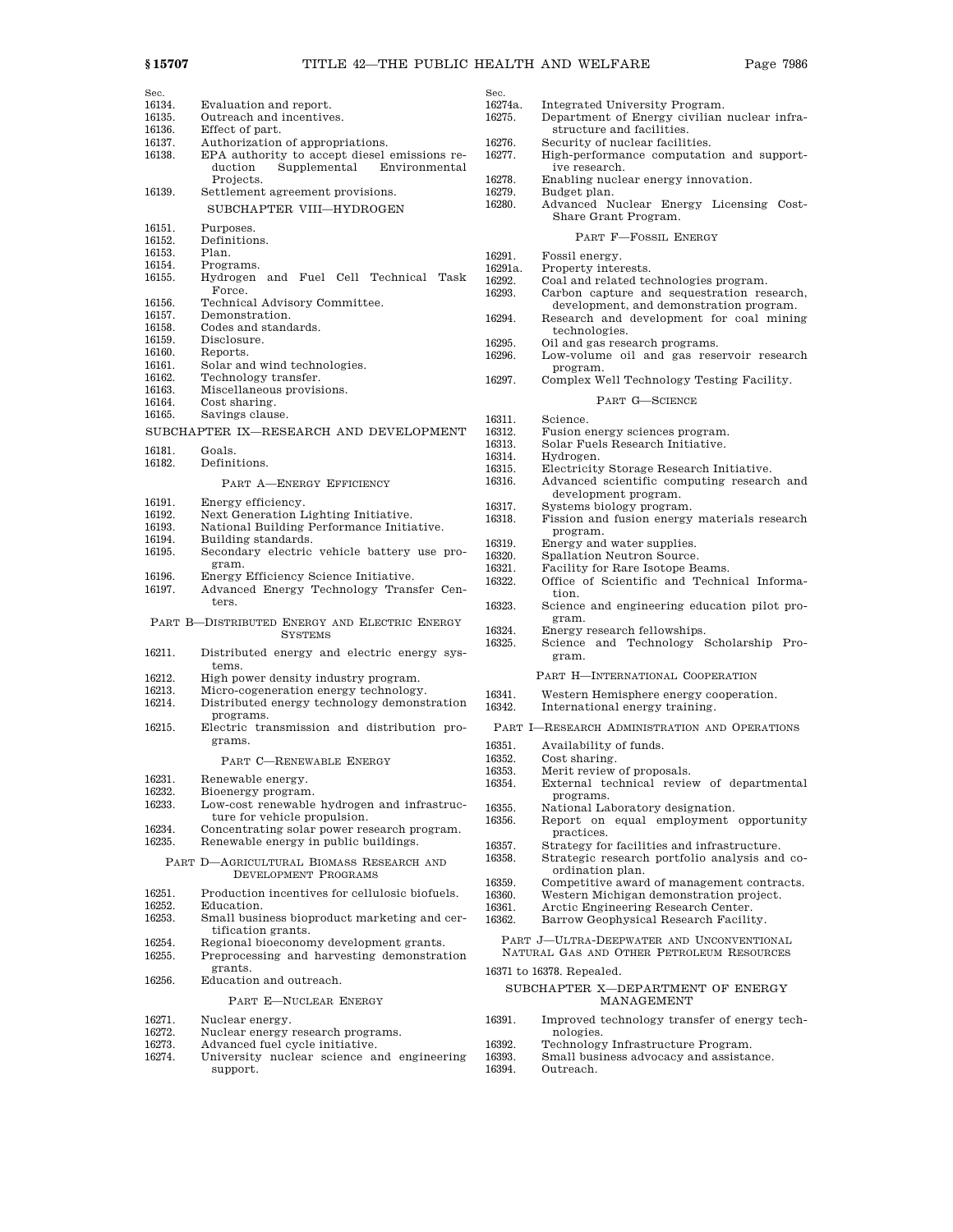| Sec.   |                                                                 | $_{\rm Sec}$ |
|--------|-----------------------------------------------------------------|--------------|
| 16134. | Evaluation and report.                                          | 162          |
| 16135. | Outreach and incentives.                                        | 162          |
| 16136. | Effect of part.                                                 |              |
| 16137. | Authorization of appropriations.                                | 162          |
| 16138. | EPA authority to accept diesel emissions re-                    | 162          |
|        | duction<br>Supplemental<br>Environmental                        |              |
|        | Projects.                                                       | 162          |
| 16139. | Settlement agreement provisions.                                | 162          |
|        |                                                                 | 162          |
|        | SUBCHAPTER VIII-HYDROGEN                                        |              |
| 16151. | Purposes.                                                       |              |
| 16152. | Definitions.                                                    |              |
| 16153. | Plan.                                                           |              |
| 16154. | Programs.                                                       | 162          |
| 16155. | Hydrogen<br>Fuel Cell<br>Technical<br>Task<br>and               | 162          |
|        | Force.                                                          | 162          |
| 16156. |                                                                 | 162          |
|        | Technical Advisory Committee.                                   |              |
| 16157. | Demonstration.                                                  | 162          |
| 16158. | Codes and standards.                                            |              |
| 16159. | Disclosure.                                                     | 162          |
| 16160. | Reports.                                                        | 162          |
| 16161. | Solar and wind technologies.                                    |              |
| 16162. | Technology transfer.                                            | 162          |
| 16163. | Miscellaneous provisions.                                       |              |
| 16164. | Cost sharing.                                                   |              |
| 16165. | Savings clause.                                                 | 163          |
|        | SUBCHAPTER IX-RESEARCH AND DEVELOPMENT                          | 163          |
|        |                                                                 | 163          |
| 16181. | Goals.                                                          | 163          |
| 16182. | Definitions.                                                    | 163          |
|        | PART A-ENERGY EFFICIENCY                                        | 163          |
|        |                                                                 |              |
| 16191. | Energy efficiency.                                              | 163          |
| 16192. | Next Generation Lighting Initiative.                            | 163          |
| 16193. | National Building Performance Initiative.                       |              |
| 16194. | Building standards.                                             | 163          |
| 16195. | Secondary electric vehicle battery use pro-                     | 163          |
|        | gram.                                                           | 163          |
| 16196. | Energy Efficiency Science Initiative.                           | 163          |
| 16197. | Advanced Energy Technology Transfer Cen-                        |              |
|        | ters.                                                           | 163          |
|        |                                                                 |              |
|        | PART B-DISTRIBUTED ENERGY AND ELECTRIC ENERGY<br><b>SYSTEMS</b> | 163          |
|        |                                                                 | 163          |
| 16211. | Distributed energy and electric energy sys-                     |              |
|        | tems.                                                           |              |
| 16212. | High power density industry program.                            |              |
| 16213. | Micro-cogeneration energy technology.                           |              |
| 16214. | Distributed energy technology demonstration                     | 163          |
|        | programs.                                                       | 163          |
| 16215. | Electric transmission and distribution pro-                     | P            |
|        | grams.                                                          |              |
|        |                                                                 | 163          |
|        | PART C-RENEWABLE ENERGY                                         | 163          |
|        |                                                                 | 163          |
| 16231. | Renewable energy.                                               | 163          |
| 16232. | Bioenergy program.                                              |              |
| 16233. | Low-cost renewable hydrogen and infrastruc-                     | 163          |
|        | ture for vehicle propulsion.                                    | 163          |
| 16234. | Concentrating solar power research program.                     |              |
| 16235. | Renewable energy in public buildings.                           | 163          |
|        | PART D-AGRICULTURAL BIOMASS RESEARCH AND                        | 163          |
|        | DEVELOPMENT PROGRAMS                                            |              |
|        |                                                                 | 163          |
| 16251. | Production incentives for cellulosic biofuels.                  | 163          |
| 16252. | Education.                                                      | 163          |
| 16253. | Small business bioproduct marketing and cer-                    | 163          |
|        | tification grants.                                              |              |
| 16254. | Regional bioeconomy development grants.                         |              |
| 16255. | Preprocessing and harvesting demonstration                      |              |
|        | grants.                                                         | 163          |
| 16256. | Education and outreach.                                         |              |
|        | PART E-NUCLEAR ENERGY                                           |              |
|        |                                                                 |              |

- 16271. Nuclear energy.<br>16272. Nuclear energy
- 16272. Nuclear energy research programs.<br>16273. Advanced fuel cycle initiative.
- 
- 16273. Advanced fuel cycle initiative. 16274. University nuclear science and engineering support.

| DCC.    |                                              |
|---------|----------------------------------------------|
| 16274a. | Integrated University Program.               |
| 16275.  | Department of Energy civilian nuclear infra- |
|         | structure and facilities.                    |
| 16276.  | Security of nuclear facilities.              |
| 16277.  | High-performance computation and support-    |
|         | ive research.                                |
| 16278.  | Enabling nuclear energy innovation.          |
| 16279.  | Budget plan.                                 |
| 16280.  | Advanced Nuclear Energy Licensing Cost-      |
|         | Share Grant Program.                         |
|         | PART F-FOSSIL ENERGY                         |
| 16291.  | Fossil energy.                               |
| 16291a. | Property interests.                          |
| 16292.  | Coal and related technologies program.       |
| 16293.  | Carbon capture and sequestration research,   |
|         | development, and demonstration program.      |
| 16294.  | Research and development for coal mining     |
|         | technologies.                                |
| 16295.  | Oil and gas research programs.               |
| 16296.  | Low-volume oil and gas reservoir research    |
|         | program.                                     |
| 16297.  | Complex Well Technology Testing Facility.    |
|         | PART G-SCIENCE                               |
| 16311.  | Science.                                     |
| 16312.  | Fusion energy sciences program.              |
| 16313.  | Solar Fuels Research Initiative.             |
| 16314.  | Hydrogen.                                    |
| 16315.  | Electricity Storage Research Initiative.     |
| 16316.  | Advanced scientific computing research and   |
|         | development program.                         |
| 16317.  | Systems biology program.                     |
| 16318.  | Fission and fusion energy materials research |
|         | program.                                     |
| 16319.  | Energy and water supplies.                   |
| 16320.  | Spallation Neutron Source.                   |
| 16321.  | Facility for Rare Isotope Beams.             |
| 16322.  | Office of Scientific and Technical Informa-  |
|         | tion.                                        |
| 16323.  | Science and engineering education pilot pro- |
|         | gram.                                        |
| 16324.  | Energy research fellowships.                 |
| 16325.  | Science and Technology Scholarship<br>$Pro-$ |
|         | gram.                                        |
|         | PART H-INTERNATIONAL COOPERATION             |
| 16341.  | Western Hemisphere energy cooperation.       |
| 16342.  | International energy training.               |
|         |                                              |

- PART I—RESEARCH ADMINISTRATION AND OPERATIONS
- 
- 3351. Availability of funds.<br>3352. Cost sharing
- <sup>6352.</sup> Cost sharing.<br>6353. Merit review Merit review of proposals.
- 16354. External technical review of departmental programs.
	-
- 16355. National Laboratory designation.<br>16356. Report on equal employment Report on equal employment opportunity
- practices.
- 3357. Strategy for facilities and infrastructure.<br>3358. Strategic research portfolio analysis and Strategic research portfolio analysis and coordination plan.
- 
- 3359. Competitive award of management contracts.<br>3360. Western Michigan demonstration project. 16360. Western Michigan demonstration project.<br>16361. Arctic Engineering Research Center.
- 
- .<br>16361. Arctic Engineering Research Center.<br>16362. Barrow Geophysical Research Facilit Barrow Geophysical Research Facility.
- 

PART J—ULTRA-DEEPWATER AND UNCONVENTIONAL NATURAL GAS AND OTHER PETROLEUM RESOURCES

6371 to 16378. Repealed.

#### SUBCHAPTER X—DEPARTMENT OF ENERGY MANAGEMENT

- 16391. Improved technology transfer of energy technologies.
- 
- 16392. Technology Infrastructure Program.<br>16393. Small business advocacy and assista 16393. Small business advocacy and assistance.
- Outreach.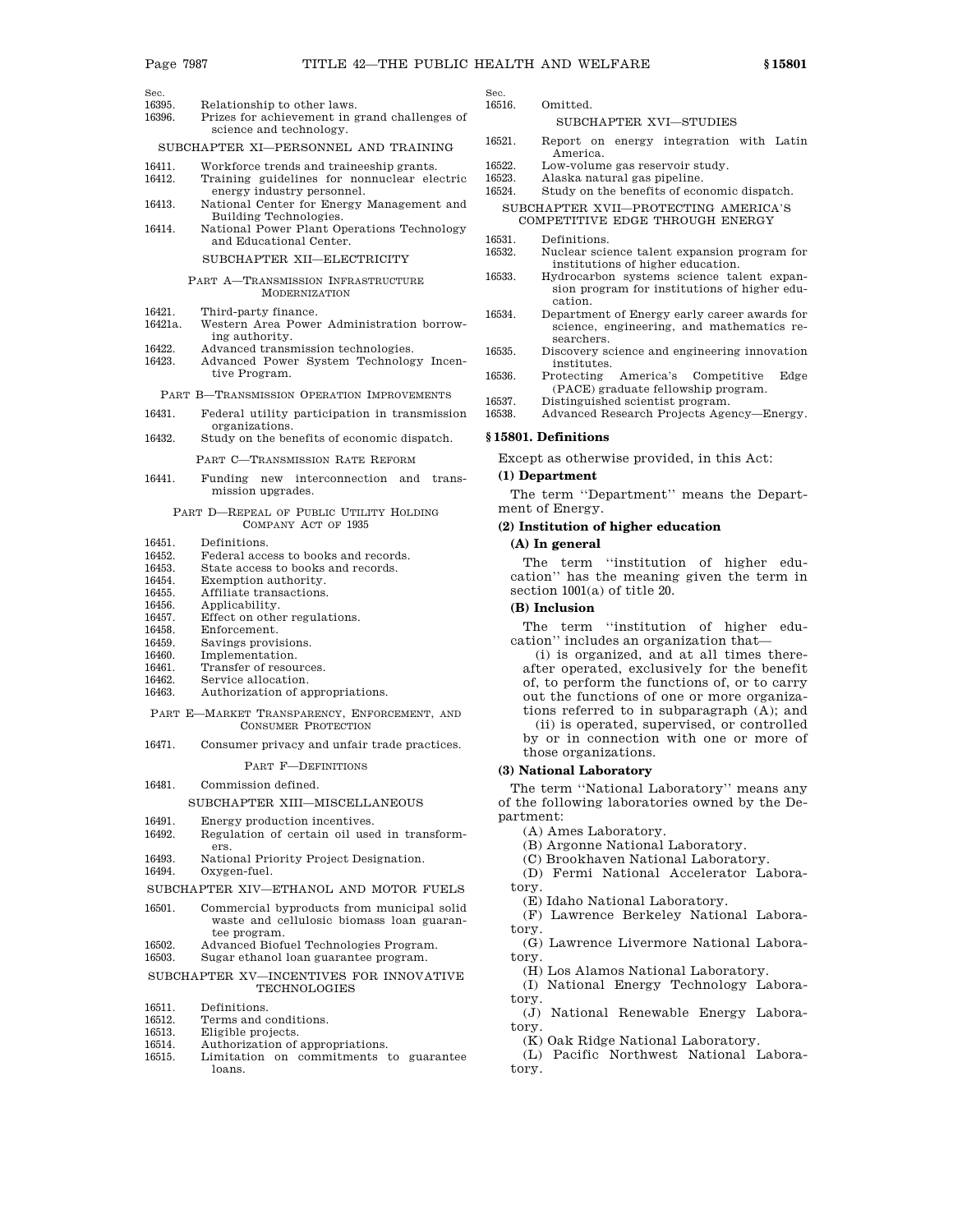- Sec.<br>16395 16395. Relationship to other laws.<br>16396 Prizes for achievement in g
- Prizes for achievement in grand challenges of science and technology.

SUBCHAPTER XI—PERSONNEL AND TRAINING

- 16411. Workforce trends and traineeship grants.
- 16412. Training guidelines for nonnuclear electric energy industry personnel.
- 16413. National Center for Energy Management and Building Technologies.
- 16414. National Power Plant Operations Technology and Educational Center.

### SUBCHAPTER XII—ELECTRICITY

- PART A—TRANSMISSION INFRASTRUCTURE MODERNIZATION
- 16421. Third-party finance.<br>16421a. Western Area Power
- Western Area Power Administration borrowing authority.
- 16422. Advanced transmission technologies.<br>16423. Advanced Power System Technolog
- 16423. Advanced Power System Technology Incentive Program.

#### PART B—TRANSMISSION OPERATION IMPROVEMENTS

- 16431. Federal utility participation in transmission organizations.
- 16432. Study on the benefits of economic dispatch.
	- PART C—TRANSMISSION RATE REFORM
- 16441. Funding new interconnection and transmission upgrades.
	- PART D—REPEAL OF PUBLIC UTILITY HOLDING COMPANY ACT OF 1935
- 16451. Definitions.<br>16452 Federal acce
- 16452. Federal access to books and records.<br>16453. State access to books and records.
- 16453. State access to books and records.<br>16454 Exemption authority
- 16454. Exemption authority.<br>16455. Affiliate transactions.
- 16455. Affiliate transactions.<br>16456 Applicability Applicability.
- 
- 16457. Effect on other regulations.<br>16458 Enforcement.
- 16458. Enforcement.<br>16459. Savings provi Savings provisions.
- 16460. Implementation.
- 16461. Transfer of resources.
- 16462. Service allocation.
- 16463. Authorization of appropriations.
- PART E—MARKET TRANSPARENCY, ENFORCEMENT, AND CONSUMER PROTECTION
- 16471. Consumer privacy and unfair trade practices.

## PART F—DEFINITIONS

16481. Commission defined.

#### SUBCHAPTER XIII—MISCELLANEOUS

- 16491. Energy production incentives.<br>16492. Regulation of certain oil use
- Regulation of certain oil used in transformers.
- 16493. National Priority Project Designation.<br>16494 Oxygen-fuel Oxygen-fuel.
- SUBCHAPTER XIV—ETHANOL AND MOTOR FUELS
- 16501. Commercial byproducts from municipal solid waste and cellulosic biomass loan guarantee program.
- 16502. Advanced Biofuel Technologies Program.
- 16503. Sugar ethanol loan guarantee program.

## SUBCHAPTER XV—INCENTIVES FOR INNOVATIVE TECHNOLOGIES

- 16511. Definitions.<br>16512. Terms and c
- 16512. Terms and conditions.<br>16513. Eligible projects
- Eligible projects.
- 16514. Authorization of appropriations. 16515. Limitation on commitments to guarantee loans.

Sec.<br>16516. Omitted.

## SUBCHAPTER XVI—STUDIES

- 16521. Report on energy integration with Latin America.
- 16522. Low-volume gas reservoir study.
- 16523. Alaska natural gas pipeline.
- 16524. Study on the benefits of economic dispatch.
- SUBCHAPTER XVII—PROTECTING AMERICA'S COMPETITIVE EDGE THROUGH ENERGY
- 16531. Definitions.<br>16532. Nuclear scie
	- Nuclear science talent expansion program for institutions of higher education.
- 16533. Hydrocarbon systems science talent expansion program for institutions of higher education.
- 16534. Department of Energy early career awards for science, engineering, and mathematics researchers.
- 16535. Discovery science and engineering innovation institutes.
- 16536. Protecting America's Competitive Edge (PACE) graduate fellowship program.
- 16537. Distinguished scientist program.
- 16538. Advanced Research Projects Agency—Energy.

## **§ 15801. Definitions**

Except as otherwise provided, in this Act:

#### **(1) Department**

The term ''Department'' means the Department of Energy.

### **(2) Institution of higher education**

#### **(A) In general**

The term "institution of higher education'' has the meaning given the term in section 1001(a) of title 20.

## **(B) Inclusion**

The term ''institution of higher education'' includes an organization that—

(i) is organized, and at all times thereafter operated, exclusively for the benefit of, to perform the functions of, or to carry out the functions of one or more organizations referred to in subparagraph (A); and

(ii) is operated, supervised, or controlled by or in connection with one or more of those organizations.

#### **(3) National Laboratory**

The term ''National Laboratory'' means any of the following laboratories owned by the Department:

(A) Ames Laboratory.

- (B) Argonne National Laboratory.
- (C) Brookhaven National Laboratory.

(D) Fermi National Accelerator Laboratory.

(E) Idaho National Laboratory.

(F) Lawrence Berkeley National Laboratory.

(G) Lawrence Livermore National Laboratory.

(H) Los Alamos National Laboratory.

(I) National Energy Technology Laboratory.

(J) National Renewable Energy Laboratory.

(K) Oak Ridge National Laboratory.

(L) Pacific Northwest National Laboratory.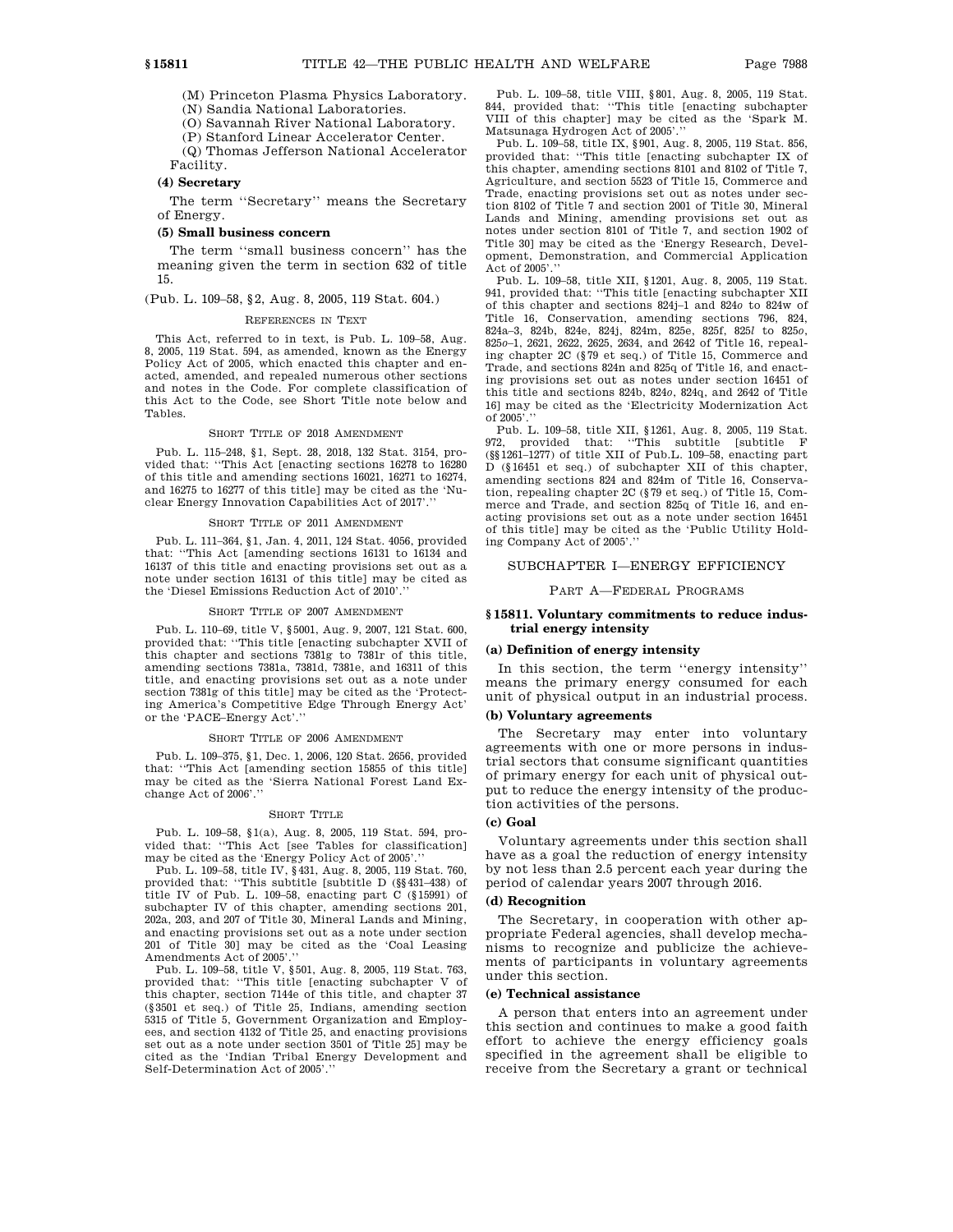(M) Princeton Plasma Physics Laboratory.

(N) Sandia National Laboratories.

(O) Savannah River National Laboratory.

(P) Stanford Linear Accelerator Center.

(Q) Thomas Jefferson National Accelerator Facility.

#### **(4) Secretary**

The term ''Secretary'' means the Secretary of Energy.

#### **(5) Small business concern**

The term ''small business concern'' has the meaning given the term in section 632 of title 15.

(Pub. L. 109–58, §2, Aug. 8, 2005, 119 Stat. 604.)

#### REFERENCES IN TEXT

This Act, referred to in text, is Pub. L. 109–58, Aug. 8, 2005, 119 Stat. 594, as amended, known as the Energy Policy Act of 2005, which enacted this chapter and enacted, amended, and repealed numerous other sections and notes in the Code. For complete classification of this Act to the Code, see Short Title note below and Tables.

#### SHORT TITLE OF 2018 AMENDMENT

Pub. L. 115–248, §1, Sept. 28, 2018, 132 Stat. 3154, provided that: ''This Act [enacting sections 16278 to 16280 of this title and amending sections 16021, 16271 to 16274, and 16275 to 16277 of this title] may be cited as the 'Nuclear Energy Innovation Capabilities Act of 2017'.''

#### SHORT TITLE OF 2011 AMENDMENT

Pub. L. 111–364, §1, Jan. 4, 2011, 124 Stat. 4056, provided that: ''This Act [amending sections 16131 to 16134 and 16137 of this title and enacting provisions set out as a note under section 16131 of this title] may be cited as the 'Diesel Emissions Reduction Act of 2010'.''

#### SHORT TITLE OF 2007 AMENDMENT

Pub. L. 110–69, title V, §5001, Aug. 9, 2007, 121 Stat. 600, provided that: ''This title [enacting subchapter XVII of this chapter and sections 7381g to 7381r of this title, amending sections 7381a, 7381d, 7381e, and 16311 of this title, and enacting provisions set out as a note under section 7381g of this title] may be cited as the 'Protecting America's Competitive Edge Through Energy Act' or the 'PACE–Energy Act'.''

#### SHORT TITLE OF 2006 AMENDMENT

Pub. L. 109–375, §1, Dec. 1, 2006, 120 Stat. 2656, provided that: ''This Act [amending section 15855 of this title] may be cited as the 'Sierra National Forest Land Exchange Act of 2006'.''

#### SHORT TITLE

Pub. L. 109–58, §1(a), Aug. 8, 2005, 119 Stat. 594, provided that: ''This Act [see Tables for classification] may be cited as the 'Energy Policy Act of 2005'.''

Pub. L. 109–58, title IV, §431, Aug. 8, 2005, 119 Stat. 760, provided that: ''This subtitle [subtitle D (§§431–438) of title IV of Pub. L. 109–58, enacting part C (§15991) of subchapter IV of this chapter, amending sections 201, 202a, 203, and 207 of Title 30, Mineral Lands and Mining, and enacting provisions set out as a note under section 201 of Title 30] may be cited as the 'Coal Leasing Amendments Act of 2005'.''

Pub. L. 109–58, title V, §501, Aug. 8, 2005, 119 Stat. 763, provided that: ''This title [enacting subchapter V of this chapter, section 7144e of this title, and chapter 37 (§3501 et seq.) of Title 25, Indians, amending section 5315 of Title 5, Government Organization and Employees, and section 4132 of Title 25, and enacting provisions set out as a note under section 3501 of Title 25] may be cited as the 'Indian Tribal Energy Development and Self-Determination Act of 2005'.''

Pub. L. 109–58, title VIII, §801, Aug. 8, 2005, 119 Stat. 844, provided that: ''This title [enacting subchapter VIII of this chapter] may be cited as the 'Spark M. Matsunaga Hydrogen Act of 2005'.''

Pub. L. 109–58, title IX, §901, Aug. 8, 2005, 119 Stat. 856, provided that: ''This title [enacting subchapter IX of this chapter, amending sections 8101 and 8102 of Title 7, Agriculture, and section 5523 of Title 15, Commerce and Trade, enacting provisions set out as notes under section 8102 of Title 7 and section 2001 of Title 30, Mineral Lands and Mining, amending provisions set out as notes under section 8101 of Title 7, and section 1902 of Title 30] may be cited as the 'Energy Research, Development, Demonstration, and Commercial Application Act of 2005'.''

Pub. L. 109–58, title XII, §1201, Aug. 8, 2005, 119 Stat. 941, provided that: ''This title [enacting subchapter XII of this chapter and sections 824j–1 and 824*o* to 824w of Title 16, Conservation, amending sections 796, 824, 824a–3, 824b, 824e, 824j, 824m, 825e, 825f, 825*l* to 825*o*, 825*o*–1, 2621, 2622, 2625, 2634, and 2642 of Title 16, repealing chapter 2C (§79 et seq.) of Title 15, Commerce and Trade, and sections 824n and 825q of Title 16, and enacting provisions set out as notes under section 16451 of this title and sections 824b, 824*o*, 824q, and 2642 of Title 16] may be cited as the 'Electricity Modernization Act of 2005'

Pub. L. 109–58, title XII, §1261, Aug. 8, 2005, 119 Stat. 972, provided that: ''This subtitle [subtitle F (§§1261–1277) of title XII of Pub.L. 109–58, enacting part D (§16451 et seq.) of subchapter XII of this chapter, amending sections 824 and 824m of Title 16, Conservation, repealing chapter 2C (§79 et seq.) of Title 15, Commerce and Trade, and section 825q of Title 16, and enacting provisions set out as a note under section 16451 of this title] may be cited as the 'Public Utility Holding Company Act of 2005'.''

### SUBCHAPTER I—ENERGY EFFICIENCY

PART A—FEDERAL PROGRAMS

#### **§ 15811. Voluntary commitments to reduce industrial energy intensity**

## **(a) Definition of energy intensity**

In this section, the term ''energy intensity'' means the primary energy consumed for each unit of physical output in an industrial process.

#### **(b) Voluntary agreements**

The Secretary may enter into voluntary agreements with one or more persons in industrial sectors that consume significant quantities of primary energy for each unit of physical output to reduce the energy intensity of the production activities of the persons.

#### **(c) Goal**

Voluntary agreements under this section shall have as a goal the reduction of energy intensity by not less than 2.5 percent each year during the period of calendar years 2007 through 2016.

## **(d) Recognition**

The Secretary, in cooperation with other appropriate Federal agencies, shall develop mechanisms to recognize and publicize the achievements of participants in voluntary agreements under this section.

#### **(e) Technical assistance**

A person that enters into an agreement under this section and continues to make a good faith effort to achieve the energy efficiency goals specified in the agreement shall be eligible to receive from the Secretary a grant or technical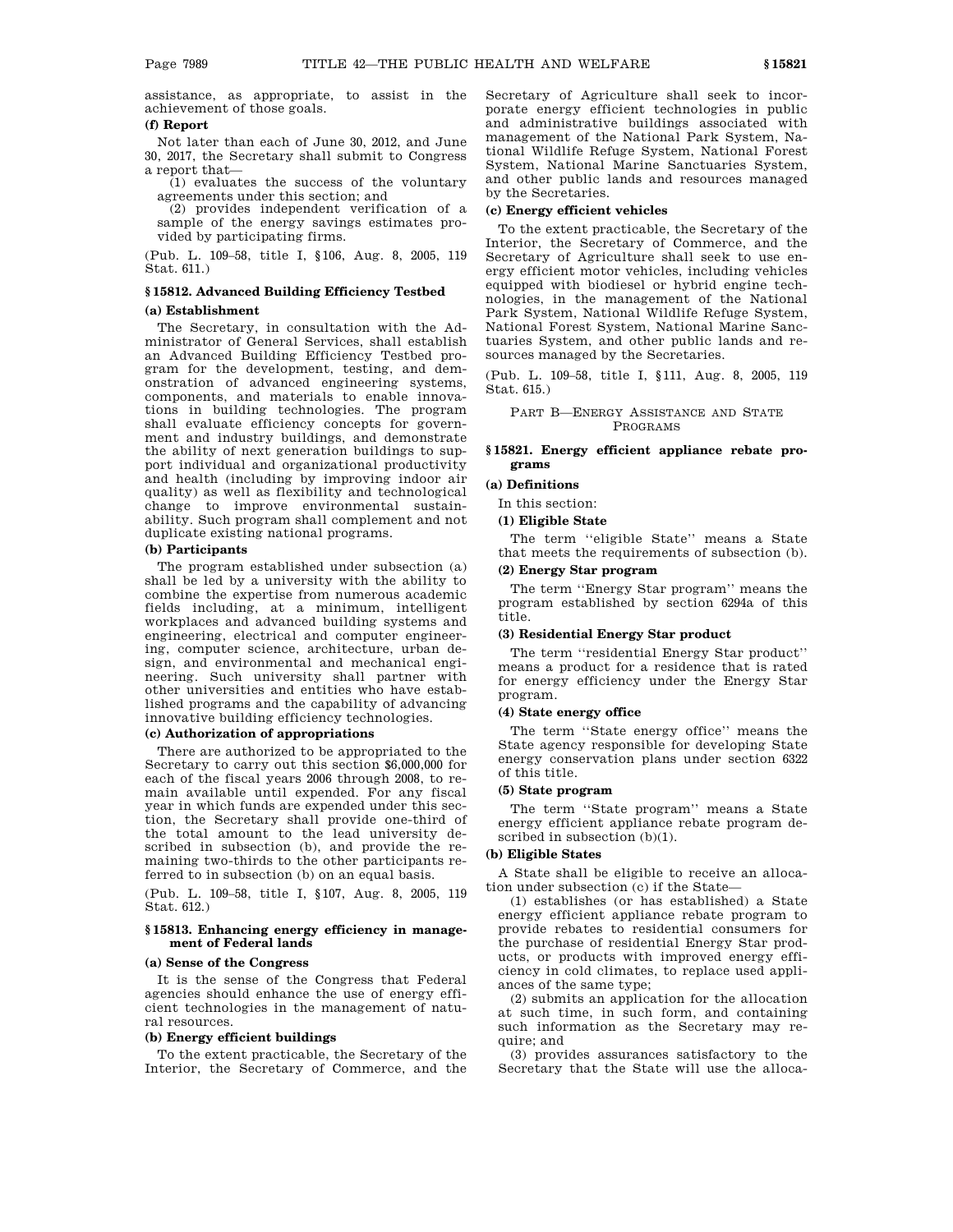assistance, as appropriate, to assist in the achievement of those goals.

### **(f) Report**

Not later than each of June 30, 2012, and June 30, 2017, the Secretary shall submit to Congress a report that—

 $(1)$  evaluates the success of the voluntary agreements under this section; and

(2) provides independent verification of a sample of the energy savings estimates provided by participating firms.

(Pub. L. 109–58, title I, §106, Aug. 8, 2005, 119 Stat. 611.)

## **§ 15812. Advanced Building Efficiency Testbed (a) Establishment**

## The Secretary, in consultation with the Administrator of General Services, shall establish an Advanced Building Efficiency Testbed program for the development, testing, and demonstration of advanced engineering systems, components, and materials to enable innovations in building technologies. The program shall evaluate efficiency concepts for government and industry buildings, and demonstrate the ability of next generation buildings to support individual and organizational productivity and health (including by improving indoor air quality) as well as flexibility and technological change to improve environmental sustain-

ability. Such program shall complement and not duplicate existing national programs.

## **(b) Participants**

The program established under subsection (a) shall be led by a university with the ability to combine the expertise from numerous academic fields including, at a minimum, intelligent workplaces and advanced building systems and engineering, electrical and computer engineering, computer science, architecture, urban design, and environmental and mechanical engineering. Such university shall partner with other universities and entities who have established programs and the capability of advancing innovative building efficiency technologies.

## **(c) Authorization of appropriations**

There are authorized to be appropriated to the Secretary to carry out this section \$6,000,000 for each of the fiscal years 2006 through 2008, to remain available until expended. For any fiscal year in which funds are expended under this section, the Secretary shall provide one-third of the total amount to the lead university described in subsection (b), and provide the remaining two-thirds to the other participants referred to in subsection (b) on an equal basis.

(Pub. L. 109–58, title I, §107, Aug. 8, 2005, 119 Stat. 612.)

#### **§ 15813. Enhancing energy efficiency in management of Federal lands**

#### **(a) Sense of the Congress**

It is the sense of the Congress that Federal agencies should enhance the use of energy efficient technologies in the management of natural resources.

#### **(b) Energy efficient buildings**

To the extent practicable, the Secretary of the Interior, the Secretary of Commerce, and the Secretary of Agriculture shall seek to incorporate energy efficient technologies in public and administrative buildings associated with management of the National Park System, National Wildlife Refuge System, National Forest System, National Marine Sanctuaries System, and other public lands and resources managed by the Secretaries.

#### **(c) Energy efficient vehicles**

To the extent practicable, the Secretary of the Interior, the Secretary of Commerce, and the Secretary of Agriculture shall seek to use energy efficient motor vehicles, including vehicles equipped with biodiesel or hybrid engine technologies, in the management of the National Park System, National Wildlife Refuge System, National Forest System, National Marine Sanctuaries System, and other public lands and resources managed by the Secretaries.

(Pub. L. 109–58, title I, §111, Aug. 8, 2005, 119 Stat. 615.)

PART B—ENERGY ASSISTANCE AND STATE PROGRAMS

## **§ 15821. Energy efficient appliance rebate programs**

#### **(a) Definitions**

In this section:

#### **(1) Eligible State**

The term ''eligible State'' means a State that meets the requirements of subsection (b).

## **(2) Energy Star program**

The term ''Energy Star program'' means the program established by section 6294a of this title.

#### **(3) Residential Energy Star product**

The term ''residential Energy Star product'' means a product for a residence that is rated for energy efficiency under the Energy Star program.

## **(4) State energy office**

The term ''State energy office'' means the State agency responsible for developing State energy conservation plans under section 6322 of this title.

## **(5) State program**

The term ''State program'' means a State energy efficient appliance rebate program described in subsection (b)(1).

## **(b) Eligible States**

A State shall be eligible to receive an allocation under subsection (c) if the State—

(1) establishes (or has established) a State energy efficient appliance rebate program to provide rebates to residential consumers for the purchase of residential Energy Star products, or products with improved energy efficiency in cold climates, to replace used appliances of the same type;

(2) submits an application for the allocation at such time, in such form, and containing such information as the Secretary may require; and

(3) provides assurances satisfactory to the Secretary that the State will use the alloca-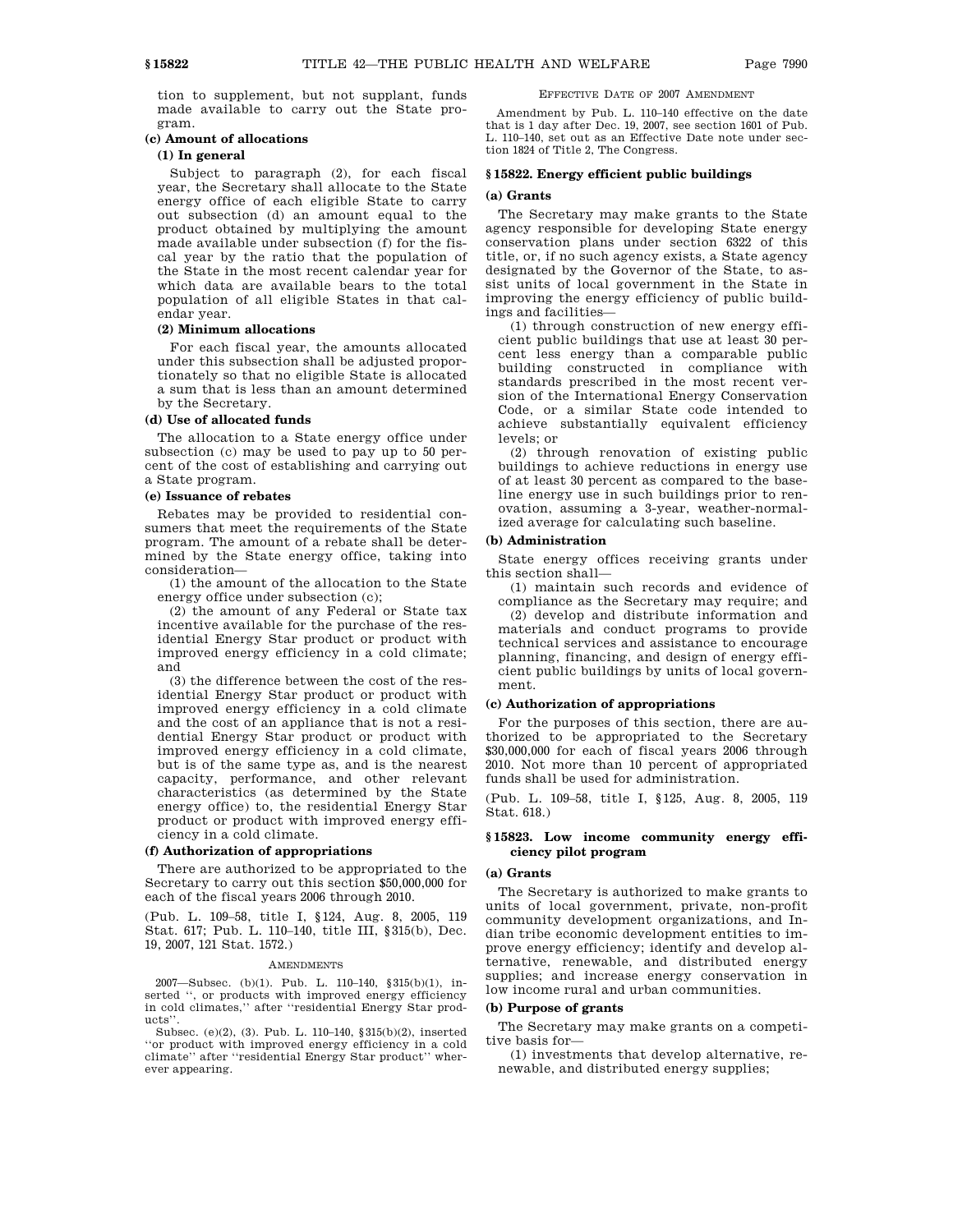tion to supplement, but not supplant, funds made available to carry out the State program.

## **(c) Amount of allocations**

### **(1) In general**

Subject to paragraph (2), for each fiscal year, the Secretary shall allocate to the State energy office of each eligible State to carry out subsection (d) an amount equal to the product obtained by multiplying the amount made available under subsection (f) for the fiscal year by the ratio that the population of the State in the most recent calendar year for which data are available bears to the total population of all eligible States in that calendar year.

#### **(2) Minimum allocations**

For each fiscal year, the amounts allocated under this subsection shall be adjusted proportionately so that no eligible State is allocated a sum that is less than an amount determined by the Secretary.

## **(d) Use of allocated funds**

The allocation to a State energy office under subsection (c) may be used to pay up to 50 percent of the cost of establishing and carrying out a State program.

#### **(e) Issuance of rebates**

Rebates may be provided to residential consumers that meet the requirements of the State program. The amount of a rebate shall be determined by the State energy office, taking into consideration—

(1) the amount of the allocation to the State energy office under subsection (c);

(2) the amount of any Federal or State tax incentive available for the purchase of the residential Energy Star product or product with improved energy efficiency in a cold climate; and

(3) the difference between the cost of the residential Energy Star product or product with improved energy efficiency in a cold climate and the cost of an appliance that is not a residential Energy Star product or product with improved energy efficiency in a cold climate, but is of the same type as, and is the nearest capacity, performance, and other relevant characteristics (as determined by the State energy office) to, the residential Energy Star product or product with improved energy efficiency in a cold climate.

### **(f) Authorization of appropriations**

There are authorized to be appropriated to the Secretary to carry out this section \$50,000,000 for each of the fiscal years 2006 through 2010.

(Pub. L. 109–58, title I, §124, Aug. 8, 2005, 119 Stat. 617; Pub. L. 110–140, title III, §315(b), Dec. 19, 2007, 121 Stat. 1572.)

#### AMENDMENTS

2007—Subsec. (b)(1). Pub. L. 110–140, §315(b)(1), inserted ", or products with improved energy efficiency in cold climates,'' after ''residential Energy Star products''.

Subsec. (e)(2), (3). Pub. L. 110–140, §315(b)(2), inserted ''or product with improved energy efficiency in a cold climate'' after ''residential Energy Star product'' wherever appearing.

## EFFECTIVE DATE OF 2007 AMENDMENT

Amendment by Pub. L. 110–140 effective on the date that is 1 day after Dec. 19, 2007, see section 1601 of Pub. L. 110–140, set out as an Effective Date note under section 1824 of Title 2, The Congress.

### **§ 15822. Energy efficient public buildings**

#### **(a) Grants**

The Secretary may make grants to the State agency responsible for developing State energy conservation plans under section 6322 of this title, or, if no such agency exists, a State agency designated by the Governor of the State, to assist units of local government in the State in improving the energy efficiency of public buildings and facilities—

(1) through construction of new energy efficient public buildings that use at least 30 percent less energy than a comparable public building constructed in compliance with standards prescribed in the most recent version of the International Energy Conservation Code, or a similar State code intended to achieve substantially equivalent efficiency levels; or

(2) through renovation of existing public buildings to achieve reductions in energy use of at least 30 percent as compared to the baseline energy use in such buildings prior to renovation, assuming a 3-year, weather-normalized average for calculating such baseline.

#### **(b) Administration**

State energy offices receiving grants under this section shall—

(1) maintain such records and evidence of compliance as the Secretary may require; and

(2) develop and distribute information and materials and conduct programs to provide technical services and assistance to encourage planning, financing, and design of energy efficient public buildings by units of local government.

#### **(c) Authorization of appropriations**

For the purposes of this section, there are authorized to be appropriated to the Secretary \$30,000,000 for each of fiscal years 2006 through 2010. Not more than 10 percent of appropriated funds shall be used for administration.

(Pub. L. 109–58, title I, §125, Aug. 8, 2005, 119 Stat. 618.)

## **§ 15823. Low income community energy efficiency pilot program**

## **(a) Grants**

The Secretary is authorized to make grants to units of local government, private, non-profit community development organizations, and Indian tribe economic development entities to improve energy efficiency; identify and develop alternative, renewable, and distributed energy supplies; and increase energy conservation in low income rural and urban communities.

#### **(b) Purpose of grants**

The Secretary may make grants on a competitive basis for—

(1) investments that develop alternative, renewable, and distributed energy supplies;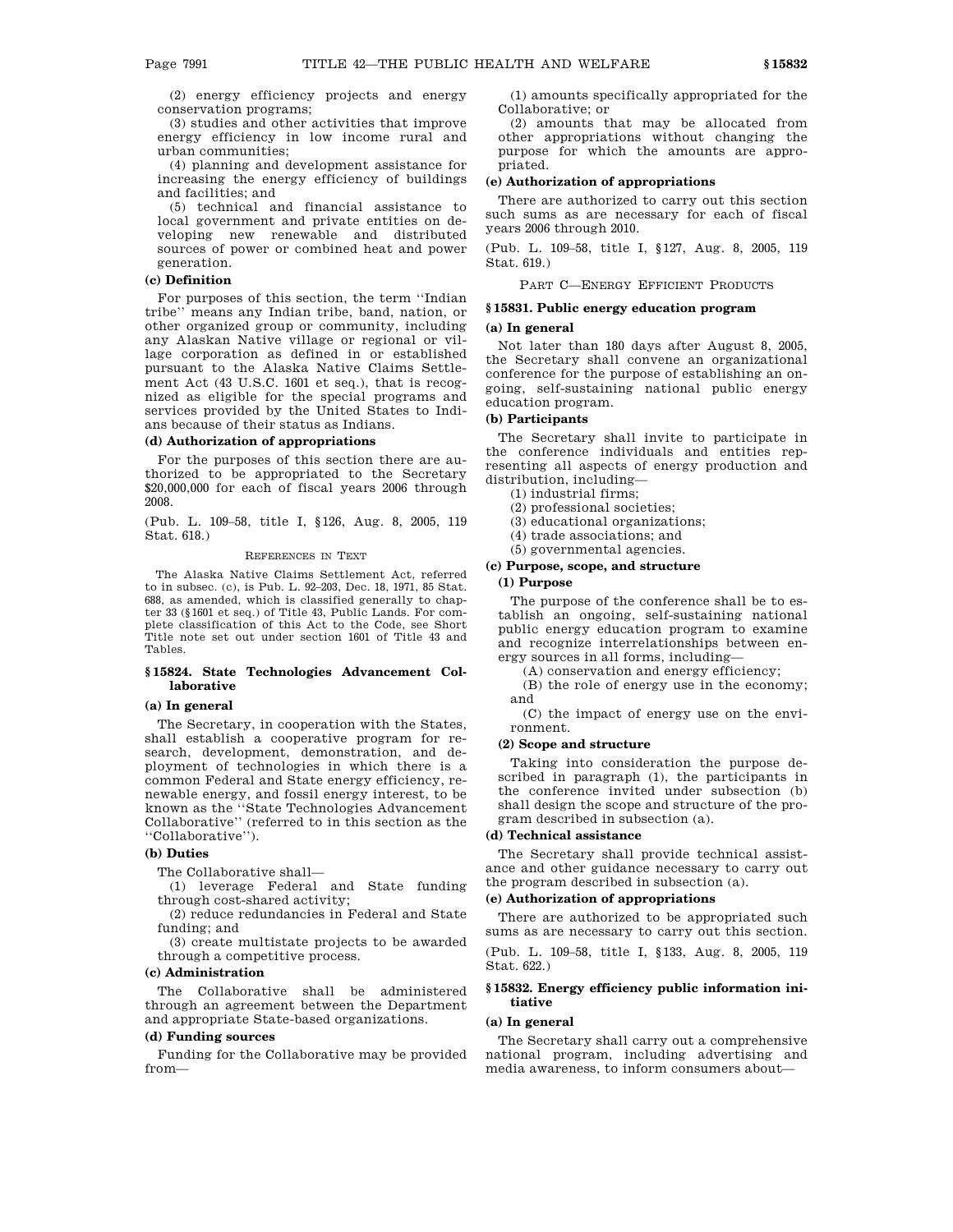(2) energy efficiency projects and energy conservation programs;

(3) studies and other activities that improve energy efficiency in low income rural and urban communities;

(4) planning and development assistance for increasing the energy efficiency of buildings and facilities; and

(5) technical and financial assistance to local government and private entities on developing new renewable and distributed sources of power or combined heat and power generation.

## **(c) Definition**

For purposes of this section, the term ''Indian tribe'' means any Indian tribe, band, nation, or other organized group or community, including any Alaskan Native village or regional or village corporation as defined in or established pursuant to the Alaska Native Claims Settlement Act (43 U.S.C. 1601 et seq.), that is recognized as eligible for the special programs and services provided by the United States to Indians because of their status as Indians.

## **(d) Authorization of appropriations**

For the purposes of this section there are authorized to be appropriated to the Secretary \$20,000,000 for each of fiscal years 2006 through 2008.

(Pub. L. 109–58, title I, §126, Aug. 8, 2005, 119 Stat. 618.)

#### REFERENCES IN TEXT

The Alaska Native Claims Settlement Act, referred to in subsec. (c), is Pub. L. 92–203, Dec. 18, 1971, 85 Stat. 688, as amended, which is classified generally to chapter 33 (§1601 et seq.) of Title 43, Public Lands. For complete classification of this Act to the Code, see Short Title note set out under section 1601 of Title 43 and Tables.

#### **§ 15824. State Technologies Advancement Collaborative**

#### **(a) In general**

The Secretary, in cooperation with the States, shall establish a cooperative program for research, development, demonstration, and deployment of technologies in which there is a common Federal and State energy efficiency, renewable energy, and fossil energy interest, to be known as the ''State Technologies Advancement Collaborative'' (referred to in this section as the ''Collaborative'').

## **(b) Duties**

The Collaborative shall—

(1) leverage Federal and State funding through cost-shared activity;

(2) reduce redundancies in Federal and State funding; and

(3) create multistate projects to be awarded through a competitive process.

## **(c) Administration**

The Collaborative shall be administered through an agreement between the Department and appropriate State-based organizations.

#### **(d) Funding sources**

Funding for the Collaborative may be provided from—

(1) amounts specifically appropriated for the Collaborative; or

(2) amounts that may be allocated from other appropriations without changing the purpose for which the amounts are appropriated.

## **(e) Authorization of appropriations**

There are authorized to carry out this section such sums as are necessary for each of fiscal years 2006 through 2010.

(Pub. L. 109–58, title I, §127, Aug. 8, 2005, 119 Stat. 619.)

PART C—ENERGY EFFICIENT PRODUCTS

## **§ 15831. Public energy education program**

### **(a) In general**

Not later than 180 days after August 8, 2005, the Secretary shall convene an organizational conference for the purpose of establishing an ongoing, self-sustaining national public energy education program.

## **(b) Participants**

The Secretary shall invite to participate in the conference individuals and entities representing all aspects of energy production and distribution, including—

- (1) industrial firms;
- (2) professional societies;

(3) educational organizations;

- (4) trade associations; and
- (5) governmental agencies.

## **(c) Purpose, scope, and structure**

## **(1) Purpose**

The purpose of the conference shall be to establish an ongoing, self-sustaining national public energy education program to examine and recognize interrelationships between energy sources in all forms, including—

(A) conservation and energy efficiency;

(B) the role of energy use in the economy; and

(C) the impact of energy use on the environment.

#### **(2) Scope and structure**

Taking into consideration the purpose described in paragraph (1), the participants in the conference invited under subsection (b) shall design the scope and structure of the program described in subsection (a).

## **(d) Technical assistance**

The Secretary shall provide technical assistance and other guidance necessary to carry out the program described in subsection (a).

## **(e) Authorization of appropriations**

There are authorized to be appropriated such sums as are necessary to carry out this section.

(Pub. L. 109–58, title I, §133, Aug. 8, 2005, 119 Stat. 622.)

### **§ 15832. Energy efficiency public information initiative**

#### **(a) In general**

The Secretary shall carry out a comprehensive national program, including advertising and media awareness, to inform consumers about—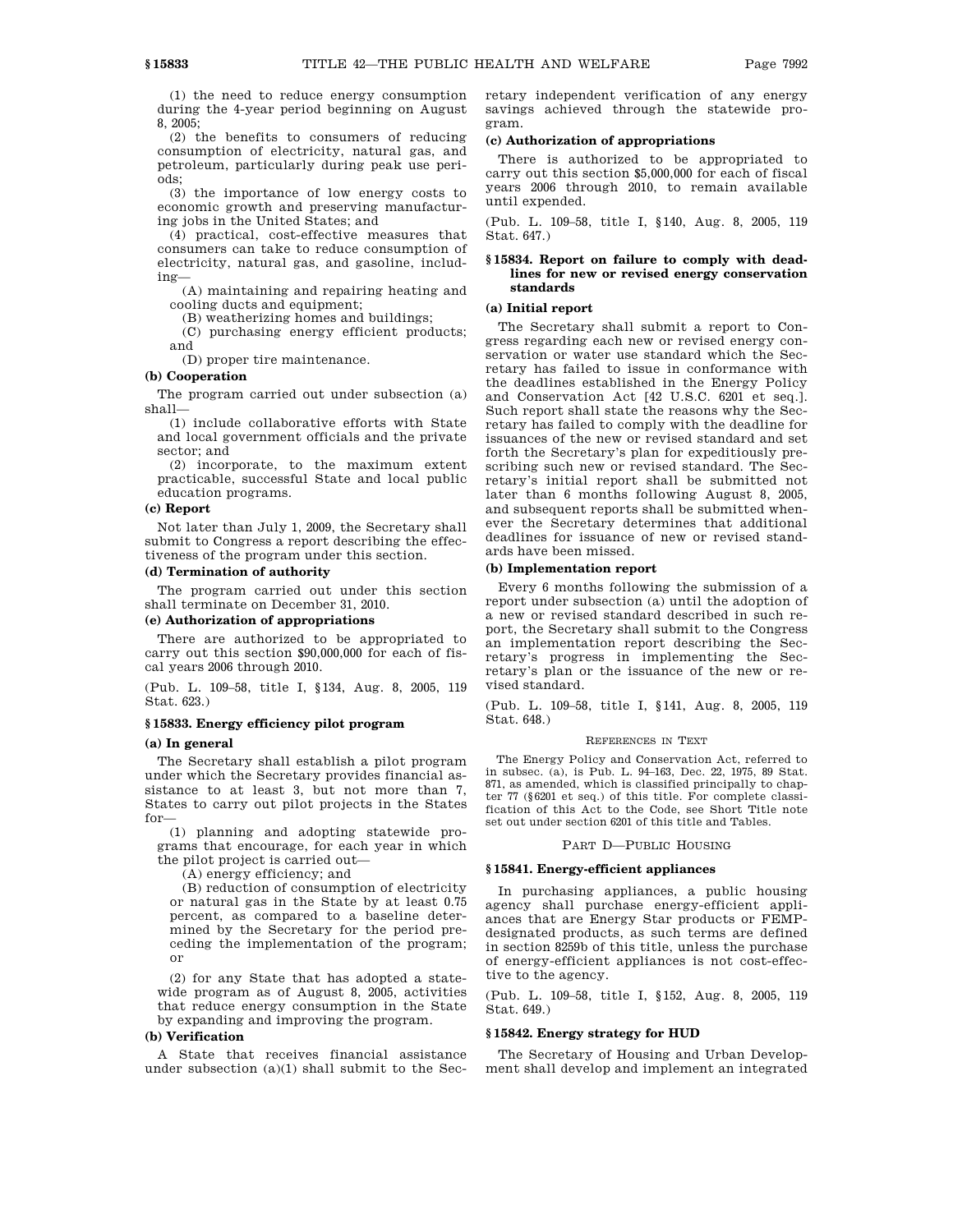(1) the need to reduce energy consumption during the 4-year period beginning on August 8, 2005;

(2) the benefits to consumers of reducing consumption of electricity, natural gas, and petroleum, particularly during peak use periods;

(3) the importance of low energy costs to economic growth and preserving manufacturing jobs in the United States; and

(4) practical, cost-effective measures that consumers can take to reduce consumption of electricity, natural gas, and gasoline, including—

(A) maintaining and repairing heating and cooling ducts and equipment;

(B) weatherizing homes and buildings;

(C) purchasing energy efficient products; and

(D) proper tire maintenance.

#### **(b) Cooperation**

The program carried out under subsection (a) shall—

(1) include collaborative efforts with State and local government officials and the private sector; and

(2) incorporate, to the maximum extent practicable, successful State and local public education programs.

#### **(c) Report**

Not later than July 1, 2009, the Secretary shall submit to Congress a report describing the effectiveness of the program under this section.

## **(d) Termination of authority**

The program carried out under this section shall terminate on December 31, 2010.

#### **(e) Authorization of appropriations**

There are authorized to be appropriated to carry out this section \$90,000,000 for each of fiscal years 2006 through 2010.

(Pub. L. 109–58, title I, §134, Aug. 8, 2005, 119 Stat. 623.)

#### **§ 15833. Energy efficiency pilot program**

#### **(a) In general**

The Secretary shall establish a pilot program under which the Secretary provides financial assistance to at least 3, but not more than 7, States to carry out pilot projects in the States for—

(1) planning and adopting statewide programs that encourage, for each year in which the pilot project is carried out—

(A) energy efficiency; and

(B) reduction of consumption of electricity or natural gas in the State by at least 0.75 percent, as compared to a baseline determined by the Secretary for the period preceding the implementation of the program; or

(2) for any State that has adopted a statewide program as of August 8, 2005, activities that reduce energy consumption in the State by expanding and improving the program.

## **(b) Verification**

A State that receives financial assistance under subsection  $(a)(1)$  shall submit to the Secretary independent verification of any energy savings achieved through the statewide program.

#### **(c) Authorization of appropriations**

There is authorized to be appropriated to carry out this section \$5,000,000 for each of fiscal years 2006 through 2010, to remain available until expended.

(Pub. L. 109–58, title I, §140, Aug. 8, 2005, 119 Stat. 647.)

## **§ 15834. Report on failure to comply with deadlines for new or revised energy conservation standards**

## **(a) Initial report**

The Secretary shall submit a report to Congress regarding each new or revised energy conservation or water use standard which the Secretary has failed to issue in conformance with the deadlines established in the Energy Policy and Conservation Act [42 U.S.C. 6201 et seq.]. Such report shall state the reasons why the Secretary has failed to comply with the deadline for issuances of the new or revised standard and set forth the Secretary's plan for expeditiously prescribing such new or revised standard. The Secretary's initial report shall be submitted not later than 6 months following August 8, 2005, and subsequent reports shall be submitted whenever the Secretary determines that additional deadlines for issuance of new or revised standards have been missed.

#### **(b) Implementation report**

Every 6 months following the submission of a report under subsection (a) until the adoption of a new or revised standard described in such report, the Secretary shall submit to the Congress an implementation report describing the Secretary's progress in implementing the Secretary's plan or the issuance of the new or revised standard.

(Pub. L. 109–58, title I, §141, Aug. 8, 2005, 119 Stat. 648.)

#### REFERENCES IN TEXT

The Energy Policy and Conservation Act, referred to in subsec. (a), is Pub. L. 94–163, Dec. 22, 1975, 89 Stat. 871, as amended, which is classified principally to chapter 77 (§6201 et seq.) of this title. For complete classification of this Act to the Code, see Short Title note set out under section 6201 of this title and Tables.

#### PART D—PUBLIC HOUSING

#### **§ 15841. Energy-efficient appliances**

In purchasing appliances, a public housing agency shall purchase energy-efficient appliances that are Energy Star products or FEMPdesignated products, as such terms are defined in section 8259b of this title, unless the purchase of energy-efficient appliances is not cost-effective to the agency.

(Pub. L. 109–58, title I, §152, Aug. 8, 2005, 119 Stat. 649.)

#### **§ 15842. Energy strategy for HUD**

The Secretary of Housing and Urban Development shall develop and implement an integrated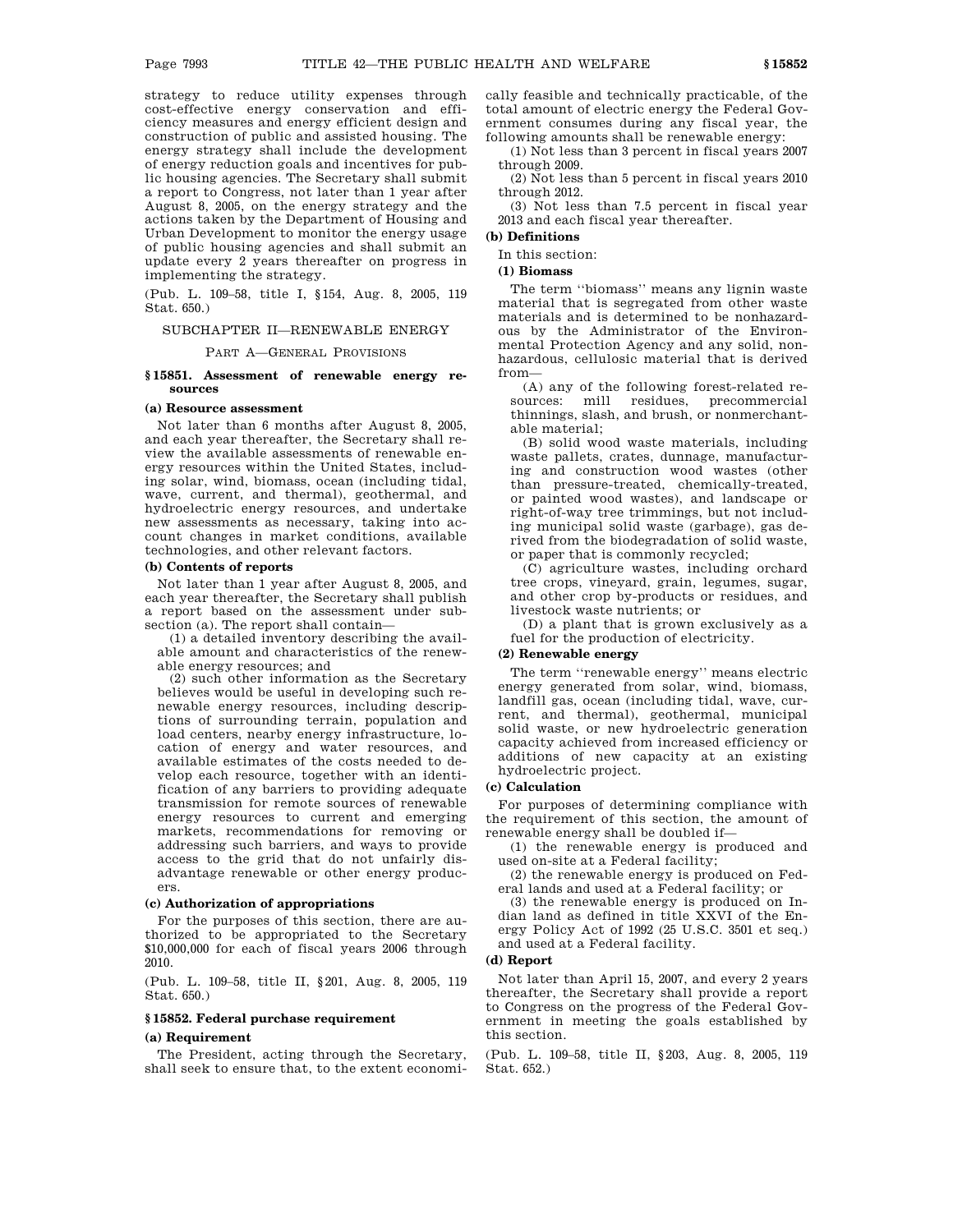cally feasible and technically practicable, of the

total amount of electric energy the Federal Government consumes during any fiscal year, the following amounts shall be renewable energy:

(1) Not less than 3 percent in fiscal years 2007 through 2009.

(2) Not less than 5 percent in fiscal years 2010 through 2012.

(3) Not less than 7.5 percent in fiscal year 2013 and each fiscal year thereafter.

## **(b) Definitions**

In this section:

## **(1) Biomass**

The term ''biomass'' means any lignin waste material that is segregated from other waste materials and is determined to be nonhazardous by the Administrator of the Environmental Protection Agency and any solid, nonhazardous, cellulosic material that is derived from—

(A) any of the following forest-related resources: mill residues, precommercial thinnings, slash, and brush, or nonmerchantable material;

(B) solid wood waste materials, including waste pallets, crates, dunnage, manufacturing and construction wood wastes (other than pressure-treated, chemically-treated, or painted wood wastes), and landscape or right-of-way tree trimmings, but not including municipal solid waste (garbage), gas derived from the biodegradation of solid waste, or paper that is commonly recycled;

(C) agriculture wastes, including orchard tree crops, vineyard, grain, legumes, sugar, and other crop by-products or residues, and livestock waste nutrients; or

(D) a plant that is grown exclusively as a fuel for the production of electricity.

#### **(2) Renewable energy**

The term ''renewable energy'' means electric energy generated from solar, wind, biomass, landfill gas, ocean (including tidal, wave, current, and thermal), geothermal, municipal solid waste, or new hydroelectric generation capacity achieved from increased efficiency or additions of new capacity at an existing hydroelectric project.

#### **(c) Calculation**

For purposes of determining compliance with the requirement of this section, the amount of renewable energy shall be doubled if—

(1) the renewable energy is produced and used on-site at a Federal facility;

(2) the renewable energy is produced on Federal lands and used at a Federal facility; or

(3) the renewable energy is produced on Indian land as defined in title XXVI of the Energy Policy Act of 1992 (25 U.S.C. 3501 et seq.) and used at a Federal facility.

#### **(d) Report**

Not later than April 15, 2007, and every 2 years thereafter, the Secretary shall provide a report to Congress on the progress of the Federal Government in meeting the goals established by this section.

(Pub. L. 109–58, title II, §203, Aug. 8, 2005, 119 Stat. 652.)

strategy to reduce utility expenses through cost-effective energy conservation and efficiency measures and energy efficient design and construction of public and assisted housing. The energy strategy shall include the development of energy reduction goals and incentives for public housing agencies. The Secretary shall submit a report to Congress, not later than 1 year after August 8, 2005, on the energy strategy and the actions taken by the Department of Housing and Urban Development to monitor the energy usage of public housing agencies and shall submit an update every 2 years thereafter on progress in implementing the strategy.

(Pub. L. 109–58, title I, §154, Aug. 8, 2005, 119 Stat. 650.)

## SUBCHAPTER II—RENEWABLE ENERGY

## PART A—GENERAL PROVISIONS

## **§ 15851. Assessment of renewable energy resources**

## **(a) Resource assessment**

Not later than 6 months after August 8, 2005, and each year thereafter, the Secretary shall review the available assessments of renewable energy resources within the United States, including solar, wind, biomass, ocean (including tidal, wave, current, and thermal), geothermal, and hydroelectric energy resources, and undertake new assessments as necessary, taking into account changes in market conditions, available technologies, and other relevant factors.

### **(b) Contents of reports**

Not later than 1 year after August 8, 2005, and each year thereafter, the Secretary shall publish a report based on the assessment under subsection (a). The report shall contain—

(1) a detailed inventory describing the available amount and characteristics of the renewable energy resources; and

(2) such other information as the Secretary believes would be useful in developing such renewable energy resources, including descriptions of surrounding terrain, population and load centers, nearby energy infrastructure, location of energy and water resources, and available estimates of the costs needed to develop each resource, together with an identification of any barriers to providing adequate transmission for remote sources of renewable energy resources to current and emerging markets, recommendations for removing or addressing such barriers, and ways to provide access to the grid that do not unfairly disadvantage renewable or other energy producers.

## **(c) Authorization of appropriations**

For the purposes of this section, there are authorized to be appropriated to the Secretary \$10,000,000 for each of fiscal years 2006 through 2010.

(Pub. L. 109–58, title II, §201, Aug. 8, 2005, 119 Stat. 650.)

## **§ 15852. Federal purchase requirement**

#### **(a) Requirement**

The President, acting through the Secretary, shall seek to ensure that, to the extent economi-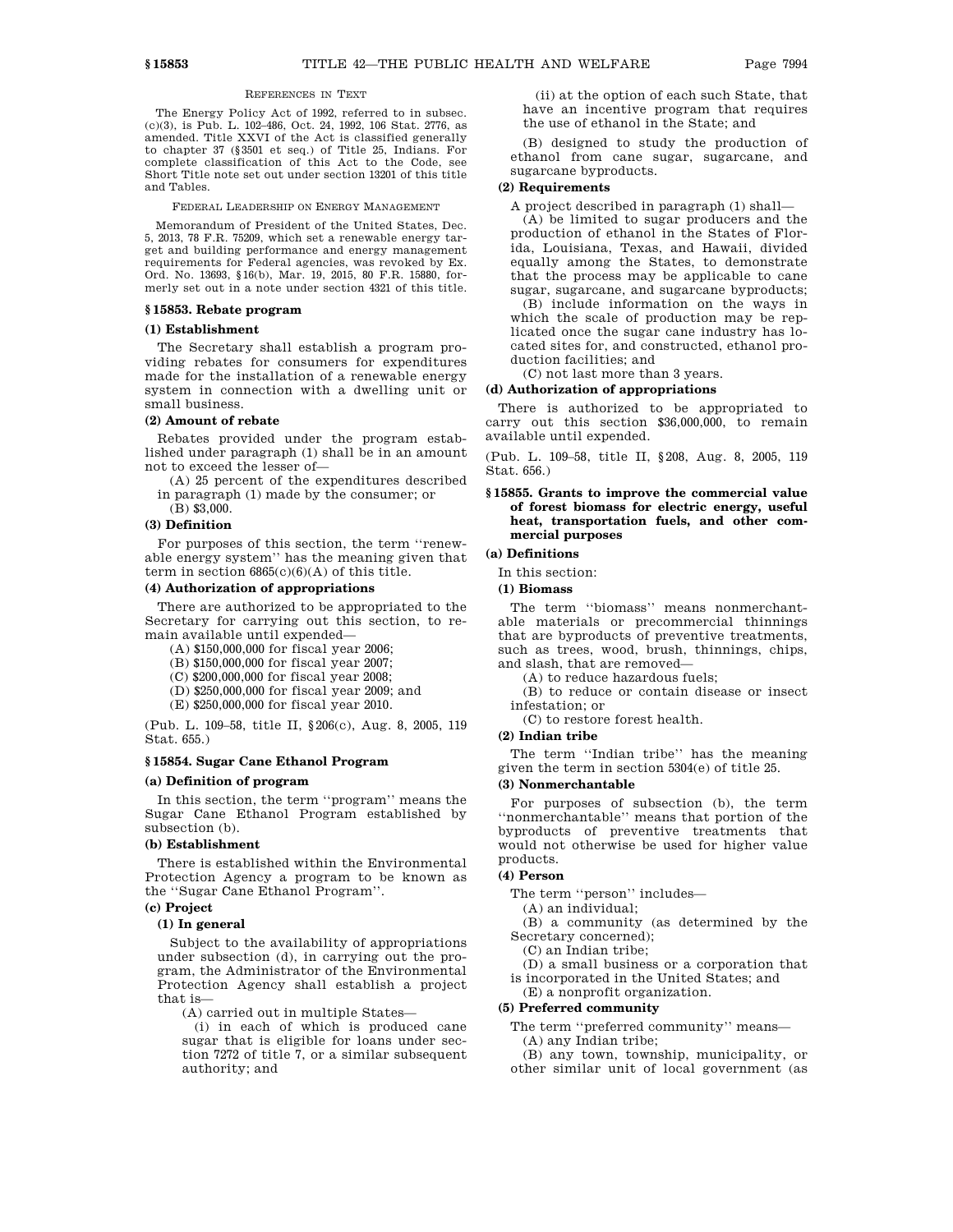## REFERENCES IN TEXT

The Energy Policy Act of 1992, referred to in subsec. (c)(3), is Pub. L. 102–486, Oct. 24, 1992, 106 Stat. 2776, as amended. Title XXVI of the Act is classified generally to chapter 37 (§3501 et seq.) of Title 25, Indians. For complete classification of this Act to the Code, see Short Title note set out under section 13201 of this title and Tables.

FEDERAL LEADERSHIP ON ENERGY MANAGEMENT

Memorandum of President of the United States, Dec. 5, 2013, 78 F.R. 75209, which set a renewable energy target and building performance and energy management requirements for Federal agencies, was revoked by Ex. Ord. No. 13693, §16(b), Mar. 19, 2015, 80 F.R. 15880, formerly set out in a note under section 4321 of this title.

## **§ 15853. Rebate program**

#### **(1) Establishment**

The Secretary shall establish a program providing rebates for consumers for expenditures made for the installation of a renewable energy system in connection with a dwelling unit or small business.

#### **(2) Amount of rebate**

Rebates provided under the program established under paragraph (1) shall be in an amount not to exceed the lesser of—

(A) 25 percent of the expenditures described in paragraph (1) made by the consumer; or

(B) \$3,000.

### **(3) Definition**

For purposes of this section, the term ''renewable energy system'' has the meaning given that term in section  $6865(c)(6)(A)$  of this title.

## **(4) Authorization of appropriations**

There are authorized to be appropriated to the Secretary for carrying out this section, to remain available until expended—

(A) \$150,000,000 for fiscal year 2006;

(B) \$150,000,000 for fiscal year 2007;

(C) \$200,000,000 for fiscal year 2008;

- (D) \$250,000,000 for fiscal year 2009; and
- (E) \$250,000,000 for fiscal year 2010.

(Pub. L. 109–58, title II, §206(c), Aug. 8, 2005, 119 Stat. 655.)

#### **§ 15854. Sugar Cane Ethanol Program**

#### **(a) Definition of program**

In this section, the term ''program'' means the Sugar Cane Ethanol Program established by subsection (b).

## **(b) Establishment**

There is established within the Environmental Protection Agency a program to be known as the ''Sugar Cane Ethanol Program''.

## **(c) Project**

## **(1) In general**

Subject to the availability of appropriations under subsection (d), in carrying out the program, the Administrator of the Environmental Protection Agency shall establish a project that is—

(A) carried out in multiple States—

(i) in each of which is produced cane sugar that is eligible for loans under section 7272 of title 7, or a similar subsequent authority; and

(ii) at the option of each such State, that have an incentive program that requires the use of ethanol in the State; and

(B) designed to study the production of ethanol from cane sugar, sugarcane, and sugarcane byproducts.

## **(2) Requirements**

A project described in paragraph (1) shall—

(A) be limited to sugar producers and the production of ethanol in the States of Florida, Louisiana, Texas, and Hawaii, divided equally among the States, to demonstrate that the process may be applicable to cane sugar, sugarcane, and sugarcane byproducts;

(B) include information on the ways in which the scale of production may be replicated once the sugar cane industry has located sites for, and constructed, ethanol production facilities; and

(C) not last more than 3 years.

#### **(d) Authorization of appropriations**

There is authorized to be appropriated to carry out this section \$36,000,000, to remain available until expended.

(Pub. L. 109–58, title II, §208, Aug. 8, 2005, 119 Stat. 656.)

**§ 15855. Grants to improve the commercial value of forest biomass for electric energy, useful heat, transportation fuels, and other commercial purposes**

## **(a) Definitions**

In this section:

**(1) Biomass**

The term ''biomass'' means nonmerchantable materials or precommercial thinnings that are byproducts of preventive treatments, such as trees, wood, brush, thinnings, chips, and slash, that are removed—

(A) to reduce hazardous fuels;

(B) to reduce or contain disease or insect infestation; or

(C) to restore forest health.

## **(2) Indian tribe**

The term ''Indian tribe'' has the meaning given the term in section 5304(e) of title 25.

## **(3) Nonmerchantable**

For purposes of subsection (b), the term ''nonmerchantable'' means that portion of the byproducts of preventive treatments that would not otherwise be used for higher value products.

## **(4) Person**

The term ''person'' includes—

(A) an individual;

(B) a community (as determined by the Secretary concerned);

(C) an Indian tribe;

(D) a small business or a corporation that is incorporated in the United States; and

(E) a nonprofit organization.

## **(5) Preferred community**

The term ''preferred community'' means— (A) any Indian tribe;

(B) any town, township, municipality, or other similar unit of local government (as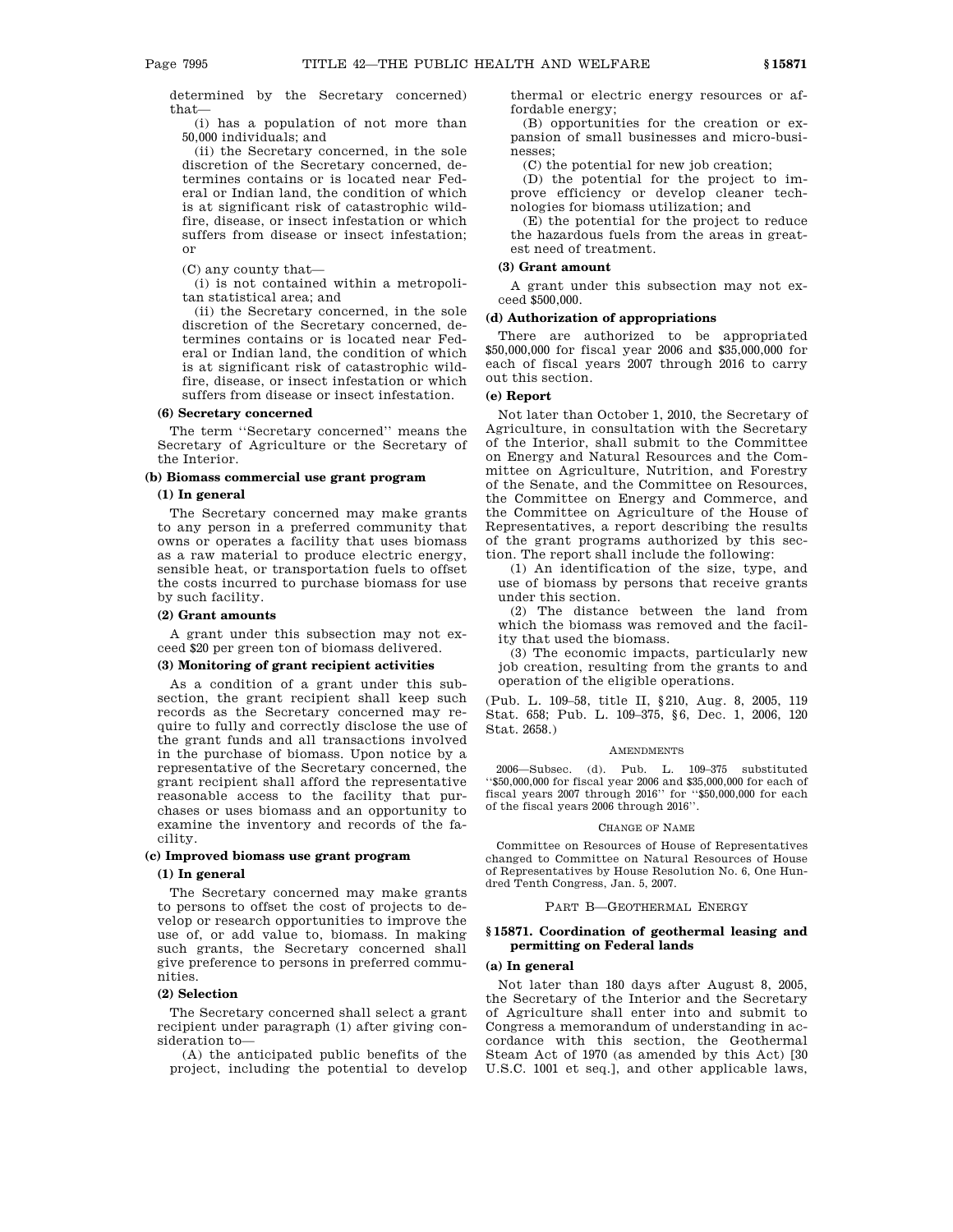determined by the Secretary concerned) that—

(i) has a population of not more than 50,000 individuals; and

(ii) the Secretary concerned, in the sole discretion of the Secretary concerned, determines contains or is located near Federal or Indian land, the condition of which is at significant risk of catastrophic wildfire, disease, or insect infestation or which suffers from disease or insect infestation; or

(C) any county that—

(i) is not contained within a metropolitan statistical area; and

(ii) the Secretary concerned, in the sole discretion of the Secretary concerned, determines contains or is located near Federal or Indian land, the condition of which is at significant risk of catastrophic wildfire, disease, or insect infestation or which suffers from disease or insect infestation.

#### **(6) Secretary concerned**

The term ''Secretary concerned'' means the Secretary of Agriculture or the Secretary of the Interior.

## **(b) Biomass commercial use grant program**

#### **(1) In general**

The Secretary concerned may make grants to any person in a preferred community that owns or operates a facility that uses biomass as a raw material to produce electric energy, sensible heat, or transportation fuels to offset the costs incurred to purchase biomass for use by such facility.

#### **(2) Grant amounts**

A grant under this subsection may not exceed \$20 per green ton of biomass delivered.

#### **(3) Monitoring of grant recipient activities**

As a condition of a grant under this subsection, the grant recipient shall keep such records as the Secretary concerned may require to fully and correctly disclose the use of the grant funds and all transactions involved in the purchase of biomass. Upon notice by a representative of the Secretary concerned, the grant recipient shall afford the representative reasonable access to the facility that purchases or uses biomass and an opportunity to examine the inventory and records of the facility.

#### **(c) Improved biomass use grant program**

#### **(1) In general**

The Secretary concerned may make grants to persons to offset the cost of projects to develop or research opportunities to improve the use of, or add value to, biomass. In making such grants, the Secretary concerned shall give preference to persons in preferred communities.

## **(2) Selection**

The Secretary concerned shall select a grant recipient under paragraph (1) after giving consideration to—

(A) the anticipated public benefits of the project, including the potential to develop thermal or electric energy resources or affordable energy;

(B) opportunities for the creation or expansion of small businesses and micro-businesses;

(C) the potential for new job creation;

(D) the potential for the project to improve efficiency or develop cleaner technologies for biomass utilization; and

(E) the potential for the project to reduce the hazardous fuels from the areas in greatest need of treatment.

#### **(3) Grant amount**

A grant under this subsection may not exceed \$500,000.

#### **(d) Authorization of appropriations**

There are authorized to be appropriated \$50,000,000 for fiscal year 2006 and \$35,000,000 for each of fiscal years 2007 through 2016 to carry out this section.

### **(e) Report**

Not later than October 1, 2010, the Secretary of Agriculture, in consultation with the Secretary of the Interior, shall submit to the Committee on Energy and Natural Resources and the Committee on Agriculture, Nutrition, and Forestry of the Senate, and the Committee on Resources, the Committee on Energy and Commerce, and the Committee on Agriculture of the House of Representatives, a report describing the results of the grant programs authorized by this section. The report shall include the following:

(1) An identification of the size, type, and use of biomass by persons that receive grants under this section.

(2) The distance between the land from which the biomass was removed and the facility that used the biomass.

(3) The economic impacts, particularly new job creation, resulting from the grants to and operation of the eligible operations.

(Pub. L. 109–58, title II, §210, Aug. 8, 2005, 119 Stat. 658; Pub. L. 109–375, §6, Dec. 1, 2006, 120 Stat. 2658.)

#### AMENDMENTS

2006—Subsec. (d). Pub. L. 109–375 substituted ''\$50,000,000 for fiscal year 2006 and \$35,000,000 for each of fiscal years 2007 through 2016'' for ''\$50,000,000 for each of the fiscal years 2006 through 2016''.

#### CHANGE OF NAME

Committee on Resources of House of Representatives changed to Committee on Natural Resources of House of Representatives by House Resolution No. 6, One Hundred Tenth Congress, Jan. 5, 2007.

## PART B—GEOTHERMAL ENERGY

## **§ 15871. Coordination of geothermal leasing and permitting on Federal lands**

#### **(a) In general**

Not later than 180 days after August 8, 2005, the Secretary of the Interior and the Secretary of Agriculture shall enter into and submit to Congress a memorandum of understanding in accordance with this section, the Geothermal Steam Act of 1970 (as amended by this Act) [30 U.S.C. 1001 et seq.], and other applicable laws,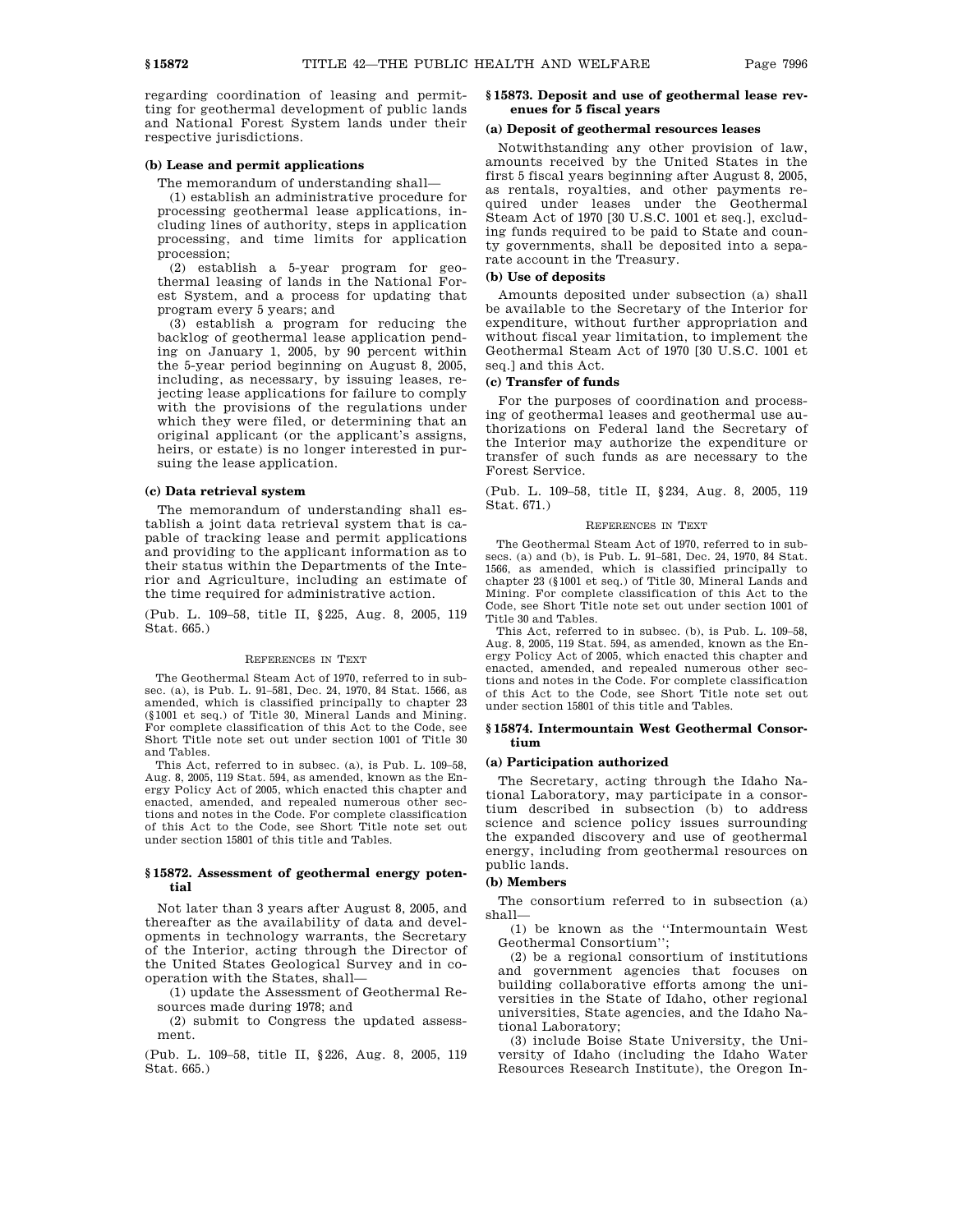regarding coordination of leasing and permitting for geothermal development of public lands and National Forest System lands under their respective jurisdictions.

#### **(b) Lease and permit applications**

The memorandum of understanding shall—

(1) establish an administrative procedure for processing geothermal lease applications, including lines of authority, steps in application processing, and time limits for application procession;

(2) establish a 5-year program for geothermal leasing of lands in the National Forest System, and a process for updating that program every 5 years; and

(3) establish a program for reducing the backlog of geothermal lease application pending on January 1, 2005, by 90 percent within the 5-year period beginning on August 8, 2005, including, as necessary, by issuing leases, rejecting lease applications for failure to comply with the provisions of the regulations under which they were filed, or determining that an original applicant (or the applicant's assigns, heirs, or estate) is no longer interested in pursuing the lease application.

#### **(c) Data retrieval system**

The memorandum of understanding shall establish a joint data retrieval system that is capable of tracking lease and permit applications and providing to the applicant information as to their status within the Departments of the Interior and Agriculture, including an estimate of the time required for administrative action.

(Pub. L. 109–58, title II, §225, Aug. 8, 2005, 119 Stat. 665.)

#### REFERENCES IN TEXT

The Geothermal Steam Act of 1970, referred to in subsec. (a), is Pub. L. 91–581, Dec. 24, 1970, 84 Stat. 1566, as amended, which is classified principally to chapter 23 (§1001 et seq.) of Title 30, Mineral Lands and Mining. For complete classification of this Act to the Code, see Short Title note set out under section 1001 of Title 30 and Tables.

This Act, referred to in subsec. (a), is Pub. L. 109–58, Aug. 8, 2005, 119 Stat. 594, as amended, known as the Energy Policy Act of 2005, which enacted this chapter and enacted, amended, and repealed numerous other sections and notes in the Code. For complete classification of this Act to the Code, see Short Title note set out under section 15801 of this title and Tables.

## **§ 15872. Assessment of geothermal energy potential**

Not later than 3 years after August 8, 2005, and thereafter as the availability of data and developments in technology warrants, the Secretary of the Interior, acting through the Director of the United States Geological Survey and in cooperation with the States, shall—

(1) update the Assessment of Geothermal Resources made during 1978; and

(2) submit to Congress the updated assessment.

(Pub. L. 109–58, title II, §226, Aug. 8, 2005, 119 Stat. 665.)

## **§ 15873. Deposit and use of geothermal lease revenues for 5 fiscal years**

#### **(a) Deposit of geothermal resources leases**

Notwithstanding any other provision of law, amounts received by the United States in the first 5 fiscal years beginning after August 8, 2005, as rentals, royalties, and other payments required under leases under the Geothermal Steam Act of 1970 [30 U.S.C. 1001 et seq.], excluding funds required to be paid to State and county governments, shall be deposited into a separate account in the Treasury.

#### **(b) Use of deposits**

Amounts deposited under subsection (a) shall be available to the Secretary of the Interior for expenditure, without further appropriation and without fiscal year limitation, to implement the Geothermal Steam Act of 1970 [30 U.S.C. 1001 et seq.] and this Act.

## **(c) Transfer of funds**

For the purposes of coordination and processing of geothermal leases and geothermal use authorizations on Federal land the Secretary of the Interior may authorize the expenditure or transfer of such funds as are necessary to the Forest Service.

(Pub. L. 109–58, title II, §234, Aug. 8, 2005, 119 Stat. 671.)

#### REFERENCES IN TEXT

The Geothermal Steam Act of 1970, referred to in subsecs. (a) and (b), is Pub. L. 91–581, Dec. 24, 1970, 84 Stat. 1566, as amended, which is classified principally to chapter 23 (§1001 et seq.) of Title 30, Mineral Lands and Mining. For complete classification of this Act to the Code, see Short Title note set out under section 1001 of Title 30 and Tables.

This Act, referred to in subsec. (b), is Pub. L. 109–58, Aug. 8, 2005, 119 Stat. 594, as amended, known as the Energy Policy Act of 2005, which enacted this chapter and enacted, amended, and repealed numerous other sections and notes in the Code. For complete classification of this Act to the Code, see Short Title note set out under section 15801 of this title and Tables.

### **§ 15874. Intermountain West Geothermal Consortium**

#### **(a) Participation authorized**

The Secretary, acting through the Idaho National Laboratory, may participate in a consortium described in subsection (b) to address science and science policy issues surrounding the expanded discovery and use of geothermal energy, including from geothermal resources on public lands.

### **(b) Members**

The consortium referred to in subsection (a) shall—

(1) be known as the ''Intermountain West Geothermal Consortium'';

(2) be a regional consortium of institutions and government agencies that focuses on building collaborative efforts among the universities in the State of Idaho, other regional universities, State agencies, and the Idaho National Laboratory;

(3) include Boise State University, the University of Idaho (including the Idaho Water Resources Research Institute), the Oregon In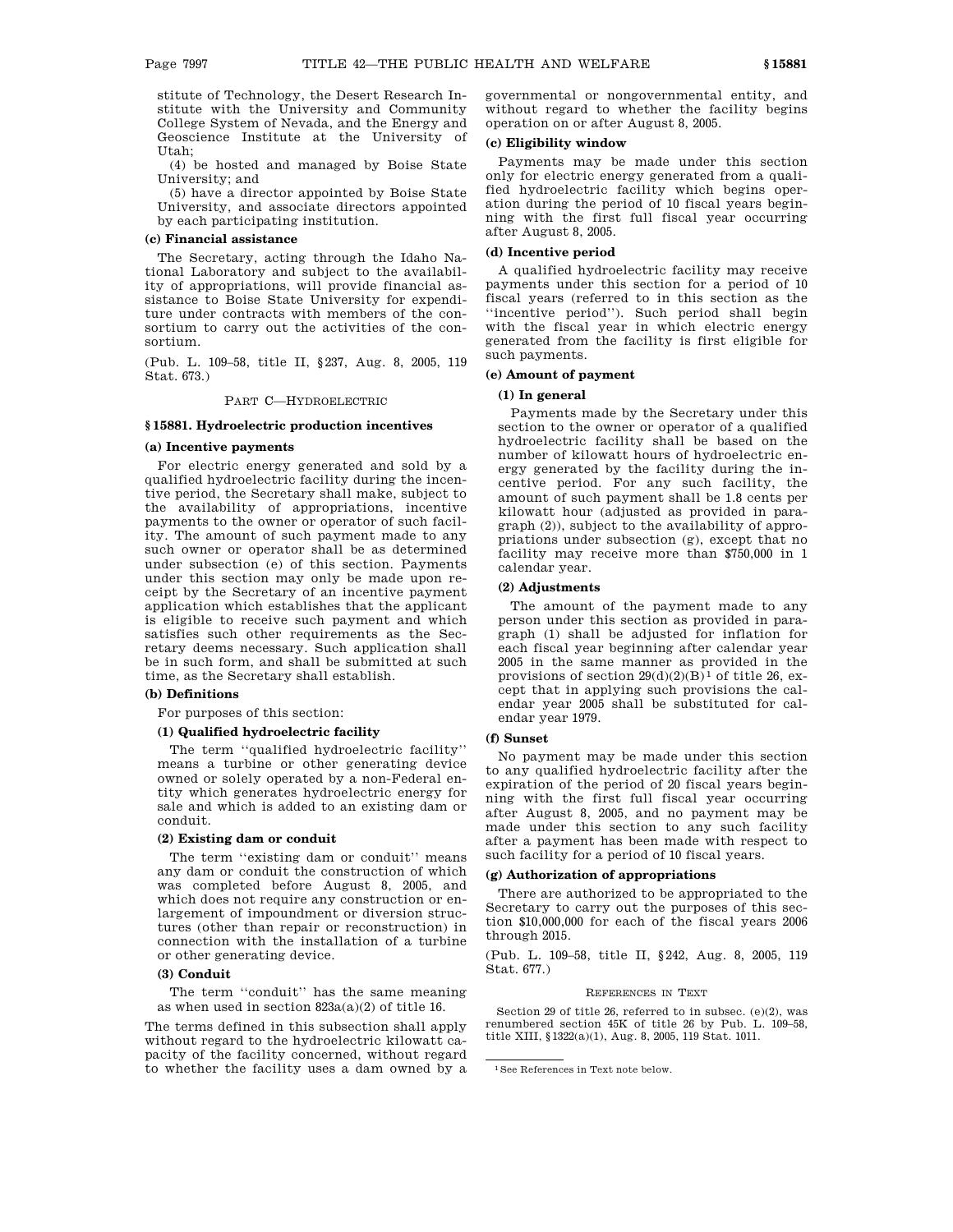stitute of Technology, the Desert Research Institute with the University and Community College System of Nevada, and the Energy and Geoscience Institute at the University of Utah;

(4) be hosted and managed by Boise State University; and

(5) have a director appointed by Boise State University, and associate directors appointed by each participating institution.

#### **(c) Financial assistance**

The Secretary, acting through the Idaho National Laboratory and subject to the availability of appropriations, will provide financial assistance to Boise State University for expenditure under contracts with members of the consortium to carry out the activities of the consortium.

(Pub. L. 109–58, title II, §237, Aug. 8, 2005, 119 Stat. 673.)

## PART C—HYDROELECTRIC

## **§ 15881. Hydroelectric production incentives**

### **(a) Incentive payments**

For electric energy generated and sold by a qualified hydroelectric facility during the incentive period, the Secretary shall make, subject to the availability of appropriations, incentive payments to the owner or operator of such facility. The amount of such payment made to any such owner or operator shall be as determined under subsection (e) of this section. Payments under this section may only be made upon receipt by the Secretary of an incentive payment application which establishes that the applicant is eligible to receive such payment and which satisfies such other requirements as the Secretary deems necessary. Such application shall be in such form, and shall be submitted at such time, as the Secretary shall establish.

### **(b) Definitions**

For purposes of this section:

### **(1) Qualified hydroelectric facility**

The term ''qualified hydroelectric facility'' means a turbine or other generating device owned or solely operated by a non-Federal entity which generates hydroelectric energy for sale and which is added to an existing dam or conduit.

## **(2) Existing dam or conduit**

The term ''existing dam or conduit'' means any dam or conduit the construction of which was completed before August 8, 2005, and which does not require any construction or enlargement of impoundment or diversion structures (other than repair or reconstruction) in connection with the installation of a turbine or other generating device.

## **(3) Conduit**

The term ''conduit'' has the same meaning as when used in section 823a(a)(2) of title 16.

The terms defined in this subsection shall apply without regard to the hydroelectric kilowatt capacity of the facility concerned, without regard to whether the facility uses a dam owned by a governmental or nongovernmental entity, and without regard to whether the facility begins operation on or after August 8, 2005.

## **(c) Eligibility window**

Payments may be made under this section only for electric energy generated from a qualified hydroelectric facility which begins operation during the period of 10 fiscal years beginning with the first full fiscal year occurring after August 8, 2005.

#### **(d) Incentive period**

A qualified hydroelectric facility may receive payments under this section for a period of 10 fiscal years (referred to in this section as the ''incentive period''). Such period shall begin with the fiscal year in which electric energy generated from the facility is first eligible for such payments.

## **(e) Amount of payment**

## **(1) In general**

Payments made by the Secretary under this section to the owner or operator of a qualified hydroelectric facility shall be based on the number of kilowatt hours of hydroelectric energy generated by the facility during the incentive period. For any such facility, the amount of such payment shall be 1.8 cents per kilowatt hour (adjusted as provided in paragraph (2)), subject to the availability of appropriations under subsection (g), except that no facility may receive more than \$750,000 in 1 calendar year.

## **(2) Adjustments**

The amount of the payment made to any person under this section as provided in paragraph (1) shall be adjusted for inflation for each fiscal year beginning after calendar year 2005 in the same manner as provided in the provisions of section  $29(d)(2)(B)^1$  of title 26, except that in applying such provisions the calendar year 2005 shall be substituted for calendar year 1979.

## **(f) Sunset**

No payment may be made under this section to any qualified hydroelectric facility after the expiration of the period of 20 fiscal years beginning with the first full fiscal year occurring after August 8, 2005, and no payment may be made under this section to any such facility after a payment has been made with respect to such facility for a period of 10 fiscal years.

## **(g) Authorization of appropriations**

There are authorized to be appropriated to the Secretary to carry out the purposes of this section \$10,000,000 for each of the fiscal years 2006 through 2015.

(Pub. L. 109–58, title II, §242, Aug. 8, 2005, 119 Stat. 677.)

#### REFERENCES IN TEXT

Section 29 of title 26, referred to in subsec. (e)(2), was renumbered section 45K of title 26 by Pub. L. 109–58, title XIII, §1322(a)(1), Aug. 8, 2005, 119 Stat. 1011.

<sup>1</sup>See References in Text note below.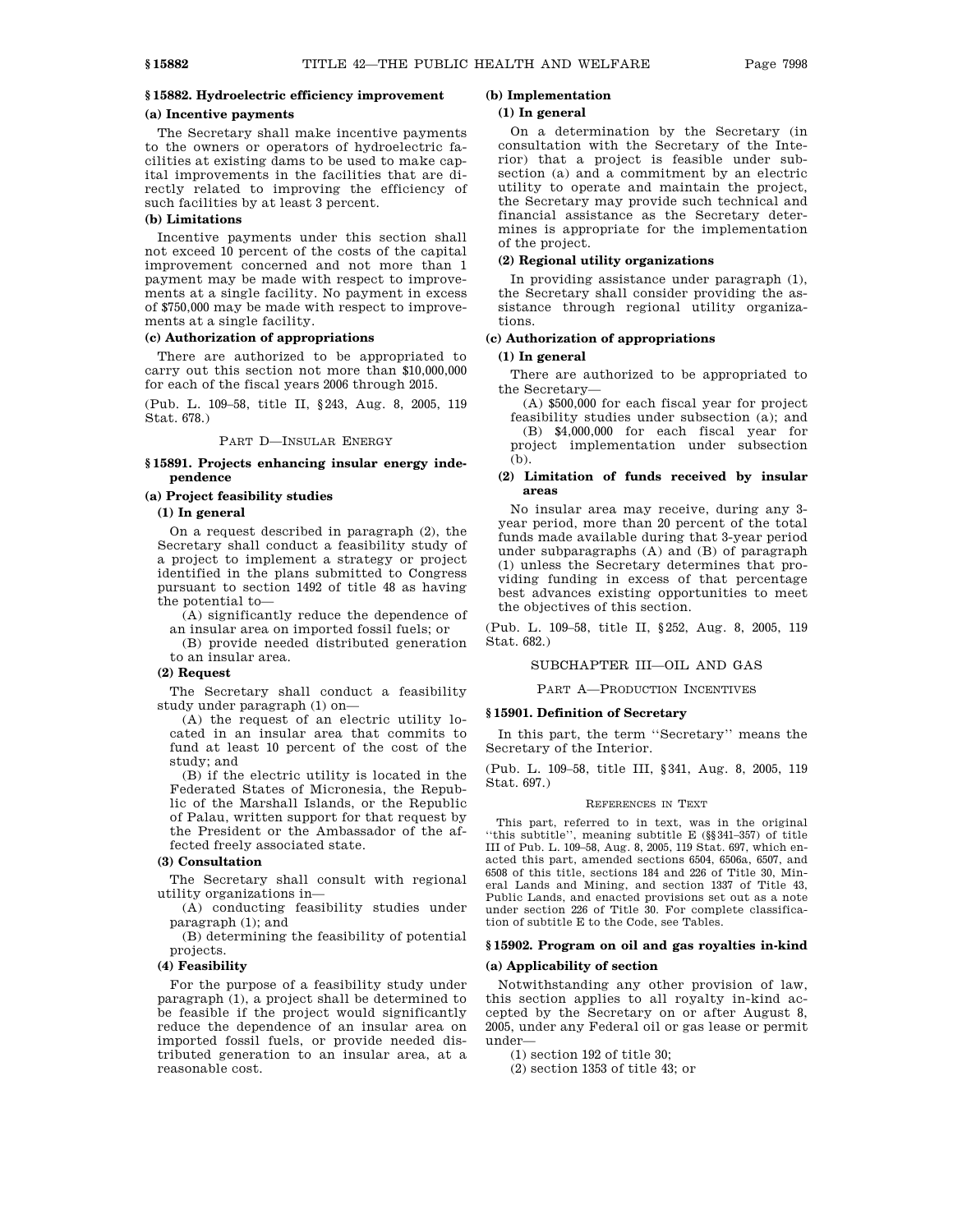## **§ 15882. Hydroelectric efficiency improvement**

## **(a) Incentive payments**

The Secretary shall make incentive payments to the owners or operators of hydroelectric facilities at existing dams to be used to make capital improvements in the facilities that are directly related to improving the efficiency of such facilities by at least 3 percent.

### **(b) Limitations**

Incentive payments under this section shall not exceed 10 percent of the costs of the capital improvement concerned and not more than 1 payment may be made with respect to improvements at a single facility. No payment in excess of \$750,000 may be made with respect to improvements at a single facility.

## **(c) Authorization of appropriations**

There are authorized to be appropriated to carry out this section not more than \$10,000,000 for each of the fiscal years 2006 through 2015.

(Pub. L. 109–58, title II, §243, Aug. 8, 2005, 119 Stat. 678.)

#### PART D—INSULAR ENERGY

#### **§ 15891. Projects enhancing insular energy independence**

## **(a) Project feasibility studies**

#### **(1) In general**

On a request described in paragraph (2), the Secretary shall conduct a feasibility study of a project to implement a strategy or project identified in the plans submitted to Congress pursuant to section 1492 of title 48 as having the potential to—

(A) significantly reduce the dependence of an insular area on imported fossil fuels; or

(B) provide needed distributed generation to an insular area.

### **(2) Request**

The Secretary shall conduct a feasibility study under paragraph (1) on—

(A) the request of an electric utility located in an insular area that commits to fund at least 10 percent of the cost of the study; and

(B) if the electric utility is located in the Federated States of Micronesia, the Republic of the Marshall Islands, or the Republic of Palau, written support for that request by the President or the Ambassador of the affected freely associated state.

## **(3) Consultation**

The Secretary shall consult with regional utility organizations in—

(A) conducting feasibility studies under paragraph (1); and

(B) determining the feasibility of potential projects.

## **(4) Feasibility**

For the purpose of a feasibility study under paragraph (1), a project shall be determined to be feasible if the project would significantly reduce the dependence of an insular area on imported fossil fuels, or provide needed distributed generation to an insular area, at a reasonable cost.

# **(b) Implementation**

## **(1) In general**

On a determination by the Secretary (in consultation with the Secretary of the Interior) that a project is feasible under subsection (a) and a commitment by an electric utility to operate and maintain the project, the Secretary may provide such technical and financial assistance as the Secretary determines is appropriate for the implementation of the project.

#### **(2) Regional utility organizations**

In providing assistance under paragraph (1), the Secretary shall consider providing the assistance through regional utility organizations.

## **(c) Authorization of appropriations**

## **(1) In general**

There are authorized to be appropriated to the Secretary—

(A) \$500,000 for each fiscal year for project feasibility studies under subsection (a); and (B) \$4,000,000 for each fiscal year for project implementation under subsection (b).

## **(2) Limitation of funds received by insular areas**

No insular area may receive, during any 3 year period, more than 20 percent of the total funds made available during that 3-year period under subparagraphs (A) and (B) of paragraph (1) unless the Secretary determines that providing funding in excess of that percentage best advances existing opportunities to meet the objectives of this section.

(Pub. L. 109–58, title II, §252, Aug. 8, 2005, 119 Stat. 682.)

## SUBCHAPTER III—OIL AND GAS

PART A—PRODUCTION INCENTIVES

#### **§ 15901. Definition of Secretary**

In this part, the term ''Secretary'' means the Secretary of the Interior.

(Pub. L. 109–58, title III, §341, Aug. 8, 2005, 119 Stat. 697.)

#### REFERENCES IN TEXT

This part, referred to in text, was in the original ''this subtitle'', meaning subtitle E (§§341–357) of title III of Pub. L. 109–58, Aug. 8, 2005, 119 Stat. 697, which enacted this part, amended sections 6504, 6506a, 6507, and 6508 of this title, sections 184 and 226 of Title 30, Mineral Lands and Mining, and section 1337 of Title 43, Public Lands, and enacted provisions set out as a note under section 226 of Title 30. For complete classification of subtitle E to the Code, see Tables.

#### **§ 15902. Program on oil and gas royalties in-kind**

## **(a) Applicability of section**

Notwithstanding any other provision of law, this section applies to all royalty in-kind accepted by the Secretary on or after August 8, 2005, under any Federal oil or gas lease or permit under—

(1) section 192 of title 30;

(2) section 1353 of title 43; or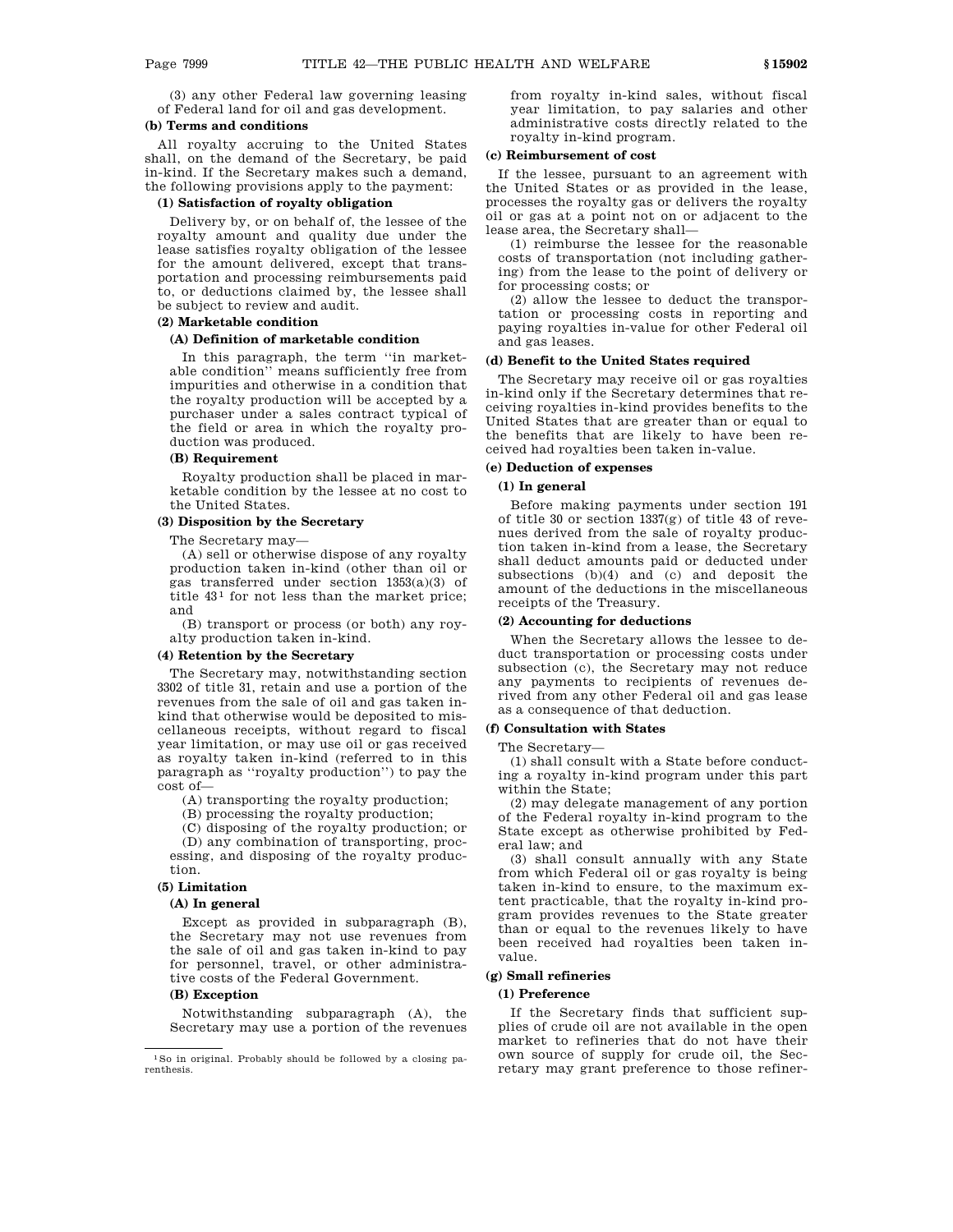(3) any other Federal law governing leasing of Federal land for oil and gas development.

## **(b) Terms and conditions**

All royalty accruing to the United States shall, on the demand of the Secretary, be paid in-kind. If the Secretary makes such a demand, the following provisions apply to the payment:

## **(1) Satisfaction of royalty obligation**

Delivery by, or on behalf of, the lessee of the royalty amount and quality due under the lease satisfies royalty obligation of the lessee for the amount delivered, except that transportation and processing reimbursements paid to, or deductions claimed by, the lessee shall be subject to review and audit.

## **(2) Marketable condition**

## **(A) Definition of marketable condition**

In this paragraph, the term ''in marketable condition'' means sufficiently free from impurities and otherwise in a condition that the royalty production will be accepted by a purchaser under a sales contract typical of the field or area in which the royalty production was produced.

## **(B) Requirement**

Royalty production shall be placed in marketable condition by the lessee at no cost to the United States.

## **(3) Disposition by the Secretary**

The Secretary may—

(A) sell or otherwise dispose of any royalty production taken in-kind (other than oil or gas transferred under section 1353(a)(3) of title  $43<sup>1</sup>$  for not less than the market price; and

(B) transport or process (or both) any royalty production taken in-kind.

#### **(4) Retention by the Secretary**

The Secretary may, notwithstanding section 3302 of title 31, retain and use a portion of the revenues from the sale of oil and gas taken inkind that otherwise would be deposited to miscellaneous receipts, without regard to fiscal year limitation, or may use oil or gas received as royalty taken in-kind (referred to in this paragraph as ''royalty production'') to pay the cost of—

(A) transporting the royalty production;

(B) processing the royalty production;

(C) disposing of the royalty production; or

(D) any combination of transporting, processing, and disposing of the royalty production.

#### **(5) Limitation**

#### **(A) In general**

Except as provided in subparagraph (B), the Secretary may not use revenues from the sale of oil and gas taken in-kind to pay for personnel, travel, or other administrative costs of the Federal Government.

#### **(B) Exception**

Notwithstanding subparagraph (A), the Secretary may use a portion of the revenues from royalty in-kind sales, without fiscal year limitation, to pay salaries and other administrative costs directly related to the royalty in-kind program.

#### **(c) Reimbursement of cost**

If the lessee, pursuant to an agreement with the United States or as provided in the lease, processes the royalty gas or delivers the royalty oil or gas at a point not on or adjacent to the lease area, the Secretary shall—

(1) reimburse the lessee for the reasonable costs of transportation (not including gathering) from the lease to the point of delivery or for processing costs; or

(2) allow the lessee to deduct the transportation or processing costs in reporting and paying royalties in-value for other Federal oil and gas leases.

## **(d) Benefit to the United States required**

The Secretary may receive oil or gas royalties in-kind only if the Secretary determines that receiving royalties in-kind provides benefits to the United States that are greater than or equal to the benefits that are likely to have been received had royalties been taken in-value.

## **(e) Deduction of expenses**

### **(1) In general**

Before making payments under section 191 of title 30 or section 1337(g) of title 43 of revenues derived from the sale of royalty production taken in-kind from a lease, the Secretary shall deduct amounts paid or deducted under subsections (b)(4) and (c) and deposit the amount of the deductions in the miscellaneous receipts of the Treasury.

#### **(2) Accounting for deductions**

When the Secretary allows the lessee to deduct transportation or processing costs under subsection (c), the Secretary may not reduce any payments to recipients of revenues derived from any other Federal oil and gas lease as a consequence of that deduction.

## **(f) Consultation with States**

The Secretary—

(1) shall consult with a State before conducting a royalty in-kind program under this part within the State;

(2) may delegate management of any portion of the Federal royalty in-kind program to the State except as otherwise prohibited by Federal law; and

(3) shall consult annually with any State from which Federal oil or gas royalty is being taken in-kind to ensure, to the maximum extent practicable, that the royalty in-kind program provides revenues to the State greater than or equal to the revenues likely to have been received had royalties been taken invalue.

#### **(g) Small refineries**

## **(1) Preference**

If the Secretary finds that sufficient supplies of crude oil are not available in the open market to refineries that do not have their own source of supply for crude oil, the Secretary may grant preference to those refiner-

<sup>1</sup>So in original. Probably should be followed by a closing parenthesis.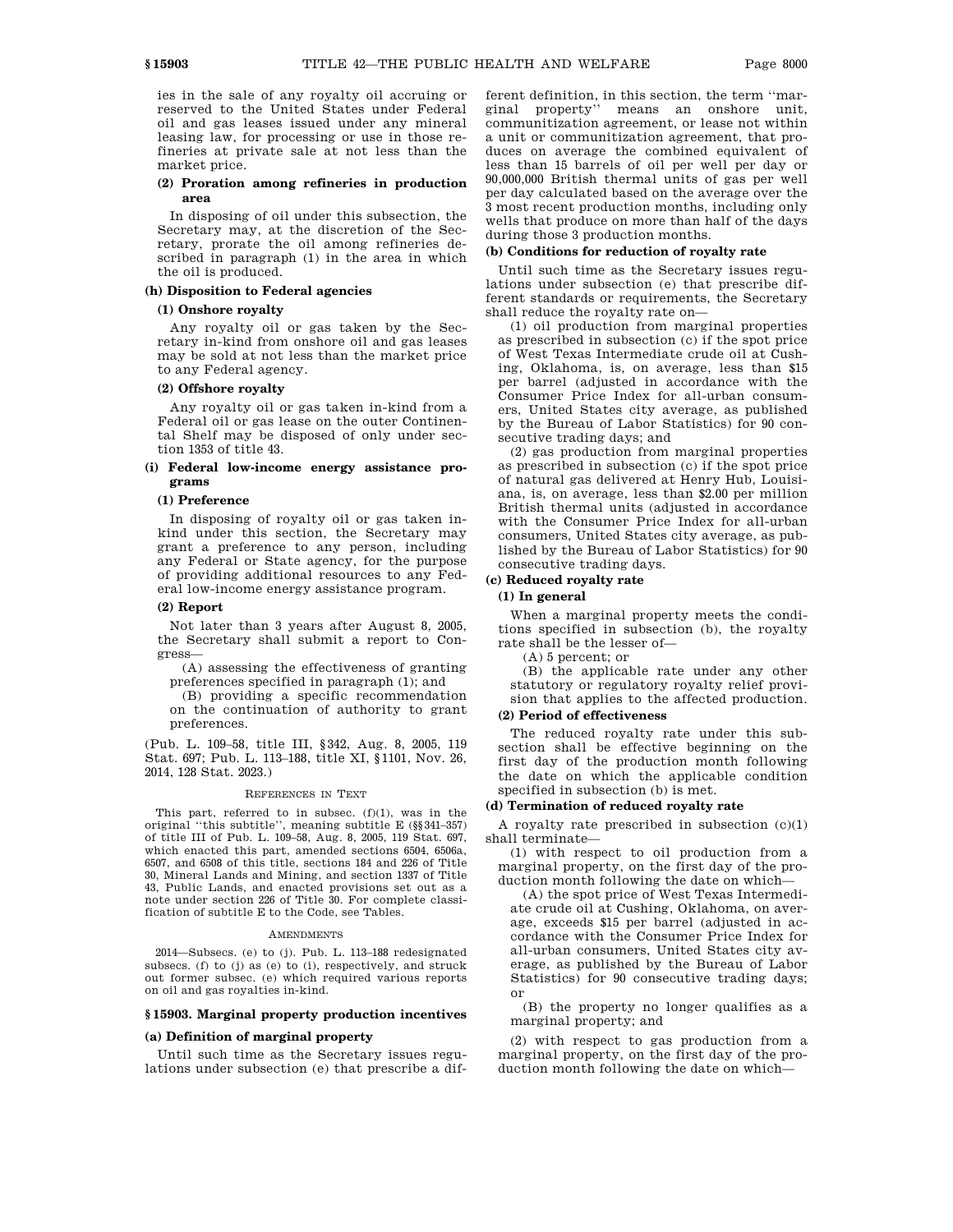ies in the sale of any royalty oil accruing or reserved to the United States under Federal oil and gas leases issued under any mineral leasing law, for processing or use in those refineries at private sale at not less than the market price.

### **(2) Proration among refineries in production area**

In disposing of oil under this subsection, the Secretary may, at the discretion of the Secretary, prorate the oil among refineries described in paragraph (1) in the area in which the oil is produced.

## **(h) Disposition to Federal agencies**

## **(1) Onshore royalty**

Any royalty oil or gas taken by the Secretary in-kind from onshore oil and gas leases may be sold at not less than the market price to any Federal agency.

### **(2) Offshore royalty**

Any royalty oil or gas taken in-kind from a Federal oil or gas lease on the outer Continental Shelf may be disposed of only under section 1353 of title 43.

## **(i) Federal low-income energy assistance programs**

#### **(1) Preference**

In disposing of royalty oil or gas taken inkind under this section, the Secretary may grant a preference to any person, including any Federal or State agency, for the purpose of providing additional resources to any Federal low-income energy assistance program.

#### **(2) Report**

Not later than 3 years after August 8, 2005, the Secretary shall submit a report to Congress—

(A) assessing the effectiveness of granting preferences specified in paragraph (1); and

(B) providing a specific recommendation on the continuation of authority to grant preferences.

(Pub. L. 109–58, title III, §342, Aug. 8, 2005, 119 Stat. 697; Pub. L. 113–188, title XI, §1101, Nov. 26, 2014, 128 Stat. 2023.)

#### REFERENCES IN TEXT

This part, referred to in subsec. (f)(1), was in the original ''this subtitle'', meaning subtitle E (§§341–357) of title III of Pub. L. 109–58, Aug. 8, 2005, 119 Stat. 697, which enacted this part, amended sections 6504, 6506a, 6507, and 6508 of this title, sections 184 and 226 of Title 30, Mineral Lands and Mining, and section 1337 of Title 43, Public Lands, and enacted provisions set out as a note under section 226 of Title 30. For complete classification of subtitle E to the Code, see Tables.

#### **AMENDMENTS**

2014—Subsecs. (e) to (j). Pub. L. 113–188 redesignated subsecs. (f) to (j) as (e) to (i), respectively, and struck out former subsec. (e) which required various reports on oil and gas royalties in-kind.

#### **§ 15903. Marginal property production incentives**

#### **(a) Definition of marginal property**

Until such time as the Secretary issues regulations under subsection (e) that prescribe a different definition, in this section, the term ''marginal property'' means an onshore unit, communitization agreement, or lease not within a unit or communitization agreement, that produces on average the combined equivalent of less than 15 barrels of oil per well per day or 90,000,000 British thermal units of gas per well per day calculated based on the average over the 3 most recent production months, including only wells that produce on more than half of the days during those 3 production months.

## **(b) Conditions for reduction of royalty rate**

Until such time as the Secretary issues regulations under subsection (e) that prescribe different standards or requirements, the Secretary shall reduce the royalty rate on—

(1) oil production from marginal properties as prescribed in subsection (c) if the spot price of West Texas Intermediate crude oil at Cushing, Oklahoma, is, on average, less than \$15 per barrel (adjusted in accordance with the Consumer Price Index for all-urban consumers, United States city average, as published by the Bureau of Labor Statistics) for 90 consecutive trading days; and

(2) gas production from marginal properties as prescribed in subsection (c) if the spot price of natural gas delivered at Henry Hub, Louisiana, is, on average, less than \$2.00 per million British thermal units (adjusted in accordance with the Consumer Price Index for all-urban consumers, United States city average, as published by the Bureau of Labor Statistics) for 90 consecutive trading days.

#### **(c) Reduced royalty rate**

## **(1) In general**

When a marginal property meets the conditions specified in subsection (b), the royalty rate shall be the lesser of—

(A) 5 percent; or

(B) the applicable rate under any other statutory or regulatory royalty relief provision that applies to the affected production.

#### **(2) Period of effectiveness**

The reduced royalty rate under this subsection shall be effective beginning on the first day of the production month following the date on which the applicable condition specified in subsection (b) is met.

### **(d) Termination of reduced royalty rate**

A royalty rate prescribed in subsection (c)(1) shall terminate—

(1) with respect to oil production from a marginal property, on the first day of the production month following the date on which—

(A) the spot price of West Texas Intermediate crude oil at Cushing, Oklahoma, on average, exceeds \$15 per barrel (adjusted in accordance with the Consumer Price Index for all-urban consumers, United States city average, as published by the Bureau of Labor Statistics) for 90 consecutive trading days; or

(B) the property no longer qualifies as a marginal property; and

(2) with respect to gas production from a marginal property, on the first day of the production month following the date on which—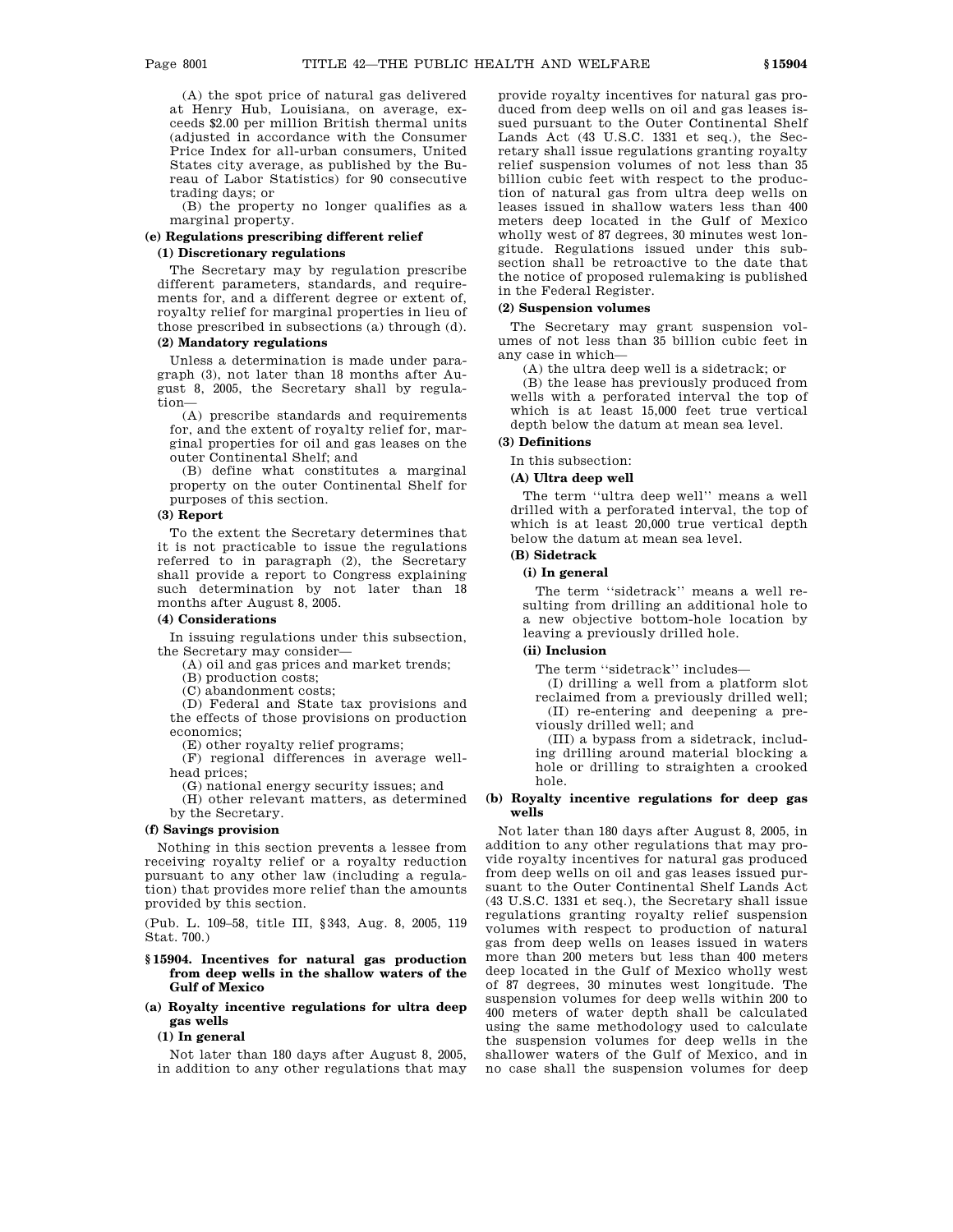(A) the spot price of natural gas delivered at Henry Hub, Louisiana, on average, exceeds \$2.00 per million British thermal units (adjusted in accordance with the Consumer Price Index for all-urban consumers, United States city average, as published by the Bureau of Labor Statistics) for 90 consecutive trading days; or

(B) the property no longer qualifies as a marginal property.

## **(e) Regulations prescribing different relief (1) Discretionary regulations**

The Secretary may by regulation prescribe different parameters, standards, and requirements for, and a different degree or extent of, royalty relief for marginal properties in lieu of those prescribed in subsections (a) through (d).

### **(2) Mandatory regulations**

Unless a determination is made under paragraph (3), not later than 18 months after August 8, 2005, the Secretary shall by regulation—

(A) prescribe standards and requirements for, and the extent of royalty relief for, marginal properties for oil and gas leases on the outer Continental Shelf; and

(B) define what constitutes a marginal property on the outer Continental Shelf for purposes of this section.

## **(3) Report**

To the extent the Secretary determines that it is not practicable to issue the regulations referred to in paragraph (2), the Secretary shall provide a report to Congress explaining such determination by not later than 18 months after August 8, 2005.

#### **(4) Considerations**

In issuing regulations under this subsection, the Secretary may consider—

(A) oil and gas prices and market trends;

(B) production costs;

(C) abandonment costs;

(D) Federal and State tax provisions and the effects of those provisions on production economics;

(E) other royalty relief programs;

(F) regional differences in average wellhead prices;

(G) national energy security issues; and

(H) other relevant matters, as determined by the Secretary.

## **(f) Savings provision**

Nothing in this section prevents a lessee from receiving royalty relief or a royalty reduction pursuant to any other law (including a regulation) that provides more relief than the amounts provided by this section.

(Pub. L. 109–58, title III, §343, Aug. 8, 2005, 119 Stat. 700.)

### **§ 15904. Incentives for natural gas production from deep wells in the shallow waters of the Gulf of Mexico**

## **(a) Royalty incentive regulations for ultra deep gas wells**

#### **(1) In general**

Not later than 180 days after August 8, 2005, in addition to any other regulations that may provide royalty incentives for natural gas produced from deep wells on oil and gas leases issued pursuant to the Outer Continental Shelf Lands Act (43 U.S.C. 1331 et seq.), the Secretary shall issue regulations granting royalty relief suspension volumes of not less than 35 billion cubic feet with respect to the production of natural gas from ultra deep wells on leases issued in shallow waters less than 400 meters deep located in the Gulf of Mexico wholly west of 87 degrees, 30 minutes west longitude. Regulations issued under this subsection shall be retroactive to the date that the notice of proposed rulemaking is published in the Federal Register.

## **(2) Suspension volumes**

The Secretary may grant suspension volumes of not less than 35 billion cubic feet in any case in which—

(A) the ultra deep well is a sidetrack; or

(B) the lease has previously produced from wells with a perforated interval the top of which is at least 15,000 feet true vertical depth below the datum at mean sea level.

## **(3) Definitions**

## In this subsection:

**(A) Ultra deep well**

The term ''ultra deep well'' means a well drilled with a perforated interval, the top of which is at least 20,000 true vertical depth below the datum at mean sea level.

### **(B) Sidetrack**

#### **(i) In general**

The term ''sidetrack'' means a well resulting from drilling an additional hole to a new objective bottom-hole location by leaving a previously drilled hole.

## **(ii) Inclusion**

The term ''sidetrack'' includes—

(I) drilling a well from a platform slot reclaimed from a previously drilled well; (II) re-entering and deepening a pre-

viously drilled well; and (III) a bypass from a sidetrack, includ-

ing drilling around material blocking a hole or drilling to straighten a crooked hole.

## **(b) Royalty incentive regulations for deep gas wells**

Not later than 180 days after August 8, 2005, in addition to any other regulations that may provide royalty incentives for natural gas produced from deep wells on oil and gas leases issued pursuant to the Outer Continental Shelf Lands Act (43 U.S.C. 1331 et seq.), the Secretary shall issue regulations granting royalty relief suspension volumes with respect to production of natural gas from deep wells on leases issued in waters more than 200 meters but less than 400 meters deep located in the Gulf of Mexico wholly west of 87 degrees, 30 minutes west longitude. The suspension volumes for deep wells within 200 to 400 meters of water depth shall be calculated using the same methodology used to calculate the suspension volumes for deep wells in the shallower waters of the Gulf of Mexico, and in no case shall the suspension volumes for deep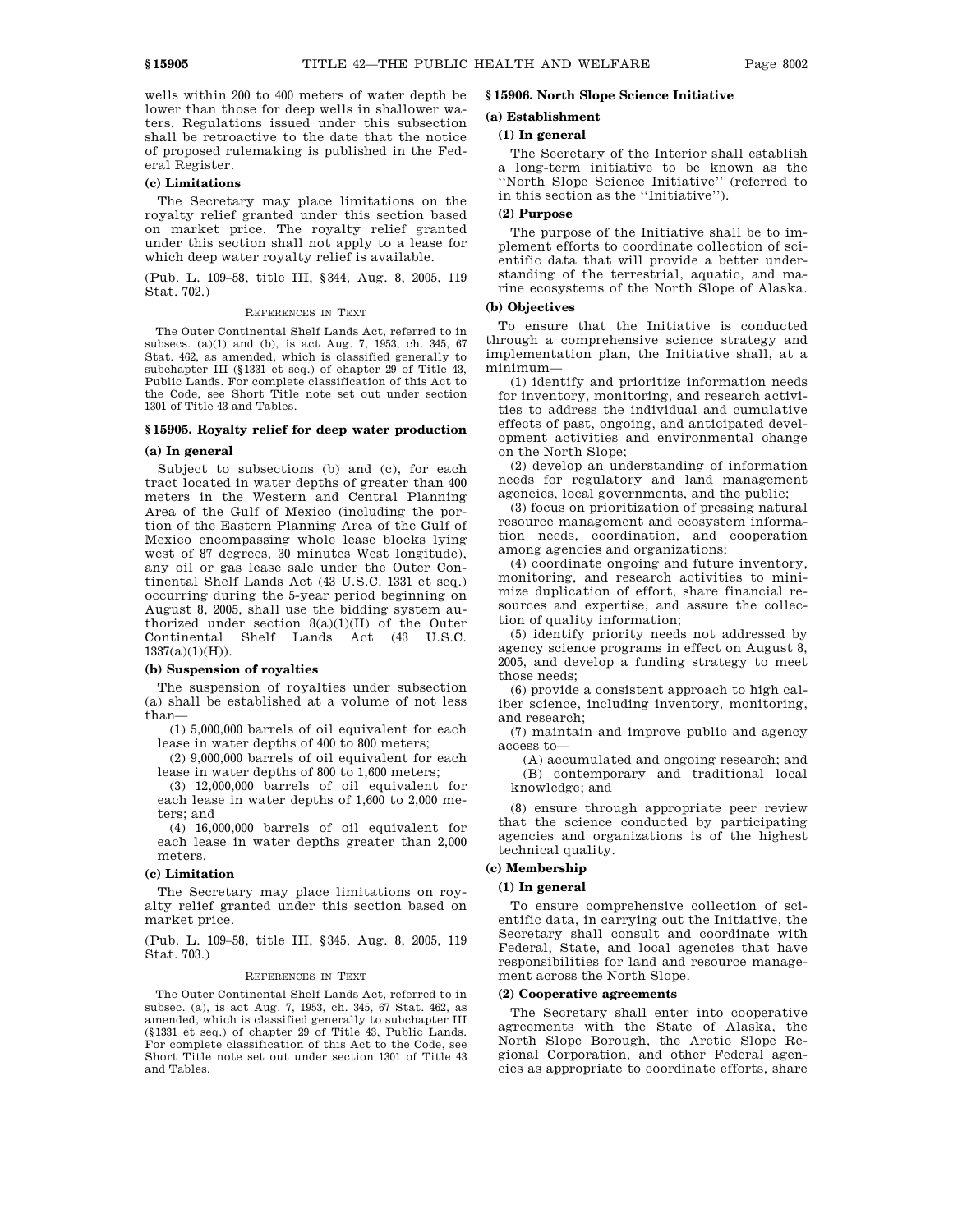wells within 200 to 400 meters of water depth be lower than those for deep wells in shallower waters. Regulations issued under this subsection shall be retroactive to the date that the notice of proposed rulemaking is published in the Federal Register.

### **(c) Limitations**

The Secretary may place limitations on the royalty relief granted under this section based on market price. The royalty relief granted under this section shall not apply to a lease for which deep water royalty relief is available.

(Pub. L. 109–58, title III, §344, Aug. 8, 2005, 119 Stat. 702.)

#### REFERENCES IN TEXT

The Outer Continental Shelf Lands Act, referred to in subsecs. (a)(1) and (b), is act Aug. 7, 1953, ch. 345, 67 Stat. 462, as amended, which is classified generally to subchapter III (§1331 et seq.) of chapter 29 of Title 43, Public Lands. For complete classification of this Act to the Code, see Short Title note set out under section 1301 of Title 43 and Tables.

### **§ 15905. Royalty relief for deep water production**

#### **(a) In general**

Subject to subsections (b) and (c), for each tract located in water depths of greater than 400 meters in the Western and Central Planning Area of the Gulf of Mexico (including the portion of the Eastern Planning Area of the Gulf of Mexico encompassing whole lease blocks lying west of 87 degrees, 30 minutes West longitude), any oil or gas lease sale under the Outer Continental Shelf Lands Act (43 U.S.C. 1331 et seq.) occurring during the 5-year period beginning on August 8, 2005, shall use the bidding system authorized under section 8(a)(1)(H) of the Outer Continental Shelf Lands Act (43 U.S.C.  $1337(a)(1)(H)$ .

## **(b) Suspension of royalties**

The suspension of royalties under subsection (a) shall be established at a volume of not less than—

(1) 5,000,000 barrels of oil equivalent for each lease in water depths of 400 to 800 meters;

(2) 9,000,000 barrels of oil equivalent for each lease in water depths of 800 to 1,600 meters;

(3) 12,000,000 barrels of oil equivalent for each lease in water depths of 1,600 to 2,000 meters; and

(4) 16,000,000 barrels of oil equivalent for each lease in water depths greater than 2,000 meters.

#### **(c) Limitation**

The Secretary may place limitations on royalty relief granted under this section based on market price.

(Pub. L. 109–58, title III, §345, Aug. 8, 2005, 119 Stat. 703.)

#### REFERENCES IN TEXT

The Outer Continental Shelf Lands Act, referred to in subsec. (a), is act Aug. 7, 1953, ch. 345, 67 Stat. 462, as amended, which is classified generally to subchapter III (§1331 et seq.) of chapter 29 of Title 43, Public Lands. For complete classification of this Act to the Code, see Short Title note set out under section 1301 of Title 43 and Tables.

## **§ 15906. North Slope Science Initiative**

#### **(a) Establishment**

#### **(1) In general**

The Secretary of the Interior shall establish a long-term initiative to be known as the ''North Slope Science Initiative'' (referred to in this section as the ''Initiative'').

## **(2) Purpose**

The purpose of the Initiative shall be to implement efforts to coordinate collection of scientific data that will provide a better understanding of the terrestrial, aquatic, and marine ecosystems of the North Slope of Alaska.

### **(b) Objectives**

To ensure that the Initiative is conducted through a comprehensive science strategy and implementation plan, the Initiative shall, at a minimum—

(1) identify and prioritize information needs for inventory, monitoring, and research activities to address the individual and cumulative effects of past, ongoing, and anticipated development activities and environmental change on the North Slope;

(2) develop an understanding of information needs for regulatory and land management agencies, local governments, and the public;

(3) focus on prioritization of pressing natural resource management and ecosystem information needs, coordination, and cooperation among agencies and organizations;

(4) coordinate ongoing and future inventory, monitoring, and research activities to minimize duplication of effort, share financial resources and expertise, and assure the collection of quality information;

(5) identify priority needs not addressed by agency science programs in effect on August 8, 2005, and develop a funding strategy to meet those needs;

(6) provide a consistent approach to high caliber science, including inventory, monitoring, and research;

(7) maintain and improve public and agency access to—

(A) accumulated and ongoing research; and (B) contemporary and traditional local knowledge; and

(8) ensure through appropriate peer review that the science conducted by participating agencies and organizations is of the highest technical quality.

### **(c) Membership**

#### **(1) In general**

To ensure comprehensive collection of scientific data, in carrying out the Initiative, the Secretary shall consult and coordinate with Federal, State, and local agencies that have responsibilities for land and resource management across the North Slope.

#### **(2) Cooperative agreements**

The Secretary shall enter into cooperative agreements with the State of Alaska, the North Slope Borough, the Arctic Slope Regional Corporation, and other Federal agencies as appropriate to coordinate efforts, share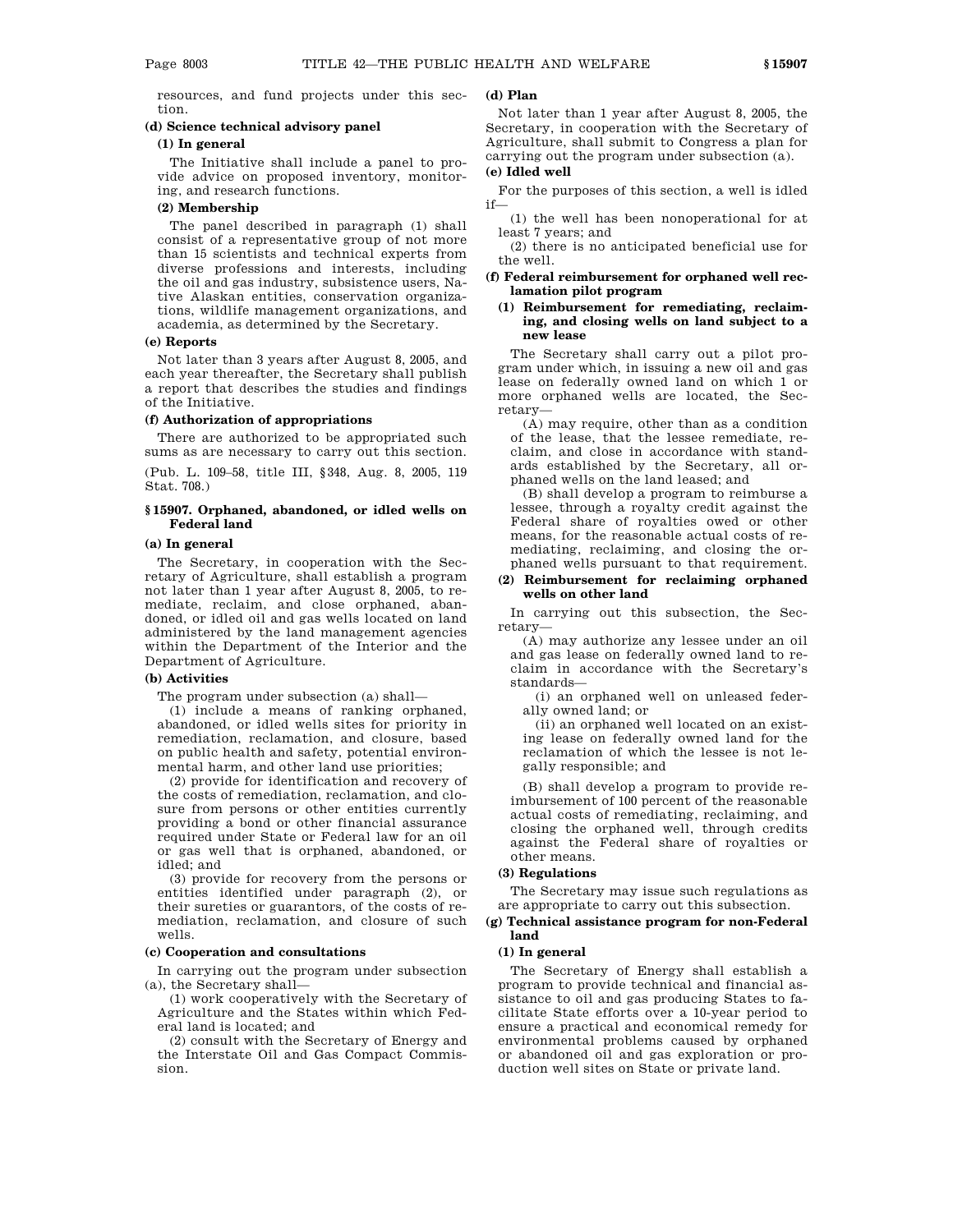resources, and fund projects under this section.

## **(d) Science technical advisory panel**

## **(1) In general**

The Initiative shall include a panel to provide advice on proposed inventory, monitoring, and research functions.

## **(2) Membership**

The panel described in paragraph (1) shall consist of a representative group of not more than 15 scientists and technical experts from diverse professions and interests, including the oil and gas industry, subsistence users, Native Alaskan entities, conservation organizations, wildlife management organizations, and academia, as determined by the Secretary.

## **(e) Reports**

Not later than 3 years after August 8, 2005, and each year thereafter, the Secretary shall publish a report that describes the studies and findings of the Initiative.

### **(f) Authorization of appropriations**

There are authorized to be appropriated such sums as are necessary to carry out this section.

(Pub. L. 109–58, title III, §348, Aug. 8, 2005, 119 Stat. 708.)

## **§ 15907. Orphaned, abandoned, or idled wells on Federal land**

### **(a) In general**

The Secretary, in cooperation with the Secretary of Agriculture, shall establish a program not later than 1 year after August 8, 2005, to remediate, reclaim, and close orphaned, abandoned, or idled oil and gas wells located on land administered by the land management agencies within the Department of the Interior and the Department of Agriculture.

## **(b) Activities**

The program under subsection (a) shall—

(1) include a means of ranking orphaned, abandoned, or idled wells sites for priority in remediation, reclamation, and closure, based on public health and safety, potential environmental harm, and other land use priorities;

(2) provide for identification and recovery of the costs of remediation, reclamation, and closure from persons or other entities currently providing a bond or other financial assurance required under State or Federal law for an oil or gas well that is orphaned, abandoned, or idled; and

(3) provide for recovery from the persons or entities identified under paragraph (2), or their sureties or guarantors, of the costs of remediation, reclamation, and closure of such wells.

#### **(c) Cooperation and consultations**

In carrying out the program under subsection (a), the Secretary shall—

(1) work cooperatively with the Secretary of Agriculture and the States within which Federal land is located; and

(2) consult with the Secretary of Energy and the Interstate Oil and Gas Compact Commission.

## **(d) Plan**

Not later than 1 year after August 8, 2005, the Secretary, in cooperation with the Secretary of Agriculture, shall submit to Congress a plan for carrying out the program under subsection (a).

## **(e) Idled well**

For the purposes of this section, a well is idled if—

(1) the well has been nonoperational for at least 7 years; and

(2) there is no anticipated beneficial use for the well.

## **(f) Federal reimbursement for orphaned well reclamation pilot program**

## **(1) Reimbursement for remediating, reclaiming, and closing wells on land subject to a new lease**

The Secretary shall carry out a pilot program under which, in issuing a new oil and gas lease on federally owned land on which 1 or more orphaned wells are located, the Secretary—

(A) may require, other than as a condition of the lease, that the lessee remediate, reclaim, and close in accordance with standards established by the Secretary, all orphaned wells on the land leased; and

(B) shall develop a program to reimburse a lessee, through a royalty credit against the Federal share of royalties owed or other means, for the reasonable actual costs of remediating, reclaiming, and closing the orphaned wells pursuant to that requirement.

## **(2) Reimbursement for reclaiming orphaned wells on other land**

In carrying out this subsection, the Secretary—

(A) may authorize any lessee under an oil and gas lease on federally owned land to reclaim in accordance with the Secretary's standards—

(i) an orphaned well on unleased federally owned land; or

(ii) an orphaned well located on an existing lease on federally owned land for the reclamation of which the lessee is not legally responsible; and

(B) shall develop a program to provide reimbursement of 100 percent of the reasonable actual costs of remediating, reclaiming, and closing the orphaned well, through credits against the Federal share of royalties or other means.

#### **(3) Regulations**

The Secretary may issue such regulations as are appropriate to carry out this subsection.

## **(g) Technical assistance program for non-Federal land**

## **(1) In general**

The Secretary of Energy shall establish a program to provide technical and financial assistance to oil and gas producing States to facilitate State efforts over a 10-year period to ensure a practical and economical remedy for environmental problems caused by orphaned or abandoned oil and gas exploration or production well sites on State or private land.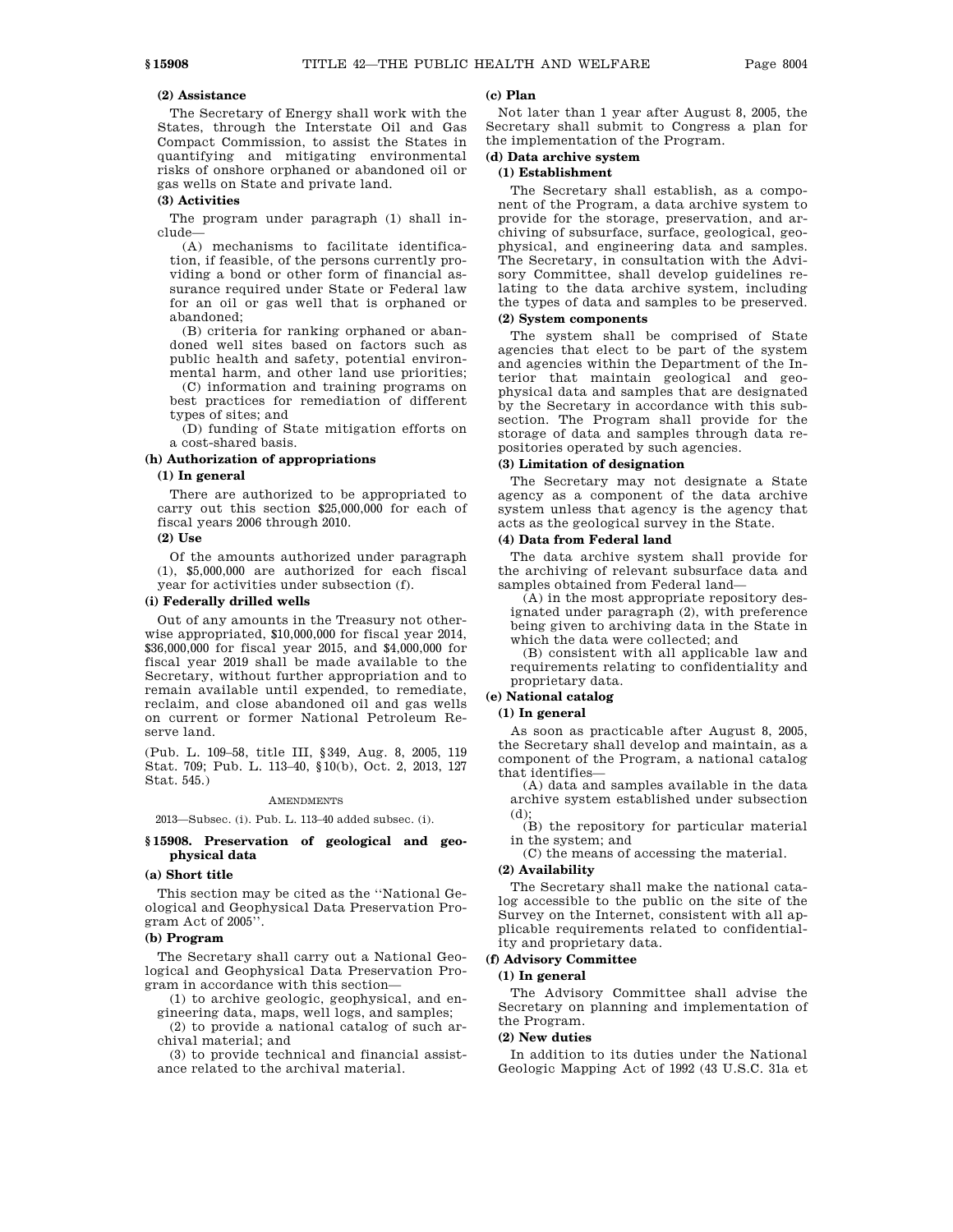## **(2) Assistance**

The Secretary of Energy shall work with the States, through the Interstate Oil and Gas Compact Commission, to assist the States in quantifying and mitigating environmental risks of onshore orphaned or abandoned oil or gas wells on State and private land.

#### **(3) Activities**

The program under paragraph (1) shall include—

(A) mechanisms to facilitate identification, if feasible, of the persons currently providing a bond or other form of financial assurance required under State or Federal law for an oil or gas well that is orphaned or abandoned;

(B) criteria for ranking orphaned or abandoned well sites based on factors such as public health and safety, potential environmental harm, and other land use priorities;

(C) information and training programs on best practices for remediation of different types of sites; and

(D) funding of State mitigation efforts on a cost-shared basis.

## **(h) Authorization of appropriations**

#### **(1) In general**

There are authorized to be appropriated to carry out this section \$25,000,000 for each of fiscal years 2006 through 2010.

## **(2) Use**

Of the amounts authorized under paragraph (1), \$5,000,000 are authorized for each fiscal year for activities under subsection (f).

#### **(i) Federally drilled wells**

Out of any amounts in the Treasury not otherwise appropriated, \$10,000,000 for fiscal year 2014, \$36,000,000 for fiscal year 2015, and \$4,000,000 for fiscal year 2019 shall be made available to the Secretary, without further appropriation and to remain available until expended, to remediate, reclaim, and close abandoned oil and gas wells on current or former National Petroleum Reserve land.

(Pub. L. 109–58, title III, §349, Aug. 8, 2005, 119 Stat. 709; Pub. L. 113–40, §10(b), Oct. 2, 2013, 127 Stat. 545.)

#### AMENDMENTS

2013—Subsec. (i). Pub. L. 113–40 added subsec. (i).

## **§ 15908. Preservation of geological and geophysical data**

## **(a) Short title**

This section may be cited as the ''National Geological and Geophysical Data Preservation Program Act of 2005''.

### **(b) Program**

The Secretary shall carry out a National Geological and Geophysical Data Preservation Program in accordance with this section—

(1) to archive geologic, geophysical, and engineering data, maps, well logs, and samples;

(2) to provide a national catalog of such archival material; and

(3) to provide technical and financial assistance related to the archival material.

#### **(c) Plan**

Not later than 1 year after August 8, 2005, the Secretary shall submit to Congress a plan for the implementation of the Program.

# **(d) Data archive system**

## **(1) Establishment**

The Secretary shall establish, as a component of the Program, a data archive system to provide for the storage, preservation, and archiving of subsurface, surface, geological, geophysical, and engineering data and samples. The Secretary, in consultation with the Advisory Committee, shall develop guidelines relating to the data archive system, including the types of data and samples to be preserved.

## **(2) System components**

The system shall be comprised of State agencies that elect to be part of the system and agencies within the Department of the Interior that maintain geological and geophysical data and samples that are designated by the Secretary in accordance with this subsection. The Program shall provide for the storage of data and samples through data repositories operated by such agencies.

## **(3) Limitation of designation**

The Secretary may not designate a State agency as a component of the data archive system unless that agency is the agency that acts as the geological survey in the State.

## **(4) Data from Federal land**

The data archive system shall provide for the archiving of relevant subsurface data and samples obtained from Federal land—

(A) in the most appropriate repository designated under paragraph (2), with preference being given to archiving data in the State in which the data were collected; and

(B) consistent with all applicable law and requirements relating to confidentiality and proprietary data.

## **(e) National catalog**

#### **(1) In general**

As soon as practicable after August 8, 2005, the Secretary shall develop and maintain, as a component of the Program, a national catalog that identifies—

(A) data and samples available in the data archive system established under subsection (d);

(B) the repository for particular material in the system; and

(C) the means of accessing the material.

## **(2) Availability**

The Secretary shall make the national catalog accessible to the public on the site of the Survey on the Internet, consistent with all applicable requirements related to confidentiality and proprietary data.

## **(f) Advisory Committee**

#### **(1) In general**

The Advisory Committee shall advise the Secretary on planning and implementation of the Program.

#### **(2) New duties**

In addition to its duties under the National Geologic Mapping Act of 1992 (43 U.S.C. 31a et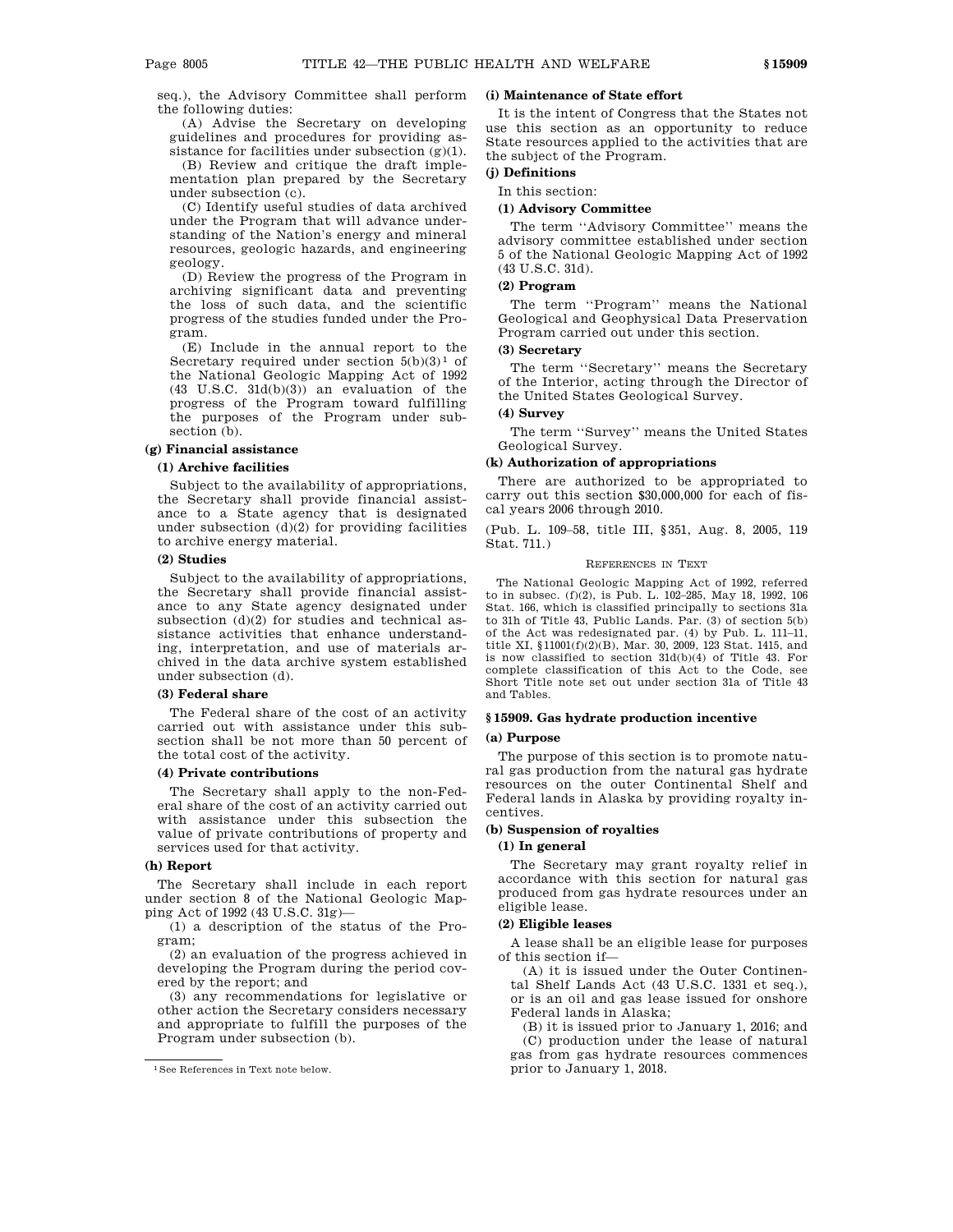seq.), the Advisory Committee shall perform the following duties:

(A) Advise the Secretary on developing guidelines and procedures for providing assistance for facilities under subsection  $(g)(1)$ .

(B) Review and critique the draft implementation plan prepared by the Secretary under subsection (c).

(C) Identify useful studies of data archived under the Program that will advance understanding of the Nation's energy and mineral resources, geologic hazards, and engineering geology.

(D) Review the progress of the Program in archiving significant data and preventing the loss of such data, and the scientific progress of the studies funded under the Program.

(E) Include in the annual report to the Secretary required under section  $5(b)(3)^1$  of the National Geologic Mapping Act of 1992 (43 U.S.C. 31d(b)(3)) an evaluation of the progress of the Program toward fulfilling the purposes of the Program under subsection  $(b)$ .

## **(g) Financial assistance**

#### **(1) Archive facilities**

Subject to the availability of appropriations, the Secretary shall provide financial assistance to a State agency that is designated under subsection  $(d)(2)$  for providing facilities to archive energy material.

#### **(2) Studies**

Subject to the availability of appropriations, the Secretary shall provide financial assistance to any State agency designated under subsection (d)(2) for studies and technical assistance activities that enhance understanding, interpretation, and use of materials archived in the data archive system established under subsection (d).

### **(3) Federal share**

The Federal share of the cost of an activity carried out with assistance under this subsection shall be not more than 50 percent of the total cost of the activity.

#### **(4) Private contributions**

The Secretary shall apply to the non-Federal share of the cost of an activity carried out with assistance under this subsection the value of private contributions of property and services used for that activity.

#### **(h) Report**

The Secretary shall include in each report under section 8 of the National Geologic Mapping Act of 1992 (43 U.S.C. 31g)—

(1) a description of the status of the Program;

(2) an evaluation of the progress achieved in developing the Program during the period covered by the report; and

(3) any recommendations for legislative or other action the Secretary considers necessary and appropriate to fulfill the purposes of the Program under subsection (b).

#### **(i) Maintenance of State effort**

It is the intent of Congress that the States not use this section as an opportunity to reduce State resources applied to the activities that are the subject of the Program.

## **(j) Definitions**

In this section:

#### **(1) Advisory Committee**

The term ''Advisory Committee'' means the advisory committee established under section 5 of the National Geologic Mapping Act of 1992 (43 U.S.C. 31d).

#### **(2) Program**

The term ''Program'' means the National Geological and Geophysical Data Preservation Program carried out under this section.

## **(3) Secretary**

The term ''Secretary'' means the Secretary of the Interior, acting through the Director of the United States Geological Survey.

## **(4) Survey**

The term ''Survey'' means the United States Geological Survey.

#### **(k) Authorization of appropriations**

There are authorized to be appropriated to carry out this section \$30,000,000 for each of fiscal years 2006 through 2010.

(Pub. L. 109–58, title III, §351, Aug. 8, 2005, 119 Stat. 711.)

#### REFERENCES IN TEXT

The National Geologic Mapping Act of 1992, referred to in subsec. (f)(2), is Pub. L. 102–285, May 18, 1992, 106 Stat. 166, which is classified principally to sections 31a to 31h of Title 43, Public Lands. Par. (3) of section 5(b) of the Act was redesignated par. (4) by Pub. L. 111–11, title XI, §11001(f)(2)(B), Mar. 30, 2009, 123 Stat. 1415, and is now classified to section 31d(b)(4) of Title 43. For complete classification of this Act to the Code, see Short Title note set out under section 31a of Title 43 and Tables.

## **§ 15909. Gas hydrate production incentive**

#### **(a) Purpose**

The purpose of this section is to promote natural gas production from the natural gas hydrate resources on the outer Continental Shelf and Federal lands in Alaska by providing royalty incentives.

### **(b) Suspension of royalties**

## **(1) In general**

The Secretary may grant royalty relief in accordance with this section for natural gas produced from gas hydrate resources under an eligible lease.

## **(2) Eligible leases**

A lease shall be an eligible lease for purposes of this section if—

(A) it is issued under the Outer Continental Shelf Lands Act (43 U.S.C. 1331 et seq.), or is an oil and gas lease issued for onshore Federal lands in Alaska;

(B) it is issued prior to January 1, 2016; and (C) production under the lease of natural gas from gas hydrate resources commences prior to January 1, 2018.

<sup>1</sup>See References in Text note below.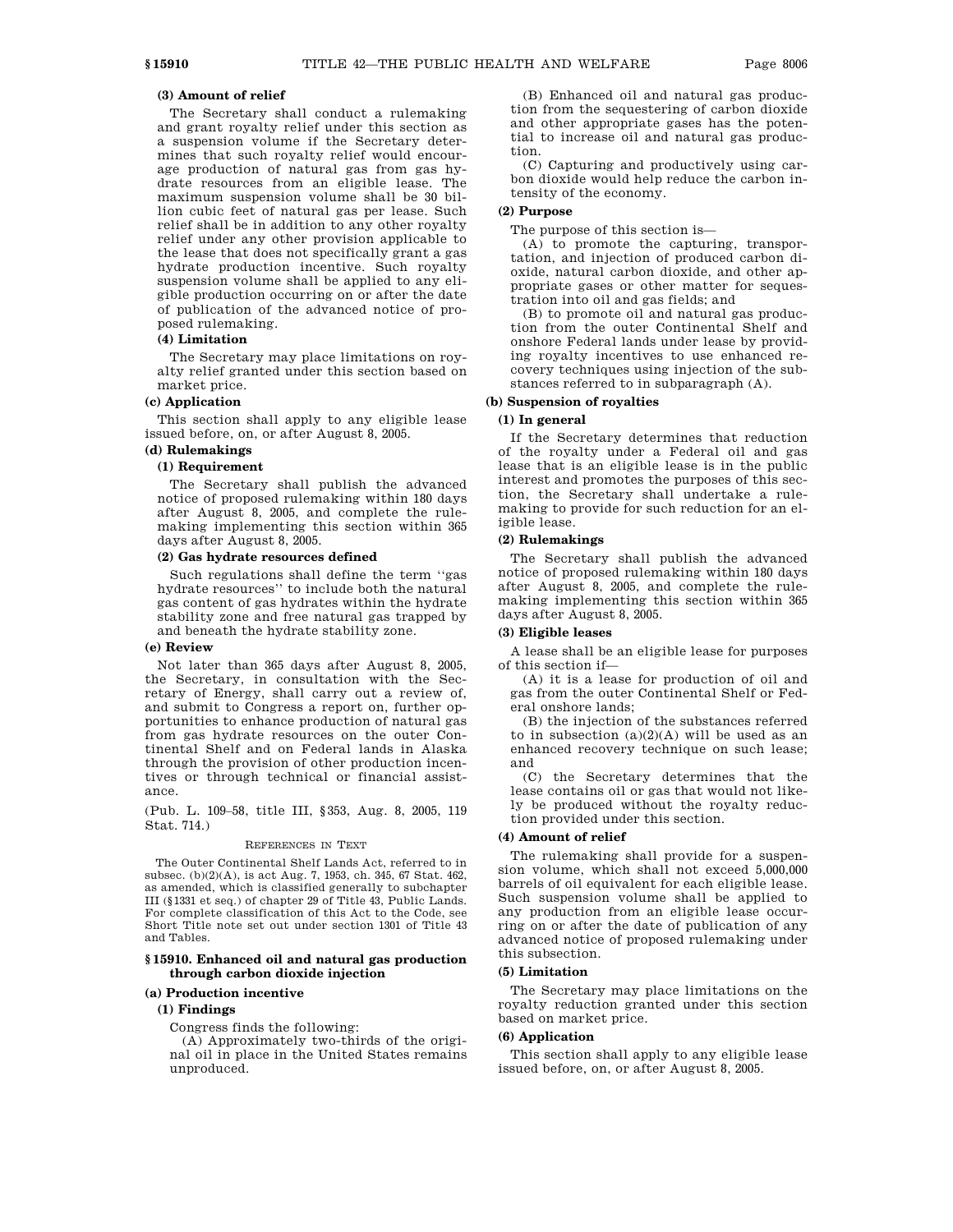## **(3) Amount of relief**

The Secretary shall conduct a rulemaking and grant royalty relief under this section as a suspension volume if the Secretary determines that such royalty relief would encourage production of natural gas from gas hydrate resources from an eligible lease. The maximum suspension volume shall be 30 billion cubic feet of natural gas per lease. Such relief shall be in addition to any other royalty relief under any other provision applicable to the lease that does not specifically grant a gas hydrate production incentive. Such royalty suspension volume shall be applied to any eligible production occurring on or after the date of publication of the advanced notice of proposed rulemaking.

## **(4) Limitation**

The Secretary may place limitations on royalty relief granted under this section based on market price.

## **(c) Application**

This section shall apply to any eligible lease issued before, on, or after August 8, 2005.

## **(d) Rulemakings**

#### **(1) Requirement**

The Secretary shall publish the advanced notice of proposed rulemaking within 180 days after August 8, 2005, and complete the rulemaking implementing this section within 365 days after August 8, 2005.

#### **(2) Gas hydrate resources defined**

Such regulations shall define the term ''gas hydrate resources'' to include both the natural gas content of gas hydrates within the hydrate stability zone and free natural gas trapped by and beneath the hydrate stability zone.

#### **(e) Review**

Not later than 365 days after August 8, 2005, the Secretary, in consultation with the Secretary of Energy, shall carry out a review of, and submit to Congress a report on, further opportunities to enhance production of natural gas from gas hydrate resources on the outer Continental Shelf and on Federal lands in Alaska through the provision of other production incentives or through technical or financial assistance.

(Pub. L. 109–58, title III, §353, Aug. 8, 2005, 119 Stat. 714.)

#### REFERENCES IN TEXT

The Outer Continental Shelf Lands Act, referred to in subsec. (b)(2)(A), is act Aug. 7, 1953, ch. 345, 67 Stat. 462, as amended, which is classified generally to subchapter III (§1331 et seq.) of chapter 29 of Title 43, Public Lands. For complete classification of this Act to the Code, see Short Title note set out under section 1301 of Title 43 and Tables.

#### **§ 15910. Enhanced oil and natural gas production through carbon dioxide injection**

#### **(a) Production incentive**

#### **(1) Findings**

Congress finds the following:

(A) Approximately two-thirds of the original oil in place in the United States remains unproduced.

(B) Enhanced oil and natural gas production from the sequestering of carbon dioxide and other appropriate gases has the potential to increase oil and natural gas production.

(C) Capturing and productively using carbon dioxide would help reduce the carbon intensity of the economy.

## **(2) Purpose**

The purpose of this section is—

(A) to promote the capturing, transportation, and injection of produced carbon dioxide, natural carbon dioxide, and other appropriate gases or other matter for sequestration into oil and gas fields; and

(B) to promote oil and natural gas production from the outer Continental Shelf and onshore Federal lands under lease by providing royalty incentives to use enhanced recovery techniques using injection of the substances referred to in subparagraph (A).

## **(b) Suspension of royalties**

## **(1) In general**

If the Secretary determines that reduction of the royalty under a Federal oil and gas lease that is an eligible lease is in the public interest and promotes the purposes of this section, the Secretary shall undertake a rulemaking to provide for such reduction for an eligible lease.

#### **(2) Rulemakings**

The Secretary shall publish the advanced notice of proposed rulemaking within 180 days after August 8, 2005, and complete the rulemaking implementing this section within 365 days after August 8, 2005.

### **(3) Eligible leases**

A lease shall be an eligible lease for purposes of this section if—

(A) it is a lease for production of oil and gas from the outer Continental Shelf or Federal onshore lands;

(B) the injection of the substances referred to in subsection  $(a)(2)(A)$  will be used as an enhanced recovery technique on such lease; and

(C) the Secretary determines that the lease contains oil or gas that would not likely be produced without the royalty reduction provided under this section.

## **(4) Amount of relief**

The rulemaking shall provide for a suspension volume, which shall not exceed 5,000,000 barrels of oil equivalent for each eligible lease. Such suspension volume shall be applied to any production from an eligible lease occurring on or after the date of publication of any advanced notice of proposed rulemaking under this subsection.

## **(5) Limitation**

The Secretary may place limitations on the royalty reduction granted under this section based on market price.

## **(6) Application**

This section shall apply to any eligible lease issued before, on, or after August 8, 2005.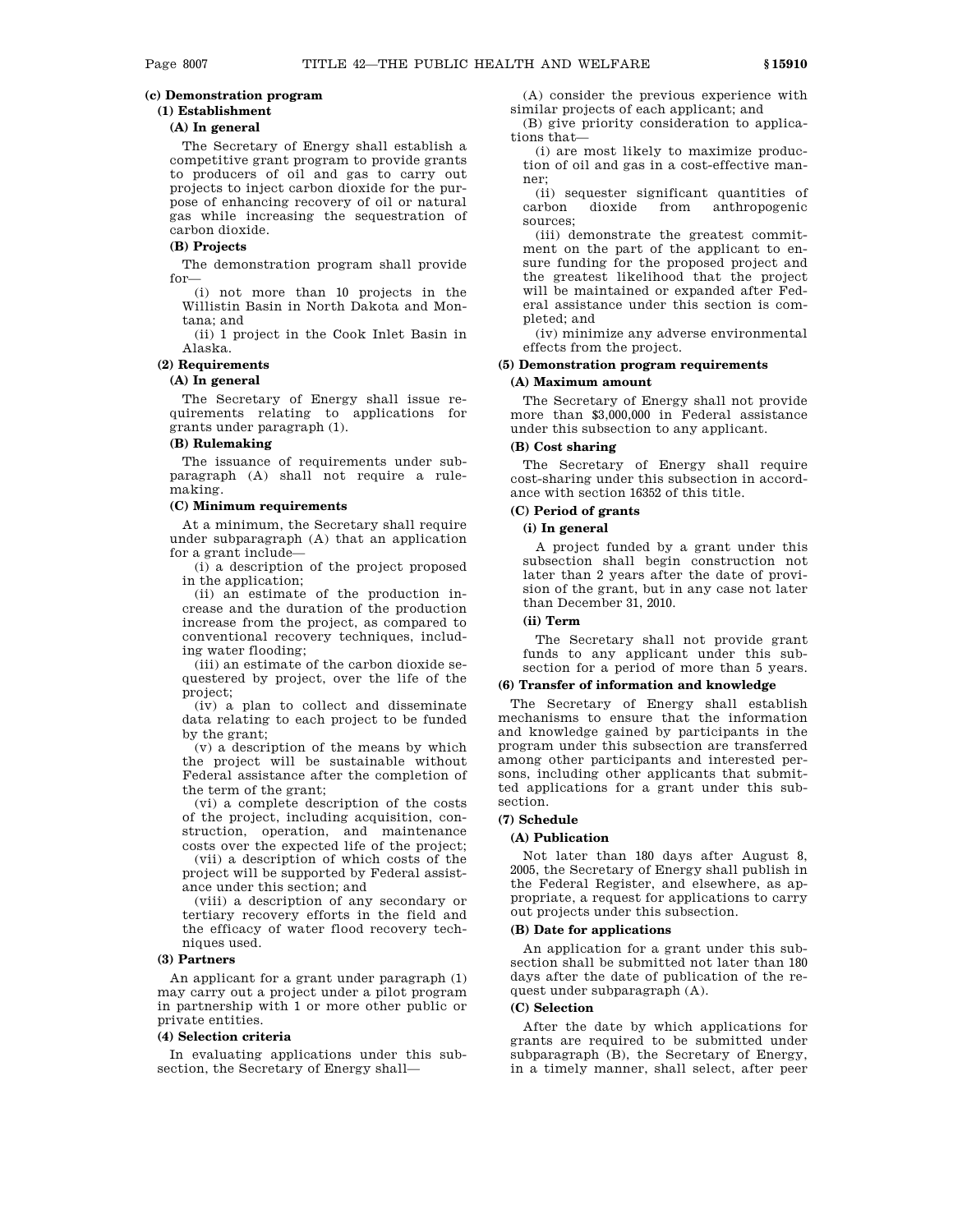## **(c) Demonstration program**

# **(1) Establishment**

## **(A) In general**

The Secretary of Energy shall establish a competitive grant program to provide grants to producers of oil and gas to carry out projects to inject carbon dioxide for the purpose of enhancing recovery of oil or natural gas while increasing the sequestration of carbon dioxide.

#### **(B) Projects**

The demonstration program shall provide for—

(i) not more than 10 projects in the Willistin Basin in North Dakota and Montana; and

(ii) 1 project in the Cook Inlet Basin in Alaska.

## **(2) Requirements**

### **(A) In general**

The Secretary of Energy shall issue requirements relating to applications for grants under paragraph (1).

## **(B) Rulemaking**

The issuance of requirements under subparagraph (A) shall not require a rulemaking.

## **(C) Minimum requirements**

At a minimum, the Secretary shall require under subparagraph (A) that an application for a grant include—

(i) a description of the project proposed in the application;

(ii) an estimate of the production increase and the duration of the production increase from the project, as compared to conventional recovery techniques, including water flooding;

(iii) an estimate of the carbon dioxide sequestered by project, over the life of the project;

(iv) a plan to collect and disseminate data relating to each project to be funded by the grant;

(v) a description of the means by which the project will be sustainable without Federal assistance after the completion of the term of the grant;

(vi) a complete description of the costs of the project, including acquisition, construction, operation, and maintenance costs over the expected life of the project;

(vii) a description of which costs of the project will be supported by Federal assistance under this section; and

(viii) a description of any secondary or tertiary recovery efforts in the field and the efficacy of water flood recovery techniques used.

#### **(3) Partners**

An applicant for a grant under paragraph (1) may carry out a project under a pilot program in partnership with 1 or more other public or private entities.

### **(4) Selection criteria**

In evaluating applications under this subsection, the Secretary of Energy shall—

(A) consider the previous experience with similar projects of each applicant; and

(B) give priority consideration to applications that—

(i) are most likely to maximize production of oil and gas in a cost-effective manner;

(ii) sequester significant quantities of carbon dioxide from anthropogenic sources;

(iii) demonstrate the greatest commitment on the part of the applicant to ensure funding for the proposed project and the greatest likelihood that the project will be maintained or expanded after Federal assistance under this section is completed; and

(iv) minimize any adverse environmental effects from the project.

## **(5) Demonstration program requirements**

## **(A) Maximum amount**

The Secretary of Energy shall not provide more than \$3,000,000 in Federal assistance under this subsection to any applicant.

## **(B) Cost sharing**

The Secretary of Energy shall require cost-sharing under this subsection in accordance with section 16352 of this title.

## **(C) Period of grants**

## **(i) In general**

A project funded by a grant under this subsection shall begin construction not later than 2 years after the date of provision of the grant, but in any case not later than December 31, 2010.

## **(ii) Term**

The Secretary shall not provide grant funds to any applicant under this subsection for a period of more than 5 years.

## **(6) Transfer of information and knowledge**

The Secretary of Energy shall establish mechanisms to ensure that the information and knowledge gained by participants in the program under this subsection are transferred among other participants and interested persons, including other applicants that submitted applications for a grant under this subsection.

#### **(7) Schedule**

## **(A) Publication**

Not later than 180 days after August 8, 2005, the Secretary of Energy shall publish in the Federal Register, and elsewhere, as appropriate, a request for applications to carry out projects under this subsection.

### **(B) Date for applications**

An application for a grant under this subsection shall be submitted not later than 180 days after the date of publication of the request under subparagraph (A).

## **(C) Selection**

After the date by which applications for grants are required to be submitted under subparagraph (B), the Secretary of Energy, in a timely manner, shall select, after peer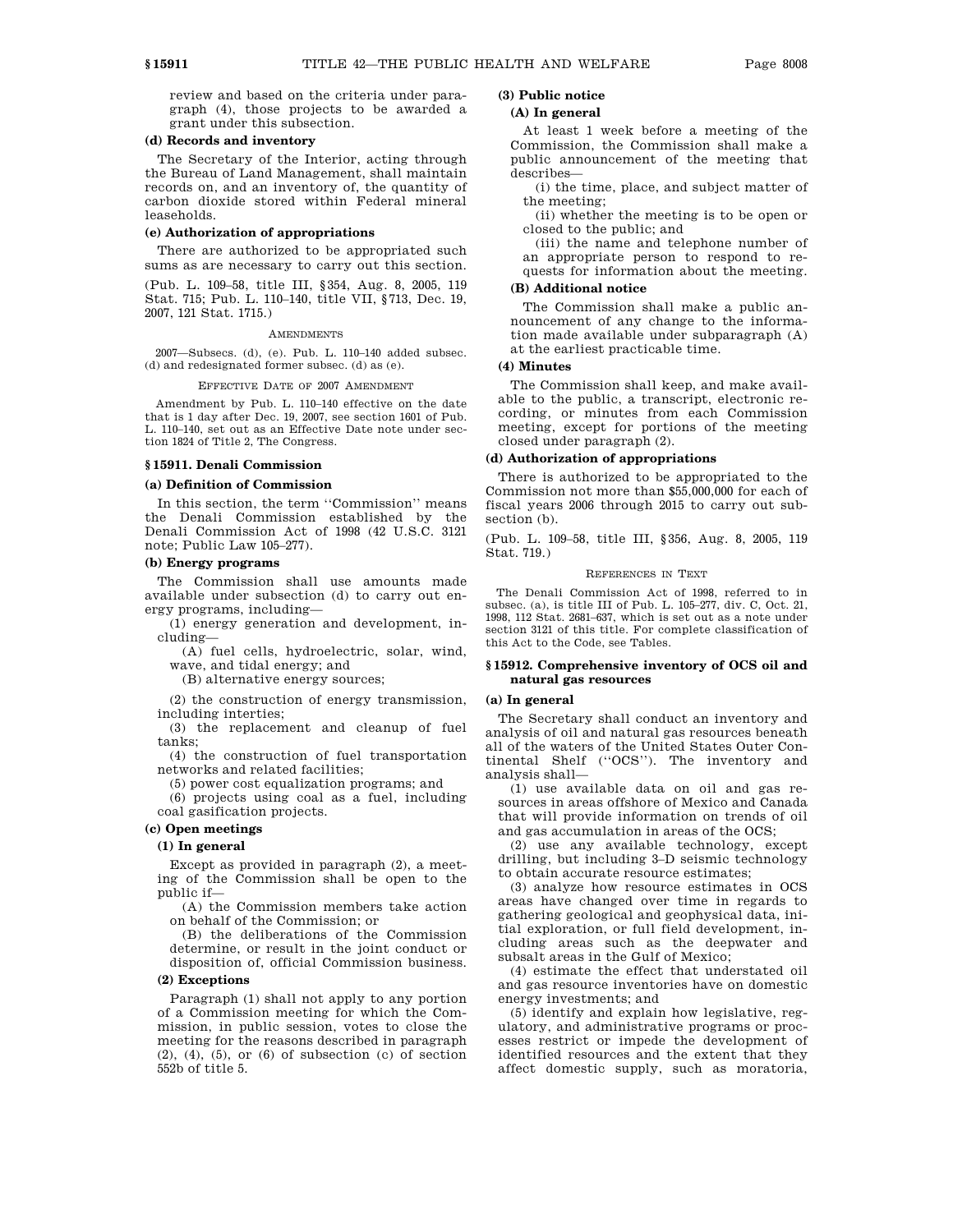review and based on the criteria under paragraph (4), those projects to be awarded a grant under this subsection.

#### **(d) Records and inventory**

The Secretary of the Interior, acting through the Bureau of Land Management, shall maintain records on, and an inventory of, the quantity of carbon dioxide stored within Federal mineral leaseholds.

#### **(e) Authorization of appropriations**

There are authorized to be appropriated such sums as are necessary to carry out this section.

(Pub. L. 109–58, title III, §354, Aug. 8, 2005, 119 Stat. 715; Pub. L. 110–140, title VII, §713, Dec. 19, 2007, 121 Stat. 1715.)

#### **AMENDMENTS**

2007—Subsecs. (d), (e). Pub. L. 110–140 added subsec. (d) and redesignated former subsec. (d) as (e).

EFFECTIVE DATE OF 2007 AMENDMENT

Amendment by Pub. L. 110–140 effective on the date that is 1 day after Dec. 19, 2007, see section 1601 of Pub. L. 110–140, set out as an Effective Date note under section 1824 of Title 2, The Congress.

## **§ 15911. Denali Commission**

## **(a) Definition of Commission**

In this section, the term ''Commission'' means the Denali Commission established by the Denali Commission Act of 1998 (42 U.S.C. 3121 note; Public Law 105–277).

## **(b) Energy programs**

The Commission shall use amounts made available under subsection (d) to carry out energy programs, including—

(1) energy generation and development, including—

(A) fuel cells, hydroelectric, solar, wind, wave, and tidal energy; and

(B) alternative energy sources;

(2) the construction of energy transmission, including interties;

(3) the replacement and cleanup of fuel tanks;

(4) the construction of fuel transportation networks and related facilities;

(5) power cost equalization programs; and

(6) projects using coal as a fuel, including coal gasification projects.

## **(c) Open meetings**

## **(1) In general**

Except as provided in paragraph (2), a meeting of the Commission shall be open to the public if—

(A) the Commission members take action on behalf of the Commission; or

(B) the deliberations of the Commission determine, or result in the joint conduct or disposition of, official Commission business.

#### **(2) Exceptions**

Paragraph (1) shall not apply to any portion of a Commission meeting for which the Commission, in public session, votes to close the meeting for the reasons described in paragraph  $(2)$ ,  $(4)$ ,  $(5)$ , or  $(6)$  of subsection  $(c)$  of section 552b of title 5.

## **(3) Public notice**

## **(A) In general**

At least 1 week before a meeting of the Commission, the Commission shall make a public announcement of the meeting that describes—

(i) the time, place, and subject matter of the meeting;

(ii) whether the meeting is to be open or closed to the public; and

(iii) the name and telephone number of an appropriate person to respond to requests for information about the meeting.

## **(B) Additional notice**

The Commission shall make a public announcement of any change to the information made available under subparagraph (A) at the earliest practicable time.

## **(4) Minutes**

The Commission shall keep, and make available to the public, a transcript, electronic recording, or minutes from each Commission meeting, except for portions of the meeting closed under paragraph (2).

## **(d) Authorization of appropriations**

There is authorized to be appropriated to the Commission not more than \$55,000,000 for each of fiscal years 2006 through 2015 to carry out subsection (b).

(Pub. L. 109–58, title III, §356, Aug. 8, 2005, 119 Stat. 719.)

#### REFERENCES IN TEXT

The Denali Commission Act of 1998, referred to in subsec. (a), is title III of Pub. L. 105–277, div. C, Oct. 21, 1998, 112 Stat. 2681–637, which is set out as a note under section 3121 of this title. For complete classification of this Act to the Code, see Tables.

## **§ 15912. Comprehensive inventory of OCS oil and natural gas resources**

#### **(a) In general**

The Secretary shall conduct an inventory and analysis of oil and natural gas resources beneath all of the waters of the United States Outer Continental Shelf (''OCS''). The inventory and analysis shall—

(1) use available data on oil and gas resources in areas offshore of Mexico and Canada that will provide information on trends of oil and gas accumulation in areas of the OCS;

(2) use any available technology, except drilling, but including 3–D seismic technology to obtain accurate resource estimates;

(3) analyze how resource estimates in OCS areas have changed over time in regards to gathering geological and geophysical data, initial exploration, or full field development, including areas such as the deepwater and subsalt areas in the Gulf of Mexico;

(4) estimate the effect that understated oil and gas resource inventories have on domestic energy investments; and

(5) identify and explain how legislative, regulatory, and administrative programs or processes restrict or impede the development of identified resources and the extent that they affect domestic supply, such as moratoria,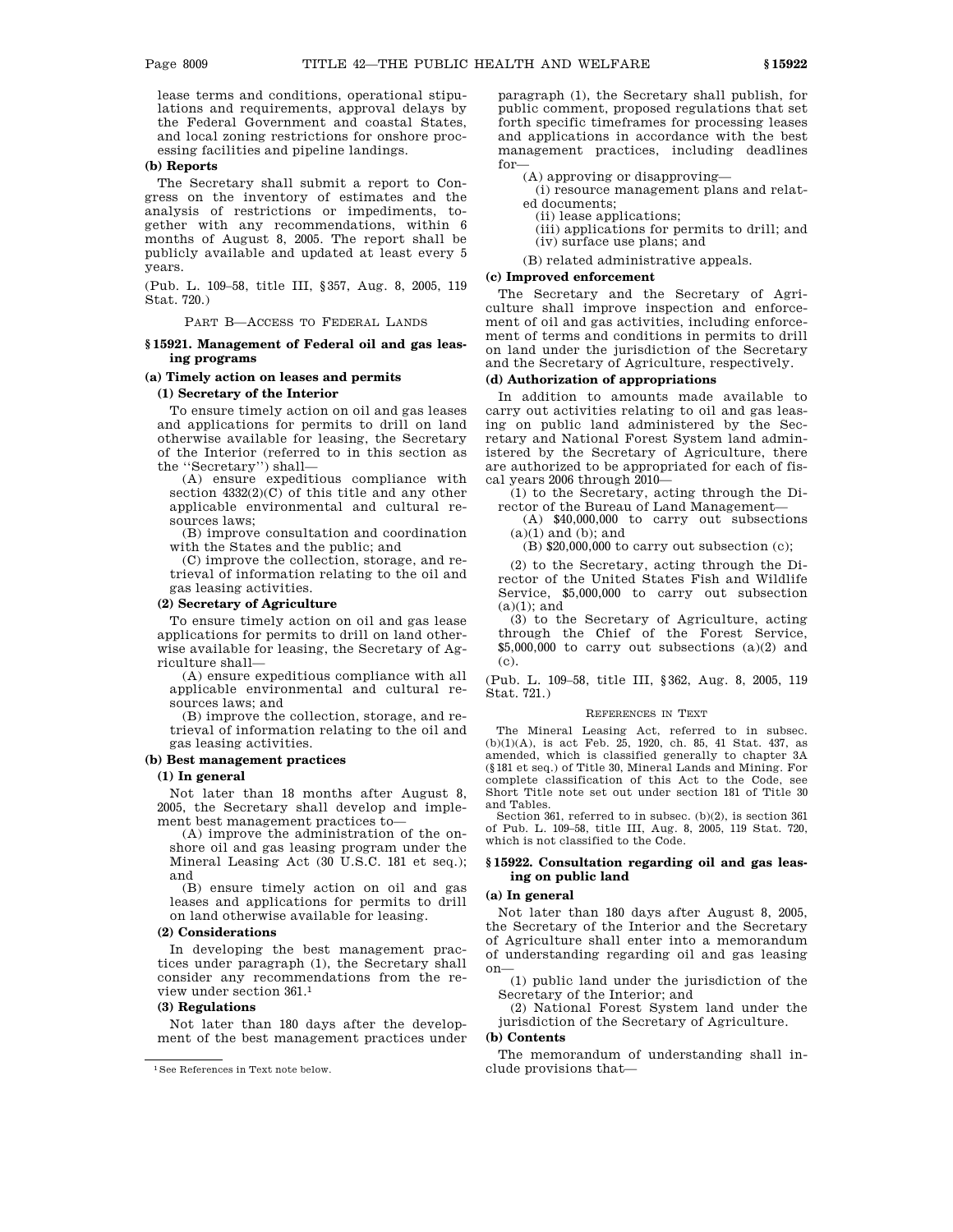lease terms and conditions, operational stipulations and requirements, approval delays by the Federal Government and coastal States, and local zoning restrictions for onshore processing facilities and pipeline landings.

## **(b) Reports**

The Secretary shall submit a report to Congress on the inventory of estimates and the analysis of restrictions or impediments, together with any recommendations, within 6 months of August 8, 2005. The report shall be publicly available and updated at least every 5 years.

(Pub. L. 109–58, title III, §357, Aug. 8, 2005, 119 Stat. 720.)

PART B—ACCESS TO FEDERAL LANDS

### **§ 15921. Management of Federal oil and gas leasing programs**

## **(a) Timely action on leases and permits**

## **(1) Secretary of the Interior**

To ensure timely action on oil and gas leases and applications for permits to drill on land otherwise available for leasing, the Secretary of the Interior (referred to in this section as the ''Secretary'') shall—

(A) ensure expeditious compliance with section  $4332(2)(C)$  of this title and any other applicable environmental and cultural resources laws;

(B) improve consultation and coordination with the States and the public; and

(C) improve the collection, storage, and retrieval of information relating to the oil and gas leasing activities.

#### **(2) Secretary of Agriculture**

To ensure timely action on oil and gas lease applications for permits to drill on land otherwise available for leasing, the Secretary of Agriculture shall—

(A) ensure expeditious compliance with all applicable environmental and cultural resources laws; and

(B) improve the collection, storage, and retrieval of information relating to the oil and gas leasing activities.

## **(b) Best management practices**

### **(1) In general**

Not later than 18 months after August 8, 2005, the Secretary shall develop and implement best management practices to—

(A) improve the administration of the onshore oil and gas leasing program under the Mineral Leasing Act (30 U.S.C. 181 et seq.); and

(B) ensure timely action on oil and gas leases and applications for permits to drill on land otherwise available for leasing.

## **(2) Considerations**

In developing the best management practices under paragraph (1), the Secretary shall consider any recommendations from the review under section 361.1

### **(3) Regulations**

Not later than 180 days after the development of the best management practices under paragraph (1), the Secretary shall publish, for public comment, proposed regulations that set forth specific timeframes for processing leases and applications in accordance with the best management practices, including deadlines for—

(A) approving or disapproving—

(i) resource management plans and related documents;

(ii) lease applications;

(iii) applications for permits to drill; and (iv) surface use plans; and

(B) related administrative appeals.

#### **(c) Improved enforcement**

The Secretary and the Secretary of Agriculture shall improve inspection and enforcement of oil and gas activities, including enforcement of terms and conditions in permits to drill on land under the jurisdiction of the Secretary and the Secretary of Agriculture, respectively.

#### **(d) Authorization of appropriations**

In addition to amounts made available to carry out activities relating to oil and gas leasing on public land administered by the Secretary and National Forest System land administered by the Secretary of Agriculture, there are authorized to be appropriated for each of fiscal years 2006 through 2010—

(1) to the Secretary, acting through the Director of the Bureau of Land Management—

(A) \$40,000,000 to carry out subsections  $(a)(1)$  and  $(b)$ ; and

 $(B)$  \$20,000,000 to carry out subsection  $(c)$ ;

(2) to the Secretary, acting through the Director of the United States Fish and Wildlife Service, \$5,000,000 to carry out subsection  $(a)(1)$ ; and

(3) to the Secretary of Agriculture, acting through the Chief of the Forest Service,  $$5,000,000$  to carry out subsections  $(a)(2)$  and (c).

(Pub. L. 109–58, title III, §362, Aug. 8, 2005, 119 Stat. 721.)

#### REFERENCES IN TEXT

The Mineral Leasing Act, referred to in subsec. (b)(1)(A), is act Feb. 25, 1920, ch. 85, 41 Stat. 437, as amended, which is classified generally to chapter 3A (§181 et seq.) of Title 30, Mineral Lands and Mining. For complete classification of this Act to the Code, see Short Title note set out under section 181 of Title 30 and Tables.

Section 361, referred to in subsec. (b)(2), is section 361 of Pub. L. 109–58, title III, Aug. 8, 2005, 119 Stat. 720, which is not classified to the Code.

## **§ 15922. Consultation regarding oil and gas leasing on public land**

#### **(a) In general**

Not later than 180 days after August 8, 2005, the Secretary of the Interior and the Secretary of Agriculture shall enter into a memorandum of understanding regarding oil and gas leasing on—

(1) public land under the jurisdiction of the Secretary of the Interior; and

(2) National Forest System land under the jurisdiction of the Secretary of Agriculture.

## **(b) Contents**

The memorandum of understanding shall include provisions that—

<sup>1</sup>See References in Text note below.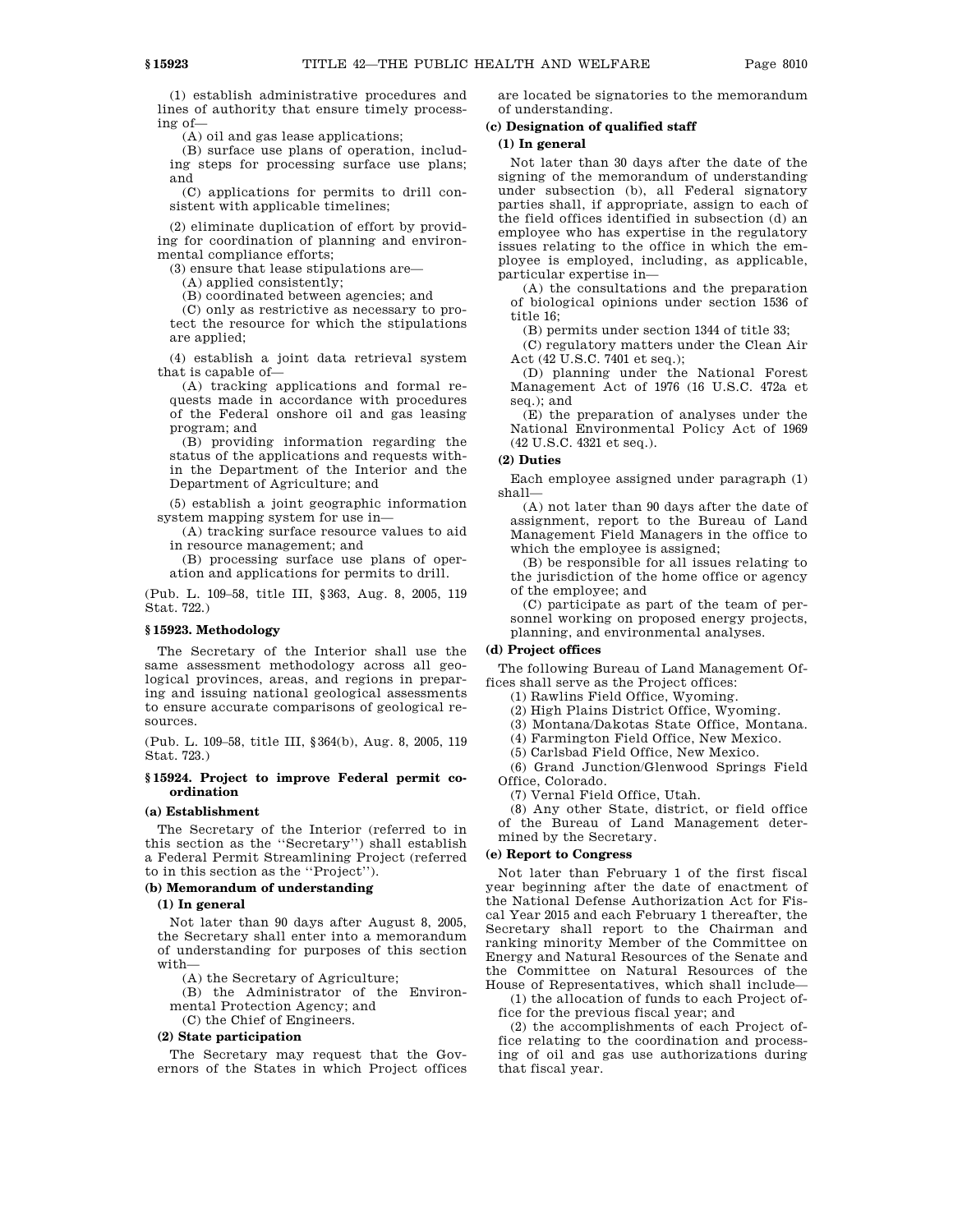(1) establish administrative procedures and lines of authority that ensure timely processing of—

(A) oil and gas lease applications;

(B) surface use plans of operation, including steps for processing surface use plans; and

(C) applications for permits to drill consistent with applicable timelines;

(2) eliminate duplication of effort by providing for coordination of planning and environmental compliance efforts;

(3) ensure that lease stipulations are—

(A) applied consistently;

(B) coordinated between agencies; and

(C) only as restrictive as necessary to protect the resource for which the stipulations are applied;

(4) establish a joint data retrieval system that is capable of—

(A) tracking applications and formal requests made in accordance with procedures of the Federal onshore oil and gas leasing program; and

(B) providing information regarding the status of the applications and requests within the Department of the Interior and the Department of Agriculture; and

(5) establish a joint geographic information system mapping system for use in—

(A) tracking surface resource values to aid in resource management; and

(B) processing surface use plans of operation and applications for permits to drill.

(Pub. L. 109–58, title III, §363, Aug. 8, 2005, 119 Stat. 722.)

### **§ 15923. Methodology**

The Secretary of the Interior shall use the same assessment methodology across all geological provinces, areas, and regions in preparing and issuing national geological assessments to ensure accurate comparisons of geological resources.

(Pub. L. 109–58, title III, §364(b), Aug. 8, 2005, 119 Stat. 723.)

### **§ 15924. Project to improve Federal permit coordination**

### **(a) Establishment**

The Secretary of the Interior (referred to in this section as the ''Secretary'') shall establish a Federal Permit Streamlining Project (referred to in this section as the ''Project'').

## **(b) Memorandum of understanding**

## **(1) In general**

Not later than 90 days after August 8, 2005, the Secretary shall enter into a memorandum of understanding for purposes of this section with—

(A) the Secretary of Agriculture;

(B) the Administrator of the Environmental Protection Agency; and

(C) the Chief of Engineers.

#### **(2) State participation**

The Secretary may request that the Governors of the States in which Project offices are located be signatories to the memorandum of understanding.

## **(c) Designation of qualified staff**

## **(1) In general**

Not later than 30 days after the date of the signing of the memorandum of understanding under subsection (b), all Federal signatory parties shall, if appropriate, assign to each of the field offices identified in subsection (d) an employee who has expertise in the regulatory issues relating to the office in which the employee is employed, including, as applicable, particular expertise in—

(A) the consultations and the preparation of biological opinions under section 1536 of title 16;

(B) permits under section 1344 of title 33;

(C) regulatory matters under the Clean Air Act (42 U.S.C. 7401 et seq.);

(D) planning under the National Forest Management Act of 1976 (16 U.S.C. 472a et seq.); and

(E) the preparation of analyses under the National Environmental Policy Act of 1969 (42 U.S.C. 4321 et seq.).

## **(2) Duties**

Each employee assigned under paragraph (1) shall—

(A) not later than 90 days after the date of assignment, report to the Bureau of Land Management Field Managers in the office to which the employee is assigned;

(B) be responsible for all issues relating to the jurisdiction of the home office or agency of the employee; and

(C) participate as part of the team of personnel working on proposed energy projects, planning, and environmental analyses.

## **(d) Project offices**

The following Bureau of Land Management Offices shall serve as the Project offices:

(1) Rawlins Field Office, Wyoming.

(2) High Plains District Office, Wyoming.

(3) Montana/Dakotas State Office, Montana.

(4) Farmington Field Office, New Mexico.

(5) Carlsbad Field Office, New Mexico.

(6) Grand Junction/Glenwood Springs Field Office, Colorado.

(7) Vernal Field Office, Utah.

(8) Any other State, district, or field office of the Bureau of Land Management determined by the Secretary.

## **(e) Report to Congress**

Not later than February 1 of the first fiscal year beginning after the date of enactment of the National Defense Authorization Act for Fiscal Year 2015 and each February 1 thereafter, the Secretary shall report to the Chairman and ranking minority Member of the Committee on Energy and Natural Resources of the Senate and the Committee on Natural Resources of the House of Representatives, which shall include—

(1) the allocation of funds to each Project office for the previous fiscal year; and

(2) the accomplishments of each Project office relating to the coordination and processing of oil and gas use authorizations during that fiscal year.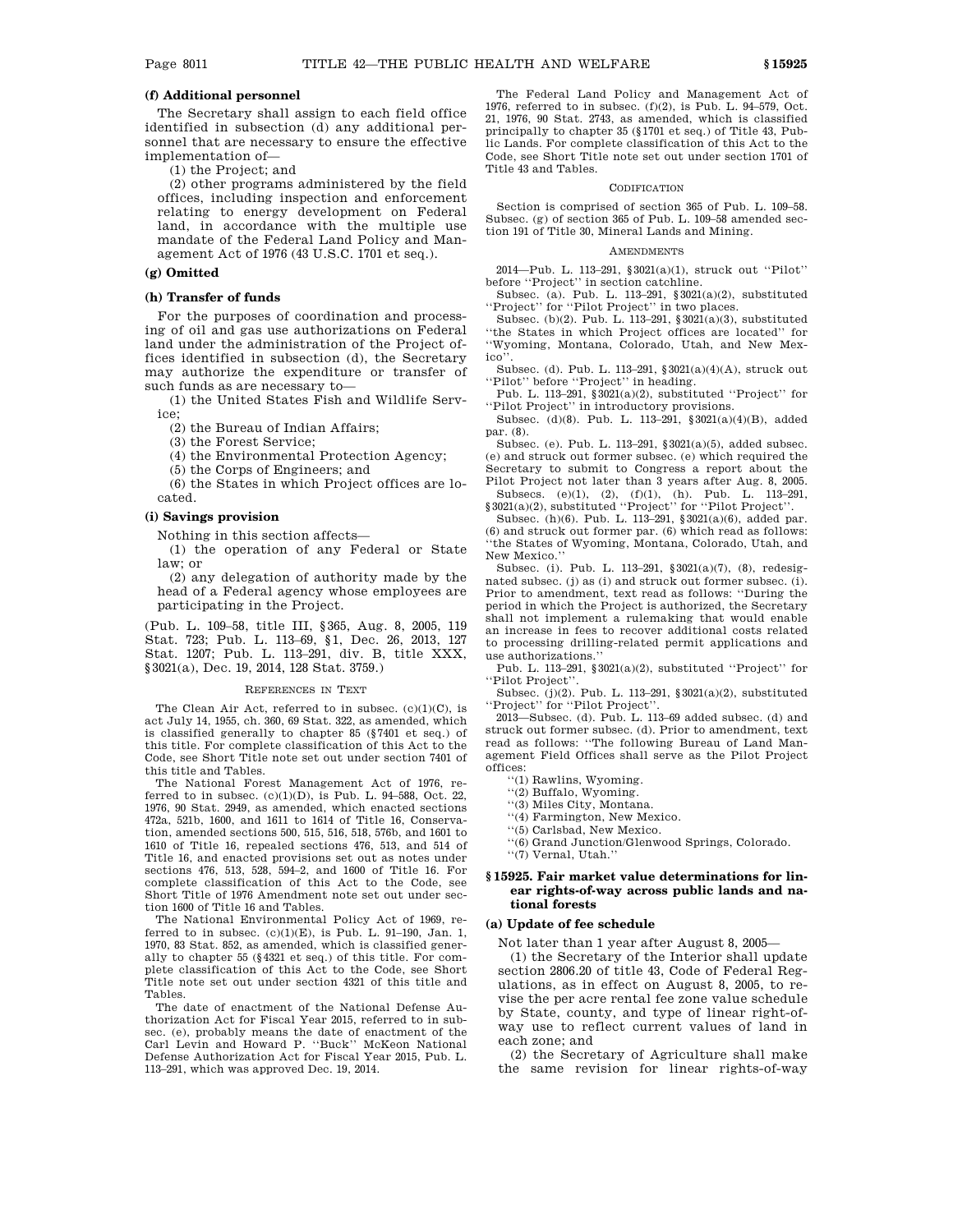## **(f) Additional personnel**

The Secretary shall assign to each field office identified in subsection (d) any additional personnel that are necessary to ensure the effective implementation of—

(1) the Project; and

(2) other programs administered by the field offices, including inspection and enforcement relating to energy development on Federal land, in accordance with the multiple use mandate of the Federal Land Policy and Management Act of 1976 (43 U.S.C. 1701 et seq.).

## **(g) Omitted**

### **(h) Transfer of funds**

For the purposes of coordination and processing of oil and gas use authorizations on Federal land under the administration of the Project offices identified in subsection (d), the Secretary may authorize the expenditure or transfer of such funds as are necessary to—

(1) the United States Fish and Wildlife Service;

(2) the Bureau of Indian Affairs;

(3) the Forest Service;

(4) the Environmental Protection Agency;

(5) the Corps of Engineers; and

(6) the States in which Project offices are located.

#### **(i) Savings provision**

Nothing in this section affects—

(1) the operation of any Federal or State law; or

(2) any delegation of authority made by the head of a Federal agency whose employees are participating in the Project.

(Pub. L. 109–58, title III, §365, Aug. 8, 2005, 119 Stat. 723; Pub. L. 113–69, §1, Dec. 26, 2013, 127 Stat. 1207; Pub. L. 113–291, div. B, title XXX, §3021(a), Dec. 19, 2014, 128 Stat. 3759.)

### REFERENCES IN TEXT

The Clean Air Act, referred to in subsec. (c)(1)(C), is act July 14, 1955, ch. 360, 69 Stat. 322, as amended, which is classified generally to chapter 85 (§7401 et seq.) of this title. For complete classification of this Act to the Code, see Short Title note set out under section 7401 of this title and Tables.

The National Forest Management Act of 1976, referred to in subsec.  $(c)(1)(D)$ , is Pub. L. 94-588, Oct. 22, 1976, 90 Stat. 2949, as amended, which enacted sections 472a, 521b, 1600, and 1611 to 1614 of Title 16, Conservation, amended sections 500, 515, 516, 518, 576b, and 1601 to 1610 of Title 16, repealed sections 476, 513, and 514 of Title 16, and enacted provisions set out as notes under sections 476, 513, 528, 594–2, and 1600 of Title 16. For complete classification of this Act to the Code, see Short Title of 1976 Amendment note set out under section 1600 of Title 16 and Tables.

The National Environmental Policy Act of 1969, referred to in subsec.  $(c)(1)(E)$ , is Pub. L. 91-190, Jan. 1, 1970, 83 Stat. 852, as amended, which is classified generally to chapter 55 (§4321 et seq.) of this title. For complete classification of this Act to the Code, see Short Title note set out under section 4321 of this title and Tables.

The date of enactment of the National Defense Authorization Act for Fiscal Year 2015, referred to in subsec. (e), probably means the date of enactment of the Carl Levin and Howard P. ''Buck'' McKeon National Defense Authorization Act for Fiscal Year 2015, Pub. L. 113–291, which was approved Dec. 19, 2014.

The Federal Land Policy and Management Act of 1976, referred to in subsec. (f)(2), is Pub. L. 94–579, Oct. 21, 1976, 90 Stat. 2743, as amended, which is classified principally to chapter 35 (§1701 et seq.) of Title 43, Public Lands. For complete classification of this Act to the Code, see Short Title note set out under section 1701 of Title 43 and Tables.

#### CODIFICATION

Section is comprised of section 365 of Pub. L. 109–58. Subsec. (g) of section 365 of Pub. L. 109–58 amended section 191 of Title 30, Mineral Lands and Mining.

#### AMENDMENTS

2014—Pub. L. 113–291, §3021(a)(1), struck out ''Pilot'' before ''Project'' in section catchline.

Subsec. (a). Pub. L. 113–291, §3021(a)(2), substituted ''Project'' for ''Pilot Project'' in two places.

Subsec. (b)(2). Pub. L. 113–291, §3021(a)(3), substituted ''the States in which Project offices are located'' for ''Wyoming, Montana, Colorado, Utah, and New Mexico'

Subsec. (d). Pub. L. 113–291, §3021(a)(4)(A), struck out ''Pilot'' before ''Project'' in heading.

Pub. L. 113–291, §3021(a)(2), substituted ''Project'' for ''Pilot Project'' in introductory provisions.

Subsec. (d)(8). Pub. L. 113–291, §3021(a)(4)(B), added par. (8).

Subsec. (e). Pub. L. 113–291, §3021(a)(5), added subsec. (e) and struck out former subsec. (e) which required the Secretary to submit to Congress a report about the Pilot Project not later than 3 years after Aug. 8, 2005.

Subsecs. (e)(1), (2), (f)(1), (h). Pub. L. 113–291, §3021(a)(2), substituted ''Project'' for ''Pilot Project''.

Subsec. (h)(6). Pub. L. 113–291, §3021(a)(6), added par. (6) and struck out former par. (6) which read as follows: ''the States of Wyoming, Montana, Colorado, Utah, and New Mexico.''

Subsec. (i). Pub. L. 113–291, §3021(a)(7), (8), redesignated subsec. (j) as (i) and struck out former subsec. (i). Prior to amendment, text read as follows: ''During the period in which the Project is authorized, the Secretary shall not implement a rulemaking that would enable an increase in fees to recover additional costs related to processing drilling-related permit applications and use authorizations.''

Pub. L. 113–291, §3021(a)(2), substituted ''Project'' for ''Pilot Project''.

Subsec. (j)(2). Pub. L. 113–291, §3021(a)(2), substituted ''Project'' for ''Pilot Project''.

2013—Subsec. (d). Pub. L. 113–69 added subsec. (d) and struck out former subsec. (d). Prior to amendment, text read as follows: ''The following Bureau of Land Management Field Offices shall serve as the Pilot Project offices:

''(1) Rawlins, Wyoming.

- ''(2) Buffalo, Wyoming.
- ''(3) Miles City, Montana.
- ''(4) Farmington, New Mexico.
- ''(5) Carlsbad, New Mexico.

''(6) Grand Junction/Glenwood Springs, Colorado. ''(7) Vernal, Utah.''

## **§ 15925. Fair market value determinations for linear rights-of-way across public lands and national forests**

## **(a) Update of fee schedule**

Not later than 1 year after August 8, 2005—

(1) the Secretary of the Interior shall update section 2806.20 of title 43, Code of Federal Regulations, as in effect on August 8, 2005, to revise the per acre rental fee zone value schedule by State, county, and type of linear right-ofway use to reflect current values of land in each zone; and

(2) the Secretary of Agriculture shall make the same revision for linear rights-of-way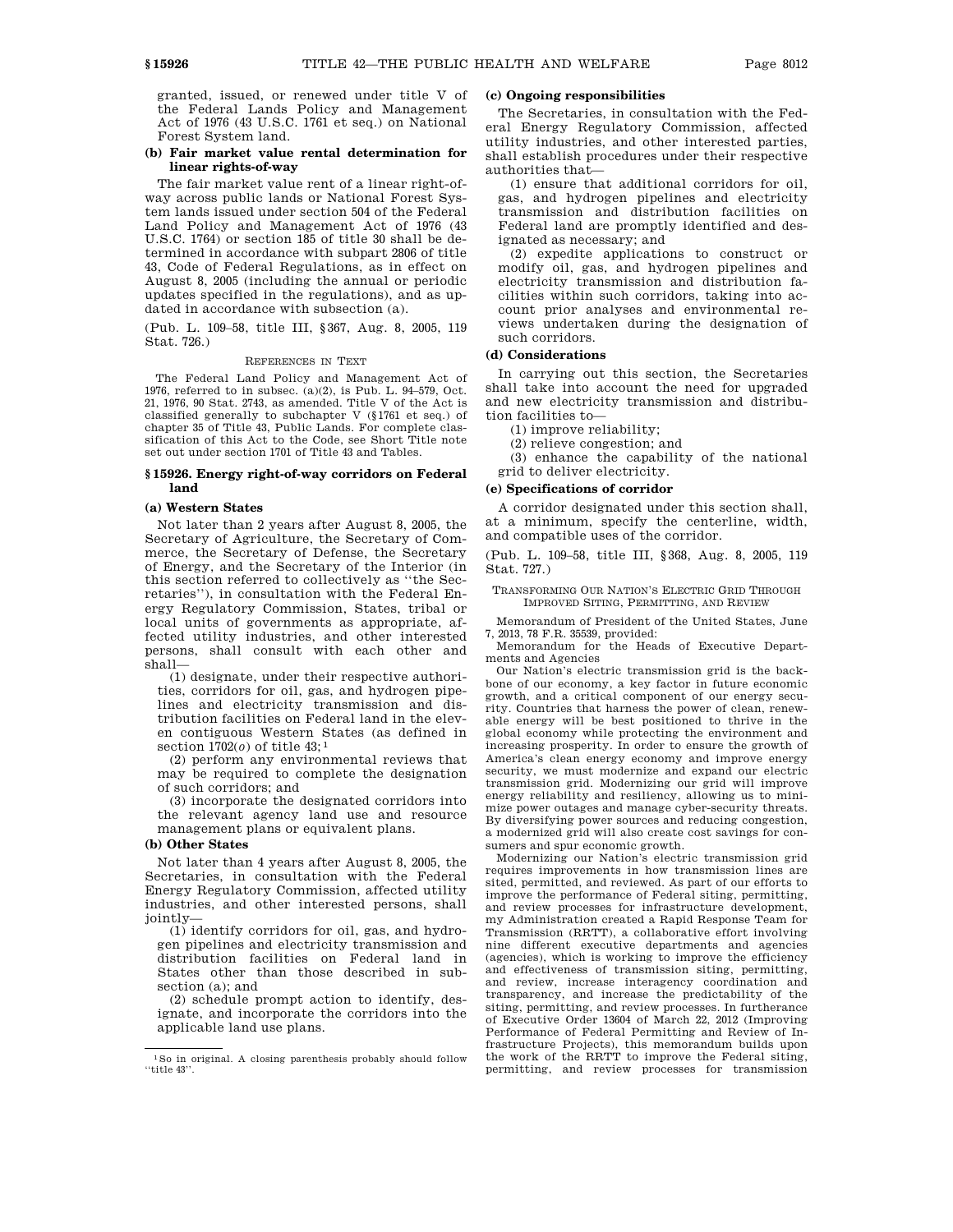granted, issued, or renewed under title V of the Federal Lands Policy and Management Act of 1976 (43 U.S.C. 1761 et seq.) on National Forest System land.

## **(b) Fair market value rental determination for linear rights-of-way**

The fair market value rent of a linear right-ofway across public lands or National Forest System lands issued under section 504 of the Federal Land Policy and Management Act of 1976 (43 U.S.C. 1764) or section 185 of title 30 shall be determined in accordance with subpart 2806 of title 43, Code of Federal Regulations, as in effect on August 8, 2005 (including the annual or periodic updates specified in the regulations), and as updated in accordance with subsection (a).

(Pub. L. 109–58, title III, §367, Aug. 8, 2005, 119 Stat. 726.)

#### REFERENCES IN TEXT

The Federal Land Policy and Management Act of 1976, referred to in subsec. (a)(2), is Pub. L. 94–579, Oct. 21, 1976, 90 Stat. 2743, as amended. Title V of the Act is classified generally to subchapter V (§1761 et seq.) of chapter 35 of Title 43, Public Lands. For complete classification of this Act to the Code, see Short Title note set out under section 1701 of Title 43 and Tables.

### **§ 15926. Energy right-of-way corridors on Federal land**

#### **(a) Western States**

Not later than 2 years after August 8, 2005, the Secretary of Agriculture, the Secretary of Commerce, the Secretary of Defense, the Secretary of Energy, and the Secretary of the Interior (in this section referred to collectively as ''the Secretaries''), in consultation with the Federal Energy Regulatory Commission, States, tribal or local units of governments as appropriate, affected utility industries, and other interested persons, shall consult with each other and shall—

(1) designate, under their respective authorities, corridors for oil, gas, and hydrogen pipelines and electricity transmission and distribution facilities on Federal land in the eleven contiguous Western States (as defined in section 1702(*o*) of title 43; 1

(2) perform any environmental reviews that may be required to complete the designation of such corridors; and

(3) incorporate the designated corridors into the relevant agency land use and resource management plans or equivalent plans.

#### **(b) Other States**

Not later than 4 years after August 8, 2005, the Secretaries, in consultation with the Federal Energy Regulatory Commission, affected utility industries, and other interested persons, shall jointly—

(1) identify corridors for oil, gas, and hydrogen pipelines and electricity transmission and distribution facilities on Federal land in States other than those described in subsection (a); and

(2) schedule prompt action to identify, designate, and incorporate the corridors into the applicable land use plans.

#### **(c) Ongoing responsibilities**

The Secretaries, in consultation with the Federal Energy Regulatory Commission, affected utility industries, and other interested parties, shall establish procedures under their respective authorities that—

(1) ensure that additional corridors for oil, gas, and hydrogen pipelines and electricity transmission and distribution facilities on Federal land are promptly identified and designated as necessary; and

(2) expedite applications to construct or modify oil, gas, and hydrogen pipelines and electricity transmission and distribution facilities within such corridors, taking into account prior analyses and environmental reviews undertaken during the designation of such corridors.

#### **(d) Considerations**

In carrying out this section, the Secretaries shall take into account the need for upgraded and new electricity transmission and distribution facilities to—

(1) improve reliability;

(2) relieve congestion; and

(3) enhance the capability of the national grid to deliver electricity.

#### **(e) Specifications of corridor**

A corridor designated under this section shall, at a minimum, specify the centerline, width, and compatible uses of the corridor.

(Pub. L. 109–58, title III, §368, Aug. 8, 2005, 119 Stat. 727.)

#### TRANSFORMING OUR NATION'S ELECTRIC GRID THROUGH IMPROVED SITING, PERMITTING, AND REVIEW

Memorandum of President of the United States, June 7, 2013, 78 F.R. 35539, provided:

Memorandum for the Heads of Executive Departments and Agencies

Our Nation's electric transmission grid is the backbone of our economy, a key factor in future economic growth, and a critical component of our energy security. Countries that harness the power of clean, renewable energy will be best positioned to thrive in the global economy while protecting the environment and increasing prosperity. In order to ensure the growth of America's clean energy economy and improve energy security, we must modernize and expand our electric transmission grid. Modernizing our grid will improve energy reliability and resiliency, allowing us to minimize power outages and manage cyber-security threats. By diversifying power sources and reducing congestion, a modernized grid will also create cost savings for consumers and spur economic growth.

Modernizing our Nation's electric transmission grid requires improvements in how transmission lines are sited, permitted, and reviewed. As part of our efforts to improve the performance of Federal siting, permitting, and review processes for infrastructure development, my Administration created a Rapid Response Team for Transmission (RRTT), a collaborative effort involving nine different executive departments and agencies (agencies), which is working to improve the efficiency and effectiveness of transmission siting, permitting, and review, increase interagency coordination and transparency, and increase the predictability of the siting, permitting, and review processes. In furtherance of Executive Order 13604 of March 22, 2012 (Improving Performance of Federal Permitting and Review of Infrastructure Projects), this memorandum builds upon the work of the RRTT to improve the Federal siting, permitting, and review processes for transmission

<sup>1</sup>So in original. A closing parenthesis probably should follow ''title 43''.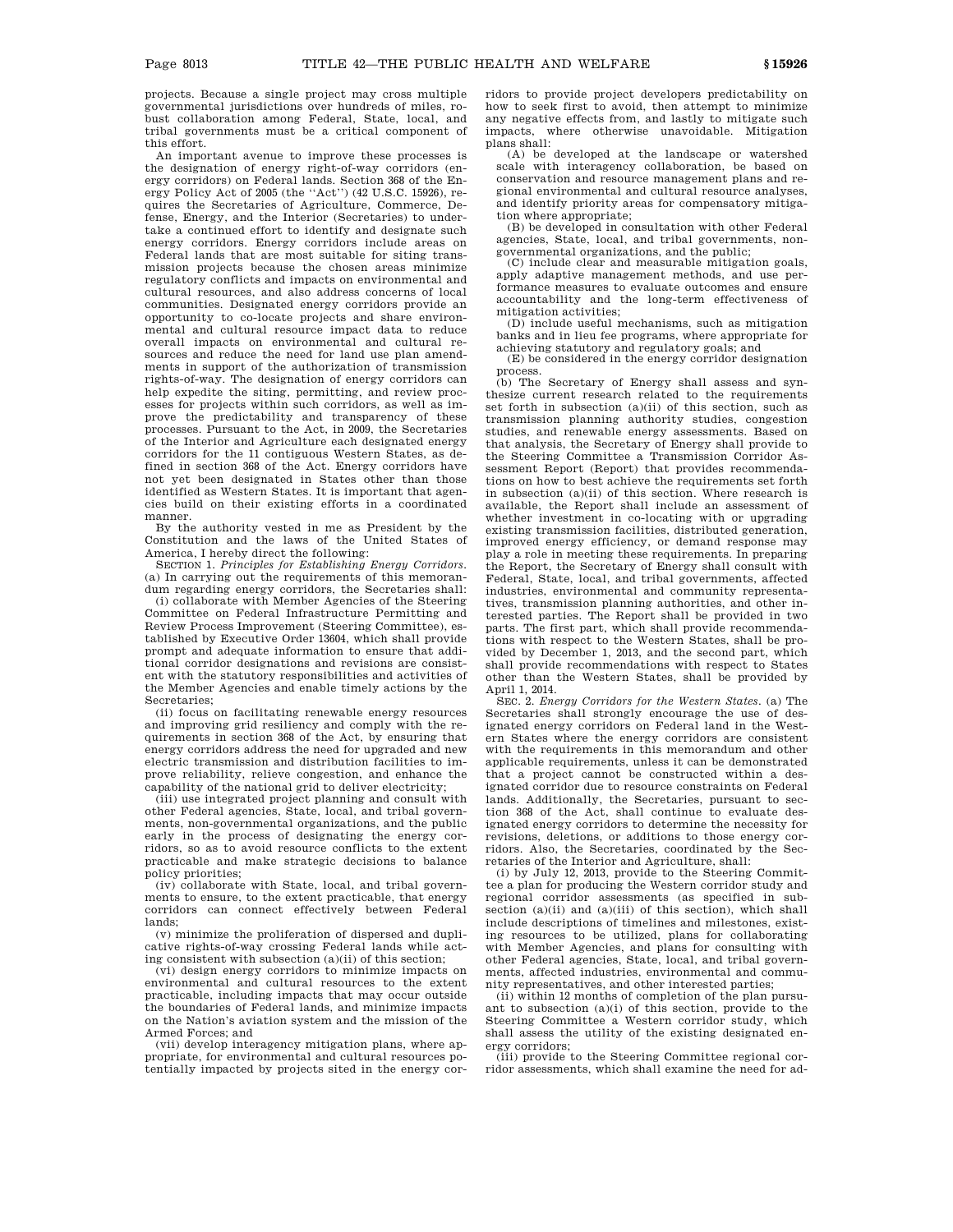projects. Because a single project may cross multiple governmental jurisdictions over hundreds of miles, robust collaboration among Federal, State, local, and tribal governments must be a critical component of this effort.

An important avenue to improve these processes is the designation of energy right-of-way corridors (energy corridors) on Federal lands. Section 368 of the Energy Policy Act of 2005 (the ''Act'') (42 U.S.C. 15926), requires the Secretaries of Agriculture, Commerce, Defense, Energy, and the Interior (Secretaries) to undertake a continued effort to identify and designate such energy corridors. Energy corridors include areas on Federal lands that are most suitable for siting transmission projects because the chosen areas minimize regulatory conflicts and impacts on environmental and cultural resources, and also address concerns of local communities. Designated energy corridors provide an opportunity to co-locate projects and share environmental and cultural resource impact data to reduce overall impacts on environmental and cultural resources and reduce the need for land use plan amendments in support of the authorization of transmission rights-of-way. The designation of energy corridors can help expedite the siting, permitting, and review processes for projects within such corridors, as well as improve the predictability and transparency of these processes. Pursuant to the Act, in 2009, the Secretaries of the Interior and Agriculture each designated energy corridors for the 11 contiguous Western States, as defined in section 368 of the Act. Energy corridors have not yet been designated in States other than those identified as Western States. It is important that agencies build on their existing efforts in a coordinated manner.

By the authority vested in me as President by the Constitution and the laws of the United States of America, I hereby direct the following:

SECTION 1. *Principles for Establishing Energy Corridors*. (a) In carrying out the requirements of this memorandum regarding energy corridors, the Secretaries shall:

(i) collaborate with Member Agencies of the Steering Committee on Federal Infrastructure Permitting and Review Process Improvement (Steering Committee), established by Executive Order 13604, which shall provide prompt and adequate information to ensure that additional corridor designations and revisions are consistent with the statutory responsibilities and activities of the Member Agencies and enable timely actions by the Secretaries;

(ii) focus on facilitating renewable energy resources and improving grid resiliency and comply with the requirements in section 368 of the Act, by ensuring that energy corridors address the need for upgraded and new electric transmission and distribution facilities to improve reliability, relieve congestion, and enhance the capability of the national grid to deliver electricity;

(iii) use integrated project planning and consult with other Federal agencies, State, local, and tribal governments, non-governmental organizations, and the public early in the process of designating the energy corridors, so as to avoid resource conflicts to the extent practicable and make strategic decisions to balance policy priorities;

(iv) collaborate with State, local, and tribal governments to ensure, to the extent practicable, that energy corridors can connect effectively between Federal lands;

(v) minimize the proliferation of dispersed and duplicative rights-of-way crossing Federal lands while acting consistent with subsection (a)(ii) of this section;

(vi) design energy corridors to minimize impacts on environmental and cultural resources to the extent practicable, including impacts that may occur outside the boundaries of Federal lands, and minimize impacts on the Nation's aviation system and the mission of the Armed Forces; and

(vii) develop interagency mitigation plans, where appropriate, for environmental and cultural resources potentially impacted by projects sited in the energy corridors to provide project developers predictability on how to seek first to avoid, then attempt to minimize any negative effects from, and lastly to mitigate such impacts, where otherwise unavoidable. Mitigation plans shall:

(A) be developed at the landscape or watershed scale with interagency collaboration, be based on conservation and resource management plans and regional environmental and cultural resource analyses, and identify priority areas for compensatory mitigation where appropriate;

(B) be developed in consultation with other Federal agencies, State, local, and tribal governments, nongovernmental organizations, and the public;

(C) include clear and measurable mitigation goals, apply adaptive management methods, and use performance measures to evaluate outcomes and ensure accountability and the long-term effectiveness of mitigation activities;

(D) include useful mechanisms, such as mitigation banks and in lieu fee programs, where appropriate for achieving statutory and regulatory goals; and

(E) be considered in the energy corridor designation process.

(b) The Secretary of Energy shall assess and synthesize current research related to the requirements set forth in subsection (a)(ii) of this section, such as transmission planning authority studies, congestion studies, and renewable energy assessments. Based on that analysis, the Secretary of Energy shall provide to the Steering Committee a Transmission Corridor Assessment Report (Report) that provides recommendations on how to best achieve the requirements set forth in subsection (a)(ii) of this section. Where research is available, the Report shall include an assessment of whether investment in co-locating with or upgrading existing transmission facilities, distributed generation, improved energy efficiency, or demand response may play a role in meeting these requirements. In preparing the Report, the Secretary of Energy shall consult with Federal, State, local, and tribal governments, affected industries, environmental and community representatives, transmission planning authorities, and other interested parties. The Report shall be provided in two parts. The first part, which shall provide recommendations with respect to the Western States, shall be provided by December 1, 2013, and the second part, which shall provide recommendations with respect to States other than the Western States, shall be provided by April 1, 2014.

SEC. 2. *Energy Corridors for the Western States*. (a) The Secretaries shall strongly encourage the use of designated energy corridors on Federal land in the Western States where the energy corridors are consistent with the requirements in this memorandum and other applicable requirements, unless it can be demonstrated that a project cannot be constructed within a designated corridor due to resource constraints on Federal lands. Additionally, the Secretaries, pursuant to section 368 of the Act, shall continue to evaluate designated energy corridors to determine the necessity for revisions, deletions, or additions to those energy corridors. Also, the Secretaries, coordinated by the Secretaries of the Interior and Agriculture, shall:

(i) by July 12, 2013, provide to the Steering Committee a plan for producing the Western corridor study and regional corridor assessments (as specified in subsection (a)(ii) and (a)(iii) of this section), which shall include descriptions of timelines and milestones, existing resources to be utilized, plans for collaborating with Member Agencies, and plans for consulting with other Federal agencies, State, local, and tribal governments, affected industries, environmental and community representatives, and other interested parties;

(ii) within 12 months of completion of the plan pursuant to subsection (a)(i) of this section, provide to the Steering Committee a Western corridor study, which shall assess the utility of the existing designated energy corridors;

(iii) provide to the Steering Committee regional corridor assessments, which shall examine the need for ad-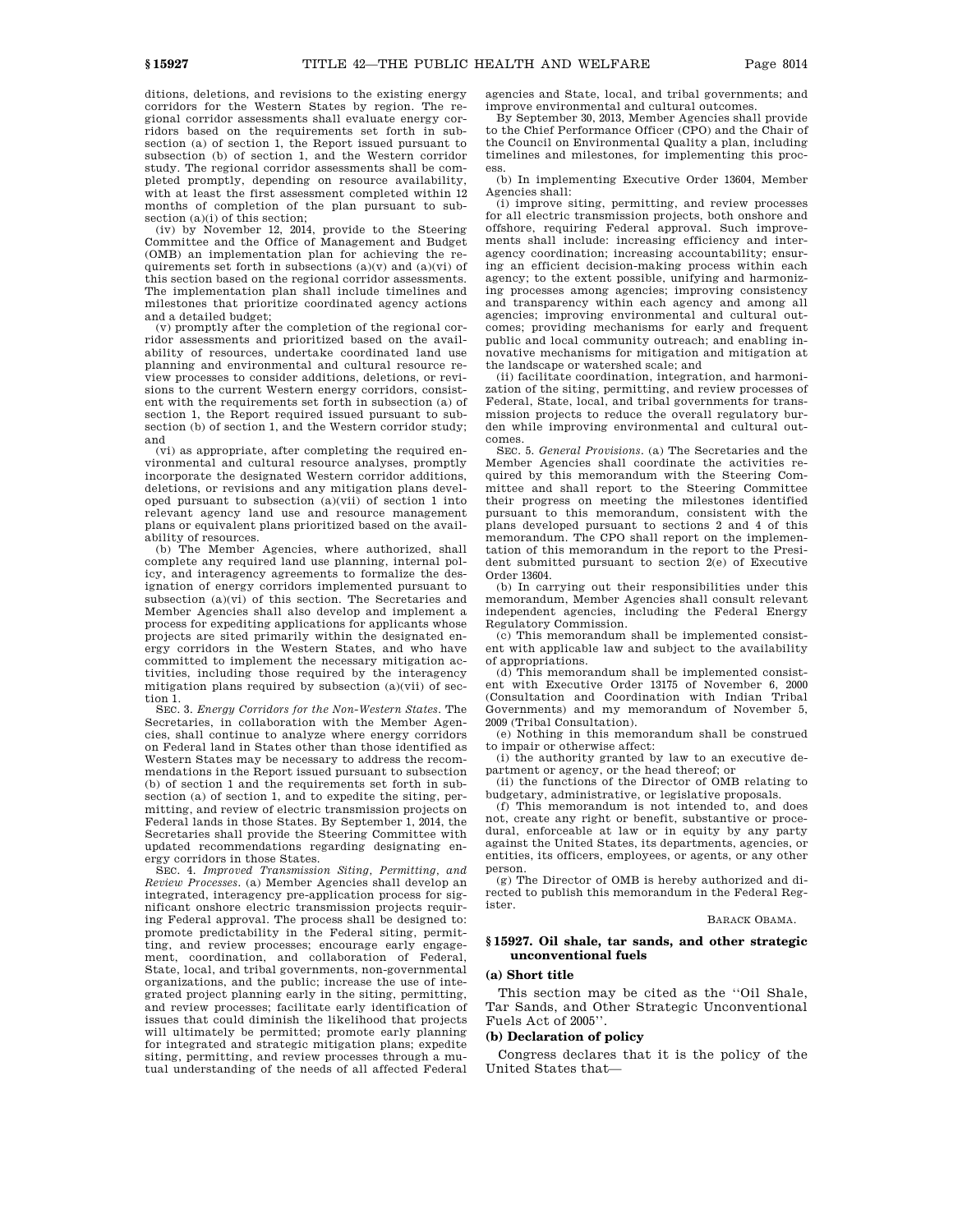ditions, deletions, and revisions to the existing energy corridors for the Western States by region. The regional corridor assessments shall evaluate energy corridors based on the requirements set forth in subsection (a) of section 1, the Report issued pursuant to subsection (b) of section 1, and the Western corridor study. The regional corridor assessments shall be completed promptly, depending on resource availability, with at least the first assessment completed within 12 months of completion of the plan pursuant to subsection (a)(i) of this section;

(iv) by November 12, 2014, provide to the Steering Committee and the Office of Management and Budget (OMB) an implementation plan for achieving the requirements set forth in subsections  $(a)(v)$  and  $(a)(vi)$  of this section based on the regional corridor assessments. The implementation plan shall include timelines and milestones that prioritize coordinated agency actions and a detailed budget;

(v) promptly after the completion of the regional corridor assessments and prioritized based on the availability of resources, undertake coordinated land use planning and environmental and cultural resource review processes to consider additions, deletions, or revisions to the current Western energy corridors, consistent with the requirements set forth in subsection (a) of section 1, the Report required issued pursuant to subsection (b) of section 1, and the Western corridor study; and

(vi) as appropriate, after completing the required environmental and cultural resource analyses, promptly incorporate the designated Western corridor additions, deletions, or revisions and any mitigation plans developed pursuant to subsection (a)(vii) of section 1 into relevant agency land use and resource management plans or equivalent plans prioritized based on the availability of resources. (b) The Member Agencies, where authorized, shall

complete any required land use planning, internal policy, and interagency agreements to formalize the designation of energy corridors implemented pursuant to subsection (a)(vi) of this section. The Secretaries and Member Agencies shall also develop and implement a process for expediting applications for applicants whose projects are sited primarily within the designated energy corridors in the Western States, and who have committed to implement the necessary mitigation activities, including those required by the interagency mitigation plans required by subsection (a)(vii) of section 1.

SEC. 3. *Energy Corridors for the Non-Western States*. The Secretaries, in collaboration with the Member Agencies, shall continue to analyze where energy corridors on Federal land in States other than those identified as Western States may be necessary to address the recommendations in the Report issued pursuant to subsection (b) of section 1 and the requirements set forth in subsection (a) of section 1, and to expedite the siting, permitting, and review of electric transmission projects on Federal lands in those States. By September 1, 2014, the Secretaries shall provide the Steering Committee with updated recommendations regarding designating energy corridors in those States.

SEC. 4. *Improved Transmission Siting, Permitting, and Review Processes*. (a) Member Agencies shall develop an integrated, interagency pre-application process for significant onshore electric transmission projects requiring Federal approval. The process shall be designed to: promote predictability in the Federal siting, permitting, and review processes; encourage early engagement, coordination, and collaboration of Federal, State, local, and tribal governments, non-governmental organizations, and the public; increase the use of integrated project planning early in the siting, permitting, and review processes; facilitate early identification of issues that could diminish the likelihood that projects will ultimately be permitted; promote early planning for integrated and strategic mitigation plans; expedite siting, permitting, and review processes through a mutual understanding of the needs of all affected Federal

agencies and State, local, and tribal governments; and improve environmental and cultural outcomes.

By September 30, 2013, Member Agencies shall provide to the Chief Performance Officer (CPO) and the Chair of the Council on Environmental Quality a plan, including timelines and milestones, for implementing this process.

(b) In implementing Executive Order 13604, Member Agencies shall:

(i) improve siting, permitting, and review processes for all electric transmission projects, both onshore and offshore, requiring Federal approval. Such improvements shall include: increasing efficiency and interagency coordination; increasing accountability; ensuring an efficient decision-making process within each agency; to the extent possible, unifying and harmonizing processes among agencies; improving consistency and transparency within each agency and among all agencies; improving environmental and cultural outcomes; providing mechanisms for early and frequent public and local community outreach; and enabling innovative mechanisms for mitigation and mitigation at the landscape or watershed scale; and

(ii) facilitate coordination, integration, and harmonization of the siting, permitting, and review processes of Federal, State, local, and tribal governments for transmission projects to reduce the overall regulatory burden while improving environmental and cultural outcomes.

SEC. 5. *General Provisions*. (a) The Secretaries and the Member Agencies shall coordinate the activities required by this memorandum with the Steering Committee and shall report to the Steering Committee their progress on meeting the milestones identified pursuant to this memorandum, consistent with the plans developed pursuant to sections 2 and 4 of this memorandum. The CPO shall report on the implementation of this memorandum in the report to the President submitted pursuant to section 2(e) of Executive Order 13604.

(b) In carrying out their responsibilities under this memorandum, Member Agencies shall consult relevant independent agencies, including the Federal Energy Regulatory Commission.

(c) This memorandum shall be implemented consistent with applicable law and subject to the availability of appropriations.

(d) This memorandum shall be implemented consistent with Executive Order 13175 of November 6, 2000 (Consultation and Coordination with Indian Tribal Governments) and my memorandum of November 5, 2009 (Tribal Consultation).

(e) Nothing in this memorandum shall be construed to impair or otherwise affect:

(i) the authority granted by law to an executive department or agency, or the head thereof; or

(ii) the functions of the Director of OMB relating to budgetary, administrative, or legislative proposals.

(f) This memorandum is not intended to, and does not, create any right or benefit, substantive or procedural, enforceable at law or in equity by any party against the United States, its departments, agencies, or entities, its officers, employees, or agents, or any other person.

(g) The Director of OMB is hereby authorized and directed to publish this memorandum in the Federal Register.

#### BARACK OBAMA.

## **§ 15927. Oil shale, tar sands, and other strategic unconventional fuels**

## **(a) Short title**

This section may be cited as the ''Oil Shale, Tar Sands, and Other Strategic Unconventional Fuels Act of 2005''.

#### **(b) Declaration of policy**

Congress declares that it is the policy of the United States that—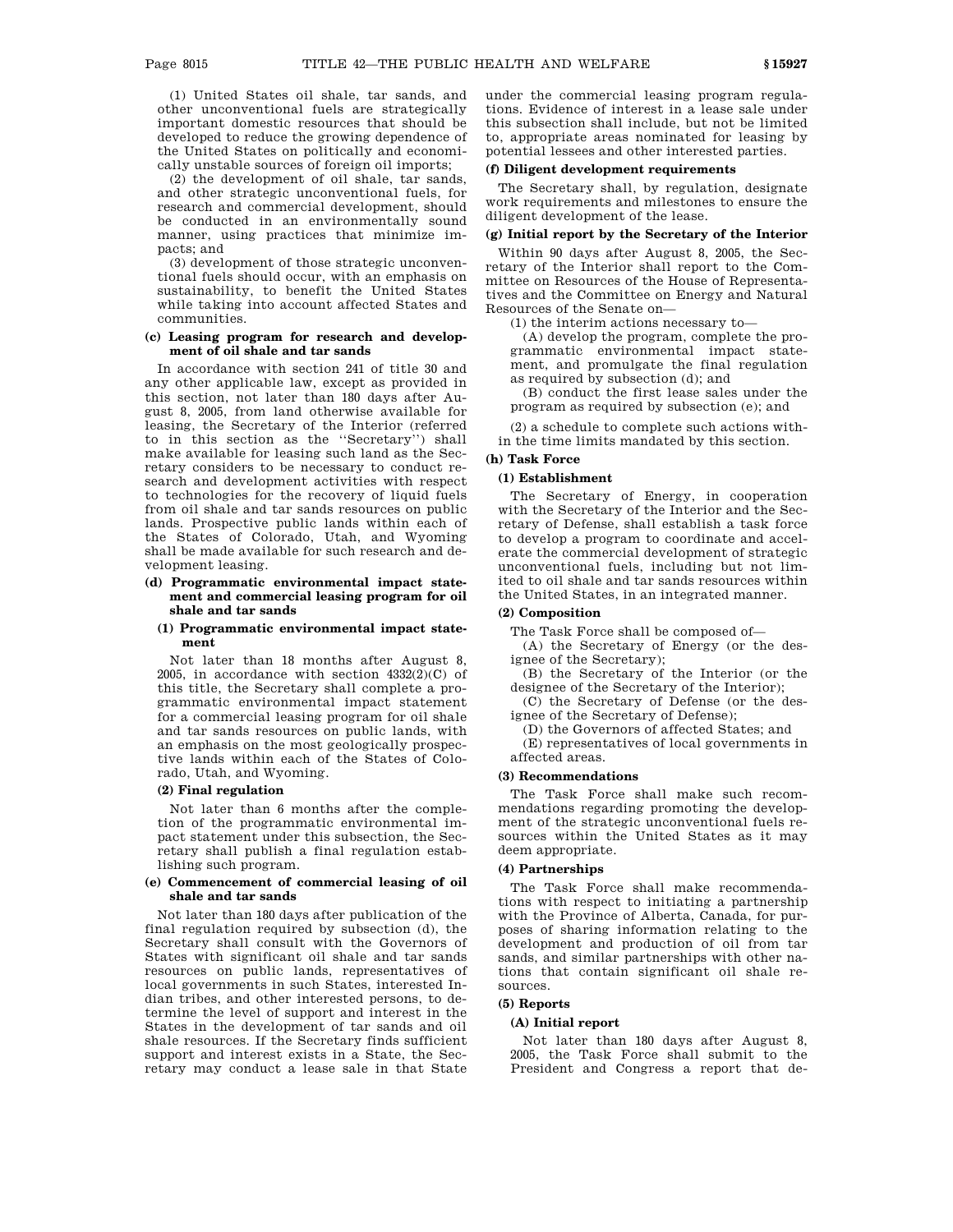(1) United States oil shale, tar sands, and other unconventional fuels are strategically important domestic resources that should be developed to reduce the growing dependence of the United States on politically and economically unstable sources of foreign oil imports;

(2) the development of oil shale, tar sands, and other strategic unconventional fuels, for research and commercial development, should be conducted in an environmentally sound manner, using practices that minimize impacts; and

(3) development of those strategic unconventional fuels should occur, with an emphasis on sustainability, to benefit the United States while taking into account affected States and communities.

## **(c) Leasing program for research and development of oil shale and tar sands**

In accordance with section 241 of title 30 and any other applicable law, except as provided in this section, not later than 180 days after August 8, 2005, from land otherwise available for leasing, the Secretary of the Interior (referred to in this section as the ''Secretary'') shall make available for leasing such land as the Secretary considers to be necessary to conduct research and development activities with respect to technologies for the recovery of liquid fuels from oil shale and tar sands resources on public lands. Prospective public lands within each of the States of Colorado, Utah, and Wyoming shall be made available for such research and development leasing.

## **(d) Programmatic environmental impact statement and commercial leasing program for oil shale and tar sands**

### **(1) Programmatic environmental impact statement**

Not later than 18 months after August 8, 2005, in accordance with section  $4332(2)(C)$  of this title, the Secretary shall complete a programmatic environmental impact statement for a commercial leasing program for oil shale and tar sands resources on public lands, with an emphasis on the most geologically prospective lands within each of the States of Colorado, Utah, and Wyoming.

### **(2) Final regulation**

Not later than 6 months after the completion of the programmatic environmental impact statement under this subsection, the Secretary shall publish a final regulation establishing such program.

#### **(e) Commencement of commercial leasing of oil shale and tar sands**

Not later than 180 days after publication of the final regulation required by subsection (d), the Secretary shall consult with the Governors of States with significant oil shale and tar sands resources on public lands, representatives of local governments in such States, interested Indian tribes, and other interested persons, to determine the level of support and interest in the States in the development of tar sands and oil shale resources. If the Secretary finds sufficient support and interest exists in a State, the Secretary may conduct a lease sale in that State

under the commercial leasing program regulations. Evidence of interest in a lease sale under this subsection shall include, but not be limited to, appropriate areas nominated for leasing by potential lessees and other interested parties.

## **(f) Diligent development requirements**

The Secretary shall, by regulation, designate work requirements and milestones to ensure the diligent development of the lease.

### **(g) Initial report by the Secretary of the Interior**

Within 90 days after August 8, 2005, the Secretary of the Interior shall report to the Committee on Resources of the House of Representatives and the Committee on Energy and Natural Resources of the Senate on—

(1) the interim actions necessary to—

(A) develop the program, complete the programmatic environmental impact statement, and promulgate the final regulation as required by subsection (d); and

(B) conduct the first lease sales under the program as required by subsection (e); and

(2) a schedule to complete such actions within the time limits mandated by this section.

## **(h) Task Force**

## **(1) Establishment**

The Secretary of Energy, in cooperation with the Secretary of the Interior and the Secretary of Defense, shall establish a task force to develop a program to coordinate and accelerate the commercial development of strategic unconventional fuels, including but not limited to oil shale and tar sands resources within the United States, in an integrated manner.

## **(2) Composition**

The Task Force shall be composed of—

(A) the Secretary of Energy (or the designee of the Secretary);

(B) the Secretary of the Interior (or the designee of the Secretary of the Interior);

(C) the Secretary of Defense (or the designee of the Secretary of Defense);

(D) the Governors of affected States; and

(E) representatives of local governments in affected areas.

### **(3) Recommendations**

The Task Force shall make such recommendations regarding promoting the development of the strategic unconventional fuels resources within the United States as it may deem appropriate.

## **(4) Partnerships**

The Task Force shall make recommendations with respect to initiating a partnership with the Province of Alberta, Canada, for purposes of sharing information relating to the development and production of oil from tar sands, and similar partnerships with other nations that contain significant oil shale resources.

## **(5) Reports**

### **(A) Initial report**

Not later than 180 days after August 8, 2005, the Task Force shall submit to the President and Congress a report that de-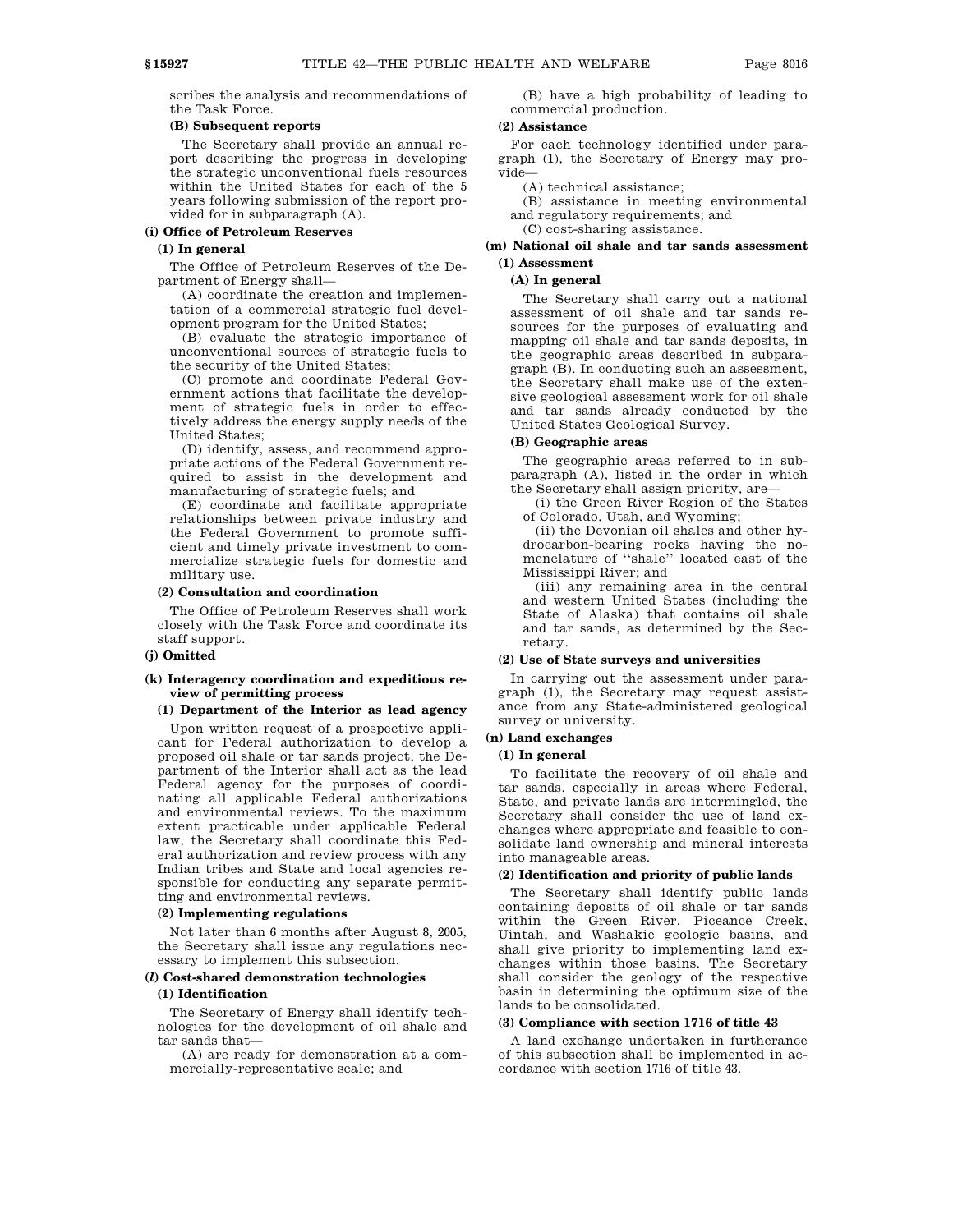scribes the analysis and recommendations of the Task Force.

## **(B) Subsequent reports**

The Secretary shall provide an annual report describing the progress in developing the strategic unconventional fuels resources within the United States for each of the 5 years following submission of the report provided for in subparagraph (A).

## **(i) Office of Petroleum Reserves**

#### **(1) In general**

The Office of Petroleum Reserves of the Department of Energy shall—

(A) coordinate the creation and implementation of a commercial strategic fuel development program for the United States;

(B) evaluate the strategic importance of unconventional sources of strategic fuels to the security of the United States;

(C) promote and coordinate Federal Government actions that facilitate the development of strategic fuels in order to effectively address the energy supply needs of the United States;

(D) identify, assess, and recommend appropriate actions of the Federal Government required to assist in the development and manufacturing of strategic fuels; and

(E) coordinate and facilitate appropriate relationships between private industry and the Federal Government to promote sufficient and timely private investment to commercialize strategic fuels for domestic and military use.

## **(2) Consultation and coordination**

The Office of Petroleum Reserves shall work closely with the Task Force and coordinate its staff support.

## **(j) Omitted**

#### **(k) Interagency coordination and expeditious review of permitting process**

## **(1) Department of the Interior as lead agency**

Upon written request of a prospective applicant for Federal authorization to develop a proposed oil shale or tar sands project, the Department of the Interior shall act as the lead Federal agency for the purposes of coordinating all applicable Federal authorizations and environmental reviews. To the maximum extent practicable under applicable Federal law, the Secretary shall coordinate this Federal authorization and review process with any Indian tribes and State and local agencies responsible for conducting any separate permitting and environmental reviews.

#### **(2) Implementing regulations**

Not later than 6 months after August 8, 2005, the Secretary shall issue any regulations necessary to implement this subsection.

## **(***l***) Cost-shared demonstration technologies**

## **(1) Identification**

The Secretary of Energy shall identify technologies for the development of oil shale and tar sands that—

(A) are ready for demonstration at a commercially-representative scale; and

(B) have a high probability of leading to commercial production.

#### **(2) Assistance**

For each technology identified under paragraph (1), the Secretary of Energy may provide—

(A) technical assistance;

(B) assistance in meeting environmental and regulatory requirements; and

(C) cost-sharing assistance.

### **(m) National oil shale and tar sands assessment (1) Assessment**

## **(A) In general**

The Secretary shall carry out a national assessment of oil shale and tar sands resources for the purposes of evaluating and mapping oil shale and tar sands deposits, in the geographic areas described in subparagraph (B). In conducting such an assessment, the Secretary shall make use of the extensive geological assessment work for oil shale and tar sands already conducted by the United States Geological Survey.

## **(B) Geographic areas**

The geographic areas referred to in subparagraph (A), listed in the order in which the Secretary shall assign priority, are—

(i) the Green River Region of the States of Colorado, Utah, and Wyoming;

(ii) the Devonian oil shales and other hydrocarbon-bearing rocks having the nomenclature of ''shale'' located east of the Mississippi River; and

(iii) any remaining area in the central and western United States (including the State of Alaska) that contains oil shale and tar sands, as determined by the Secretary.

#### **(2) Use of State surveys and universities**

In carrying out the assessment under paragraph (1), the Secretary may request assistance from any State-administered geological survey or university.

#### **(n) Land exchanges**

#### **(1) In general**

To facilitate the recovery of oil shale and tar sands, especially in areas where Federal, State, and private lands are intermingled, the Secretary shall consider the use of land exchanges where appropriate and feasible to consolidate land ownership and mineral interests into manageable areas.

## **(2) Identification and priority of public lands**

The Secretary shall identify public lands containing deposits of oil shale or tar sands within the Green River, Piceance Creek, Uintah, and Washakie geologic basins, and shall give priority to implementing land exchanges within those basins. The Secretary shall consider the geology of the respective basin in determining the optimum size of the lands to be consolidated.

#### **(3) Compliance with section 1716 of title 43**

A land exchange undertaken in furtherance of this subsection shall be implemented in accordance with section 1716 of title 43.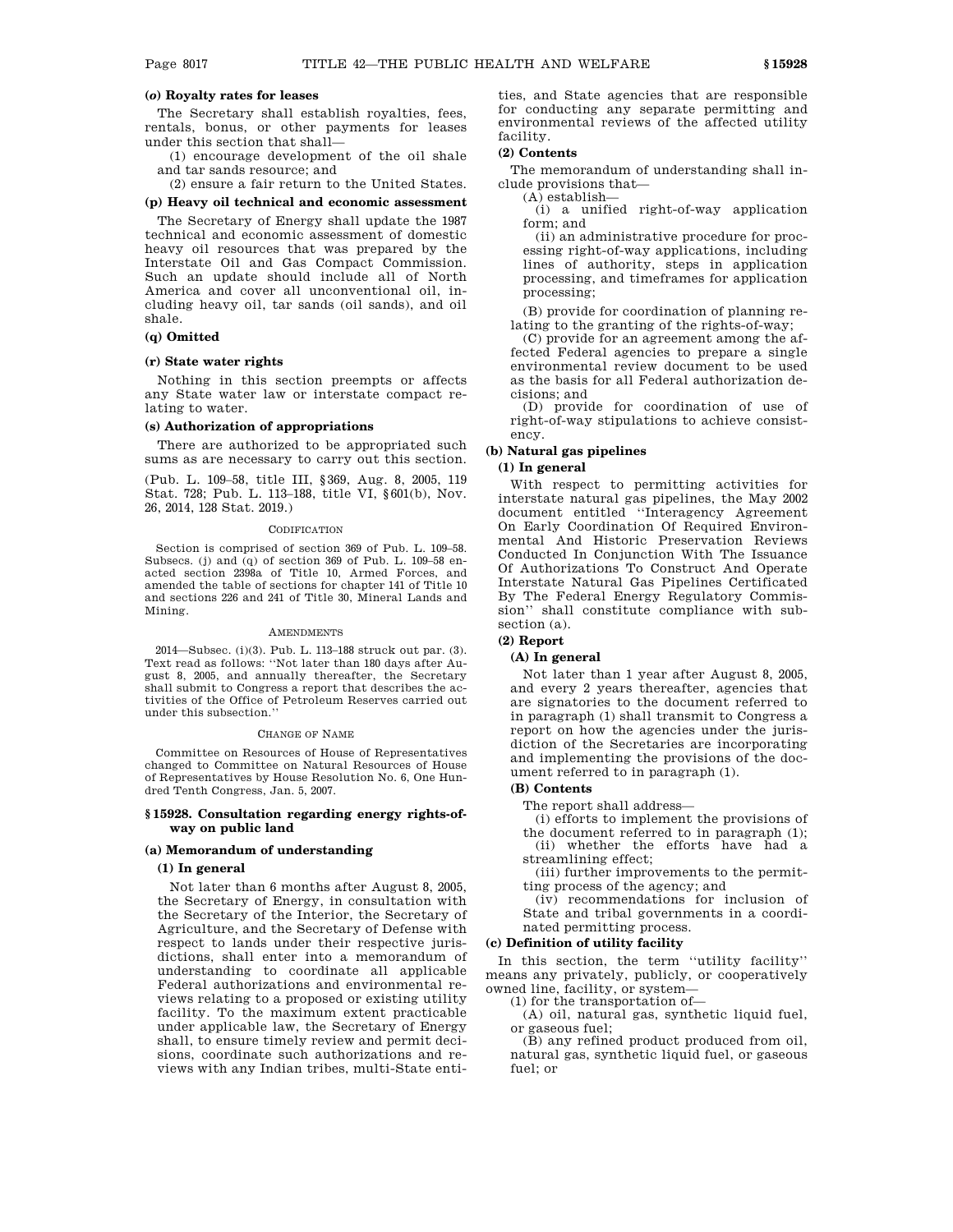## **(***o***) Royalty rates for leases**

The Secretary shall establish royalties, fees, rentals, bonus, or other payments for leases under this section that shall—

(1) encourage development of the oil shale and tar sands resource; and

(2) ensure a fair return to the United States.

## **(p) Heavy oil technical and economic assessment**

The Secretary of Energy shall update the 1987 technical and economic assessment of domestic heavy oil resources that was prepared by the Interstate Oil and Gas Compact Commission. Such an update should include all of North America and cover all unconventional oil, including heavy oil, tar sands (oil sands), and oil shale.

## **(q) Omitted**

#### **(r) State water rights**

Nothing in this section preempts or affects any State water law or interstate compact relating to water.

## **(s) Authorization of appropriations**

There are authorized to be appropriated such sums as are necessary to carry out this section.

(Pub. L. 109–58, title III, §369, Aug. 8, 2005, 119 Stat. 728; Pub. L. 113–188, title VI, §601(b), Nov. 26, 2014, 128 Stat. 2019.)

#### **CODIFICATION**

Section is comprised of section 369 of Pub. L. 109–58. Subsecs. (j) and (q) of section 369 of Pub. L. 109–58 enacted section 2398a of Title 10, Armed Forces, and amended the table of sections for chapter 141 of Title 10 and sections 226 and 241 of Title 30, Mineral Lands and Mining.

#### **AMENDMENTS**

2014—Subsec. (i)(3). Pub. L. 113–188 struck out par. (3). Text read as follows: ''Not later than 180 days after August 8, 2005, and annually thereafter, the Secretary shall submit to Congress a report that describes the activities of the Office of Petroleum Reserves carried out under this subsection.''

#### CHANGE OF NAME

Committee on Resources of House of Representatives changed to Committee on Natural Resources of House of Representatives by House Resolution No. 6, One Hundred Tenth Congress, Jan. 5, 2007.

#### **§ 15928. Consultation regarding energy rights-ofway on public land**

#### **(a) Memorandum of understanding**

#### **(1) In general**

Not later than 6 months after August 8, 2005, the Secretary of Energy, in consultation with the Secretary of the Interior, the Secretary of Agriculture, and the Secretary of Defense with respect to lands under their respective jurisdictions, shall enter into a memorandum of understanding to coordinate all applicable Federal authorizations and environmental reviews relating to a proposed or existing utility facility. To the maximum extent practicable under applicable law, the Secretary of Energy shall, to ensure timely review and permit decisions, coordinate such authorizations and reviews with any Indian tribes, multi-State enti-

ties, and State agencies that are responsible for conducting any separate permitting and environmental reviews of the affected utility facility.

## **(2) Contents**

The memorandum of understanding shall include provisions that—

(A) establish— (i) a unified right-of-way application form; and

(ii) an administrative procedure for processing right-of-way applications, including lines of authority, steps in application processing, and timeframes for application processing;

(B) provide for coordination of planning relating to the granting of the rights-of-way;

(C) provide for an agreement among the affected Federal agencies to prepare a single environmental review document to be used as the basis for all Federal authorization decisions; and

(D) provide for coordination of use of right-of-way stipulations to achieve consistency.

## **(b) Natural gas pipelines**

#### **(1) In general**

With respect to permitting activities for interstate natural gas pipelines, the May 2002 document entitled ''Interagency Agreement On Early Coordination Of Required Environmental And Historic Preservation Reviews Conducted In Conjunction With The Issuance Of Authorizations To Construct And Operate Interstate Natural Gas Pipelines Certificated By The Federal Energy Regulatory Commission'' shall constitute compliance with subsection (a).

#### **(2) Report**

## **(A) In general**

Not later than 1 year after August 8, 2005, and every 2 years thereafter, agencies that are signatories to the document referred to in paragraph (1) shall transmit to Congress a report on how the agencies under the jurisdiction of the Secretaries are incorporating and implementing the provisions of the document referred to in paragraph (1).

#### **(B) Contents**

The report shall address—

(i) efforts to implement the provisions of the document referred to in paragraph (1);

(ii) whether the efforts have had a streamlining effect;

(iii) further improvements to the permitting process of the agency; and

(iv) recommendations for inclusion of State and tribal governments in a coordinated permitting process.

### **(c) Definition of utility facility**

In this section, the term ''utility facility'' means any privately, publicly, or cooperatively owned line, facility, or system—

(1) for the transportation of—

(A) oil, natural gas, synthetic liquid fuel, or gaseous fuel;

(B) any refined product produced from oil, natural gas, synthetic liquid fuel, or gaseous fuel; or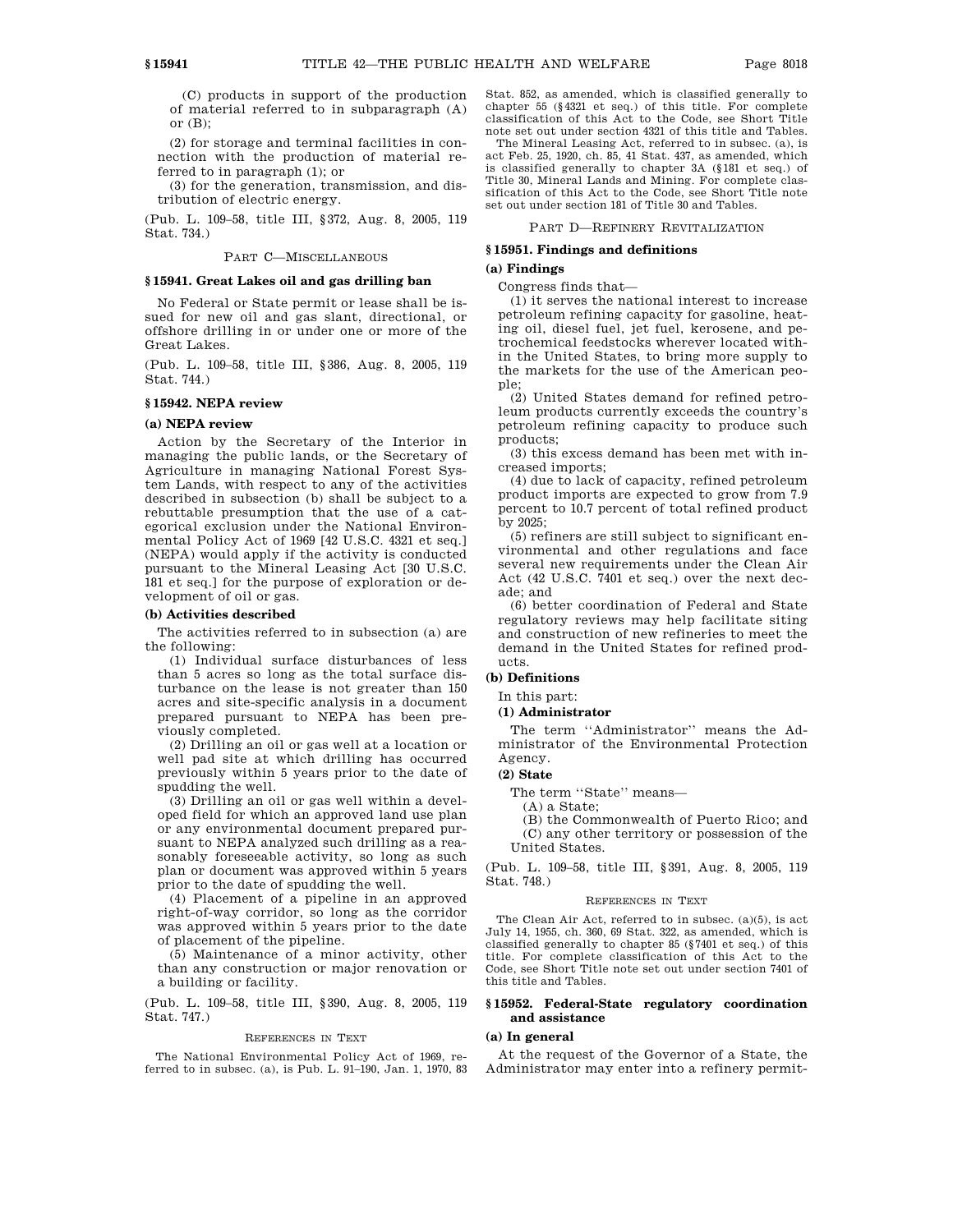(C) products in support of the production of material referred to in subparagraph (A) or  $(B)$ :

(2) for storage and terminal facilities in connection with the production of material referred to in paragraph (1); or

(3) for the generation, transmission, and distribution of electric energy.

(Pub. L. 109–58, title III, §372, Aug. 8, 2005, 119 Stat. 734.)

#### PART C—MISCELLANEOUS

#### **§ 15941. Great Lakes oil and gas drilling ban**

No Federal or State permit or lease shall be issued for new oil and gas slant, directional, or offshore drilling in or under one or more of the Great Lakes.

(Pub. L. 109–58, title III, §386, Aug. 8, 2005, 119 Stat. 744.)

## **§ 15942. NEPA review**

#### **(a) NEPA review**

Action by the Secretary of the Interior in managing the public lands, or the Secretary of Agriculture in managing National Forest System Lands, with respect to any of the activities described in subsection (b) shall be subject to a rebuttable presumption that the use of a categorical exclusion under the National Environmental Policy Act of 1969 [42 U.S.C. 4321 et seq.] (NEPA) would apply if the activity is conducted pursuant to the Mineral Leasing Act [30 U.S.C. 181 et seq.] for the purpose of exploration or development of oil or gas.

### **(b) Activities described**

The activities referred to in subsection (a) are the following:

(1) Individual surface disturbances of less than 5 acres so long as the total surface disturbance on the lease is not greater than 150 acres and site-specific analysis in a document prepared pursuant to NEPA has been previously completed.

(2) Drilling an oil or gas well at a location or well pad site at which drilling has occurred previously within 5 years prior to the date of spudding the well.

(3) Drilling an oil or gas well within a developed field for which an approved land use plan or any environmental document prepared pursuant to NEPA analyzed such drilling as a reasonably foreseeable activity, so long as such plan or document was approved within 5 years prior to the date of spudding the well.

(4) Placement of a pipeline in an approved right-of-way corridor, so long as the corridor was approved within 5 years prior to the date of placement of the pipeline.

(5) Maintenance of a minor activity, other than any construction or major renovation or a building or facility.

(Pub. L. 109–58, title III, §390, Aug. 8, 2005, 119 Stat. 747.)

#### REFERENCES IN TEXT

The National Environmental Policy Act of 1969, referred to in subsec. (a), is Pub. L. 91–190, Jan. 1, 1970, 83 Stat. 852, as amended, which is classified generally to chapter 55 (§4321 et seq.) of this title. For complete classification of this Act to the Code, see Short Title note set out under section 4321 of this title and Tables.

The Mineral Leasing Act, referred to in subsec. (a), is act Feb. 25, 1920, ch. 85, 41 Stat. 437, as amended, which is classified generally to chapter 3A (§181 et seq.) of Title 30, Mineral Lands and Mining. For complete classification of this Act to the Code, see Short Title note set out under section 181 of Title 30 and Tables.

PART D—REFINERY REVITALIZATION

## **§ 15951. Findings and definitions**

#### **(a) Findings**

Congress finds that—

(1) it serves the national interest to increase petroleum refining capacity for gasoline, heating oil, diesel fuel, jet fuel, kerosene, and petrochemical feedstocks wherever located within the United States, to bring more supply to the markets for the use of the American people;

(2) United States demand for refined petroleum products currently exceeds the country's petroleum refining capacity to produce such products;

(3) this excess demand has been met with increased imports;

(4) due to lack of capacity, refined petroleum product imports are expected to grow from 7.9 percent to 10.7 percent of total refined product by 2025;

(5) refiners are still subject to significant environmental and other regulations and face several new requirements under the Clean Air Act (42 U.S.C. 7401 et seq.) over the next decade; and

(6) better coordination of Federal and State regulatory reviews may help facilitate siting and construction of new refineries to meet the demand in the United States for refined products.

## **(b) Definitions**

## In this part:

#### **(1) Administrator**

The term ''Administrator'' means the Administrator of the Environmental Protection Agency.

#### **(2) State**

The term ''State'' means—

(A) a State;

(B) the Commonwealth of Puerto Rico; and (C) any other territory or possession of the United States.

(Pub. L. 109–58, title III, §391, Aug. 8, 2005, 119 Stat. 748.)

#### REFERENCES IN TEXT

The Clean Air Act, referred to in subsec. (a)(5), is act July 14, 1955, ch. 360, 69 Stat. 322, as amended, which is classified generally to chapter 85 (§7401 et seq.) of this title. For complete classification of this Act to the Code, see Short Title note set out under section 7401 of this title and Tables.

#### **§ 15952. Federal-State regulatory coordination and assistance**

#### **(a) In general**

At the request of the Governor of a State, the Administrator may enter into a refinery permit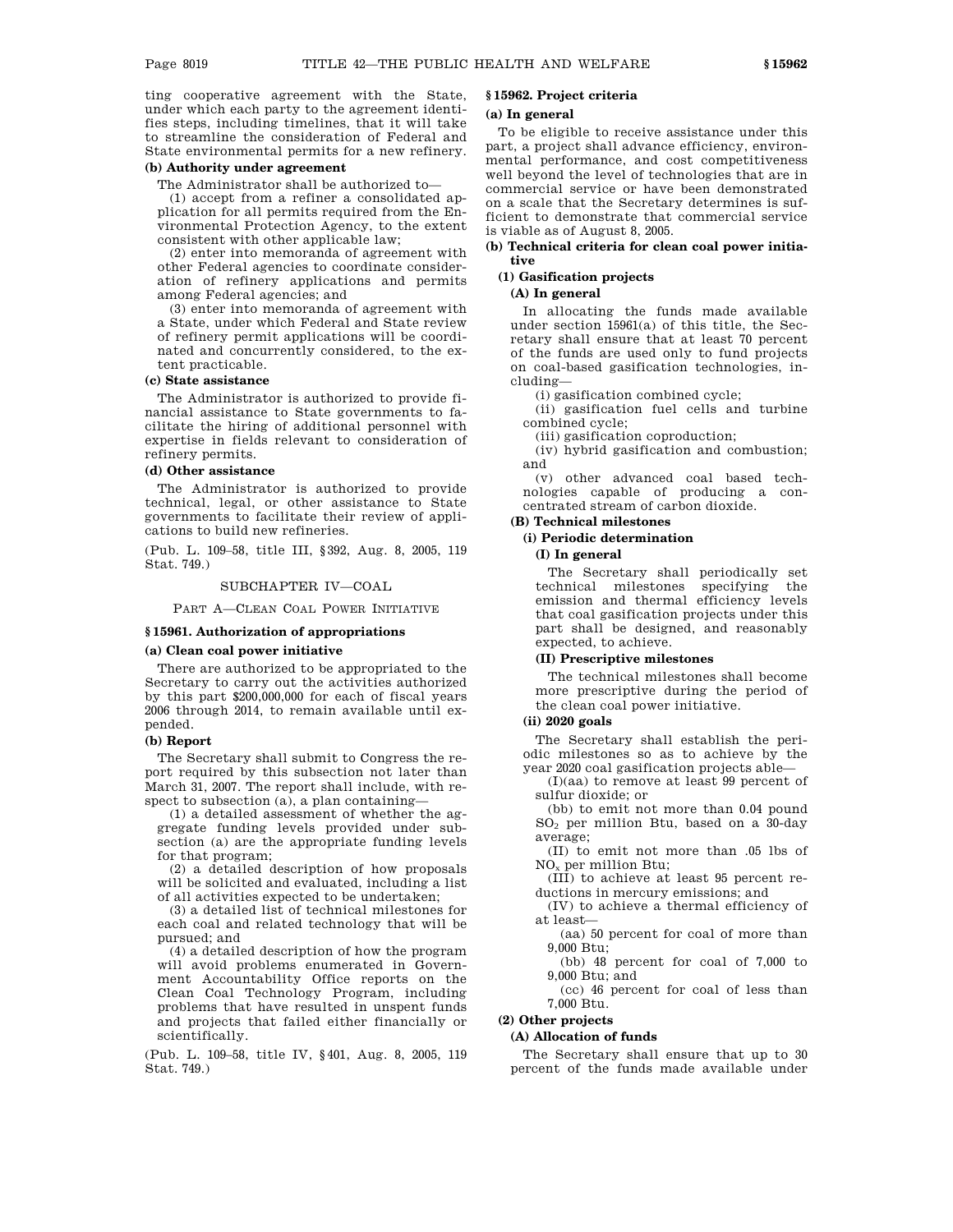ting cooperative agreement with the State, under which each party to the agreement identifies steps, including timelines, that it will take to streamline the consideration of Federal and State environmental permits for a new refinery.

## **(b) Authority under agreement**

The Administrator shall be authorized to—

(1) accept from a refiner a consolidated application for all permits required from the Environmental Protection Agency, to the extent consistent with other applicable law;

(2) enter into memoranda of agreement with other Federal agencies to coordinate consideration of refinery applications and permits among Federal agencies; and

(3) enter into memoranda of agreement with a State, under which Federal and State review of refinery permit applications will be coordinated and concurrently considered, to the extent practicable.

#### **(c) State assistance**

The Administrator is authorized to provide financial assistance to State governments to facilitate the hiring of additional personnel with expertise in fields relevant to consideration of refinery permits.

#### **(d) Other assistance**

The Administrator is authorized to provide technical, legal, or other assistance to State governments to facilitate their review of applications to build new refineries.

(Pub. L. 109–58, title III, §392, Aug. 8, 2005, 119 Stat. 749.)

## SUBCHAPTER IV—COAL

PART A—CLEAN COAL POWER INITIATIVE

## **§ 15961. Authorization of appropriations**

#### **(a) Clean coal power initiative**

There are authorized to be appropriated to the Secretary to carry out the activities authorized by this part \$200,000,000 for each of fiscal years 2006 through 2014, to remain available until expended.

## **(b) Report**

The Secretary shall submit to Congress the report required by this subsection not later than March 31, 2007. The report shall include, with respect to subsection (a), a plan containing—

(1) a detailed assessment of whether the aggregate funding levels provided under subsection (a) are the appropriate funding levels for that program;

(2) a detailed description of how proposals will be solicited and evaluated, including a list of all activities expected to be undertaken;

(3) a detailed list of technical milestones for each coal and related technology that will be pursued; and

(4) a detailed description of how the program will avoid problems enumerated in Government Accountability Office reports on the Clean Coal Technology Program, including problems that have resulted in unspent funds and projects that failed either financially or scientifically.

(Pub. L. 109–58, title IV, §401, Aug. 8, 2005, 119 Stat. 749.)

## **§ 15962. Project criteria**

## **(a) In general**

To be eligible to receive assistance under this part, a project shall advance efficiency, environmental performance, and cost competitiveness well beyond the level of technologies that are in commercial service or have been demonstrated on a scale that the Secretary determines is sufficient to demonstrate that commercial service is viable as of August 8, 2005.

## **(b) Technical criteria for clean coal power initiative**

## **(1) Gasification projects**

## **(A) In general**

In allocating the funds made available under section 15961(a) of this title, the Secretary shall ensure that at least 70 percent of the funds are used only to fund projects on coal-based gasification technologies, including—

(i) gasification combined cycle;

(ii) gasification fuel cells and turbine combined cycle;

(iii) gasification coproduction;

(iv) hybrid gasification and combustion; and

(v) other advanced coal based technologies capable of producing a concentrated stream of carbon dioxide.

## **(B) Technical milestones**

## **(i) Periodic determination**

## **(I) In general**

The Secretary shall periodically set technical milestones specifying the emission and thermal efficiency levels that coal gasification projects under this part shall be designed, and reasonably expected, to achieve.

#### **(II) Prescriptive milestones**

The technical milestones shall become more prescriptive during the period of the clean coal power initiative.

## **(ii) 2020 goals**

The Secretary shall establish the periodic milestones so as to achieve by the year 2020 coal gasification projects able—

(I)(aa) to remove at least 99 percent of sulfur dioxide; or

(bb) to emit not more than 0.04 pound SO2 per million Btu, based on a 30-day average;

(II) to emit not more than .05 lbs of NOx per million Btu;

(III) to achieve at least 95 percent reductions in mercury emissions; and

(IV) to achieve a thermal efficiency of at least—

(aa) 50 percent for coal of more than 9,000 Btu;

(bb) 48 percent for coal of 7,000 to 9,000 Btu; and

(cc) 46 percent for coal of less than 7,000 Btu.

## **(2) Other projects**

## **(A) Allocation of funds**

The Secretary shall ensure that up to 30 percent of the funds made available under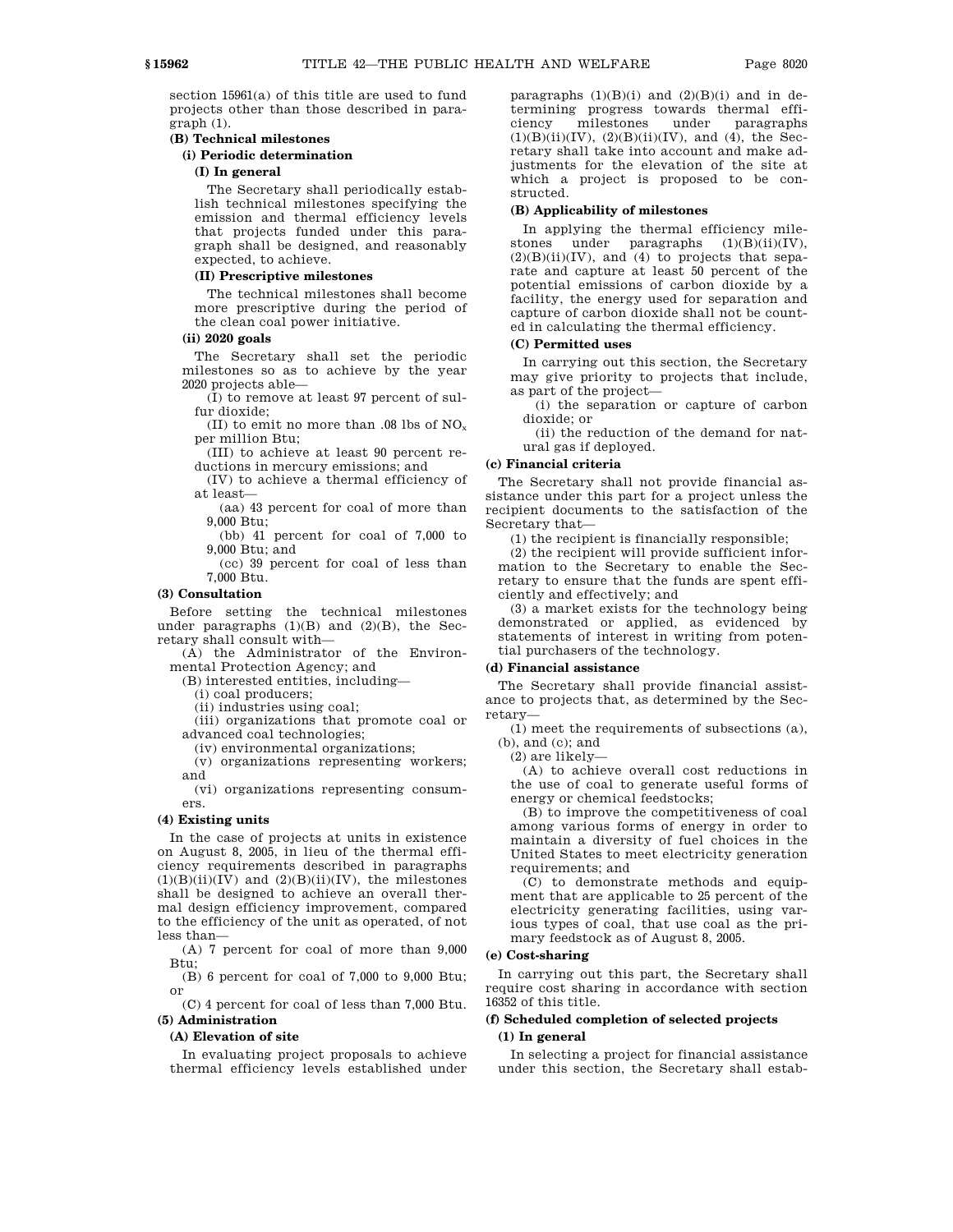section 15961(a) of this title are used to fund projects other than those described in paragraph (1).

### **(B) Technical milestones**

### **(i) Periodic determination**

#### **(I) In general**

The Secretary shall periodically establish technical milestones specifying the emission and thermal efficiency levels that projects funded under this paragraph shall be designed, and reasonably expected, to achieve.

### **(II) Prescriptive milestones**

The technical milestones shall become more prescriptive during the period of the clean coal power initiative.

### **(ii) 2020 goals**

The Secretary shall set the periodic milestones so as to achieve by the year 2020 projects able—

(I) to remove at least 97 percent of sulfur dioxide;

(II) to emit no more than .08 lbs of  $NO<sub>x</sub>$ per million Btu;

(III) to achieve at least 90 percent reductions in mercury emissions; and

(IV) to achieve a thermal efficiency of at least—

(aa) 43 percent for coal of more than 9,000 Btu;

(bb) 41 percent for coal of 7,000 to 9,000 Btu; and

(cc) 39 percent for coal of less than 7,000 Btu.

### **(3) Consultation**

Before setting the technical milestones under paragraphs  $(1)(B)$  and  $(2)(B)$ , the Secretary shall consult with—

(A) the Administrator of the Environmental Protection Agency; and

(B) interested entities, including—

(i) coal producers;

(ii) industries using coal;

(iii) organizations that promote coal or advanced coal technologies;

(iv) environmental organizations;

(v) organizations representing workers; and

(vi) organizations representing consumers.

#### **(4) Existing units**

In the case of projects at units in existence on August 8, 2005, in lieu of the thermal efficiency requirements described in paragraphs  $(1)(B)(ii)(IV)$  and  $(2)(B)(ii)(IV)$ , the milestones shall be designed to achieve an overall thermal design efficiency improvement, compared to the efficiency of the unit as operated, of not less than—

(A) 7 percent for coal of more than 9,000 Btu;

(B) 6 percent for coal of 7,000 to 9,000 Btu; or

(C) 4 percent for coal of less than 7,000 Btu. **(5) Administration**

#### **(A) Elevation of site**

In evaluating project proposals to achieve thermal efficiency levels established under paragraphs  $(1)(B)(i)$  and  $(2)(B)(i)$  and in determining progress towards thermal efficiency milestones under paragraphs  $(1)(B)(ii)(IV), (2)(B)(ii)(IV), and (4), the Sec$ retary shall take into account and make adjustments for the elevation of the site at which a project is proposed to be constructed.

#### **(B) Applicability of milestones**

In applying the thermal efficiency milestones under paragraphs  $(1)(B)(ii)(IV)$ ,  $(2)(B)(ii)(IV)$ , and  $(4)$  to projects that separate and capture at least 50 percent of the potential emissions of carbon dioxide by a facility, the energy used for separation and capture of carbon dioxide shall not be counted in calculating the thermal efficiency.

### **(C) Permitted uses**

In carrying out this section, the Secretary may give priority to projects that include, as part of the project—

(i) the separation or capture of carbon dioxide; or

(ii) the reduction of the demand for natural gas if deployed.

### **(c) Financial criteria**

The Secretary shall not provide financial assistance under this part for a project unless the recipient documents to the satisfaction of the Secretary that—

(1) the recipient is financially responsible;

(2) the recipient will provide sufficient information to the Secretary to enable the Secretary to ensure that the funds are spent efficiently and effectively; and

(3) a market exists for the technology being demonstrated or applied, as evidenced by statements of interest in writing from potential purchasers of the technology.

#### **(d) Financial assistance**

The Secretary shall provide financial assistance to projects that, as determined by the Secretary—

(1) meet the requirements of subsections (a), (b), and (c); and

(2) are likely—

(A) to achieve overall cost reductions in the use of coal to generate useful forms of energy or chemical feedstocks;

(B) to improve the competitiveness of coal among various forms of energy in order to maintain a diversity of fuel choices in the United States to meet electricity generation requirements; and

(C) to demonstrate methods and equipment that are applicable to 25 percent of the electricity generating facilities, using various types of coal, that use coal as the primary feedstock as of August 8, 2005.

#### **(e) Cost-sharing**

In carrying out this part, the Secretary shall require cost sharing in accordance with section 16352 of this title.

### **(f) Scheduled completion of selected projects**

### **(1) In general**

In selecting a project for financial assistance under this section, the Secretary shall estab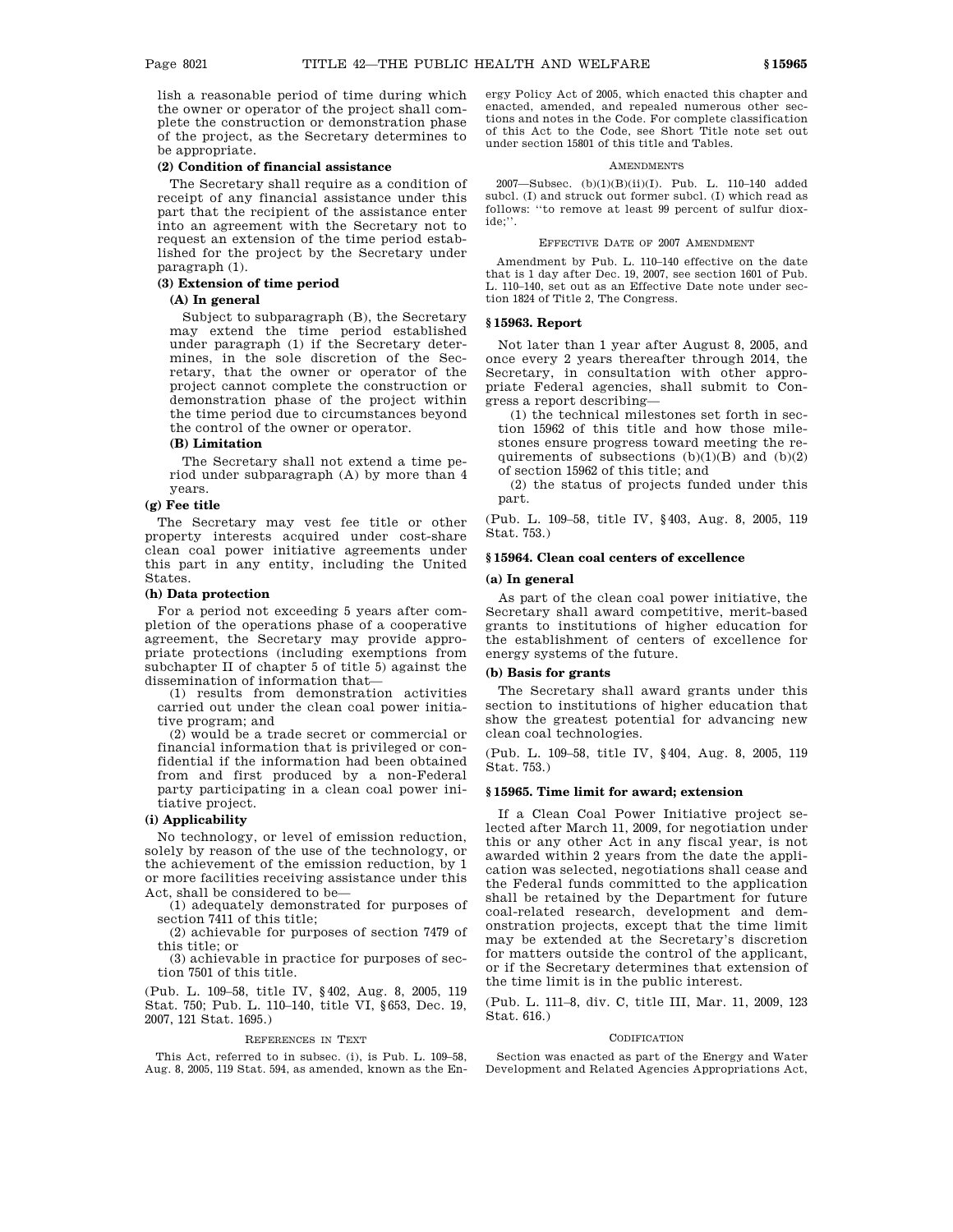lish a reasonable period of time during which the owner or operator of the project shall complete the construction or demonstration phase of the project, as the Secretary determines to be appropriate.

#### **(2) Condition of financial assistance**

The Secretary shall require as a condition of receipt of any financial assistance under this part that the recipient of the assistance enter into an agreement with the Secretary not to request an extension of the time period established for the project by the Secretary under paragraph (1).

### **(3) Extension of time period**

### **(A) In general**

Subject to subparagraph (B), the Secretary may extend the time period established under paragraph (1) if the Secretary determines, in the sole discretion of the Secretary, that the owner or operator of the project cannot complete the construction or demonstration phase of the project within the time period due to circumstances beyond the control of the owner or operator.

### **(B) Limitation**

The Secretary shall not extend a time period under subparagraph (A) by more than 4 years.

### **(g) Fee title**

The Secretary may vest fee title or other property interests acquired under cost-share clean coal power initiative agreements under this part in any entity, including the United States.

#### **(h) Data protection**

For a period not exceeding 5 years after completion of the operations phase of a cooperative agreement, the Secretary may provide appropriate protections (including exemptions from subchapter II of chapter 5 of title 5) against the dissemination of information that—

(1) results from demonstration activities carried out under the clean coal power initiative program; and

(2) would be a trade secret or commercial or financial information that is privileged or confidential if the information had been obtained from and first produced by a non-Federal party participating in a clean coal power initiative project.

#### **(i) Applicability**

No technology, or level of emission reduction, solely by reason of the use of the technology, or the achievement of the emission reduction, by 1 or more facilities receiving assistance under this Act, shall be considered to be—

(1) adequately demonstrated for purposes of section 7411 of this title;

(2) achievable for purposes of section 7479 of this title; or

(3) achievable in practice for purposes of section 7501 of this title.

(Pub. L. 109–58, title IV, §402, Aug. 8, 2005, 119 Stat. 750; Pub. L. 110–140, title VI, §653, Dec. 19, 2007, 121 Stat. 1695.)

#### REFERENCES IN TEXT

This Act, referred to in subsec. (i), is Pub. L. 109–58, Aug. 8, 2005, 119 Stat. 594, as amended, known as the Energy Policy Act of 2005, which enacted this chapter and enacted, amended, and repealed numerous other sections and notes in the Code. For complete classification of this Act to the Code, see Short Title note set out under section 15801 of this title and Tables.

#### **AMENDMENTS**

2007—Subsec. (b)(1)(B)(ii)(I). Pub. L. 110–140 added subcl. (I) and struck out former subcl. (I) which read as follows: ''to remove at least 99 percent of sulfur dioxide;''.

#### EFFECTIVE DATE OF 2007 AMENDMENT

Amendment by Pub. L. 110–140 effective on the date that is 1 day after Dec. 19, 2007, see section 1601 of Pub. L. 110–140, set out as an Effective Date note under section 1824 of Title 2, The Congress.

### **§ 15963. Report**

Not later than 1 year after August 8, 2005, and once every 2 years thereafter through 2014, the Secretary, in consultation with other appropriate Federal agencies, shall submit to Congress a report describing—

(1) the technical milestones set forth in section 15962 of this title and how those milestones ensure progress toward meeting the requirements of subsections  $(b)(1)(B)$  and  $(b)(2)$ of section 15962 of this title; and

(2) the status of projects funded under this part.

(Pub. L. 109–58, title IV, §403, Aug. 8, 2005, 119 Stat. 753.)

### **§ 15964. Clean coal centers of excellence**

### **(a) In general**

As part of the clean coal power initiative, the Secretary shall award competitive, merit-based grants to institutions of higher education for the establishment of centers of excellence for energy systems of the future.

### **(b) Basis for grants**

The Secretary shall award grants under this section to institutions of higher education that show the greatest potential for advancing new clean coal technologies.

(Pub. L. 109–58, title IV, §404, Aug. 8, 2005, 119 Stat. 753.)

#### **§ 15965. Time limit for award; extension**

If a Clean Coal Power Initiative project selected after March 11, 2009, for negotiation under this or any other Act in any fiscal year, is not awarded within 2 years from the date the application was selected, negotiations shall cease and the Federal funds committed to the application shall be retained by the Department for future coal-related research, development and demonstration projects, except that the time limit may be extended at the Secretary's discretion for matters outside the control of the applicant, or if the Secretary determines that extension of the time limit is in the public interest.

(Pub. L. 111–8, div. C, title III, Mar. 11, 2009, 123 Stat. 616.)

#### **CODIFICATION**

Section was enacted as part of the Energy and Water Development and Related Agencies Appropriations Act,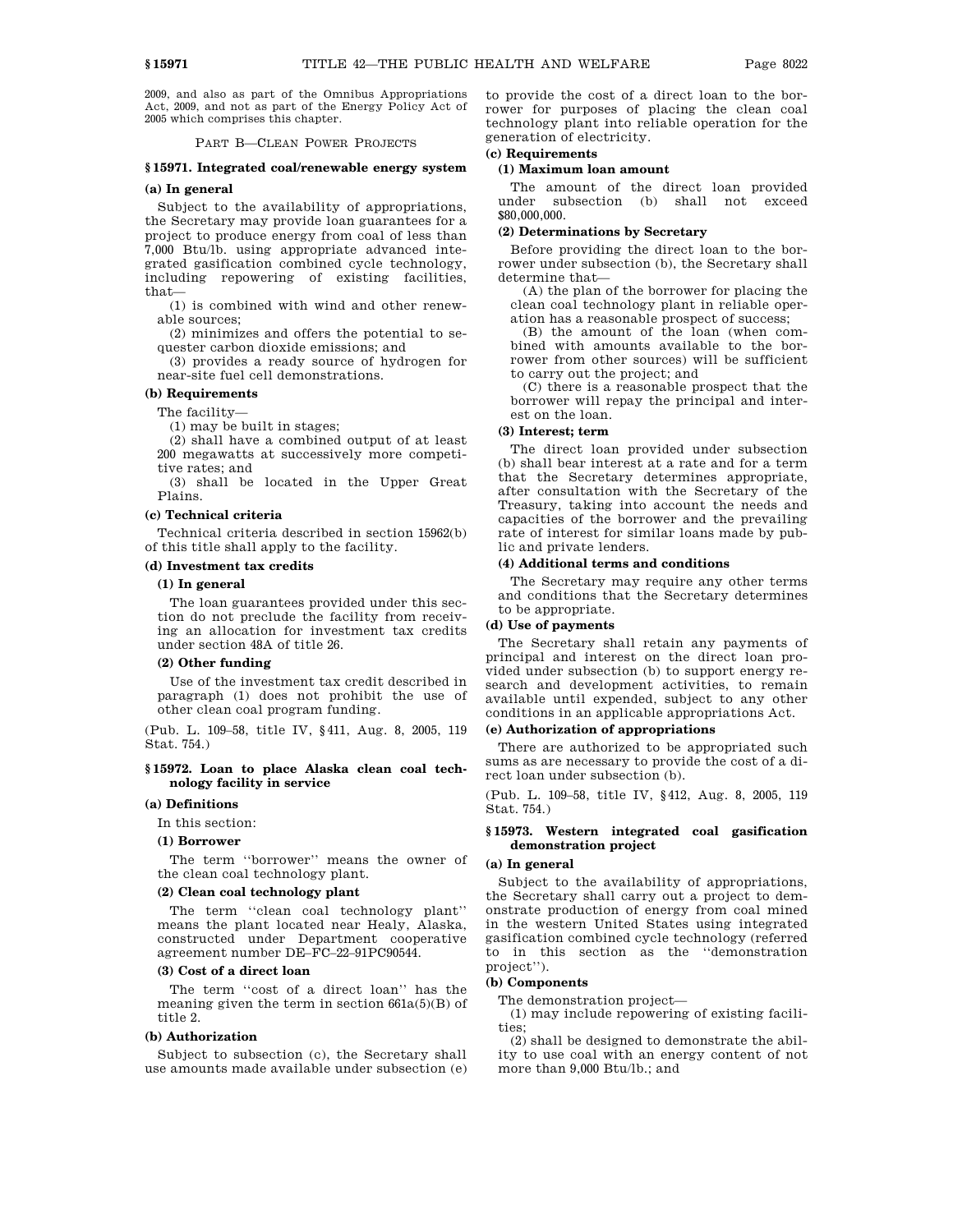2009, and also as part of the Omnibus Appropriations Act, 2009, and not as part of the Energy Policy Act of 2005 which comprises this chapter.

PART B—CLEAN POWER PROJECTS

#### **§ 15971. Integrated coal/renewable energy system**

### **(a) In general**

Subject to the availability of appropriations, the Secretary may provide loan guarantees for a project to produce energy from coal of less than 7,000 Btu/lb. using appropriate advanced integrated gasification combined cycle technology, including repowering of existing facilities, that—

(1) is combined with wind and other renewable sources;

(2) minimizes and offers the potential to sequester carbon dioxide emissions; and

(3) provides a ready source of hydrogen for near-site fuel cell demonstrations.

### **(b) Requirements**

The facility—

(1) may be built in stages;

(2) shall have a combined output of at least 200 megawatts at successively more competitive rates; and

(3) shall be located in the Upper Great Plains.

#### **(c) Technical criteria**

Technical criteria described in section 15962(b) of this title shall apply to the facility.

### **(d) Investment tax credits**

#### **(1) In general**

The loan guarantees provided under this section do not preclude the facility from receiving an allocation for investment tax credits under section 48A of title 26.

#### **(2) Other funding**

Use of the investment tax credit described in paragraph (1) does not prohibit the use of other clean coal program funding.

(Pub. L. 109–58, title IV, §411, Aug. 8, 2005, 119 Stat. 754.)

### **§ 15972. Loan to place Alaska clean coal technology facility in service**

#### **(a) Definitions**

In this section:

#### **(1) Borrower**

The term ''borrower'' means the owner of the clean coal technology plant.

#### **(2) Clean coal technology plant**

The term ''clean coal technology plant'' means the plant located near Healy, Alaska, constructed under Department cooperative agreement number DE–FC–22–91PC90544.

#### **(3) Cost of a direct loan**

The term "cost of a direct loan" has the meaning given the term in section  $661a(5)(B)$  of title 2.

### **(b) Authorization**

Subject to subsection (c), the Secretary shall use amounts made available under subsection (e) to provide the cost of a direct loan to the borrower for purposes of placing the clean coal technology plant into reliable operation for the generation of electricity.

## **(c) Requirements**

### **(1) Maximum loan amount**

The amount of the direct loan provided under subsection (b) shall not exceed \$80,000,000.

### **(2) Determinations by Secretary**

Before providing the direct loan to the borrower under subsection (b), the Secretary shall determine that—

(A) the plan of the borrower for placing the clean coal technology plant in reliable operation has a reasonable prospect of success;

(B) the amount of the loan (when combined with amounts available to the borrower from other sources) will be sufficient to carry out the project; and

(C) there is a reasonable prospect that the borrower will repay the principal and interest on the loan.

#### **(3) Interest; term**

The direct loan provided under subsection (b) shall bear interest at a rate and for a term that the Secretary determines appropriate, after consultation with the Secretary of the Treasury, taking into account the needs and capacities of the borrower and the prevailing rate of interest for similar loans made by public and private lenders.

### **(4) Additional terms and conditions**

The Secretary may require any other terms and conditions that the Secretary determines to be appropriate.

#### **(d) Use of payments**

The Secretary shall retain any payments of principal and interest on the direct loan provided under subsection (b) to support energy research and development activities, to remain available until expended, subject to any other conditions in an applicable appropriations Act.

#### **(e) Authorization of appropriations**

There are authorized to be appropriated such sums as are necessary to provide the cost of a direct loan under subsection (b).

(Pub. L. 109–58, title IV, §412, Aug. 8, 2005, 119 Stat. 754.)

### **§ 15973. Western integrated coal gasification demonstration project**

#### **(a) In general**

Subject to the availability of appropriations, the Secretary shall carry out a project to demonstrate production of energy from coal mined in the western United States using integrated gasification combined cycle technology (referred to in this section as the ''demonstration project'').

### **(b) Components**

The demonstration project—

(1) may include repowering of existing facilities;

(2) shall be designed to demonstrate the ability to use coal with an energy content of not more than 9,000 Btu/lb.; and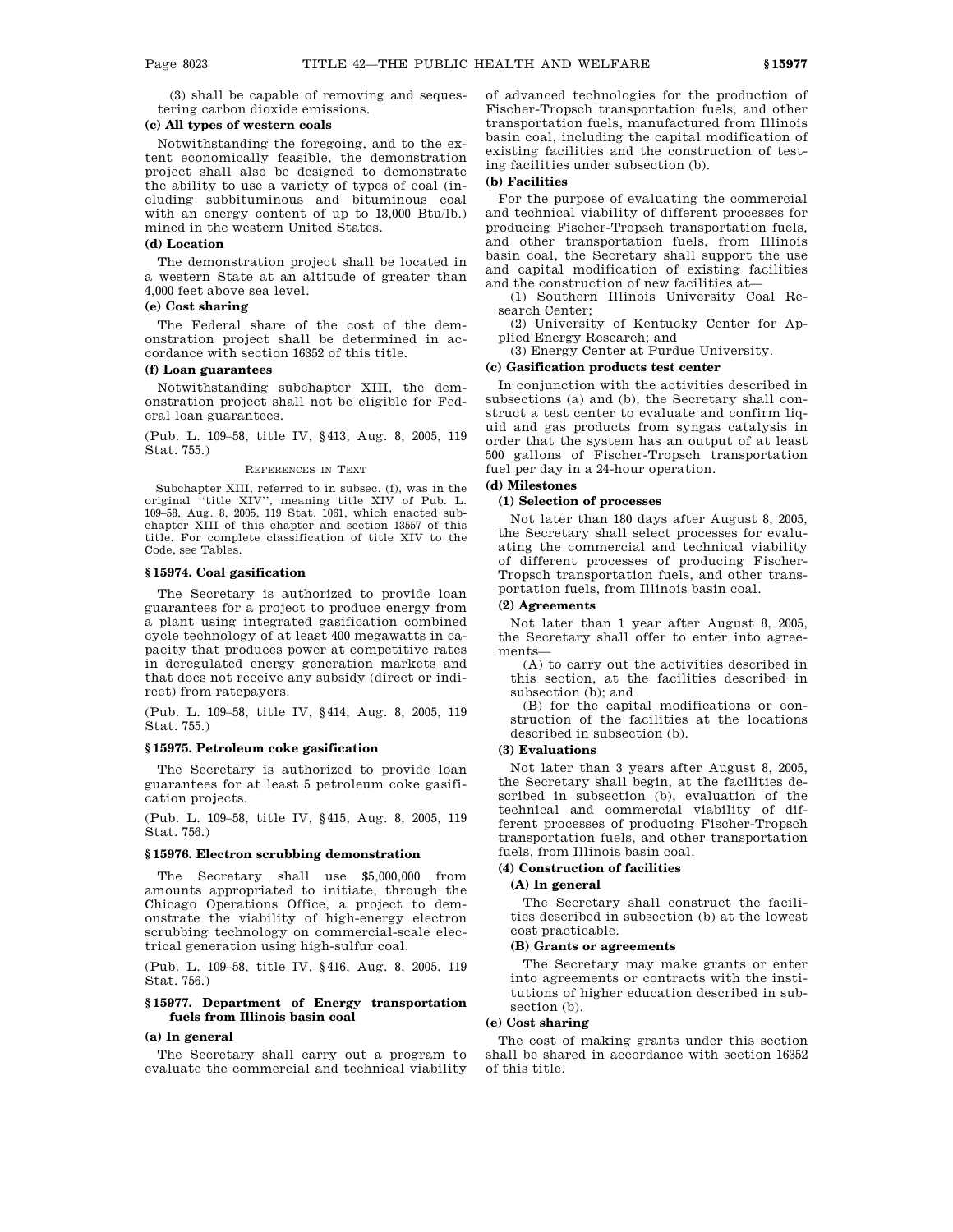(3) shall be capable of removing and sequestering carbon dioxide emissions.

### **(c) All types of western coals**

Notwithstanding the foregoing, and to the extent economically feasible, the demonstration project shall also be designed to demonstrate the ability to use a variety of types of coal (including subbituminous and bituminous coal with an energy content of up to 13,000 Btu/lb.) mined in the western United States.

#### **(d) Location**

The demonstration project shall be located in a western State at an altitude of greater than 4,000 feet above sea level.

### **(e) Cost sharing**

The Federal share of the cost of the demonstration project shall be determined in accordance with section 16352 of this title.

### **(f) Loan guarantees**

Notwithstanding subchapter XIII, the demonstration project shall not be eligible for Federal loan guarantees.

(Pub. L. 109–58, title IV, §413, Aug. 8, 2005, 119 Stat. 755.)

#### REFERENCES IN TEXT

Subchapter XIII, referred to in subsec. (f), was in the original ''title XIV'', meaning title XIV of Pub. L. 109–58, Aug. 8, 2005, 119 Stat. 1061, which enacted subchapter XIII of this chapter and section 13557 of this title. For complete classification of title XIV to the Code, see Tables.

### **§ 15974. Coal gasification**

The Secretary is authorized to provide loan guarantees for a project to produce energy from a plant using integrated gasification combined cycle technology of at least 400 megawatts in capacity that produces power at competitive rates in deregulated energy generation markets and that does not receive any subsidy (direct or indirect) from ratepayers.

(Pub. L. 109–58, title IV, §414, Aug. 8, 2005, 119 Stat. 755.)

### **§ 15975. Petroleum coke gasification**

The Secretary is authorized to provide loan guarantees for at least 5 petroleum coke gasification projects.

(Pub. L. 109–58, title IV, §415, Aug. 8, 2005, 119 Stat. 756.)

#### **§ 15976. Electron scrubbing demonstration**

The Secretary shall use \$5,000,000 from amounts appropriated to initiate, through the Chicago Operations Office, a project to demonstrate the viability of high-energy electron scrubbing technology on commercial-scale electrical generation using high-sulfur coal.

(Pub. L. 109–58, title IV, §416, Aug. 8, 2005, 119 Stat. 756.)

### **§ 15977. Department of Energy transportation fuels from Illinois basin coal**

#### **(a) In general**

The Secretary shall carry out a program to evaluate the commercial and technical viability of advanced technologies for the production of Fischer-Tropsch transportation fuels, and other transportation fuels, manufactured from Illinois basin coal, including the capital modification of existing facilities and the construction of testing facilities under subsection (b).

### **(b) Facilities**

For the purpose of evaluating the commercial and technical viability of different processes for producing Fischer-Tropsch transportation fuels, and other transportation fuels, from Illinois basin coal, the Secretary shall support the use and capital modification of existing facilities and the construction of new facilities at—

(1) Southern Illinois University Coal Research Center;

(2) University of Kentucky Center for Applied Energy Research; and

(3) Energy Center at Purdue University.

### **(c) Gasification products test center**

In conjunction with the activities described in subsections (a) and (b), the Secretary shall construct a test center to evaluate and confirm liquid and gas products from syngas catalysis in order that the system has an output of at least 500 gallons of Fischer-Tropsch transportation fuel per day in a 24-hour operation.

# **(d) Milestones**

### **(1) Selection of processes**

Not later than 180 days after August 8, 2005, the Secretary shall select processes for evaluating the commercial and technical viability of different processes of producing Fischer-Tropsch transportation fuels, and other transportation fuels, from Illinois basin coal.

#### **(2) Agreements**

Not later than 1 year after August 8, 2005, the Secretary shall offer to enter into agreements—

(A) to carry out the activities described in this section, at the facilities described in subsection (b); and

(B) for the capital modifications or construction of the facilities at the locations described in subsection (b).

#### **(3) Evaluations**

Not later than 3 years after August 8, 2005, the Secretary shall begin, at the facilities described in subsection (b), evaluation of the technical and commercial viability of different processes of producing Fischer-Tropsch transportation fuels, and other transportation fuels, from Illinois basin coal.

#### **(4) Construction of facilities**

#### **(A) In general**

The Secretary shall construct the facilities described in subsection (b) at the lowest cost practicable.

#### **(B) Grants or agreements**

The Secretary may make grants or enter into agreements or contracts with the institutions of higher education described in subsection (b).

#### **(e) Cost sharing**

The cost of making grants under this section shall be shared in accordance with section 16352 of this title.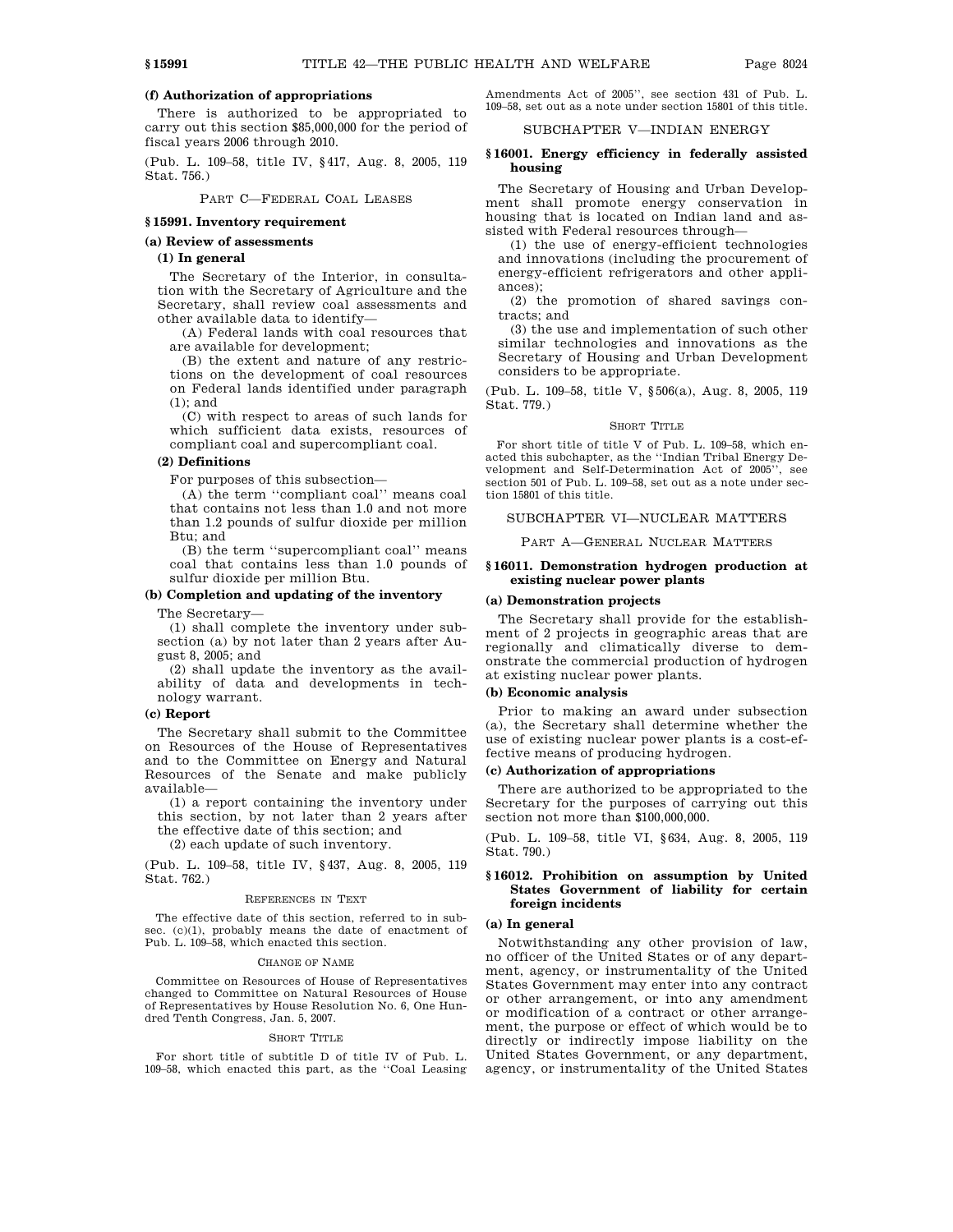### **(f) Authorization of appropriations**

There is authorized to be appropriated to carry out this section \$85,000,000 for the period of fiscal years 2006 through 2010.

(Pub. L. 109–58, title IV, §417, Aug. 8, 2005, 119 Stat. 756.)

PART C—FEDERAL COAL LEASES

#### **§ 15991. Inventory requirement**

#### **(a) Review of assessments**

#### **(1) In general**

The Secretary of the Interior, in consultation with the Secretary of Agriculture and the Secretary, shall review coal assessments and other available data to identify—

(A) Federal lands with coal resources that are available for development;

(B) the extent and nature of any restrictions on the development of coal resources on Federal lands identified under paragraph (1); and

(C) with respect to areas of such lands for which sufficient data exists, resources of compliant coal and supercompliant coal.

### **(2) Definitions**

For purposes of this subsection—

(A) the term ''compliant coal'' means coal that contains not less than 1.0 and not more than 1.2 pounds of sulfur dioxide per million Btu; and

(B) the term ''supercompliant coal'' means coal that contains less than 1.0 pounds of sulfur dioxide per million Btu.

### **(b) Completion and updating of the inventory**

The Secretary—

(1) shall complete the inventory under subsection (a) by not later than 2 years after August 8, 2005; and

(2) shall update the inventory as the availability of data and developments in technology warrant.

#### **(c) Report**

The Secretary shall submit to the Committee on Resources of the House of Representatives and to the Committee on Energy and Natural Resources of the Senate and make publicly available—

(1) a report containing the inventory under this section, by not later than 2 years after

the effective date of this section; and (2) each update of such inventory.

(Pub. L. 109–58, title IV, §437, Aug. 8, 2005, 119 Stat. 762.)

#### REFERENCES IN TEXT

The effective date of this section, referred to in subsec. (c)(1), probably means the date of enactment of Pub. L. 109–58, which enacted this section.

#### CHANGE OF NAME

Committee on Resources of House of Representatives changed to Committee on Natural Resources of House of Representatives by House Resolution No. 6, One Hundred Tenth Congress, Jan. 5, 2007.

#### SHORT TITLE

For short title of subtitle D of title IV of Pub. L. 109–58, which enacted this part, as the ''Coal Leasing

Amendments Act of 2005'', see section 431 of Pub. L. 109–58, set out as a note under section 15801 of this title.

### SUBCHAPTER V—INDIAN ENERGY

### **§ 16001. Energy efficiency in federally assisted housing**

The Secretary of Housing and Urban Development shall promote energy conservation in housing that is located on Indian land and assisted with Federal resources through—

(1) the use of energy-efficient technologies and innovations (including the procurement of energy-efficient refrigerators and other appliances);

(2) the promotion of shared savings contracts; and

(3) the use and implementation of such other similar technologies and innovations as the Secretary of Housing and Urban Development considers to be appropriate.

(Pub. L. 109–58, title V, §506(a), Aug. 8, 2005, 119 Stat. 779.)

#### SHORT TITLE

For short title of title V of Pub. L. 109–58, which enacted this subchapter, as the ''Indian Tribal Energy Development and Self-Determination Act of 2005'', see section 501 of Pub. L. 109–58, set out as a note under section 15801 of this title.

### SUBCHAPTER VI—NUCLEAR MATTERS

PART A—GENERAL NUCLEAR MATTERS

#### **§ 16011. Demonstration hydrogen production at existing nuclear power plants**

#### **(a) Demonstration projects**

The Secretary shall provide for the establishment of 2 projects in geographic areas that are regionally and climatically diverse to demonstrate the commercial production of hydrogen at existing nuclear power plants.

#### **(b) Economic analysis**

Prior to making an award under subsection (a), the Secretary shall determine whether the use of existing nuclear power plants is a cost-effective means of producing hydrogen.

#### **(c) Authorization of appropriations**

There are authorized to be appropriated to the Secretary for the purposes of carrying out this section not more than \$100,000,000.

(Pub. L. 109–58, title VI, §634, Aug. 8, 2005, 119 Stat. 790.)

### **§ 16012. Prohibition on assumption by United States Government of liability for certain foreign incidents**

### **(a) In general**

Notwithstanding any other provision of law, no officer of the United States or of any department, agency, or instrumentality of the United States Government may enter into any contract or other arrangement, or into any amendment or modification of a contract or other arrangement, the purpose or effect of which would be to directly or indirectly impose liability on the United States Government, or any department, agency, or instrumentality of the United States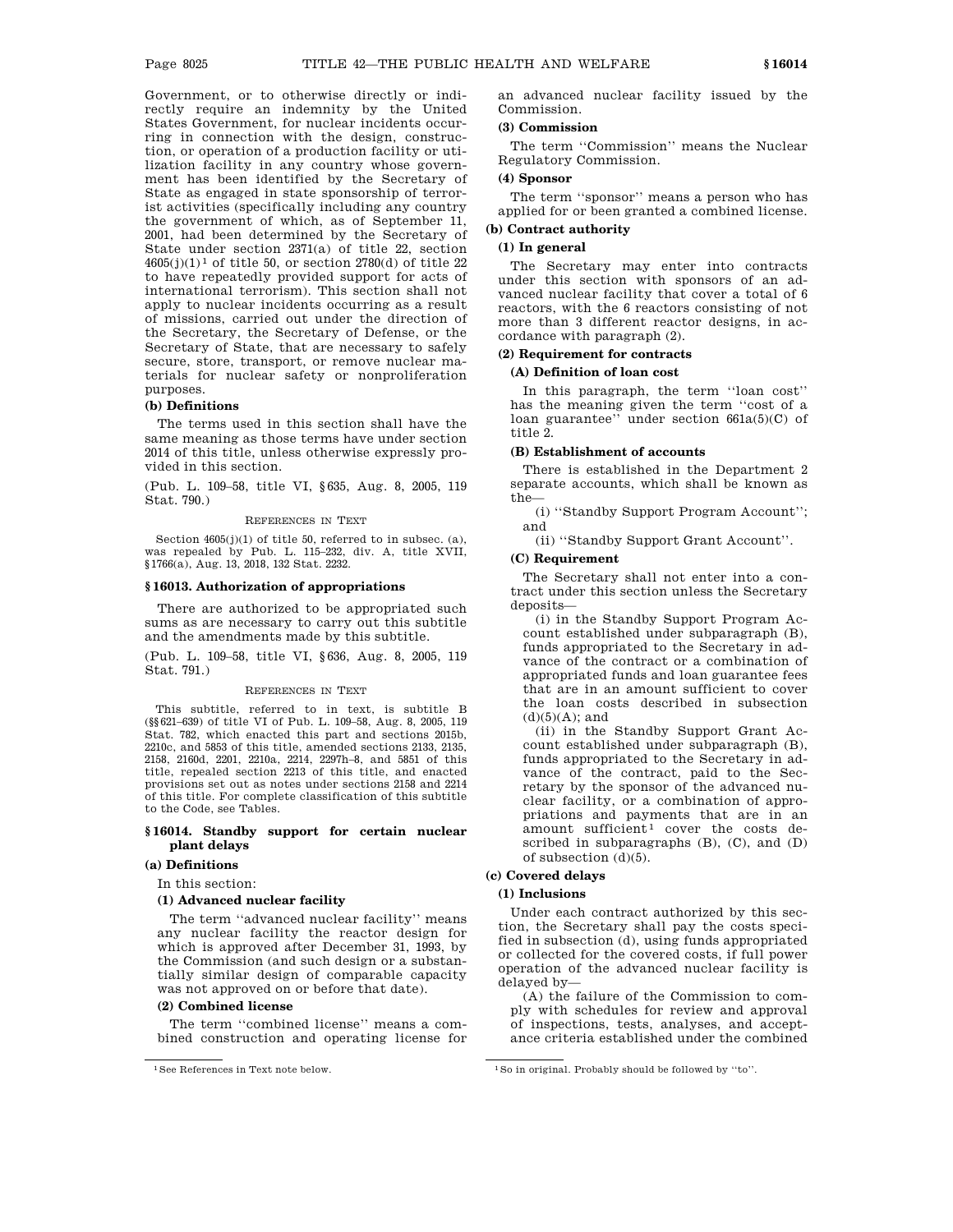Government, or to otherwise directly or indirectly require an indemnity by the United States Government, for nuclear incidents occurring in connection with the design, construction, or operation of a production facility or utilization facility in any country whose government has been identified by the Secretary of State as engaged in state sponsorship of terrorist activities (specifically including any country the government of which, as of September 11, 2001, had been determined by the Secretary of State under section 2371(a) of title 22, section  $4605(j)(1)^1$  of title 50, or section 2780(d) of title 22 to have repeatedly provided support for acts of international terrorism). This section shall not apply to nuclear incidents occurring as a result of missions, carried out under the direction of the Secretary, the Secretary of Defense, or the Secretary of State, that are necessary to safely secure, store, transport, or remove nuclear materials for nuclear safety or nonproliferation purposes.

#### **(b) Definitions**

The terms used in this section shall have the same meaning as those terms have under section 2014 of this title, unless otherwise expressly provided in this section.

(Pub. L. 109–58, title VI, §635, Aug. 8, 2005, 119 Stat. 790.)

#### REFERENCES IN TEXT

Section  $4605(j)(1)$  of title 50, referred to in subsec. (a), was repealed by Pub. L. 115–232, div. A, title XVII, §1766(a), Aug. 13, 2018, 132 Stat. 2232.

### **§ 16013. Authorization of appropriations**

There are authorized to be appropriated such sums as are necessary to carry out this subtitle and the amendments made by this subtitle.

(Pub. L. 109–58, title VI, §636, Aug. 8, 2005, 119 Stat. 791.)

#### REFERENCES IN TEXT

This subtitle, referred to in text, is subtitle B (§§621–639) of title VI of Pub. L. 109–58, Aug. 8, 2005, 119 Stat. 782, which enacted this part and sections 2015b, 2210c, and 5853 of this title, amended sections 2133, 2135, 2158, 2160d, 2201, 2210a, 2214, 2297h–8, and 5851 of this title, repealed section 2213 of this title, and enacted provisions set out as notes under sections 2158 and 2214 of this title. For complete classification of this subtitle to the Code, see Tables.

### **§ 16014. Standby support for certain nuclear plant delays**

#### **(a) Definitions**

In this section:

#### **(1) Advanced nuclear facility**

The term ''advanced nuclear facility'' means any nuclear facility the reactor design for which is approved after December 31, 1993, by the Commission (and such design or a substantially similar design of comparable capacity was not approved on or before that date).

#### **(2) Combined license**

The term ''combined license'' means a combined construction and operating license for an advanced nuclear facility issued by the Commission.

### **(3) Commission**

The term ''Commission'' means the Nuclear Regulatory Commission.

### **(4) Sponsor**

The term ''sponsor'' means a person who has applied for or been granted a combined license.

# **(b) Contract authority**

# **(1) In general**

The Secretary may enter into contracts under this section with sponsors of an advanced nuclear facility that cover a total of 6 reactors, with the 6 reactors consisting of not more than 3 different reactor designs, in accordance with paragraph (2).

### **(2) Requirement for contracts**

#### **(A) Definition of loan cost**

In this paragraph, the term ''loan cost'' has the meaning given the term ''cost of a loan guarantee'' under section 661a(5)(C) of title 2.

### **(B) Establishment of accounts**

There is established in the Department 2 separate accounts, which shall be known as the—

(i) ''Standby Support Program Account''; and

(ii) ''Standby Support Grant Account''.

#### **(C) Requirement**

The Secretary shall not enter into a contract under this section unless the Secretary deposits—

(i) in the Standby Support Program Account established under subparagraph (B), funds appropriated to the Secretary in advance of the contract or a combination of appropriated funds and loan guarantee fees that are in an amount sufficient to cover the loan costs described in subsection  $(d)(5)(A);$  and

(ii) in the Standby Support Grant Account established under subparagraph (B), funds appropriated to the Secretary in advance of the contract, paid to the Secretary by the sponsor of the advanced nuclear facility, or a combination of appropriations and payments that are in an amount sufficient<sup>1</sup> cover the costs described in subparagraphs (B), (C), and (D) of subsection  $(d)(5)$ .

# **(c) Covered delays**

### **(1) Inclusions**

Under each contract authorized by this section, the Secretary shall pay the costs specified in subsection (d), using funds appropriated or collected for the covered costs, if full power operation of the advanced nuclear facility is delayed by—

(A) the failure of the Commission to comply with schedules for review and approval of inspections, tests, analyses, and acceptance criteria established under the combined

<sup>&</sup>lt;sup>1</sup>See References in Text note below. <sup>1</sup>So in original. Probably should be followed by "to".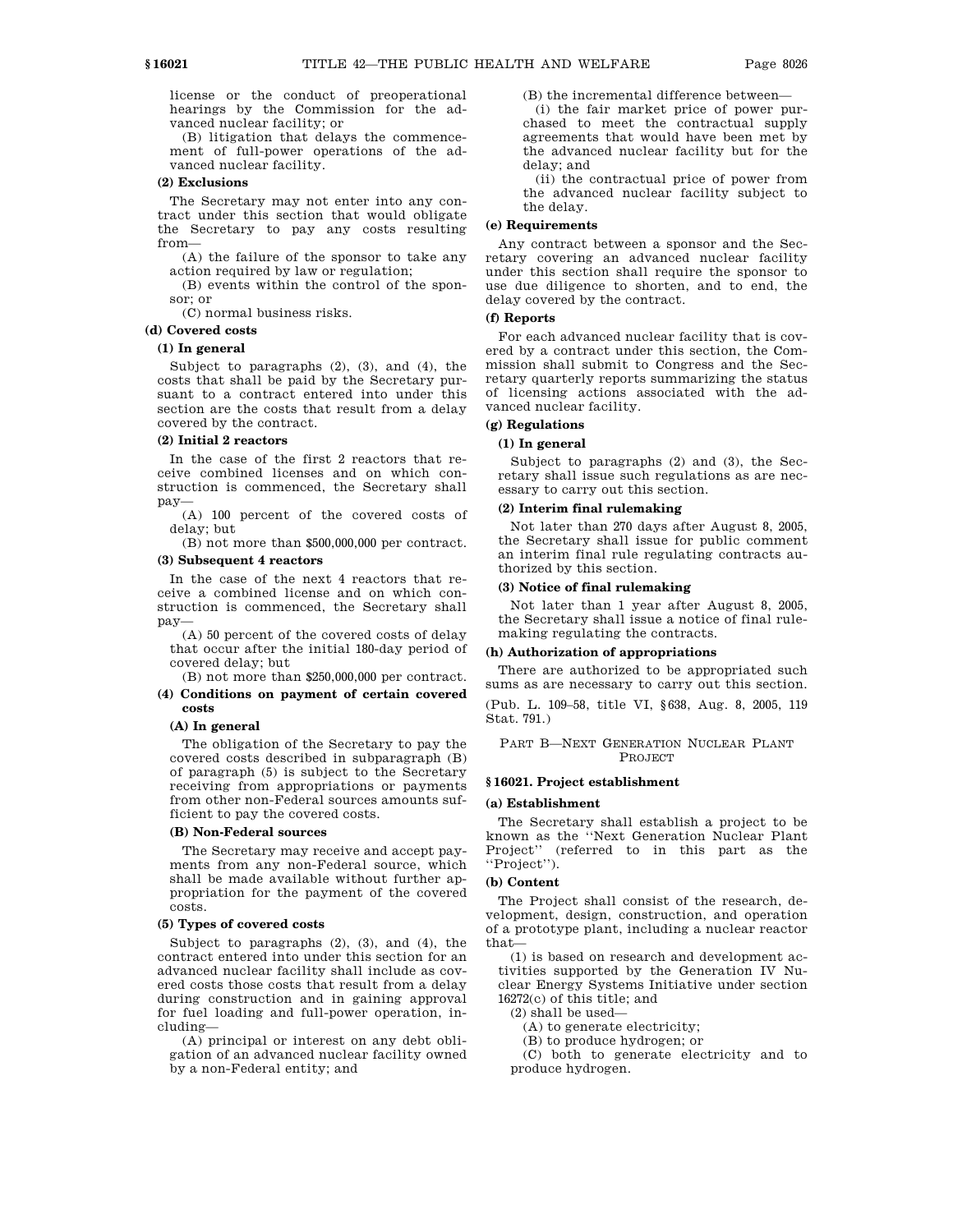license or the conduct of preoperational hearings by the Commission for the advanced nuclear facility; or

(B) litigation that delays the commencement of full-power operations of the advanced nuclear facility.

### **(2) Exclusions**

The Secretary may not enter into any contract under this section that would obligate the Secretary to pay any costs resulting from—

(A) the failure of the sponsor to take any action required by law or regulation;

(B) events within the control of the sponsor; or

(C) normal business risks.

### **(d) Covered costs**

#### **(1) In general**

Subject to paragraphs (2), (3), and (4), the costs that shall be paid by the Secretary pursuant to a contract entered into under this section are the costs that result from a delay covered by the contract.

### **(2) Initial 2 reactors**

In the case of the first 2 reactors that receive combined licenses and on which construction is commenced, the Secretary shall pay—

(A) 100 percent of the covered costs of delay; but

(B) not more than \$500,000,000 per contract.

### **(3) Subsequent 4 reactors**

In the case of the next 4 reactors that receive a combined license and on which construction is commenced, the Secretary shall pay—

(A) 50 percent of the covered costs of delay that occur after the initial 180-day period of covered delay; but

(B) not more than \$250,000,000 per contract.

#### **(4) Conditions on payment of certain covered costs**

#### **(A) In general**

The obligation of the Secretary to pay the covered costs described in subparagraph (B) of paragraph (5) is subject to the Secretary receiving from appropriations or payments from other non-Federal sources amounts sufficient to pay the covered costs.

#### **(B) Non-Federal sources**

The Secretary may receive and accept payments from any non-Federal source, which shall be made available without further appropriation for the payment of the covered costs.

### **(5) Types of covered costs**

Subject to paragraphs (2), (3), and (4), the contract entered into under this section for an advanced nuclear facility shall include as covered costs those costs that result from a delay during construction and in gaining approval for fuel loading and full-power operation, including—

(A) principal or interest on any debt obligation of an advanced nuclear facility owned by a non-Federal entity; and

(B) the incremental difference between—

(i) the fair market price of power purchased to meet the contractual supply agreements that would have been met by the advanced nuclear facility but for the delay; and

(ii) the contractual price of power from the advanced nuclear facility subject to the delay.

#### **(e) Requirements**

Any contract between a sponsor and the Secretary covering an advanced nuclear facility under this section shall require the sponsor to use due diligence to shorten, and to end, the delay covered by the contract.

### **(f) Reports**

For each advanced nuclear facility that is covered by a contract under this section, the Commission shall submit to Congress and the Secretary quarterly reports summarizing the status of licensing actions associated with the advanced nuclear facility.

#### **(g) Regulations**

#### **(1) In general**

Subject to paragraphs (2) and (3), the Secretary shall issue such regulations as are necessary to carry out this section.

#### **(2) Interim final rulemaking**

Not later than 270 days after August 8, 2005, the Secretary shall issue for public comment an interim final rule regulating contracts authorized by this section.

### **(3) Notice of final rulemaking**

Not later than 1 year after August 8, 2005, the Secretary shall issue a notice of final rulemaking regulating the contracts.

#### **(h) Authorization of appropriations**

There are authorized to be appropriated such sums as are necessary to carry out this section.

(Pub. L. 109–58, title VI, §638, Aug. 8, 2005, 119 Stat. 791.)

PART B—NEXT GENERATION NUCLEAR PLANT PROJECT

#### **§ 16021. Project establishment**

#### **(a) Establishment**

The Secretary shall establish a project to be known as the ''Next Generation Nuclear Plant Project'' (referred to in this part as the ''Project'').

#### **(b) Content**

The Project shall consist of the research, development, design, construction, and operation of a prototype plant, including a nuclear reactor that—

(1) is based on research and development activities supported by the Generation IV Nuclear Energy Systems Initiative under section 16272(c) of this title; and

(2) shall be used—

(A) to generate electricity;

(B) to produce hydrogen; or

(C) both to generate electricity and to produce hydrogen.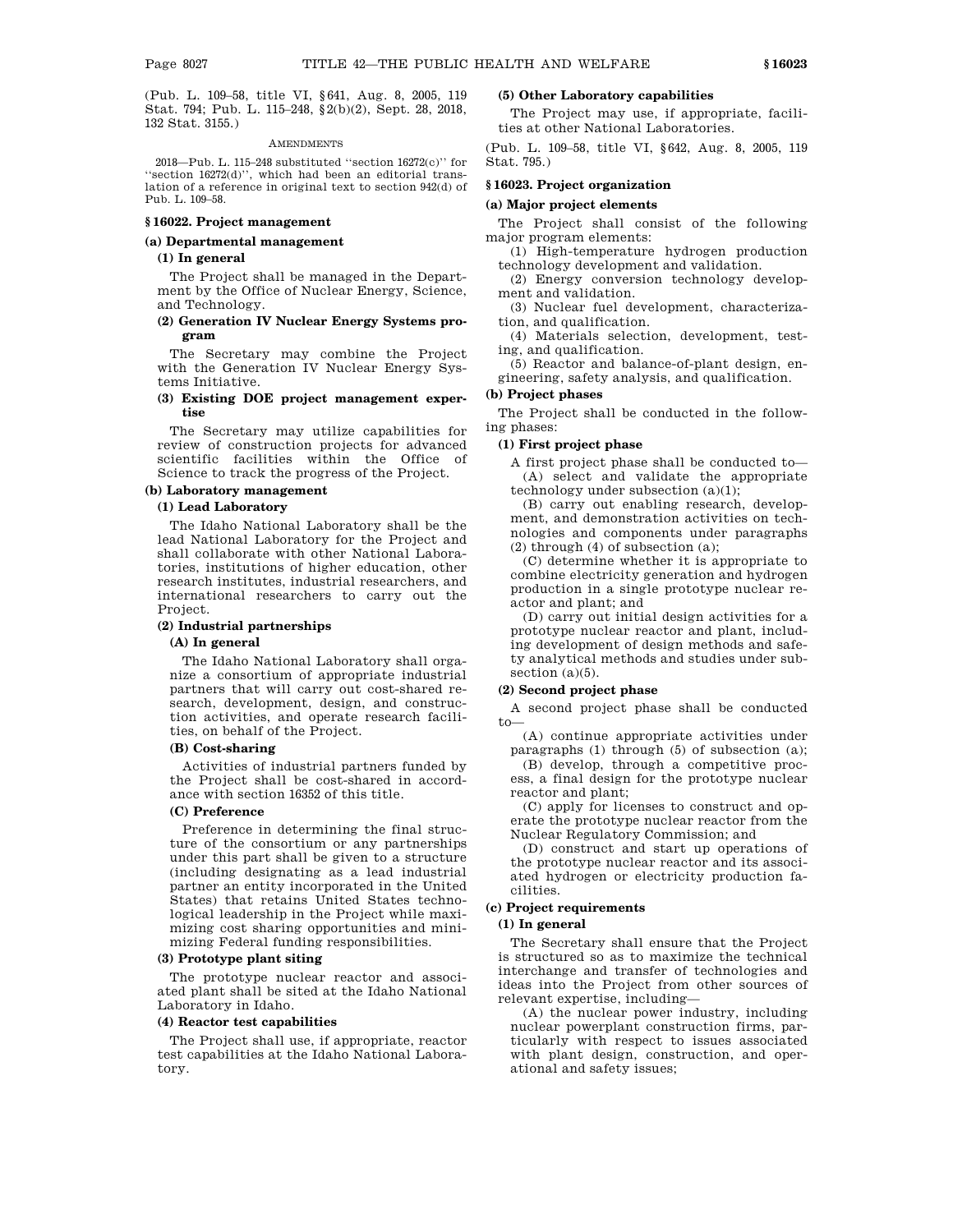(Pub. L. 109–58, title VI, §641, Aug. 8, 2005, 119 Stat. 794; Pub. L. 115–248, §2(b)(2), Sept. 28, 2018, 132 Stat. 3155.)

### **AMENDMENTS**

2018—Pub. L. 115–248 substituted ''section 16272(c)'' for ''section 16272(d)'', which had been an editorial translation of a reference in original text to section 942(d) of Pub. L. 109–58.

### **§ 16022. Project management**

### **(a) Departmental management**

#### **(1) In general**

The Project shall be managed in the Department by the Office of Nuclear Energy, Science, and Technology.

### **(2) Generation IV Nuclear Energy Systems program**

The Secretary may combine the Project with the Generation IV Nuclear Energy Systems Initiative.

### **(3) Existing DOE project management expertise**

The Secretary may utilize capabilities for review of construction projects for advanced scientific facilities within the Office of Science to track the progress of the Project.

#### **(b) Laboratory management**

### **(1) Lead Laboratory**

The Idaho National Laboratory shall be the lead National Laboratory for the Project and shall collaborate with other National Laboratories, institutions of higher education, other research institutes, industrial researchers, and international researchers to carry out the Project.

#### **(2) Industrial partnerships**

#### **(A) In general**

The Idaho National Laboratory shall organize a consortium of appropriate industrial partners that will carry out cost-shared research, development, design, and construction activities, and operate research facilities, on behalf of the Project.

### **(B) Cost-sharing**

Activities of industrial partners funded by the Project shall be cost-shared in accordance with section 16352 of this title.

### **(C) Preference**

Preference in determining the final structure of the consortium or any partnerships under this part shall be given to a structure (including designating as a lead industrial partner an entity incorporated in the United States) that retains United States technological leadership in the Project while maximizing cost sharing opportunities and minimizing Federal funding responsibilities.

### **(3) Prototype plant siting**

The prototype nuclear reactor and associated plant shall be sited at the Idaho National Laboratory in Idaho.

#### **(4) Reactor test capabilities**

The Project shall use, if appropriate, reactor test capabilities at the Idaho National Laboratory.

### **(5) Other Laboratory capabilities**

The Project may use, if appropriate, facilities at other National Laboratories.

(Pub. L. 109–58, title VI, §642, Aug. 8, 2005, 119 Stat. 795.)

### **§ 16023. Project organization**

### **(a) Major project elements**

The Project shall consist of the following major program elements:

(1) High-temperature hydrogen production technology development and validation.

(2) Energy conversion technology development and validation.

(3) Nuclear fuel development, characterization, and qualification.

(4) Materials selection, development, testing, and qualification.

(5) Reactor and balance-of-plant design, engineering, safety analysis, and qualification.

### **(b) Project phases**

The Project shall be conducted in the following phases:

### **(1) First project phase**

A first project phase shall be conducted to— (A) select and validate the appropriate technology under subsection (a)(1);

(B) carry out enabling research, development, and demonstration activities on technologies and components under paragraphs (2) through (4) of subsection (a);

(C) determine whether it is appropriate to combine electricity generation and hydrogen production in a single prototype nuclear reactor and plant; and

(D) carry out initial design activities for a prototype nuclear reactor and plant, including development of design methods and safety analytical methods and studies under subsection (a)(5).

### **(2) Second project phase**

A second project phase shall be conducted to—

(A) continue appropriate activities under paragraphs (1) through (5) of subsection (a);

(B) develop, through a competitive process, a final design for the prototype nuclear reactor and plant;

(C) apply for licenses to construct and operate the prototype nuclear reactor from the Nuclear Regulatory Commission; and

(D) construct and start up operations of the prototype nuclear reactor and its associated hydrogen or electricity production facilities.

### **(c) Project requirements**

### **(1) In general**

The Secretary shall ensure that the Project is structured so as to maximize the technical interchange and transfer of technologies and ideas into the Project from other sources of relevant expertise, including—

(A) the nuclear power industry, including nuclear powerplant construction firms, particularly with respect to issues associated with plant design, construction, and operational and safety issues;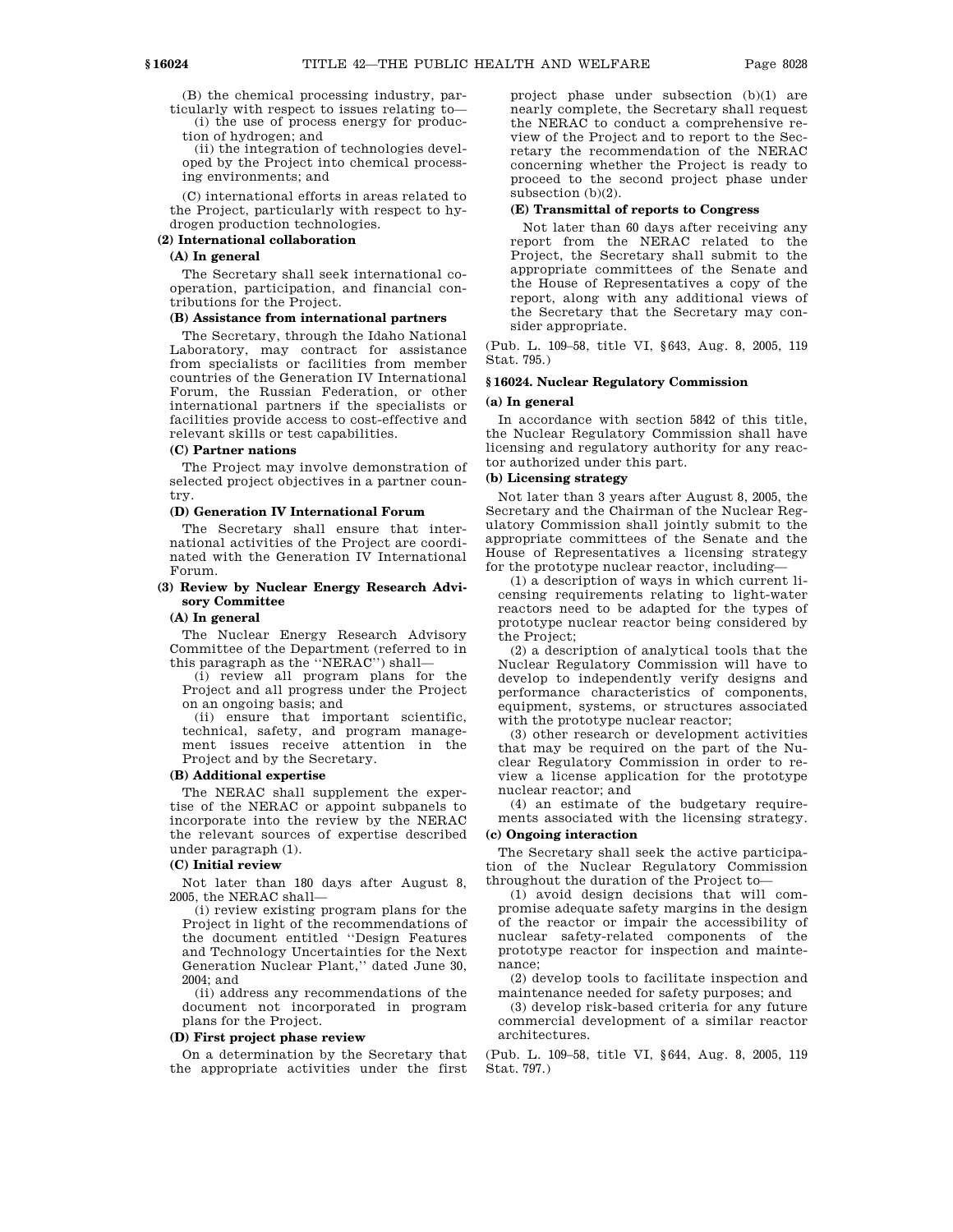(B) the chemical processing industry, particularly with respect to issues relating to—

(i) the use of process energy for production of hydrogen; and

(ii) the integration of technologies developed by the Project into chemical processing environments; and

(C) international efforts in areas related to the Project, particularly with respect to hydrogen production technologies.

#### **(2) International collaboration**

### **(A) In general**

The Secretary shall seek international cooperation, participation, and financial contributions for the Project.

#### **(B) Assistance from international partners**

The Secretary, through the Idaho National Laboratory, may contract for assistance from specialists or facilities from member countries of the Generation IV International Forum, the Russian Federation, or other international partners if the specialists or facilities provide access to cost-effective and relevant skills or test capabilities.

### **(C) Partner nations**

The Project may involve demonstration of selected project objectives in a partner country.

### **(D) Generation IV International Forum**

The Secretary shall ensure that international activities of the Project are coordinated with the Generation IV International Forum.

### **(3) Review by Nuclear Energy Research Advisory Committee**

#### **(A) In general**

The Nuclear Energy Research Advisory Committee of the Department (referred to in this paragraph as the ''NERAC'') shall—

(i) review all program plans for the Project and all progress under the Project on an ongoing basis; and

(ii) ensure that important scientific, technical, safety, and program management issues receive attention in the Project and by the Secretary.

#### **(B) Additional expertise**

The NERAC shall supplement the expertise of the NERAC or appoint subpanels to incorporate into the review by the NERAC the relevant sources of expertise described under paragraph (1).

#### **(C) Initial review**

Not later than 180 days after August 8, 2005, the NERAC shall—

(i) review existing program plans for the Project in light of the recommendations of the document entitled ''Design Features and Technology Uncertainties for the Next Generation Nuclear Plant,'' dated June 30, 2004; and

(ii) address any recommendations of the document not incorporated in program plans for the Project.

#### **(D) First project phase review**

On a determination by the Secretary that the appropriate activities under the first project phase under subsection (b)(1) are nearly complete, the Secretary shall request the NERAC to conduct a comprehensive review of the Project and to report to the Secretary the recommendation of the NERAC concerning whether the Project is ready to proceed to the second project phase under subsection (b)(2).

#### **(E) Transmittal of reports to Congress**

Not later than 60 days after receiving any report from the NERAC related to the Project, the Secretary shall submit to the appropriate committees of the Senate and the House of Representatives a copy of the report, along with any additional views of the Secretary that the Secretary may consider appropriate.

(Pub. L. 109–58, title VI, §643, Aug. 8, 2005, 119 Stat. 795.)

### **§ 16024. Nuclear Regulatory Commission**

#### **(a) In general**

In accordance with section 5842 of this title, the Nuclear Regulatory Commission shall have licensing and regulatory authority for any reactor authorized under this part.

### **(b) Licensing strategy**

Not later than 3 years after August 8, 2005, the Secretary and the Chairman of the Nuclear Regulatory Commission shall jointly submit to the appropriate committees of the Senate and the House of Representatives a licensing strategy for the prototype nuclear reactor, including—

(1) a description of ways in which current licensing requirements relating to light-water reactors need to be adapted for the types of prototype nuclear reactor being considered by the Project;

(2) a description of analytical tools that the Nuclear Regulatory Commission will have to develop to independently verify designs and performance characteristics of components, equipment, systems, or structures associated with the prototype nuclear reactor;

(3) other research or development activities that may be required on the part of the Nuclear Regulatory Commission in order to review a license application for the prototype nuclear reactor; and

(4) an estimate of the budgetary requirements associated with the licensing strategy.

### **(c) Ongoing interaction**

The Secretary shall seek the active participation of the Nuclear Regulatory Commission throughout the duration of the Project to—

(1) avoid design decisions that will compromise adequate safety margins in the design of the reactor or impair the accessibility of nuclear safety-related components of the prototype reactor for inspection and maintenance;

(2) develop tools to facilitate inspection and maintenance needed for safety purposes; and

(3) develop risk-based criteria for any future commercial development of a similar reactor architectures.

(Pub. L. 109–58, title VI, §644, Aug. 8, 2005, 119 Stat. 797.)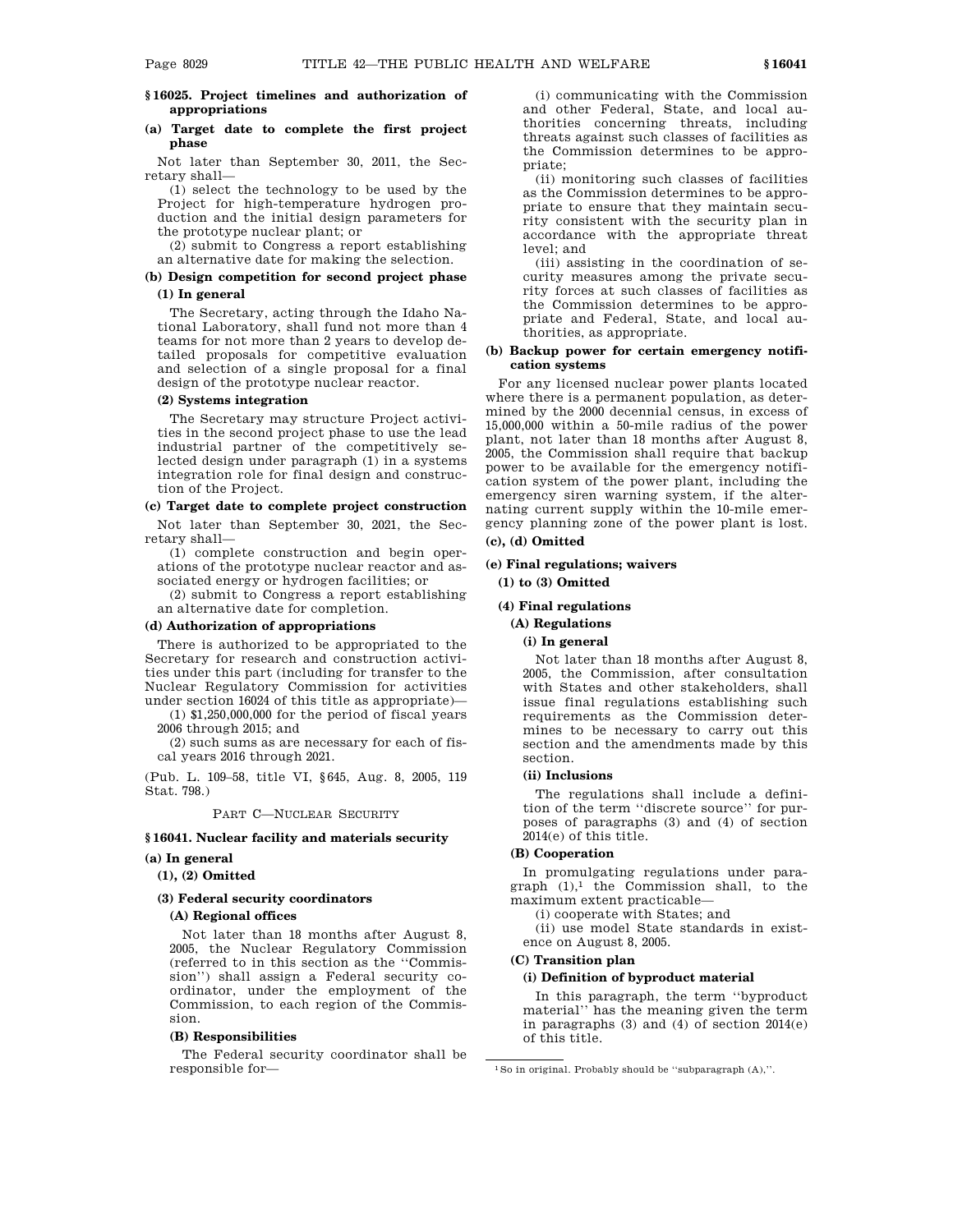### **§ 16025. Project timelines and authorization of appropriations**

### **(a) Target date to complete the first project phase**

Not later than September 30, 2011, the Secretary shall—

(1) select the technology to be used by the Project for high-temperature hydrogen production and the initial design parameters for the prototype nuclear plant; or

(2) submit to Congress a report establishing an alternative date for making the selection.

### **(b) Design competition for second project phase (1) In general**

The Secretary, acting through the Idaho National Laboratory, shall fund not more than 4 teams for not more than 2 years to develop detailed proposals for competitive evaluation and selection of a single proposal for a final design of the prototype nuclear reactor.

#### **(2) Systems integration**

The Secretary may structure Project activities in the second project phase to use the lead industrial partner of the competitively selected design under paragraph (1) in a systems integration role for final design and construction of the Project.

### **(c) Target date to complete project construction**

Not later than September 30, 2021, the Secretary shall—

(1) complete construction and begin operations of the prototype nuclear reactor and associated energy or hydrogen facilities; or

(2) submit to Congress a report establishing an alternative date for completion.

#### **(d) Authorization of appropriations**

There is authorized to be appropriated to the Secretary for research and construction activities under this part (including for transfer to the Nuclear Regulatory Commission for activities under section 16024 of this title as appropriate)—

(1) \$1,250,000,000 for the period of fiscal years 2006 through 2015; and

(2) such sums as are necessary for each of fiscal years 2016 through 2021.

(Pub. L. 109–58, title VI, §645, Aug. 8, 2005, 119 Stat. 798.)

#### PART C—NUCLEAR SECURITY

### **§ 16041. Nuclear facility and materials security**

### **(a) In general**

**(1), (2) Omitted**

### **(3) Federal security coordinators**

### **(A) Regional offices**

Not later than 18 months after August 8, 2005, the Nuclear Regulatory Commission (referred to in this section as the ''Commission'') shall assign a Federal security coordinator, under the employment of the Commission, to each region of the Commission.

### **(B) Responsibilities**

The Federal security coordinator shall be responsible for—

(i) communicating with the Commission and other Federal, State, and local authorities concerning threats, including threats against such classes of facilities as the Commission determines to be appropriate;

(ii) monitoring such classes of facilities as the Commission determines to be appropriate to ensure that they maintain security consistent with the security plan in accordance with the appropriate threat level; and

(iii) assisting in the coordination of security measures among the private security forces at such classes of facilities as the Commission determines to be appropriate and Federal, State, and local authorities, as appropriate.

### **(b) Backup power for certain emergency notification systems**

For any licensed nuclear power plants located where there is a permanent population, as determined by the 2000 decennial census, in excess of 15,000,000 within a 50-mile radius of the power plant, not later than 18 months after August 8, 2005, the Commission shall require that backup power to be available for the emergency notification system of the power plant, including the emergency siren warning system, if the alternating current supply within the 10-mile emergency planning zone of the power plant is lost. **(c), (d) Omitted**

# **(e) Final regulations; waivers**

# **(1) to (3) Omitted**

### **(4) Final regulations**

### **(A) Regulations**

### **(i) In general**

Not later than 18 months after August 8, 2005, the Commission, after consultation with States and other stakeholders, shall issue final regulations establishing such requirements as the Commission determines to be necessary to carry out this section and the amendments made by this section.

### **(ii) Inclusions**

The regulations shall include a definition of the term ''discrete source'' for purposes of paragraphs (3) and (4) of section 2014(e) of this title.

### **(B) Cooperation**

In promulgating regulations under para $graph$   $(1)$ ,<sup>1</sup> the Commission shall, to the maximum extent practicable—

(i) cooperate with States; and

(ii) use model State standards in existence on August 8, 2005.

### **(C) Transition plan**

### **(i) Definition of byproduct material**

In this paragraph, the term ''byproduct material'' has the meaning given the term in paragraphs (3) and (4) of section 2014(e) of this title.

<sup>1</sup>So in original. Probably should be ''subparagraph (A),''.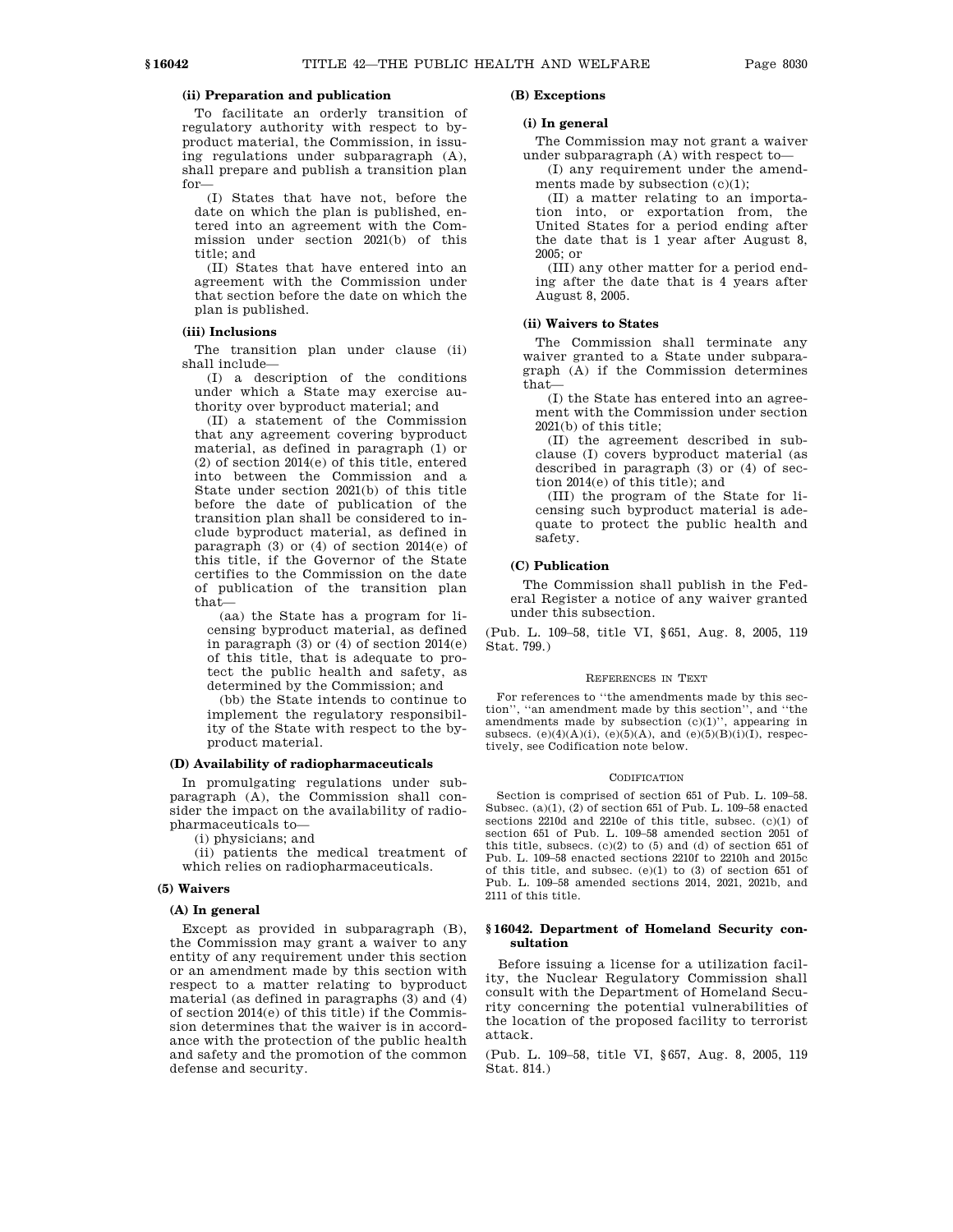### **(ii) Preparation and publication**

To facilitate an orderly transition of regulatory authority with respect to byproduct material, the Commission, in issuing regulations under subparagraph (A), shall prepare and publish a transition plan for—

(I) States that have not, before the date on which the plan is published, entered into an agreement with the Commission under section 2021(b) of this title; and

(II) States that have entered into an agreement with the Commission under that section before the date on which the plan is published.

### **(iii) Inclusions**

The transition plan under clause (ii) shall include—

(I) a description of the conditions under which a State may exercise authority over byproduct material; and

(II) a statement of the Commission that any agreement covering byproduct material, as defined in paragraph (1) or (2) of section 2014(e) of this title, entered into between the Commission and a State under section 2021(b) of this title before the date of publication of the transition plan shall be considered to include byproduct material, as defined in paragraph (3) or (4) of section 2014(e) of this title, if the Governor of the State certifies to the Commission on the date of publication of the transition plan that—

(aa) the State has a program for licensing byproduct material, as defined in paragraph  $(3)$  or  $(4)$  of section  $2014(e)$ of this title, that is adequate to protect the public health and safety, as determined by the Commission; and

(bb) the State intends to continue to implement the regulatory responsibility of the State with respect to the byproduct material.

### **(D) Availability of radiopharmaceuticals**

In promulgating regulations under subparagraph (A), the Commission shall consider the impact on the availability of radiopharmaceuticals to—

(i) physicians; and

(ii) patients the medical treatment of which relies on radiopharmaceuticals.

### **(5) Waivers**

#### **(A) In general**

Except as provided in subparagraph (B), the Commission may grant a waiver to any entity of any requirement under this section or an amendment made by this section with respect to a matter relating to byproduct material (as defined in paragraphs (3) and (4) of section 2014(e) of this title) if the Commission determines that the waiver is in accordance with the protection of the public health and safety and the promotion of the common defense and security.

### **(B) Exceptions**

### **(i) In general**

The Commission may not grant a waiver under subparagraph (A) with respect to—

(I) any requirement under the amendments made by subsection  $(c)(1)$ ;

(II) a matter relating to an importation into, or exportation from, the United States for a period ending after the date that is 1 year after August 8, 2005; or

(III) any other matter for a period ending after the date that is 4 years after August 8, 2005.

### **(ii) Waivers to States**

The Commission shall terminate any waiver granted to a State under subparagraph (A) if the Commission determines that—

(I) the State has entered into an agreement with the Commission under section 2021(b) of this title;

(II) the agreement described in subclause (I) covers byproduct material (as described in paragraph (3) or (4) of section 2014(e) of this title); and

(III) the program of the State for licensing such byproduct material is adequate to protect the public health and safety.

### **(C) Publication**

The Commission shall publish in the Federal Register a notice of any waiver granted under this subsection.

(Pub. L. 109–58, title VI, §651, Aug. 8, 2005, 119 Stat. 799.)

#### REFERENCES IN TEXT

For references to ''the amendments made by this section'', ''an amendment made by this section'', and ''the amendments made by subsection  $(c)(1)$ ", appearing in subsecs. (e)(4)(A)(i), (e)(5)(A), and (e)(5)(B)(i)(I), respectively, see Codification note below.

#### **CODIFICATION**

Section is comprised of section 651 of Pub. L. 109–58. Subsec. (a)(1), (2) of section 651 of Pub. L. 109–58 enacted sections 2210d and 2210e of this title, subsec. (c)(1) of section 651 of Pub. L. 109–58 amended section 2051 of this title, subsecs. (c)(2) to (5) and (d) of section 651 of Pub. L. 109–58 enacted sections 2210f to 2210h and 2015c of this title, and subsec. (e)(1) to (3) of section 651 of Pub. L. 109–58 amended sections 2014, 2021, 2021b, and 2111 of this title.

### **§ 16042. Department of Homeland Security consultation**

Before issuing a license for a utilization facility, the Nuclear Regulatory Commission shall consult with the Department of Homeland Security concerning the potential vulnerabilities of the location of the proposed facility to terrorist attack.

(Pub. L. 109–58, title VI, §657, Aug. 8, 2005, 119 Stat. 814.)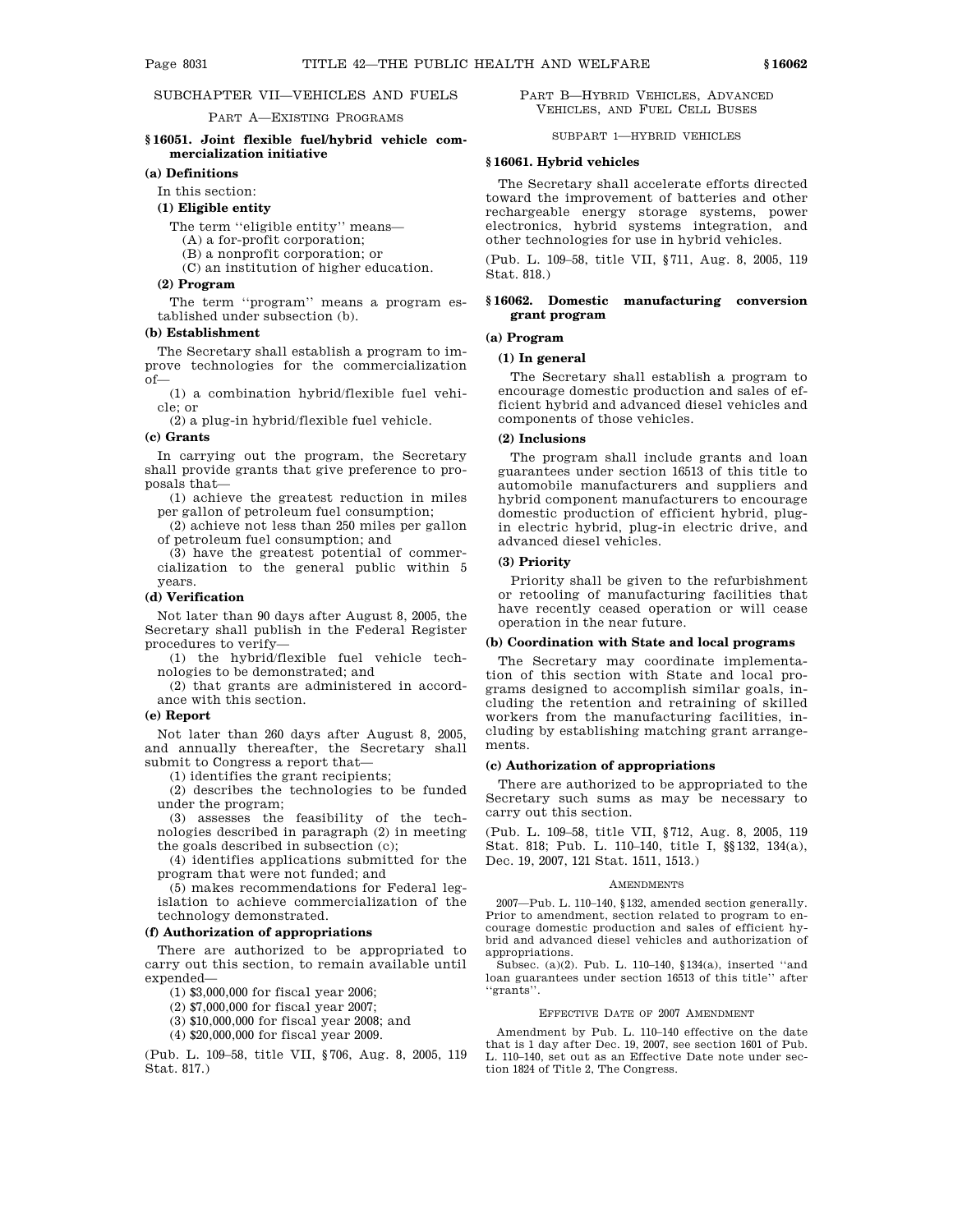### SUBCHAPTER VII—VEHICLES AND FUELS

#### PART A—EXISTING PROGRAMS

### **§ 16051. Joint flexible fuel/hybrid vehicle commercialization initiative**

### **(a) Definitions**

In this section:

#### **(1) Eligible entity**

The term ''eligible entity'' means—

(A) a for-profit corporation;

(B) a nonprofit corporation; or

(C) an institution of higher education.

### **(2) Program**

The term ''program'' means a program established under subsection (b).

#### **(b) Establishment**

The Secretary shall establish a program to improve technologies for the commercialization of—

(1) a combination hybrid/flexible fuel vehicle; or

(2) a plug-in hybrid/flexible fuel vehicle.

#### **(c) Grants**

In carrying out the program, the Secretary shall provide grants that give preference to proposals that—

(1) achieve the greatest reduction in miles per gallon of petroleum fuel consumption;

(2) achieve not less than 250 miles per gallon of petroleum fuel consumption; and

(3) have the greatest potential of commercialization to the general public within 5 years.

#### **(d) Verification**

Not later than 90 days after August 8, 2005, the Secretary shall publish in the Federal Register procedures to verify—

(1) the hybrid/flexible fuel vehicle technologies to be demonstrated; and

(2) that grants are administered in accordance with this section.

### **(e) Report**

Not later than 260 days after August 8, 2005, and annually thereafter, the Secretary shall submit to Congress a report that—

(1) identifies the grant recipients;

(2) describes the technologies to be funded under the program;

(3) assesses the feasibility of the technologies described in paragraph (2) in meeting the goals described in subsection (c);

(4) identifies applications submitted for the program that were not funded; and

(5) makes recommendations for Federal legislation to achieve commercialization of the technology demonstrated.

### **(f) Authorization of appropriations**

There are authorized to be appropriated to carry out this section, to remain available until expended—

(1) \$3,000,000 for fiscal year 2006;

(2) \$7,000,000 for fiscal year 2007;

(3) \$10,000,000 for fiscal year 2008; and

(4) \$20,000,000 for fiscal year 2009.

(Pub. L. 109–58, title VII, §706, Aug. 8, 2005, 119 Stat. 817.)

PART B—HYBRID VEHICLES, ADVANCED VEHICLES, AND FUEL CELL BUSES

SUBPART 1—HYBRID VEHICLES

### **§ 16061. Hybrid vehicles**

The Secretary shall accelerate efforts directed toward the improvement of batteries and other rechargeable energy storage systems, power electronics, hybrid systems integration, and other technologies for use in hybrid vehicles.

(Pub. L. 109–58, title VII, §711, Aug. 8, 2005, 119 Stat. 818.)

### **§ 16062. Domestic manufacturing conversion grant program**

#### **(a) Program**

### **(1) In general**

The Secretary shall establish a program to encourage domestic production and sales of efficient hybrid and advanced diesel vehicles and components of those vehicles.

### **(2) Inclusions**

The program shall include grants and loan guarantees under section 16513 of this title to automobile manufacturers and suppliers and hybrid component manufacturers to encourage domestic production of efficient hybrid, plugin electric hybrid, plug-in electric drive, and advanced diesel vehicles.

### **(3) Priority**

Priority shall be given to the refurbishment or retooling of manufacturing facilities that have recently ceased operation or will cease operation in the near future.

#### **(b) Coordination with State and local programs**

The Secretary may coordinate implementation of this section with State and local programs designed to accomplish similar goals, including the retention and retraining of skilled workers from the manufacturing facilities, including by establishing matching grant arrangements.

#### **(c) Authorization of appropriations**

There are authorized to be appropriated to the Secretary such sums as may be necessary to carry out this section.

(Pub. L. 109–58, title VII, §712, Aug. 8, 2005, 119 Stat. 818; Pub. L. 110–140, title I, §§132, 134(a), Dec. 19, 2007, 121 Stat. 1511, 1513.)

#### **AMENDMENTS**

2007—Pub. L. 110–140, §132, amended section generally. Prior to amendment, section related to program to encourage domestic production and sales of efficient hybrid and advanced diesel vehicles and authorization of appropriations.

Subsec. (a)(2). Pub. L. 110–140, §134(a), inserted ''and loan guarantees under section 16513 of this title'' after ''grants''.

#### EFFECTIVE DATE OF 2007 AMENDMENT

Amendment by Pub. L. 110–140 effective on the date that is 1 day after Dec. 19, 2007, see section 1601 of Pub. L. 110–140, set out as an Effective Date note under section 1824 of Title 2, The Congress.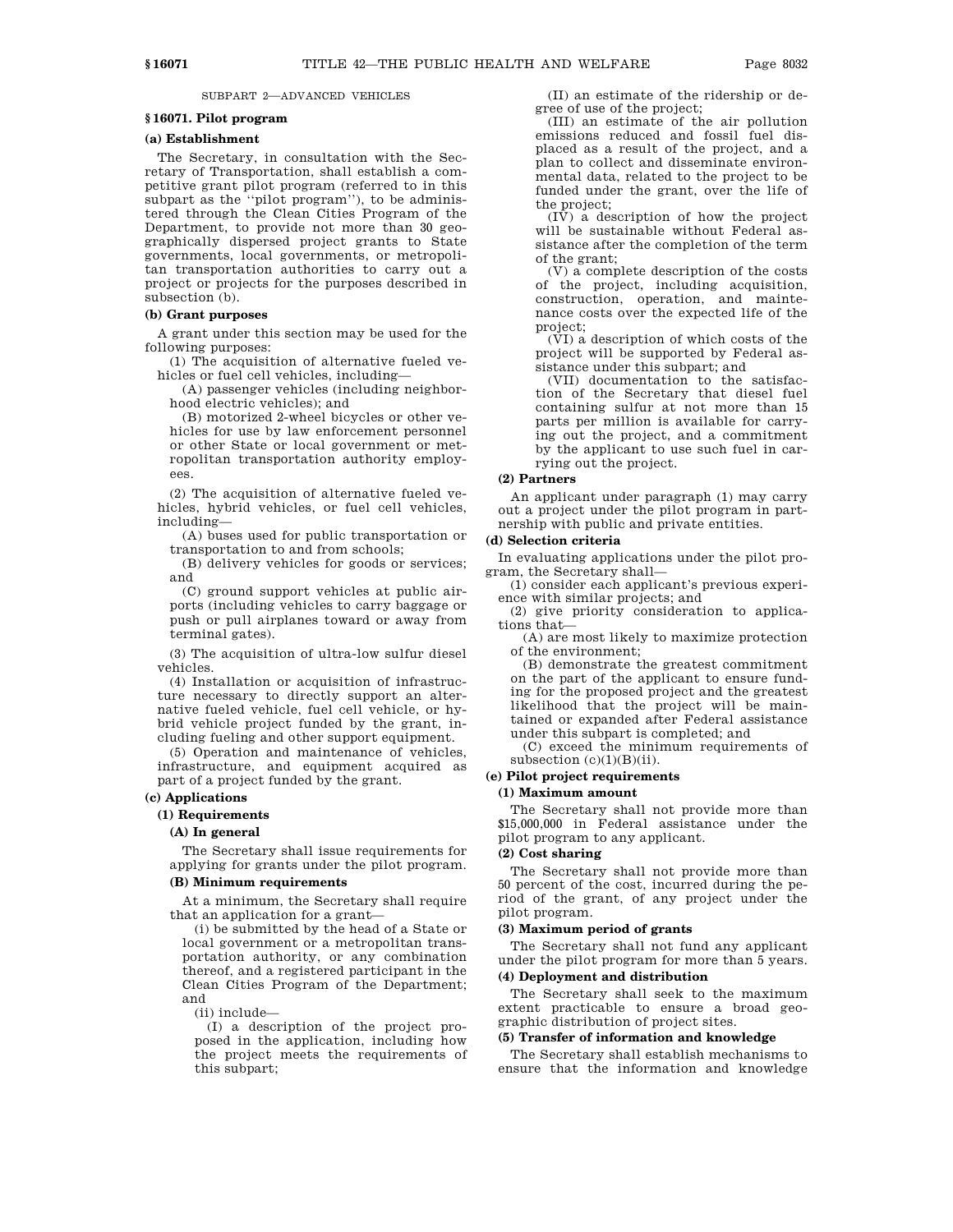### SUBPART 2—ADVANCED VEHICLES

### **§ 16071. Pilot program**

### **(a) Establishment**

The Secretary, in consultation with the Secretary of Transportation, shall establish a competitive grant pilot program (referred to in this subpart as the ''pilot program''), to be administered through the Clean Cities Program of the Department, to provide not more than 30 geographically dispersed project grants to State governments, local governments, or metropolitan transportation authorities to carry out a project or projects for the purposes described in subsection (b).

### **(b) Grant purposes**

A grant under this section may be used for the following purposes:

(1) The acquisition of alternative fueled vehicles or fuel cell vehicles, including—

(A) passenger vehicles (including neighborhood electric vehicles); and

(B) motorized 2-wheel bicycles or other vehicles for use by law enforcement personnel or other State or local government or metropolitan transportation authority employees.

(2) The acquisition of alternative fueled vehicles, hybrid vehicles, or fuel cell vehicles, including—

(A) buses used for public transportation or transportation to and from schools;

(B) delivery vehicles for goods or services; and

(C) ground support vehicles at public airports (including vehicles to carry baggage or push or pull airplanes toward or away from terminal gates).

(3) The acquisition of ultra-low sulfur diesel vehicles.

(4) Installation or acquisition of infrastructure necessary to directly support an alternative fueled vehicle, fuel cell vehicle, or hybrid vehicle project funded by the grant, including fueling and other support equipment.

(5) Operation and maintenance of vehicles, infrastructure, and equipment acquired as part of a project funded by the grant.

### **(c) Applications**

#### **(1) Requirements**

#### **(A) In general**

The Secretary shall issue requirements for applying for grants under the pilot program.

#### **(B) Minimum requirements**

At a minimum, the Secretary shall require that an application for a grant—

(i) be submitted by the head of a State or local government or a metropolitan transportation authority, or any combination thereof, and a registered participant in the Clean Cities Program of the Department; and

(ii) include—

(I) a description of the project proposed in the application, including how the project meets the requirements of this subpart;

(II) an estimate of the ridership or degree of use of the project;

(III) an estimate of the air pollution emissions reduced and fossil fuel displaced as a result of the project, and a plan to collect and disseminate environmental data, related to the project to be funded under the grant, over the life of the project;

 $(I\bar{V})$  a description of how the project will be sustainable without Federal assistance after the completion of the term of the grant;

(V) a complete description of the costs of the project, including acquisition, construction, operation, and maintenance costs over the expected life of the project;

(VI) a description of which costs of the project will be supported by Federal assistance under this subpart; and

(VII) documentation to the satisfaction of the Secretary that diesel fuel containing sulfur at not more than 15 parts per million is available for carrying out the project, and a commitment by the applicant to use such fuel in carrying out the project.

### **(2) Partners**

An applicant under paragraph (1) may carry out a project under the pilot program in partnership with public and private entities.

#### **(d) Selection criteria**

In evaluating applications under the pilot program, the Secretary shall—

(1) consider each applicant's previous experience with similar projects; and

(2) give priority consideration to applications that—

(A) are most likely to maximize protection of the environment;

(B) demonstrate the greatest commitment on the part of the applicant to ensure funding for the proposed project and the greatest likelihood that the project will be maintained or expanded after Federal assistance under this subpart is completed; and

(C) exceed the minimum requirements of subsection  $(c)(1)(B)(ii)$ .

### **(e) Pilot project requirements**

### **(1) Maximum amount**

The Secretary shall not provide more than \$15,000,000 in Federal assistance under the pilot program to any applicant.

### **(2) Cost sharing**

The Secretary shall not provide more than 50 percent of the cost, incurred during the period of the grant, of any project under the pilot program.

### **(3) Maximum period of grants**

The Secretary shall not fund any applicant under the pilot program for more than 5 years.

### **(4) Deployment and distribution**

The Secretary shall seek to the maximum extent practicable to ensure a broad geographic distribution of project sites.

### **(5) Transfer of information and knowledge**

The Secretary shall establish mechanisms to ensure that the information and knowledge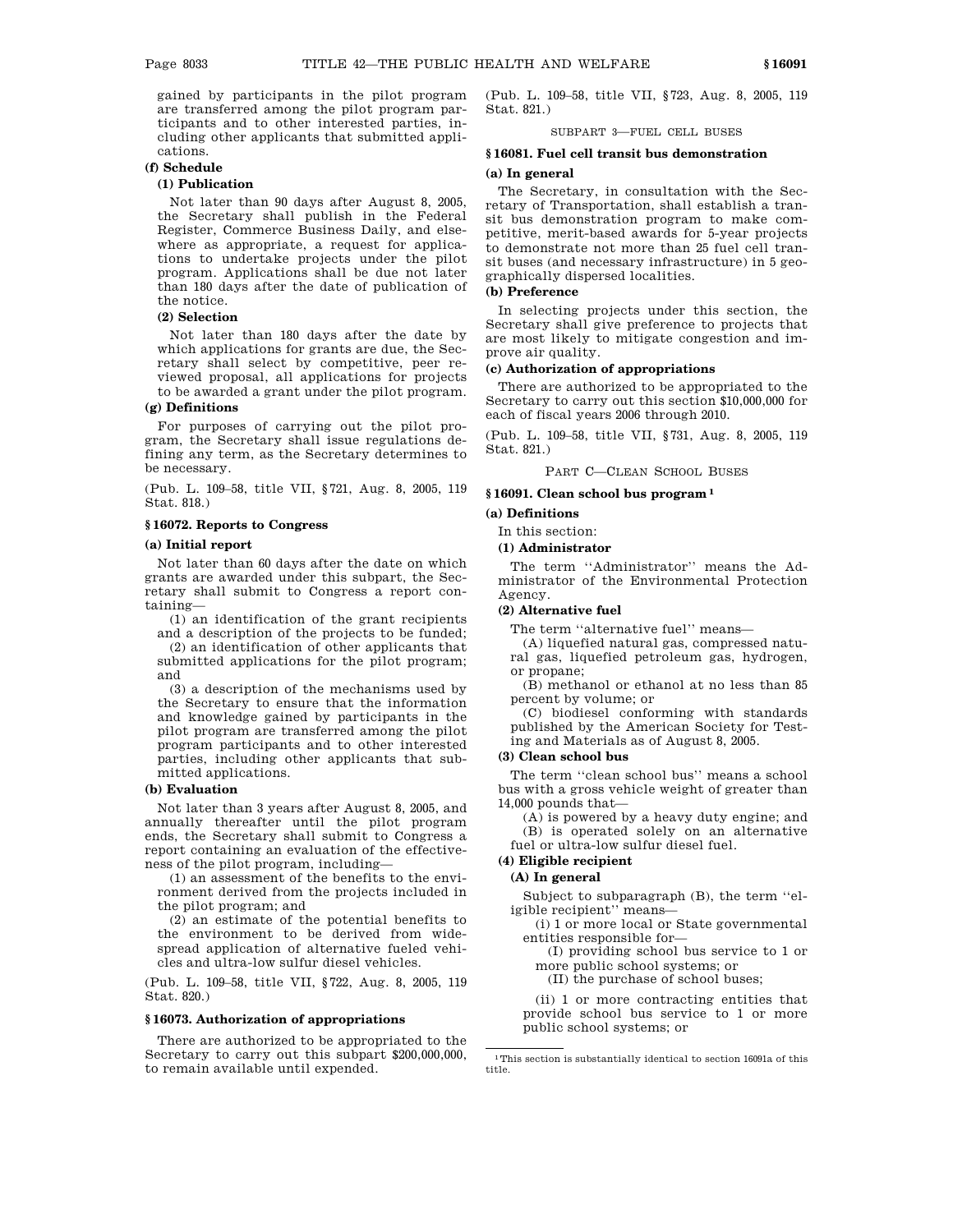gained by participants in the pilot program are transferred among the pilot program participants and to other interested parties, including other applicants that submitted applications.

### **(f) Schedule**

### **(1) Publication**

Not later than 90 days after August 8, 2005, the Secretary shall publish in the Federal Register, Commerce Business Daily, and elsewhere as appropriate, a request for applications to undertake projects under the pilot program. Applications shall be due not later than 180 days after the date of publication of the notice.

### **(2) Selection**

Not later than 180 days after the date by which applications for grants are due, the Secretary shall select by competitive, peer reviewed proposal, all applications for projects to be awarded a grant under the pilot program.

### **(g) Definitions**

For purposes of carrying out the pilot program, the Secretary shall issue regulations defining any term, as the Secretary determines to be necessary.

(Pub. L. 109–58, title VII, §721, Aug. 8, 2005, 119 Stat. 818.)

### **§ 16072. Reports to Congress**

### **(a) Initial report**

Not later than 60 days after the date on which grants are awarded under this subpart, the Secretary shall submit to Congress a report containing—

(1) an identification of the grant recipients and a description of the projects to be funded;

(2) an identification of other applicants that submitted applications for the pilot program; and

(3) a description of the mechanisms used by the Secretary to ensure that the information and knowledge gained by participants in the pilot program are transferred among the pilot program participants and to other interested parties, including other applicants that submitted applications.

#### **(b) Evaluation**

Not later than 3 years after August 8, 2005, and annually thereafter until the pilot program ends, the Secretary shall submit to Congress a report containing an evaluation of the effectiveness of the pilot program, including—

(1) an assessment of the benefits to the environment derived from the projects included in the pilot program; and

(2) an estimate of the potential benefits to the environment to be derived from widespread application of alternative fueled vehicles and ultra-low sulfur diesel vehicles.

(Pub. L. 109–58, title VII, §722, Aug. 8, 2005, 119 Stat. 820.)

#### **§ 16073. Authorization of appropriations**

There are authorized to be appropriated to the Secretary to carry out this subpart \$200,000,000, to remain available until expended.

(Pub. L. 109–58, title VII, §723, Aug. 8, 2005, 119 Stat. 821.)

SUBPART 3—FUEL CELL BUSES

### **§ 16081. Fuel cell transit bus demonstration (a) In general**

The Secretary, in consultation with the Secretary of Transportation, shall establish a transit bus demonstration program to make competitive, merit-based awards for 5-year projects to demonstrate not more than 25 fuel cell transit buses (and necessary infrastructure) in 5 geographically dispersed localities.

### **(b) Preference**

In selecting projects under this section, the Secretary shall give preference to projects that are most likely to mitigate congestion and improve air quality.

#### **(c) Authorization of appropriations**

There are authorized to be appropriated to the Secretary to carry out this section \$10,000,000 for each of fiscal years 2006 through 2010.

(Pub. L. 109–58, title VII, §731, Aug. 8, 2005, 119 Stat. 821.)

PART C—CLEAN SCHOOL BUSES

#### **§ 16091. Clean school bus program 1**

### **(a) Definitions**

In this section:

**(1) Administrator**

The term ''Administrator'' means the Administrator of the Environmental Protection Agency.

#### **(2) Alternative fuel**

The term ''alternative fuel'' means—

(A) liquefied natural gas, compressed natural gas, liquefied petroleum gas, hydrogen,

or propane; (B) methanol or ethanol at no less than 85 percent by volume; or

(C) biodiesel conforming with standards published by the American Society for Testing and Materials as of August 8, 2005.

#### **(3) Clean school bus**

The term ''clean school bus'' means a school bus with a gross vehicle weight of greater than 14,000 pounds that—

(A) is powered by a heavy duty engine; and (B) is operated solely on an alternative fuel or ultra-low sulfur diesel fuel.

#### **(4) Eligible recipient**

#### **(A) In general**

Subject to subparagraph (B), the term ''eligible recipient'' means—

(i) 1 or more local or State governmental entities responsible for—

(I) providing school bus service to 1 or more public school systems; or

(II) the purchase of school buses;

(ii) 1 or more contracting entities that provide school bus service to 1 or more public school systems; or

 $^{\rm 1}$  This section is substantially identical to section 16091a of this title.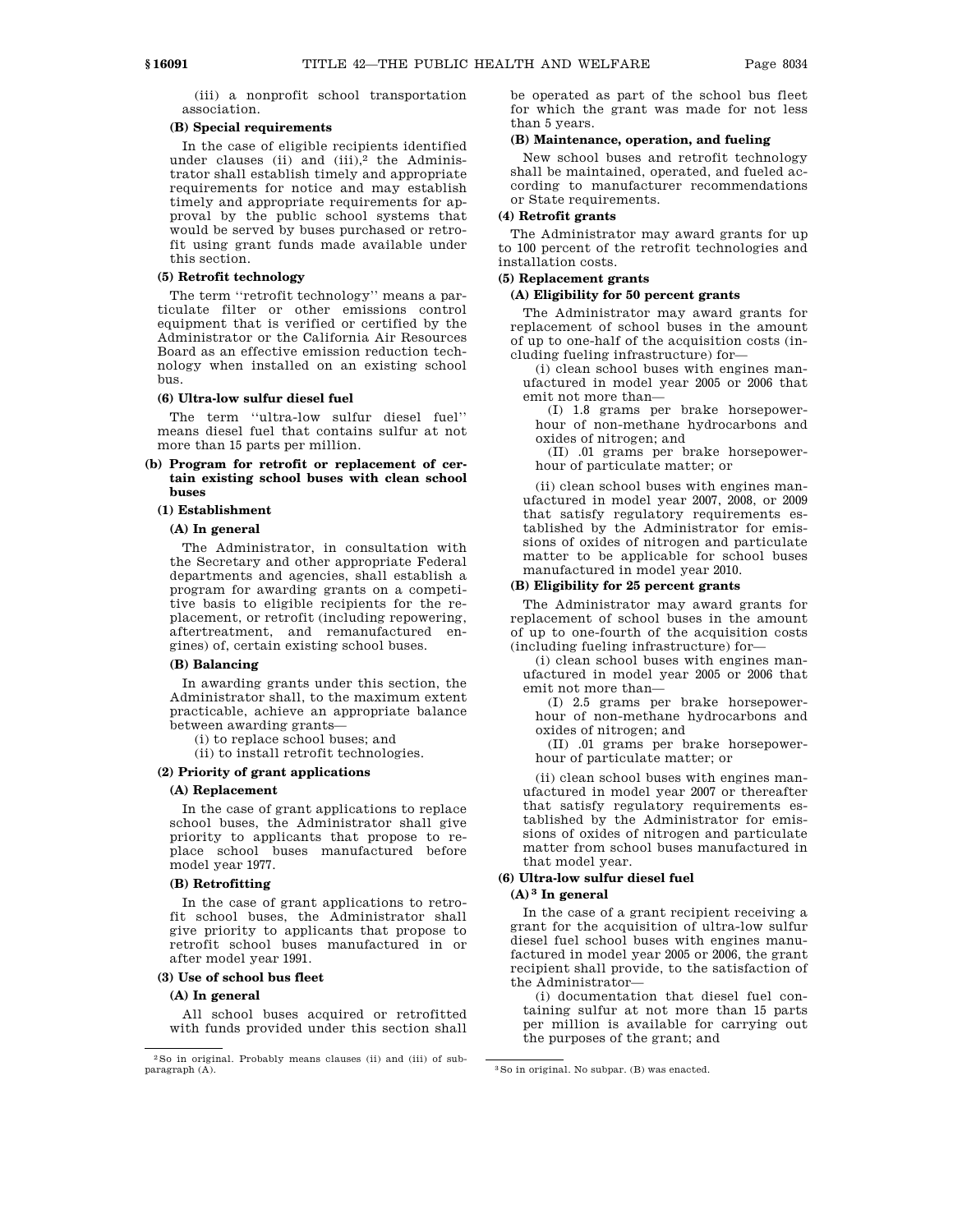(iii) a nonprofit school transportation association.

### **(B) Special requirements**

In the case of eligible recipients identified under clauses (ii) and (iii), $^2$  the Administrator shall establish timely and appropriate requirements for notice and may establish timely and appropriate requirements for approval by the public school systems that would be served by buses purchased or retrofit using grant funds made available under this section.

### **(5) Retrofit technology**

The term ''retrofit technology'' means a particulate filter or other emissions control equipment that is verified or certified by the Administrator or the California Air Resources Board as an effective emission reduction technology when installed on an existing school bus.

#### **(6) Ultra-low sulfur diesel fuel**

The term ''ultra-low sulfur diesel fuel'' means diesel fuel that contains sulfur at not more than 15 parts per million.

**(b) Program for retrofit or replacement of certain existing school buses with clean school buses**

#### **(1) Establishment**

### **(A) In general**

The Administrator, in consultation with the Secretary and other appropriate Federal departments and agencies, shall establish a program for awarding grants on a competitive basis to eligible recipients for the replacement, or retrofit (including repowering, aftertreatment, and remanufactured engines) of, certain existing school buses.

### **(B) Balancing**

In awarding grants under this section, the Administrator shall, to the maximum extent practicable, achieve an appropriate balance between awarding grants—

(i) to replace school buses; and

(ii) to install retrofit technologies.

### **(2) Priority of grant applications**

#### **(A) Replacement**

In the case of grant applications to replace school buses, the Administrator shall give priority to applicants that propose to replace school buses manufactured before model year 1977.

### **(B) Retrofitting**

In the case of grant applications to retrofit school buses, the Administrator shall give priority to applicants that propose to retrofit school buses manufactured in or after model year 1991.

### **(3) Use of school bus fleet**

#### **(A) In general**

All school buses acquired or retrofitted with funds provided under this section shall be operated as part of the school bus fleet for which the grant was made for not less than 5 years.

### **(B) Maintenance, operation, and fueling**

New school buses and retrofit technology shall be maintained, operated, and fueled according to manufacturer recommendations or State requirements.

### **(4) Retrofit grants**

The Administrator may award grants for up to 100 percent of the retrofit technologies and installation costs.

#### **(5) Replacement grants**

#### **(A) Eligibility for 50 percent grants**

The Administrator may award grants for replacement of school buses in the amount of up to one-half of the acquisition costs (including fueling infrastructure) for—

(i) clean school buses with engines manufactured in model year 2005 or 2006 that emit not more than—

(I) 1.8 grams per brake horsepowerhour of non-methane hydrocarbons and oxides of nitrogen; and

(II) .01 grams per brake horsepowerhour of particulate matter; or

(ii) clean school buses with engines manufactured in model year 2007, 2008, or 2009 that satisfy regulatory requirements established by the Administrator for emissions of oxides of nitrogen and particulate matter to be applicable for school buses manufactured in model year 2010.

#### **(B) Eligibility for 25 percent grants**

The Administrator may award grants for replacement of school buses in the amount of up to one-fourth of the acquisition costs (including fueling infrastructure) for—

(i) clean school buses with engines manufactured in model year 2005 or 2006 that emit not more than—

(I) 2.5 grams per brake horsepowerhour of non-methane hydrocarbons and oxides of nitrogen; and

(II) .01 grams per brake horsepowerhour of particulate matter; or

(ii) clean school buses with engines manufactured in model year 2007 or thereafter that satisfy regulatory requirements established by the Administrator for emissions of oxides of nitrogen and particulate matter from school buses manufactured in that model year.

#### **(6) Ultra-low sulfur diesel fuel**

#### **(A) 3 In general**

In the case of a grant recipient receiving a grant for the acquisition of ultra-low sulfur diesel fuel school buses with engines manufactured in model year 2005 or 2006, the grant recipient shall provide, to the satisfaction of the Administrator—

(i) documentation that diesel fuel containing sulfur at not more than 15 parts per million is available for carrying out the purposes of the grant; and

<sup>2</sup>So in original. Probably means clauses (ii) and (iii) of subparagraph (A).  $3S$ o in original. No subpar. (B) was enacted.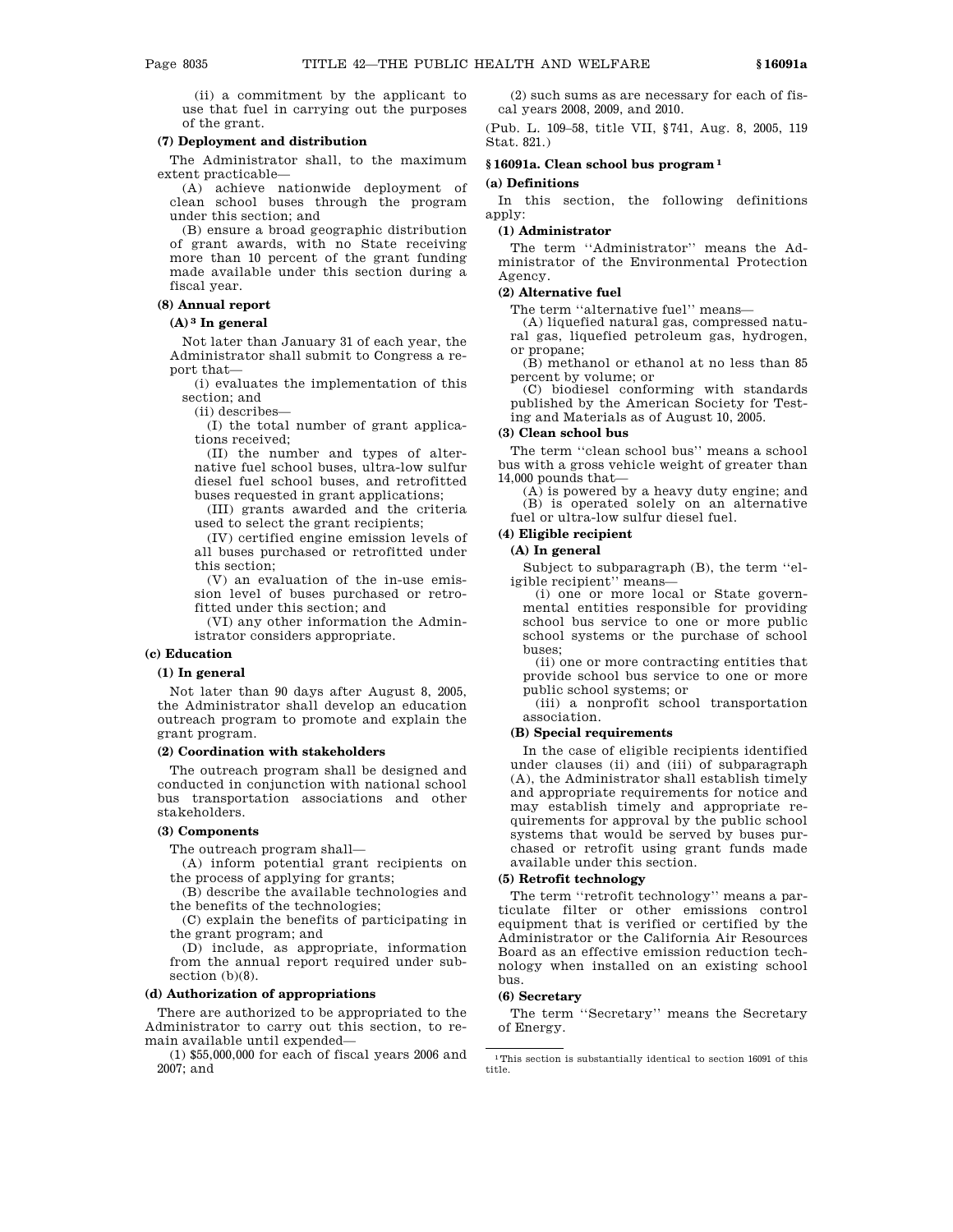(ii) a commitment by the applicant to use that fuel in carrying out the purposes of the grant.

### **(7) Deployment and distribution**

The Administrator shall, to the maximum extent practicable—

(A) achieve nationwide deployment of clean school buses through the program under this section; and

(B) ensure a broad geographic distribution of grant awards, with no State receiving more than 10 percent of the grant funding made available under this section during a fiscal year.

### **(8) Annual report**

#### **(A) 3 In general**

Not later than January 31 of each year, the Administrator shall submit to Congress a report that—

(i) evaluates the implementation of this section; and

(ii) describes—

(I) the total number of grant applications received;

(II) the number and types of alternative fuel school buses, ultra-low sulfur diesel fuel school buses, and retrofitted buses requested in grant applications;

(III) grants awarded and the criteria used to select the grant recipients;

(IV) certified engine emission levels of all buses purchased or retrofitted under this section;

(V) an evaluation of the in-use emission level of buses purchased or retrofitted under this section; and

(VI) any other information the Administrator considers appropriate.

### **(c) Education**

### **(1) In general**

Not later than 90 days after August 8, 2005, the Administrator shall develop an education outreach program to promote and explain the grant program.

### **(2) Coordination with stakeholders**

The outreach program shall be designed and conducted in conjunction with national school bus transportation associations and other stakeholders.

#### **(3) Components**

The outreach program shall—

(A) inform potential grant recipients on the process of applying for grants;

(B) describe the available technologies and the benefits of the technologies;

(C) explain the benefits of participating in the grant program; and

(D) include, as appropriate, information from the annual report required under subsection (b)(8).

#### **(d) Authorization of appropriations**

There are authorized to be appropriated to the Administrator to carry out this section, to remain available until expended—

(1) \$55,000,000 for each of fiscal years 2006 and 2007; and

(2) such sums as are necessary for each of fiscal years 2008, 2009, and 2010.

(Pub. L. 109–58, title VII, §741, Aug. 8, 2005, 119 Stat. 821.)

### **§ 16091a. Clean school bus program 1**

#### **(a) Definitions**

In this section, the following definitions apply:

#### **(1) Administrator**

The term ''Administrator'' means the Administrator of the Environmental Protection Agency.

### **(2) Alternative fuel**

The term ''alternative fuel'' means—

(A) liquefied natural gas, compressed natural gas, liquefied petroleum gas, hydrogen, or propane;

(B) methanol or ethanol at no less than 85 percent by volume; or

(C) biodiesel conforming with standards published by the American Society for Testing and Materials as of August 10, 2005.

#### **(3) Clean school bus**

The term ''clean school bus'' means a school bus with a gross vehicle weight of greater than 14,000 pounds that—

(A) is powered by a heavy duty engine; and (B) is operated solely on an alternative fuel or ultra-low sulfur diesel fuel.

### **(4) Eligible recipient**

### **(A) In general**

Subject to subparagraph (B), the term ''eligible recipient'' means—

(i) one or more local or State governmental entities responsible for providing school bus service to one or more public school systems or the purchase of school buses;

(ii) one or more contracting entities that provide school bus service to one or more public school systems; or

(iii) a nonprofit school transportation association.

#### **(B) Special requirements**

In the case of eligible recipients identified under clauses (ii) and (iii) of subparagraph (A), the Administrator shall establish timely and appropriate requirements for notice and may establish timely and appropriate requirements for approval by the public school systems that would be served by buses purchased or retrofit using grant funds made available under this section.

### **(5) Retrofit technology**

The term ''retrofit technology'' means a particulate filter or other emissions control equipment that is verified or certified by the Administrator or the California Air Resources Board as an effective emission reduction technology when installed on an existing school bus.

#### **(6) Secretary**

The term ''Secretary'' means the Secretary of Energy.

 $^{\rm 1}$  This section is substantially identical to section 16091 of this title.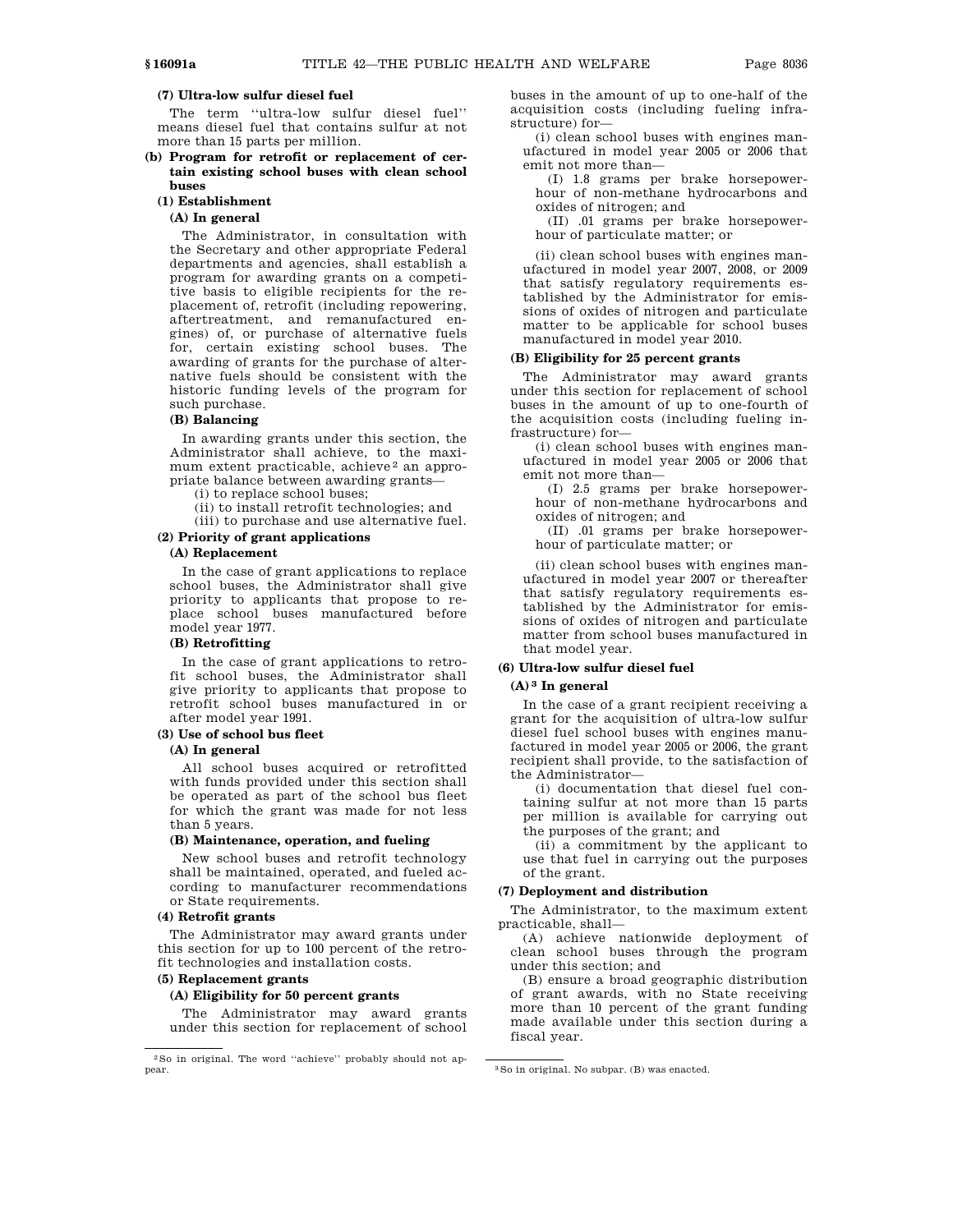### **(7) Ultra-low sulfur diesel fuel**

The term ''ultra-low sulfur diesel fuel'' means diesel fuel that contains sulfur at not more than 15 parts per million.

### **(b) Program for retrofit or replacement of certain existing school buses with clean school buses**

#### **(1) Establishment**

### **(A) In general**

The Administrator, in consultation with the Secretary and other appropriate Federal departments and agencies, shall establish a program for awarding grants on a competitive basis to eligible recipients for the replacement of, retrofit (including repowering, aftertreatment, and remanufactured engines) of, or purchase of alternative fuels for, certain existing school buses. The awarding of grants for the purchase of alternative fuels should be consistent with the historic funding levels of the program for such purchase.

### **(B) Balancing**

In awarding grants under this section, the Administrator shall achieve, to the maximum extent practicable, achieve<sup>2</sup> an appropriate balance between awarding grants—

(i) to replace school buses;

- (ii) to install retrofit technologies; and
- (iii) to purchase and use alternative fuel.

# **(2) Priority of grant applications**

### **(A) Replacement**

In the case of grant applications to replace school buses, the Administrator shall give priority to applicants that propose to replace school buses manufactured before model year 1977.

### **(B) Retrofitting**

In the case of grant applications to retrofit school buses, the Administrator shall give priority to applicants that propose to retrofit school buses manufactured in or after model year 1991.

### **(3) Use of school bus fleet**

### **(A) In general**

All school buses acquired or retrofitted with funds provided under this section shall be operated as part of the school bus fleet for which the grant was made for not less than 5 years.

#### **(B) Maintenance, operation, and fueling**

New school buses and retrofit technology shall be maintained, operated, and fueled according to manufacturer recommendations or State requirements.

### **(4) Retrofit grants**

The Administrator may award grants under this section for up to 100 percent of the retrofit technologies and installation costs.

### **(5) Replacement grants**

**(A) Eligibility for 50 percent grants**

The Administrator may award grants under this section for replacement of school buses in the amount of up to one-half of the acquisition costs (including fueling infrastructure) for—

(i) clean school buses with engines manufactured in model year 2005 or 2006 that emit not more than—

(I) 1.8 grams per brake horsepowerhour of non-methane hydrocarbons and oxides of nitrogen; and

(II) .01 grams per brake horsepowerhour of particulate matter; or

(ii) clean school buses with engines manufactured in model year 2007, 2008, or 2009 that satisfy regulatory requirements established by the Administrator for emissions of oxides of nitrogen and particulate matter to be applicable for school buses manufactured in model year 2010.

### **(B) Eligibility for 25 percent grants**

The Administrator may award grants under this section for replacement of school buses in the amount of up to one-fourth of the acquisition costs (including fueling infrastructure) for—

(i) clean school buses with engines manufactured in model year 2005 or 2006 that emit not more than—

(I) 2.5 grams per brake horsepowerhour of non-methane hydrocarbons and oxides of nitrogen; and

(II) .01 grams per brake horsepowerhour of particulate matter; or

(ii) clean school buses with engines manufactured in model year 2007 or thereafter that satisfy regulatory requirements established by the Administrator for emissions of oxides of nitrogen and particulate matter from school buses manufactured in that model year.

### **(6) Ultra-low sulfur diesel fuel**

#### **(A) 3 In general**

In the case of a grant recipient receiving a grant for the acquisition of ultra-low sulfur diesel fuel school buses with engines manufactured in model year 2005 or 2006, the grant recipient shall provide, to the satisfaction of the Administrator—

(i) documentation that diesel fuel containing sulfur at not more than 15 parts per million is available for carrying out the purposes of the grant; and

(ii) a commitment by the applicant to use that fuel in carrying out the purposes of the grant.

### **(7) Deployment and distribution**

The Administrator, to the maximum extent practicable, shall—

(A) achieve nationwide deployment of clean school buses through the program under this section; and

(B) ensure a broad geographic distribution of grant awards, with no State receiving more than 10 percent of the grant funding made available under this section during a fiscal year.

<sup>2</sup>So in original. The word ''achieve'' probably should not appear. 3So in original. No subpar. (B) was enacted.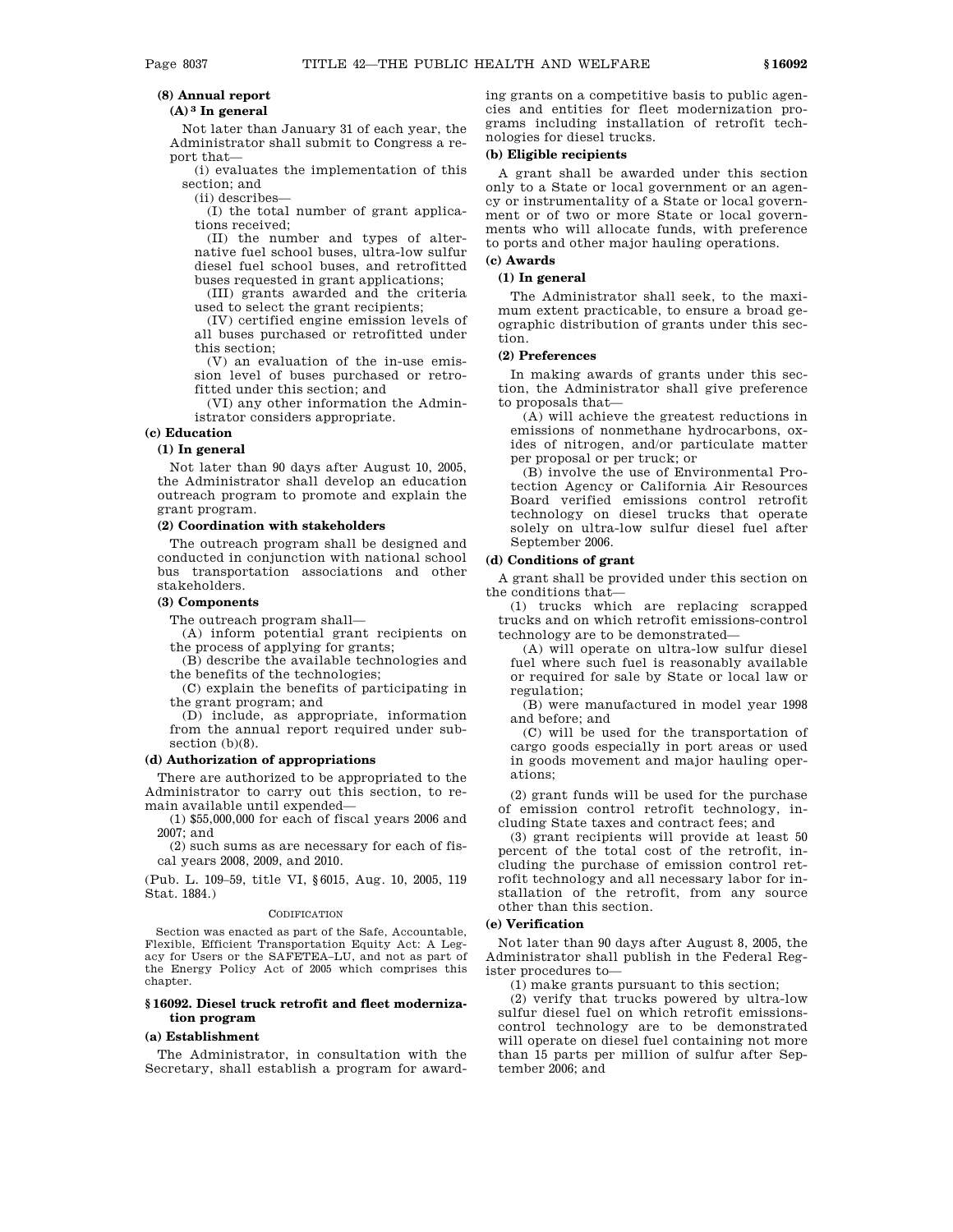### **(8) Annual report**

### **(A) 3 In general**

Not later than January 31 of each year, the Administrator shall submit to Congress a report that—

(i) evaluates the implementation of this section; and

(ii) describes—

(I) the total number of grant applications received;

(II) the number and types of alternative fuel school buses, ultra-low sulfur diesel fuel school buses, and retrofitted buses requested in grant applications;

(III) grants awarded and the criteria used to select the grant recipients;

(IV) certified engine emission levels of all buses purchased or retrofitted under this section;

(V) an evaluation of the in-use emission level of buses purchased or retrofitted under this section; and

(VI) any other information the Administrator considers appropriate.

**(c) Education**

#### **(1) In general**

Not later than 90 days after August 10, 2005, the Administrator shall develop an education outreach program to promote and explain the grant program.

#### **(2) Coordination with stakeholders**

The outreach program shall be designed and conducted in conjunction with national school bus transportation associations and other stakeholders.

#### **(3) Components**

The outreach program shall—

(A) inform potential grant recipients on

the process of applying for grants; (B) describe the available technologies and

the benefits of the technologies; (C) explain the benefits of participating in the grant program; and

(D) include, as appropriate, information from the annual report required under subsection (b)(8).

#### **(d) Authorization of appropriations**

There are authorized to be appropriated to the Administrator to carry out this section, to remain available until expended—

(1) \$55,000,000 for each of fiscal years 2006 and 2007; and

(2) such sums as are necessary for each of fiscal years 2008, 2009, and 2010.

(Pub. L. 109–59, title VI, §6015, Aug. 10, 2005, 119 Stat. 1884.)

#### CODIFICATION

Section was enacted as part of the Safe, Accountable, Flexible, Efficient Transportation Equity Act: A Legacy for Users or the SAFETEA–LU, and not as part of the Energy Policy Act of 2005 which comprises this chapter.

### **§ 16092. Diesel truck retrofit and fleet modernization program**

#### **(a) Establishment**

The Administrator, in consultation with the Secretary, shall establish a program for awarding grants on a competitive basis to public agencies and entities for fleet modernization programs including installation of retrofit technologies for diesel trucks.

### **(b) Eligible recipients**

A grant shall be awarded under this section only to a State or local government or an agency or instrumentality of a State or local government or of two or more State or local governments who will allocate funds, with preference to ports and other major hauling operations.

### **(1) In general**

**(c) Awards**

The Administrator shall seek, to the maximum extent practicable, to ensure a broad geographic distribution of grants under this section.

### **(2) Preferences**

In making awards of grants under this section, the Administrator shall give preference to proposals that—

(A) will achieve the greatest reductions in emissions of nonmethane hydrocarbons, oxides of nitrogen, and/or particulate matter per proposal or per truck; or

(B) involve the use of Environmental Protection Agency or California Air Resources Board verified emissions control retrofit technology on diesel trucks that operate solely on ultra-low sulfur diesel fuel after September 2006.

### **(d) Conditions of grant**

A grant shall be provided under this section on the conditions that—

(1) trucks which are replacing scrapped trucks and on which retrofit emissions-control technology are to be demonstrated—

(A) will operate on ultra-low sulfur diesel fuel where such fuel is reasonably available or required for sale by State or local law or regulation;

(B) were manufactured in model year 1998 and before; and

(C) will be used for the transportation of cargo goods especially in port areas or used in goods movement and major hauling operations;

(2) grant funds will be used for the purchase of emission control retrofit technology, including State taxes and contract fees; and

(3) grant recipients will provide at least 50 percent of the total cost of the retrofit, including the purchase of emission control retrofit technology and all necessary labor for installation of the retrofit, from any source other than this section.

### **(e) Verification**

Not later than 90 days after August 8, 2005, the Administrator shall publish in the Federal Register procedures to—

(1) make grants pursuant to this section;

(2) verify that trucks powered by ultra-low sulfur diesel fuel on which retrofit emissionscontrol technology are to be demonstrated will operate on diesel fuel containing not more than 15 parts per million of sulfur after September 2006; and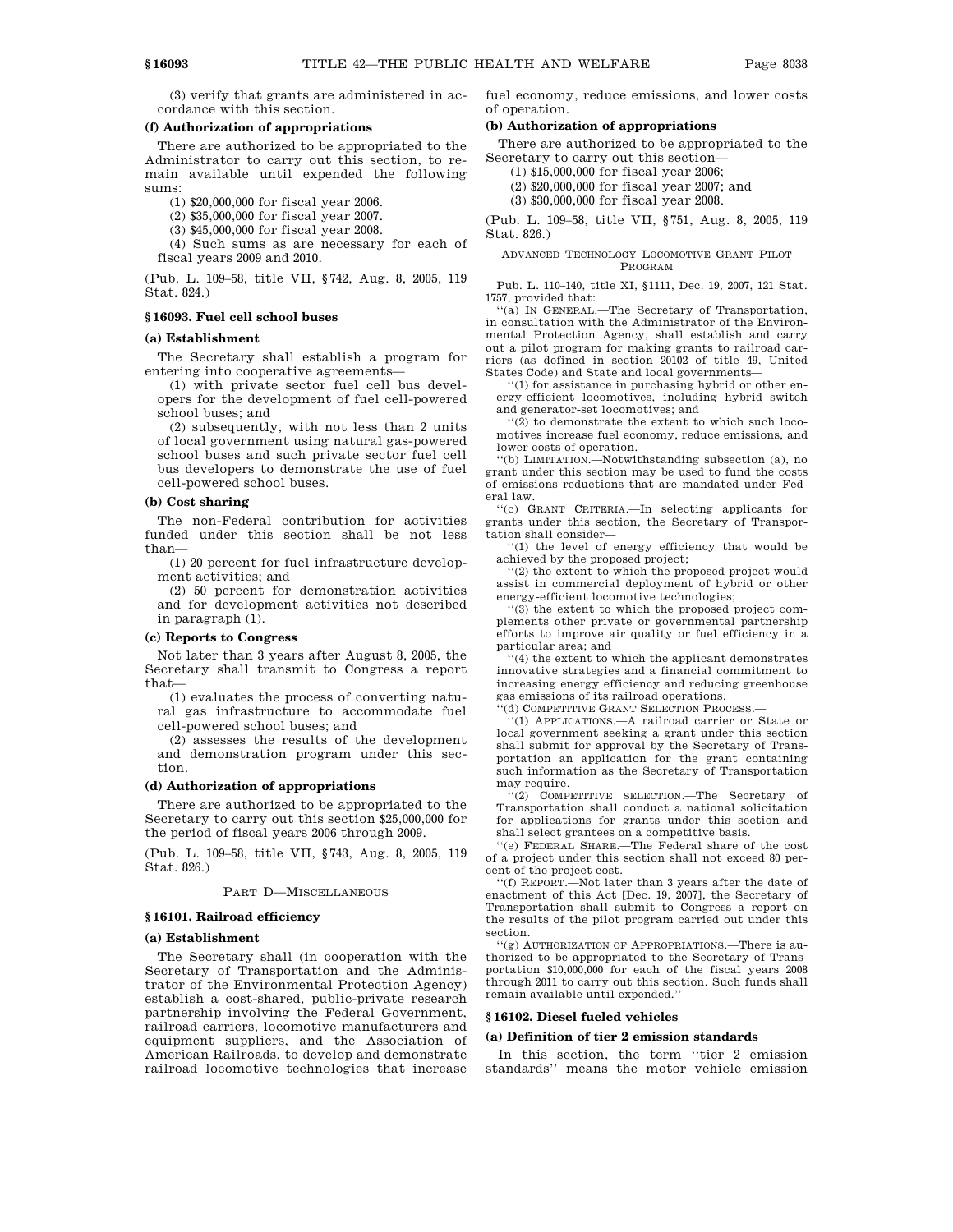(3) verify that grants are administered in accordance with this section.

### **(f) Authorization of appropriations**

There are authorized to be appropriated to the Administrator to carry out this section, to remain available until expended the following sums:

(1) \$20,000,000 for fiscal year 2006.

(2) \$35,000,000 for fiscal year 2007.

(3) \$45,000,000 for fiscal year 2008.

(4) Such sums as are necessary for each of fiscal years 2009 and 2010.

(Pub. L. 109–58, title VII, §742, Aug. 8, 2005, 119 Stat. 824.)

### **§ 16093. Fuel cell school buses**

#### **(a) Establishment**

The Secretary shall establish a program for entering into cooperative agreements—

(1) with private sector fuel cell bus developers for the development of fuel cell-powered school buses; and

(2) subsequently, with not less than 2 units of local government using natural gas-powered school buses and such private sector fuel cell bus developers to demonstrate the use of fuel cell-powered school buses.

#### **(b) Cost sharing**

The non-Federal contribution for activities funded under this section shall be not less than—

(1) 20 percent for fuel infrastructure development activities; and

(2) 50 percent for demonstration activities and for development activities not described in paragraph (1).

#### **(c) Reports to Congress**

Not later than 3 years after August 8, 2005, the Secretary shall transmit to Congress a report that—

(1) evaluates the process of converting natural gas infrastructure to accommodate fuel cell-powered school buses; and

(2) assesses the results of the development and demonstration program under this section.

#### **(d) Authorization of appropriations**

There are authorized to be appropriated to the Secretary to carry out this section \$25,000,000 for the period of fiscal years 2006 through 2009.

(Pub. L. 109–58, title VII, §743, Aug. 8, 2005, 119 Stat. 826.)

#### PART D—MISCELLANEOUS

### **§ 16101. Railroad efficiency**

#### **(a) Establishment**

The Secretary shall (in cooperation with the Secretary of Transportation and the Administrator of the Environmental Protection Agency) establish a cost-shared, public-private research partnership involving the Federal Government, railroad carriers, locomotive manufacturers and equipment suppliers, and the Association of American Railroads, to develop and demonstrate railroad locomotive technologies that increase

fuel economy, reduce emissions, and lower costs of operation.

#### **(b) Authorization of appropriations**

There are authorized to be appropriated to the Secretary to carry out this section—

(1) \$15,000,000 for fiscal year 2006;

(2) \$20,000,000 for fiscal year 2007; and

(3) \$30,000,000 for fiscal year 2008.

(Pub. L. 109–58, title VII, §751, Aug. 8, 2005, 119 Stat. 826.)

#### ADVANCED TECHNOLOGY LOCOMOTIVE GRANT PILOT PROGRAM

Pub. L. 110–140, title XI, §1111, Dec. 19, 2007, 121 Stat. 1757, provided that:

''(a) IN GENERAL.—The Secretary of Transportation, in consultation with the Administrator of the Environmental Protection Agency, shall establish and carry out a pilot program for making grants to railroad carriers (as defined in section 20102 of title 49, United States Code) and State and local governments—

''(1) for assistance in purchasing hybrid or other energy-efficient locomotives, including hybrid switch and generator-set locomotives; and

''(2) to demonstrate the extent to which such locomotives increase fuel economy, reduce emissions, and lower costs of operation.

''(b) LIMITATION.—Notwithstanding subsection (a), no grant under this section may be used to fund the costs of emissions reductions that are mandated under Federal law.

''(c) GRANT CRITERIA.—In selecting applicants for grants under this section, the Secretary of Transportation shall consider—

''(1) the level of energy efficiency that would be achieved by the proposed project;

''(2) the extent to which the proposed project would assist in commercial deployment of hybrid or other energy-efficient locomotive technologies;

 $(3)$  the extent to which the proposed project complements other private or governmental partnership efforts to improve air quality or fuel efficiency in a particular area; and

''(4) the extent to which the applicant demonstrates innovative strategies and a financial commitment to increasing energy efficiency and reducing greenhouse gas emissions of its railroad operations.

''(d) COMPETITIVE GRANT SELECTION PROCESS.—

''(1) APPLICATIONS.—A railroad carrier or State or local government seeking a grant under this section shall submit for approval by the Secretary of Transportation an application for the grant containing such information as the Secretary of Transportation may require.

''(2) COMPETITIVE SELECTION.—The Secretary of Transportation shall conduct a national solicitation for applications for grants under this section and shall select grantees on a competitive basis.

''(e) FEDERAL SHARE.—The Federal share of the cost of a project under this section shall not exceed 80 percent of the project cost.

''(f) REPORT.—Not later than 3 years after the date of enactment of this Act [Dec. 19, 2007], the Secretary of Transportation shall submit to Congress a report on the results of the pilot program carried out under this section.

''(g) AUTHORIZATION OF APPROPRIATIONS.—There is authorized to be appropriated to the Secretary of Transportation \$10,000,000 for each of the fiscal years 2008 through 2011 to carry out this section. Such funds shall remain available until expended.''

### **§ 16102. Diesel fueled vehicles**

#### **(a) Definition of tier 2 emission standards**

In this section, the term ''tier 2 emission standards'' means the motor vehicle emission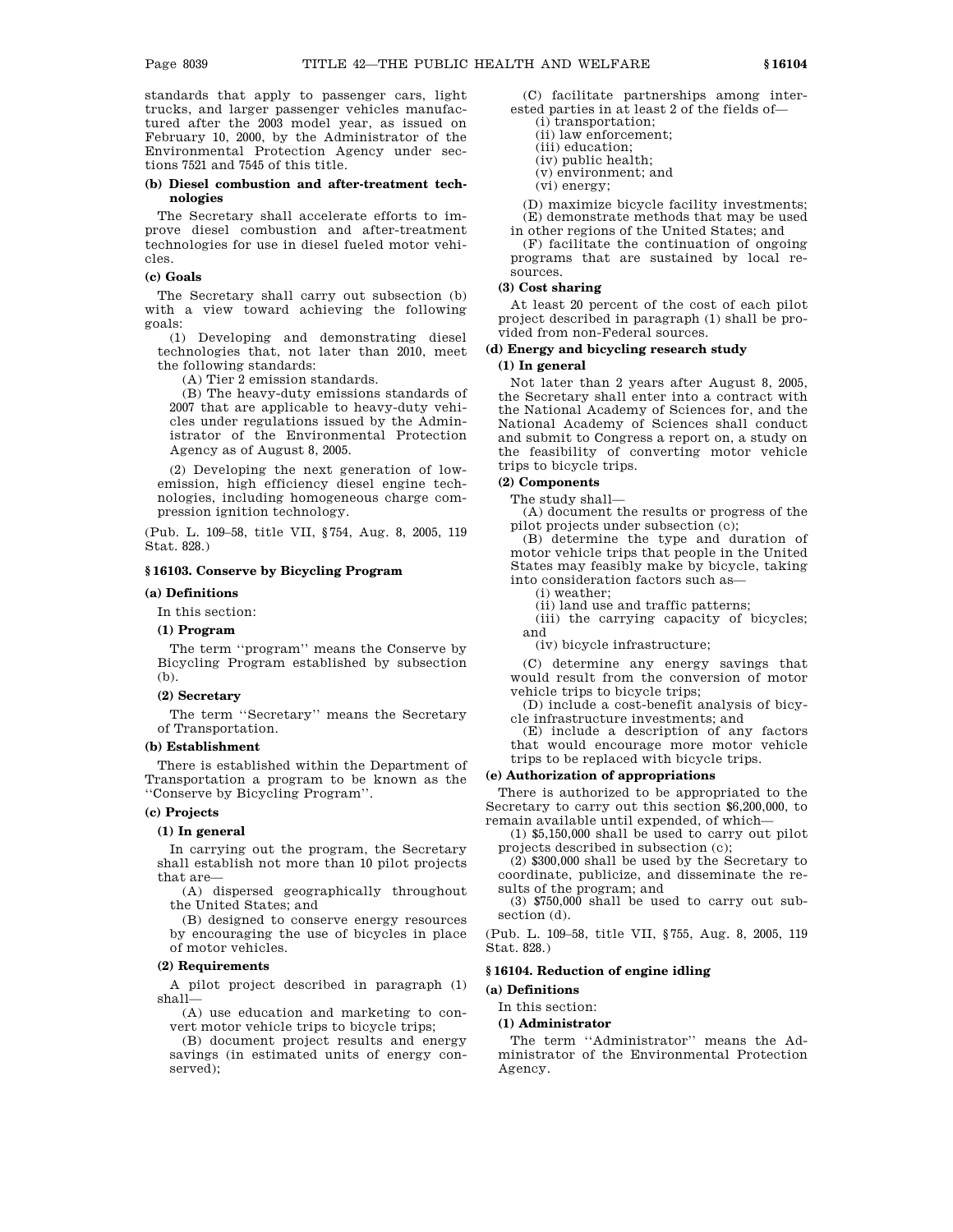standards that apply to passenger cars, light trucks, and larger passenger vehicles manufactured after the 2003 model year, as issued on February 10, 2000, by the Administrator of the Environmental Protection Agency under sections 7521 and 7545 of this title.

#### **(b) Diesel combustion and after-treatment technologies**

The Secretary shall accelerate efforts to improve diesel combustion and after-treatment technologies for use in diesel fueled motor vehicles.

### **(c) Goals**

The Secretary shall carry out subsection (b) with a view toward achieving the following goals:

(1) Developing and demonstrating diesel technologies that, not later than 2010, meet the following standards:

(A) Tier 2 emission standards.

(B) The heavy-duty emissions standards of 2007 that are applicable to heavy-duty vehicles under regulations issued by the Administrator of the Environmental Protection Agency as of August 8, 2005.

(2) Developing the next generation of lowemission, high efficiency diesel engine technologies, including homogeneous charge compression ignition technology.

(Pub. L. 109–58, title VII, §754, Aug. 8, 2005, 119 Stat. 828.)

### **§ 16103. Conserve by Bicycling Program**

#### **(a) Definitions**

In this section:

#### **(1) Program**

The term ''program'' means the Conserve by Bicycling Program established by subsection (b).

#### **(2) Secretary**

The term ''Secretary'' means the Secretary of Transportation.

#### **(b) Establishment**

There is established within the Department of Transportation a program to be known as the ''Conserve by Bicycling Program''.

#### **(c) Projects**

#### **(1) In general**

In carrying out the program, the Secretary shall establish not more than 10 pilot projects that are-

(A) dispersed geographically throughout the United States; and

(B) designed to conserve energy resources by encouraging the use of bicycles in place of motor vehicles.

### **(2) Requirements**

A pilot project described in paragraph (1) shall—

(A) use education and marketing to convert motor vehicle trips to bicycle trips;

(B) document project results and energy savings (in estimated units of energy conserved);

(C) facilitate partnerships among interested parties in at least 2 of the fields of—

(i) transportation; (ii) law enforcement;

- (iii) education;
- (iv) public health;
- (v) environment; and
- (vi) energy;

(D) maximize bicycle facility investments; (E) demonstrate methods that may be used

in other regions of the United States; and (F) facilitate the continuation of ongoing programs that are sustained by local resources.

### **(3) Cost sharing**

At least 20 percent of the cost of each pilot project described in paragraph (1) shall be provided from non-Federal sources.

#### **(d) Energy and bicycling research study**

### **(1) In general**

Not later than 2 years after August 8, 2005, the Secretary shall enter into a contract with the National Academy of Sciences for, and the National Academy of Sciences shall conduct and submit to Congress a report on, a study on the feasibility of converting motor vehicle trips to bicycle trips.

#### **(2) Components**

The study shall—

(A) document the results or progress of the pilot projects under subsection (c);

(B) determine the type and duration of motor vehicle trips that people in the United States may feasibly make by bicycle, taking into consideration factors such as—

(i) weather;

(ii) land use and traffic patterns;

(iii) the carrying capacity of bicycles; and

(iv) bicycle infrastructure;

(C) determine any energy savings that would result from the conversion of motor vehicle trips to bicycle trips;

(D) include a cost-benefit analysis of bicycle infrastructure investments; and

(E) include a description of any factors that would encourage more motor vehicle trips to be replaced with bicycle trips.

### **(e) Authorization of appropriations**

There is authorized to be appropriated to the Secretary to carry out this section \$6,200,000, to remain available until expended, of which—

(1) \$5,150,000 shall be used to carry out pilot projects described in subsection (c);

(2) \$300,000 shall be used by the Secretary to coordinate, publicize, and disseminate the results of the program; and

(3) \$750,000 shall be used to carry out subsection (d).

(Pub. L. 109–58, title VII, §755, Aug. 8, 2005, 119 Stat. 828.)

#### **§ 16104. Reduction of engine idling**

### **(a) Definitions**

In this section:

### **(1) Administrator**

The term ''Administrator'' means the Administrator of the Environmental Protection Agency.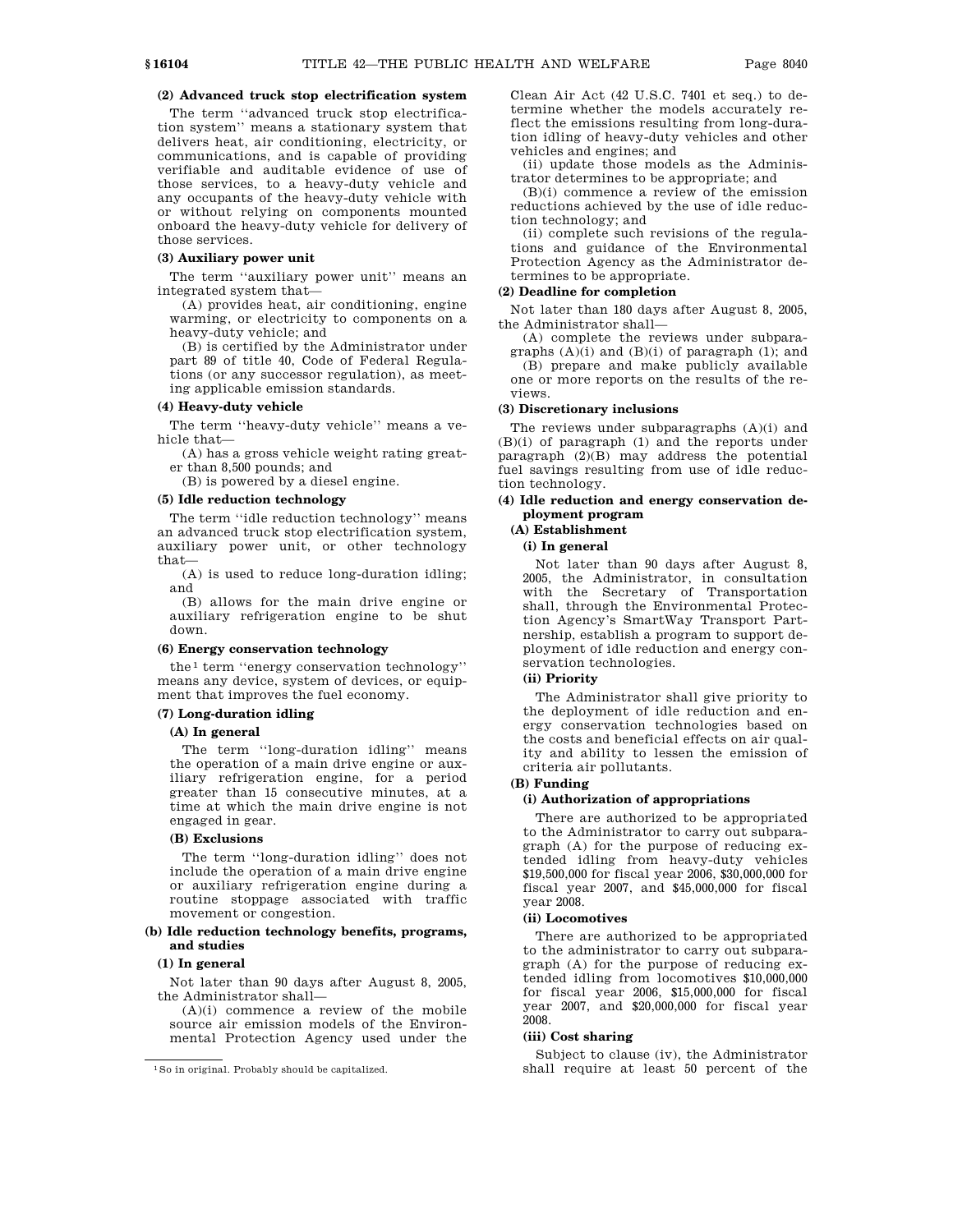### **(2) Advanced truck stop electrification system**

The term ''advanced truck stop electrification system'' means a stationary system that delivers heat, air conditioning, electricity, or communications, and is capable of providing verifiable and auditable evidence of use of those services, to a heavy-duty vehicle and any occupants of the heavy-duty vehicle with or without relying on components mounted onboard the heavy-duty vehicle for delivery of those services.

### **(3) Auxiliary power unit**

The term ''auxiliary power unit'' means an integrated system that—

(A) provides heat, air conditioning, engine warming, or electricity to components on a heavy-duty vehicle; and

(B) is certified by the Administrator under part 89 of title 40, Code of Federal Regulations (or any successor regulation), as meeting applicable emission standards.

### **(4) Heavy-duty vehicle**

The term ''heavy-duty vehicle'' means a vehicle that—

(A) has a gross vehicle weight rating greater than 8,500 pounds; and

(B) is powered by a diesel engine.

#### **(5) Idle reduction technology**

The term ''idle reduction technology'' means an advanced truck stop electrification system, auxiliary power unit, or other technology that—

(A) is used to reduce long-duration idling; and

(B) allows for the main drive engine or auxiliary refrigeration engine to be shut down.

#### **(6) Energy conservation technology**

the 1 term ''energy conservation technology'' means any device, system of devices, or equipment that improves the fuel economy.

#### **(7) Long-duration idling**

#### **(A) In general**

The term "long-duration idling" means the operation of a main drive engine or auxiliary refrigeration engine, for a period greater than 15 consecutive minutes, at a time at which the main drive engine is not engaged in gear.

### **(B) Exclusions**

The term ''long-duration idling'' does not include the operation of a main drive engine or auxiliary refrigeration engine during a routine stoppage associated with traffic movement or congestion.

### **(b) Idle reduction technology benefits, programs, and studies**

### **(1) In general**

Not later than 90 days after August 8, 2005, the Administrator shall—

 $(A)(i)$  commence a review of the mobile source air emission models of the Environmental Protection Agency used under the Clean Air Act (42 U.S.C. 7401 et seq.) to determine whether the models accurately reflect the emissions resulting from long-duration idling of heavy-duty vehicles and other vehicles and engines; and

(ii) update those models as the Administrator determines to be appropriate; and

(B)(i) commence a review of the emission reductions achieved by the use of idle reduction technology; and

(ii) complete such revisions of the regulations and guidance of the Environmental Protection Agency as the Administrator determines to be appropriate.

### **(2) Deadline for completion**

Not later than 180 days after August 8, 2005, the Administrator shall—

(A) complete the reviews under subparagraphs  $(A)(i)$  and  $(B)(i)$  of paragraph  $(1)$ ; and (B) prepare and make publicly available one or more reports on the results of the reviews.

### **(3) Discretionary inclusions**

The reviews under subparagraphs (A)(i) and (B)(i) of paragraph (1) and the reports under paragraph (2)(B) may address the potential fuel savings resulting from use of idle reduction technology.

### **(4) Idle reduction and energy conservation deployment program**

### **(A) Establishment**

**(i) In general**

Not later than 90 days after August 8, 2005, the Administrator, in consultation with the Secretary of Transportation shall, through the Environmental Protection Agency's SmartWay Transport Partnership, establish a program to support deployment of idle reduction and energy conservation technologies.

#### **(ii) Priority**

The Administrator shall give priority to the deployment of idle reduction and energy conservation technologies based on the costs and beneficial effects on air quality and ability to lessen the emission of criteria air pollutants.

#### **(B) Funding**

#### **(i) Authorization of appropriations**

There are authorized to be appropriated to the Administrator to carry out subparagraph (A) for the purpose of reducing extended idling from heavy-duty vehicles \$19,500,000 for fiscal year 2006, \$30,000,000 for fiscal year 2007, and \$45,000,000 for fiscal year 2008.

#### **(ii) Locomotives**

There are authorized to be appropriated to the administrator to carry out subparagraph (A) for the purpose of reducing extended idling from locomotives \$10,000,000 for fiscal year 2006, \$15,000,000 for fiscal year 2007, and \$20,000,000 for fiscal year 2008.

### **(iii) Cost sharing**

Subject to clause (iv), the Administrator shall require at least 50 percent of the

<sup>1</sup>So in original. Probably should be capitalized.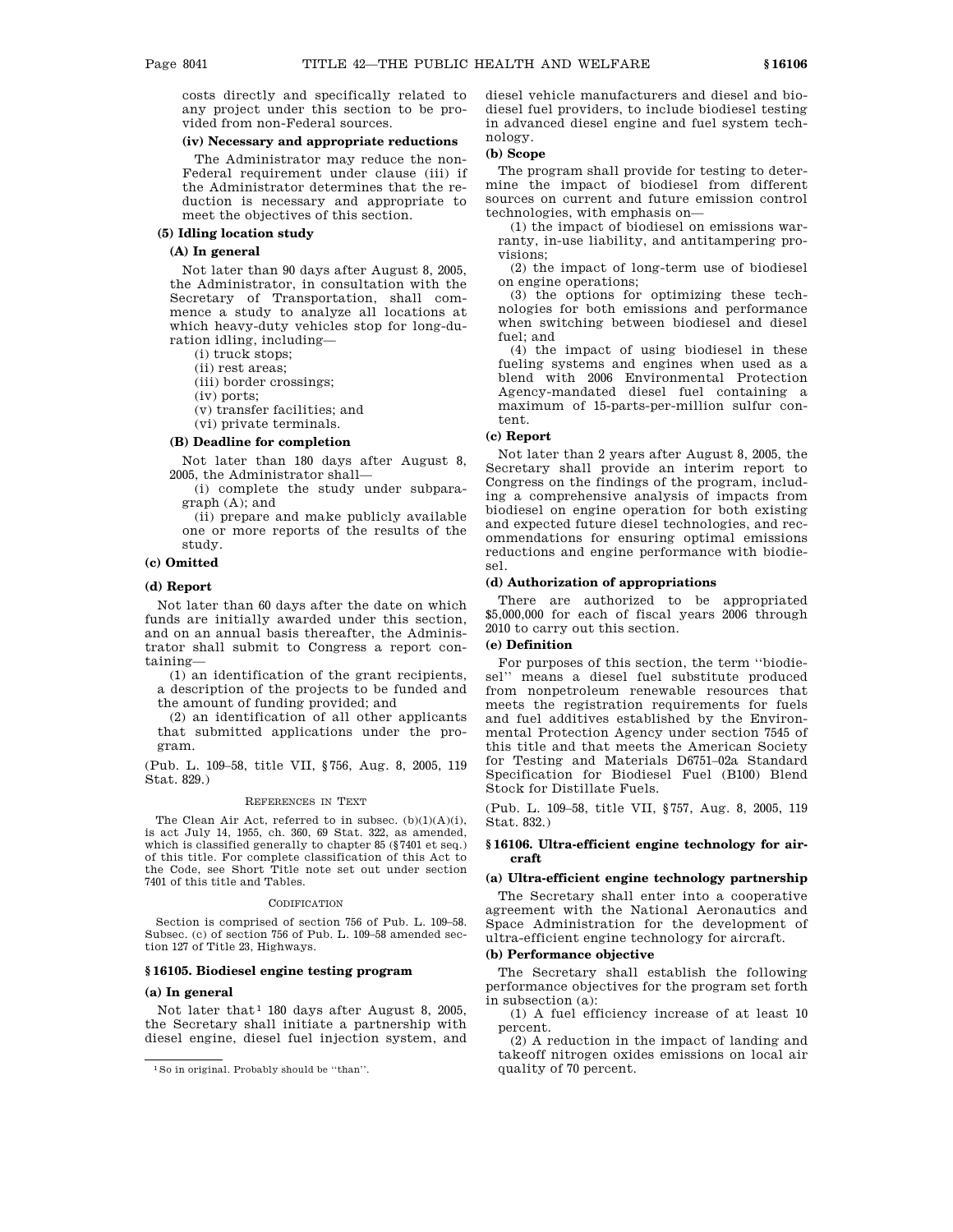costs directly and specifically related to any project under this section to be provided from non-Federal sources.

### **(iv) Necessary and appropriate reductions**

The Administrator may reduce the non-Federal requirement under clause (iii) if the Administrator determines that the reduction is necessary and appropriate to meet the objectives of this section.

### **(5) Idling location study**

### **(A) In general**

Not later than 90 days after August 8, 2005, the Administrator, in consultation with the Secretary of Transportation, shall commence a study to analyze all locations at which heavy-duty vehicles stop for long-duration idling, including—

(i) truck stops;

(ii) rest areas;

(iii) border crossings;

(iv) ports;

(v) transfer facilities; and

(vi) private terminals.

### **(B) Deadline for completion**

Not later than 180 days after August 8, 2005, the Administrator shall—

(i) complete the study under subparagraph (A); and

(ii) prepare and make publicly available one or more reports of the results of the study.

### **(c) Omitted**

### **(d) Report**

Not later than 60 days after the date on which funds are initially awarded under this section, and on an annual basis thereafter, the Administrator shall submit to Congress a report containing—

(1) an identification of the grant recipients, a description of the projects to be funded and the amount of funding provided; and

(2) an identification of all other applicants that submitted applications under the program.

(Pub. L. 109–58, title VII, §756, Aug. 8, 2005, 119 Stat. 829.)

#### REFERENCES IN TEXT

The Clean Air Act, referred to in subsec. (b)(1)(A)(i), is act July 14, 1955, ch. 360, 69 Stat. 322, as amended, which is classified generally to chapter 85 (§7401 et seq.) of this title. For complete classification of this Act to the Code, see Short Title note set out under section 7401 of this title and Tables.

#### **CODIFICATION**

Section is comprised of section 756 of Pub. L. 109–58. Subsec. (c) of section 756 of Pub. L. 109–58 amended section 127 of Title 23, Highways.

### **§ 16105. Biodiesel engine testing program**

#### **(a) In general**

Not later that<sup>1</sup> 180 days after August 8, 2005, the Secretary shall initiate a partnership with diesel engine, diesel fuel injection system, and diesel vehicle manufacturers and diesel and biodiesel fuel providers, to include biodiesel testing in advanced diesel engine and fuel system technology.

### **(b) Scope**

The program shall provide for testing to determine the impact of biodiesel from different sources on current and future emission control technologies, with emphasis on—

(1) the impact of biodiesel on emissions warranty, in-use liability, and antitampering provisions;

(2) the impact of long-term use of biodiesel on engine operations;

(3) the options for optimizing these technologies for both emissions and performance when switching between biodiesel and diesel fuel; and

(4) the impact of using biodiesel in these fueling systems and engines when used as a blend with 2006 Environmental Protection Agency-mandated diesel fuel containing a maximum of 15-parts-per-million sulfur content.

#### **(c) Report**

Not later than 2 years after August 8, 2005, the Secretary shall provide an interim report to Congress on the findings of the program, including a comprehensive analysis of impacts from biodiesel on engine operation for both existing and expected future diesel technologies, and recommendations for ensuring optimal emissions reductions and engine performance with biodiesel.

#### **(d) Authorization of appropriations**

There are authorized to be appropriated \$5,000,000 for each of fiscal years 2006 through 2010 to carry out this section.

### **(e) Definition**

For purposes of this section, the term ''biodiesel'' means a diesel fuel substitute produced from nonpetroleum renewable resources that meets the registration requirements for fuels and fuel additives established by the Environmental Protection Agency under section 7545 of this title and that meets the American Society for Testing and Materials D6751–02a Standard Specification for Biodiesel Fuel (B100) Blend Stock for Distillate Fuels.

(Pub. L. 109–58, title VII, §757, Aug. 8, 2005, 119 Stat. 832.)

### **§ 16106. Ultra-efficient engine technology for aircraft**

#### **(a) Ultra-efficient engine technology partnership**

The Secretary shall enter into a cooperative agreement with the National Aeronautics and Space Administration for the development of ultra-efficient engine technology for aircraft.

### **(b) Performance objective**

The Secretary shall establish the following performance objectives for the program set forth in subsection (a):

(1) A fuel efficiency increase of at least 10 percent.

(2) A reduction in the impact of landing and takeoff nitrogen oxides emissions on local air quality of 70 percent.

<sup>1</sup>So in original. Probably should be ''than''.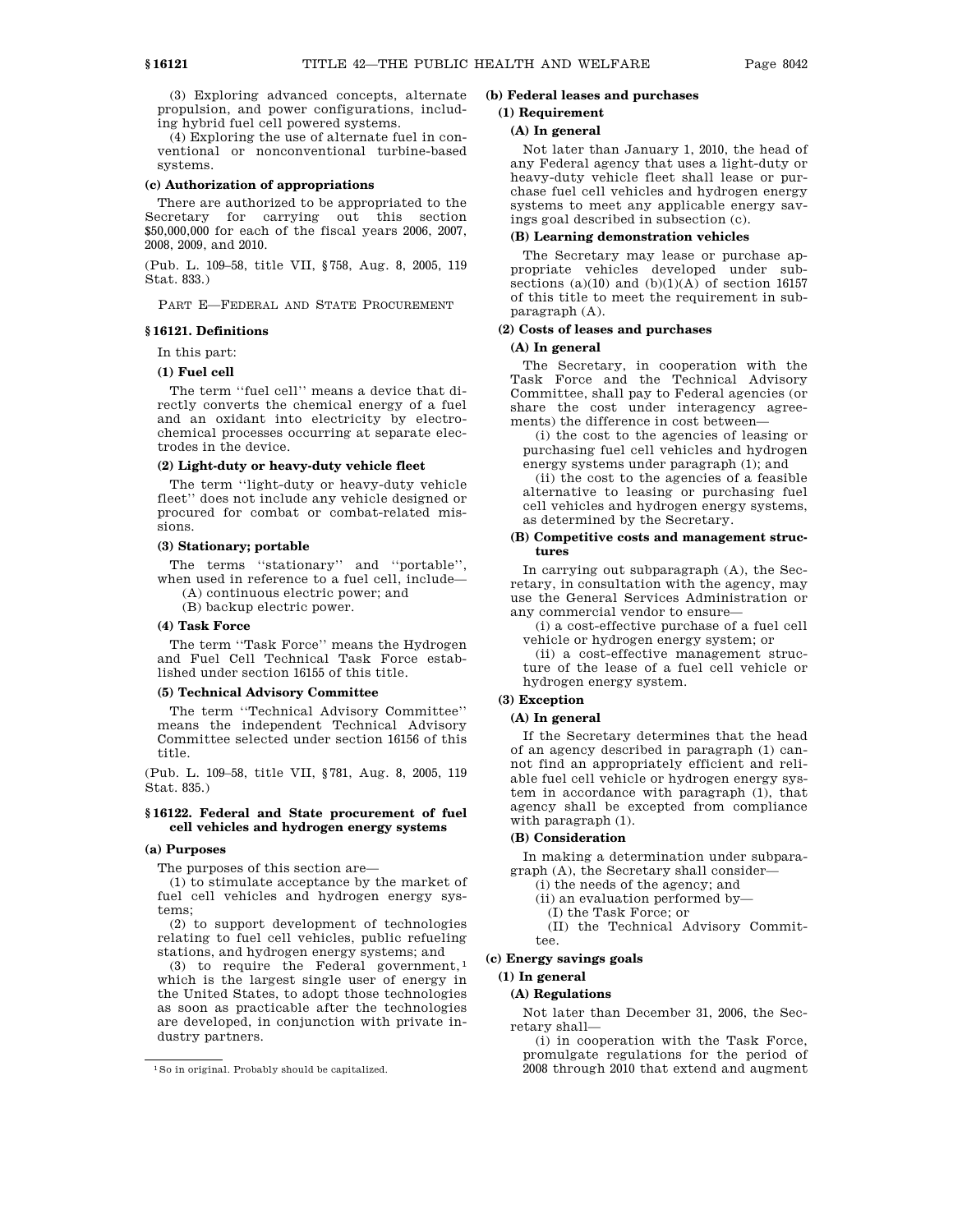(3) Exploring advanced concepts, alternate propulsion, and power configurations, including hybrid fuel cell powered systems.

(4) Exploring the use of alternate fuel in conventional or nonconventional turbine-based systems.

#### **(c) Authorization of appropriations**

There are authorized to be appropriated to the Secretary for carrying out this section \$50,000,000 for each of the fiscal years 2006, 2007, 2008, 2009, and 2010.

(Pub. L. 109–58, title VII, §758, Aug. 8, 2005, 119 Stat. 833.)

PART E—FEDERAL AND STATE PROCUREMENT

#### **§ 16121. Definitions**

# In this part:

# **(1) Fuel cell**

The term ''fuel cell'' means a device that directly converts the chemical energy of a fuel and an oxidant into electricity by electrochemical processes occurring at separate electrodes in the device.

### **(2) Light-duty or heavy-duty vehicle fleet**

The term ''light-duty or heavy-duty vehicle fleet'' does not include any vehicle designed or procured for combat or combat-related missions.

### **(3) Stationary; portable**

The terms "stationary" and "portable", when used in reference to a fuel cell, include—

(A) continuous electric power; and

(B) backup electric power.

### **(4) Task Force**

The term ''Task Force'' means the Hydrogen and Fuel Cell Technical Task Force established under section 16155 of this title.

#### **(5) Technical Advisory Committee**

The term ''Technical Advisory Committee'' means the independent Technical Advisory Committee selected under section 16156 of this title.

(Pub. L. 109–58, title VII, §781, Aug. 8, 2005, 119 Stat. 835.)

### **§ 16122. Federal and State procurement of fuel cell vehicles and hydrogen energy systems**

#### **(a) Purposes**

The purposes of this section are—

(1) to stimulate acceptance by the market of fuel cell vehicles and hydrogen energy systems;

(2) to support development of technologies relating to fuel cell vehicles, public refueling stations, and hydrogen energy systems; and

(3) to require the Federal government,  $1$ which is the largest single user of energy in the United States, to adopt those technologies as soon as practicable after the technologies are developed, in conjunction with private industry partners.

### **(b) Federal leases and purchases**

#### **(1) Requirement**

#### **(A) In general**

Not later than January 1, 2010, the head of any Federal agency that uses a light-duty or heavy-duty vehicle fleet shall lease or purchase fuel cell vehicles and hydrogen energy systems to meet any applicable energy savings goal described in subsection (c).

### **(B) Learning demonstration vehicles**

The Secretary may lease or purchase appropriate vehicles developed under subsections (a)(10) and (b)(1)(A) of section 16157 of this title to meet the requirement in subparagraph (A).

### **(2) Costs of leases and purchases**

### **(A) In general**

The Secretary, in cooperation with the Task Force and the Technical Advisory Committee, shall pay to Federal agencies (or share the cost under interagency agreements) the difference in cost between—

(i) the cost to the agencies of leasing or purchasing fuel cell vehicles and hydrogen energy systems under paragraph (1); and

(ii) the cost to the agencies of a feasible alternative to leasing or purchasing fuel cell vehicles and hydrogen energy systems, as determined by the Secretary.

### **(B) Competitive costs and management structures**

In carrying out subparagraph (A), the Secretary, in consultation with the agency, may use the General Services Administration or any commercial vendor to ensure—

(i) a cost-effective purchase of a fuel cell vehicle or hydrogen energy system; or

(ii) a cost-effective management structure of the lease of a fuel cell vehicle or hydrogen energy system.

### **(3) Exception**

### **(A) In general**

If the Secretary determines that the head of an agency described in paragraph (1) cannot find an appropriately efficient and reliable fuel cell vehicle or hydrogen energy system in accordance with paragraph (1), that agency shall be excepted from compliance with paragraph (1).

#### **(B) Consideration**

In making a determination under subparagraph (A), the Secretary shall consider—

(i) the needs of the agency; and

(ii) an evaluation performed by—

(I) the Task Force; or

(II) the Technical Advisory Committee.

### **(c) Energy savings goals**

#### **(1) In general**

### **(A) Regulations**

Not later than December 31, 2006, the Secretary shall—

(i) in cooperation with the Task Force, promulgate regulations for the period of 2008 through 2010 that extend and augment

<sup>1</sup>So in original. Probably should be capitalized.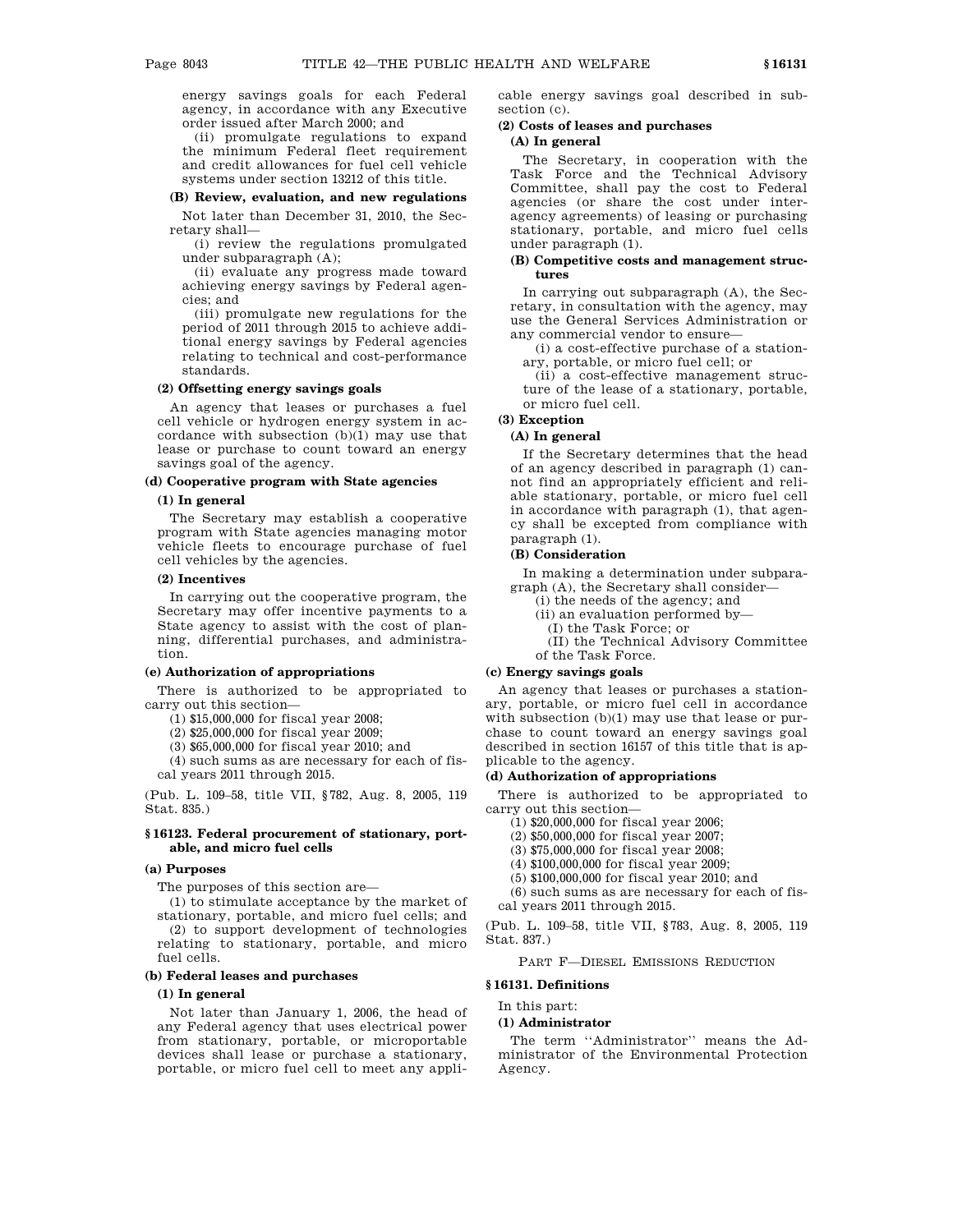energy savings goals for each Federal agency, in accordance with any Executive order issued after March 2000; and

(ii) promulgate regulations to expand the minimum Federal fleet requirement and credit allowances for fuel cell vehicle systems under section 13212 of this title.

### **(B) Review, evaluation, and new regulations**

Not later than December 31, 2010, the Secretary shall—

(i) review the regulations promulgated under subparagraph (A);

(ii) evaluate any progress made toward achieving energy savings by Federal agencies; and

(iii) promulgate new regulations for the period of 2011 through 2015 to achieve additional energy savings by Federal agencies relating to technical and cost-performance standards.

#### **(2) Offsetting energy savings goals**

An agency that leases or purchases a fuel cell vehicle or hydrogen energy system in accordance with subsection (b)(1) may use that lease or purchase to count toward an energy savings goal of the agency.

### **(d) Cooperative program with State agencies**

#### **(1) In general**

The Secretary may establish a cooperative program with State agencies managing motor vehicle fleets to encourage purchase of fuel cell vehicles by the agencies.

### **(2) Incentives**

In carrying out the cooperative program, the Secretary may offer incentive payments to a State agency to assist with the cost of planning, differential purchases, and administration.

#### **(e) Authorization of appropriations**

There is authorized to be appropriated to carry out this section—

(1) \$15,000,000 for fiscal year 2008;

(2) \$25,000,000 for fiscal year 2009;

(3) \$65,000,000 for fiscal year 2010; and

(4) such sums as are necessary for each of fiscal years 2011 through 2015.

(Pub. L. 109–58, title VII, §782, Aug. 8, 2005, 119 Stat. 835.)

#### **§ 16123. Federal procurement of stationary, portable, and micro fuel cells**

### **(a) Purposes**

The purposes of this section are—

(1) to stimulate acceptance by the market of stationary, portable, and micro fuel cells; and (2) to support development of technologies relating to stationary, portable, and micro fuel cells.

### **(b) Federal leases and purchases**

#### **(1) In general**

Not later than January 1, 2006, the head of any Federal agency that uses electrical power from stationary, portable, or microportable devices shall lease or purchase a stationary, portable, or micro fuel cell to meet any applicable energy savings goal described in subsection (c).

### **(2) Costs of leases and purchases**

### **(A) In general**

The Secretary, in cooperation with the Task Force and the Technical Advisory Committee, shall pay the cost to Federal agencies (or share the cost under interagency agreements) of leasing or purchasing stationary, portable, and micro fuel cells under paragraph (1).

### **(B) Competitive costs and management structures**

In carrying out subparagraph (A), the Secretary, in consultation with the agency, may use the General Services Administration or any commercial vendor to ensure—

(i) a cost-effective purchase of a stationary, portable, or micro fuel cell; or

(ii) a cost-effective management structure of the lease of a stationary, portable, or micro fuel cell.

### **(3) Exception**

### **(A) In general**

If the Secretary determines that the head of an agency described in paragraph (1) cannot find an appropriately efficient and reliable stationary, portable, or micro fuel cell in accordance with paragraph (1), that agency shall be excepted from compliance with paragraph (1).

#### **(B) Consideration**

In making a determination under subparagraph (A), the Secretary shall consider—

- (i) the needs of the agency; and
- (ii) an evaluation performed by—
- (I) the Task Force; or
- (II) the Technical Advisory Committee

of the Task Force.

### **(c) Energy savings goals**

An agency that leases or purchases a stationary, portable, or micro fuel cell in accordance with subsection (b)(1) may use that lease or purchase to count toward an energy savings goal described in section 16157 of this title that is applicable to the agency.

### **(d) Authorization of appropriations**

There is authorized to be appropriated to carry out this section—

- (1) \$20,000,000 for fiscal year 2006;
- (2) \$50,000,000 for fiscal year 2007;

(3) \$75,000,000 for fiscal year 2008;

- (4) \$100,000,000 for fiscal year 2009;
- (5) \$100,000,000 for fiscal year 2010; and

(6) such sums as are necessary for each of fiscal years 2011 through 2015.

(Pub. L. 109–58, title VII, §783, Aug. 8, 2005, 119 Stat. 837.)

PART F—DIESEL EMISSIONS REDUCTION

### **§ 16131. Definitions**

In this part:

### **(1) Administrator**

The term ''Administrator'' means the Administrator of the Environmental Protection Agency.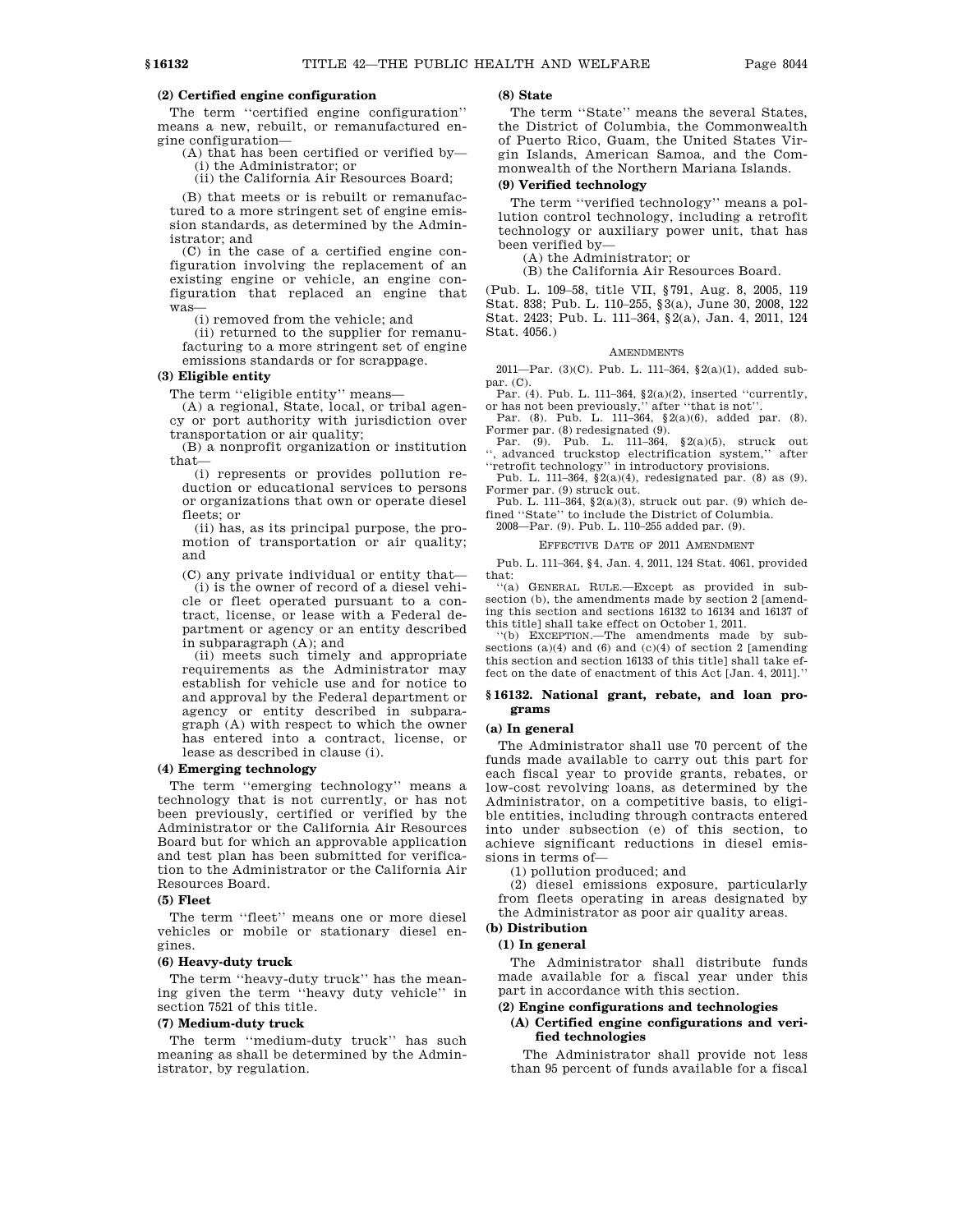### **(2) Certified engine configuration**

The term ''certified engine configuration'' means a new, rebuilt, or remanufactured engine configuration—

(A) that has been certified or verified by— (i) the Administrator; or

(ii) the California Air Resources Board;

(B) that meets or is rebuilt or remanufactured to a more stringent set of engine emission standards, as determined by the Administrator; and

(C) in the case of a certified engine configuration involving the replacement of an existing engine or vehicle, an engine configuration that replaced an engine that was—

(i) removed from the vehicle; and

(ii) returned to the supplier for remanufacturing to a more stringent set of engine emissions standards or for scrappage.

### **(3) Eligible entity**

The term ''eligible entity'' means—

(A) a regional, State, local, or tribal agency or port authority with jurisdiction over transportation or air quality;

(B) a nonprofit organization or institution that—

(i) represents or provides pollution reduction or educational services to persons or organizations that own or operate diesel fleets; or

(ii) has, as its principal purpose, the promotion of transportation or air quality; and

(C) any private individual or entity that—

(i) is the owner of record of a diesel vehicle or fleet operated pursuant to a contract, license, or lease with a Federal department or agency or an entity described in subparagraph (A); and

(ii) meets such timely and appropriate requirements as the Administrator may establish for vehicle use and for notice to and approval by the Federal department or agency or entity described in subparagraph (A) with respect to which the owner has entered into a contract, license, or lease as described in clause (i).

### **(4) Emerging technology**

The term ''emerging technology'' means a technology that is not currently, or has not been previously, certified or verified by the Administrator or the California Air Resources Board but for which an approvable application and test plan has been submitted for verification to the Administrator or the California Air Resources Board.

#### **(5) Fleet**

The term ''fleet'' means one or more diesel vehicles or mobile or stationary diesel engines.

#### **(6) Heavy-duty truck**

The term ''heavy-duty truck'' has the meaning given the term ''heavy duty vehicle'' in section 7521 of this title.

### **(7) Medium-duty truck**

The term ''medium-duty truck'' has such meaning as shall be determined by the Administrator, by regulation.

### **(8) State**

The term ''State'' means the several States, the District of Columbia, the Commonwealth of Puerto Rico, Guam, the United States Virgin Islands, American Samoa, and the Commonwealth of the Northern Mariana Islands.

### **(9) Verified technology**

The term ''verified technology'' means a pollution control technology, including a retrofit technology or auxiliary power unit, that has been verified by—

(A) the Administrator; or (B) the California Air Resources Board.

(Pub. L. 109–58, title VII, §791, Aug. 8, 2005, 119 Stat. 838; Pub. L. 110–255, §3(a), June 30, 2008, 122 Stat. 2423; Pub. L. 111–364, §2(a), Jan. 4, 2011, 124 Stat. 4056.)

#### AMENDMENTS

2011—Par. (3)(C). Pub. L. 111–364, §2(a)(1), added subpar. (C).

Par. (4). Pub. L. 111–364, §2(a)(2), inserted ''currently, or has not been previously,'' after ''that is not''.

Par. (8). Pub. L. 111–364, §2(a)(6), added par. (8). Former par. (8) redesignated (9).<br>Par. (9). Pub. L. 111-364,

Pub. L. 111-364, §2(a)(5), struck out '', advanced truckstop electrification system,'' after ''retrofit technology'' in introductory provisions.

Pub. L. 111–364,  $\S(2a)(4)$ , redesignated par. (8) as (9). Former par. (9) struck out.

Pub. L. 111–364, §2(a)(3), struck out par. (9) which defined ''State'' to include the District of Columbia.

2008—Par. (9). Pub. L. 110–255 added par. (9).

### EFFECTIVE DATE OF 2011 AMENDMENT

Pub. L. 111–364, §4, Jan. 4, 2011, 124 Stat. 4061, provided that:

''(a) GENERAL RULE.—Except as provided in subsection (b), the amendments made by section 2 [amending this section and sections 16132 to 16134 and 16137 of this title] shall take effect on October 1, 2011.

''(b) EXCEPTION.—The amendments made by subsections  $(a)(4)$  and  $(6)$  and  $(c)(4)$  of section 2 [amending this section and section 16133 of this title] shall take effect on the date of enactment of this Act [Jan. 4, 2011].''

#### **§ 16132. National grant, rebate, and loan programs**

#### **(a) In general**

The Administrator shall use 70 percent of the funds made available to carry out this part for each fiscal year to provide grants, rebates, or low-cost revolving loans, as determined by the Administrator, on a competitive basis, to eligible entities, including through contracts entered into under subsection (e) of this section, to achieve significant reductions in diesel emissions in terms of—

(1) pollution produced; and

(2) diesel emissions exposure, particularly from fleets operating in areas designated by the Administrator as poor air quality areas.

# **(b) Distribution**

### **(1) In general**

The Administrator shall distribute funds made available for a fiscal year under this part in accordance with this section.

### **(2) Engine configurations and technologies**

#### **(A) Certified engine configurations and verified technologies**

The Administrator shall provide not less than 95 percent of funds available for a fiscal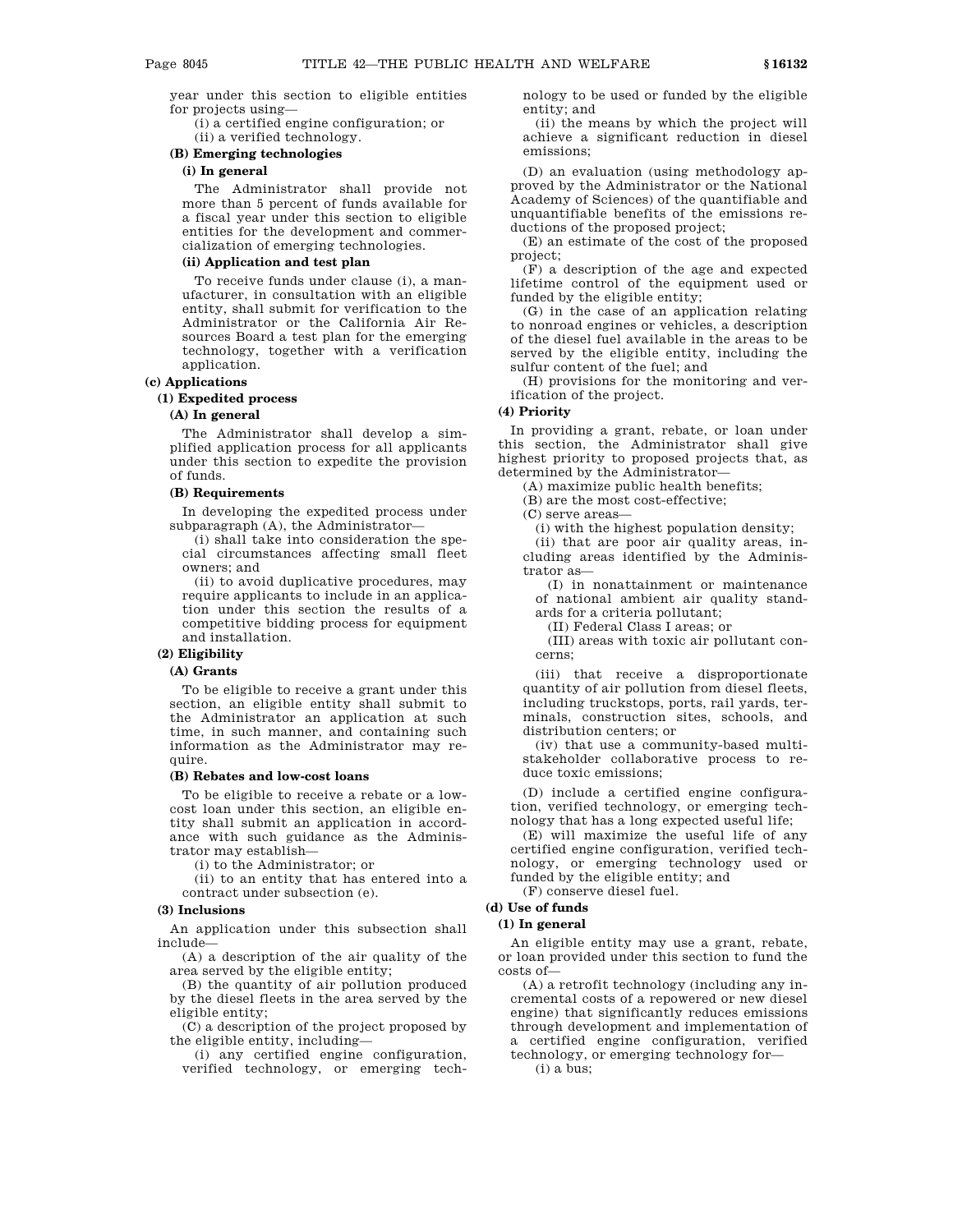year under this section to eligible entities for projects using—

(i) a certified engine configuration; or (ii) a verified technology.

# **(B) Emerging technologies**

### **(i) In general**

The Administrator shall provide not more than 5 percent of funds available for a fiscal year under this section to eligible entities for the development and commercialization of emerging technologies.

### **(ii) Application and test plan**

To receive funds under clause (i), a manufacturer, in consultation with an eligible entity, shall submit for verification to the Administrator or the California Air Resources Board a test plan for the emerging technology, together with a verification application.

### **(c) Applications**

### **(1) Expedited process**

### **(A) In general**

The Administrator shall develop a simplified application process for all applicants under this section to expedite the provision of funds.

#### **(B) Requirements**

In developing the expedited process under subparagraph (A), the Administrator—

(i) shall take into consideration the special circumstances affecting small fleet owners; and

(ii) to avoid duplicative procedures, may require applicants to include in an application under this section the results of a competitive bidding process for equipment and installation.

### **(2) Eligibility**

### **(A) Grants**

To be eligible to receive a grant under this section, an eligible entity shall submit to the Administrator an application at such time, in such manner, and containing such information as the Administrator may require.

### **(B) Rebates and low-cost loans**

To be eligible to receive a rebate or a lowcost loan under this section, an eligible entity shall submit an application in accordance with such guidance as the Administrator may establish—

(i) to the Administrator; or

(ii) to an entity that has entered into a contract under subsection (e).

#### **(3) Inclusions**

An application under this subsection shall include—

(A) a description of the air quality of the area served by the eligible entity;

(B) the quantity of air pollution produced by the diesel fleets in the area served by the eligible entity;

(C) a description of the project proposed by the eligible entity, including—

(i) any certified engine configuration, verified technology, or emerging technology to be used or funded by the eligible entity; and

(ii) the means by which the project will achieve a significant reduction in diesel emissions;

(D) an evaluation (using methodology approved by the Administrator or the National Academy of Sciences) of the quantifiable and unquantifiable benefits of the emissions reductions of the proposed project;

(E) an estimate of the cost of the proposed project;

(F) a description of the age and expected lifetime control of the equipment used or funded by the eligible entity;

(G) in the case of an application relating to nonroad engines or vehicles, a description of the diesel fuel available in the areas to be served by the eligible entity, including the sulfur content of the fuel; and

(H) provisions for the monitoring and verification of the project.

### **(4) Priority**

In providing a grant, rebate, or loan under this section, the Administrator shall give highest priority to proposed projects that, as determined by the Administrator—

(A) maximize public health benefits;

(B) are the most cost-effective;

(C) serve areas—

(i) with the highest population density;

(ii) that are poor air quality areas, including areas identified by the Administrator as—

(I) in nonattainment or maintenance of national ambient air quality standards for a criteria pollutant;

(II) Federal Class I areas; or

(III) areas with toxic air pollutant concerns;

(iii) that receive a disproportionate quantity of air pollution from diesel fleets, including truckstops, ports, rail yards, terminals, construction sites, schools, and distribution centers; or

(iv) that use a community-based multistakeholder collaborative process to reduce toxic emissions;

(D) include a certified engine configuration, verified technology, or emerging technology that has a long expected useful life;

(E) will maximize the useful life of any certified engine configuration, verified technology, or emerging technology used or funded by the eligible entity; and

(F) conserve diesel fuel.

### **(d) Use of funds**

### **(1) In general**

An eligible entity may use a grant, rebate, or loan provided under this section to fund the costs of—

(A) a retrofit technology (including any incremental costs of a repowered or new diesel engine) that significantly reduces emissions through development and implementation of a certified engine configuration, verified technology, or emerging technology for—

(i) a bus;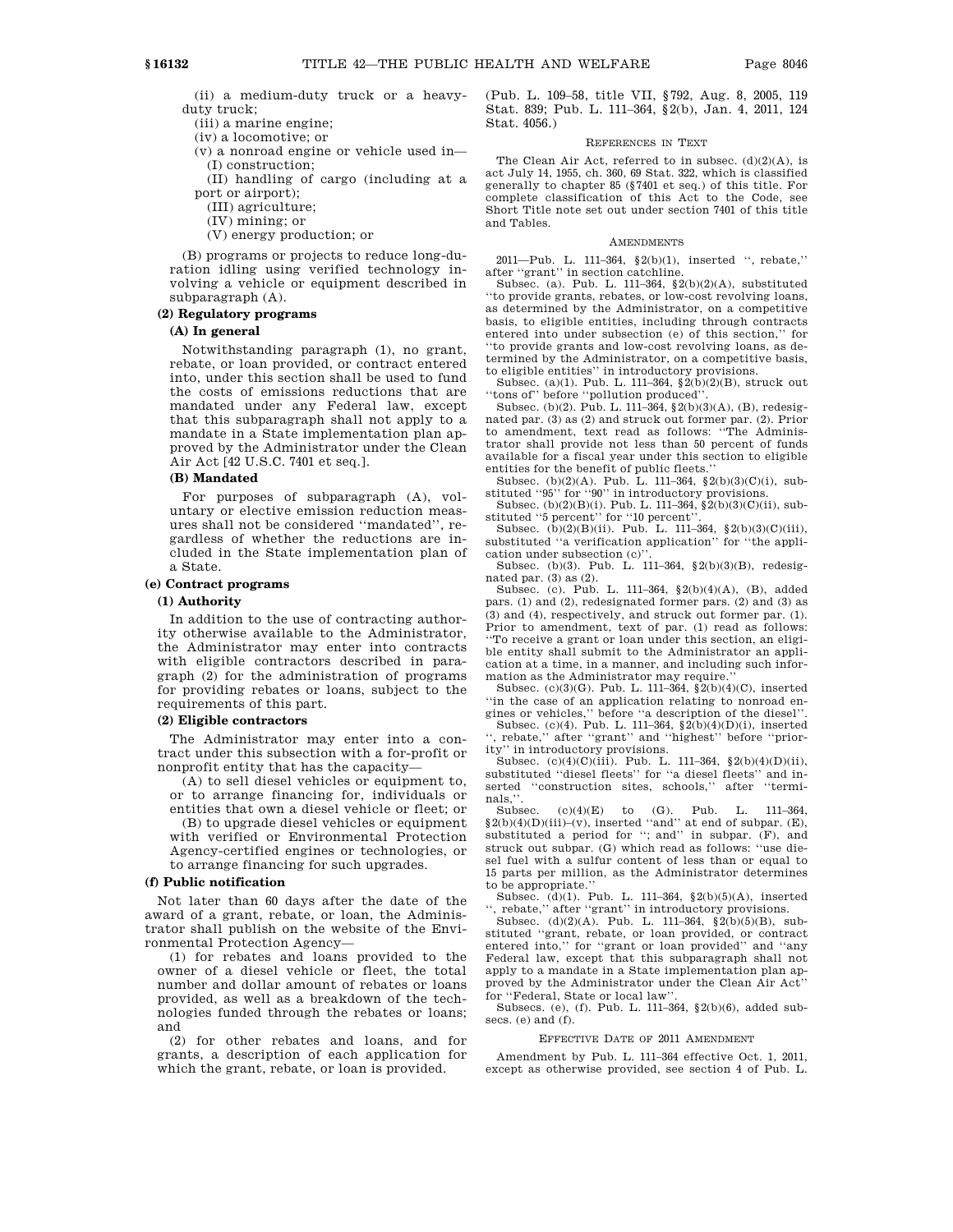(ii) a medium-duty truck or a heavyduty truck;

- (iii) a marine engine;
- (iv) a locomotive; or
- (v) a nonroad engine or vehicle used in— (I) construction;

(II) handling of cargo (including at a port or airport);

- (III) agriculture;
- (IV) mining; or
- (V) energy production; or

(B) programs or projects to reduce long-duration idling using verified technology involving a vehicle or equipment described in subparagraph (A).

### **(2) Regulatory programs**

### **(A) In general**

Notwithstanding paragraph (1), no grant, rebate, or loan provided, or contract entered into, under this section shall be used to fund the costs of emissions reductions that are mandated under any Federal law, except that this subparagraph shall not apply to a mandate in a State implementation plan approved by the Administrator under the Clean Air Act [42 U.S.C. 7401 et seq.].

#### **(B) Mandated**

For purposes of subparagraph (A), voluntary or elective emission reduction measures shall not be considered ''mandated'', regardless of whether the reductions are included in the State implementation plan of a State.

### **(e) Contract programs**

### **(1) Authority**

In addition to the use of contracting authority otherwise available to the Administrator, the Administrator may enter into contracts with eligible contractors described in paragraph (2) for the administration of programs for providing rebates or loans, subject to the requirements of this part.

### **(2) Eligible contractors**

The Administrator may enter into a contract under this subsection with a for-profit or nonprofit entity that has the capacity—

(A) to sell diesel vehicles or equipment to, or to arrange financing for, individuals or entities that own a diesel vehicle or fleet; or (B) to upgrade diesel vehicles or equipment

with verified or Environmental Protection Agency-certified engines or technologies, or to arrange financing for such upgrades.

### **(f) Public notification**

Not later than 60 days after the date of the award of a grant, rebate, or loan, the Administrator shall publish on the website of the Environmental Protection Agency—

(1) for rebates and loans provided to the owner of a diesel vehicle or fleet, the total number and dollar amount of rebates or loans provided, as well as a breakdown of the technologies funded through the rebates or loans; and

(2) for other rebates and loans, and for grants, a description of each application for which the grant, rebate, or loan is provided.

(Pub. L. 109–58, title VII, §792, Aug. 8, 2005, 119 Stat. 839; Pub. L. 111–364, §2(b), Jan. 4, 2011, 124 Stat. 4056.)

### REFERENCES IN TEXT

The Clean Air Act, referred to in subsec.  $(d)(2)(A)$ , is act July 14, 1955, ch. 360, 69 Stat. 322, which is classified generally to chapter 85 (§7401 et seq.) of this title. For complete classification of this Act to the Code, see Short Title note set out under section 7401 of this title and Tables.

#### **AMENDMENTS**

2011—Pub. L. 111–364, §2(b)(1), inserted '', rebate,'' after ''grant'' in section catchline.

Subsec. (a). Pub. L. 111–364, §2(b)(2)(A), substituted ''to provide grants, rebates, or low-cost revolving loans, as determined by the Administrator, on a competitive basis, to eligible entities, including through contracts entered into under subsection (e) of this section,'' for ''to provide grants and low-cost revolving loans, as determined by the Administrator, on a competitive basis,

to eligible entities'' in introductory provisions. Subsec. (a)(1). Pub. L. 111–364,  $\S$ 2(b)(2)(B), struck out

''tons of'' before ''pollution produced''. Subsec. (b)(2). Pub. L. 111–364, §2(b)(3)(A), (B), redesignated par. (3) as (2) and struck out former par. (2). Prior to amendment, text read as follows: ''The Administrator shall provide not less than 50 percent of funds available for a fiscal year under this section to eligible entities for the benefit of public fleets.

Subsec. (b)(2)(A). Pub. L. 111–364,  $\S$ 2(b)(3)(C)(i), substituted "95" for "90" in introductory provisions.

Subsec. (b)(2)(B)(i). Pub. L. 111–364, §2(b)(3)(C)(ii), substituted "5 percent" for "10 percent"

Subsec. (b)(2)(B)(ii). Pub. L. 111–364, §2(b)(3)(C)(iii), substituted ''a verification application'' for ''the application under subsection (c)'

Subsec. (b)(3). Pub. L. 111–364, §2(b)(3)(B), redesignated par. (3) as (2).

Subsec. (c). Pub. L. 111–364, §2(b)(4)(A), (B), added pars. (1) and (2), redesignated former pars. (2) and (3) as (3) and (4), respectively, and struck out former par. (1). Prior to amendment, text of par. (1) read as follows: ''To receive a grant or loan under this section, an eligible entity shall submit to the Administrator an application at a time, in a manner, and including such information as the Administrator may require.

Subsec. (c)(3)(G). Pub. L. 111–364, §2(b)(4)(C), inserted ''in the case of an application relating to nonroad engines or vehicles,'' before ''a description of the diesel''.

Subsec. (c)(4). Pub. L. 111–364, §2(b)(4)(D)(i), inserted '', rebate,'' after ''grant'' and ''highest'' before ''priority'' in introductory provisions.

Subsec. (c)(4)(C)(iii). Pub. L. 111-364, §2(b)(4)(D)(ii), substituted ''diesel fleets'' for ''a diesel fleets'' and inserted ''construction sites, schools,'' after ''terminals,''.

Subsec. (c)(4)(E) to (G). Pub. L. 111-364,  $\S2(b)(4)(D)(iii)-(v)$ , inserted "and" at end of subpar. (E), substituted a period for "; and" in subpar. (F), and struck out subpar. (G) which read as follows: ''use diesel fuel with a sulfur content of less than or equal to 15 parts per million, as the Administrator determines to be appropriate.''

Subsec. (d)(1). Pub. L. 111–364, §2(b)(5)(A), inserted '', rebate,'' after ''grant'' in introductory provisions.

Subsec. (d)(2)(A). Pub. L. 111–364, §2(b)(5)(B), sub-stituted ''grant, rebate, or loan provided, or contract entered into,'' for ''grant or loan provided'' and ''any Federal law, except that this subparagraph shall not apply to a mandate in a State implementation plan approved by the Administrator under the Clean Air Act'' for ''Federal, State or local law''.

Subsecs. (e), (f). Pub. L. 111–364, §2(b)(6), added subsecs. (e) and (f).

#### EFFECTIVE DATE OF 2011 AMENDMENT

Amendment by Pub. L. 111–364 effective Oct. 1, 2011, except as otherwise provided, see section 4 of Pub. L.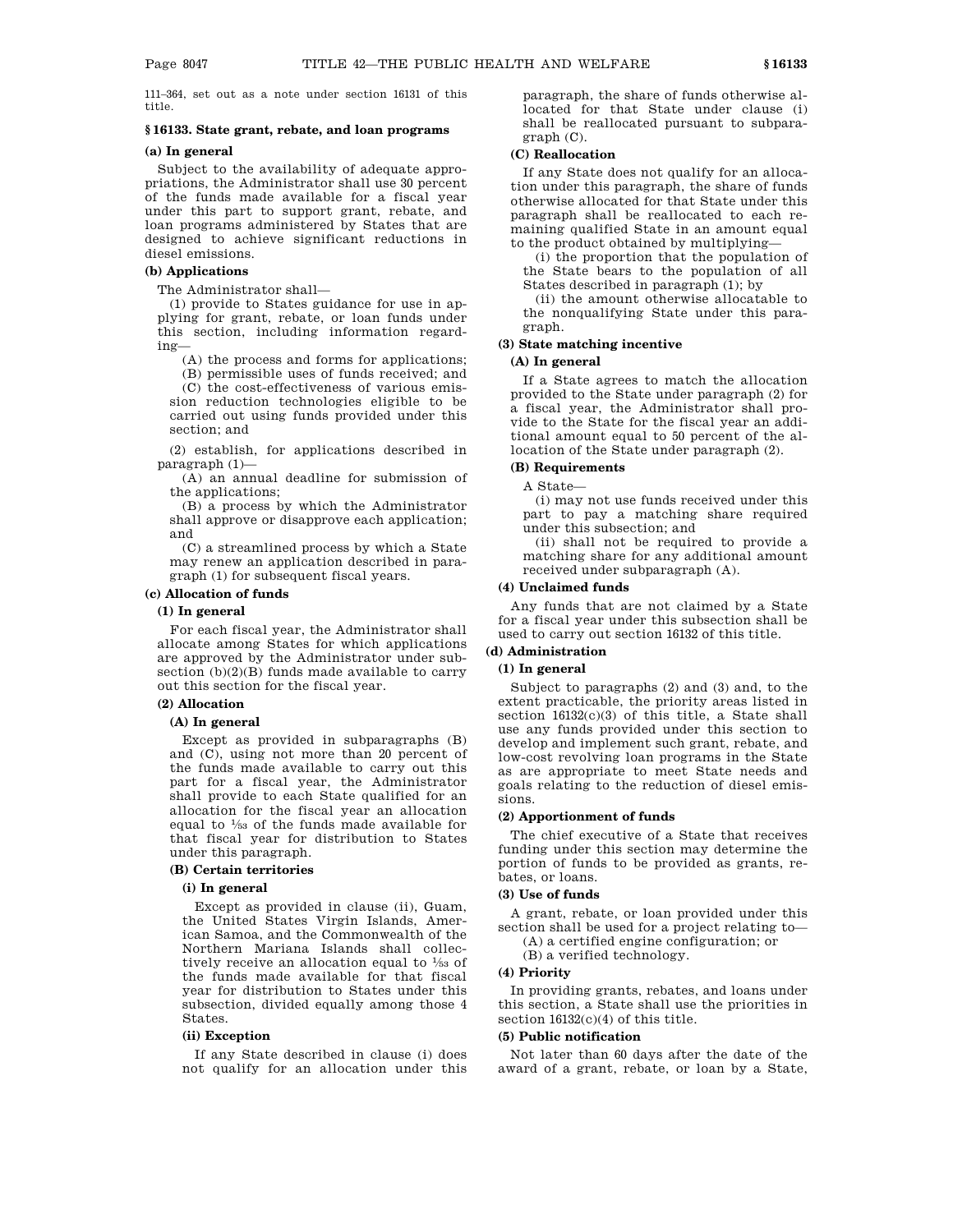111–364, set out as a note under section 16131 of this title.

### **§ 16133. State grant, rebate, and loan programs**

### **(a) In general**

Subject to the availability of adequate appropriations, the Administrator shall use 30 percent of the funds made available for a fiscal year under this part to support grant, rebate, and loan programs administered by States that are designed to achieve significant reductions in diesel emissions.

#### **(b) Applications**

The Administrator shall—

(1) provide to States guidance for use in applying for grant, rebate, or loan funds under this section, including information regarding—

(A) the process and forms for applications; (B) permissible uses of funds received; and

(C) the cost-effectiveness of various emission reduction technologies eligible to be carried out using funds provided under this section; and

(2) establish, for applications described in paragraph (1)—

(A) an annual deadline for submission of the applications;

(B) a process by which the Administrator shall approve or disapprove each application; and

(C) a streamlined process by which a State may renew an application described in paragraph (1) for subsequent fiscal years.

#### **(c) Allocation of funds**

#### **(1) In general**

For each fiscal year, the Administrator shall allocate among States for which applications are approved by the Administrator under subsection  $(b)(2)(B)$  funds made available to carry out this section for the fiscal year.

### **(2) Allocation**

#### **(A) In general**

Except as provided in subparagraphs (B) and (C), using not more than 20 percent of the funds made available to carry out this part for a fiscal year, the Administrator shall provide to each State qualified for an allocation for the fiscal year an allocation equal to 1 ⁄53 of the funds made available for that fiscal year for distribution to States under this paragraph.

#### **(B) Certain territories**

### **(i) In general**

Except as provided in clause (ii), Guam, the United States Virgin Islands, American Samoa, and the Commonwealth of the Northern Mariana Islands shall collectively receive an allocation equal to  $\frac{1}{53}$  of the funds made available for that fiscal year for distribution to States under this subsection, divided equally among those 4 States.

### **(ii) Exception**

If any State described in clause (i) does not qualify for an allocation under this paragraph, the share of funds otherwise allocated for that State under clause (i) shall be reallocated pursuant to subparagraph (C).

#### **(C) Reallocation**

If any State does not qualify for an allocation under this paragraph, the share of funds otherwise allocated for that State under this paragraph shall be reallocated to each remaining qualified State in an amount equal to the product obtained by multiplying—

(i) the proportion that the population of the State bears to the population of all States described in paragraph (1); by

(ii) the amount otherwise allocatable to the nonqualifying State under this paragraph.

### **(3) State matching incentive**

### **(A) In general**

If a State agrees to match the allocation provided to the State under paragraph (2) for a fiscal year, the Administrator shall provide to the State for the fiscal year an additional amount equal to 50 percent of the allocation of the State under paragraph (2).

### **(B) Requirements**

A State—

(i) may not use funds received under this part to pay a matching share required under this subsection; and

(ii) shall not be required to provide a matching share for any additional amount received under subparagraph (A).

### **(4) Unclaimed funds**

Any funds that are not claimed by a State for a fiscal year under this subsection shall be used to carry out section 16132 of this title.

### **(d) Administration**

### **(1) In general**

Subject to paragraphs (2) and (3) and, to the extent practicable, the priority areas listed in section 16132(c)(3) of this title, a State shall use any funds provided under this section to develop and implement such grant, rebate, and low-cost revolving loan programs in the State as are appropriate to meet State needs and goals relating to the reduction of diesel emissions.

#### **(2) Apportionment of funds**

The chief executive of a State that receives funding under this section may determine the portion of funds to be provided as grants, rebates, or loans.

#### **(3) Use of funds**

A grant, rebate, or loan provided under this section shall be used for a project relating to— (A) a certified engine configuration; or

(B) a verified technology.

## **(4) Priority**

In providing grants, rebates, and loans under this section, a State shall use the priorities in section 16132(c)(4) of this title.

### **(5) Public notification**

Not later than 60 days after the date of the award of a grant, rebate, or loan by a State,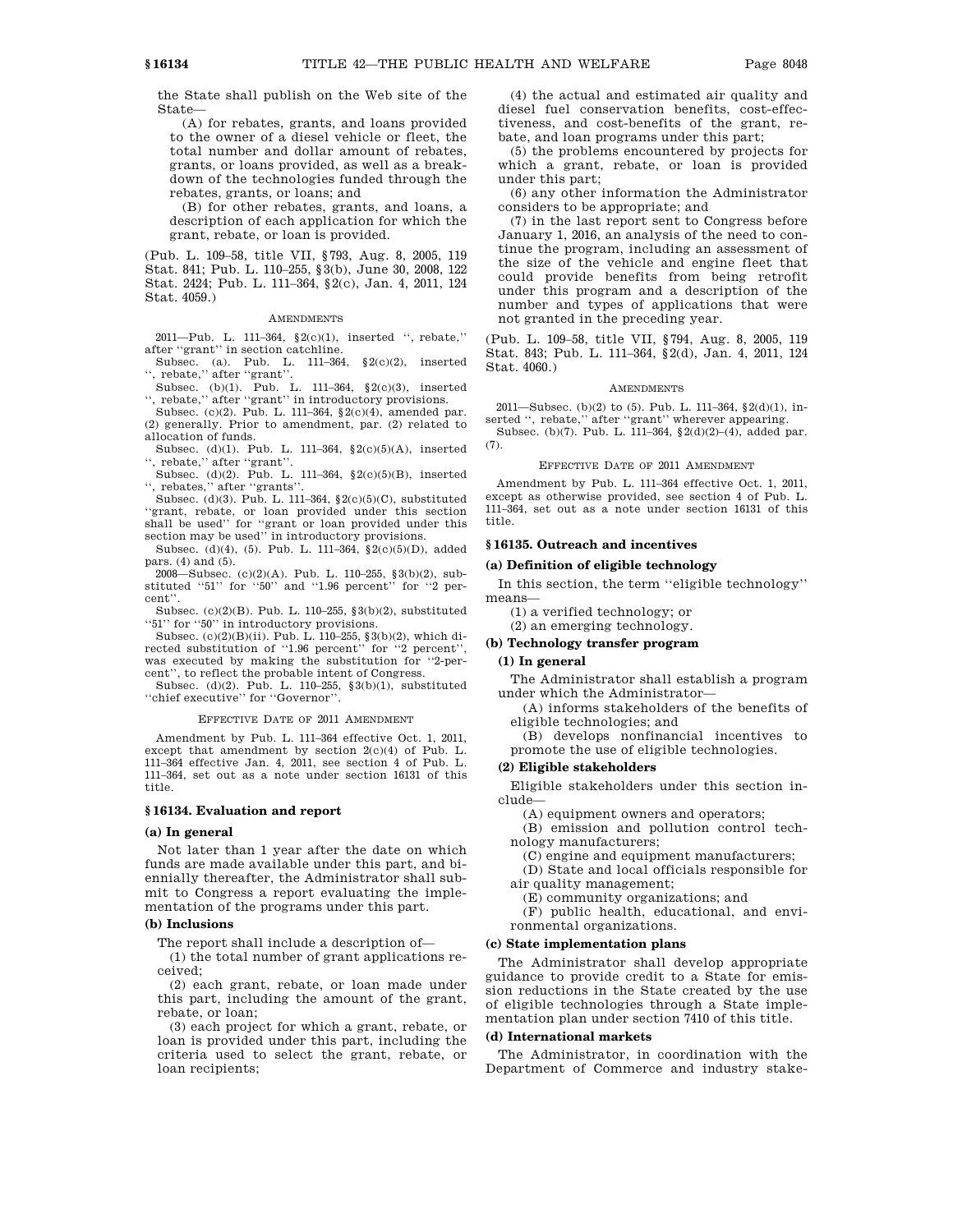the State shall publish on the Web site of the State—

(A) for rebates, grants, and loans provided to the owner of a diesel vehicle or fleet, the total number and dollar amount of rebates, grants, or loans provided, as well as a breakdown of the technologies funded through the rebates, grants, or loans; and

(B) for other rebates, grants, and loans, a description of each application for which the grant, rebate, or loan is provided.

(Pub. L. 109–58, title VII, §793, Aug. 8, 2005, 119 Stat. 841; Pub. L. 110–255, §3(b), June 30, 2008, 122 Stat. 2424; Pub. L. 111–364, §2(c), Jan. 4, 2011, 124 Stat. 4059.)

#### AMENDMENTS

2011—Pub. L. 111–364, §2(c)(1), inserted '', rebate,'' after ''grant'' in section catchline.

Subsec. (a). Pub. L. 111–364, §2(c)(2), inserted ", rebate," after "grant".

Subsec. (b)(1). Pub. L. 111–364, §2(c)(3), inserted ", rebate," after "grant" in introductory provisions.

Subsec. (c)(2). Pub. L. 111–364, §2(c)(4), amended par. (2) generally. Prior to amendment, par. (2) related to allocation of funds.

Subsec. (d)(1). Pub. L. 111–364, §2(c)(5)(A), inserted '', rebate,'' after ''grant''.

Subsec. (d)(2). Pub. L. 111–364, §2(c)(5)(B), inserted  $\lq\lq,$  rebates," after "grants".

Subsec. (d)(3). Pub. L. 111–364, §2(c)(5)(C), substituted ''grant, rebate, or loan provided under this section shall be used'' for ''grant or loan provided under this section may be used'' in introductory provisions.

Subsec. (d)(4), (5). Pub. L. 111–364, §2(c)(5)(D), added pars. (4) and (5).

2008—Subsec. (c)(2)(A). Pub. L. 110–255, §3(b)(2), substituted "51" for "50" and "1.96 percent" for "2 percent''.

Subsec. (c)(2)(B). Pub. L. 110–255, §3(b)(2), substituted ''51'' for ''50'' in introductory provisions.

Subsec. (c)(2)(B)(ii). Pub. L. 110–255, §3(b)(2), which directed substitution of ''1.96 percent'' for ''2 percent'', was executed by making the substitution for ''2-percent'', to reflect the probable intent of Congress.

Subsec. (d)(2). Pub. L. 110–255, §3(b)(1), substituted ''chief executive'' for ''Governor''.

### EFFECTIVE DATE OF 2011 AMENDMENT

Amendment by Pub. L. 111–364 effective Oct. 1, 2011, except that amendment by section 2(c)(4) of Pub. L. 111–364 effective Jan. 4, 2011, see section 4 of Pub. L. 111–364, set out as a note under section 16131 of this title.

#### **§ 16134. Evaluation and report**

#### **(a) In general**

Not later than 1 year after the date on which funds are made available under this part, and biennially thereafter, the Administrator shall submit to Congress a report evaluating the implementation of the programs under this part.

#### **(b) Inclusions**

The report shall include a description of—

(1) the total number of grant applications received;

(2) each grant, rebate, or loan made under this part, including the amount of the grant, rebate, or loan;

(3) each project for which a grant, rebate, or loan is provided under this part, including the criteria used to select the grant, rebate, or loan recipients;

(4) the actual and estimated air quality and diesel fuel conservation benefits, cost-effectiveness, and cost-benefits of the grant, rebate, and loan programs under this part;

(5) the problems encountered by projects for which a grant, rebate, or loan is provided under this part;

(6) any other information the Administrator considers to be appropriate; and

(7) in the last report sent to Congress before January 1, 2016, an analysis of the need to continue the program, including an assessment of the size of the vehicle and engine fleet that could provide benefits from being retrofit under this program and a description of the number and types of applications that were not granted in the preceding year.

(Pub. L. 109–58, title VII, §794, Aug. 8, 2005, 119 Stat. 843; Pub. L. 111–364, §2(d), Jan. 4, 2011, 124 Stat. 4060.)

#### AMENDMENTS

2011—Subsec. (b)(2) to (5). Pub. L. 111–364, §2(d)(1), inserted ", rebate," after "grant" wherever appearing.

Subsec. (b)(7). Pub. L. 111–364, §2(d)(2)–(4), added par. (7).

#### EFFECTIVE DATE OF 2011 AMENDMENT

Amendment by Pub. L. 111–364 effective Oct. 1, 2011, except as otherwise provided, see section 4 of Pub. L. 111–364, set out as a note under section 16131 of this title.

### **§ 16135. Outreach and incentives**

### **(a) Definition of eligible technology**

In this section, the term ''eligible technology'' means—

(1) a verified technology; or

(2) an emerging technology.

#### **(b) Technology transfer program**

#### **(1) In general**

The Administrator shall establish a program under which the Administrator—

(A) informs stakeholders of the benefits of eligible technologies; and

(B) develops nonfinancial incentives to promote the use of eligible technologies.

### **(2) Eligible stakeholders**

Eligible stakeholders under this section include—

(A) equipment owners and operators;

(B) emission and pollution control technology manufacturers;

(C) engine and equipment manufacturers;

(D) State and local officials responsible for

air quality management;

(E) community organizations; and

(F) public health, educational, and environmental organizations.

#### **(c) State implementation plans**

The Administrator shall develop appropriate guidance to provide credit to a State for emission reductions in the State created by the use of eligible technologies through a State implementation plan under section 7410 of this title.

#### **(d) International markets**

The Administrator, in coordination with the Department of Commerce and industry stake-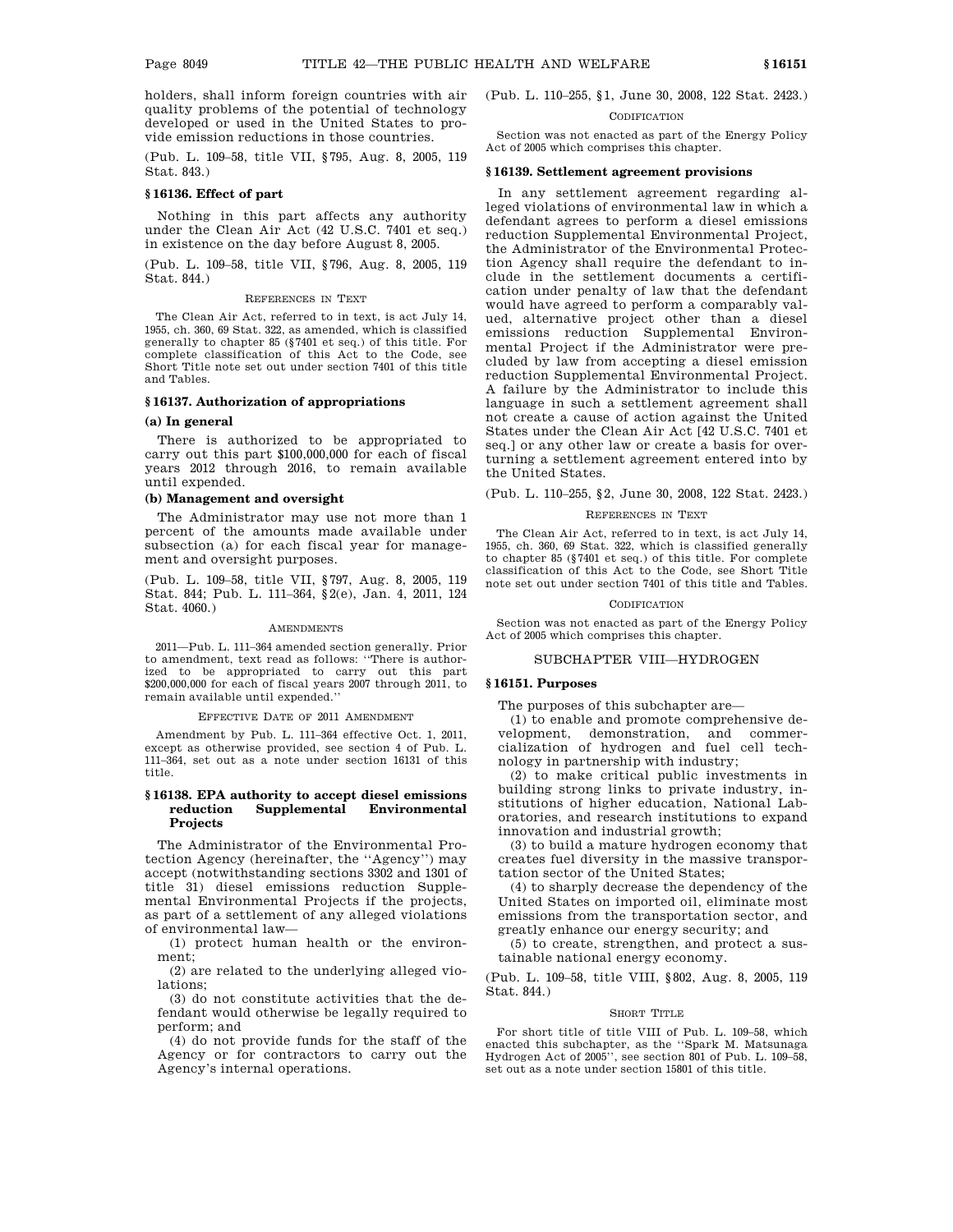holders, shall inform foreign countries with air quality problems of the potential of technology developed or used in the United States to provide emission reductions in those countries.

(Pub. L. 109–58, title VII, §795, Aug. 8, 2005, 119 Stat. 843.)

### **§ 16136. Effect of part**

Nothing in this part affects any authority under the Clean Air Act (42 U.S.C. 7401 et seq.) in existence on the day before August 8, 2005.

(Pub. L. 109–58, title VII, §796, Aug. 8, 2005, 119 Stat. 844.)

#### REFERENCES IN TEXT

The Clean Air Act, referred to in text, is act July 14, 1955, ch. 360, 69 Stat. 322, as amended, which is classified generally to chapter 85 (§7401 et seq.) of this title. For complete classification of this Act to the Code, see Short Title note set out under section 7401 of this title and Tables.

### **§ 16137. Authorization of appropriations**

#### **(a) In general**

There is authorized to be appropriated to carry out this part \$100,000,000 for each of fiscal years 2012 through 2016, to remain available until expended.

### **(b) Management and oversight**

The Administrator may use not more than 1 percent of the amounts made available under subsection (a) for each fiscal year for management and oversight purposes.

(Pub. L. 109–58, title VII, §797, Aug. 8, 2005, 119 Stat. 844; Pub. L. 111–364, §2(e), Jan. 4, 2011, 124 Stat. 4060.)

#### **AMENDMENTS**

2011—Pub. L. 111–364 amended section generally. Prior to amendment, text read as follows: ''There is authorized to be appropriated to carry out this part \$200,000,000 for each of fiscal years 2007 through 2011, to remain available until expended.''

#### EFFECTIVE DATE OF 2011 AMENDMENT

Amendment by Pub. L. 111–364 effective Oct. 1, 2011, except as otherwise provided, see section 4 of Pub. L. 111–364, set out as a note under section 16131 of this title.

#### **§ 16138. EPA authority to accept diesel emissions reduction Supplemental Environmental Projects**

The Administrator of the Environmental Protection Agency (hereinafter, the ''Agency'') may accept (notwithstanding sections 3302 and 1301 of title 31) diesel emissions reduction Supplemental Environmental Projects if the projects, as part of a settlement of any alleged violations of environmental law—

(1) protect human health or the environment;

(2) are related to the underlying alleged violations;

(3) do not constitute activities that the defendant would otherwise be legally required to perform; and

(4) do not provide funds for the staff of the Agency or for contractors to carry out the Agency's internal operations.

(Pub. L. 110–255, §1, June 30, 2008, 122 Stat. 2423.)

#### **CODIFICATION**

Section was not enacted as part of the Energy Policy Act of 2005 which comprises this chapter.

#### **§ 16139. Settlement agreement provisions**

In any settlement agreement regarding alleged violations of environmental law in which a defendant agrees to perform a diesel emissions reduction Supplemental Environmental Project, the Administrator of the Environmental Protection Agency shall require the defendant to include in the settlement documents a certification under penalty of law that the defendant would have agreed to perform a comparably valued, alternative project other than a diesel emissions reduction Supplemental Environmental Project if the Administrator were precluded by law from accepting a diesel emission reduction Supplemental Environmental Project. A failure by the Administrator to include this language in such a settlement agreement shall not create a cause of action against the United States under the Clean Air Act [42 U.S.C. 7401 et seq.] or any other law or create a basis for overturning a settlement agreement entered into by the United States.

(Pub. L. 110–255, §2, June 30, 2008, 122 Stat. 2423.)

#### REFERENCES IN TEXT

The Clean Air Act, referred to in text, is act July 14, 1955, ch. 360, 69 Stat. 322, which is classified generally to chapter 85 (§7401 et seq.) of this title. For complete classification of this Act to the Code, see Short Title note set out under section 7401 of this title and Tables.

### **CODIFICATION**

Section was not enacted as part of the Energy Policy Act of 2005 which comprises this chapter.

### SUBCHAPTER VIII—HYDROGEN

#### **§ 16151. Purposes**

The purposes of this subchapter are—

(1) to enable and promote comprehensive development, demonstration, and commercialization of hydrogen and fuel cell technology in partnership with industry;

(2) to make critical public investments in building strong links to private industry, institutions of higher education, National Laboratories, and research institutions to expand innovation and industrial growth;

(3) to build a mature hydrogen economy that creates fuel diversity in the massive transportation sector of the United States;

(4) to sharply decrease the dependency of the United States on imported oil, eliminate most emissions from the transportation sector, and greatly enhance our energy security; and

(5) to create, strengthen, and protect a sustainable national energy economy.

(Pub. L. 109–58, title VIII, §802, Aug. 8, 2005, 119 Stat. 844.)

#### SHORT TITLE

For short title of title VIII of Pub. L. 109–58, which enacted this subchapter, as the ''Spark M. Matsunaga Hydrogen Act of 2005'', see section 801 of Pub. L. 109–58, set out as a note under section 15801 of this title.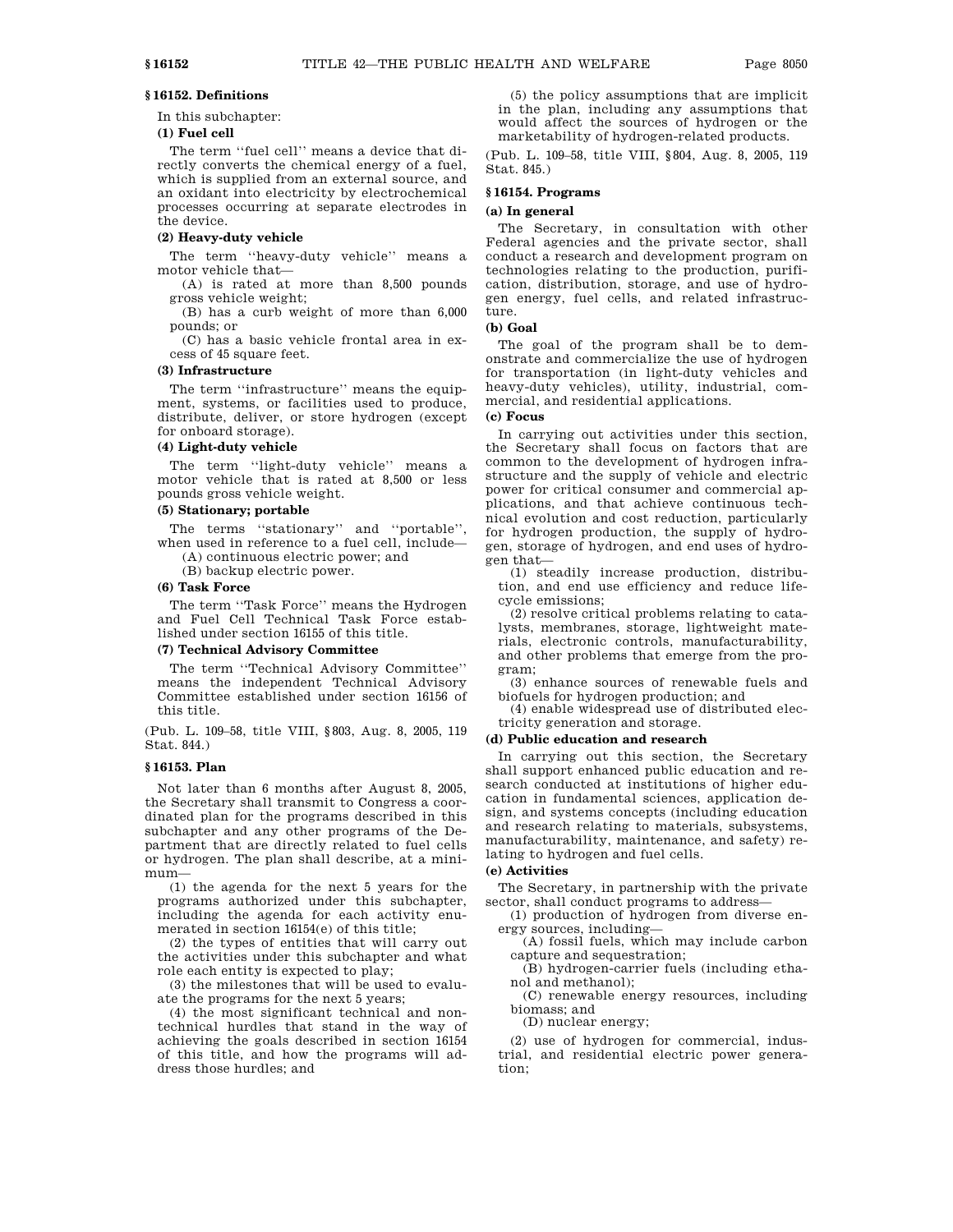### **§ 16152. Definitions**

In this subchapter:

### **(1) Fuel cell**

The term "fuel cell" means a device that directly converts the chemical energy of a fuel, which is supplied from an external source, and an oxidant into electricity by electrochemical processes occurring at separate electrodes in the device.

### **(2) Heavy-duty vehicle**

The term ''heavy-duty vehicle'' means a motor vehicle that—

(A) is rated at more than 8,500 pounds gross vehicle weight;

(B) has a curb weight of more than 6,000 pounds; or

(C) has a basic vehicle frontal area in excess of 45 square feet.

### **(3) Infrastructure**

The term ''infrastructure'' means the equipment, systems, or facilities used to produce, distribute, deliver, or store hydrogen (except for onboard storage).

### **(4) Light-duty vehicle**

The term "light-duty vehicle" means a motor vehicle that is rated at 8,500 or less pounds gross vehicle weight.

### **(5) Stationary; portable**

The terms ''stationary'' and ''portable'', when used in reference to a fuel cell, include—

(A) continuous electric power; and

(B) backup electric power.

### **(6) Task Force**

The term ''Task Force'' means the Hydrogen and Fuel Cell Technical Task Force established under section 16155 of this title.

#### **(7) Technical Advisory Committee**

The term ''Technical Advisory Committee'' means the independent Technical Advisory Committee established under section 16156 of this title.

(Pub. L. 109–58, title VIII, §803, Aug. 8, 2005, 119 Stat. 844.)

### **§ 16153. Plan**

Not later than 6 months after August 8, 2005, the Secretary shall transmit to Congress a coordinated plan for the programs described in this subchapter and any other programs of the Department that are directly related to fuel cells or hydrogen. The plan shall describe, at a minimum—

(1) the agenda for the next 5 years for the programs authorized under this subchapter, including the agenda for each activity enumerated in section 16154(e) of this title;

(2) the types of entities that will carry out the activities under this subchapter and what role each entity is expected to play;

(3) the milestones that will be used to evaluate the programs for the next 5 years;

(4) the most significant technical and nontechnical hurdles that stand in the way of achieving the goals described in section 16154 of this title, and how the programs will address those hurdles; and

(5) the policy assumptions that are implicit in the plan, including any assumptions that would affect the sources of hydrogen or the marketability of hydrogen-related products.

(Pub. L. 109–58, title VIII, §804, Aug. 8, 2005, 119 Stat. 845.)

#### **§ 16154. Programs**

#### **(a) In general**

The Secretary, in consultation with other Federal agencies and the private sector, shall conduct a research and development program on technologies relating to the production, purification, distribution, storage, and use of hydrogen energy, fuel cells, and related infrastructure.

#### **(b) Goal**

The goal of the program shall be to demonstrate and commercialize the use of hydrogen for transportation (in light-duty vehicles and heavy-duty vehicles), utility, industrial, commercial, and residential applications.

### **(c) Focus**

In carrying out activities under this section, the Secretary shall focus on factors that are common to the development of hydrogen infrastructure and the supply of vehicle and electric power for critical consumer and commercial applications, and that achieve continuous technical evolution and cost reduction, particularly for hydrogen production, the supply of hydrogen, storage of hydrogen, and end uses of hydrogen that—

(1) steadily increase production, distribution, and end use efficiency and reduce lifecycle emissions;

(2) resolve critical problems relating to catalysts, membranes, storage, lightweight materials, electronic controls, manufacturability, and other problems that emerge from the program;

(3) enhance sources of renewable fuels and biofuels for hydrogen production; and

(4) enable widespread use of distributed electricity generation and storage.

#### **(d) Public education and research**

In carrying out this section, the Secretary shall support enhanced public education and research conducted at institutions of higher education in fundamental sciences, application design, and systems concepts (including education and research relating to materials, subsystems, manufacturability, maintenance, and safety) relating to hydrogen and fuel cells.

### **(e) Activities**

The Secretary, in partnership with the private sector, shall conduct programs to address—

(1) production of hydrogen from diverse energy sources, including—

(A) fossil fuels, which may include carbon capture and sequestration;

(B) hydrogen-carrier fuels (including ethanol and methanol);

(C) renewable energy resources, including biomass; and

(D) nuclear energy;

(2) use of hydrogen for commercial, industrial, and residential electric power generation;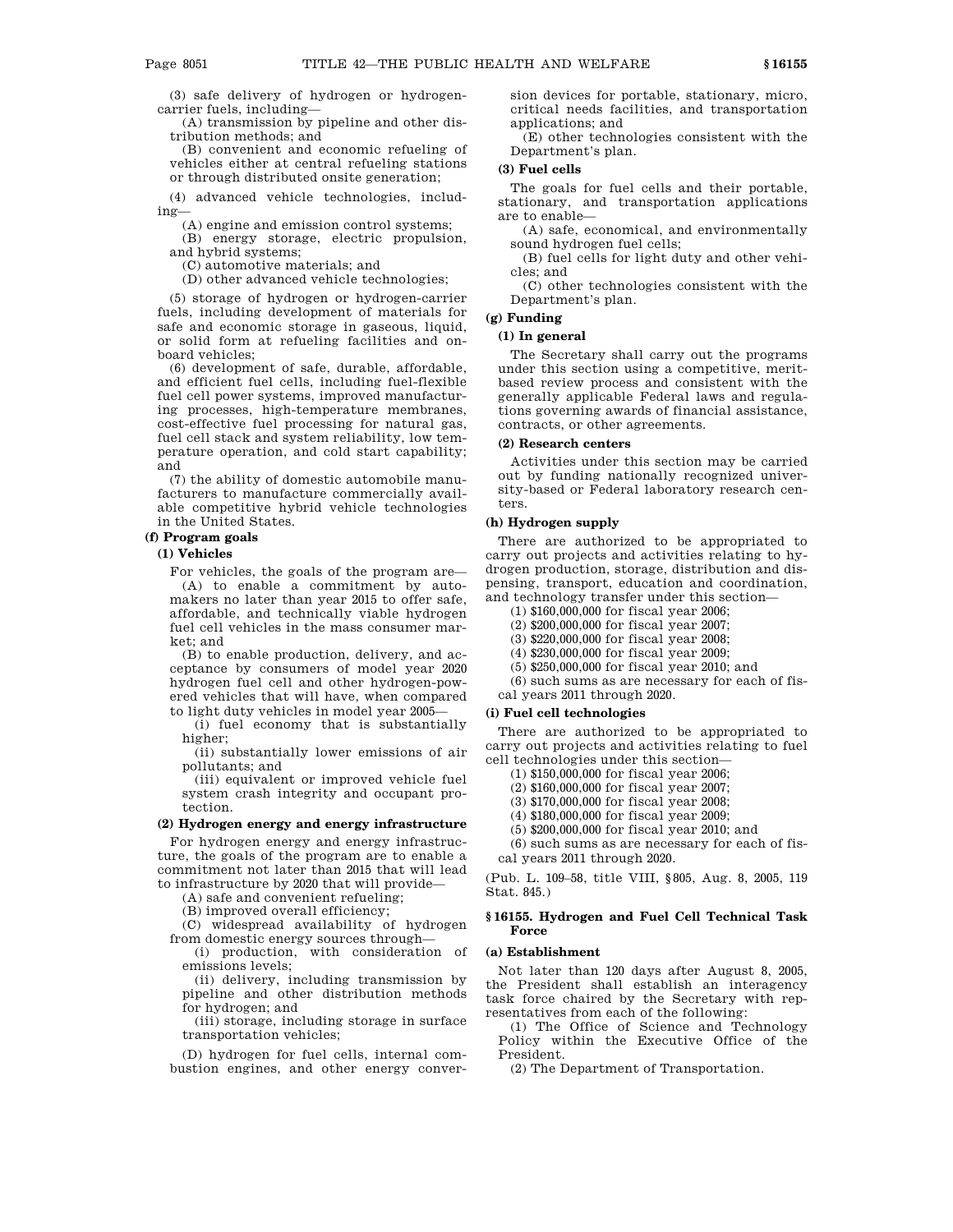(3) safe delivery of hydrogen or hydrogencarrier fuels, including—

(A) transmission by pipeline and other distribution methods; and

(B) convenient and economic refueling of vehicles either at central refueling stations or through distributed onsite generation;

(4) advanced vehicle technologies, including—

(A) engine and emission control systems;

(B) energy storage, electric propulsion, and hybrid systems;

(C) automotive materials; and

(D) other advanced vehicle technologies;

(5) storage of hydrogen or hydrogen-carrier fuels, including development of materials for safe and economic storage in gaseous, liquid, or solid form at refueling facilities and onboard vehicles;

(6) development of safe, durable, affordable, and efficient fuel cells, including fuel-flexible fuel cell power systems, improved manufacturing processes, high-temperature membranes, cost-effective fuel processing for natural gas, fuel cell stack and system reliability, low temperature operation, and cold start capability; and

(7) the ability of domestic automobile manufacturers to manufacture commercially available competitive hybrid vehicle technologies in the United States.

#### **(f) Program goals**

**(1) Vehicles**

For vehicles, the goals of the program are— (A) to enable a commitment by automakers no later than year 2015 to offer safe, affordable, and technically viable hydrogen fuel cell vehicles in the mass consumer market; and

(B) to enable production, delivery, and acceptance by consumers of model year 2020 hydrogen fuel cell and other hydrogen-powered vehicles that will have, when compared to light duty vehicles in model year 2005—

(i) fuel economy that is substantially higher;

(ii) substantially lower emissions of air pollutants; and

(iii) equivalent or improved vehicle fuel system crash integrity and occupant protection.

### **(2) Hydrogen energy and energy infrastructure**

For hydrogen energy and energy infrastructure, the goals of the program are to enable a commitment not later than 2015 that will lead to infrastructure by 2020 that will provide—

(A) safe and convenient refueling;

(B) improved overall efficiency;

(C) widespread availability of hydrogen

from domestic energy sources through— (i) production, with consideration of

emissions levels;

(ii) delivery, including transmission by pipeline and other distribution methods for hydrogen; and

(iii) storage, including storage in surface transportation vehicles;

(D) hydrogen for fuel cells, internal combustion engines, and other energy conversion devices for portable, stationary, micro, critical needs facilities, and transportation applications; and

(E) other technologies consistent with the Department's plan.

### **(3) Fuel cells**

The goals for fuel cells and their portable, stationary, and transportation applications are to enable—

(A) safe, economical, and environmentally sound hydrogen fuel cells;

(B) fuel cells for light duty and other vehicles; and

(C) other technologies consistent with the Department's plan.

### **(g) Funding**

### **(1) In general**

The Secretary shall carry out the programs under this section using a competitive, meritbased review process and consistent with the generally applicable Federal laws and regulations governing awards of financial assistance, contracts, or other agreements.

### **(2) Research centers**

Activities under this section may be carried out by funding nationally recognized university-based or Federal laboratory research centers.

#### **(h) Hydrogen supply**

There are authorized to be appropriated to carry out projects and activities relating to hydrogen production, storage, distribution and dispensing, transport, education and coordination, and technology transfer under this section-

(1) \$160,000,000 for fiscal year 2006;

(2) \$200,000,000 for fiscal year 2007;

(3) \$220,000,000 for fiscal year 2008;

(4) \$230,000,000 for fiscal year 2009;

(5) \$250,000,000 for fiscal year 2010; and

- (6) such sums as are necessary for each of fis-
- cal years 2011 through 2020.

### **(i) Fuel cell technologies**

There are authorized to be appropriated to carry out projects and activities relating to fuel cell technologies under this section—

(1) \$150,000,000 for fiscal year 2006;

(2) \$160,000,000 for fiscal year 2007;

(3) \$170,000,000 for fiscal year 2008;

(4) \$180,000,000 for fiscal year 2009;

(5) \$200,000,000 for fiscal year 2010; and

(6) such sums as are necessary for each of fiscal years 2011 through 2020.

(Pub. L. 109–58, title VIII, §805, Aug. 8, 2005, 119 Stat. 845.)

### **§ 16155. Hydrogen and Fuel Cell Technical Task Force**

### **(a) Establishment**

Not later than 120 days after August 8, 2005, the President shall establish an interagency task force chaired by the Secretary with representatives from each of the following:

(1) The Office of Science and Technology Policy within the Executive Office of the President.

(2) The Department of Transportation.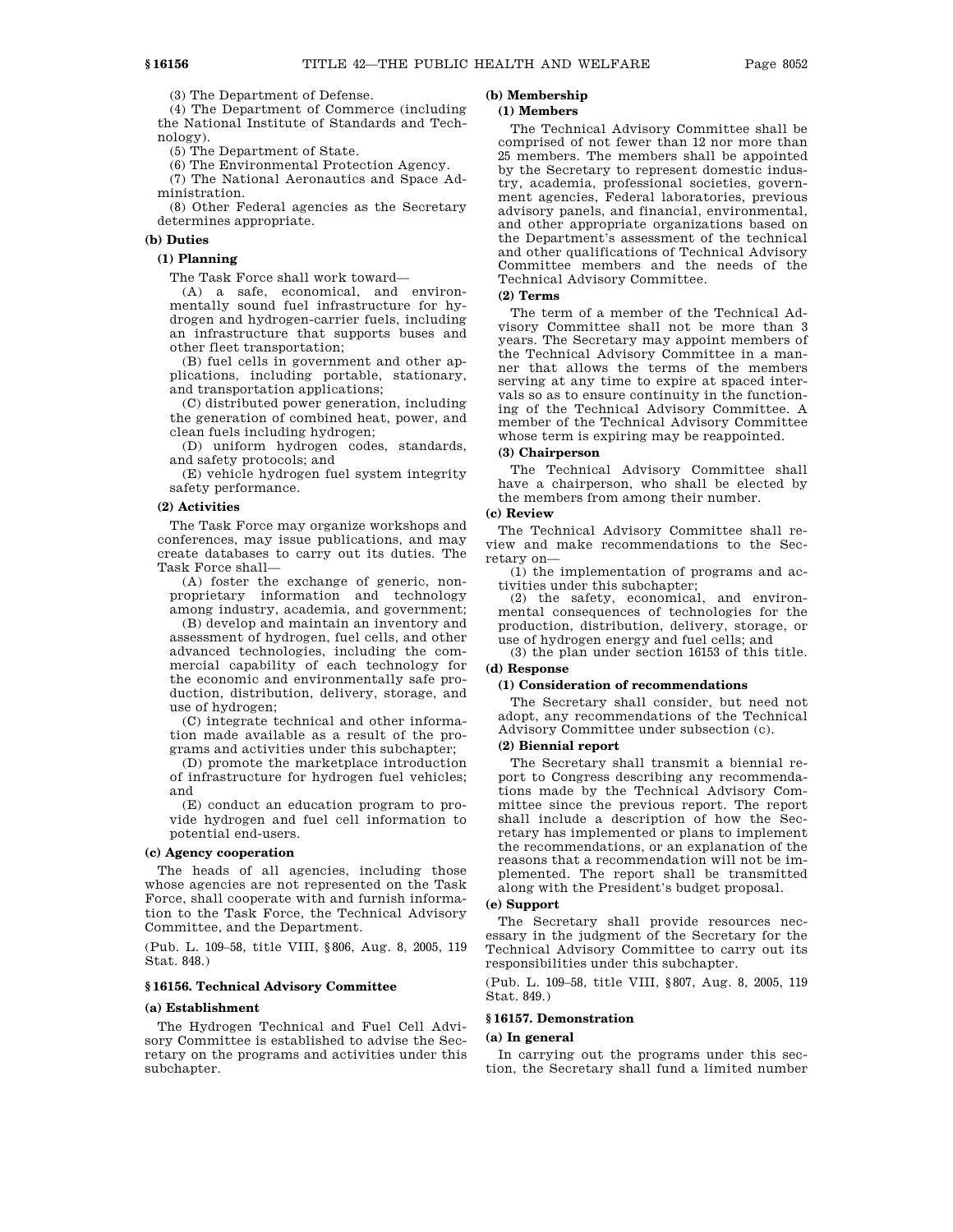(3) The Department of Defense.

(4) The Department of Commerce (including the National Institute of Standards and Technology).

(5) The Department of State.

(6) The Environmental Protection Agency.

(7) The National Aeronautics and Space Administration.

(8) Other Federal agencies as the Secretary determines appropriate.

### **(b) Duties**

### **(1) Planning**

The Task Force shall work toward—

(A) a safe, economical, and environmentally sound fuel infrastructure for hydrogen and hydrogen-carrier fuels, including an infrastructure that supports buses and other fleet transportation;

(B) fuel cells in government and other applications, including portable, stationary, and transportation applications;

(C) distributed power generation, including the generation of combined heat, power, and clean fuels including hydrogen;

(D) uniform hydrogen codes, standards, and safety protocols; and

(E) vehicle hydrogen fuel system integrity safety performance.

### **(2) Activities**

The Task Force may organize workshops and conferences, may issue publications, and may create databases to carry out its duties. The Task Force shall—

(A) foster the exchange of generic, nonproprietary information and technology among industry, academia, and government;

(B) develop and maintain an inventory and assessment of hydrogen, fuel cells, and other advanced technologies, including the commercial capability of each technology for the economic and environmentally safe production, distribution, delivery, storage, and use of hydrogen;

(C) integrate technical and other information made available as a result of the programs and activities under this subchapter;

(D) promote the marketplace introduction of infrastructure for hydrogen fuel vehicles; and

(E) conduct an education program to provide hydrogen and fuel cell information to potential end-users.

#### **(c) Agency cooperation**

The heads of all agencies, including those whose agencies are not represented on the Task Force, shall cooperate with and furnish information to the Task Force, the Technical Advisory Committee, and the Department.

(Pub. L. 109–58, title VIII, §806, Aug. 8, 2005, 119 Stat. 848.)

### **§ 16156. Technical Advisory Committee**

#### **(a) Establishment**

The Hydrogen Technical and Fuel Cell Advisory Committee is established to advise the Secretary on the programs and activities under this subchapter.

# **(b) Membership**

## **(1) Members**

The Technical Advisory Committee shall be comprised of not fewer than 12 nor more than 25 members. The members shall be appointed by the Secretary to represent domestic industry, academia, professional societies, government agencies, Federal laboratories, previous advisory panels, and financial, environmental, and other appropriate organizations based on the Department's assessment of the technical and other qualifications of Technical Advisory Committee members and the needs of the Technical Advisory Committee.

### **(2) Terms**

The term of a member of the Technical Advisory Committee shall not be more than 3 years. The Secretary may appoint members of the Technical Advisory Committee in a manner that allows the terms of the members serving at any time to expire at spaced intervals so as to ensure continuity in the functioning of the Technical Advisory Committee. A member of the Technical Advisory Committee whose term is expiring may be reappointed.

### **(3) Chairperson**

The Technical Advisory Committee shall have a chairperson, who shall be elected by the members from among their number.

### **(c) Review**

The Technical Advisory Committee shall review and make recommendations to the Secretary on—

(1) the implementation of programs and activities under this subchapter;

(2) the safety, economical, and environmental consequences of technologies for the production, distribution, delivery, storage, or use of hydrogen energy and fuel cells; and

(3) the plan under section 16153 of this title. **(d) Response**

#### **(1) Consideration of recommendations**

The Secretary shall consider, but need not adopt, any recommendations of the Technical Advisory Committee under subsection (c).

### **(2) Biennial report**

The Secretary shall transmit a biennial report to Congress describing any recommendations made by the Technical Advisory Committee since the previous report. The report shall include a description of how the Secretary has implemented or plans to implement the recommendations, or an explanation of the reasons that a recommendation will not be implemented. The report shall be transmitted along with the President's budget proposal.

### **(e) Support**

The Secretary shall provide resources necessary in the judgment of the Secretary for the Technical Advisory Committee to carry out its responsibilities under this subchapter.

(Pub. L. 109–58, title VIII, §807, Aug. 8, 2005, 119 Stat. 849.)

### **§ 16157. Demonstration**

#### **(a) In general**

In carrying out the programs under this section, the Secretary shall fund a limited number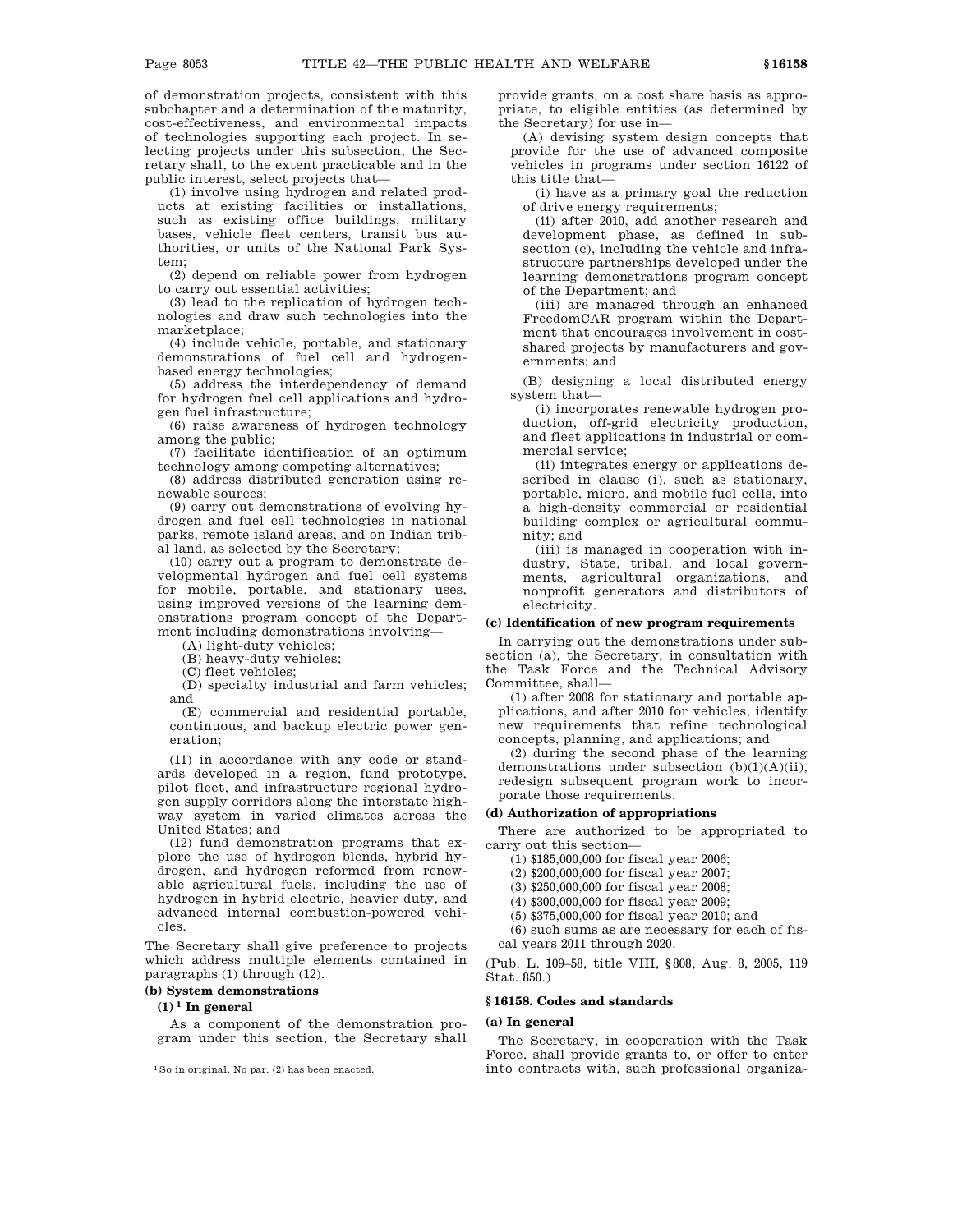of demonstration projects, consistent with this subchapter and a determination of the maturity, cost-effectiveness, and environmental impacts of technologies supporting each project. In selecting projects under this subsection, the Secretary shall, to the extent practicable and in the public interest, select projects that—

(1) involve using hydrogen and related products at existing facilities or installations, such as existing office buildings, military bases, vehicle fleet centers, transit bus authorities, or units of the National Park System;

(2) depend on reliable power from hydrogen to carry out essential activities;

(3) lead to the replication of hydrogen technologies and draw such technologies into the marketplace;

(4) include vehicle, portable, and stationary demonstrations of fuel cell and hydrogenbased energy technologies;

(5) address the interdependency of demand for hydrogen fuel cell applications and hydrogen fuel infrastructure;

(6) raise awareness of hydrogen technology among the public;

(7) facilitate identification of an optimum technology among competing alternatives;

(8) address distributed generation using renewable sources;

(9) carry out demonstrations of evolving hydrogen and fuel cell technologies in national parks, remote island areas, and on Indian tribal land, as selected by the Secretary;

(10) carry out a program to demonstrate developmental hydrogen and fuel cell systems for mobile, portable, and stationary uses, using improved versions of the learning demonstrations program concept of the Department including demonstrations involving—

(A) light-duty vehicles;

(B) heavy-duty vehicles;

(C) fleet vehicles;

(D) specialty industrial and farm vehicles; and

(E) commercial and residential portable, continuous, and backup electric power generation;

(11) in accordance with any code or standards developed in a region, fund prototype, pilot fleet, and infrastructure regional hydrogen supply corridors along the interstate highway system in varied climates across the United States; and

(12) fund demonstration programs that explore the use of hydrogen blends, hybrid hydrogen, and hydrogen reformed from renewable agricultural fuels, including the use of hydrogen in hybrid electric, heavier duty, and advanced internal combustion-powered vehicles.

The Secretary shall give preference to projects which address multiple elements contained in paragraphs (1) through (12).

### **(b) System demonstrations**

### $(1)$ <sup>1</sup> In general

As a component of the demonstration program under this section, the Secretary shall provide grants, on a cost share basis as appropriate, to eligible entities (as determined by the Secretary) for use in—

(A) devising system design concepts that provide for the use of advanced composite vehicles in programs under section 16122 of this title that—

(i) have as a primary goal the reduction of drive energy requirements;

(ii) after 2010, add another research and development phase, as defined in subsection (c), including the vehicle and infrastructure partnerships developed under the learning demonstrations program concept of the Department; and

(iii) are managed through an enhanced FreedomCAR program within the Department that encourages involvement in costshared projects by manufacturers and governments; and

(B) designing a local distributed energy system that—

(i) incorporates renewable hydrogen production, off-grid electricity production, and fleet applications in industrial or commercial service;

(ii) integrates energy or applications described in clause (i), such as stationary, portable, micro, and mobile fuel cells, into a high-density commercial or residential building complex or agricultural community; and

(iii) is managed in cooperation with industry, State, tribal, and local governments, agricultural organizations, and nonprofit generators and distributors of electricity.

### **(c) Identification of new program requirements**

In carrying out the demonstrations under subsection (a), the Secretary, in consultation with the Task Force and the Technical Advisory Committee, shall—

(1) after 2008 for stationary and portable applications, and after 2010 for vehicles, identify new requirements that refine technological concepts, planning, and applications; and

(2) during the second phase of the learning demonstrations under subsection  $(b)(1)(A)(ii)$ , redesign subsequent program work to incorporate those requirements.

### **(d) Authorization of appropriations**

There are authorized to be appropriated to carry out this section—

(1) \$185,000,000 for fiscal year 2006;

(2) \$200,000,000 for fiscal year 2007;

(3) \$250,000,000 for fiscal year 2008;

(4) \$300,000,000 for fiscal year 2009;

(5) \$375,000,000 for fiscal year 2010; and

(6) such sums as are necessary for each of fis-

cal years 2011 through 2020.

(Pub. L. 109–58, title VIII, §808, Aug. 8, 2005, 119 Stat. 850.)

### **§ 16158. Codes and standards**

#### **(a) In general**

The Secretary, in cooperation with the Task Force, shall provide grants to, or offer to enter into contracts with, such professional organiza-

<sup>1</sup>So in original. No par. (2) has been enacted.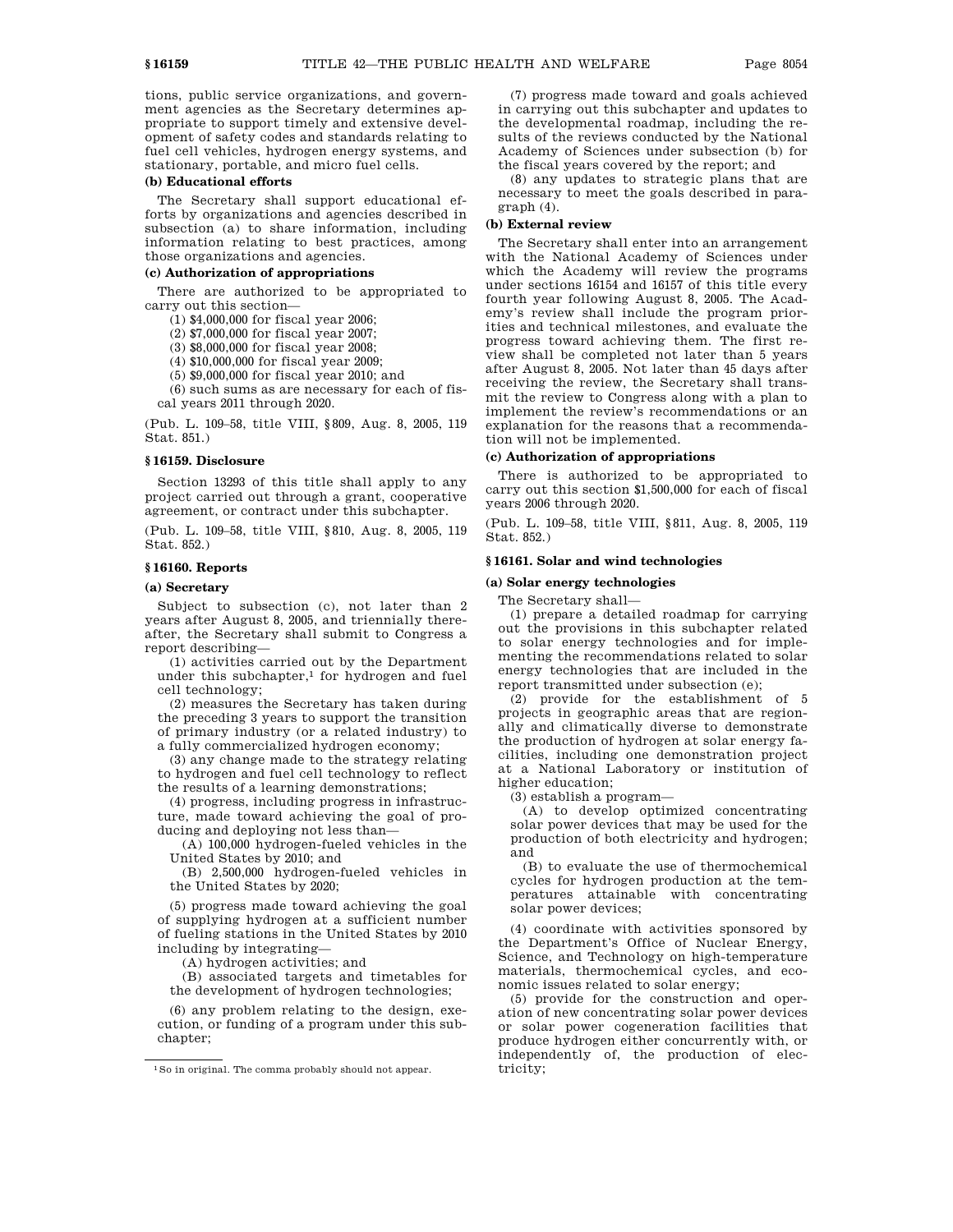tions, public service organizations, and government agencies as the Secretary determines appropriate to support timely and extensive development of safety codes and standards relating to fuel cell vehicles, hydrogen energy systems, and stationary, portable, and micro fuel cells.

### **(b) Educational efforts**

The Secretary shall support educational efforts by organizations and agencies described in subsection (a) to share information, including information relating to best practices, among those organizations and agencies.

#### **(c) Authorization of appropriations**

There are authorized to be appropriated to carry out this section—

(1) \$4,000,000 for fiscal year 2006;

(2) \$7,000,000 for fiscal year 2007;

(3) \$8,000,000 for fiscal year 2008;

(4) \$10,000,000 for fiscal year 2009;

(5) \$9,000,000 for fiscal year 2010; and

(6) such sums as are necessary for each of fiscal years 2011 through 2020.

(Pub. L. 109–58, title VIII, §809, Aug. 8, 2005, 119 Stat. 851.)

#### **§ 16159. Disclosure**

Section 13293 of this title shall apply to any project carried out through a grant, cooperative agreement, or contract under this subchapter.

(Pub. L. 109–58, title VIII, §810, Aug. 8, 2005, 119 Stat. 852.)

### **§ 16160. Reports**

### **(a) Secretary**

Subject to subsection (c), not later than 2 years after August 8, 2005, and triennially thereafter, the Secretary shall submit to Congress a report describing—

(1) activities carried out by the Department under this subchapter,<sup>1</sup> for hydrogen and fuel cell technology;

(2) measures the Secretary has taken during the preceding 3 years to support the transition of primary industry (or a related industry) to a fully commercialized hydrogen economy;

(3) any change made to the strategy relating to hydrogen and fuel cell technology to reflect the results of a learning demonstrations;

(4) progress, including progress in infrastructure, made toward achieving the goal of producing and deploying not less than—

(A) 100,000 hydrogen-fueled vehicles in the United States by 2010; and

(B) 2,500,000 hydrogen-fueled vehicles in the United States by 2020;

(5) progress made toward achieving the goal of supplying hydrogen at a sufficient number of fueling stations in the United States by 2010 including by integrating—

(A) hydrogen activities; and

(B) associated targets and timetables for the development of hydrogen technologies;

(6) any problem relating to the design, execution, or funding of a program under this subchapter;

(7) progress made toward and goals achieved in carrying out this subchapter and updates to the developmental roadmap, including the results of the reviews conducted by the National Academy of Sciences under subsection (b) for the fiscal years covered by the report; and

(8) any updates to strategic plans that are necessary to meet the goals described in paragraph (4).

#### **(b) External review**

The Secretary shall enter into an arrangement with the National Academy of Sciences under which the Academy will review the programs under sections 16154 and 16157 of this title every fourth year following August 8, 2005. The Academy's review shall include the program priorities and technical milestones, and evaluate the progress toward achieving them. The first review shall be completed not later than 5 years after August 8, 2005. Not later than 45 days after receiving the review, the Secretary shall transmit the review to Congress along with a plan to implement the review's recommendations or an explanation for the reasons that a recommendation will not be implemented.

#### **(c) Authorization of appropriations**

There is authorized to be appropriated to carry out this section \$1,500,000 for each of fiscal years 2006 through 2020.

(Pub. L. 109–58, title VIII, §811, Aug. 8, 2005, 119 Stat. 852.)

### **§ 16161. Solar and wind technologies**

#### **(a) Solar energy technologies**

The Secretary shall—

(1) prepare a detailed roadmap for carrying out the provisions in this subchapter related to solar energy technologies and for implementing the recommendations related to solar energy technologies that are included in the report transmitted under subsection (e);

(2) provide for the establishment of 5 projects in geographic areas that are regionally and climatically diverse to demonstrate the production of hydrogen at solar energy facilities, including one demonstration project at a National Laboratory or institution of higher education;

(3) establish a program—

(A) to develop optimized concentrating solar power devices that may be used for the production of both electricity and hydrogen; and

(B) to evaluate the use of thermochemical cycles for hydrogen production at the temperatures attainable with concentrating solar power devices;

(4) coordinate with activities sponsored by the Department's Office of Nuclear Energy, Science, and Technology on high-temperature materials, thermochemical cycles, and economic issues related to solar energy;

(5) provide for the construction and operation of new concentrating solar power devices or solar power cogeneration facilities that produce hydrogen either concurrently with, or independently of, the production of electricity;

<sup>1</sup>So in original. The comma probably should not appear.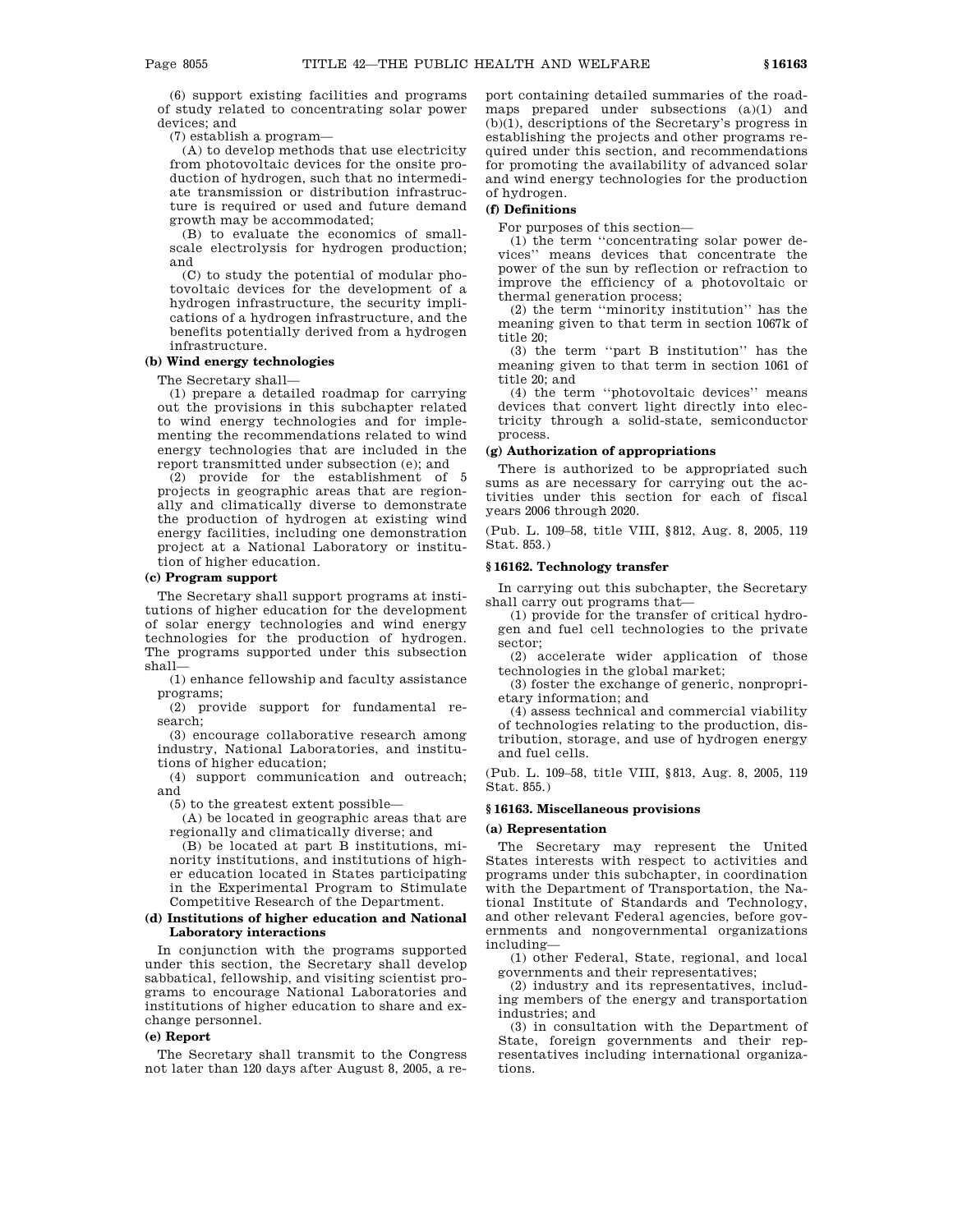(6) support existing facilities and programs of study related to concentrating solar power devices; and

(7) establish a program—

(A) to develop methods that use electricity from photovoltaic devices for the onsite production of hydrogen, such that no intermediate transmission or distribution infrastructure is required or used and future demand growth may be accommodated;

(B) to evaluate the economics of smallscale electrolysis for hydrogen production; and

(C) to study the potential of modular photovoltaic devices for the development of a hydrogen infrastructure, the security implications of a hydrogen infrastructure, and the benefits potentially derived from a hydrogen infrastructure.

### **(b) Wind energy technologies**

The Secretary shall—

(1) prepare a detailed roadmap for carrying out the provisions in this subchapter related to wind energy technologies and for implementing the recommendations related to wind energy technologies that are included in the report transmitted under subsection (e); and

(2) provide for the establishment of 5 projects in geographic areas that are regionally and climatically diverse to demonstrate the production of hydrogen at existing wind energy facilities, including one demonstration project at a National Laboratory or institution of higher education.

#### **(c) Program support**

The Secretary shall support programs at institutions of higher education for the development of solar energy technologies and wind energy technologies for the production of hydrogen. The programs supported under this subsection shall—

(1) enhance fellowship and faculty assistance programs;

(2) provide support for fundamental research;

(3) encourage collaborative research among industry, National Laboratories, and institutions of higher education;

(4) support communication and outreach; and

(5) to the greatest extent possible—

(A) be located in geographic areas that are regionally and climatically diverse; and

(B) be located at part B institutions, minority institutions, and institutions of higher education located in States participating in the Experimental Program to Stimulate Competitive Research of the Department.

#### **(d) Institutions of higher education and National Laboratory interactions**

In conjunction with the programs supported under this section, the Secretary shall develop sabbatical, fellowship, and visiting scientist programs to encourage National Laboratories and institutions of higher education to share and exchange personnel.

### **(e) Report**

The Secretary shall transmit to the Congress not later than 120 days after August 8, 2005, a report containing detailed summaries of the roadmaps prepared under subsections (a)(1) and (b)(1), descriptions of the Secretary's progress in establishing the projects and other programs required under this section, and recommendations for promoting the availability of advanced solar and wind energy technologies for the production of hydrogen.

### **(f) Definitions**

For purposes of this section—

(1) the term ''concentrating solar power devices'' means devices that concentrate the power of the sun by reflection or refraction to improve the efficiency of a photovoltaic or thermal generation process;

(2) the term ''minority institution'' has the meaning given to that term in section 1067k of title 20;

(3) the term ''part B institution'' has the meaning given to that term in section 1061 of title 20; and

(4) the term ''photovoltaic devices'' means devices that convert light directly into electricity through a solid-state, semiconductor process.

### **(g) Authorization of appropriations**

There is authorized to be appropriated such sums as are necessary for carrying out the activities under this section for each of fiscal years 2006 through 2020.

(Pub. L. 109–58, title VIII, §812, Aug. 8, 2005, 119 Stat. 853.)

#### **§ 16162. Technology transfer**

In carrying out this subchapter, the Secretary shall carry out programs that—

(1) provide for the transfer of critical hydrogen and fuel cell technologies to the private sector;

(2) accelerate wider application of those technologies in the global market;

(3) foster the exchange of generic, nonproprietary information; and

(4) assess technical and commercial viability of technologies relating to the production, distribution, storage, and use of hydrogen energy and fuel cells.

(Pub. L. 109–58, title VIII, §813, Aug. 8, 2005, 119 Stat. 855.)

### **§ 16163. Miscellaneous provisions**

#### **(a) Representation**

The Secretary may represent the United States interests with respect to activities and programs under this subchapter, in coordination with the Department of Transportation, the National Institute of Standards and Technology, and other relevant Federal agencies, before governments and nongovernmental organizations including—

(1) other Federal, State, regional, and local governments and their representatives;

(2) industry and its representatives, including members of the energy and transportation industries; and

(3) in consultation with the Department of State, foreign governments and their representatives including international organizations.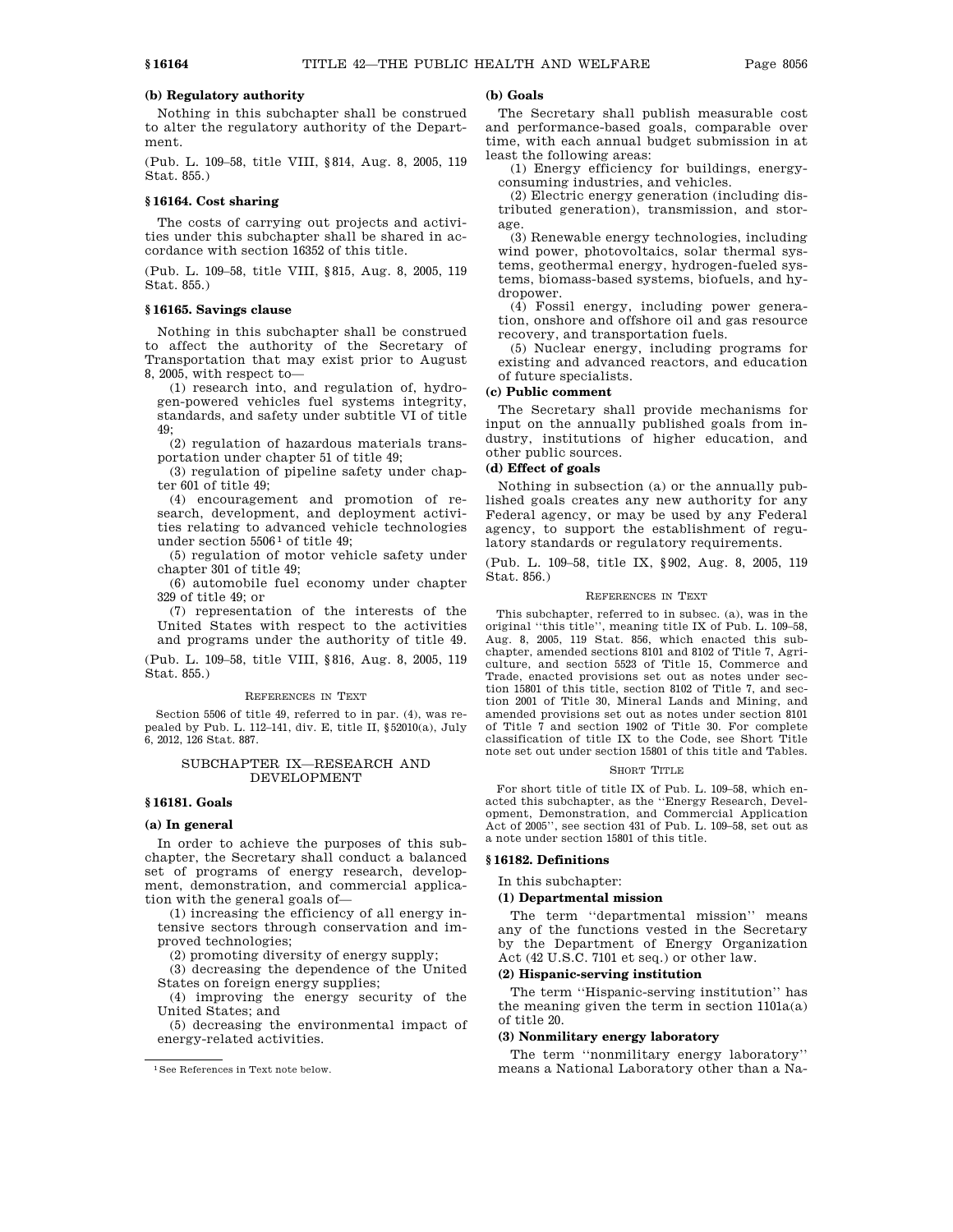# **(b) Regulatory authority**

Nothing in this subchapter shall be construed to alter the regulatory authority of the Department.

(Pub. L. 109–58, title VIII, §814, Aug. 8, 2005, 119 Stat. 855.)

#### **§ 16164. Cost sharing**

The costs of carrying out projects and activities under this subchapter shall be shared in accordance with section 16352 of this title.

(Pub. L. 109–58, title VIII, §815, Aug. 8, 2005, 119 Stat. 855.)

# **§ 16165. Savings clause**

Nothing in this subchapter shall be construed to affect the authority of the Secretary of Transportation that may exist prior to August 8, 2005, with respect to—

(1) research into, and regulation of, hydrogen-powered vehicles fuel systems integrity, standards, and safety under subtitle VI of title 49;

(2) regulation of hazardous materials transportation under chapter 51 of title 49;

(3) regulation of pipeline safety under chapter 601 of title 49;

(4) encouragement and promotion of research, development, and deployment activities relating to advanced vehicle technologies under section  $5506<sup>1</sup>$  of title 49;

(5) regulation of motor vehicle safety under chapter 301 of title 49;

(6) automobile fuel economy under chapter 329 of title 49; or

(7) representation of the interests of the United States with respect to the activities and programs under the authority of title 49.

(Pub. L. 109–58, title VIII, §816, Aug. 8, 2005, 119 Stat. 855.)

#### REFERENCES IN TEXT

Section 5506 of title 49, referred to in par. (4), was repealed by Pub. L. 112–141, div. E, title II, §52010(a), July 6, 2012, 126 Stat. 887.

### SUBCHAPTER IX—RESEARCH AND DEVELOPMENT

# **§ 16181. Goals**

#### **(a) In general**

In order to achieve the purposes of this subchapter, the Secretary shall conduct a balanced set of programs of energy research, development, demonstration, and commercial application with the general goals of—

(1) increasing the efficiency of all energy intensive sectors through conservation and improved technologies;

(2) promoting diversity of energy supply;

(3) decreasing the dependence of the United States on foreign energy supplies;

(4) improving the energy security of the United States; and

(5) decreasing the environmental impact of energy-related activities.

#### **(b) Goals**

The Secretary shall publish measurable cost and performance-based goals, comparable over time, with each annual budget submission in at least the following areas:

(1) Energy efficiency for buildings, energyconsuming industries, and vehicles.

(2) Electric energy generation (including distributed generation), transmission, and storage.

(3) Renewable energy technologies, including wind power, photovoltaics, solar thermal systems, geothermal energy, hydrogen-fueled systems, biomass-based systems, biofuels, and hydropower.

(4) Fossil energy, including power generation, onshore and offshore oil and gas resource recovery, and transportation fuels.

(5) Nuclear energy, including programs for existing and advanced reactors, and education of future specialists.

# **(c) Public comment**

The Secretary shall provide mechanisms for input on the annually published goals from industry, institutions of higher education, and other public sources.

# **(d) Effect of goals**

Nothing in subsection (a) or the annually published goals creates any new authority for any Federal agency, or may be used by any Federal agency, to support the establishment of regulatory standards or regulatory requirements.

(Pub. L. 109–58, title IX, §902, Aug. 8, 2005, 119 Stat. 856.)

#### REFERENCES IN TEXT

This subchapter, referred to in subsec. (a), was in the original ''this title'', meaning title IX of Pub. L. 109–58, Aug. 8, 2005, 119 Stat. 856, which enacted this subchapter, amended sections 8101 and 8102 of Title 7, Agriculture, and section 5523 of Title 15, Commerce and Trade, enacted provisions set out as notes under section 15801 of this title, section 8102 of Title 7, and section 2001 of Title 30, Mineral Lands and Mining, and amended provisions set out as notes under section 8101 of Title 7 and section 1902 of Title 30. For complete classification of title IX to the Code, see Short Title note set out under section 15801 of this title and Tables.

#### SHORT TITLE

For short title of title IX of Pub. L. 109–58, which enacted this subchapter, as the ''Energy Research, Development, Demonstration, and Commercial Application Act of 2005'', see section 431 of Pub. L. 109–58, set out as a note under section 15801 of this title.

#### **§ 16182. Definitions**

In this subchapter:

#### **(1) Departmental mission**

The term ''departmental mission'' means any of the functions vested in the Secretary by the Department of Energy Organization Act (42 U.S.C. 7101 et seq.) or other law.

# **(2) Hispanic-serving institution**

The term ''Hispanic-serving institution'' has the meaning given the term in section 1101a(a) of title 20.

# **(3) Nonmilitary energy laboratory**

The term ''nonmilitary energy laboratory'' means a National Laboratory other than a Na-

<sup>1</sup>See References in Text note below.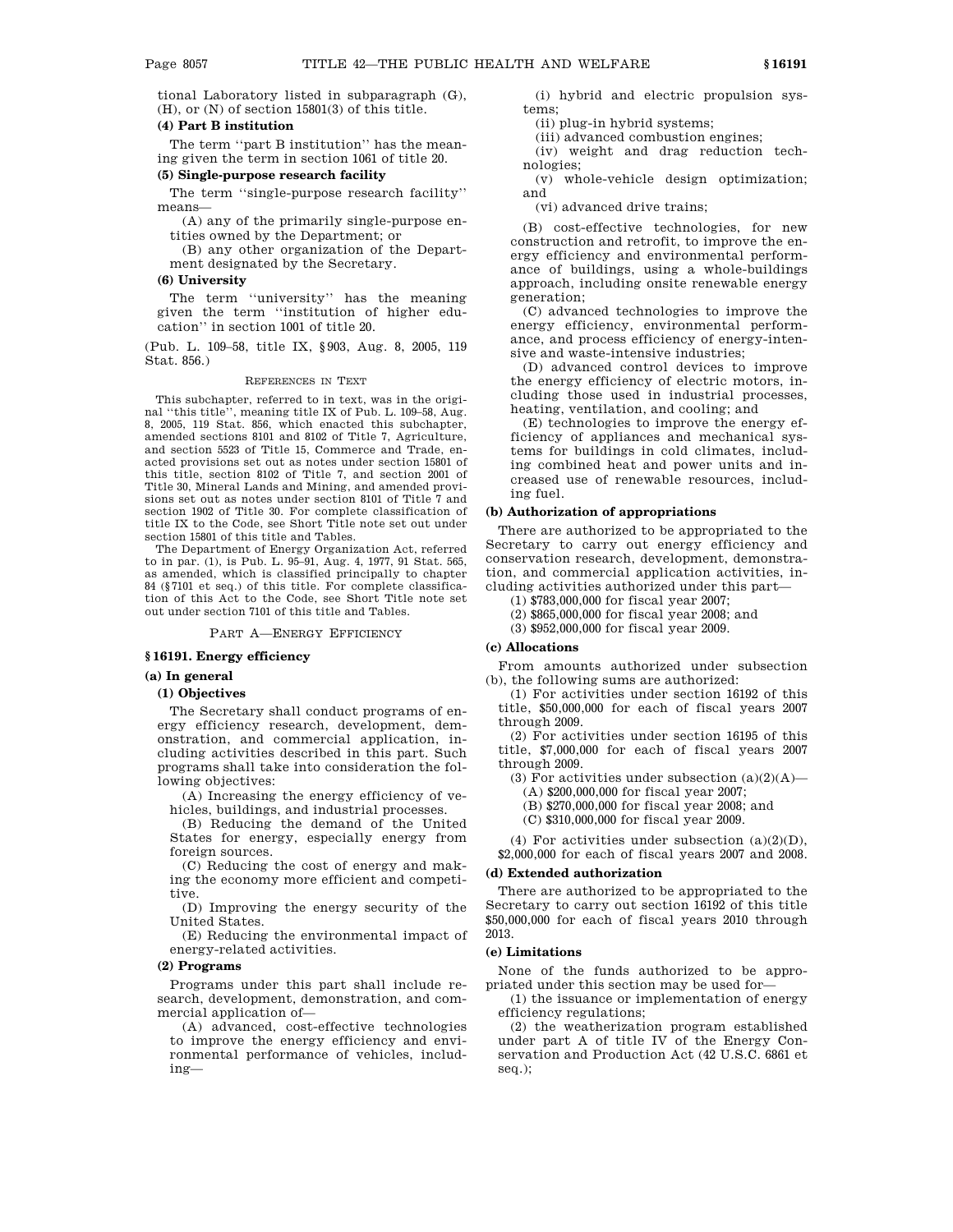tional Laboratory listed in subparagraph (G), (H), or (N) of section 15801(3) of this title.

# **(4) Part B institution**

The term ''part B institution'' has the meaning given the term in section 1061 of title 20.

#### **(5) Single-purpose research facility**

The term ''single-purpose research facility'' means—

(A) any of the primarily single-purpose entities owned by the Department; or

(B) any other organization of the Department designated by the Secretary.

# **(6) University**

The term ''university'' has the meaning given the term ''institution of higher education'' in section 1001 of title 20.

(Pub. L. 109–58, title IX, §903, Aug. 8, 2005, 119 Stat. 856.)

#### REFERENCES IN TEXT

This subchapter, referred to in text, was in the original ''this title'', meaning title IX of Pub. L. 109–58, Aug. 8, 2005, 119 Stat. 856, which enacted this subchapter, amended sections 8101 and 8102 of Title 7, Agriculture, and section 5523 of Title 15, Commerce and Trade, enacted provisions set out as notes under section 15801 of this title, section 8102 of Title 7, and section 2001 of Title 30, Mineral Lands and Mining, and amended provisions set out as notes under section 8101 of Title 7 and section 1902 of Title 30. For complete classification of title IX to the Code, see Short Title note set out under section 15801 of this title and Tables.

The Department of Energy Organization Act, referred to in par. (1), is Pub. L. 95–91, Aug. 4, 1977, 91 Stat. 565, as amended, which is classified principally to chapter 84 (§7101 et seq.) of this title. For complete classification of this Act to the Code, see Short Title note set out under section 7101 of this title and Tables.

## PART A—ENERGY EFFICIENCY

#### **§ 16191. Energy efficiency**

#### **(a) In general**

# **(1) Objectives**

The Secretary shall conduct programs of energy efficiency research, development, demonstration, and commercial application, including activities described in this part. Such programs shall take into consideration the following objectives:

(A) Increasing the energy efficiency of vehicles, buildings, and industrial processes.

(B) Reducing the demand of the United States for energy, especially energy from foreign sources.

(C) Reducing the cost of energy and making the economy more efficient and competitive.

(D) Improving the energy security of the United States.

(E) Reducing the environmental impact of energy-related activities.

# **(2) Programs**

Programs under this part shall include research, development, demonstration, and commercial application of—

(A) advanced, cost-effective technologies to improve the energy efficiency and environmental performance of vehicles, including—

(i) hybrid and electric propulsion systems;

(ii) plug-in hybrid systems;

(iii) advanced combustion engines;

(iv) weight and drag reduction technologies;

(v) whole-vehicle design optimization; and

(vi) advanced drive trains;

(B) cost-effective technologies, for new construction and retrofit, to improve the energy efficiency and environmental performance of buildings, using a whole-buildings approach, including onsite renewable energy generation;

(C) advanced technologies to improve the energy efficiency, environmental performance, and process efficiency of energy-intensive and waste-intensive industries;

(D) advanced control devices to improve the energy efficiency of electric motors, including those used in industrial processes, heating, ventilation, and cooling; and

(E) technologies to improve the energy efficiency of appliances and mechanical systems for buildings in cold climates, including combined heat and power units and increased use of renewable resources, including fuel.

#### **(b) Authorization of appropriations**

There are authorized to be appropriated to the Secretary to carry out energy efficiency and conservation research, development, demonstration, and commercial application activities, including activities authorized under this part—

(1) \$783,000,000 for fiscal year 2007;

(2) \$865,000,000 for fiscal year 2008; and

(3) \$952,000,000 for fiscal year 2009.

# **(c) Allocations**

From amounts authorized under subsection (b), the following sums are authorized:

(1) For activities under section 16192 of this title, \$50,000,000 for each of fiscal years 2007 through 2009.

(2) For activities under section 16195 of this title, \$7,000,000 for each of fiscal years 2007 through 2009.

(3) For activities under subsection  $(a)(2)(A)$ —

(A) \$200,000,000 for fiscal year 2007;

(B) \$270,000,000 for fiscal year 2008; and

(C) \$310,000,000 for fiscal year 2009.

(4) For activities under subsection  $(a)(2)(D)$ , \$2,000,000 for each of fiscal years 2007 and 2008.

#### **(d) Extended authorization**

There are authorized to be appropriated to the Secretary to carry out section 16192 of this title \$50,000,000 for each of fiscal years 2010 through 2013.

#### **(e) Limitations**

None of the funds authorized to be appropriated under this section may be used for—

(1) the issuance or implementation of energy efficiency regulations;

(2) the weatherization program established under part A of title IV of the Energy Conservation and Production Act (42 U.S.C. 6861 et seq.);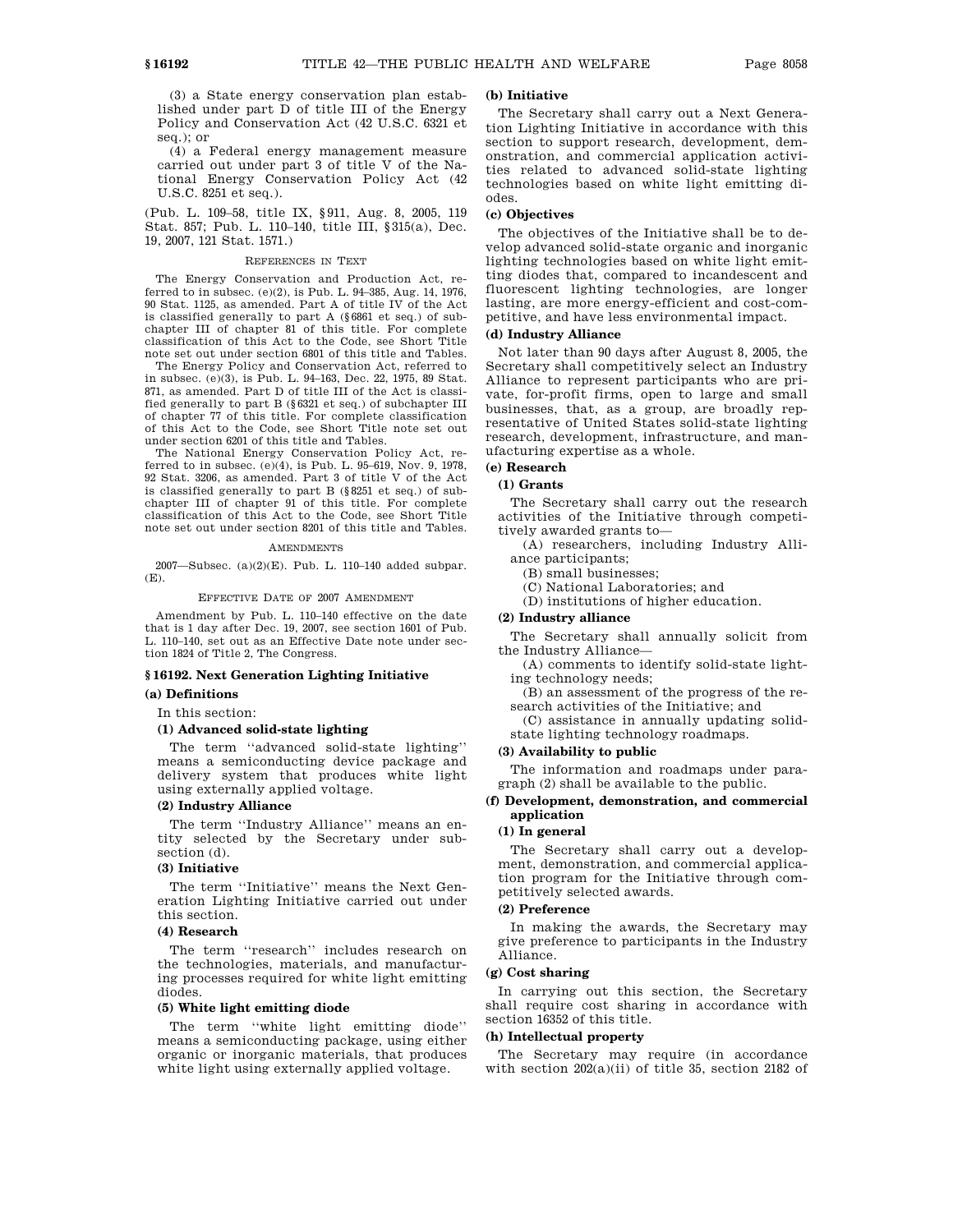(3) a State energy conservation plan established under part D of title III of the Energy Policy and Conservation Act (42 U.S.C. 6321 et seq.); or

(4) a Federal energy management measure carried out under part 3 of title V of the National Energy Conservation Policy Act (42 U.S.C. 8251 et seq.).

(Pub. L. 109–58, title IX, §911, Aug. 8, 2005, 119 Stat. 857; Pub. L. 110–140, title III, §315(a), Dec. 19, 2007, 121 Stat. 1571.)

#### REFERENCES IN TEXT

The Energy Conservation and Production Act, referred to in subsec. (e)(2), is Pub. L. 94–385, Aug. 14, 1976, 90 Stat. 1125, as amended. Part A of title IV of the Act is classified generally to part A (§6861 et seq.) of subchapter III of chapter 81 of this title. For complete classification of this Act to the Code, see Short Title note set out under section 6801 of this title and Tables.

The Energy Policy and Conservation Act, referred to in subsec. (e)(3), is Pub. L. 94–163, Dec. 22, 1975, 89 Stat. 871, as amended. Part D of title III of the Act is classified generally to part B (§6321 et seq.) of subchapter III of chapter 77 of this title. For complete classification of this Act to the Code, see Short Title note set out under section 6201 of this title and Tables.

The National Energy Conservation Policy Act, referred to in subsec. (e)(4), is Pub. L. 95–619, Nov. 9, 1978, 92 Stat. 3206, as amended. Part 3 of title V of the Act is classified generally to part B (§8251 et seq.) of subchapter III of chapter 91 of this title. For complete classification of this Act to the Code, see Short Title note set out under section 8201 of this title and Tables.

#### AMENDMENTS

2007—Subsec. (a)(2)(E). Pub. L. 110–140 added subpar. (E).

EFFECTIVE DATE OF 2007 AMENDMENT

Amendment by Pub. L. 110–140 effective on the date that is 1 day after Dec. 19, 2007, see section 1601 of Pub. L. 110–140, set out as an Effective Date note under section 1824 of Title 2, The Congress.

# **§ 16192. Next Generation Lighting Initiative**

# **(a) Definitions**

In this section:

#### **(1) Advanced solid-state lighting**

The term ''advanced solid-state lighting'' means a semiconducting device package and delivery system that produces white light using externally applied voltage.

# **(2) Industry Alliance**

The term ''Industry Alliance'' means an entity selected by the Secretary under subsection (d).

# **(3) Initiative**

The term ''Initiative'' means the Next Generation Lighting Initiative carried out under this section.

# **(4) Research**

The term ''research'' includes research on the technologies, materials, and manufacturing processes required for white light emitting diodes.

# **(5) White light emitting diode**

The term ''white light emitting diode'' means a semiconducting package, using either organic or inorganic materials, that produces white light using externally applied voltage.

# **(b) Initiative**

The Secretary shall carry out a Next Generation Lighting Initiative in accordance with this section to support research, development, demonstration, and commercial application activities related to advanced solid-state lighting technologies based on white light emitting diodes.

# **(c) Objectives**

The objectives of the Initiative shall be to develop advanced solid-state organic and inorganic lighting technologies based on white light emitting diodes that, compared to incandescent and fluorescent lighting technologies, are longer lasting, are more energy-efficient and cost-competitive, and have less environmental impact.

# **(d) Industry Alliance**

Not later than 90 days after August 8, 2005, the Secretary shall competitively select an Industry Alliance to represent participants who are private, for-profit firms, open to large and small businesses, that, as a group, are broadly representative of United States solid-state lighting research, development, infrastructure, and manufacturing expertise as a whole.

# **(e) Research**

# **(1) Grants**

The Secretary shall carry out the research activities of the Initiative through competitively awarded grants to—

- (A) researchers, including Industry Alliance participants;
	- (B) small businesses;
	- (C) National Laboratories; and
	- (D) institutions of higher education.

# **(2) Industry alliance**

The Secretary shall annually solicit from the Industry Alliance—

(A) comments to identify solid-state lighting technology needs;

(B) an assessment of the progress of the research activities of the Initiative; and

(C) assistance in annually updating solidstate lighting technology roadmaps.

## **(3) Availability to public**

The information and roadmaps under paragraph (2) shall be available to the public.

### **(f) Development, demonstration, and commercial application**

## **(1) In general**

The Secretary shall carry out a development, demonstration, and commercial application program for the Initiative through competitively selected awards.

## **(2) Preference**

In making the awards, the Secretary may give preference to participants in the Industry Alliance.

# **(g) Cost sharing**

In carrying out this section, the Secretary shall require cost sharing in accordance with section 16352 of this title.

#### **(h) Intellectual property**

The Secretary may require (in accordance with section 202(a)(ii) of title 35, section 2182 of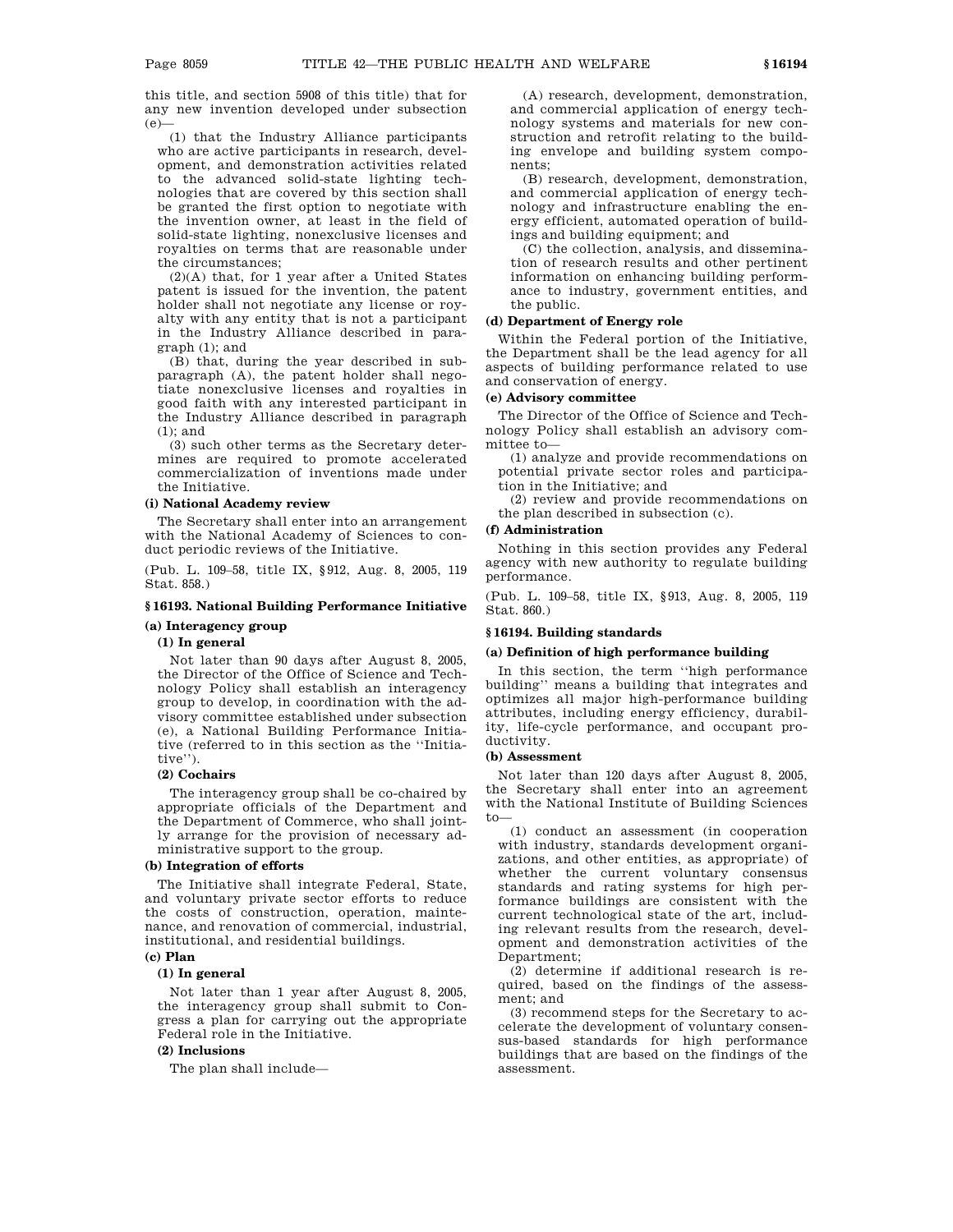this title, and section 5908 of this title) that for any new invention developed under subsection  $(e)$ 

(1) that the Industry Alliance participants who are active participants in research, development, and demonstration activities related to the advanced solid-state lighting technologies that are covered by this section shall be granted the first option to negotiate with the invention owner, at least in the field of solid-state lighting, nonexclusive licenses and royalties on terms that are reasonable under the circumstances;

(2)(A) that, for 1 year after a United States patent is issued for the invention, the patent holder shall not negotiate any license or royalty with any entity that is not a participant in the Industry Alliance described in paragraph (1); and

(B) that, during the year described in subparagraph (A), the patent holder shall negotiate nonexclusive licenses and royalties in good faith with any interested participant in the Industry Alliance described in paragraph (1); and

(3) such other terms as the Secretary determines are required to promote accelerated commercialization of inventions made under the Initiative.

#### **(i) National Academy review**

The Secretary shall enter into an arrangement with the National Academy of Sciences to conduct periodic reviews of the Initiative.

(Pub. L. 109–58, title IX, §912, Aug. 8, 2005, 119 Stat. 858.)

# **§ 16193. National Building Performance Initiative (a) Interagency group**

### **(1) In general**

Not later than 90 days after August 8, 2005, the Director of the Office of Science and Technology Policy shall establish an interagency group to develop, in coordination with the advisory committee established under subsection (e), a National Building Performance Initiative (referred to in this section as the ''Initiative'').

#### **(2) Cochairs**

The interagency group shall be co-chaired by appropriate officials of the Department and the Department of Commerce, who shall jointly arrange for the provision of necessary administrative support to the group.

# **(b) Integration of efforts**

The Initiative shall integrate Federal, State, and voluntary private sector efforts to reduce the costs of construction, operation, maintenance, and renovation of commercial, industrial, institutional, and residential buildings.

# **(c) Plan**

# **(1) In general**

Not later than 1 year after August 8, 2005, the interagency group shall submit to Congress a plan for carrying out the appropriate Federal role in the Initiative.

# **(2) Inclusions**

The plan shall include—

(A) research, development, demonstration, and commercial application of energy technology systems and materials for new construction and retrofit relating to the building envelope and building system components;

(B) research, development, demonstration, and commercial application of energy technology and infrastructure enabling the energy efficient, automated operation of buildings and building equipment; and

(C) the collection, analysis, and dissemination of research results and other pertinent information on enhancing building performance to industry, government entities, and the public.

# **(d) Department of Energy role**

Within the Federal portion of the Initiative, the Department shall be the lead agency for all aspects of building performance related to use and conservation of energy.

## **(e) Advisory committee**

The Director of the Office of Science and Technology Policy shall establish an advisory committee to—

(1) analyze and provide recommendations on potential private sector roles and participation in the Initiative; and

(2) review and provide recommendations on the plan described in subsection (c).

# **(f) Administration**

Nothing in this section provides any Federal agency with new authority to regulate building performance.

(Pub. L. 109–58, title IX, §913, Aug. 8, 2005, 119 Stat. 860.)

#### **§ 16194. Building standards**

## **(a) Definition of high performance building**

In this section, the term ''high performance building'' means a building that integrates and optimizes all major high-performance building attributes, including energy efficiency, durability, life-cycle performance, and occupant productivity.

### **(b) Assessment**

Not later than 120 days after August 8, 2005, the Secretary shall enter into an agreement with the National Institute of Building Sciences to—

(1) conduct an assessment (in cooperation with industry, standards development organizations, and other entities, as appropriate) of whether the current voluntary consensus standards and rating systems for high performance buildings are consistent with the current technological state of the art, including relevant results from the research, development and demonstration activities of the Department;

(2) determine if additional research is required, based on the findings of the assessment; and

(3) recommend steps for the Secretary to accelerate the development of voluntary consensus-based standards for high performance buildings that are based on the findings of the assessment.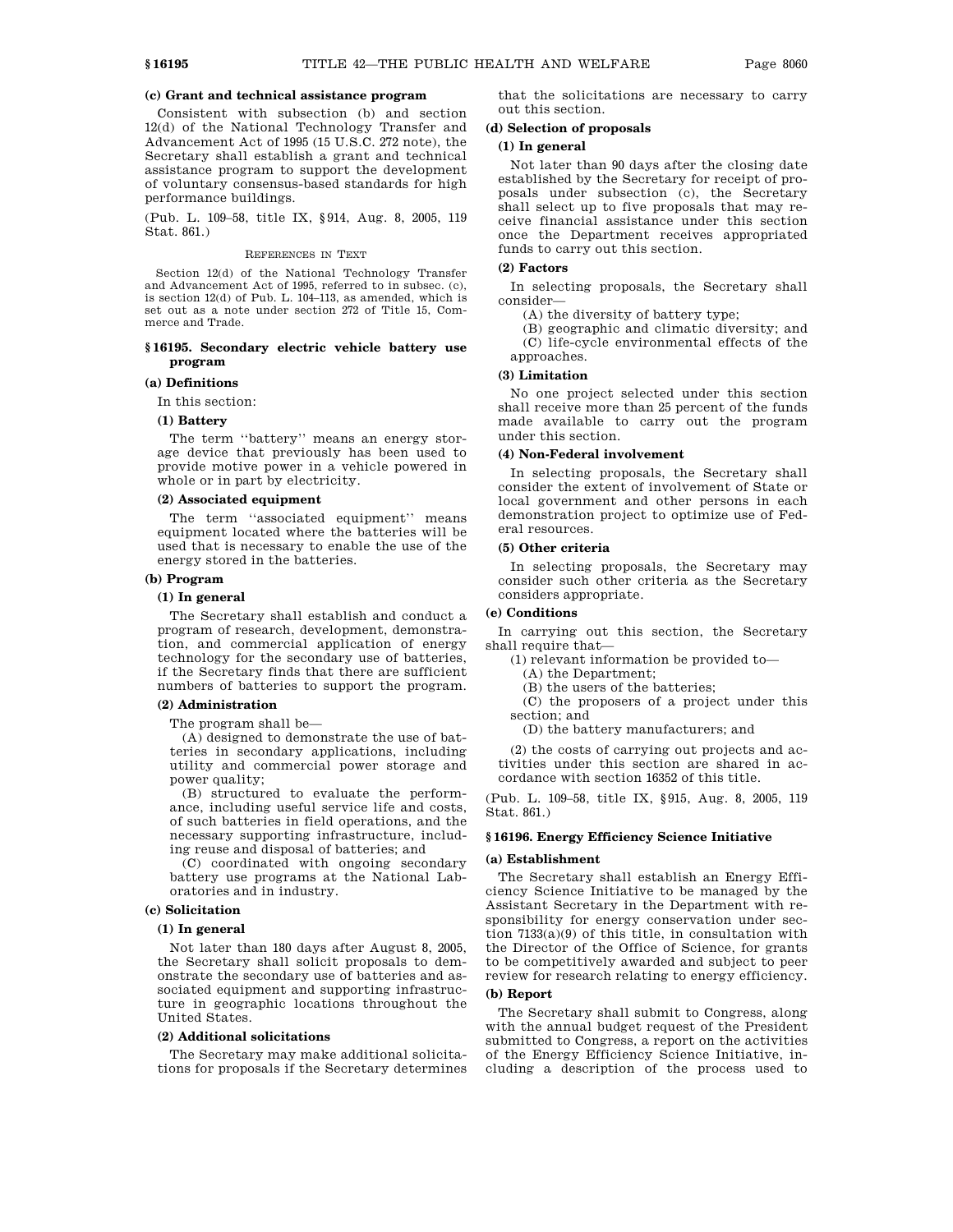# **(c) Grant and technical assistance program**

Consistent with subsection (b) and section 12(d) of the National Technology Transfer and Advancement Act of 1995 (15 U.S.C. 272 note), the Secretary shall establish a grant and technical assistance program to support the development of voluntary consensus-based standards for high performance buildings.

(Pub. L. 109–58, title IX, §914, Aug. 8, 2005, 119 Stat. 861.)

#### REFERENCES IN TEXT

Section 12(d) of the National Technology Transfer and Advancement Act of 1995, referred to in subsec. (c), is section 12(d) of Pub. L. 104–113, as amended, which is set out as a note under section 272 of Title 15, Commerce and Trade.

# **§ 16195. Secondary electric vehicle battery use program**

# **(a) Definitions**

In this section:

# **(1) Battery**

The term ''battery'' means an energy storage device that previously has been used to provide motive power in a vehicle powered in whole or in part by electricity.

#### **(2) Associated equipment**

The term "associated equipment" means equipment located where the batteries will be used that is necessary to enable the use of the energy stored in the batteries.

# **(b) Program**

## **(1) In general**

The Secretary shall establish and conduct a program of research, development, demonstration, and commercial application of energy technology for the secondary use of batteries, if the Secretary finds that there are sufficient numbers of batteries to support the program.

#### **(2) Administration**

The program shall be—

(A) designed to demonstrate the use of batteries in secondary applications, including utility and commercial power storage and power quality;

(B) structured to evaluate the performance, including useful service life and costs, of such batteries in field operations, and the necessary supporting infrastructure, including reuse and disposal of batteries; and

(C) coordinated with ongoing secondary battery use programs at the National Laboratories and in industry.

### **(c) Solicitation**

### **(1) In general**

Not later than 180 days after August 8, 2005, the Secretary shall solicit proposals to demonstrate the secondary use of batteries and associated equipment and supporting infrastructure in geographic locations throughout the United States.

#### **(2) Additional solicitations**

The Secretary may make additional solicitations for proposals if the Secretary determines

that the solicitations are necessary to carry out this section.

# **(d) Selection of proposals**

# **(1) In general**

Not later than 90 days after the closing date established by the Secretary for receipt of proposals under subsection (c), the Secretary shall select up to five proposals that may receive financial assistance under this section once the Department receives appropriated funds to carry out this section.

# **(2) Factors**

In selecting proposals, the Secretary shall consider—

(A) the diversity of battery type;

(B) geographic and climatic diversity; and (C) life-cycle environmental effects of the approaches.

### **(3) Limitation**

No one project selected under this section shall receive more than 25 percent of the funds made available to carry out the program under this section.

#### **(4) Non-Federal involvement**

In selecting proposals, the Secretary shall consider the extent of involvement of State or local government and other persons in each demonstration project to optimize use of Federal resources.

# **(5) Other criteria**

In selecting proposals, the Secretary may consider such other criteria as the Secretary considers appropriate.

# **(e) Conditions**

In carrying out this section, the Secretary shall require that—

(1) relevant information be provided to—

(A) the Department;

(B) the users of the batteries;

(C) the proposers of a project under this section; and

(D) the battery manufacturers; and

(2) the costs of carrying out projects and activities under this section are shared in accordance with section 16352 of this title.

(Pub. L. 109–58, title IX, §915, Aug. 8, 2005, 119 Stat. 861.)

# **§ 16196. Energy Efficiency Science Initiative**

#### **(a) Establishment**

The Secretary shall establish an Energy Efficiency Science Initiative to be managed by the Assistant Secretary in the Department with responsibility for energy conservation under section 7133(a)(9) of this title, in consultation with the Director of the Office of Science, for grants to be competitively awarded and subject to peer review for research relating to energy efficiency.

# **(b) Report**

The Secretary shall submit to Congress, along with the annual budget request of the President submitted to Congress, a report on the activities of the Energy Efficiency Science Initiative, including a description of the process used to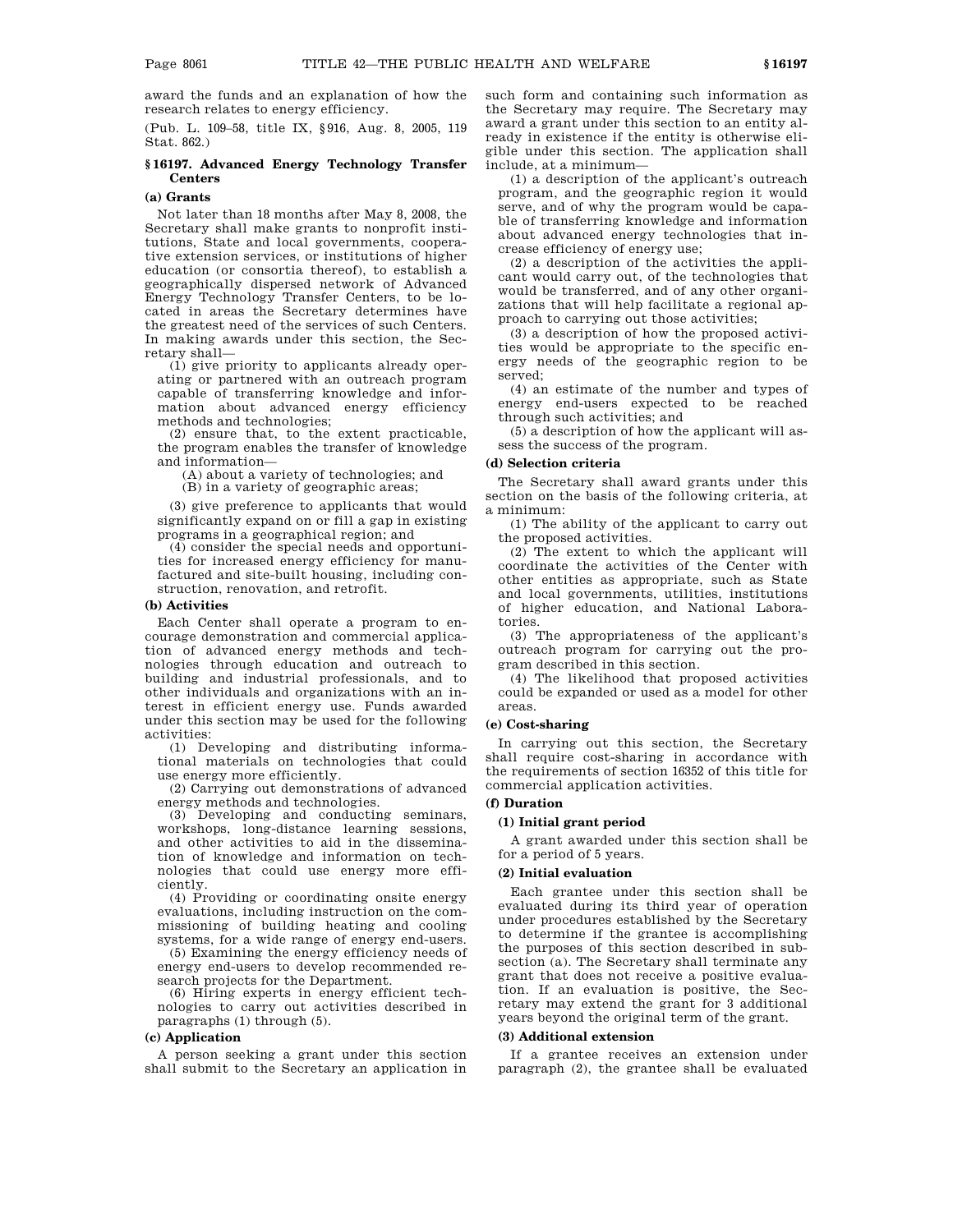award the funds and an explanation of how the research relates to energy efficiency.

(Pub. L. 109–58, title IX, §916, Aug. 8, 2005, 119 Stat. 862.)

# **§ 16197. Advanced Energy Technology Transfer Centers**

# **(a) Grants**

Not later than 18 months after May 8, 2008, the Secretary shall make grants to nonprofit institutions, State and local governments, cooperative extension services, or institutions of higher education (or consortia thereof), to establish a geographically dispersed network of Advanced Energy Technology Transfer Centers, to be located in areas the Secretary determines have the greatest need of the services of such Centers. In making awards under this section, the Secretary shall—

(1) give priority to applicants already operating or partnered with an outreach program capable of transferring knowledge and information about advanced energy efficiency methods and technologies;

(2) ensure that, to the extent practicable, the program enables the transfer of knowledge and information—

(A) about a variety of technologies; and

(B) in a variety of geographic areas;

(3) give preference to applicants that would significantly expand on or fill a gap in existing programs in a geographical region; and

(4) consider the special needs and opportunities for increased energy efficiency for manufactured and site-built housing, including construction, renovation, and retrofit.

# **(b) Activities**

Each Center shall operate a program to encourage demonstration and commercial application of advanced energy methods and technologies through education and outreach to building and industrial professionals, and to other individuals and organizations with an interest in efficient energy use. Funds awarded under this section may be used for the following activities:

(1) Developing and distributing informational materials on technologies that could use energy more efficiently.

(2) Carrying out demonstrations of advanced energy methods and technologies.

(3) Developing and conducting seminars, workshops, long-distance learning sessions, and other activities to aid in the dissemination of knowledge and information on technologies that could use energy more efficiently.

(4) Providing or coordinating onsite energy evaluations, including instruction on the commissioning of building heating and cooling systems, for a wide range of energy end-users.

(5) Examining the energy efficiency needs of energy end-users to develop recommended research projects for the Department.

(6) Hiring experts in energy efficient technologies to carry out activities described in paragraphs (1) through (5).

#### **(c) Application**

A person seeking a grant under this section shall submit to the Secretary an application in such form and containing such information as the Secretary may require. The Secretary may award a grant under this section to an entity already in existence if the entity is otherwise eligible under this section. The application shall include, at a minimum—

(1) a description of the applicant's outreach program, and the geographic region it would serve, and of why the program would be capable of transferring knowledge and information about advanced energy technologies that increase efficiency of energy use;

(2) a description of the activities the applicant would carry out, of the technologies that would be transferred, and of any other organizations that will help facilitate a regional approach to carrying out those activities;

(3) a description of how the proposed activities would be appropriate to the specific energy needs of the geographic region to be served;

(4) an estimate of the number and types of energy end-users expected to be reached through such activities; and

(5) a description of how the applicant will assess the success of the program.

#### **(d) Selection criteria**

The Secretary shall award grants under this section on the basis of the following criteria, at a minimum:

(1) The ability of the applicant to carry out the proposed activities.

(2) The extent to which the applicant will coordinate the activities of the Center with other entities as appropriate, such as State and local governments, utilities, institutions of higher education, and National Laboratories.

(3) The appropriateness of the applicant's outreach program for carrying out the program described in this section.

(4) The likelihood that proposed activities could be expanded or used as a model for other areas.

# **(e) Cost-sharing**

In carrying out this section, the Secretary shall require cost-sharing in accordance with the requirements of section 16352 of this title for commercial application activities.

# **(f) Duration**

# **(1) Initial grant period**

A grant awarded under this section shall be for a period of 5 years.

### **(2) Initial evaluation**

Each grantee under this section shall be evaluated during its third year of operation under procedures established by the Secretary to determine if the grantee is accomplishing the purposes of this section described in subsection (a). The Secretary shall terminate any grant that does not receive a positive evaluation. If an evaluation is positive, the Secretary may extend the grant for 3 additional years beyond the original term of the grant.

#### **(3) Additional extension**

If a grantee receives an extension under paragraph (2), the grantee shall be evaluated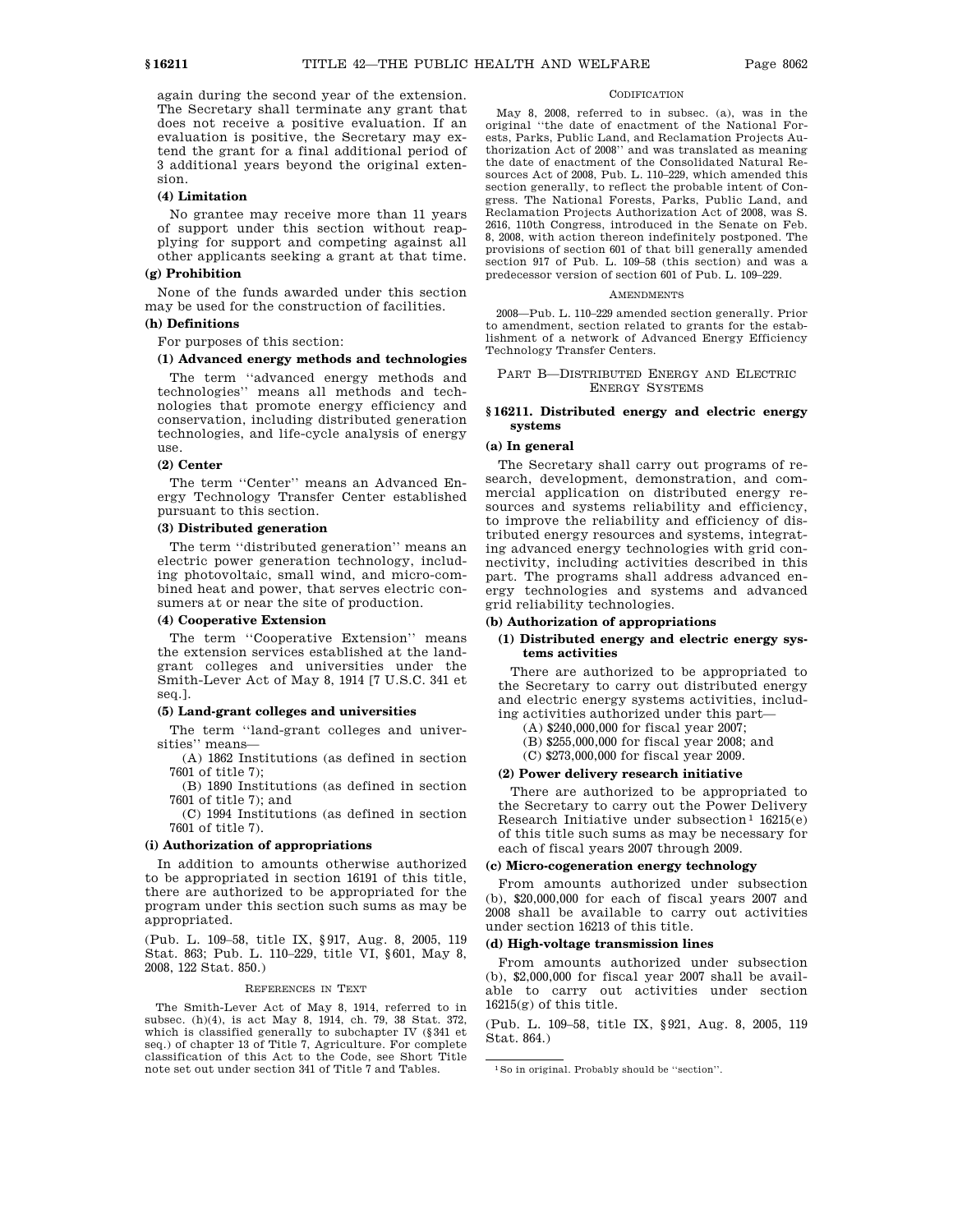again during the second year of the extension. The Secretary shall terminate any grant that does not receive a positive evaluation. If an evaluation is positive, the Secretary may extend the grant for a final additional period of 3 additional years beyond the original extension.

# **(4) Limitation**

No grantee may receive more than 11 years of support under this section without reapplying for support and competing against all other applicants seeking a grant at that time.

# **(g) Prohibition**

None of the funds awarded under this section may be used for the construction of facilities.

# **(h) Definitions**

For purposes of this section:

# **(1) Advanced energy methods and technologies**

The term ''advanced energy methods and technologies'' means all methods and technologies that promote energy efficiency and conservation, including distributed generation technologies, and life-cycle analysis of energy use.

# **(2) Center**

The term ''Center'' means an Advanced Energy Technology Transfer Center established pursuant to this section.

# **(3) Distributed generation**

The term ''distributed generation'' means an electric power generation technology, including photovoltaic, small wind, and micro-combined heat and power, that serves electric consumers at or near the site of production.

#### **(4) Cooperative Extension**

The term ''Cooperative Extension'' means the extension services established at the landgrant colleges and universities under the Smith-Lever Act of May 8, 1914 [7 U.S.C. 341 et seq.].

## **(5) Land-grant colleges and universities**

The term ''land-grant colleges and universities'' means—

(A) 1862 Institutions (as defined in section 7601 of title 7);

(B) 1890 Institutions (as defined in section 7601 of title 7); and

(C) 1994 Institutions (as defined in section 7601 of title 7).

# **(i) Authorization of appropriations**

In addition to amounts otherwise authorized to be appropriated in section 16191 of this title, there are authorized to be appropriated for the program under this section such sums as may be appropriated.

(Pub. L. 109–58, title IX, §917, Aug. 8, 2005, 119 Stat. 863; Pub. L. 110–229, title VI, §601, May 8, 2008, 122 Stat. 850.)

#### REFERENCES IN TEXT

The Smith-Lever Act of May 8, 1914, referred to in subsec. (h)(4), is act May 8, 1914, ch. 79, 38 Stat. 372, which is classified generally to subchapter IV (§341 et seq.) of chapter 13 of Title 7, Agriculture. For complete classification of this Act to the Code, see Short Title note set out under section 341 of Title 7 and Tables.

#### CODIFICATION

May 8, 2008, referred to in subsec. (a), was in the original ''the date of enactment of the National Forests, Parks, Public Land, and Reclamation Projects Authorization Act of 2008'' and was translated as meaning the date of enactment of the Consolidated Natural Resources Act of 2008, Pub. L. 110–229, which amended this section generally, to reflect the probable intent of Congress. The National Forests, Parks, Public Land, and Reclamation Projects Authorization Act of 2008, was S. 2616, 110th Congress, introduced in the Senate on Feb. 8, 2008, with action thereon indefinitely postponed. The provisions of section 601 of that bill generally amended section 917 of Pub. L. 109–58 (this section) and was a predecessor version of section 601 of Pub. L. 109–229.

#### **AMENDMENTS**

2008—Pub. L. 110–229 amended section generally. Prior to amendment, section related to grants for the establishment of a network of Advanced Energy Efficiency Technology Transfer Centers.

## PART B—DISTRIBUTED ENERGY AND ELECTRIC ENERGY SYSTEMS

# **§ 16211. Distributed energy and electric energy systems**

### **(a) In general**

The Secretary shall carry out programs of research, development, demonstration, and commercial application on distributed energy resources and systems reliability and efficiency, to improve the reliability and efficiency of distributed energy resources and systems, integrating advanced energy technologies with grid connectivity, including activities described in this part. The programs shall address advanced energy technologies and systems and advanced grid reliability technologies.

#### **(b) Authorization of appropriations**

# **(1) Distributed energy and electric energy systems activities**

There are authorized to be appropriated to the Secretary to carry out distributed energy and electric energy systems activities, including activities authorized under this part—

- (A) \$240,000,000 for fiscal year 2007;
- (B) \$255,000,000 for fiscal year 2008; and
- (C) \$273,000,000 for fiscal year 2009.

#### **(2) Power delivery research initiative**

There are authorized to be appropriated to the Secretary to carry out the Power Delivery Research Initiative under subsection<sup>1</sup>  $16215(e)$ of this title such sums as may be necessary for each of fiscal years 2007 through 2009.

#### **(c) Micro-cogeneration energy technology**

From amounts authorized under subsection (b), \$20,000,000 for each of fiscal years 2007 and 2008 shall be available to carry out activities under section 16213 of this title.

## **(d) High-voltage transmission lines**

From amounts authorized under subsection (b), \$2,000,000 for fiscal year 2007 shall be available to carry out activities under section  $16215(g)$  of this title.

(Pub. L. 109–58, title IX, §921, Aug. 8, 2005, 119 Stat. 864.)

<sup>1</sup>So in original. Probably should be ''section''.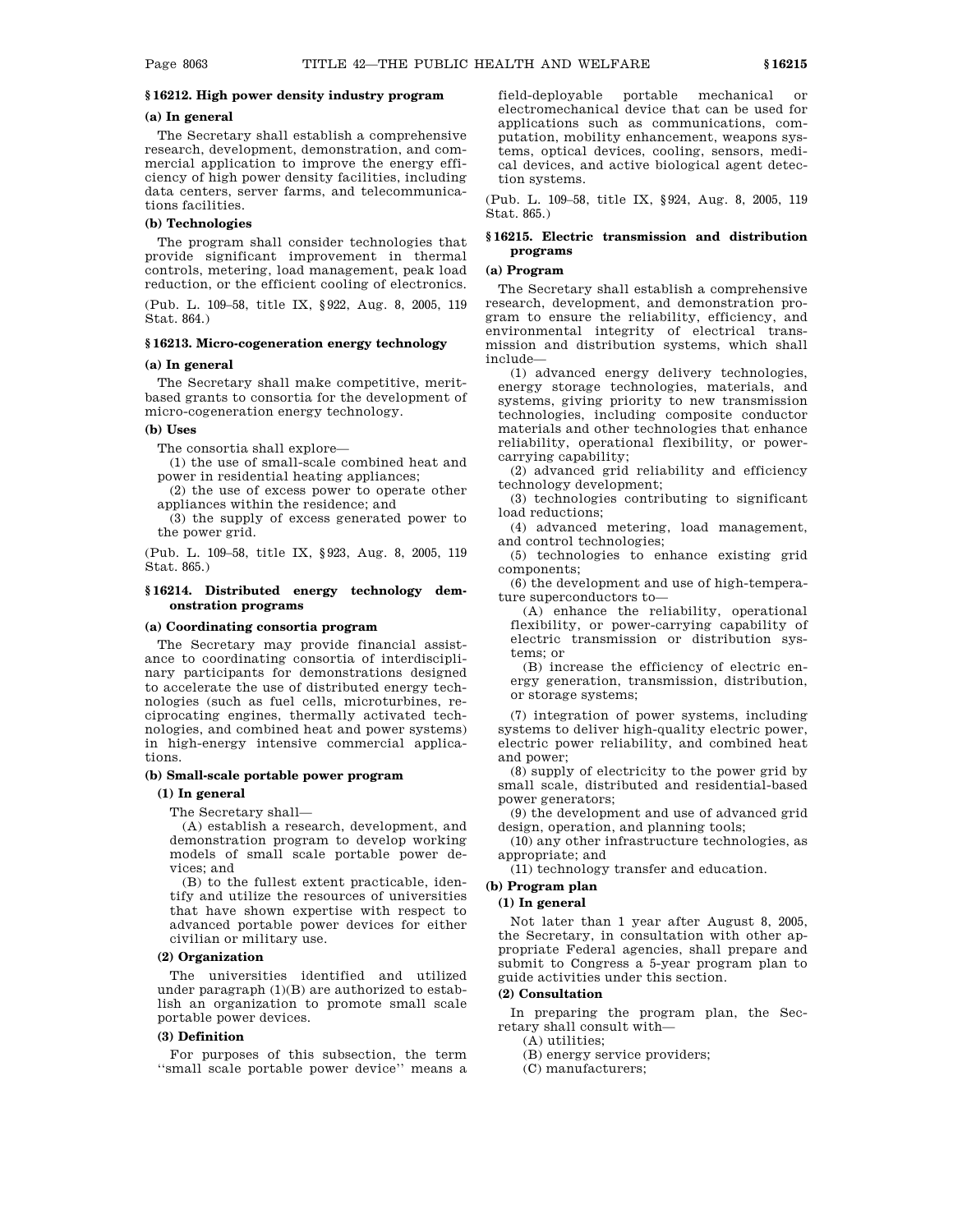# **§ 16212. High power density industry program**

# **(a) In general**

The Secretary shall establish a comprehensive research, development, demonstration, and commercial application to improve the energy efficiency of high power density facilities, including data centers, server farms, and telecommunications facilities.

# **(b) Technologies**

The program shall consider technologies that provide significant improvement in thermal controls, metering, load management, peak load reduction, or the efficient cooling of electronics.

(Pub. L. 109–58, title IX, §922, Aug. 8, 2005, 119 Stat. 864.)

### **§ 16213. Micro-cogeneration energy technology**

## **(a) In general**

The Secretary shall make competitive, meritbased grants to consortia for the development of micro-cogeneration energy technology.

#### **(b) Uses**

The consortia shall explore—

(1) the use of small-scale combined heat and power in residential heating appliances;

(2) the use of excess power to operate other appliances within the residence; and

(3) the supply of excess generated power to the power grid.

(Pub. L. 109–58, title IX, §923, Aug. 8, 2005, 119 Stat. 865.)

# **§ 16214. Distributed energy technology demonstration programs**

### **(a) Coordinating consortia program**

The Secretary may provide financial assistance to coordinating consortia of interdisciplinary participants for demonstrations designed to accelerate the use of distributed energy technologies (such as fuel cells, microturbines, reciprocating engines, thermally activated technologies, and combined heat and power systems) in high-energy intensive commercial applications.

## **(b) Small-scale portable power program**

# **(1) In general**

The Secretary shall—

(A) establish a research, development, and demonstration program to develop working models of small scale portable power devices; and

(B) to the fullest extent practicable, identify and utilize the resources of universities that have shown expertise with respect to advanced portable power devices for either civilian or military use.

# **(2) Organization**

The universities identified and utilized under paragraph (1)(B) are authorized to establish an organization to promote small scale portable power devices.

# **(3) Definition**

For purposes of this subsection, the term ''small scale portable power device'' means a field-deployable portable mechanical or electromechanical device that can be used for applications such as communications, computation, mobility enhancement, weapons systems, optical devices, cooling, sensors, medical devices, and active biological agent detection systems.

(Pub. L. 109–58, title IX, §924, Aug. 8, 2005, 119 Stat. 865.)

### **§ 16215. Electric transmission and distribution programs**

#### **(a) Program**

The Secretary shall establish a comprehensive research, development, and demonstration program to ensure the reliability, efficiency, and environmental integrity of electrical transmission and distribution systems, which shall include—

(1) advanced energy delivery technologies, energy storage technologies, materials, and systems, giving priority to new transmission technologies, including composite conductor materials and other technologies that enhance reliability, operational flexibility, or powercarrying capability;

(2) advanced grid reliability and efficiency technology development;

(3) technologies contributing to significant load reductions;

(4) advanced metering, load management, and control technologies;

(5) technologies to enhance existing grid components;

(6) the development and use of high-temperature superconductors to—

(A) enhance the reliability, operational flexibility, or power-carrying capability of electric transmission or distribution systems; or

(B) increase the efficiency of electric energy generation, transmission, distribution, or storage systems;

(7) integration of power systems, including systems to deliver high-quality electric power, electric power reliability, and combined heat and power;

(8) supply of electricity to the power grid by small scale, distributed and residential-based power generators;

(9) the development and use of advanced grid design, operation, and planning tools;

(10) any other infrastructure technologies, as appropriate; and

(11) technology transfer and education.

# **(b) Program plan**

# **(1) In general**

Not later than 1 year after August 8, 2005, the Secretary, in consultation with other appropriate Federal agencies, shall prepare and submit to Congress a 5-year program plan to guide activities under this section.

# **(2) Consultation**

In preparing the program plan, the Secretary shall consult with—

(A) utilities;

(B) energy service providers;

(C) manufacturers;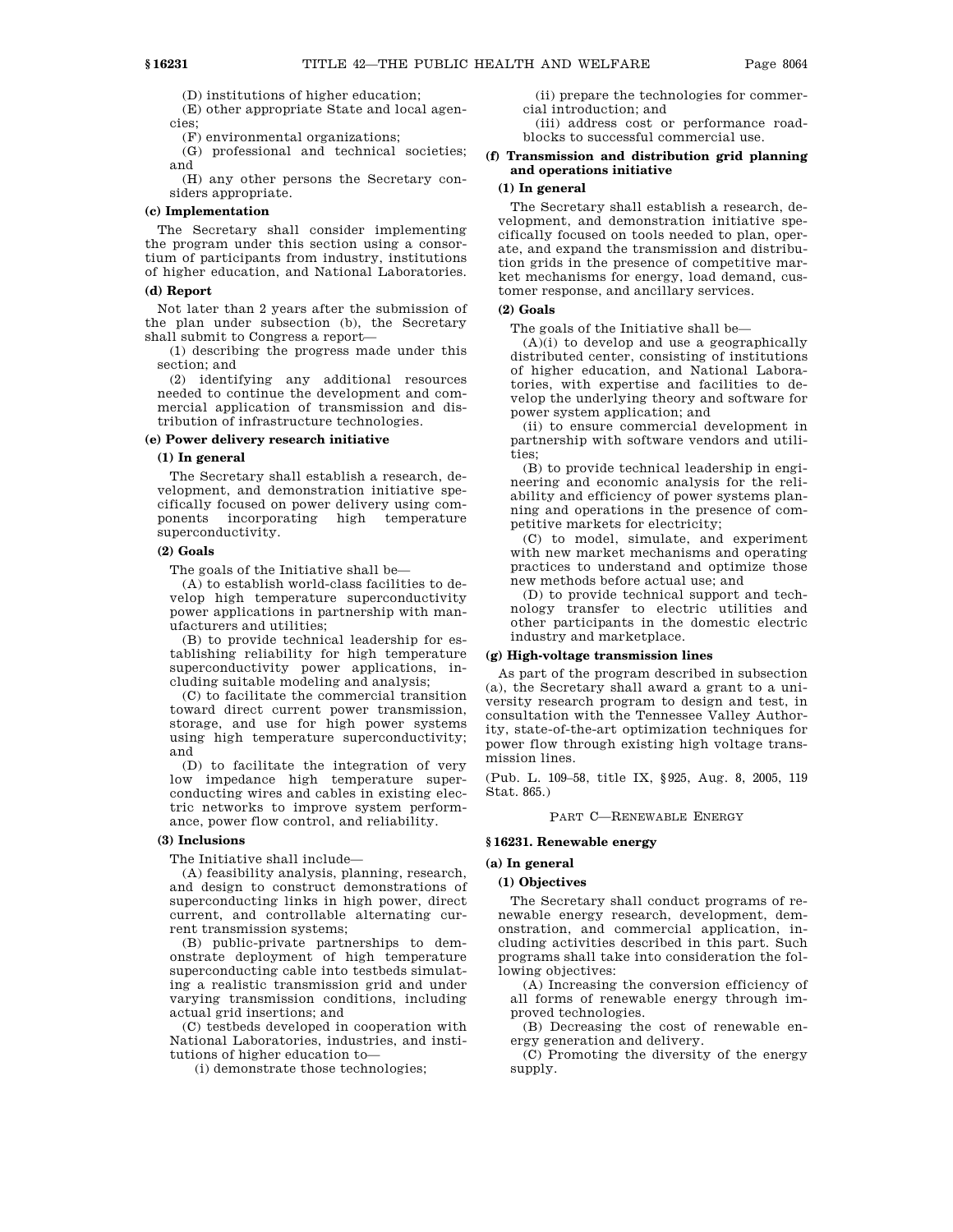(D) institutions of higher education;

(E) other appropriate State and local agencies;

(F) environmental organizations;

(G) professional and technical societies; and

(H) any other persons the Secretary considers appropriate.

# **(c) Implementation**

The Secretary shall consider implementing the program under this section using a consortium of participants from industry, institutions of higher education, and National Laboratories.

#### **(d) Report**

Not later than 2 years after the submission of the plan under subsection (b), the Secretary shall submit to Congress a report—

(1) describing the progress made under this section; and

(2) identifying any additional resources needed to continue the development and commercial application of transmission and distribution of infrastructure technologies.

## **(e) Power delivery research initiative**

#### **(1) In general**

The Secretary shall establish a research, development, and demonstration initiative specifically focused on power delivery using components incorporating high temperature superconductivity.

#### **(2) Goals**

The goals of the Initiative shall be—

(A) to establish world-class facilities to develop high temperature superconductivity power applications in partnership with manufacturers and utilities;

(B) to provide technical leadership for establishing reliability for high temperature superconductivity power applications, including suitable modeling and analysis;

(C) to facilitate the commercial transition toward direct current power transmission, storage, and use for high power systems using high temperature superconductivity; and

(D) to facilitate the integration of very low impedance high temperature superconducting wires and cables in existing electric networks to improve system performance, power flow control, and reliability.

### **(3) Inclusions**

The Initiative shall include—

(A) feasibility analysis, planning, research, and design to construct demonstrations of superconducting links in high power, direct current, and controllable alternating current transmission systems;

(B) public-private partnerships to demonstrate deployment of high temperature superconducting cable into testbeds simulating a realistic transmission grid and under varying transmission conditions, including actual grid insertions; and

(C) testbeds developed in cooperation with National Laboratories, industries, and institutions of higher education to—

(i) demonstrate those technologies;

(ii) prepare the technologies for commercial introduction; and

(iii) address cost or performance roadblocks to successful commercial use.

# **(f) Transmission and distribution grid planning and operations initiative**

# **(1) In general**

The Secretary shall establish a research, development, and demonstration initiative specifically focused on tools needed to plan, operate, and expand the transmission and distribution grids in the presence of competitive market mechanisms for energy, load demand, customer response, and ancillary services.

# **(2) Goals**

The goals of the Initiative shall be—

 $(A)(i)$  to develop and use a geographically distributed center, consisting of institutions of higher education, and National Laboratories, with expertise and facilities to develop the underlying theory and software for power system application; and

(ii) to ensure commercial development in partnership with software vendors and utilities;

(B) to provide technical leadership in engineering and economic analysis for the reliability and efficiency of power systems planning and operations in the presence of competitive markets for electricity;

(C) to model, simulate, and experiment with new market mechanisms and operating practices to understand and optimize those new methods before actual use; and

(D) to provide technical support and technology transfer to electric utilities and other participants in the domestic electric industry and marketplace.

#### **(g) High-voltage transmission lines**

As part of the program described in subsection (a), the Secretary shall award a grant to a university research program to design and test, in consultation with the Tennessee Valley Authority, state-of-the-art optimization techniques for power flow through existing high voltage transmission lines.

(Pub. L. 109–58, title IX, §925, Aug. 8, 2005, 119 Stat. 865.)

#### PART C—RENEWABLE ENERGY

#### **§ 16231. Renewable energy**

#### **(a) In general**

#### **(1) Objectives**

The Secretary shall conduct programs of renewable energy research, development, demonstration, and commercial application, including activities described in this part. Such programs shall take into consideration the following objectives:

(A) Increasing the conversion efficiency of all forms of renewable energy through improved technologies.

(B) Decreasing the cost of renewable energy generation and delivery.

(C) Promoting the diversity of the energy supply.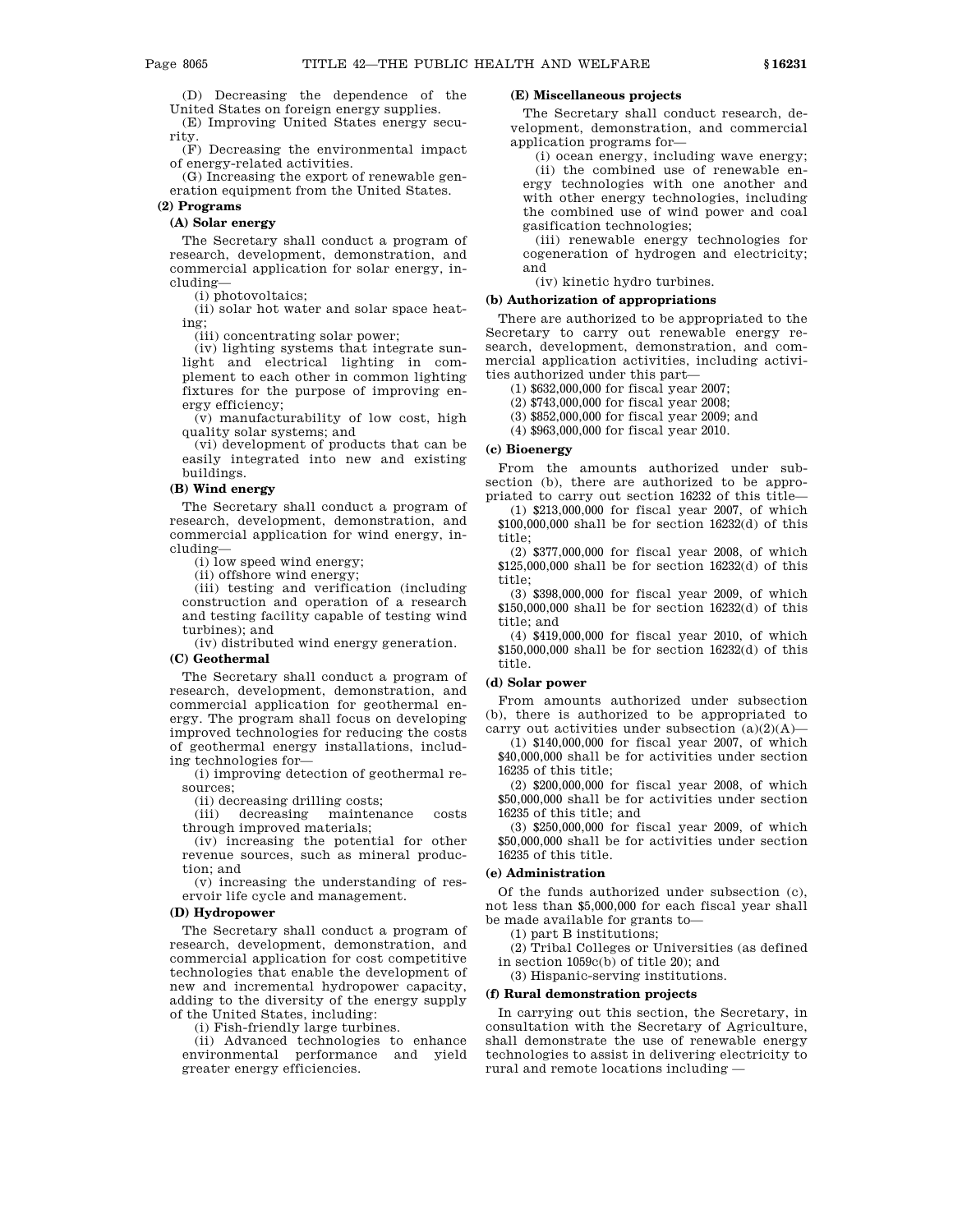(D) Decreasing the dependence of the United States on foreign energy supplies.

(E) Improving United States energy secu-

rity. (F) Decreasing the environmental impact

of energy-related activities.

(G) Increasing the export of renewable generation equipment from the United States.

# **(2) Programs**

# **(A) Solar energy**

The Secretary shall conduct a program of research, development, demonstration, and commercial application for solar energy, including—

(i) photovoltaics;

(ii) solar hot water and solar space heating;

(iii) concentrating solar power;

(iv) lighting systems that integrate sunlight and electrical lighting in complement to each other in common lighting fixtures for the purpose of improving energy efficiency;

(v) manufacturability of low cost, high quality solar systems; and

(vi) development of products that can be easily integrated into new and existing buildings.

# **(B) Wind energy**

The Secretary shall conduct a program of research, development, demonstration, and commercial application for wind energy, including—

(i) low speed wind energy;

(ii) offshore wind energy;

(iii) testing and verification (including construction and operation of a research and testing facility capable of testing wind turbines); and

(iv) distributed wind energy generation.

#### **(C) Geothermal**

The Secretary shall conduct a program of research, development, demonstration, and commercial application for geothermal energy. The program shall focus on developing improved technologies for reducing the costs of geothermal energy installations, including technologies for—

(i) improving detection of geothermal resources;

(ii) decreasing drilling costs;

(iii) decreasing maintenance costs through improved materials;

(iv) increasing the potential for other revenue sources, such as mineral production; and

(v) increasing the understanding of reservoir life cycle and management.

# **(D) Hydropower**

The Secretary shall conduct a program of research, development, demonstration, and commercial application for cost competitive technologies that enable the development of new and incremental hydropower capacity, adding to the diversity of the energy supply of the United States, including:

(i) Fish-friendly large turbines.

(ii) Advanced technologies to enhance environmental performance and yield greater energy efficiencies.

## **(E) Miscellaneous projects**

The Secretary shall conduct research, development, demonstration, and commercial application programs for—

(i) ocean energy, including wave energy; (ii) the combined use of renewable energy technologies with one another and with other energy technologies, including the combined use of wind power and coal gasification technologies;

(iii) renewable energy technologies for cogeneration of hydrogen and electricity; and

(iv) kinetic hydro turbines.

# **(b) Authorization of appropriations**

There are authorized to be appropriated to the Secretary to carry out renewable energy research, development, demonstration, and commercial application activities, including activities authorized under this part—

(1) \$632,000,000 for fiscal year 2007;

(2) \$743,000,000 for fiscal year 2008;

(3) \$852,000,000 for fiscal year 2009; and

(4) \$963,000,000 for fiscal year 2010.

## **(c) Bioenergy**

From the amounts authorized under subsection (b), there are authorized to be appropriated to carry out section 16232 of this title—

(1) \$213,000,000 for fiscal year 2007, of which \$100,000,000 shall be for section 16232(d) of this title;

(2) \$377,000,000 for fiscal year 2008, of which \$125,000,000 shall be for section 16232(d) of this title;

(3) \$398,000,000 for fiscal year 2009, of which \$150,000,000 shall be for section 16232(d) of this title; and

(4) \$419,000,000 for fiscal year 2010, of which \$150,000,000 shall be for section 16232(d) of this title.

# **(d) Solar power**

From amounts authorized under subsection (b), there is authorized to be appropriated to carry out activities under subsection  $(a)(2)(A)$ —

(1) \$140,000,000 for fiscal year 2007, of which \$40,000,000 shall be for activities under section 16235 of this title;

(2) \$200,000,000 for fiscal year 2008, of which \$50,000,000 shall be for activities under section 16235 of this title; and

(3) \$250,000,000 for fiscal year 2009, of which \$50,000,000 shall be for activities under section 16235 of this title.

## **(e) Administration**

Of the funds authorized under subsection (c), not less than \$5,000,000 for each fiscal year shall be made available for grants to—

(1) part B institutions;

(2) Tribal Colleges or Universities (as defined in section 1059c(b) of title 20); and

(3) Hispanic-serving institutions.

### **(f) Rural demonstration projects**

In carrying out this section, the Secretary, in consultation with the Secretary of Agriculture, shall demonstrate the use of renewable energy technologies to assist in delivering electricity to rural and remote locations including —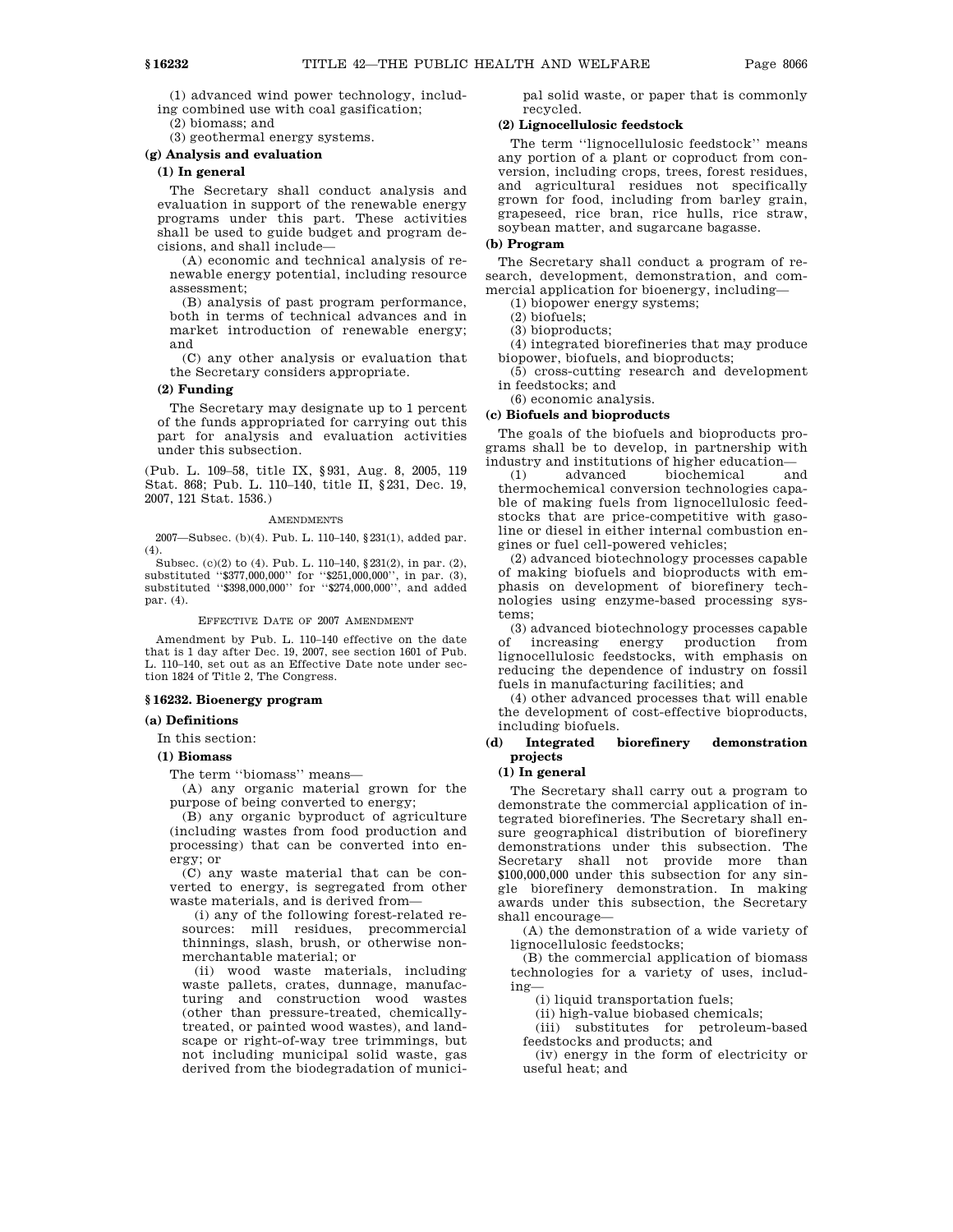(1) advanced wind power technology, including combined use with coal gasification;

(2) biomass; and

(3) geothermal energy systems.

# **(g) Analysis and evaluation**

# **(1) In general**

The Secretary shall conduct analysis and evaluation in support of the renewable energy programs under this part. These activities shall be used to guide budget and program decisions, and shall include—

(A) economic and technical analysis of renewable energy potential, including resource assessment;

(B) analysis of past program performance, both in terms of technical advances and in market introduction of renewable energy; and

(C) any other analysis or evaluation that the Secretary considers appropriate.

# **(2) Funding**

The Secretary may designate up to 1 percent of the funds appropriated for carrying out this part for analysis and evaluation activities under this subsection.

(Pub. L. 109–58, title IX, §931, Aug. 8, 2005, 119 Stat. 868; Pub. L. 110–140, title II, §231, Dec. 19, 2007, 121 Stat. 1536.)

#### AMENDMENTS

2007—Subsec. (b)(4). Pub. L. 110–140, §231(1), added par. (4).

Subsec. (c)(2) to (4). Pub. L. 110–140, §231(2), in par. (2), substituted ''\$377,000,000'' for ''\$251,000,000'', in par. (3), substituted ''\$398,000,000'' for ''\$274,000,000'', and added par. (4).

EFFECTIVE DATE OF 2007 AMENDMENT

Amendment by Pub. L. 110–140 effective on the date that is 1 day after Dec. 19, 2007, see section 1601 of Pub. L. 110–140, set out as an Effective Date note under section 1824 of Title 2, The Congress.

#### **§ 16232. Bioenergy program**

#### **(a) Definitions**

In this section:

**(1) Biomass**

The term ''biomass'' means—

(A) any organic material grown for the purpose of being converted to energy;

(B) any organic byproduct of agriculture (including wastes from food production and processing) that can be converted into energy; or

(C) any waste material that can be converted to energy, is segregated from other waste materials, and is derived from—

(i) any of the following forest-related resources: mill residues, precommercial thinnings, slash, brush, or otherwise nonmerchantable material; or

(ii) wood waste materials, including waste pallets, crates, dunnage, manufacturing and construction wood wastes (other than pressure-treated, chemicallytreated, or painted wood wastes), and landscape or right-of-way tree trimmings, but not including municipal solid waste, gas derived from the biodegradation of municipal solid waste, or paper that is commonly recycled.

# **(2) Lignocellulosic feedstock**

The term ''lignocellulosic feedstock'' means any portion of a plant or coproduct from conversion, including crops, trees, forest residues, and agricultural residues not specifically grown for food, including from barley grain, grapeseed, rice bran, rice hulls, rice straw, soybean matter, and sugarcane bagasse.

# **(b) Program**

The Secretary shall conduct a program of research, development, demonstration, and commercial application for bioenergy, including—

(1) biopower energy systems;

(2) biofuels;

(3) bioproducts;

(4) integrated biorefineries that may produce biopower, biofuels, and bioproducts;

(5) cross-cutting research and development in feedstocks; and

(6) economic analysis.

# **(c) Biofuels and bioproducts**

The goals of the biofuels and bioproducts programs shall be to develop, in partnership with industry and institutions of higher education—

(1) advanced biochemical and thermochemical conversion technologies capable of making fuels from lignocellulosic feedstocks that are price-competitive with gasoline or diesel in either internal combustion engines or fuel cell-powered vehicles;

(2) advanced biotechnology processes capable of making biofuels and bioproducts with emphasis on development of biorefinery technologies using enzyme-based processing systems;

(3) advanced biotechnology processes capable of increasing energy production from lignocellulosic feedstocks, with emphasis on reducing the dependence of industry on fossil fuels in manufacturing facilities; and

(4) other advanced processes that will enable the development of cost-effective bioproducts, including biofuels.

# **(d) Integrated biorefinery demonstration projects**

# **(1) In general**

The Secretary shall carry out a program to demonstrate the commercial application of integrated biorefineries. The Secretary shall ensure geographical distribution of biorefinery demonstrations under this subsection. The Secretary shall not provide more than \$100,000,000 under this subsection for any single biorefinery demonstration. In making awards under this subsection, the Secretary shall encourage—

(A) the demonstration of a wide variety of lignocellulosic feedstocks;

(B) the commercial application of biomass technologies for a variety of uses, including—

(i) liquid transportation fuels;

(ii) high-value biobased chemicals;

(iii) substitutes for petroleum-based feedstocks and products; and

(iv) energy in the form of electricity or useful heat; and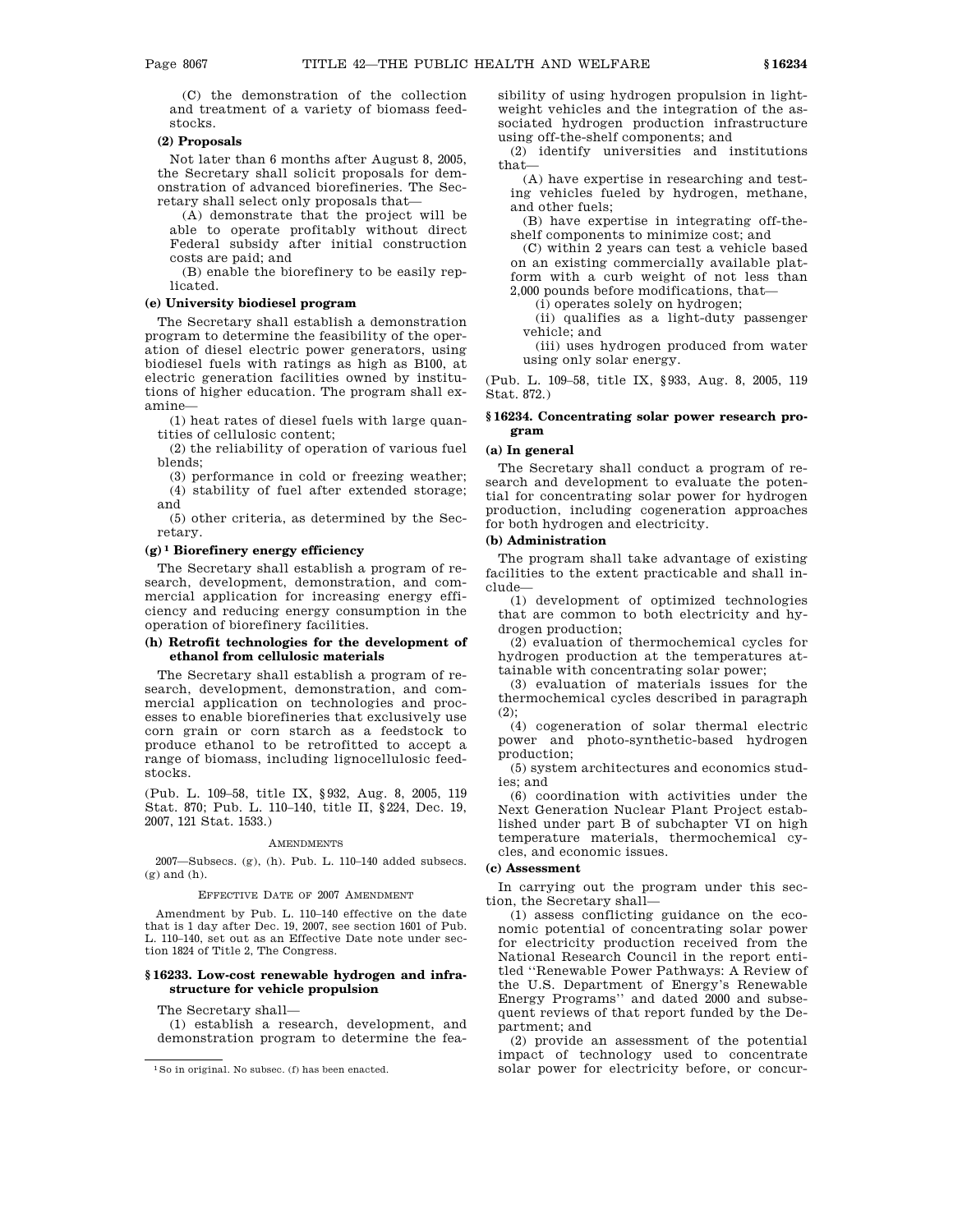(C) the demonstration of the collection and treatment of a variety of biomass feedstocks.

#### **(2) Proposals**

Not later than 6 months after August 8, 2005, the Secretary shall solicit proposals for demonstration of advanced biorefineries. The Secretary shall select only proposals that—

(A) demonstrate that the project will be able to operate profitably without direct Federal subsidy after initial construction costs are paid; and

(B) enable the biorefinery to be easily replicated.

# **(e) University biodiesel program**

The Secretary shall establish a demonstration program to determine the feasibility of the operation of diesel electric power generators, using biodiesel fuels with ratings as high as B100, at electric generation facilities owned by institutions of higher education. The program shall examine—

(1) heat rates of diesel fuels with large quantities of cellulosic content;

(2) the reliability of operation of various fuel blends;

(3) performance in cold or freezing weather; (4) stability of fuel after extended storage; and

(5) other criteria, as determined by the Secretary.

#### **(g) 1 Biorefinery energy efficiency**

The Secretary shall establish a program of research, development, demonstration, and commercial application for increasing energy efficiency and reducing energy consumption in the operation of biorefinery facilities.

## **(h) Retrofit technologies for the development of ethanol from cellulosic materials**

The Secretary shall establish a program of research, development, demonstration, and commercial application on technologies and processes to enable biorefineries that exclusively use corn grain or corn starch as a feedstock to produce ethanol to be retrofitted to accept a range of biomass, including lignocellulosic feedstocks.

(Pub. L. 109–58, title IX, §932, Aug. 8, 2005, 119 Stat. 870; Pub. L. 110–140, title II, §224, Dec. 19, 2007, 121 Stat. 1533.)

#### AMENDMENTS

2007—Subsecs. (g), (h). Pub. L. 110–140 added subsecs. (g) and (h).

# EFFECTIVE DATE OF 2007 AMENDMENT

Amendment by Pub. L. 110–140 effective on the date that is 1 day after Dec. 19, 2007, see section 1601 of Pub. L. 110–140, set out as an Effective Date note under section 1824 of Title 2, The Congress.

### **§ 16233. Low-cost renewable hydrogen and infrastructure for vehicle propulsion**

The Secretary shall—

(1) establish a research, development, and demonstration program to determine the feasibility of using hydrogen propulsion in lightweight vehicles and the integration of the associated hydrogen production infrastructure using off-the-shelf components; and

(2) identify universities and institutions that—

(A) have expertise in researching and testing vehicles fueled by hydrogen, methane, and other fuels;

(B) have expertise in integrating off-theshelf components to minimize cost; and

(C) within 2 years can test a vehicle based on an existing commercially available platform with a curb weight of not less than

2,000 pounds before modifications, that— (i) operates solely on hydrogen;

(ii) qualifies as a light-duty passenger vehicle; and

(iii) uses hydrogen produced from water using only solar energy.

(Pub. L. 109–58, title IX, §933, Aug. 8, 2005, 119 Stat. 872.)

#### **§ 16234. Concentrating solar power research program**

#### **(a) In general**

The Secretary shall conduct a program of research and development to evaluate the potential for concentrating solar power for hydrogen production, including cogeneration approaches for both hydrogen and electricity.

# **(b) Administration**

The program shall take advantage of existing facilities to the extent practicable and shall include—

(1) development of optimized technologies that are common to both electricity and hydrogen production;

(2) evaluation of thermochemical cycles for hydrogen production at the temperatures attainable with concentrating solar power;

(3) evaluation of materials issues for the thermochemical cycles described in paragraph (2);

(4) cogeneration of solar thermal electric power and photo-synthetic-based hydrogen production;

(5) system architectures and economics studies; and

(6) coordination with activities under the Next Generation Nuclear Plant Project established under part B of subchapter VI on high temperature materials, thermochemical cycles, and economic issues.

## **(c) Assessment**

In carrying out the program under this section, the Secretary shall—

(1) assess conflicting guidance on the economic potential of concentrating solar power for electricity production received from the National Research Council in the report entitled ''Renewable Power Pathways: A Review of the U.S. Department of Energy's Renewable Energy Programs'' and dated 2000 and subsequent reviews of that report funded by the Department; and

(2) provide an assessment of the potential impact of technology used to concentrate solar power for electricity before, or concur-

<sup>1</sup>So in original. No subsec. (f) has been enacted.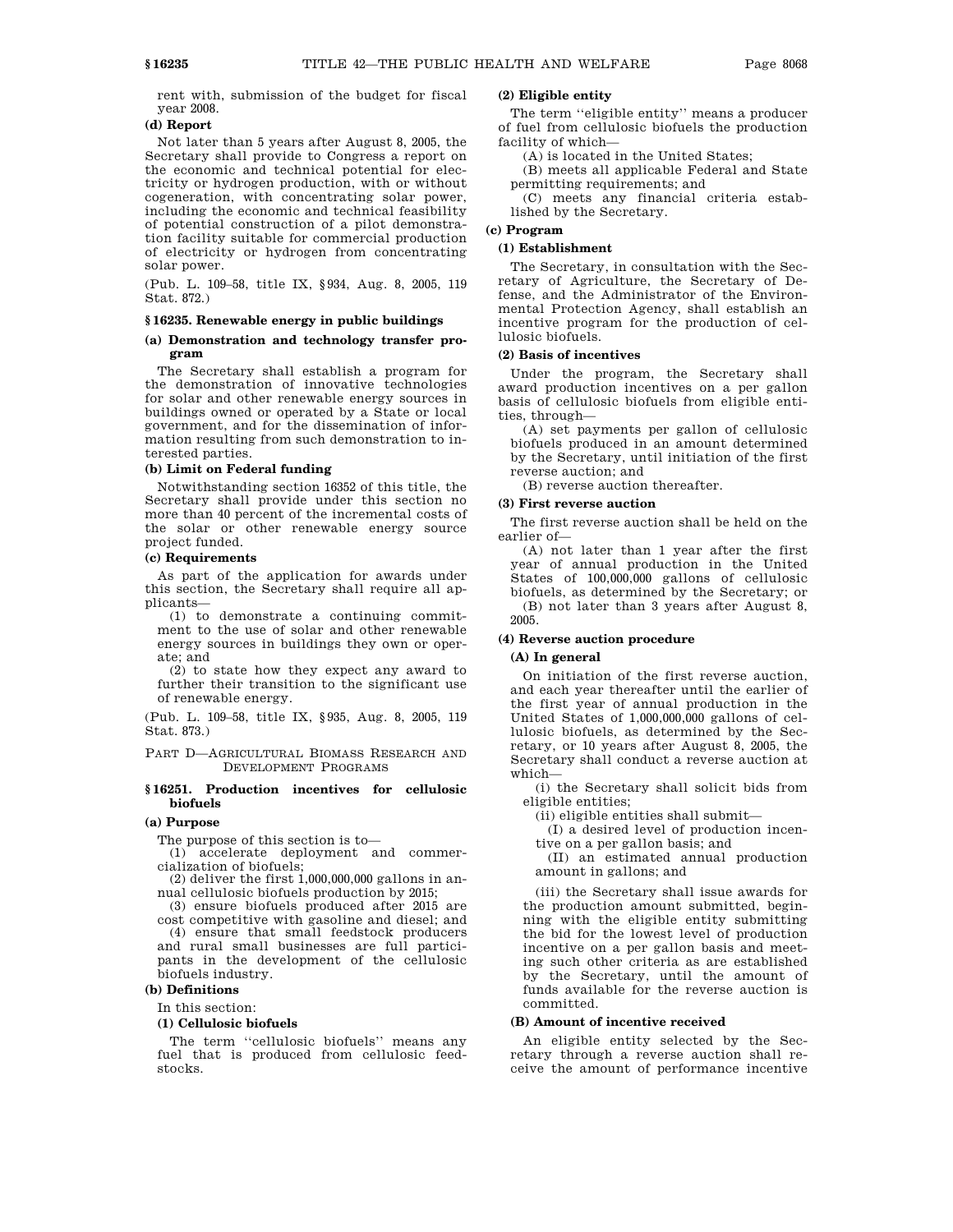rent with, submission of the budget for fiscal year 2008.

# **(d) Report**

Not later than 5 years after August 8, 2005, the Secretary shall provide to Congress a report on the economic and technical potential for electricity or hydrogen production, with or without cogeneration, with concentrating solar power, including the economic and technical feasibility of potential construction of a pilot demonstration facility suitable for commercial production of electricity or hydrogen from concentrating solar power.

(Pub. L. 109–58, title IX, §934, Aug. 8, 2005, 119 Stat. 872.)

#### **§ 16235. Renewable energy in public buildings**

# **(a) Demonstration and technology transfer program**

The Secretary shall establish a program for the demonstration of innovative technologies for solar and other renewable energy sources in buildings owned or operated by a State or local government, and for the dissemination of information resulting from such demonstration to interested parties.

### **(b) Limit on Federal funding**

Notwithstanding section 16352 of this title, the Secretary shall provide under this section no more than 40 percent of the incremental costs of the solar or other renewable energy source project funded.

#### **(c) Requirements**

As part of the application for awards under this section, the Secretary shall require all applicants—

(1) to demonstrate a continuing commitment to the use of solar and other renewable energy sources in buildings they own or operate; and

(2) to state how they expect any award to further their transition to the significant use of renewable energy.

(Pub. L. 109–58, title IX, §935, Aug. 8, 2005, 119 Stat. 873.)

PART D—AGRICULTURAL BIOMASS RESEARCH AND DEVELOPMENT PROGRAMS

## **§ 16251. Production incentives for cellulosic biofuels**

#### **(a) Purpose**

The purpose of this section is to—

(1) accelerate deployment and commercialization of biofuels;

 $(2)$  deliver the first 1,000,000,000 gallons in annual cellulosic biofuels production by 2015;

(3) ensure biofuels produced after 2015 are cost competitive with gasoline and diesel; and

(4) ensure that small feedstock producers and rural small businesses are full participants in the development of the cellulosic biofuels industry.

# **(b) Definitions**

In this section:

## **(1) Cellulosic biofuels**

The term ''cellulosic biofuels'' means any fuel that is produced from cellulosic feedstocks.

# **(2) Eligible entity**

The term ''eligible entity'' means a producer of fuel from cellulosic biofuels the production facility of which—

(A) is located in the United States;

(B) meets all applicable Federal and State permitting requirements; and

(C) meets any financial criteria established by the Secretary.

# **(c) Program**

#### **(1) Establishment**

The Secretary, in consultation with the Secretary of Agriculture, the Secretary of Defense, and the Administrator of the Environmental Protection Agency, shall establish an incentive program for the production of cellulosic biofuels.

#### **(2) Basis of incentives**

Under the program, the Secretary shall award production incentives on a per gallon basis of cellulosic biofuels from eligible entities, through—

(A) set payments per gallon of cellulosic biofuels produced in an amount determined by the Secretary, until initiation of the first reverse auction; and

(B) reverse auction thereafter.

# **(3) First reverse auction**

The first reverse auction shall be held on the earlier of—

(A) not later than 1 year after the first year of annual production in the United States of 100,000,000 gallons of cellulosic biofuels, as determined by the Secretary; or (B) not later than 3 years after August 8, 2005.

# **(4) Reverse auction procedure**

## **(A) In general**

On initiation of the first reverse auction, and each year thereafter until the earlier of the first year of annual production in the United States of 1,000,000,000 gallons of cellulosic biofuels, as determined by the Secretary, or 10 years after August 8, 2005, the Secretary shall conduct a reverse auction at which—

(i) the Secretary shall solicit bids from eligible entities;

(ii) eligible entities shall submit—

(I) a desired level of production incen-

tive on a per gallon basis; and (II) an estimated annual production

amount in gallons; and

(iii) the Secretary shall issue awards for the production amount submitted, beginning with the eligible entity submitting the bid for the lowest level of production incentive on a per gallon basis and meeting such other criteria as are established by the Secretary, until the amount of funds available for the reverse auction is committed.

#### **(B) Amount of incentive received**

An eligible entity selected by the Secretary through a reverse auction shall receive the amount of performance incentive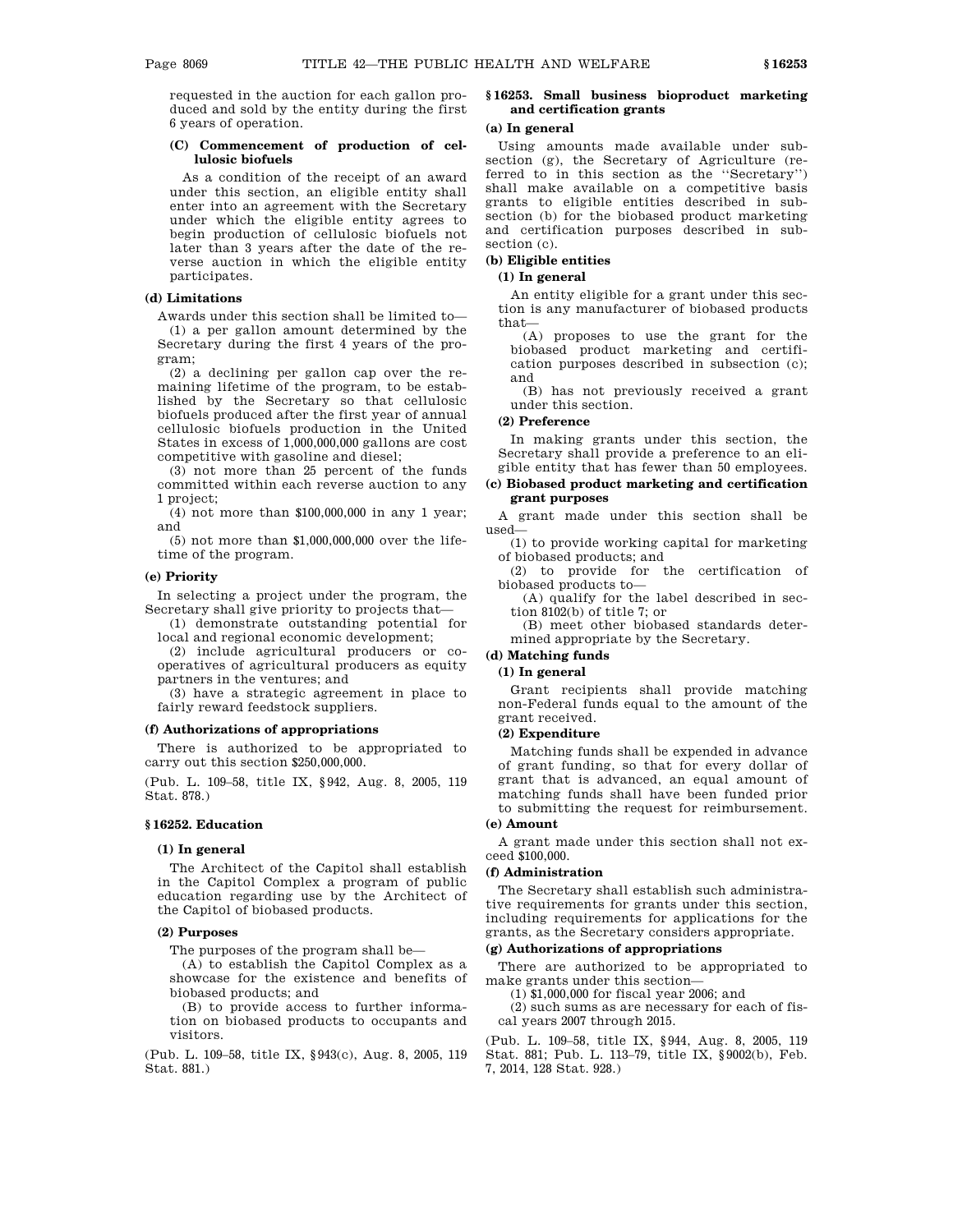requested in the auction for each gallon produced and sold by the entity during the first 6 years of operation.

## **(C) Commencement of production of cellulosic biofuels**

As a condition of the receipt of an award under this section, an eligible entity shall enter into an agreement with the Secretary under which the eligible entity agrees to begin production of cellulosic biofuels not later than 3 years after the date of the reverse auction in which the eligible entity participates.

# **(d) Limitations**

Awards under this section shall be limited to— (1) a per gallon amount determined by the Secretary during the first 4 years of the program;

(2) a declining per gallon cap over the remaining lifetime of the program, to be established by the Secretary so that cellulosic biofuels produced after the first year of annual cellulosic biofuels production in the United States in excess of 1,000,000,000 gallons are cost competitive with gasoline and diesel;

(3) not more than 25 percent of the funds committed within each reverse auction to any 1 project;

(4) not more than \$100,000,000 in any 1 year; and

(5) not more than \$1,000,000,000 over the lifetime of the program.

## **(e) Priority**

In selecting a project under the program, the Secretary shall give priority to projects that—

(1) demonstrate outstanding potential for local and regional economic development;

(2) include agricultural producers or cooperatives of agricultural producers as equity partners in the ventures; and

(3) have a strategic agreement in place to fairly reward feedstock suppliers.

## **(f) Authorizations of appropriations**

There is authorized to be appropriated to carry out this section \$250,000,000.

(Pub. L. 109–58, title IX, §942, Aug. 8, 2005, 119 Stat. 878.)

#### **§ 16252. Education**

### **(1) In general**

The Architect of the Capitol shall establish in the Capitol Complex a program of public education regarding use by the Architect of the Capitol of biobased products.

## **(2) Purposes**

The purposes of the program shall be—

(A) to establish the Capitol Complex as a showcase for the existence and benefits of biobased products; and

(B) to provide access to further information on biobased products to occupants and visitors.

(Pub. L. 109–58, title IX, §943(c), Aug. 8, 2005, 119 Stat. 881.)

# **§ 16253. Small business bioproduct marketing and certification grants**

#### **(a) In general**

Using amounts made available under subsection (g), the Secretary of Agriculture (referred to in this section as the ''Secretary'') shall make available on a competitive basis grants to eligible entities described in subsection (b) for the biobased product marketing and certification purposes described in subsection (c).

# **(b) Eligible entities**

# **(1) In general**

An entity eligible for a grant under this section is any manufacturer of biobased products that—

(A) proposes to use the grant for the biobased product marketing and certification purposes described in subsection (c); and

(B) has not previously received a grant under this section.

## **(2) Preference**

In making grants under this section, the Secretary shall provide a preference to an eligible entity that has fewer than 50 employees.

## **(c) Biobased product marketing and certification grant purposes**

A grant made under this section shall be used—

(1) to provide working capital for marketing of biobased products; and

(2) to provide for the certification of biobased products to—

(A) qualify for the label described in section 8102(b) of title 7; or

(B) meet other biobased standards determined appropriate by the Secretary.

# **(d) Matching funds**

## **(1) In general**

Grant recipients shall provide matching non-Federal funds equal to the amount of the grant received.

#### **(2) Expenditure**

Matching funds shall be expended in advance of grant funding, so that for every dollar of grant that is advanced, an equal amount of matching funds shall have been funded prior to submitting the request for reimbursement.

# **(e) Amount**

A grant made under this section shall not exceed \$100,000.

# **(f) Administration**

The Secretary shall establish such administrative requirements for grants under this section. including requirements for applications for the grants, as the Secretary considers appropriate.

# **(g) Authorizations of appropriations**

There are authorized to be appropriated to make grants under this section—

(1) \$1,000,000 for fiscal year 2006; and

(2) such sums as are necessary for each of fiscal years 2007 through 2015.

(Pub. L. 109–58, title IX, §944, Aug. 8, 2005, 119 Stat. 881; Pub. L. 113–79, title IX, §9002(b), Feb. 7, 2014, 128 Stat. 928.)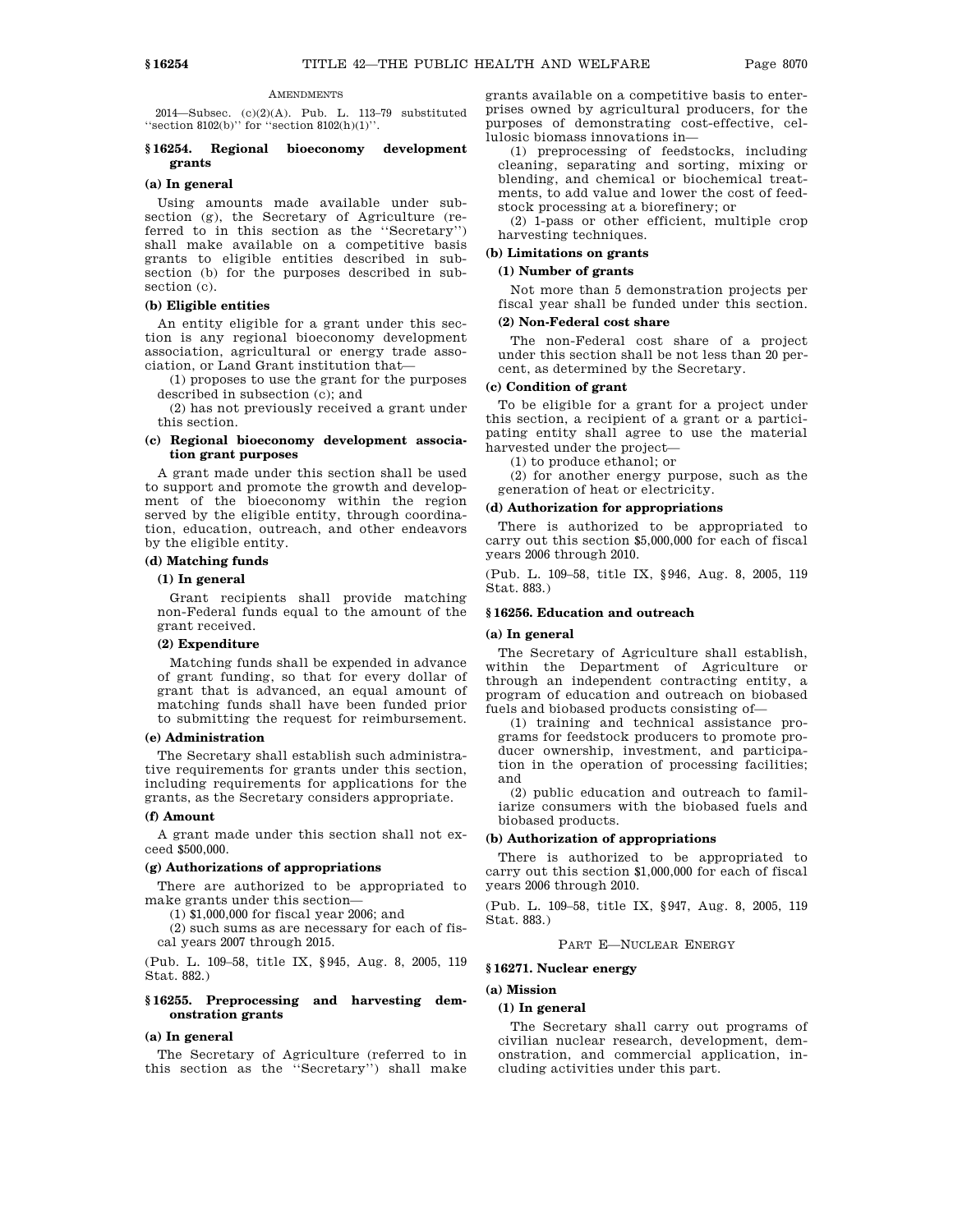#### **AMENDMENTS**

2014—Subsec. (c)(2)(A). Pub. L. 113–79 substituted <code>''section 8102(b)''</code> for <code>''section 8102(h)(1)''.</code>

#### **§ 16254. Regional bioeconomy development grants**

#### **(a) In general**

Using amounts made available under subsection (g), the Secretary of Agriculture (referred to in this section as the ''Secretary'') shall make available on a competitive basis grants to eligible entities described in subsection (b) for the purposes described in subsection (c).

### **(b) Eligible entities**

An entity eligible for a grant under this section is any regional bioeconomy development association, agricultural or energy trade association, or Land Grant institution that—

(1) proposes to use the grant for the purposes described in subsection (c); and

(2) has not previously received a grant under this section.

# **(c) Regional bioeconomy development association grant purposes**

A grant made under this section shall be used to support and promote the growth and development of the bioeconomy within the region served by the eligible entity, through coordination, education, outreach, and other endeavors by the eligible entity.

#### **(d) Matching funds**

#### **(1) In general**

Grant recipients shall provide matching non-Federal funds equal to the amount of the grant received.

#### **(2) Expenditure**

Matching funds shall be expended in advance of grant funding, so that for every dollar of grant that is advanced, an equal amount of matching funds shall have been funded prior to submitting the request for reimbursement.

#### **(e) Administration**

The Secretary shall establish such administrative requirements for grants under this section, including requirements for applications for the grants, as the Secretary considers appropriate.

#### **(f) Amount**

A grant made under this section shall not exceed \$500,000.

#### **(g) Authorizations of appropriations**

There are authorized to be appropriated to make grants under this section—

(1) \$1,000,000 for fiscal year 2006; and

(2) such sums as are necessary for each of fiscal years 2007 through 2015.

(Pub. L. 109–58, title IX, §945, Aug. 8, 2005, 119 Stat. 882.)

# **§ 16255. Preprocessing and harvesting demonstration grants**

#### **(a) In general**

The Secretary of Agriculture (referred to in this section as the ''Secretary'') shall make grants available on a competitive basis to enterprises owned by agricultural producers, for the purposes of demonstrating cost-effective, cellulosic biomass innovations in—

(1) preprocessing of feedstocks, including cleaning, separating and sorting, mixing or blending, and chemical or biochemical treatments, to add value and lower the cost of feedstock processing at a biorefinery; or

(2) 1-pass or other efficient, multiple crop harvesting techniques.

#### **(b) Limitations on grants**

#### **(1) Number of grants**

Not more than 5 demonstration projects per fiscal year shall be funded under this section.

#### **(2) Non-Federal cost share**

The non-Federal cost share of a project under this section shall be not less than 20 percent, as determined by the Secretary.

# **(c) Condition of grant**

To be eligible for a grant for a project under this section, a recipient of a grant or a participating entity shall agree to use the material harvested under the project—

(1) to produce ethanol; or

(2) for another energy purpose, such as the generation of heat or electricity.

#### **(d) Authorization for appropriations**

There is authorized to be appropriated to carry out this section \$5,000,000 for each of fiscal years 2006 through 2010.

(Pub. L. 109–58, title IX, §946, Aug. 8, 2005, 119 Stat. 883.)

# **§ 16256. Education and outreach**

#### **(a) In general**

The Secretary of Agriculture shall establish, within the Department of Agriculture or through an independent contracting entity, a program of education and outreach on biobased fuels and biobased products consisting of—

(1) training and technical assistance programs for feedstock producers to promote producer ownership, investment, and participation in the operation of processing facilities; and

(2) public education and outreach to familiarize consumers with the biobased fuels and biobased products.

# **(b) Authorization of appropriations**

There is authorized to be appropriated to carry out this section \$1,000,000 for each of fiscal years 2006 through 2010.

(Pub. L. 109–58, title IX, §947, Aug. 8, 2005, 119 Stat. 883.)

#### PART E—NUCLEAR ENERGY

# **§ 16271. Nuclear energy**

## **(a) Mission**

## **(1) In general**

The Secretary shall carry out programs of civilian nuclear research, development, demonstration, and commercial application, including activities under this part.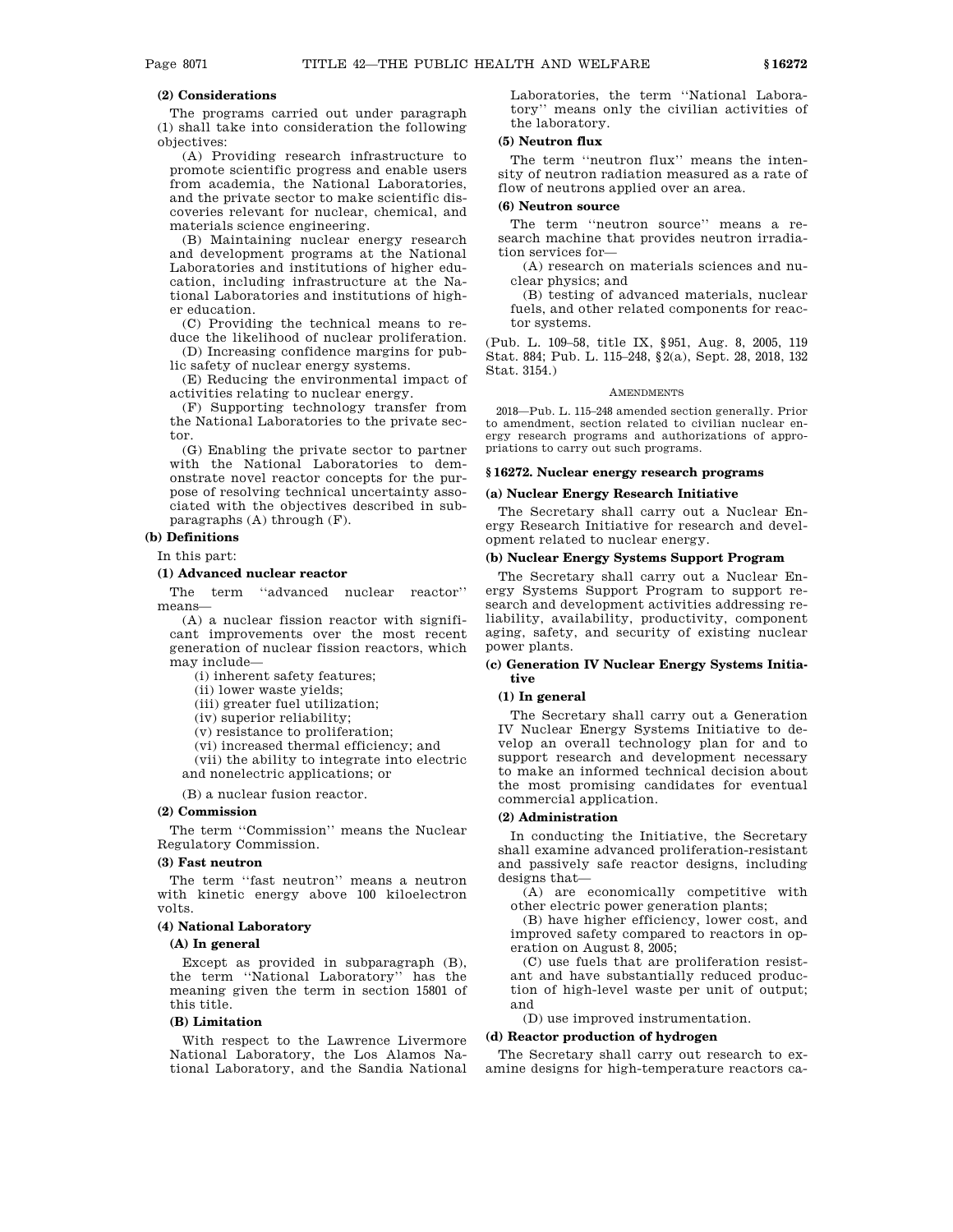# **(2) Considerations**

The programs carried out under paragraph (1) shall take into consideration the following objectives:

(A) Providing research infrastructure to promote scientific progress and enable users from academia, the National Laboratories, and the private sector to make scientific discoveries relevant for nuclear, chemical, and materials science engineering.

(B) Maintaining nuclear energy research and development programs at the National Laboratories and institutions of higher education, including infrastructure at the National Laboratories and institutions of higher education.

(C) Providing the technical means to reduce the likelihood of nuclear proliferation.

(D) Increasing confidence margins for public safety of nuclear energy systems.

(E) Reducing the environmental impact of activities relating to nuclear energy.

(F) Supporting technology transfer from the National Laboratories to the private sector.

(G) Enabling the private sector to partner with the National Laboratories to demonstrate novel reactor concepts for the purpose of resolving technical uncertainty associated with the objectives described in subparagraphs (A) through (F).

# **(b) Definitions**

In this part:

#### **(1) Advanced nuclear reactor**

The term ''advanced nuclear reactor'' means—

(A) a nuclear fission reactor with significant improvements over the most recent generation of nuclear fission reactors, which may include—

(i) inherent safety features;

(ii) lower waste yields;

(iii) greater fuel utilization;

(iv) superior reliability;

(v) resistance to proliferation;

(vi) increased thermal efficiency; and

(vii) the ability to integrate into electric

and nonelectric applications; or

(B) a nuclear fusion reactor.

#### **(2) Commission**

The term ''Commission'' means the Nuclear Regulatory Commission.

### **(3) Fast neutron**

The term "fast neutron" means a neutron with kinetic energy above 100 kiloelectron volts.

#### **(4) National Laboratory**

#### **(A) In general**

Except as provided in subparagraph (B), the term ''National Laboratory'' has the meaning given the term in section 15801 of this title.

#### **(B) Limitation**

With respect to the Lawrence Livermore National Laboratory, the Los Alamos National Laboratory, and the Sandia National Laboratories, the term ''National Laboratory'' means only the civilian activities of the laboratory.

#### **(5) Neutron flux**

The term ''neutron flux'' means the intensity of neutron radiation measured as a rate of flow of neutrons applied over an area.

# **(6) Neutron source**

The term ''neutron source'' means a research machine that provides neutron irradiation services for—

(A) research on materials sciences and nuclear physics; and

(B) testing of advanced materials, nuclear fuels, and other related components for reactor systems.

(Pub. L. 109–58, title IX, §951, Aug. 8, 2005, 119 Stat. 884; Pub. L. 115–248, §2(a), Sept. 28, 2018, 132 Stat. 3154.)

#### **AMENDMENTS**

2018—Pub. L. 115–248 amended section generally. Prior to amendment, section related to civilian nuclear energy research programs and authorizations of appropriations to carry out such programs.

# **§ 16272. Nuclear energy research programs**

# **(a) Nuclear Energy Research Initiative**

The Secretary shall carry out a Nuclear Energy Research Initiative for research and development related to nuclear energy.

# **(b) Nuclear Energy Systems Support Program**

The Secretary shall carry out a Nuclear Energy Systems Support Program to support research and development activities addressing reliability, availability, productivity, component aging, safety, and security of existing nuclear power plants.

### **(c) Generation IV Nuclear Energy Systems Initiative**

## **(1) In general**

The Secretary shall carry out a Generation IV Nuclear Energy Systems Initiative to develop an overall technology plan for and to support research and development necessary to make an informed technical decision about the most promising candidates for eventual commercial application.

### **(2) Administration**

In conducting the Initiative, the Secretary shall examine advanced proliferation-resistant and passively safe reactor designs, including designs that—

(A) are economically competitive with other electric power generation plants;

(B) have higher efficiency, lower cost, and improved safety compared to reactors in operation on August 8, 2005;

(C) use fuels that are proliferation resistant and have substantially reduced production of high-level waste per unit of output; and

(D) use improved instrumentation.

#### **(d) Reactor production of hydrogen**

The Secretary shall carry out research to examine designs for high-temperature reactors ca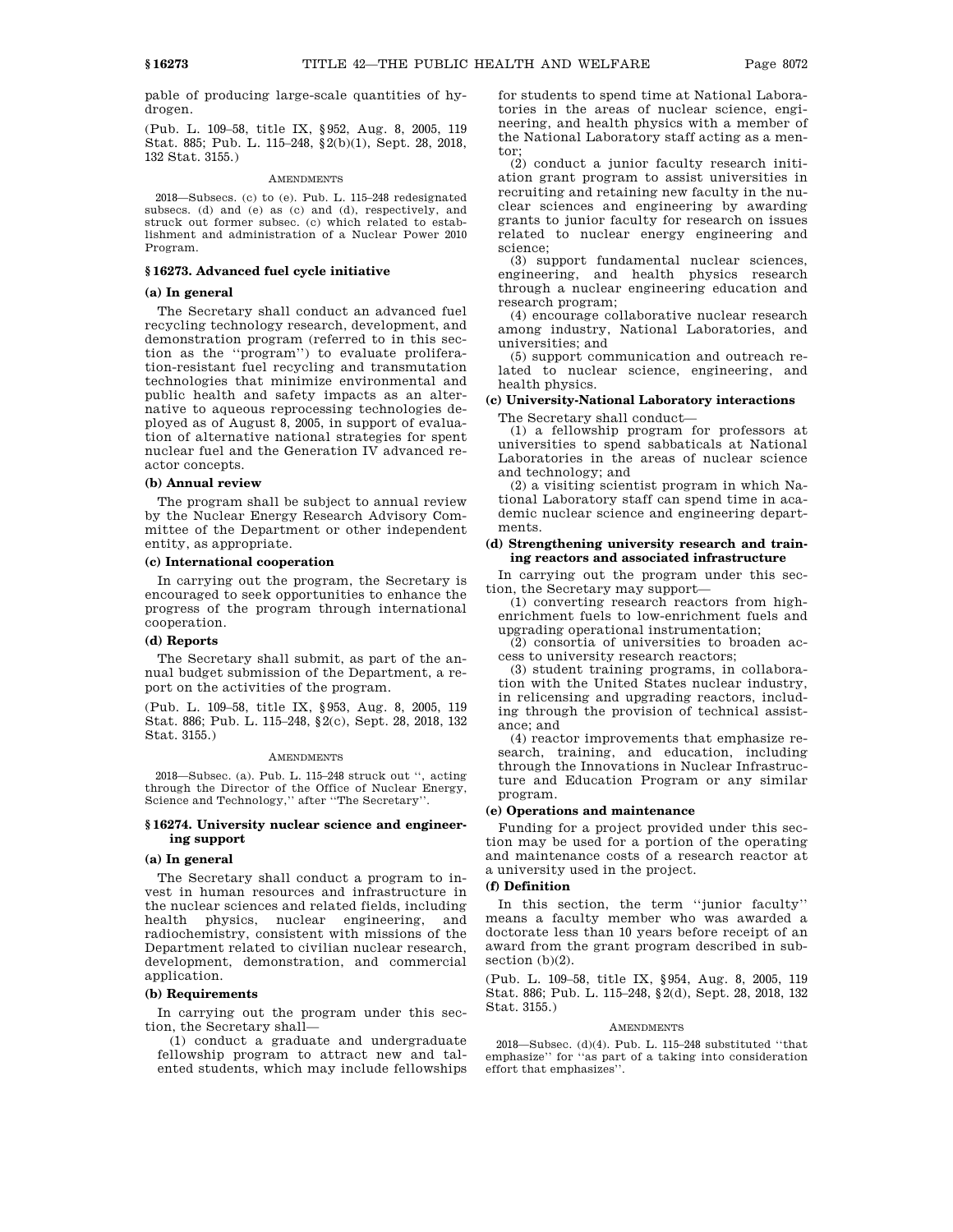pable of producing large-scale quantities of hydrogen.

(Pub. L. 109–58, title IX, §952, Aug. 8, 2005, 119 Stat. 885; Pub. L. 115–248, §2(b)(1), Sept. 28, 2018, 132 Stat. 3155.)

#### **AMENDMENTS**

2018—Subsecs. (c) to (e). Pub. L. 115–248 redesignated subsecs. (d) and (e) as (c) and (d), respectively, and struck out former subsec. (c) which related to establishment and administration of a Nuclear Power 2010 Program.

# **§ 16273. Advanced fuel cycle initiative**

# **(a) In general**

The Secretary shall conduct an advanced fuel recycling technology research, development, and demonstration program (referred to in this section as the ''program'') to evaluate proliferation-resistant fuel recycling and transmutation technologies that minimize environmental and public health and safety impacts as an alternative to aqueous reprocessing technologies deployed as of August 8, 2005, in support of evaluation of alternative national strategies for spent nuclear fuel and the Generation IV advanced reactor concepts.

#### **(b) Annual review**

The program shall be subject to annual review by the Nuclear Energy Research Advisory Committee of the Department or other independent entity, as appropriate.

# **(c) International cooperation**

In carrying out the program, the Secretary is encouraged to seek opportunities to enhance the progress of the program through international cooperation.

## **(d) Reports**

The Secretary shall submit, as part of the annual budget submission of the Department, a report on the activities of the program.

(Pub. L. 109–58, title IX, §953, Aug. 8, 2005, 119 Stat. 886; Pub. L. 115–248, §2(c), Sept. 28, 2018, 132 Stat. 3155.)

#### **AMENDMENTS**

2018—Subsec. (a). Pub. L. 115–248 struck out '', acting through the Director of the Office of Nuclear Energy, Science and Technology,'' after ''The Secretary''.

#### **§ 16274. University nuclear science and engineering support**

#### **(a) In general**

The Secretary shall conduct a program to invest in human resources and infrastructure in the nuclear sciences and related fields, including health physics, nuclear engineering, and radiochemistry, consistent with missions of the Department related to civilian nuclear research, development, demonstration, and commercial application.

# **(b) Requirements**

In carrying out the program under this section, the Secretary shall—

(1) conduct a graduate and undergraduate fellowship program to attract new and talented students, which may include fellowships for students to spend time at National Laboratories in the areas of nuclear science, engineering, and health physics with a member of the National Laboratory staff acting as a mentor;

(2) conduct a junior faculty research initiation grant program to assist universities in recruiting and retaining new faculty in the nuclear sciences and engineering by awarding grants to junior faculty for research on issues related to nuclear energy engineering and science;

(3) support fundamental nuclear sciences, engineering, and health physics research through a nuclear engineering education and research program;

(4) encourage collaborative nuclear research among industry, National Laboratories, and universities; and

(5) support communication and outreach related to nuclear science, engineering, and health physics.

# **(c) University-National Laboratory interactions** The Secretary shall conduct—

(1) a fellowship program for professors at universities to spend sabbaticals at National Laboratories in the areas of nuclear science and technology; and

(2) a visiting scientist program in which National Laboratory staff can spend time in academic nuclear science and engineering departments.

# **(d) Strengthening university research and training reactors and associated infrastructure**

In carrying out the program under this section, the Secretary may support—

(1) converting research reactors from highenrichment fuels to low-enrichment fuels and upgrading operational instrumentation;

(2) consortia of universities to broaden access to university research reactors;

(3) student training programs, in collaboration with the United States nuclear industry, in relicensing and upgrading reactors, including through the provision of technical assistance; and

(4) reactor improvements that emphasize research, training, and education, including through the Innovations in Nuclear Infrastructure and Education Program or any similar program.

#### **(e) Operations and maintenance**

Funding for a project provided under this section may be used for a portion of the operating and maintenance costs of a research reactor at a university used in the project.

## **(f) Definition**

In this section, the term ''junior faculty'' means a faculty member who was awarded a doctorate less than 10 years before receipt of an award from the grant program described in subsection  $(b)(2)$ .

(Pub. L. 109–58, title IX, §954, Aug. 8, 2005, 119 Stat. 886; Pub. L. 115–248, §2(d), Sept. 28, 2018, 132 Stat. 3155.)

### **AMENDMENTS**

2018—Subsec. (d)(4). Pub. L. 115–248 substituted ''that emphasize'' for ''as part of a taking into consideration effort that emphasizes''.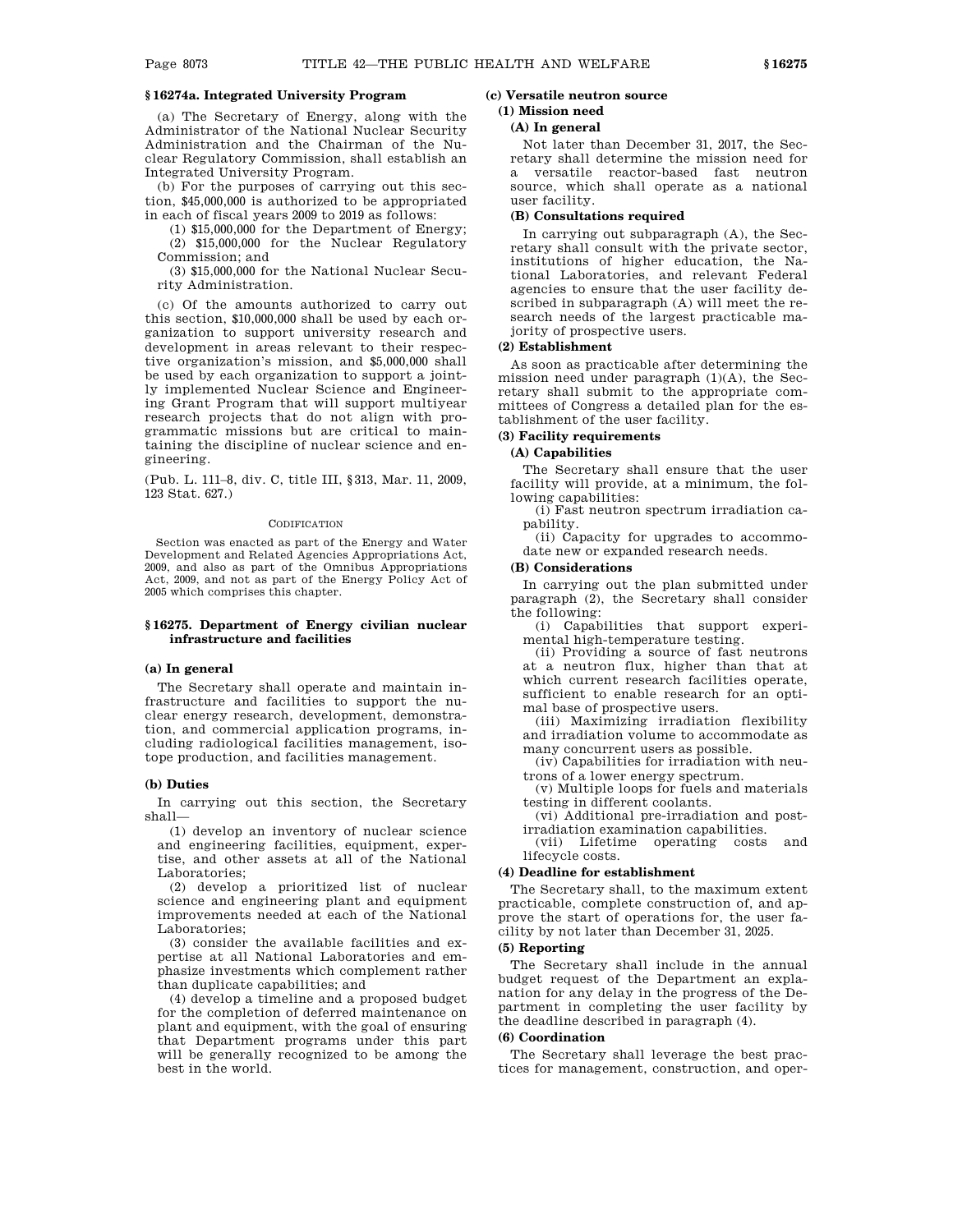# **§ 16274a. Integrated University Program**

(a) The Secretary of Energy, along with the Administrator of the National Nuclear Security Administration and the Chairman of the Nuclear Regulatory Commission, shall establish an Integrated University Program.

(b) For the purposes of carrying out this section, \$45,000,000 is authorized to be appropriated in each of fiscal years 2009 to 2019 as follows:

(1) \$15,000,000 for the Department of Energy; (2) \$15,000,000 for the Nuclear Regulatory Commission; and

(3) \$15,000,000 for the National Nuclear Security Administration.

(c) Of the amounts authorized to carry out this section, \$10,000,000 shall be used by each organization to support university research and development in areas relevant to their respective organization's mission, and \$5,000,000 shall be used by each organization to support a jointly implemented Nuclear Science and Engineering Grant Program that will support multiyear research projects that do not align with programmatic missions but are critical to maintaining the discipline of nuclear science and engineering.

(Pub. L. 111–8, div. C, title III, §313, Mar. 11, 2009, 123 Stat. 627.)

#### **CODIFICATION**

Section was enacted as part of the Energy and Water Development and Related Agencies Appropriations Act, 2009, and also as part of the Omnibus Appropriations Act, 2009, and not as part of the Energy Policy Act of 2005 which comprises this chapter.

# **§ 16275. Department of Energy civilian nuclear infrastructure and facilities**

# **(a) In general**

The Secretary shall operate and maintain infrastructure and facilities to support the nuclear energy research, development, demonstration, and commercial application programs, including radiological facilities management, isotope production, and facilities management.

# **(b) Duties**

In carrying out this section, the Secretary shall—

(1) develop an inventory of nuclear science and engineering facilities, equipment, expertise, and other assets at all of the National Laboratories;

(2) develop a prioritized list of nuclear science and engineering plant and equipment improvements needed at each of the National Laboratories;

(3) consider the available facilities and expertise at all National Laboratories and emphasize investments which complement rather than duplicate capabilities; and

(4) develop a timeline and a proposed budget for the completion of deferred maintenance on plant and equipment, with the goal of ensuring that Department programs under this part will be generally recognized to be among the best in the world.

# **(c) Versatile neutron source**

#### **(1) Mission need**

#### **(A) In general**

Not later than December 31, 2017, the Secretary shall determine the mission need for a versatile reactor-based fast neutron source, which shall operate as a national user facility.

#### **(B) Consultations required**

In carrying out subparagraph (A), the Secretary shall consult with the private sector, institutions of higher education, the National Laboratories, and relevant Federal agencies to ensure that the user facility described in subparagraph (A) will meet the research needs of the largest practicable majority of prospective users.

### **(2) Establishment**

As soon as practicable after determining the mission need under paragraph (1)(A), the Secretary shall submit to the appropriate committees of Congress a detailed plan for the establishment of the user facility.

# **(3) Facility requirements**

**(A) Capabilities**

The Secretary shall ensure that the user facility will provide, at a minimum, the following capabilities:

(i) Fast neutron spectrum irradiation capability.

(ii) Capacity for upgrades to accommodate new or expanded research needs.

#### **(B) Considerations**

In carrying out the plan submitted under paragraph (2), the Secretary shall consider the following:

(i) Capabilities that support experimental high-temperature testing.

(ii) Providing a source of fast neutrons at a neutron flux, higher than that at which current research facilities operate, sufficient to enable research for an optimal base of prospective users.

(iii) Maximizing irradiation flexibility and irradiation volume to accommodate as many concurrent users as possible.

(iv) Capabilities for irradiation with neutrons of a lower energy spectrum.

(v) Multiple loops for fuels and materials testing in different coolants.

(vi) Additional pre-irradiation and postirradiation examination capabilities.

(vii) Lifetime operating costs and lifecycle costs.

#### **(4) Deadline for establishment**

The Secretary shall, to the maximum extent practicable, complete construction of, and approve the start of operations for, the user facility by not later than December 31, 2025.

# **(5) Reporting**

The Secretary shall include in the annual budget request of the Department an explanation for any delay in the progress of the Department in completing the user facility by the deadline described in paragraph (4).

#### **(6) Coordination**

The Secretary shall leverage the best practices for management, construction, and oper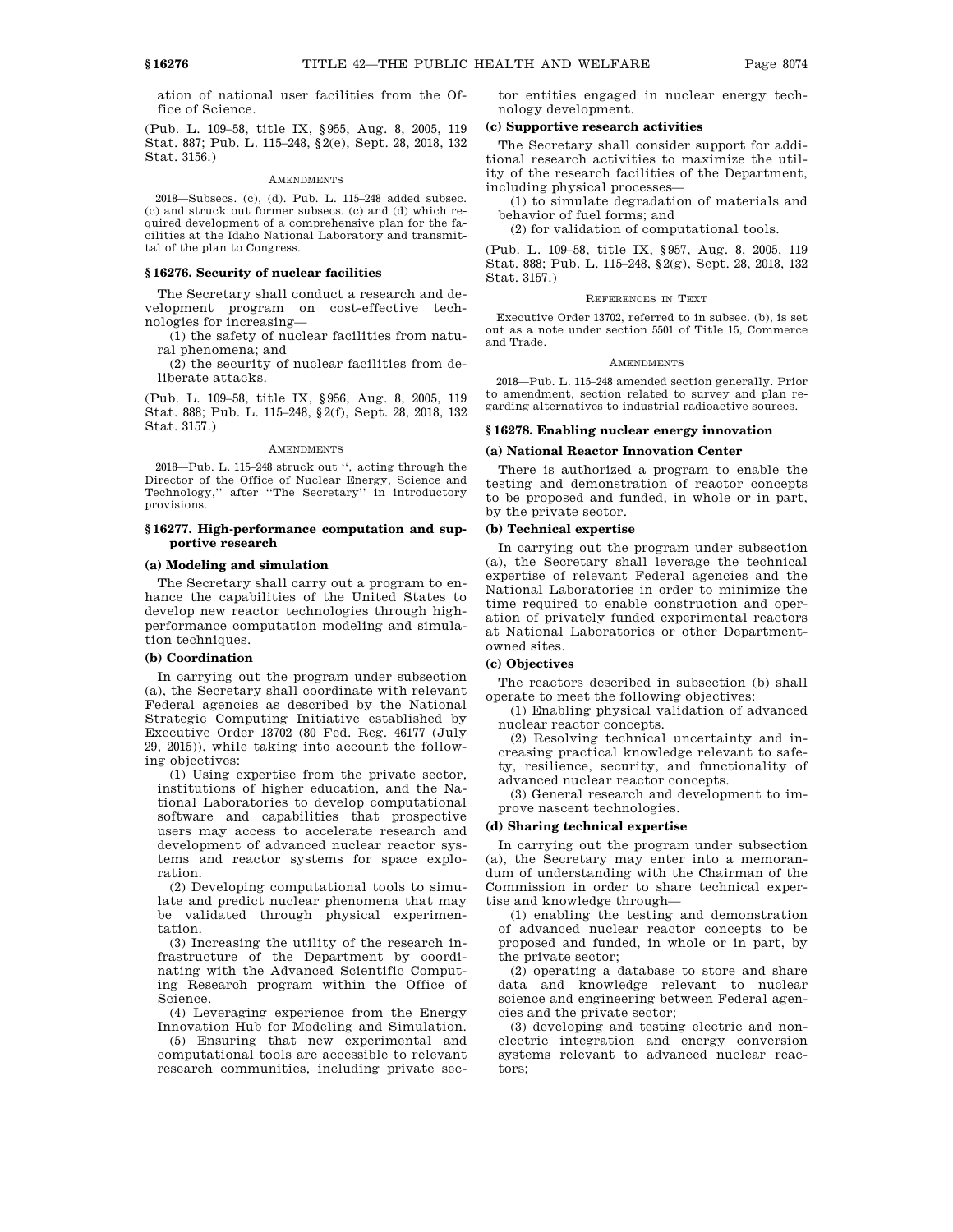ation of national user facilities from the Office of Science.

(Pub. L. 109–58, title IX, §955, Aug. 8, 2005, 119 Stat. 887; Pub. L. 115–248, §2(e), Sept. 28, 2018, 132 Stat. 3156.)

#### **AMENDMENTS**

2018—Subsecs. (c), (d). Pub. L. 115–248 added subsec. (c) and struck out former subsecs. (c) and (d) which required development of a comprehensive plan for the facilities at the Idaho National Laboratory and transmittal of the plan to Congress.

## **§ 16276. Security of nuclear facilities**

The Secretary shall conduct a research and development program on cost-effective technologies for increasing—

(1) the safety of nuclear facilities from natural phenomena; and

(2) the security of nuclear facilities from deliberate attacks.

(Pub. L. 109–58, title IX, §956, Aug. 8, 2005, 119 Stat. 888; Pub. L. 115–248, §2(f), Sept. 28, 2018, 132 Stat. 3157.)

#### AMENDMENTS

2018—Pub. L. 115–248 struck out '', acting through the Director of the Office of Nuclear Energy, Science and Technology,'' after ''The Secretary'' in introductory provisions.

### **§ 16277. High-performance computation and supportive research**

#### **(a) Modeling and simulation**

The Secretary shall carry out a program to enhance the capabilities of the United States to develop new reactor technologies through highperformance computation modeling and simulation techniques.

## **(b) Coordination**

In carrying out the program under subsection (a), the Secretary shall coordinate with relevant Federal agencies as described by the National Strategic Computing Initiative established by Executive Order 13702 (80 Fed. Reg. 46177 (July 29, 2015)), while taking into account the following objectives:

(1) Using expertise from the private sector, institutions of higher education, and the National Laboratories to develop computational software and capabilities that prospective users may access to accelerate research and development of advanced nuclear reactor systems and reactor systems for space exploration.

(2) Developing computational tools to simulate and predict nuclear phenomena that may be validated through physical experimentation.

(3) Increasing the utility of the research infrastructure of the Department by coordinating with the Advanced Scientific Computing Research program within the Office of Science.

(4) Leveraging experience from the Energy Innovation Hub for Modeling and Simulation.

(5) Ensuring that new experimental and computational tools are accessible to relevant research communities, including private sector entities engaged in nuclear energy technology development.

#### **(c) Supportive research activities**

The Secretary shall consider support for additional research activities to maximize the utility of the research facilities of the Department, including physical processes—

(1) to simulate degradation of materials and behavior of fuel forms; and

(2) for validation of computational tools.

(Pub. L. 109–58, title IX, §957, Aug. 8, 2005, 119 Stat. 888; Pub. L. 115–248, §2(g), Sept. 28, 2018, 132 Stat. 3157.)

#### REFERENCES IN TEXT

Executive Order 13702, referred to in subsec. (b), is set out as a note under section 5501 of Title 15, Commerce and Trade.

#### **AMENDMENTS**

2018—Pub. L. 115–248 amended section generally. Prior to amendment, section related to survey and plan regarding alternatives to industrial radioactive sources.

#### **§ 16278. Enabling nuclear energy innovation**

#### **(a) National Reactor Innovation Center**

There is authorized a program to enable the testing and demonstration of reactor concepts to be proposed and funded, in whole or in part, by the private sector.

# **(b) Technical expertise**

In carrying out the program under subsection (a), the Secretary shall leverage the technical expertise of relevant Federal agencies and the National Laboratories in order to minimize the time required to enable construction and operation of privately funded experimental reactors at National Laboratories or other Departmentowned sites.

# **(c) Objectives**

The reactors described in subsection (b) shall operate to meet the following objectives:

(1) Enabling physical validation of advanced nuclear reactor concepts.

(2) Resolving technical uncertainty and increasing practical knowledge relevant to safety, resilience, security, and functionality of advanced nuclear reactor concepts.

(3) General research and development to improve nascent technologies.

#### **(d) Sharing technical expertise**

In carrying out the program under subsection (a), the Secretary may enter into a memorandum of understanding with the Chairman of the Commission in order to share technical expertise and knowledge through—

(1) enabling the testing and demonstration of advanced nuclear reactor concepts to be proposed and funded, in whole or in part, by the private sector;

(2) operating a database to store and share data and knowledge relevant to nuclear science and engineering between Federal agencies and the private sector;

(3) developing and testing electric and nonelectric integration and energy conversion systems relevant to advanced nuclear reactors;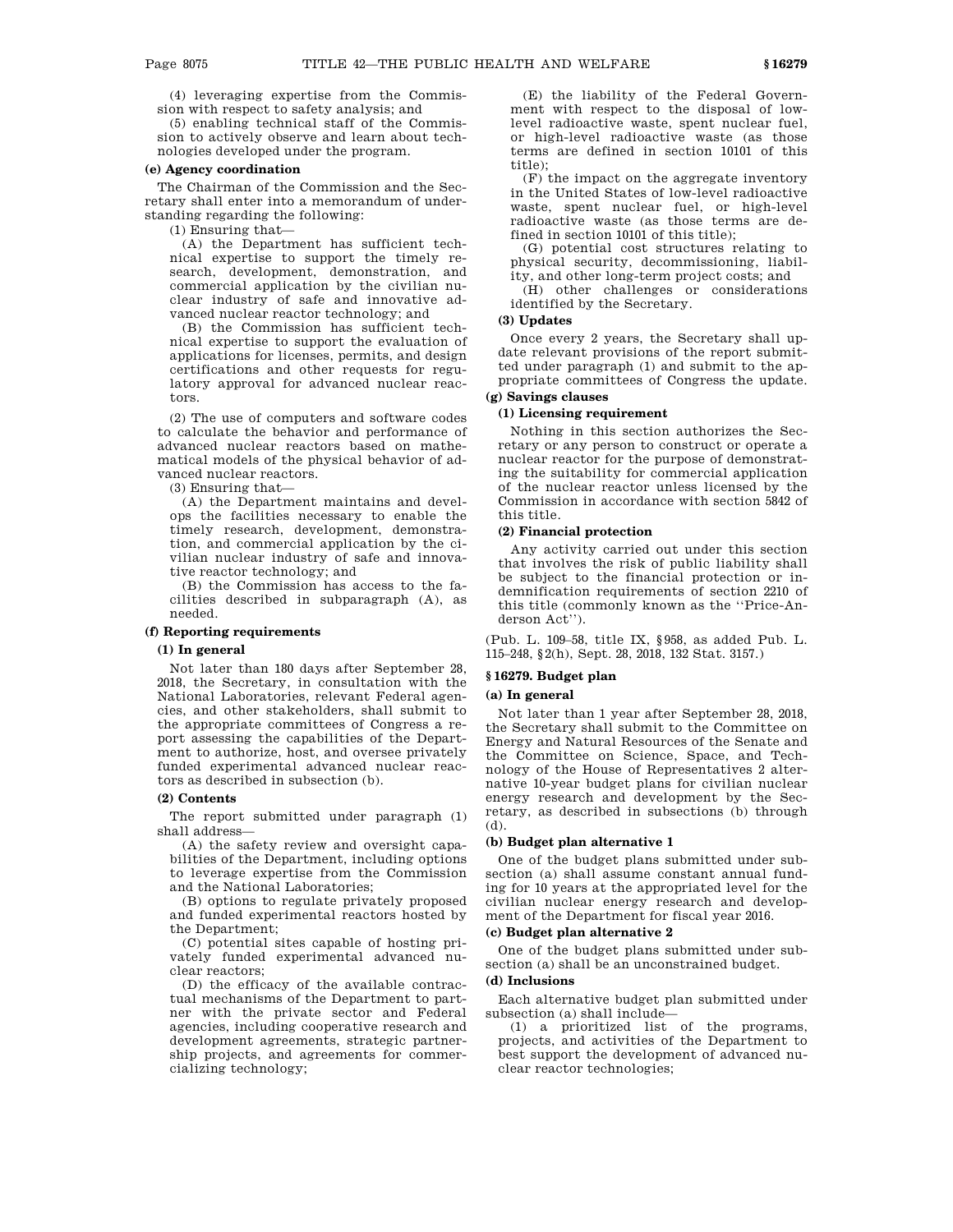(4) leveraging expertise from the Commission with respect to safety analysis; and

(5) enabling technical staff of the Commission to actively observe and learn about technologies developed under the program.

# **(e) Agency coordination**

The Chairman of the Commission and the Secretary shall enter into a memorandum of understanding regarding the following:

(1) Ensuring that—

(A) the Department has sufficient technical expertise to support the timely research, development, demonstration, and commercial application by the civilian nuclear industry of safe and innovative advanced nuclear reactor technology; and

(B) the Commission has sufficient technical expertise to support the evaluation of applications for licenses, permits, and design certifications and other requests for regulatory approval for advanced nuclear reactors.

(2) The use of computers and software codes to calculate the behavior and performance of advanced nuclear reactors based on mathematical models of the physical behavior of advanced nuclear reactors.

(3) Ensuring that—

(A) the Department maintains and develops the facilities necessary to enable the timely research, development, demonstration, and commercial application by the civilian nuclear industry of safe and innovative reactor technology; and

(B) the Commission has access to the facilities described in subparagraph (A), as needed.

# **(f) Reporting requirements**

# **(1) In general**

Not later than 180 days after September 28, 2018, the Secretary, in consultation with the National Laboratories, relevant Federal agencies, and other stakeholders, shall submit to the appropriate committees of Congress a report assessing the capabilities of the Department to authorize, host, and oversee privately funded experimental advanced nuclear reactors as described in subsection (b).

#### **(2) Contents**

The report submitted under paragraph (1) shall address—

(A) the safety review and oversight capabilities of the Department, including options to leverage expertise from the Commission and the National Laboratories;

(B) options to regulate privately proposed and funded experimental reactors hosted by the Department;

(C) potential sites capable of hosting privately funded experimental advanced nuclear reactors;

(D) the efficacy of the available contractual mechanisms of the Department to partner with the private sector and Federal agencies, including cooperative research and development agreements, strategic partnership projects, and agreements for commercializing technology;

(E) the liability of the Federal Government with respect to the disposal of lowlevel radioactive waste, spent nuclear fuel, or high-level radioactive waste (as those terms are defined in section 10101 of this title);

(F) the impact on the aggregate inventory in the United States of low-level radioactive waste, spent nuclear fuel, or high-level radioactive waste (as those terms are defined in section 10101 of this title);

(G) potential cost structures relating to physical security, decommissioning, liability, and other long-term project costs; and

(H) other challenges or considerations identified by the Secretary.

#### **(3) Updates**

Once every 2 years, the Secretary shall update relevant provisions of the report submitted under paragraph (1) and submit to the appropriate committees of Congress the update. **(g) Savings clauses**

# **(1) Licensing requirement**

Nothing in this section authorizes the Secretary or any person to construct or operate a nuclear reactor for the purpose of demonstrating the suitability for commercial application of the nuclear reactor unless licensed by the Commission in accordance with section 5842 of this title.

#### **(2) Financial protection**

Any activity carried out under this section that involves the risk of public liability shall be subject to the financial protection or indemnification requirements of section 2210 of this title (commonly known as the ''Price-Anderson Act'').

(Pub. L. 109–58, title IX, §958, as added Pub. L. 115–248, §2(h), Sept. 28, 2018, 132 Stat. 3157.)

# **§ 16279. Budget plan**

#### **(a) In general**

Not later than 1 year after September 28, 2018, the Secretary shall submit to the Committee on Energy and Natural Resources of the Senate and the Committee on Science, Space, and Technology of the House of Representatives 2 alternative 10-year budget plans for civilian nuclear energy research and development by the Secretary, as described in subsections (b) through (d).

#### **(b) Budget plan alternative 1**

One of the budget plans submitted under subsection (a) shall assume constant annual funding for 10 years at the appropriated level for the civilian nuclear energy research and development of the Department for fiscal year 2016.

## **(c) Budget plan alternative 2**

One of the budget plans submitted under subsection (a) shall be an unconstrained budget.

# **(d) Inclusions**

Each alternative budget plan submitted under subsection (a) shall include—

(1) a prioritized list of the programs, projects, and activities of the Department to best support the development of advanced nuclear reactor technologies;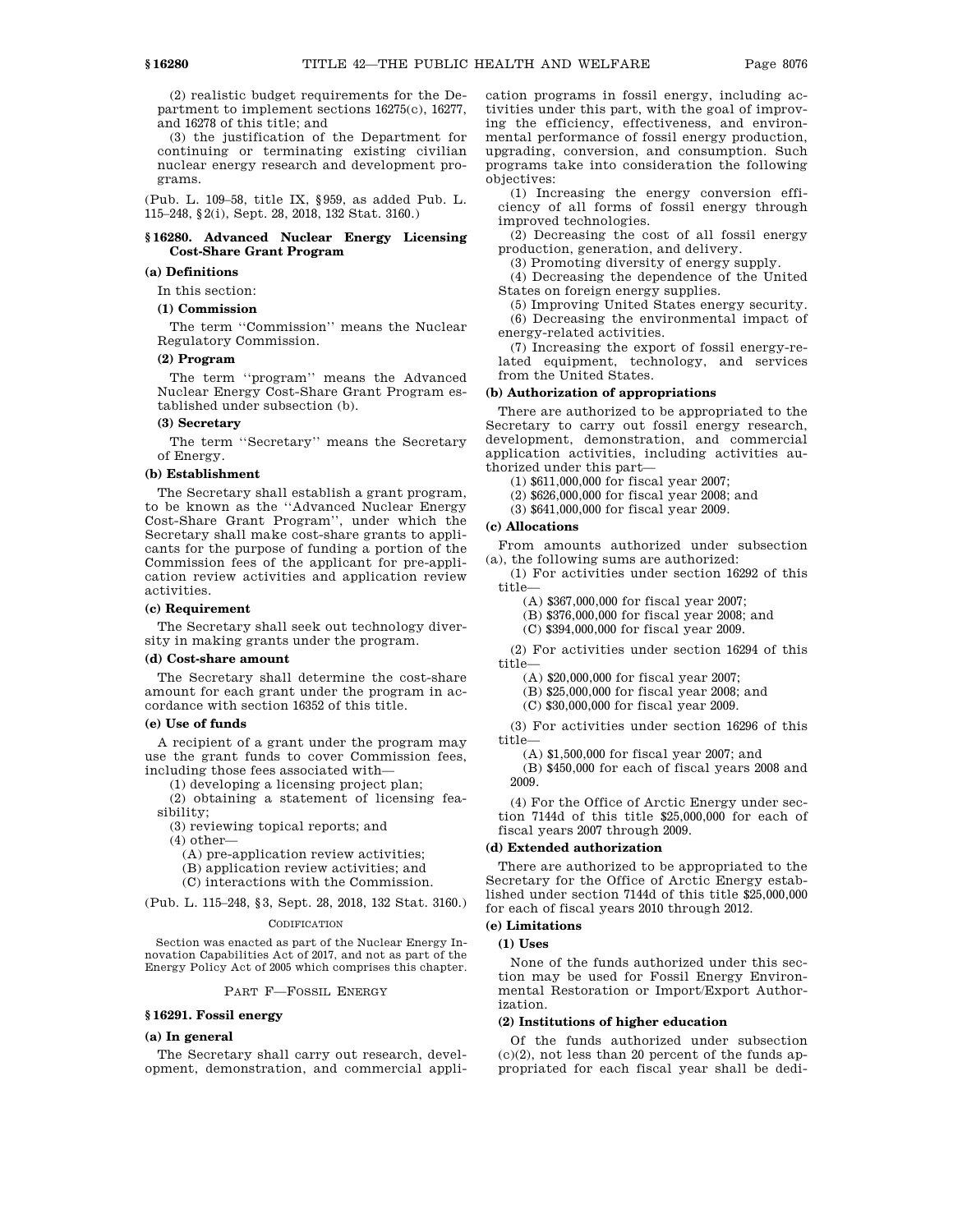(2) realistic budget requirements for the Department to implement sections 16275(c), 16277, and 16278 of this title; and

(3) the justification of the Department for continuing or terminating existing civilian nuclear energy research and development programs.

(Pub. L. 109–58, title IX, §959, as added Pub. L. 115–248, §2(i), Sept. 28, 2018, 132 Stat. 3160.)

# **§ 16280. Advanced Nuclear Energy Licensing Cost-Share Grant Program**

## **(a) Definitions**

In this section:

# **(1) Commission**

The term ''Commission'' means the Nuclear Regulatory Commission.

# **(2) Program**

The term ''program'' means the Advanced Nuclear Energy Cost-Share Grant Program established under subsection (b).

# **(3) Secretary**

The term ''Secretary'' means the Secretary of Energy.

#### **(b) Establishment**

The Secretary shall establish a grant program, to be known as the ''Advanced Nuclear Energy Cost-Share Grant Program'', under which the Secretary shall make cost-share grants to applicants for the purpose of funding a portion of the Commission fees of the applicant for pre-application review activities and application review activities.

## **(c) Requirement**

The Secretary shall seek out technology diversity in making grants under the program.

#### **(d) Cost-share amount**

The Secretary shall determine the cost-share amount for each grant under the program in accordance with section 16352 of this title.

### **(e) Use of funds**

A recipient of a grant under the program may use the grant funds to cover Commission fees, including those fees associated with—

(1) developing a licensing project plan;

(2) obtaining a statement of licensing feasibility;

(3) reviewing topical reports; and

- (4) other—
	- (A) pre-application review activities;
	- (B) application review activities; and
	- (C) interactions with the Commission.

(Pub. L. 115–248, §3, Sept. 28, 2018, 132 Stat. 3160.)

#### **CODIFICATION**

Section was enacted as part of the Nuclear Energy Innovation Capabilities Act of 2017, and not as part of the Energy Policy Act of 2005 which comprises this chapter.

# PART F—FOSSIL ENERGY

# **§ 16291. Fossil energy**

#### **(a) In general**

The Secretary shall carry out research, development, demonstration, and commercial application programs in fossil energy, including activities under this part, with the goal of improving the efficiency, effectiveness, and environmental performance of fossil energy production, upgrading, conversion, and consumption. Such programs take into consideration the following objectives:

(1) Increasing the energy conversion efficiency of all forms of fossil energy through improved technologies.

(2) Decreasing the cost of all fossil energy production, generation, and delivery.

(3) Promoting diversity of energy supply.

(4) Decreasing the dependence of the United States on foreign energy supplies.

(5) Improving United States energy security. (6) Decreasing the environmental impact of energy-related activities.

(7) Increasing the export of fossil energy-related equipment, technology, and services from the United States.

#### **(b) Authorization of appropriations**

There are authorized to be appropriated to the Secretary to carry out fossil energy research, development, demonstration, and commercial application activities, including activities authorized under this part—

(1) \$611,000,000 for fiscal year 2007;

(2) \$626,000,000 for fiscal year 2008; and

(3) \$641,000,000 for fiscal year 2009.

#### **(c) Allocations**

From amounts authorized under subsection (a), the following sums are authorized:

(1) For activities under section 16292 of this title—

(A) \$367,000,000 for fiscal year 2007;

(B) \$376,000,000 for fiscal year 2008; and

(C) \$394,000,000 for fiscal year 2009.

(2) For activities under section 16294 of this title—

(A) \$20,000,000 for fiscal year 2007;

(B) \$25,000,000 for fiscal year 2008; and

(C) \$30,000,000 for fiscal year 2009.

(3) For activities under section 16296 of this title—

(A) \$1,500,000 for fiscal year 2007; and

(B) \$450,000 for each of fiscal years 2008 and 2009.

(4) For the Office of Arctic Energy under section 7144d of this title \$25,000,000 for each of fiscal years 2007 through 2009.

#### **(d) Extended authorization**

There are authorized to be appropriated to the Secretary for the Office of Arctic Energy established under section 7144d of this title \$25,000,000 for each of fiscal years 2010 through 2012.

# **(e) Limitations**

**(1) Uses**

None of the funds authorized under this section may be used for Fossil Energy Environmental Restoration or Import/Export Authorization.

#### **(2) Institutions of higher education**

Of the funds authorized under subsection  $(c)(2)$ , not less than 20 percent of the funds appropriated for each fiscal year shall be dedi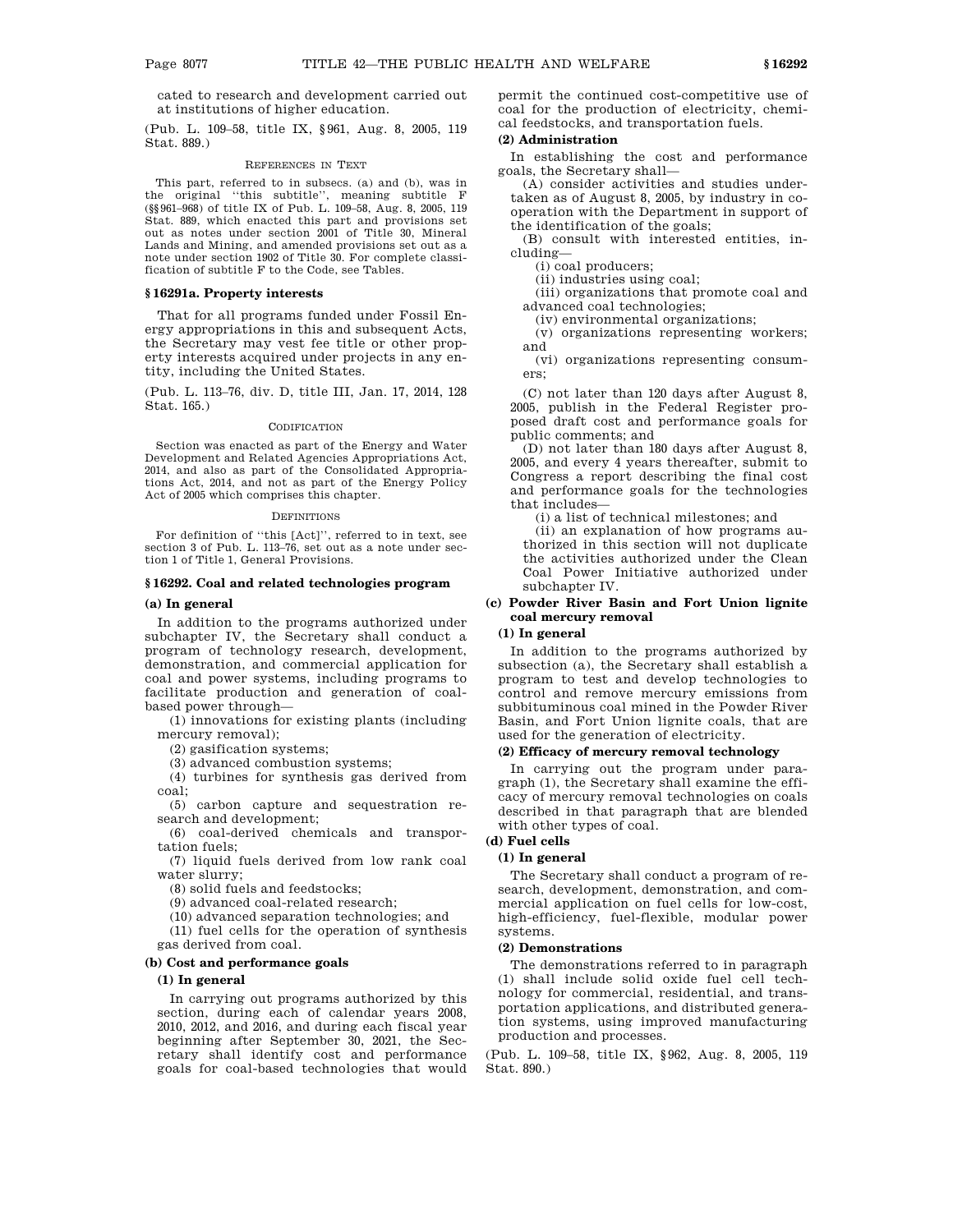cated to research and development carried out at institutions of higher education.

(Pub. L. 109–58, title IX, §961, Aug. 8, 2005, 119 Stat. 889.)

#### REFERENCES IN TEXT

This part, referred to in subsecs. (a) and (b), was in the original ''this subtitle'', meaning subtitle F (§§961–968) of title IX of Pub. L. 109–58, Aug. 8, 2005, 119 Stat. 889, which enacted this part and provisions set out as notes under section 2001 of Title 30, Mineral Lands and Mining, and amended provisions set out as a note under section 1902 of Title 30. For complete classification of subtitle F to the Code, see Tables.

#### **§ 16291a. Property interests**

That for all programs funded under Fossil Energy appropriations in this and subsequent Acts, the Secretary may vest fee title or other property interests acquired under projects in any entity, including the United States.

(Pub. L. 113–76, div. D, title III, Jan. 17, 2014, 128 Stat. 165.)

#### **CODIFICATION**

Section was enacted as part of the Energy and Water Development and Related Agencies Appropriations Act, 2014, and also as part of the Consolidated Appropriations Act, 2014, and not as part of the Energy Policy Act of 2005 which comprises this chapter.

#### DEFINITIONS

For definition of ''this [Act]'', referred to in text, see section 3 of Pub. L. 113–76, set out as a note under section 1 of Title 1, General Provisions.

### **§ 16292. Coal and related technologies program**

## **(a) In general**

In addition to the programs authorized under subchapter IV, the Secretary shall conduct a program of technology research, development, demonstration, and commercial application for coal and power systems, including programs to facilitate production and generation of coalbased power through—

(1) innovations for existing plants (including mercury removal);

(2) gasification systems;

(3) advanced combustion systems;

(4) turbines for synthesis gas derived from coal;

(5) carbon capture and sequestration research and development;

(6) coal-derived chemicals and transportation fuels;

(7) liquid fuels derived from low rank coal water slurry;

(8) solid fuels and feedstocks;

(9) advanced coal-related research;

(10) advanced separation technologies; and

(11) fuel cells for the operation of synthesis gas derived from coal.

#### **(b) Cost and performance goals**

#### **(1) In general**

In carrying out programs authorized by this section, during each of calendar years 2008, 2010, 2012, and 2016, and during each fiscal year beginning after September 30, 2021, the Secretary shall identify cost and performance goals for coal-based technologies that would permit the continued cost-competitive use of coal for the production of electricity, chemical feedstocks, and transportation fuels.

### **(2) Administration**

In establishing the cost and performance goals, the Secretary shall—

(A) consider activities and studies undertaken as of August 8, 2005, by industry in cooperation with the Department in support of the identification of the goals;

(B) consult with interested entities, including—

(i) coal producers;

(ii) industries using coal;

(iii) organizations that promote coal and advanced coal technologies;

(iv) environmental organizations;

(v) organizations representing workers; and

(vi) organizations representing consumers;

(C) not later than 120 days after August 8, 2005, publish in the Federal Register proposed draft cost and performance goals for public comments; and

(D) not later than 180 days after August 8, 2005, and every 4 years thereafter, submit to Congress a report describing the final cost and performance goals for the technologies that includes—

(i) a list of technical milestones; and

(ii) an explanation of how programs authorized in this section will not duplicate the activities authorized under the Clean Coal Power Initiative authorized under subchapter IV.

# **(c) Powder River Basin and Fort Union lignite coal mercury removal**

# **(1) In general**

In addition to the programs authorized by subsection (a), the Secretary shall establish a program to test and develop technologies to control and remove mercury emissions from subbituminous coal mined in the Powder River Basin, and Fort Union lignite coals, that are used for the generation of electricity.

# **(2) Efficacy of mercury removal technology**

In carrying out the program under paragraph (1), the Secretary shall examine the efficacy of mercury removal technologies on coals described in that paragraph that are blended with other types of coal.

### **(d) Fuel cells**

# **(1) In general**

The Secretary shall conduct a program of research, development, demonstration, and commercial application on fuel cells for low-cost, high-efficiency, fuel-flexible, modular power systems.

# **(2) Demonstrations**

The demonstrations referred to in paragraph (1) shall include solid oxide fuel cell technology for commercial, residential, and transportation applications, and distributed generation systems, using improved manufacturing production and processes.

(Pub. L. 109–58, title IX, §962, Aug. 8, 2005, 119 Stat. 890.)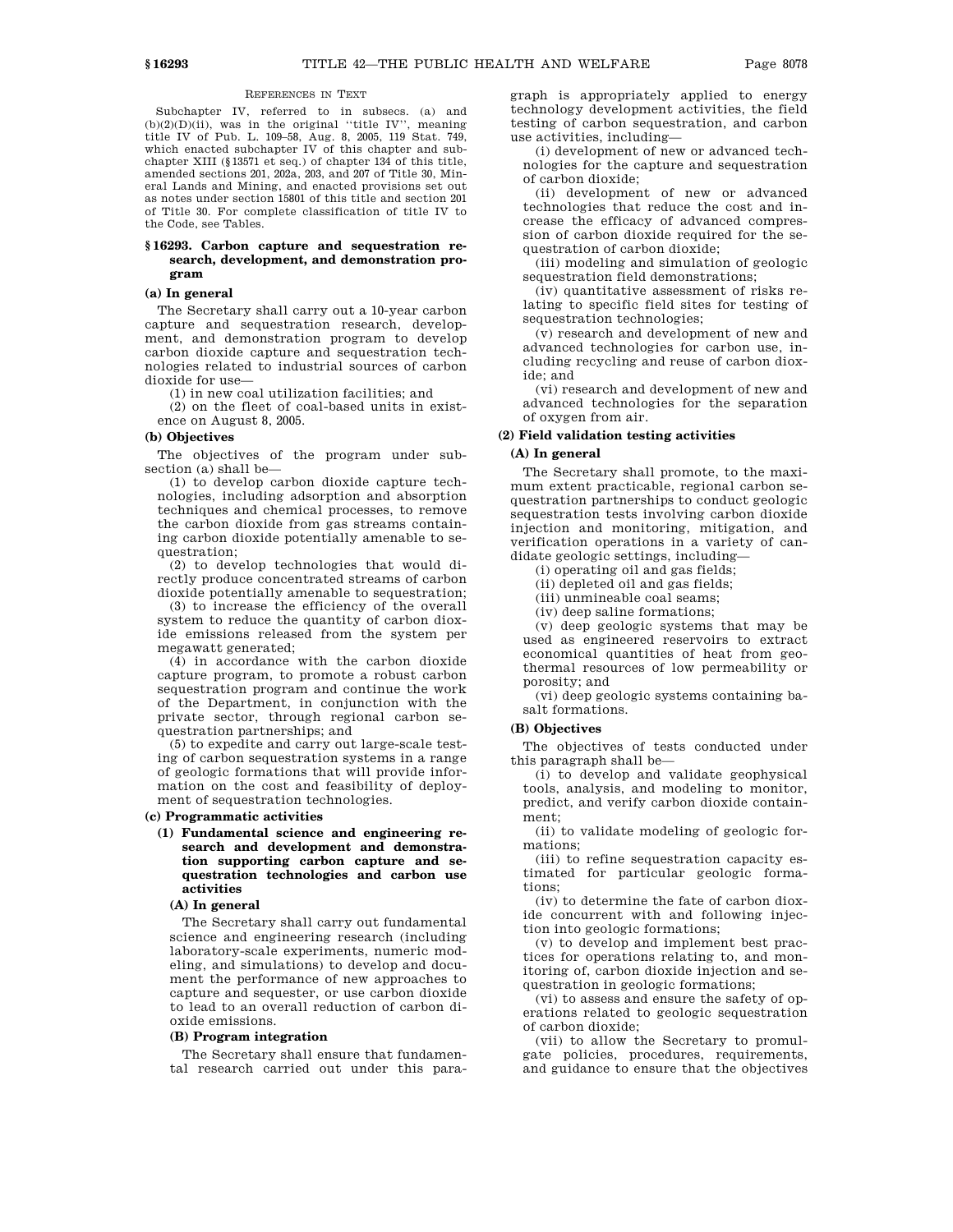#### REFERENCES IN TEXT

Subchapter IV, referred to in subsecs. (a) and  $(b)(2)(D)(ii)$ , was in the original "title IV", meaning title IV of Pub. L. 109–58, Aug. 8, 2005, 119 Stat. 749, which enacted subchapter IV of this chapter and subchapter XIII (§13571 et seq.) of chapter 134 of this title, amended sections 201, 202a, 203, and 207 of Title 30, Mineral Lands and Mining, and enacted provisions set out as notes under section 15801 of this title and section 201 of Title 30. For complete classification of title IV to the Code, see Tables.

# **§ 16293. Carbon capture and sequestration research, development, and demonstration program**

#### **(a) In general**

The Secretary shall carry out a 10-year carbon capture and sequestration research, development, and demonstration program to develop carbon dioxide capture and sequestration technologies related to industrial sources of carbon dioxide for use—

(1) in new coal utilization facilities; and

(2) on the fleet of coal-based units in existence on August 8, 2005.

## **(b) Objectives**

The objectives of the program under subsection (a) shall be—

(1) to develop carbon dioxide capture technologies, including adsorption and absorption techniques and chemical processes, to remove the carbon dioxide from gas streams containing carbon dioxide potentially amenable to sequestration;

(2) to develop technologies that would directly produce concentrated streams of carbon dioxide potentially amenable to sequestration;

(3) to increase the efficiency of the overall system to reduce the quantity of carbon dioxide emissions released from the system per megawatt generated;

(4) in accordance with the carbon dioxide capture program, to promote a robust carbon sequestration program and continue the work of the Department, in conjunction with the private sector, through regional carbon sequestration partnerships; and

(5) to expedite and carry out large-scale testing of carbon sequestration systems in a range of geologic formations that will provide information on the cost and feasibility of deployment of sequestration technologies.

#### **(c) Programmatic activities**

**(1) Fundamental science and engineering research and development and demonstration supporting carbon capture and sequestration technologies and carbon use activities**

# **(A) In general**

The Secretary shall carry out fundamental science and engineering research (including laboratory-scale experiments, numeric modeling, and simulations) to develop and document the performance of new approaches to capture and sequester, or use carbon dioxide to lead to an overall reduction of carbon dioxide emissions.

#### **(B) Program integration**

The Secretary shall ensure that fundamental research carried out under this paragraph is appropriately applied to energy technology development activities, the field testing of carbon sequestration, and carbon use activities, including—

(i) development of new or advanced technologies for the capture and sequestration of carbon dioxide;

(ii) development of new or advanced technologies that reduce the cost and increase the efficacy of advanced compression of carbon dioxide required for the sequestration of carbon dioxide;

(iii) modeling and simulation of geologic sequestration field demonstrations;

(iv) quantitative assessment of risks relating to specific field sites for testing of sequestration technologies;

(v) research and development of new and advanced technologies for carbon use, including recycling and reuse of carbon dioxide; and

(vi) research and development of new and advanced technologies for the separation of oxygen from air.

# **(2) Field validation testing activities**

# **(A) In general**

The Secretary shall promote, to the maximum extent practicable, regional carbon sequestration partnerships to conduct geologic sequestration tests involving carbon dioxide injection and monitoring, mitigation, and verification operations in a variety of candidate geologic settings, including—

(i) operating oil and gas fields;

(ii) depleted oil and gas fields;

(iii) unmineable coal seams;

(iv) deep saline formations;

(v) deep geologic systems that may be used as engineered reservoirs to extract economical quantities of heat from geothermal resources of low permeability or porosity; and

(vi) deep geologic systems containing basalt formations.

# **(B) Objectives**

The objectives of tests conducted under this paragraph shall be—

(i) to develop and validate geophysical tools, analysis, and modeling to monitor, predict, and verify carbon dioxide containment;

(ii) to validate modeling of geologic formations;

(iii) to refine sequestration capacity estimated for particular geologic formations;

(iv) to determine the fate of carbon dioxide concurrent with and following injection into geologic formations;

(v) to develop and implement best practices for operations relating to, and monitoring of, carbon dioxide injection and sequestration in geologic formations;

(vi) to assess and ensure the safety of operations related to geologic sequestration of carbon dioxide;

(vii) to allow the Secretary to promulgate policies, procedures, requirements, and guidance to ensure that the objectives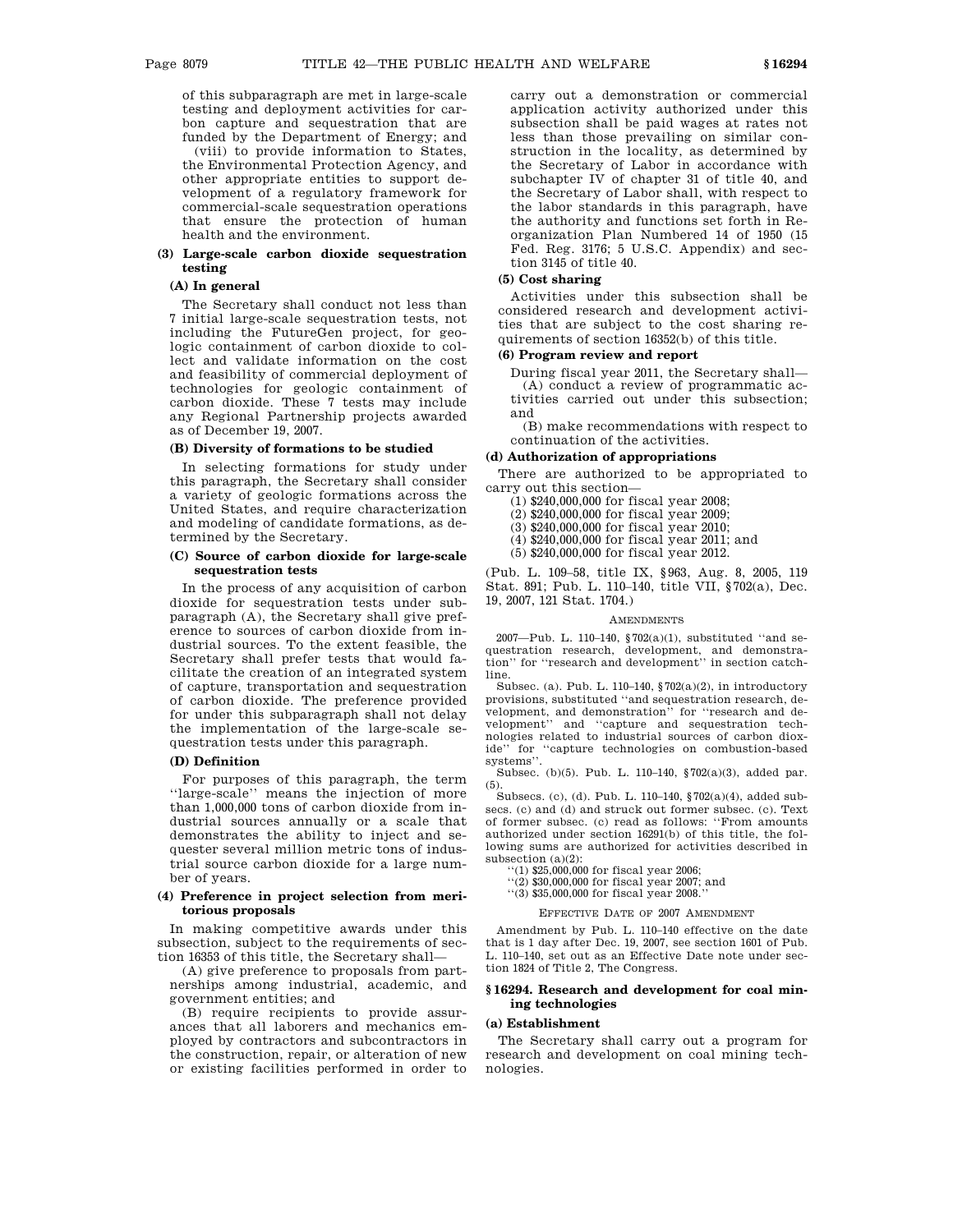of this subparagraph are met in large-scale testing and deployment activities for carbon capture and sequestration that are funded by the Department of Energy; and

(viii) to provide information to States, the Environmental Protection Agency, and other appropriate entities to support development of a regulatory framework for commercial-scale sequestration operations that ensure the protection of human health and the environment.

# **(3) Large-scale carbon dioxide sequestration testing**

# **(A) In general**

The Secretary shall conduct not less than 7 initial large-scale sequestration tests, not including the FutureGen project, for geologic containment of carbon dioxide to collect and validate information on the cost and feasibility of commercial deployment of technologies for geologic containment of carbon dioxide. These 7 tests may include any Regional Partnership projects awarded as of December 19, 2007.

# **(B) Diversity of formations to be studied**

In selecting formations for study under this paragraph, the Secretary shall consider a variety of geologic formations across the United States, and require characterization and modeling of candidate formations, as determined by the Secretary.

# **(C) Source of carbon dioxide for large-scale sequestration tests**

In the process of any acquisition of carbon dioxide for sequestration tests under subparagraph (A), the Secretary shall give preference to sources of carbon dioxide from industrial sources. To the extent feasible, the Secretary shall prefer tests that would facilitate the creation of an integrated system of capture, transportation and sequestration of carbon dioxide. The preference provided for under this subparagraph shall not delay the implementation of the large-scale sequestration tests under this paragraph.

### **(D) Definition**

For purposes of this paragraph, the term ''large-scale'' means the injection of more than 1,000,000 tons of carbon dioxide from industrial sources annually or a scale that demonstrates the ability to inject and sequester several million metric tons of industrial source carbon dioxide for a large number of years.

# **(4) Preference in project selection from meritorious proposals**

In making competitive awards under this subsection, subject to the requirements of section 16353 of this title, the Secretary shall—

(A) give preference to proposals from partnerships among industrial, academic, and government entities; and

(B) require recipients to provide assurances that all laborers and mechanics employed by contractors and subcontractors in the construction, repair, or alteration of new or existing facilities performed in order to carry out a demonstration or commercial application activity authorized under this subsection shall be paid wages at rates not less than those prevailing on similar construction in the locality, as determined by the Secretary of Labor in accordance with subchapter IV of chapter 31 of title 40, and the Secretary of Labor shall, with respect to the labor standards in this paragraph, have the authority and functions set forth in Reorganization Plan Numbered 14 of 1950 (15 Fed. Reg. 3176; 5 U.S.C. Appendix) and section 3145 of title 40.

# **(5) Cost sharing**

Activities under this subsection shall be considered research and development activities that are subject to the cost sharing requirements of section 16352(b) of this title.

### **(6) Program review and report**

During fiscal year 2011, the Secretary shall— (A) conduct a review of programmatic activities carried out under this subsection; and

(B) make recommendations with respect to continuation of the activities.

#### **(d) Authorization of appropriations**

There are authorized to be appropriated to carry out this section—

- $(1)$  \$240,000,000 for fiscal year 2008;
- (2) \$240,000,000 for fiscal year 2009;
- (3) \$240,000,000 for fiscal year 2010;
- (4) \$240,000,000 for fiscal year 2011; and
- (5) \$240,000,000 for fiscal year 2012.

(Pub. L. 109–58, title IX, §963, Aug. 8, 2005, 119 Stat. 891; Pub. L. 110–140, title VII, §702(a), Dec. 19, 2007, 121 Stat. 1704.)

#### **AMENDMENTS**

2007—Pub. L. 110–140, §702(a)(1), substituted ''and sequestration research, development, and demonstration'' for ''research and development'' in section catchline.

Subsec. (a). Pub. L. 110–140, §702(a)(2), in introductory provisions, substituted ''and sequestration research, development, and demonstration'' for ''research and development'' and ''capture and sequestration technologies related to industrial sources of carbon dioxide'' for ''capture technologies on combustion-based systems''.

Subsec. (b)(5). Pub. L. 110–140, §702(a)(3), added par. (5). Subsecs. (c), (d). Pub. L. 110–140, §702(a)(4), added sub-

secs. (c) and (d) and struck out former subsec. (c). Text of former subsec. (c) read as follows: ''From amounts authorized under section 16291(b) of this title, the following sums are authorized for activities described in subsection (a)(2):

 $(1)$  \$25,000,000 for fiscal year 2006;

''(2) \$30,000,000 for fiscal year 2007; and

''(3) \$35,000,000 for fiscal year 2008.''

### EFFECTIVE DATE OF 2007 AMENDMENT

Amendment by Pub. L. 110–140 effective on the date that is 1 day after Dec. 19, 2007, see section 1601 of Pub. L. 110–140, set out as an Effective Date note under section 1824 of Title 2, The Congress.

# **§ 16294. Research and development for coal mining technologies**

# **(a) Establishment**

The Secretary shall carry out a program for research and development on coal mining technologies.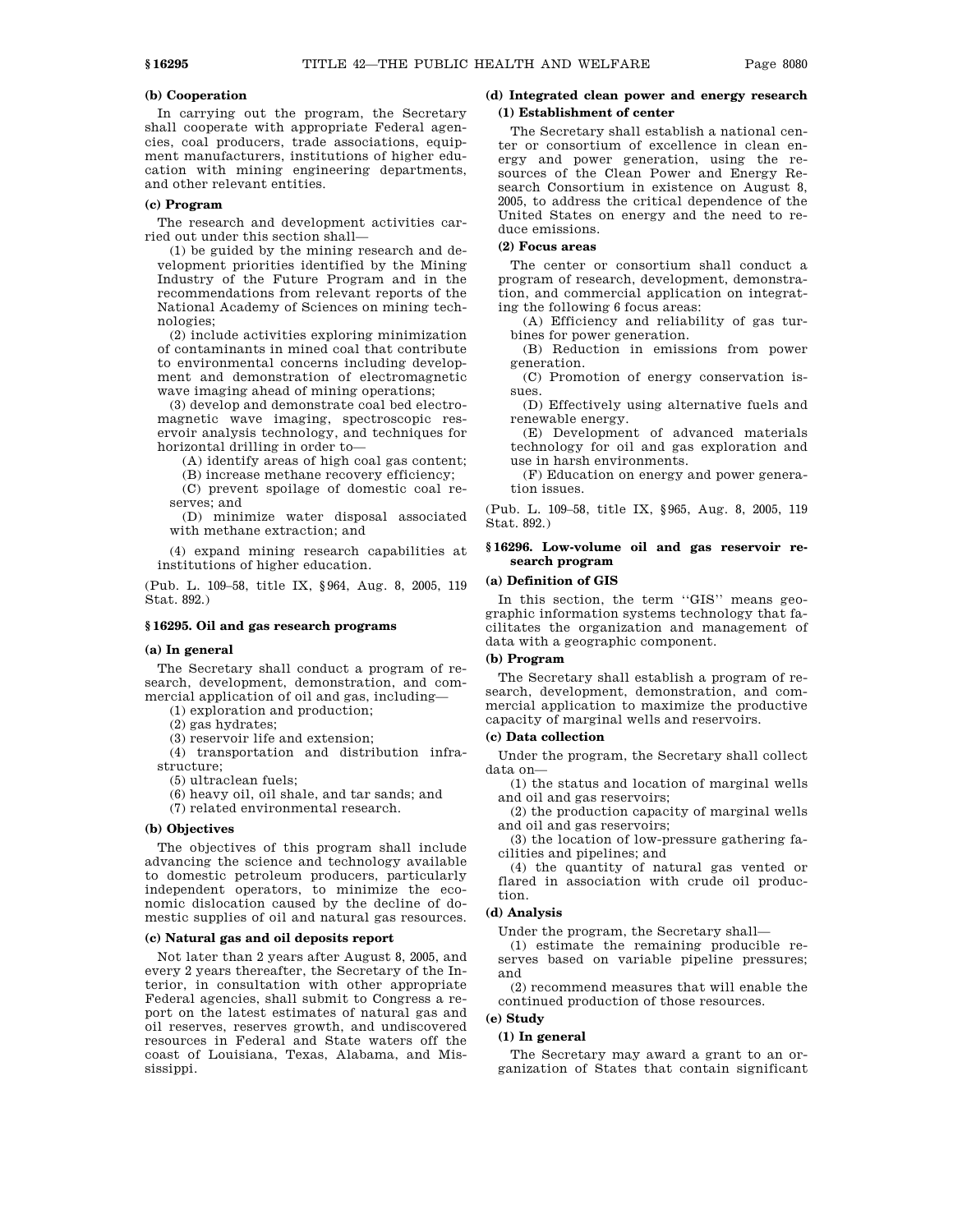# **(b) Cooperation**

In carrying out the program, the Secretary shall cooperate with appropriate Federal agencies, coal producers, trade associations, equipment manufacturers, institutions of higher education with mining engineering departments, and other relevant entities.

# **(c) Program**

The research and development activities carried out under this section shall—

(1) be guided by the mining research and development priorities identified by the Mining Industry of the Future Program and in the recommendations from relevant reports of the National Academy of Sciences on mining technologies;

(2) include activities exploring minimization of contaminants in mined coal that contribute to environmental concerns including development and demonstration of electromagnetic wave imaging ahead of mining operations;

(3) develop and demonstrate coal bed electromagnetic wave imaging, spectroscopic reservoir analysis technology, and techniques for horizontal drilling in order to—

(A) identify areas of high coal gas content;

(B) increase methane recovery efficiency;

(C) prevent spoilage of domestic coal reserves; and

(D) minimize water disposal associated with methane extraction; and

(4) expand mining research capabilities at institutions of higher education.

(Pub. L. 109–58, title IX, §964, Aug. 8, 2005, 119 Stat. 892.)

#### **§ 16295. Oil and gas research programs**

#### **(a) In general**

The Secretary shall conduct a program of research, development, demonstration, and commercial application of oil and gas, including—

(1) exploration and production;

(2) gas hydrates;

(3) reservoir life and extension;

(4) transportation and distribution infrastructure;

(5) ultraclean fuels;

(6) heavy oil, oil shale, and tar sands; and

(7) related environmental research.

## **(b) Objectives**

The objectives of this program shall include advancing the science and technology available to domestic petroleum producers, particularly independent operators, to minimize the economic dislocation caused by the decline of domestic supplies of oil and natural gas resources.

# **(c) Natural gas and oil deposits report**

Not later than 2 years after August 8, 2005, and every 2 years thereafter, the Secretary of the Interior, in consultation with other appropriate Federal agencies, shall submit to Congress a report on the latest estimates of natural gas and oil reserves, reserves growth, and undiscovered resources in Federal and State waters off the coast of Louisiana, Texas, Alabama, and Mississippi.

# **(d) Integrated clean power and energy research (1) Establishment of center**

The Secretary shall establish a national center or consortium of excellence in clean energy and power generation, using the resources of the Clean Power and Energy Research Consortium in existence on August 8, 2005, to address the critical dependence of the United States on energy and the need to reduce emissions.

# **(2) Focus areas**

The center or consortium shall conduct a program of research, development, demonstration, and commercial application on integrating the following 6 focus areas:

(A) Efficiency and reliability of gas turbines for power generation.

(B) Reduction in emissions from power generation.

(C) Promotion of energy conservation issues.

(D) Effectively using alternative fuels and renewable energy.

(E) Development of advanced materials technology for oil and gas exploration and use in harsh environments.

(F) Education on energy and power generation issues.

(Pub. L. 109–58, title IX, §965, Aug. 8, 2005, 119 Stat. 892.)

# **§ 16296. Low-volume oil and gas reservoir research program**

#### **(a) Definition of GIS**

In this section, the term ''GIS'' means geographic information systems technology that facilitates the organization and management of data with a geographic component.

# **(b) Program**

The Secretary shall establish a program of research, development, demonstration, and commercial application to maximize the productive capacity of marginal wells and reservoirs.

# **(c) Data collection**

Under the program, the Secretary shall collect data on—

(1) the status and location of marginal wells and oil and gas reservoirs;

(2) the production capacity of marginal wells and oil and gas reservoirs;

(3) the location of low-pressure gathering facilities and pipelines; and

(4) the quantity of natural gas vented or flared in association with crude oil production.

### **(d) Analysis**

Under the program, the Secretary shall—

(1) estimate the remaining producible reserves based on variable pipeline pressures; and

(2) recommend measures that will enable the continued production of those resources.

# **(e) Study**

# **(1) In general**

The Secretary may award a grant to an organization of States that contain significant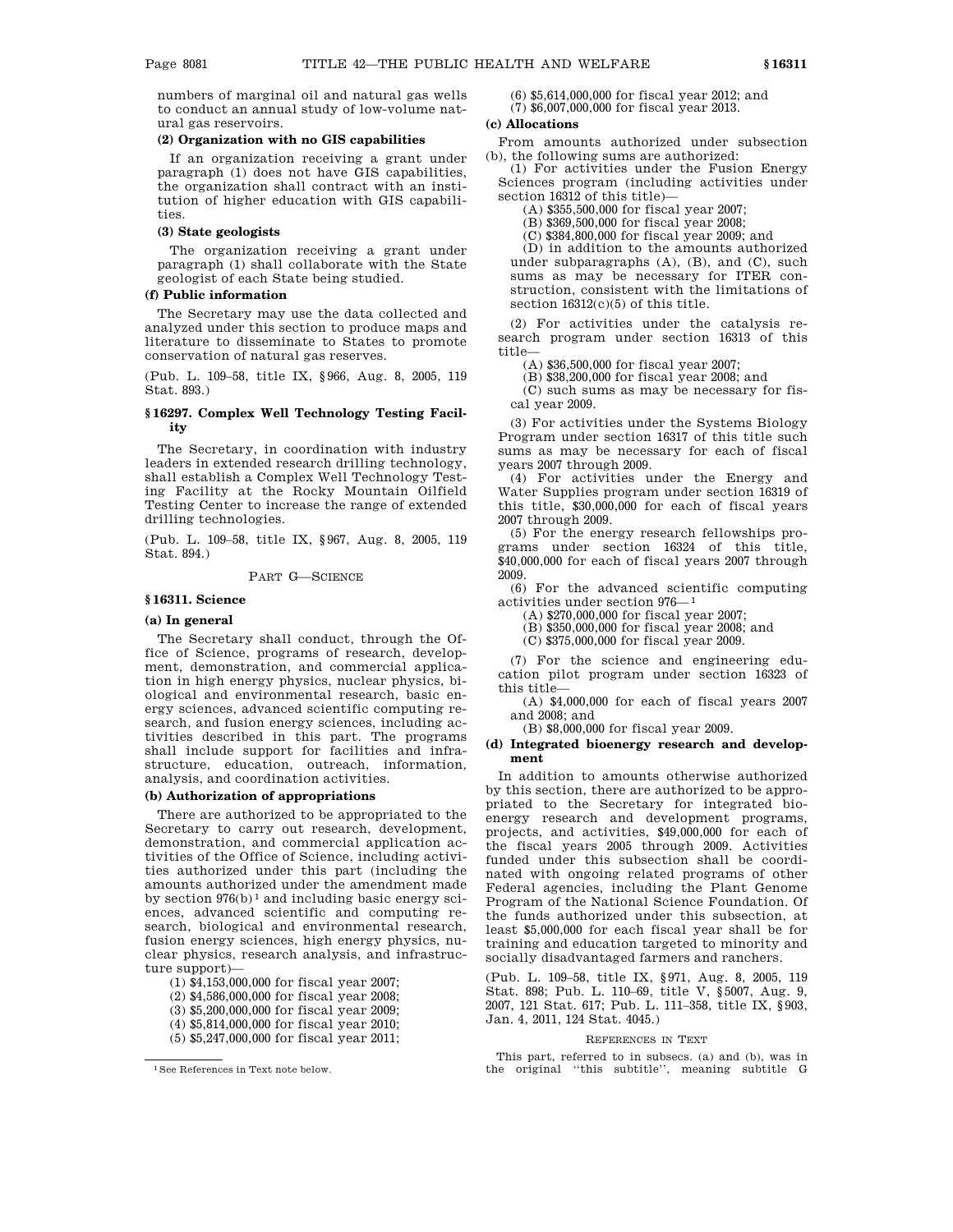numbers of marginal oil and natural gas wells to conduct an annual study of low-volume natural gas reservoirs.

# **(2) Organization with no GIS capabilities**

If an organization receiving a grant under paragraph (1) does not have GIS capabilities, the organization shall contract with an institution of higher education with GIS capabilities.

# **(3) State geologists**

The organization receiving a grant under paragraph (1) shall collaborate with the State geologist of each State being studied.

# **(f) Public information**

The Secretary may use the data collected and analyzed under this section to produce maps and literature to disseminate to States to promote conservation of natural gas reserves.

(Pub. L. 109–58, title IX, §966, Aug. 8, 2005, 119 Stat. 893.)

# **§ 16297. Complex Well Technology Testing Facility**

The Secretary, in coordination with industry leaders in extended research drilling technology, shall establish a Complex Well Technology Testing Facility at the Rocky Mountain Oilfield Testing Center to increase the range of extended drilling technologies.

(Pub. L. 109–58, title IX, §967, Aug. 8, 2005, 119 Stat. 894.)

PART G—SCIENCE

# **§ 16311. Science**

#### **(a) In general**

The Secretary shall conduct, through the Office of Science, programs of research, development, demonstration, and commercial application in high energy physics, nuclear physics, biological and environmental research, basic energy sciences, advanced scientific computing research, and fusion energy sciences, including activities described in this part. The programs shall include support for facilities and infrastructure, education, outreach, information, analysis, and coordination activities.

### **(b) Authorization of appropriations**

There are authorized to be appropriated to the Secretary to carry out research, development, demonstration, and commercial application activities of the Office of Science, including activities authorized under this part (including the amounts authorized under the amendment made by section  $976(b)^1$  and including basic energy sciences, advanced scientific and computing research, biological and environmental research, fusion energy sciences, high energy physics, nuclear physics, research analysis, and infrastructure support)—

(1) \$4,153,000,000 for fiscal year 2007;

- (2) \$4,586,000,000 for fiscal year 2008;
- (3) \$5,200,000,000 for fiscal year 2009;
- (4) \$5,814,000,000 for fiscal year 2010;
- (5) \$5,247,000,000 for fiscal year 2011;

(6) \$5,614,000,000 for fiscal year 2012; and

# (7) \$6,007,000,000 for fiscal year 2013.

## **(c) Allocations**

From amounts authorized under subsection (b), the following sums are authorized:

(1) For activities under the Fusion Energy Sciences program (including activities under section 16312 of this title)—

(A) \$355,500,000 for fiscal year 2007;

(B) \$369,500,000 for fiscal year 2008;

(C) \$384,800,000 for fiscal year 2009; and

(D) in addition to the amounts authorized under subparagraphs (A), (B), and (C), such sums as may be necessary for ITER construction, consistent with the limitations of section  $16312(c)(5)$  of this title.

(2) For activities under the catalysis research program under section 16313 of this title—

(A) \$36,500,000 for fiscal year 2007;

(B) \$38,200,000 for fiscal year 2008; and

(C) such sums as may be necessary for fiscal year 2009.

(3) For activities under the Systems Biology Program under section 16317 of this title such sums as may be necessary for each of fiscal years 2007 through 2009.

(4) For activities under the Energy and Water Supplies program under section 16319 of this title, \$30,000,000 for each of fiscal years 2007 through 2009.

(5) For the energy research fellowships programs under section 16324 of this title, \$40,000,000 for each of fiscal years 2007 through 2009.

(6) For the advanced scientific computing activities under section 976—1

(A) \$270,000,000 for fiscal year 2007;

(B) \$350,000,000 for fiscal year 2008; and

(C) \$375,000,000 for fiscal year 2009.

(7) For the science and engineering education pilot program under section 16323 of this title—

(A) \$4,000,000 for each of fiscal years 2007 and 2008; and

(B) \$8,000,000 for fiscal year 2009.

### **(d) Integrated bioenergy research and development**

In addition to amounts otherwise authorized by this section, there are authorized to be appropriated to the Secretary for integrated bioenergy research and development programs, projects, and activities, \$49,000,000 for each of the fiscal years 2005 through 2009. Activities funded under this subsection shall be coordinated with ongoing related programs of other Federal agencies, including the Plant Genome Program of the National Science Foundation. Of the funds authorized under this subsection, at least \$5,000,000 for each fiscal year shall be for training and education targeted to minority and socially disadvantaged farmers and ranchers.

(Pub. L. 109–58, title IX, §971, Aug. 8, 2005, 119 Stat. 898; Pub. L. 110–69, title V, §5007, Aug. 9, 2007, 121 Stat. 617; Pub. L. 111–358, title IX, §903, Jan. 4, 2011, 124 Stat. 4045.)

#### REFERENCES IN TEXT

This part, referred to in subsecs. (a) and (b), was in the original ''this subtitle'', meaning subtitle G

<sup>1</sup>See References in Text note below.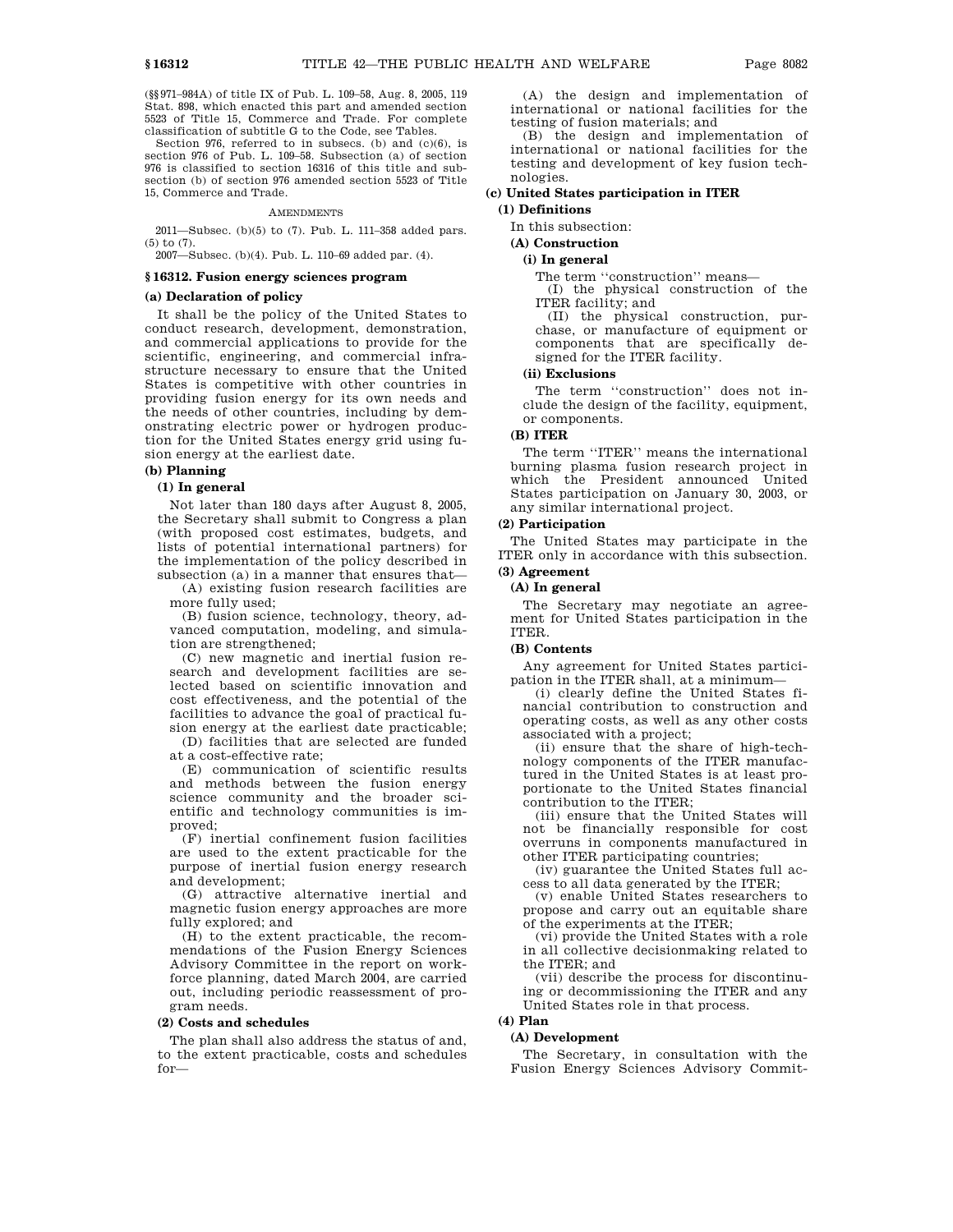(§§971–984A) of title IX of Pub. L. 109–58, Aug. 8, 2005, 119 Stat. 898, which enacted this part and amended section 5523 of Title 15, Commerce and Trade. For complete classification of subtitle G to the Code, see Tables.

Section 976, referred to in subsecs. (b) and (c)(6), is section 976 of Pub. L. 109–58. Subsection (a) of section 976 is classified to section 16316 of this title and subsection (b) of section 976 amended section 5523 of Title 15, Commerce and Trade.

#### AMENDMENTS

2011—Subsec. (b)(5) to (7). Pub. L. 111–358 added pars. (5) to (7). 2007—Subsec. (b)(4). Pub. L. 110–69 added par. (4).

# **§ 16312. Fusion energy sciences program**

# **(a) Declaration of policy**

It shall be the policy of the United States to conduct research, development, demonstration, and commercial applications to provide for the scientific, engineering, and commercial infrastructure necessary to ensure that the United States is competitive with other countries in providing fusion energy for its own needs and the needs of other countries, including by demonstrating electric power or hydrogen production for the United States energy grid using fusion energy at the earliest date.

# **(b) Planning**

# **(1) In general**

Not later than 180 days after August 8, 2005, the Secretary shall submit to Congress a plan (with proposed cost estimates, budgets, and lists of potential international partners) for the implementation of the policy described in subsection (a) in a manner that ensures that—

(A) existing fusion research facilities are more fully used;

(B) fusion science, technology, theory, advanced computation, modeling, and simulation are strengthened;

(C) new magnetic and inertial fusion research and development facilities are selected based on scientific innovation and cost effectiveness, and the potential of the facilities to advance the goal of practical fusion energy at the earliest date practicable;

(D) facilities that are selected are funded at a cost-effective rate;

(E) communication of scientific results and methods between the fusion energy science community and the broader scientific and technology communities is improved;

(F) inertial confinement fusion facilities are used to the extent practicable for the purpose of inertial fusion energy research and development;

(G) attractive alternative inertial and magnetic fusion energy approaches are more fully explored; and

(H) to the extent practicable, the recommendations of the Fusion Energy Sciences Advisory Committee in the report on workforce planning, dated March 2004, are carried out, including periodic reassessment of program needs.

#### **(2) Costs and schedules**

The plan shall also address the status of and, to the extent practicable, costs and schedules for—

(A) the design and implementation of international or national facilities for the testing of fusion materials; and

(B) the design and implementation of international or national facilities for the testing and development of key fusion technologies.

### **(c) United States participation in ITER (1) Definitions**

# In this subsection:

**(A) Construction**

## **(i) In general**

The term ''construction'' means—

(I) the physical construction of the ITER facility; and

(II) the physical construction, purchase, or manufacture of equipment or components that are specifically designed for the ITER facility.

## **(ii) Exclusions**

The term "construction" does not include the design of the facility, equipment, or components.

# **(B) ITER**

The term ''ITER'' means the international burning plasma fusion research project in which the President announced United States participation on January 30, 2003, or any similar international project.

### **(2) Participation**

The United States may participate in the ITER only in accordance with this subsection.

# **(3) Agreement**

# **(A) In general**

The Secretary may negotiate an agreement for United States participation in the ITER.

# **(B) Contents**

Any agreement for United States participation in the ITER shall, at a minimum—

(i) clearly define the United States financial contribution to construction and operating costs, as well as any other costs associated with a project;

(ii) ensure that the share of high-technology components of the ITER manufactured in the United States is at least proportionate to the United States financial contribution to the ITER;

(iii) ensure that the United States will not be financially responsible for cost overruns in components manufactured in other ITER participating countries;

(iv) guarantee the United States full access to all data generated by the ITER;

(v) enable United States researchers to propose and carry out an equitable share of the experiments at the ITER;

(vi) provide the United States with a role in all collective decisionmaking related to the ITER; and

(vii) describe the process for discontinuing or decommissioning the ITER and any United States role in that process.

#### **(4) Plan**

#### **(A) Development**

The Secretary, in consultation with the Fusion Energy Sciences Advisory Commit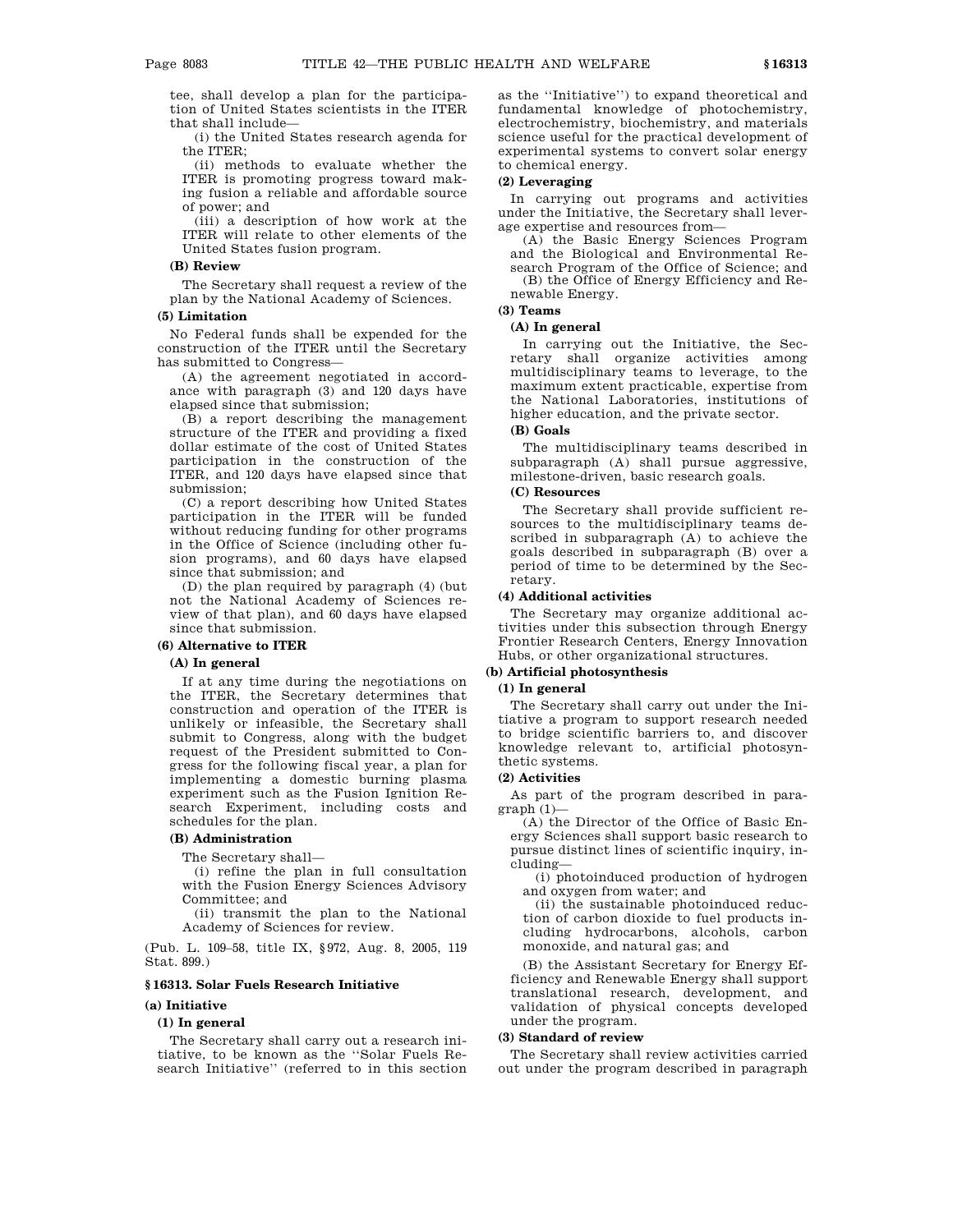tee, shall develop a plan for the participation of United States scientists in the ITER that shall include—

(i) the United States research agenda for the ITER;

(ii) methods to evaluate whether the ITER is promoting progress toward making fusion a reliable and affordable source of power; and

(iii) a description of how work at the ITER will relate to other elements of the United States fusion program.

#### **(B) Review**

The Secretary shall request a review of the plan by the National Academy of Sciences.

# **(5) Limitation**

No Federal funds shall be expended for the construction of the ITER until the Secretary has submitted to Congress—

(A) the agreement negotiated in accordance with paragraph (3) and 120 days have elapsed since that submission;

(B) a report describing the management structure of the ITER and providing a fixed dollar estimate of the cost of United States participation in the construction of the ITER, and 120 days have elapsed since that submission;

(C) a report describing how United States participation in the ITER will be funded without reducing funding for other programs in the Office of Science (including other fusion programs), and 60 days have elapsed since that submission; and

(D) the plan required by paragraph (4) (but not the National Academy of Sciences review of that plan), and 60 days have elapsed since that submission.

#### **(6) Alternative to ITER**

#### **(A) In general**

If at any time during the negotiations on the ITER, the Secretary determines that construction and operation of the ITER is unlikely or infeasible, the Secretary shall submit to Congress, along with the budget request of the President submitted to Congress for the following fiscal year, a plan for implementing a domestic burning plasma experiment such as the Fusion Ignition Research Experiment, including costs and schedules for the plan.

### **(B) Administration**

The Secretary shall—

(i) refine the plan in full consultation with the Fusion Energy Sciences Advisory Committee; and

(ii) transmit the plan to the National Academy of Sciences for review.

(Pub. L. 109–58, title IX, §972, Aug. 8, 2005, 119 Stat. 899.)

## **§ 16313. Solar Fuels Research Initiative**

#### **(a) Initiative**

### **(1) In general**

The Secretary shall carry out a research initiative, to be known as the ''Solar Fuels Research Initiative'' (referred to in this section as the ''Initiative'') to expand theoretical and fundamental knowledge of photochemistry, electrochemistry, biochemistry, and materials science useful for the practical development of experimental systems to convert solar energy to chemical energy.

# **(2) Leveraging**

In carrying out programs and activities under the Initiative, the Secretary shall leverage expertise and resources from—

(A) the Basic Energy Sciences Program and the Biological and Environmental Research Program of the Office of Science; and (B) the Office of Energy Efficiency and Renewable Energy.

# **(3) Teams**

## **(A) In general**

In carrying out the Initiative, the Secretary shall organize activities among multidisciplinary teams to leverage, to the maximum extent practicable, expertise from the National Laboratories, institutions of higher education, and the private sector.

# **(B) Goals**

The multidisciplinary teams described in subparagraph (A) shall pursue aggressive, milestone-driven, basic research goals.

# **(C) Resources**

The Secretary shall provide sufficient resources to the multidisciplinary teams described in subparagraph (A) to achieve the goals described in subparagraph (B) over a period of time to be determined by the Secretary.

# **(4) Additional activities**

The Secretary may organize additional activities under this subsection through Energy Frontier Research Centers, Energy Innovation Hubs, or other organizational structures.

# **(b) Artificial photosynthesis**

# **(1) In general**

The Secretary shall carry out under the Initiative a program to support research needed to bridge scientific barriers to, and discover knowledge relevant to, artificial photosynthetic systems.

### **(2) Activities**

As part of the program described in para $graph(1)$ -

(A) the Director of the Office of Basic Energy Sciences shall support basic research to pursue distinct lines of scientific inquiry, including—

(i) photoinduced production of hydrogen and oxygen from water; and

(ii) the sustainable photoinduced reduction of carbon dioxide to fuel products including hydrocarbons, alcohols, carbon monoxide, and natural gas; and

(B) the Assistant Secretary for Energy Efficiency and Renewable Energy shall support translational research, development, and validation of physical concepts developed under the program.

#### **(3) Standard of review**

The Secretary shall review activities carried out under the program described in paragraph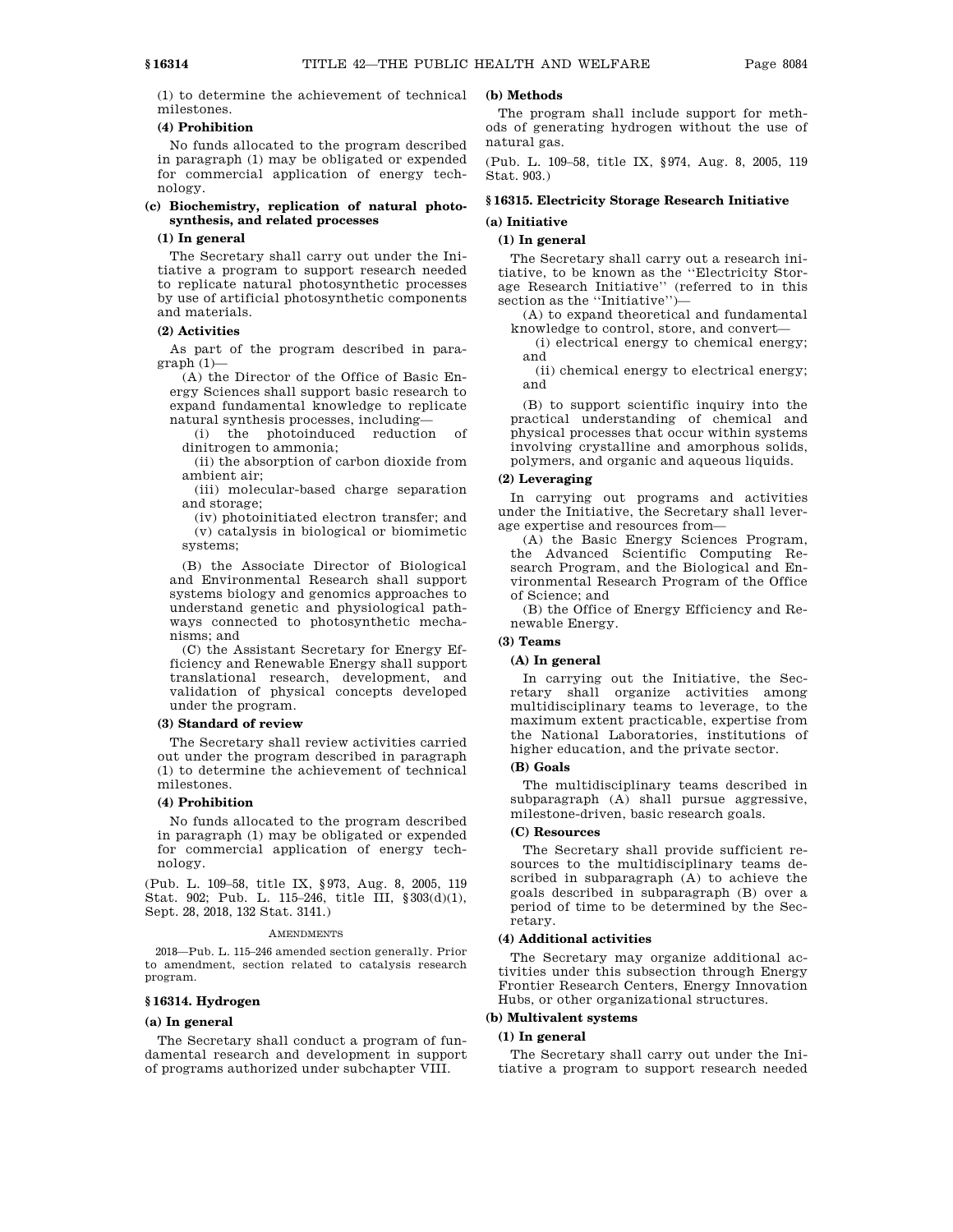(1) to determine the achievement of technical milestones.

# **(4) Prohibition**

No funds allocated to the program described in paragraph (1) may be obligated or expended for commercial application of energy technology.

# **(c) Biochemistry, replication of natural photosynthesis, and related processes**

# **(1) In general**

The Secretary shall carry out under the Initiative a program to support research needed to replicate natural photosynthetic processes by use of artificial photosynthetic components and materials.

# **(2) Activities**

As part of the program described in paragraph (1)—

(A) the Director of the Office of Basic Energy Sciences shall support basic research to expand fundamental knowledge to replicate natural synthesis processes, including—

(i) the photoinduced reduction of dinitrogen to ammonia;

(ii) the absorption of carbon dioxide from ambient air;

(iii) molecular-based charge separation and storage;

(iv) photoinitiated electron transfer; and (v) catalysis in biological or biomimetic systems;

(B) the Associate Director of Biological and Environmental Research shall support systems biology and genomics approaches to understand genetic and physiological pathways connected to photosynthetic mechanisms; and

(C) the Assistant Secretary for Energy Efficiency and Renewable Energy shall support translational research, development, and validation of physical concepts developed under the program.

### **(3) Standard of review**

The Secretary shall review activities carried out under the program described in paragraph (1) to determine the achievement of technical milestones.

# **(4) Prohibition**

No funds allocated to the program described in paragraph (1) may be obligated or expended for commercial application of energy technology.

(Pub. L. 109–58, title IX, §973, Aug. 8, 2005, 119 Stat. 902; Pub. L. 115–246, title III, §303(d)(1), Sept. 28, 2018, 132 Stat. 3141.)

#### **AMENDMENTS**

2018—Pub. L. 115–246 amended section generally. Prior to amendment, section related to catalysis research program.

# **§ 16314. Hydrogen**

### **(a) In general**

The Secretary shall conduct a program of fundamental research and development in support of programs authorized under subchapter VIII.

# **(b) Methods**

The program shall include support for methods of generating hydrogen without the use of natural gas.

(Pub. L. 109–58, title IX, §974, Aug. 8, 2005, 119 Stat. 903.)

# **§ 16315. Electricity Storage Research Initiative (a) Initiative**

# **(1) In general**

The Secretary shall carry out a research initiative, to be known as the ''Electricity Storage Research Initiative'' (referred to in this section as the "Initiative")—

(A) to expand theoretical and fundamental knowledge to control, store, and convert—

(i) electrical energy to chemical energy; and

(ii) chemical energy to electrical energy; and

(B) to support scientific inquiry into the practical understanding of chemical and physical processes that occur within systems involving crystalline and amorphous solids, polymers, and organic and aqueous liquids.

#### **(2) Leveraging**

In carrying out programs and activities under the Initiative, the Secretary shall leverage expertise and resources from—

(A) the Basic Energy Sciences Program, the Advanced Scientific Computing Research Program, and the Biological and Environmental Research Program of the Office of Science; and

(B) the Office of Energy Efficiency and Renewable Energy.

### **(3) Teams**

#### **(A) In general**

In carrying out the Initiative, the Secretary shall organize activities among multidisciplinary teams to leverage, to the maximum extent practicable, expertise from the National Laboratories, institutions of higher education, and the private sector.

# **(B) Goals**

The multidisciplinary teams described in subparagraph (A) shall pursue aggressive, milestone-driven, basic research goals.

#### **(C) Resources**

The Secretary shall provide sufficient resources to the multidisciplinary teams described in subparagraph (A) to achieve the goals described in subparagraph (B) over a period of time to be determined by the Secretary.

# **(4) Additional activities**

The Secretary may organize additional activities under this subsection through Energy Frontier Research Centers, Energy Innovation Hubs, or other organizational structures.

# **(b) Multivalent systems**

# **(1) In general**

The Secretary shall carry out under the Initiative a program to support research needed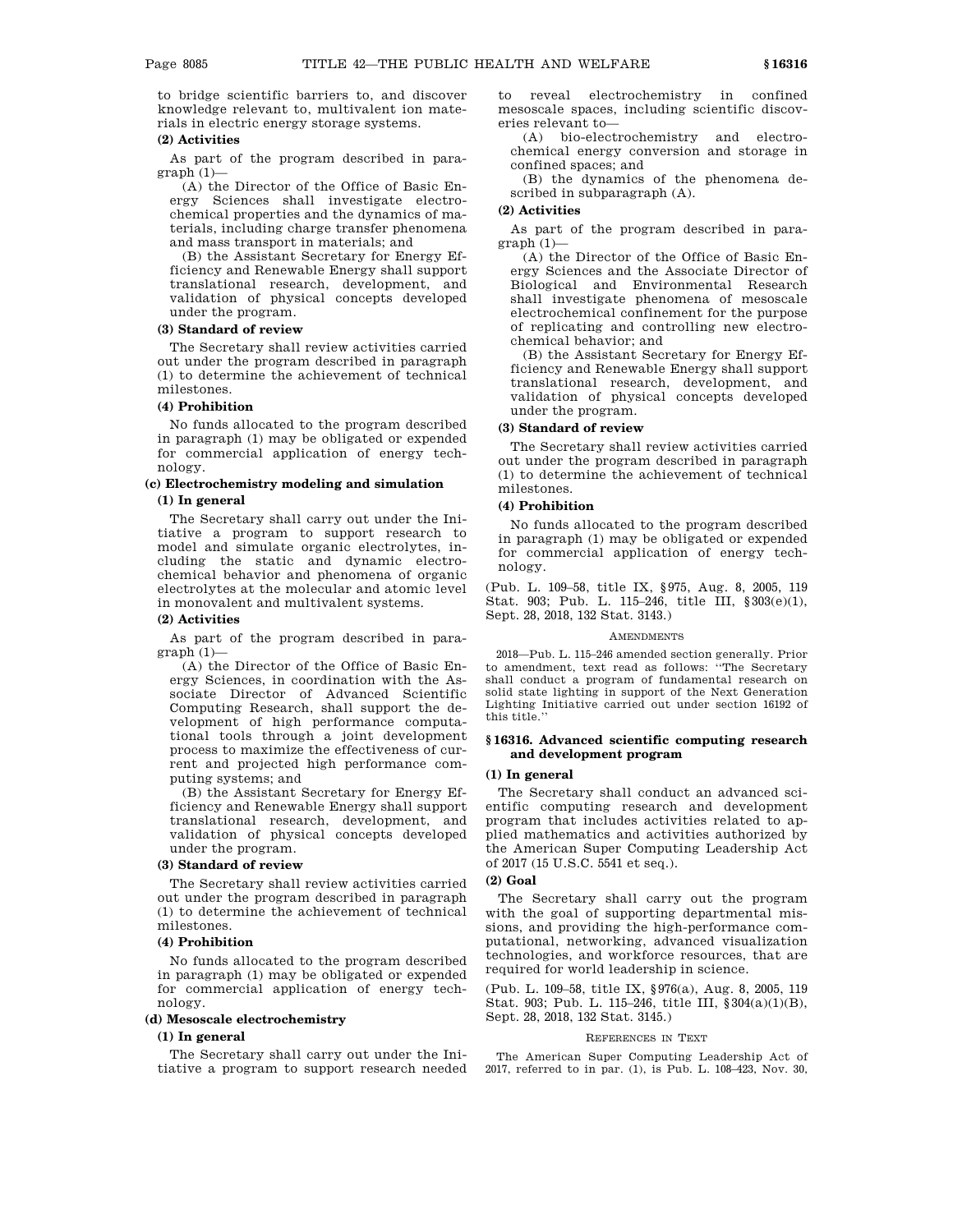to bridge scientific barriers to, and discover knowledge relevant to, multivalent ion materials in electric energy storage systems.

#### **(2) Activities**

As part of the program described in para $graph(1)$ —

(A) the Director of the Office of Basic Energy Sciences shall investigate electrochemical properties and the dynamics of materials, including charge transfer phenomena and mass transport in materials; and

(B) the Assistant Secretary for Energy Efficiency and Renewable Energy shall support translational research, development, and validation of physical concepts developed under the program.

# **(3) Standard of review**

The Secretary shall review activities carried out under the program described in paragraph (1) to determine the achievement of technical milestones.

### **(4) Prohibition**

No funds allocated to the program described in paragraph (1) may be obligated or expended for commercial application of energy technology.

#### **(c) Electrochemistry modeling and simulation**

### **(1) In general**

The Secretary shall carry out under the Initiative a program to support research to model and simulate organic electrolytes, including the static and dynamic electrochemical behavior and phenomena of organic electrolytes at the molecular and atomic level in monovalent and multivalent systems.

## **(2) Activities**

As part of the program described in para $graph (1)$ -

(A) the Director of the Office of Basic Energy Sciences, in coordination with the Associate Director of Advanced Scientific Computing Research, shall support the development of high performance computational tools through a joint development process to maximize the effectiveness of current and projected high performance computing systems; and

(B) the Assistant Secretary for Energy Efficiency and Renewable Energy shall support translational research, development, and validation of physical concepts developed under the program.

## **(3) Standard of review**

The Secretary shall review activities carried out under the program described in paragraph (1) to determine the achievement of technical milestones.

# **(4) Prohibition**

No funds allocated to the program described in paragraph (1) may be obligated or expended for commercial application of energy technology.

#### **(d) Mesoscale electrochemistry**

# **(1) In general**

The Secretary shall carry out under the Initiative a program to support research needed to reveal electrochemistry in confined mesoscale spaces, including scientific discoveries relevant to—

(A) bio-electrochemistry and electrochemical energy conversion and storage in confined spaces; and

(B) the dynamics of the phenomena described in subparagraph (A).

# **(2) Activities**

As part of the program described in para $graph(1)$ —

(A) the Director of the Office of Basic Energy Sciences and the Associate Director of Biological and Environmental Research shall investigate phenomena of mesoscale electrochemical confinement for the purpose of replicating and controlling new electrochemical behavior; and

(B) the Assistant Secretary for Energy Efficiency and Renewable Energy shall support translational research, development, and validation of physical concepts developed under the program.

# **(3) Standard of review**

The Secretary shall review activities carried out under the program described in paragraph (1) to determine the achievement of technical milestones.

# **(4) Prohibition**

No funds allocated to the program described in paragraph (1) may be obligated or expended for commercial application of energy technology.

(Pub. L. 109–58, title IX, §975, Aug. 8, 2005, 119 Stat. 903; Pub. L. 115–246, title III, §303(e)(1), Sept. 28, 2018, 132 Stat. 3143.)

#### **AMENDMENTS**

2018—Pub. L. 115–246 amended section generally. Prior to amendment, text read as follows: ''The Secretary shall conduct a program of fundamental research on solid state lighting in support of the Next Generation Lighting Initiative carried out under section 16192 of this title.''

# **§ 16316. Advanced scientific computing research and development program**

#### **(1) In general**

The Secretary shall conduct an advanced scientific computing research and development program that includes activities related to applied mathematics and activities authorized by the American Super Computing Leadership Act of 2017 (15 U.S.C. 5541 et seq.).

### **(2) Goal**

The Secretary shall carry out the program with the goal of supporting departmental missions, and providing the high-performance computational, networking, advanced visualization technologies, and workforce resources, that are required for world leadership in science.

(Pub. L. 109–58, title IX, §976(a), Aug. 8, 2005, 119 Stat. 903; Pub. L. 115–246, title III, §304(a)(1)(B), Sept. 28, 2018, 132 Stat. 3145.)

#### REFERENCES IN TEXT

The American Super Computing Leadership Act of 2017, referred to in par. (1), is Pub. L. 108–423, Nov. 30,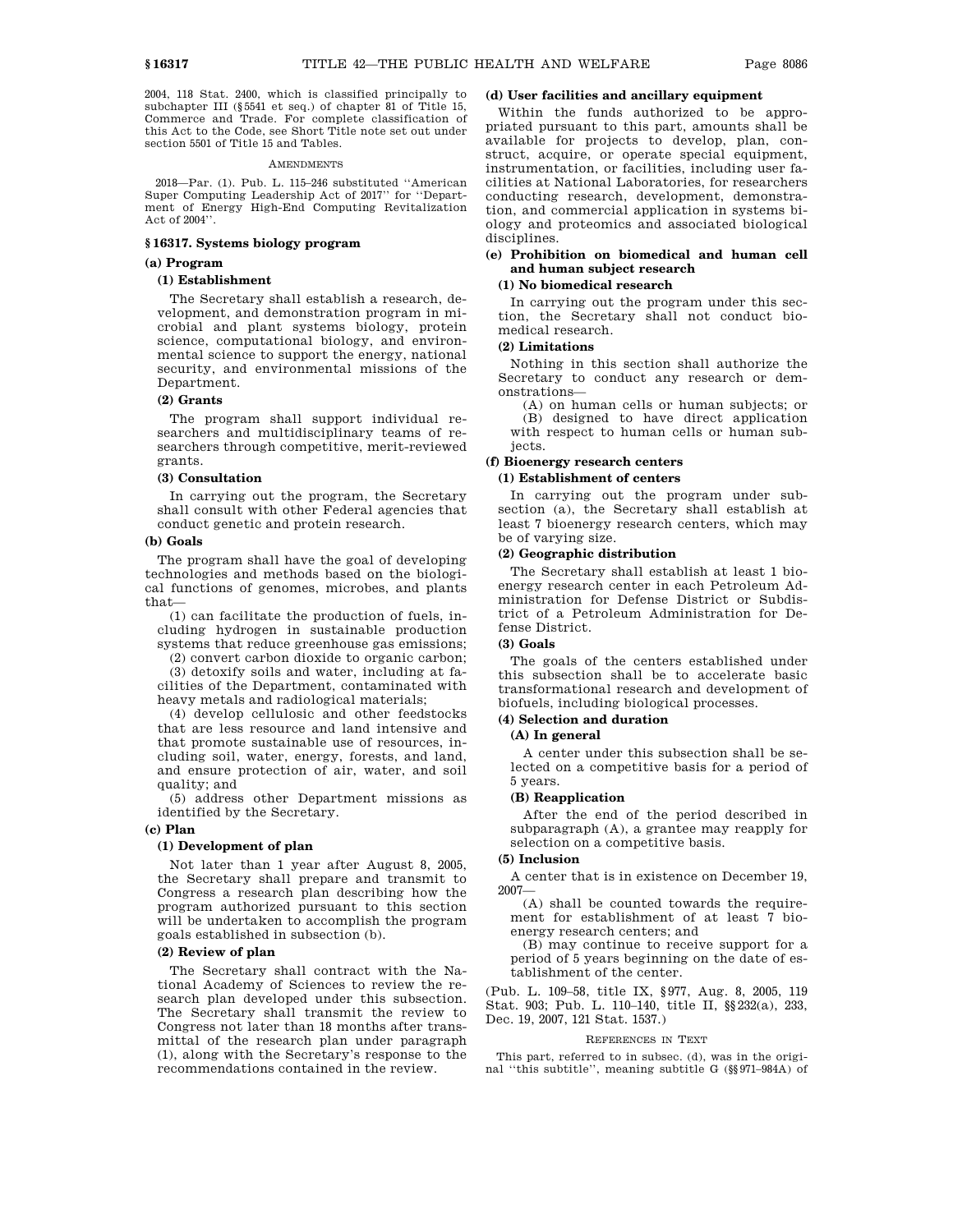2004, 118 Stat. 2400, which is classified principally to subchapter III (§5541 et seq.) of chapter 81 of Title 15, Commerce and Trade. For complete classification of this Act to the Code, see Short Title note set out under section 5501 of Title 15 and Tables.

#### **AMENDMENTS**

2018—Par. (1). Pub. L. 115–246 substituted ''American Super Computing Leadership Act of 2017'' for ''Department of Energy High-End Computing Revitalization Act of 2004''.

## **§ 16317. Systems biology program**

# **(a) Program**

# **(1) Establishment**

The Secretary shall establish a research, development, and demonstration program in microbial and plant systems biology, protein science, computational biology, and environmental science to support the energy, national security, and environmental missions of the Department.

# **(2) Grants**

The program shall support individual researchers and multidisciplinary teams of researchers through competitive, merit-reviewed grants.

# **(3) Consultation**

In carrying out the program, the Secretary shall consult with other Federal agencies that conduct genetic and protein research.

#### **(b) Goals**

The program shall have the goal of developing technologies and methods based on the biological functions of genomes, microbes, and plants that—

(1) can facilitate the production of fuels, including hydrogen in sustainable production systems that reduce greenhouse gas emissions;

(2) convert carbon dioxide to organic carbon;

(3) detoxify soils and water, including at facilities of the Department, contaminated with heavy metals and radiological materials;

(4) develop cellulosic and other feedstocks that are less resource and land intensive and that promote sustainable use of resources, including soil, water, energy, forests, and land, and ensure protection of air, water, and soil quality; and

(5) address other Department missions as identified by the Secretary.

# **(c) Plan**

# **(1) Development of plan**

Not later than 1 year after August 8, 2005, the Secretary shall prepare and transmit to Congress a research plan describing how the program authorized pursuant to this section will be undertaken to accomplish the program goals established in subsection (b).

# **(2) Review of plan**

The Secretary shall contract with the National Academy of Sciences to review the research plan developed under this subsection. The Secretary shall transmit the review to Congress not later than 18 months after transmittal of the research plan under paragraph (1), along with the Secretary's response to the recommendations contained in the review.

# **(d) User facilities and ancillary equipment**

Within the funds authorized to be appropriated pursuant to this part, amounts shall be available for projects to develop, plan, construct, acquire, or operate special equipment, instrumentation, or facilities, including user facilities at National Laboratories, for researchers conducting research, development, demonstration, and commercial application in systems biology and proteomics and associated biological disciplines.

# **(e) Prohibition on biomedical and human cell and human subject research**

# **(1) No biomedical research**

In carrying out the program under this section, the Secretary shall not conduct biomedical research.

#### **(2) Limitations**

Nothing in this section shall authorize the Secretary to conduct any research or demonstrations—

(A) on human cells or human subjects; or (B) designed to have direct application with respect to human cells or human sub-

# jects.

# **(f) Bioenergy research centers (1) Establishment of centers**

In carrying out the program under subsection (a), the Secretary shall establish at least 7 bioenergy research centers, which may be of varying size.

#### **(2) Geographic distribution**

The Secretary shall establish at least 1 bioenergy research center in each Petroleum Administration for Defense District or Subdistrict of a Petroleum Administration for Defense District.

# **(3) Goals**

The goals of the centers established under this subsection shall be to accelerate basic transformational research and development of biofuels, including biological processes.

# **(4) Selection and duration**

# **(A) In general**

A center under this subsection shall be selected on a competitive basis for a period of 5 years.

# **(B) Reapplication**

After the end of the period described in subparagraph (A), a grantee may reapply for selection on a competitive basis.

# **(5) Inclusion**

A center that is in existence on December 19, 2007—

(A) shall be counted towards the requirement for establishment of at least 7 bioenergy research centers; and

(B) may continue to receive support for a period of 5 years beginning on the date of establishment of the center.

(Pub. L. 109–58, title IX, §977, Aug. 8, 2005, 119 Stat. 903; Pub. L. 110–140, title II, §§232(a), 233, Dec. 19, 2007, 121 Stat. 1537.)

#### REFERENCES IN TEXT

This part, referred to in subsec. (d), was in the original ''this subtitle'', meaning subtitle G (§§971–984A) of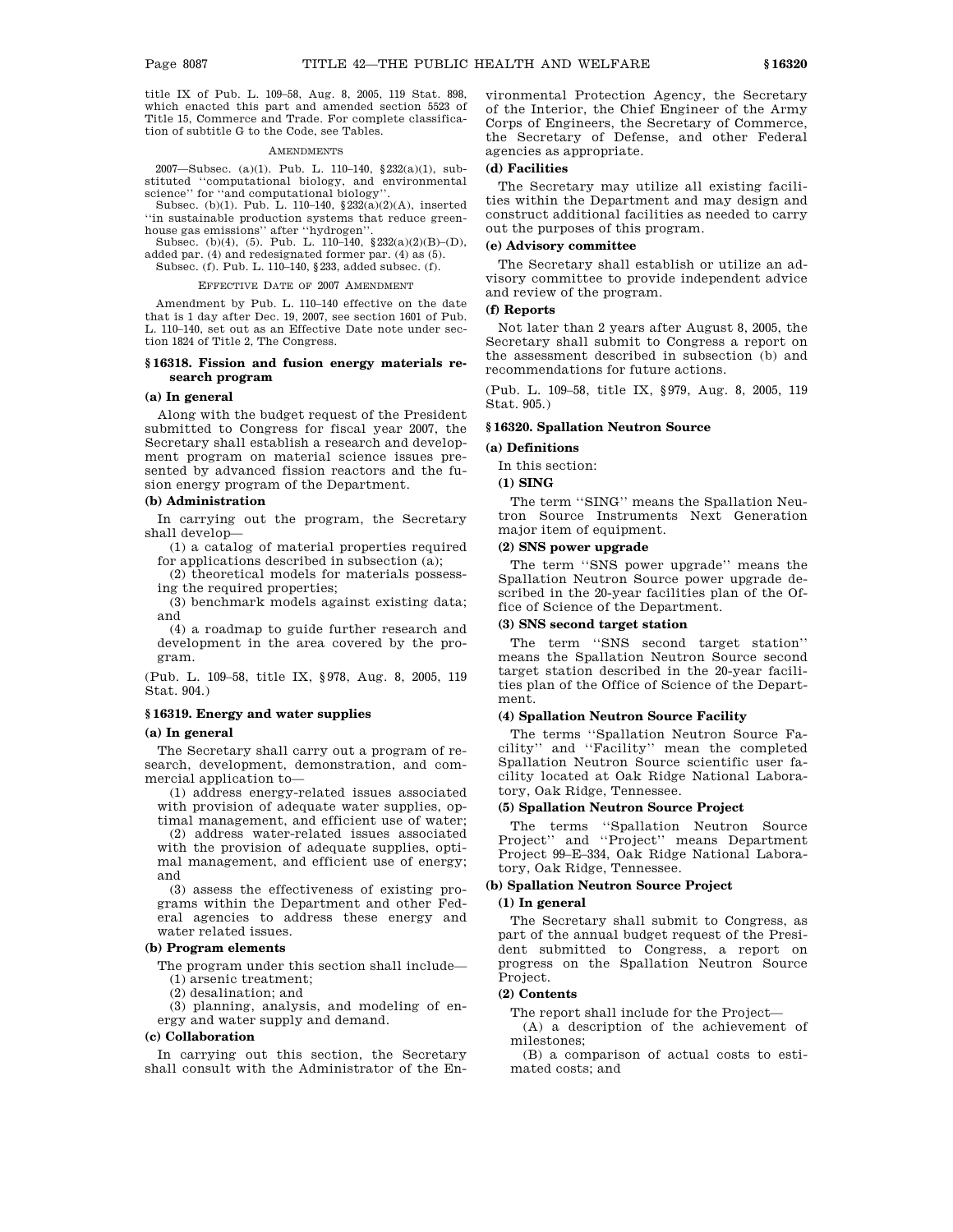title IX of Pub. L. 109–58, Aug. 8, 2005, 119 Stat. 898, which enacted this part and amended section 5523 of Title 15, Commerce and Trade. For complete classification of subtitle G to the Code, see Tables.

#### **AMENDMENTS**

2007—Subsec. (a)(1). Pub. L. 110–140, §232(a)(1), substituted ''computational biology, and environmental science" for "and computational biology

Subsec. (b)(1). Pub. L. 110–140,  $\frac{232(a)(2)(A)}{b^2}$ , inserted ''in sustainable production systems that reduce greenhouse gas emissions'' after ''hydrogen''.

Subsec. (b)(4), (5). Pub. L. 110–140, §232(a)(2)(B)–(D), added par. (4) and redesignated former par. (4) as (5).

Subsec. (f). Pub. L. 110–140, §233, added subsec. (f).

#### EFFECTIVE DATE OF 2007 AMENDMENT

Amendment by Pub. L. 110–140 effective on the date that is 1 day after Dec. 19, 2007, see section 1601 of Pub. L. 110–140, set out as an Effective Date note under section 1824 of Title 2, The Congress.

# **§ 16318. Fission and fusion energy materials research program**

#### **(a) In general**

Along with the budget request of the President submitted to Congress for fiscal year 2007, the Secretary shall establish a research and development program on material science issues presented by advanced fission reactors and the fusion energy program of the Department.

### **(b) Administration**

In carrying out the program, the Secretary shall develop—

(1) a catalog of material properties required for applications described in subsection (a);

(2) theoretical models for materials possessing the required properties;

(3) benchmark models against existing data; and

(4) a roadmap to guide further research and development in the area covered by the program.

(Pub. L. 109–58, title IX, §978, Aug. 8, 2005, 119 Stat. 904.)

#### **§ 16319. Energy and water supplies**

#### **(a) In general**

The Secretary shall carry out a program of research, development, demonstration, and commercial application to—

(1) address energy-related issues associated with provision of adequate water supplies, optimal management, and efficient use of water;

(2) address water-related issues associated with the provision of adequate supplies, optimal management, and efficient use of energy; and

(3) assess the effectiveness of existing programs within the Department and other Federal agencies to address these energy and water related issues.

# **(b) Program elements**

The program under this section shall include—

(1) arsenic treatment;

(2) desalination; and

(3) planning, analysis, and modeling of energy and water supply and demand.

## **(c) Collaboration**

In carrying out this section, the Secretary shall consult with the Administrator of the Environmental Protection Agency, the Secretary of the Interior, the Chief Engineer of the Army Corps of Engineers, the Secretary of Commerce, the Secretary of Defense, and other Federal agencies as appropriate.

# **(d) Facilities**

The Secretary may utilize all existing facilities within the Department and may design and construct additional facilities as needed to carry out the purposes of this program.

# **(e) Advisory committee**

The Secretary shall establish or utilize an advisory committee to provide independent advice and review of the program.

# **(f) Reports**

Not later than 2 years after August 8, 2005, the Secretary shall submit to Congress a report on the assessment described in subsection (b) and recommendations for future actions.

(Pub. L. 109–58, title IX, §979, Aug. 8, 2005, 119 Stat. 905.)

# **§ 16320. Spallation Neutron Source**

## **(a) Definitions**

In this section:

**(1) SING**

The term ''SING'' means the Spallation Neutron Source Instruments Next Generation major item of equipment.

# **(2) SNS power upgrade**

The term ''SNS power upgrade'' means the Spallation Neutron Source power upgrade described in the 20-year facilities plan of the Office of Science of the Department.

# **(3) SNS second target station**

The term ''SNS second target station'' means the Spallation Neutron Source second target station described in the 20-year facilities plan of the Office of Science of the Department.

# **(4) Spallation Neutron Source Facility**

The terms ''Spallation Neutron Source Facility'' and ''Facility'' mean the completed Spallation Neutron Source scientific user facility located at Oak Ridge National Laboratory, Oak Ridge, Tennessee.

#### **(5) Spallation Neutron Source Project**

The terms ''Spallation Neutron Source Project'' and ''Project'' means Department Project 99–E–334, Oak Ridge National Laboratory, Oak Ridge, Tennessee.

### **(b) Spallation Neutron Source Project**

## **(1) In general**

The Secretary shall submit to Congress, as part of the annual budget request of the President submitted to Congress, a report on progress on the Spallation Neutron Source Project.

# **(2) Contents**

The report shall include for the Project—

(A) a description of the achievement of milestones;

(B) a comparison of actual costs to estimated costs; and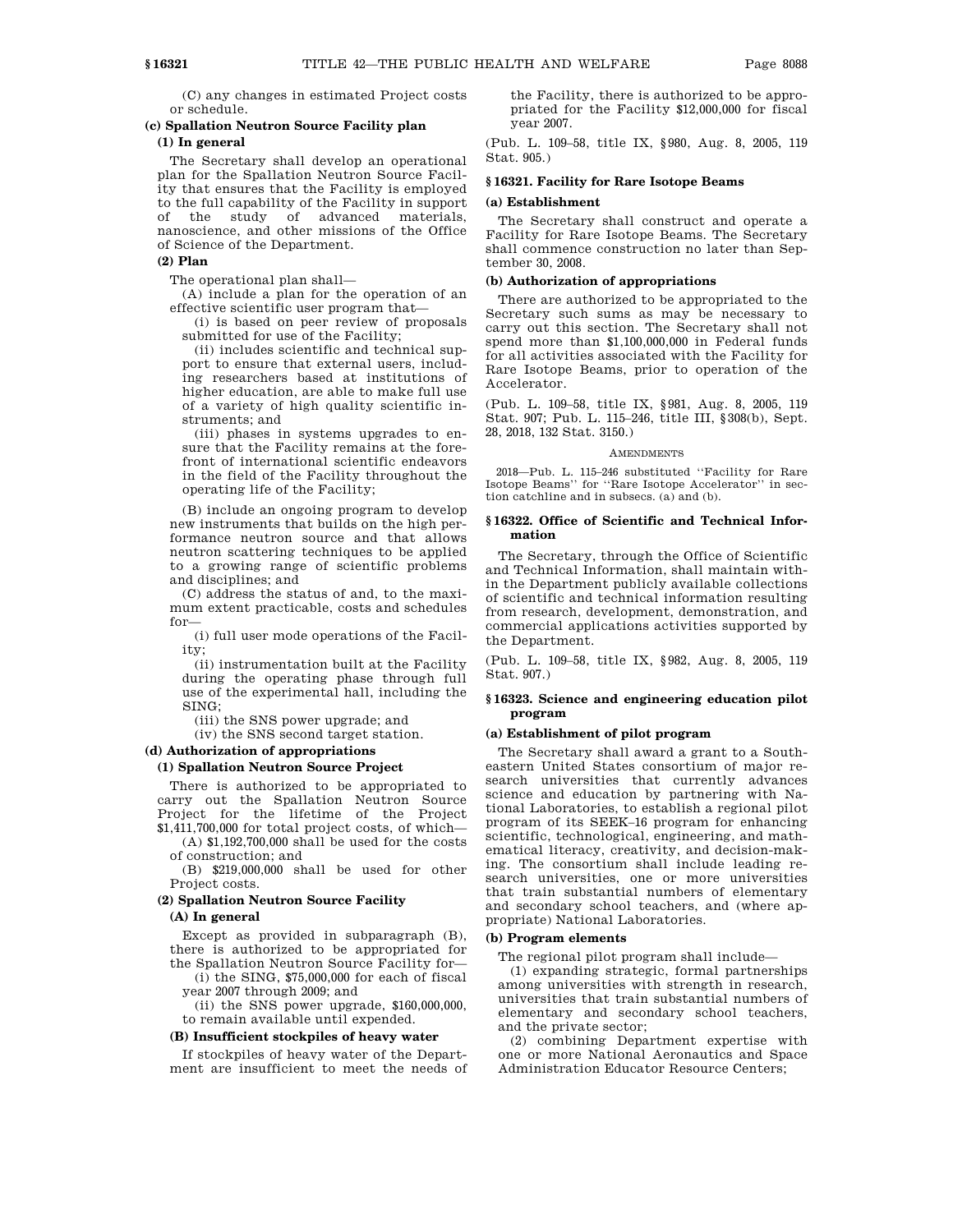(C) any changes in estimated Project costs or schedule.

# **(c) Spallation Neutron Source Facility plan**

# **(1) In general**

The Secretary shall develop an operational plan for the Spallation Neutron Source Facility that ensures that the Facility is employed to the full capability of the Facility in support of the study of advanced materials, nanoscience, and other missions of the Office of Science of the Department.

# **(2) Plan**

The operational plan shall—

(A) include a plan for the operation of an effective scientific user program that—

(i) is based on peer review of proposals submitted for use of the Facility;

(ii) includes scientific and technical support to ensure that external users, including researchers based at institutions of higher education, are able to make full use of a variety of high quality scientific instruments; and

(iii) phases in systems upgrades to ensure that the Facility remains at the forefront of international scientific endeavors in the field of the Facility throughout the operating life of the Facility;

(B) include an ongoing program to develop new instruments that builds on the high performance neutron source and that allows neutron scattering techniques to be applied to a growing range of scientific problems and disciplines; and

(C) address the status of and, to the maximum extent practicable, costs and schedules for—

(i) full user mode operations of the Facility;

(ii) instrumentation built at the Facility during the operating phase through full use of the experimental hall, including the SING;

(iii) the SNS power upgrade; and

(iv) the SNS second target station.

# **(d) Authorization of appropriations**

### **(1) Spallation Neutron Source Project**

There is authorized to be appropriated to carry out the Spallation Neutron Source Project for the lifetime of the Project \$1,411,700,000 for total project costs, of which—

(A) \$1,192,700,000 shall be used for the costs of construction; and

(B) \$219,000,000 shall be used for other Project costs.

# **(2) Spallation Neutron Source Facility**

#### **(A) In general**

Except as provided in subparagraph (B), there is authorized to be appropriated for the Spallation Neutron Source Facility for—

(i) the SING, \$75,000,000 for each of fiscal year 2007 through 2009; and

 $(ii)$  the SNS power upgrade,  $$160,000,000$ , to remain available until expended.

#### **(B) Insufficient stockpiles of heavy water**

If stockpiles of heavy water of the Department are insufficient to meet the needs of the Facility, there is authorized to be appropriated for the Facility \$12,000,000 for fiscal year 2007.

(Pub. L. 109–58, title IX, §980, Aug. 8, 2005, 119 Stat. 905.)

# **§ 16321. Facility for Rare Isotope Beams**

# **(a) Establishment**

The Secretary shall construct and operate a Facility for Rare Isotope Beams. The Secretary shall commence construction no later than September 30, 2008.

#### **(b) Authorization of appropriations**

There are authorized to be appropriated to the Secretary such sums as may be necessary to carry out this section. The Secretary shall not spend more than \$1,100,000,000 in Federal funds for all activities associated with the Facility for Rare Isotope Beams, prior to operation of the Accelerator.

(Pub. L. 109–58, title IX, §981, Aug. 8, 2005, 119 Stat. 907; Pub. L. 115–246, title III, §308(b), Sept. 28, 2018, 132 Stat. 3150.)

#### AMENDMENTS

2018—Pub. L. 115–246 substituted ''Facility for Rare Isotope Beams'' for ''Rare Isotope Accelerator'' in section catchline and in subsecs. (a) and (b).

### **§ 16322. Office of Scientific and Technical Information**

The Secretary, through the Office of Scientific and Technical Information, shall maintain within the Department publicly available collections of scientific and technical information resulting from research, development, demonstration, and commercial applications activities supported by the Department.

(Pub. L. 109–58, title IX, §982, Aug. 8, 2005, 119 Stat. 907.)

# **§ 16323. Science and engineering education pilot program**

# **(a) Establishment of pilot program**

The Secretary shall award a grant to a Southeastern United States consortium of major research universities that currently advances science and education by partnering with National Laboratories, to establish a regional pilot program of its SEEK–16 program for enhancing scientific, technological, engineering, and mathematical literacy, creativity, and decision-making. The consortium shall include leading research universities, one or more universities that train substantial numbers of elementary and secondary school teachers, and (where appropriate) National Laboratories.

#### **(b) Program elements**

The regional pilot program shall include—

(1) expanding strategic, formal partnerships among universities with strength in research, universities that train substantial numbers of elementary and secondary school teachers, and the private sector;

(2) combining Department expertise with one or more National Aeronautics and Space Administration Educator Resource Centers;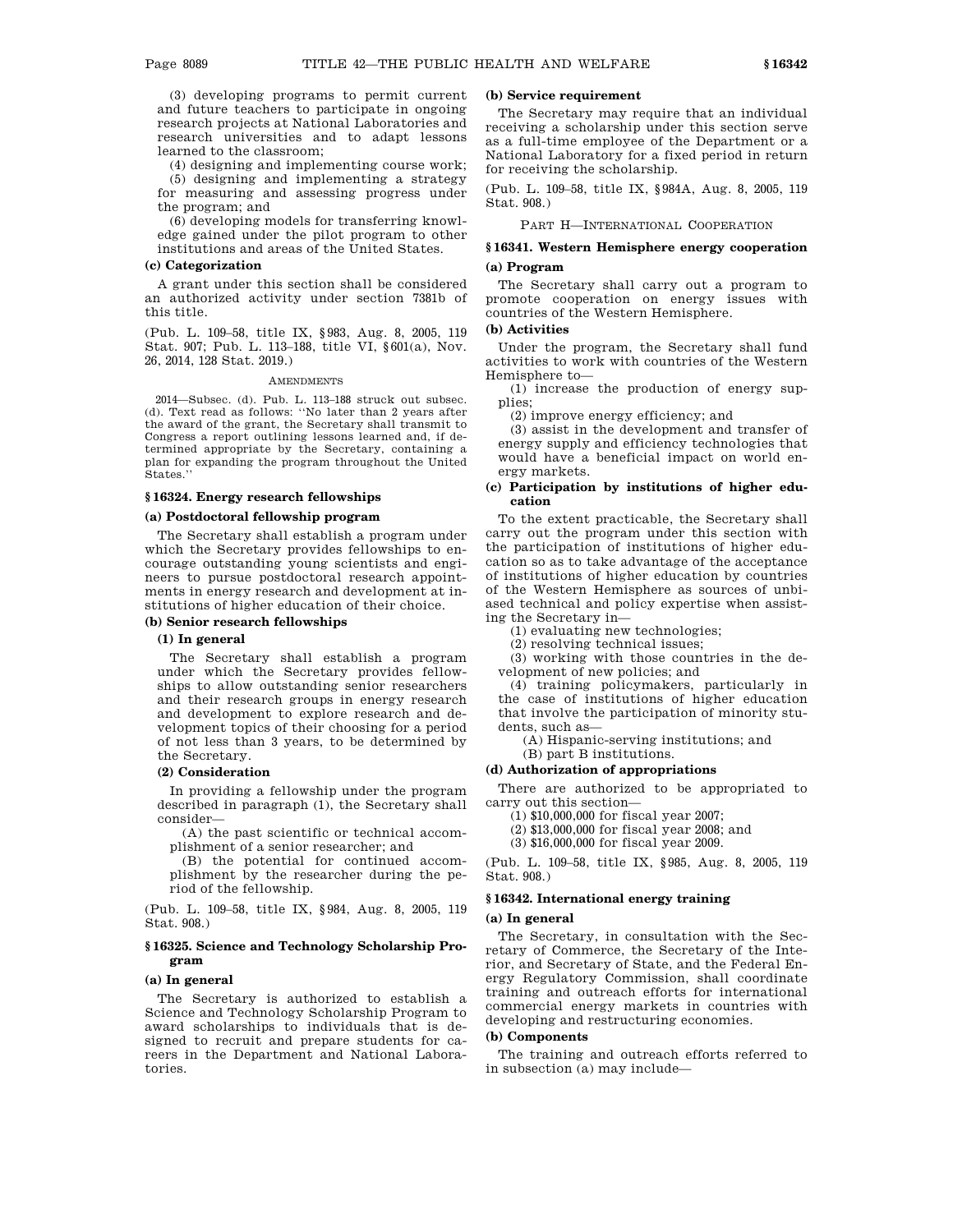(3) developing programs to permit current and future teachers to participate in ongoing research projects at National Laboratories and research universities and to adapt lessons learned to the classroom;

(4) designing and implementing course work;

(5) designing and implementing a strategy for measuring and assessing progress under the program; and

(6) developing models for transferring knowledge gained under the pilot program to other institutions and areas of the United States.

#### **(c) Categorization**

A grant under this section shall be considered an authorized activity under section 7381b of this title.

(Pub. L. 109–58, title IX, §983, Aug. 8, 2005, 119 Stat. 907; Pub. L. 113–188, title VI, §601(a), Nov. 26, 2014, 128 Stat. 2019.)

#### **AMENDMENTS**

2014—Subsec. (d). Pub. L. 113–188 struck out subsec. (d). Text read as follows: ''No later than 2 years after the award of the grant, the Secretary shall transmit to Congress a report outlining lessons learned and, if determined appropriate by the Secretary, containing a plan for expanding the program throughout the United States.''

# **§ 16324. Energy research fellowships**

#### **(a) Postdoctoral fellowship program**

The Secretary shall establish a program under which the Secretary provides fellowships to encourage outstanding young scientists and engineers to pursue postdoctoral research appointments in energy research and development at institutions of higher education of their choice.

## **(b) Senior research fellowships**

# **(1) In general**

The Secretary shall establish a program under which the Secretary provides fellowships to allow outstanding senior researchers and their research groups in energy research and development to explore research and development topics of their choosing for a period of not less than 3 years, to be determined by the Secretary.

# **(2) Consideration**

In providing a fellowship under the program described in paragraph (1), the Secretary shall consider—

(A) the past scientific or technical accomplishment of a senior researcher; and

(B) the potential for continued accomplishment by the researcher during the period of the fellowship.

(Pub. L. 109–58, title IX, §984, Aug. 8, 2005, 119 Stat. 908.)

### **§ 16325. Science and Technology Scholarship Program**

#### **(a) In general**

The Secretary is authorized to establish a Science and Technology Scholarship Program to award scholarships to individuals that is designed to recruit and prepare students for careers in the Department and National Laboratories.

#### **(b) Service requirement**

The Secretary may require that an individual receiving a scholarship under this section serve as a full-time employee of the Department or a National Laboratory for a fixed period in return for receiving the scholarship.

(Pub. L. 109–58, title IX, §984A, Aug. 8, 2005, 119 Stat. 908.)

PART H—INTERNATIONAL COOPERATION

# **§ 16341. Western Hemisphere energy cooperation**

## **(a) Program**

The Secretary shall carry out a program to promote cooperation on energy issues with countries of the Western Hemisphere.

## **(b) Activities**

Under the program, the Secretary shall fund activities to work with countries of the Western Hemisphere to—

(1) increase the production of energy supplies;

(2) improve energy efficiency; and

(3) assist in the development and transfer of energy supply and efficiency technologies that would have a beneficial impact on world energy markets.

## **(c) Participation by institutions of higher education**

To the extent practicable, the Secretary shall carry out the program under this section with the participation of institutions of higher education so as to take advantage of the acceptance of institutions of higher education by countries of the Western Hemisphere as sources of unbiased technical and policy expertise when assisting the Secretary in—

(1) evaluating new technologies;

(2) resolving technical issues;

(3) working with those countries in the development of new policies; and

(4) training policymakers, particularly in the case of institutions of higher education that involve the participation of minority students, such as—

(A) Hispanic-serving institutions; and

(B) part B institutions.

#### **(d) Authorization of appropriations**

There are authorized to be appropriated to carry out this section—

(1) \$10,000,000 for fiscal year 2007;

(2) \$13,000,000 for fiscal year 2008; and

(3) \$16,000,000 for fiscal year 2009.

(Pub. L. 109–58, title IX, §985, Aug. 8, 2005, 119 Stat. 908.)

# **§ 16342. International energy training**

### **(a) In general**

The Secretary, in consultation with the Secretary of Commerce, the Secretary of the Interior, and Secretary of State, and the Federal Energy Regulatory Commission, shall coordinate training and outreach efforts for international commercial energy markets in countries with developing and restructuring economies.

## **(b) Components**

The training and outreach efforts referred to in subsection (a) may include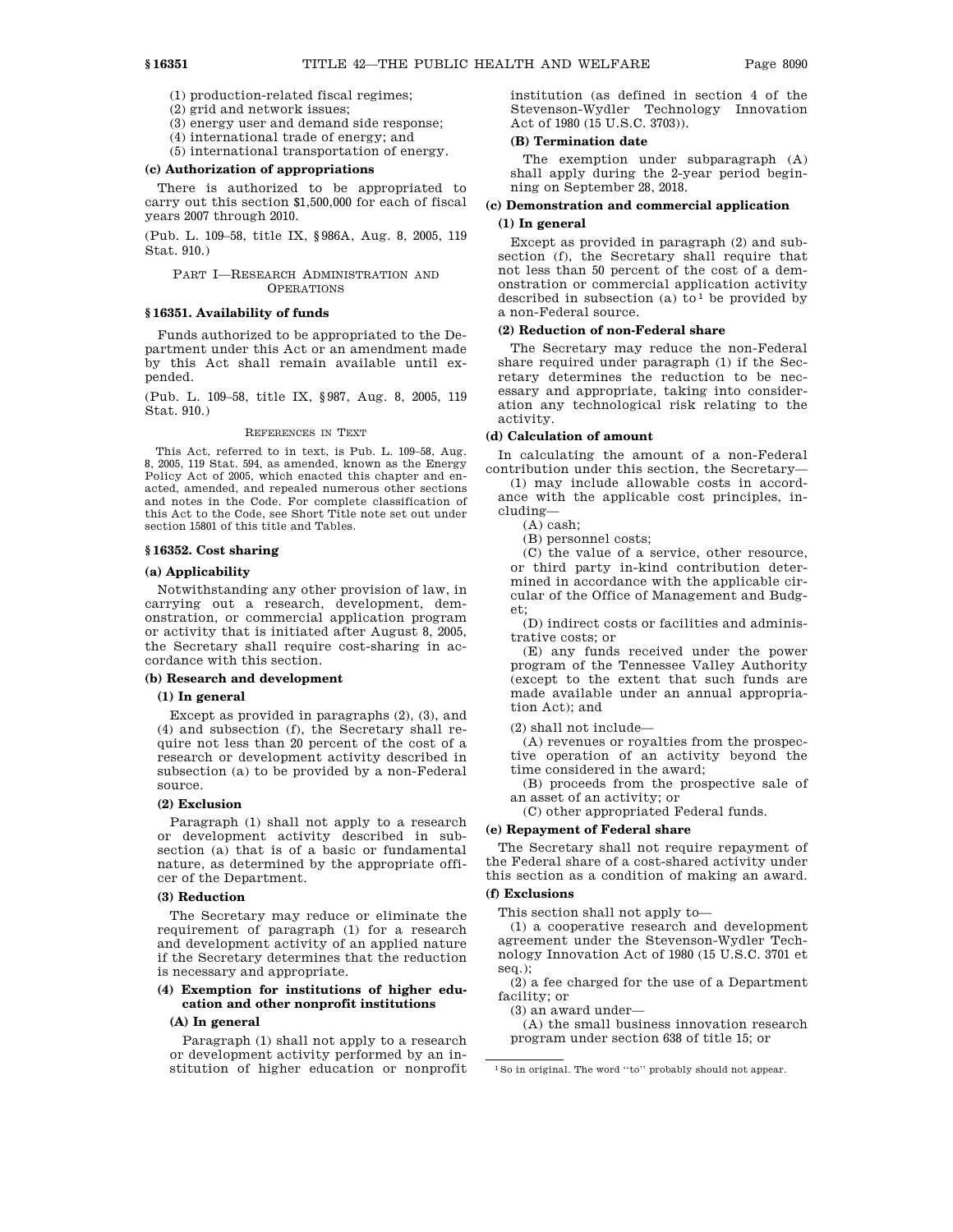(1) production-related fiscal regimes;

(2) grid and network issues;

(3) energy user and demand side response;

(4) international trade of energy; and

(5) international transportation of energy.

#### **(c) Authorization of appropriations**

There is authorized to be appropriated to carry out this section \$1,500,000 for each of fiscal years 2007 through 2010.

(Pub. L. 109–58, title IX, §986A, Aug. 8, 2005, 119 Stat. 910.)

### PART I—RESEARCH ADMINISTRATION AND **OPERATIONS**

# **§ 16351. Availability of funds**

Funds authorized to be appropriated to the Department under this Act or an amendment made by this Act shall remain available until expended.

(Pub. L. 109–58, title IX, §987, Aug. 8, 2005, 119 Stat. 910.)

#### REFERENCES IN TEXT

This Act, referred to in text, is Pub. L. 109–58, Aug. 8, 2005, 119 Stat. 594, as amended, known as the Energy Policy Act of 2005, which enacted this chapter and enacted, amended, and repealed numerous other sections and notes in the Code. For complete classification of this Act to the Code, see Short Title note set out under section 15801 of this title and Tables.

## **§ 16352. Cost sharing**

# **(a) Applicability**

Notwithstanding any other provision of law, in carrying out a research, development, demonstration, or commercial application program or activity that is initiated after August 8, 2005, the Secretary shall require cost-sharing in accordance with this section.

#### **(b) Research and development**

#### **(1) In general**

Except as provided in paragraphs (2), (3), and (4) and subsection (f), the Secretary shall require not less than 20 percent of the cost of a research or development activity described in subsection (a) to be provided by a non-Federal source.

#### **(2) Exclusion**

Paragraph (1) shall not apply to a research or development activity described in subsection (a) that is of a basic or fundamental nature, as determined by the appropriate officer of the Department.

#### **(3) Reduction**

The Secretary may reduce or eliminate the requirement of paragraph (1) for a research and development activity of an applied nature if the Secretary determines that the reduction is necessary and appropriate.

# **(4) Exemption for institutions of higher education and other nonprofit institutions**

# **(A) In general**

Paragraph (1) shall not apply to a research or development activity performed by an institution of higher education or nonprofit institution (as defined in section 4 of the Stevenson-Wydler Technology Innovation Act of 1980 (15 U.S.C. 3703)).

#### **(B) Termination date**

The exemption under subparagraph (A) shall apply during the 2-year period beginning on September 28, 2018.

# **(c) Demonstration and commercial application (1) In general**

Except as provided in paragraph (2) and subsection (f), the Secretary shall require that not less than 50 percent of the cost of a demonstration or commercial application activity described in subsection (a) to<sup>1</sup> be provided by a non-Federal source.

#### **(2) Reduction of non-Federal share**

The Secretary may reduce the non-Federal share required under paragraph (1) if the Secretary determines the reduction to be necessary and appropriate, taking into consideration any technological risk relating to the activity.

# **(d) Calculation of amount**

In calculating the amount of a non-Federal contribution under this section, the Secretary—

(1) may include allowable costs in accordance with the applicable cost principles, including—

(A) cash;

(B) personnel costs;

(C) the value of a service, other resource, or third party in-kind contribution determined in accordance with the applicable circular of the Office of Management and Budget;

(D) indirect costs or facilities and administrative costs; or

(E) any funds received under the power program of the Tennessee Valley Authority (except to the extent that such funds are made available under an annual appropriation Act); and

(2) shall not include—

(A) revenues or royalties from the prospective operation of an activity beyond the time considered in the award;

(B) proceeds from the prospective sale of an asset of an activity; or

(C) other appropriated Federal funds.

#### **(e) Repayment of Federal share**

The Secretary shall not require repayment of the Federal share of a cost-shared activity under this section as a condition of making an award.

# **(f) Exclusions**

This section shall not apply to—

(1) a cooperative research and development agreement under the Stevenson-Wydler Technology Innovation Act of 1980 (15 U.S.C. 3701 et seq.);

(2) a fee charged for the use of a Department facility; or

(3) an award under—

(A) the small business innovation research program under section 638 of title 15; or

<sup>1</sup>So in original. The word ''to'' probably should not appear.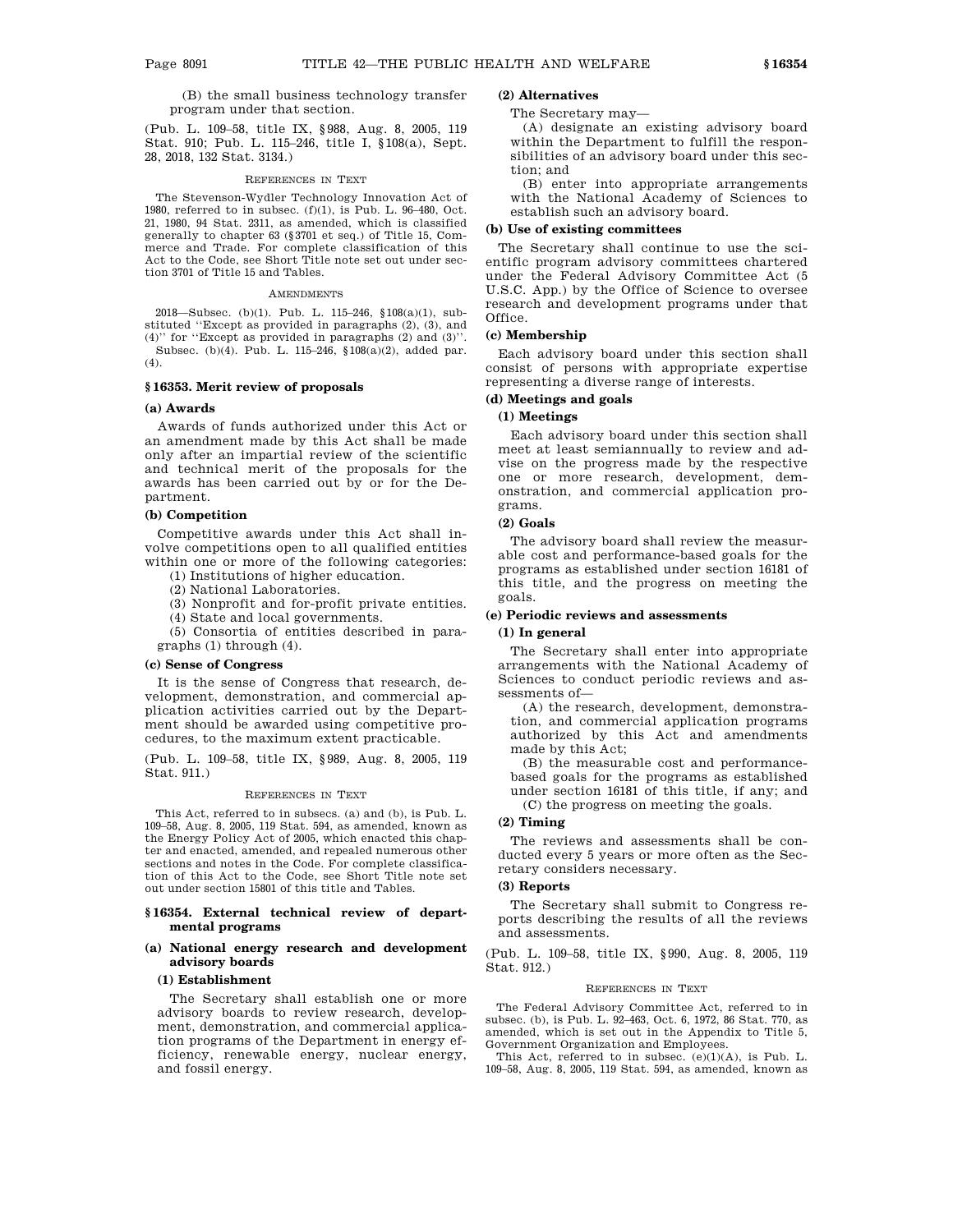## (B) the small business technology transfer program under that section.

(Pub. L. 109–58, title IX, §988, Aug. 8, 2005, 119 Stat. 910; Pub. L. 115–246, title I, §108(a), Sept. 28, 2018, 132 Stat. 3134.)

#### REFERENCES IN TEXT

The Stevenson-Wydler Technology Innovation Act of 1980, referred to in subsec. (f)(1), is Pub. L. 96–480, Oct. 21, 1980, 94 Stat. 2311, as amended, which is classified generally to chapter 63 (§3701 et seq.) of Title 15, Commerce and Trade. For complete classification of this Act to the Code, see Short Title note set out under section 3701 of Title 15 and Tables.

#### AMENDMENTS

2018—Subsec. (b)(1). Pub. L. 115–246, §108(a)(1), substituted ''Except as provided in paragraphs (2), (3), and (4)'' for ''Except as provided in paragraphs (2) and (3)''. Subsec. (b)(4). Pub. L. 115–246, §108(a)(2), added par. (4).

# **§ 16353. Merit review of proposals**

#### **(a) Awards**

Awards of funds authorized under this Act or an amendment made by this Act shall be made only after an impartial review of the scientific and technical merit of the proposals for the awards has been carried out by or for the Department.

### **(b) Competition**

Competitive awards under this Act shall involve competitions open to all qualified entities within one or more of the following categories:

(1) Institutions of higher education.

(2) National Laboratories.

(3) Nonprofit and for-profit private entities.

(4) State and local governments.

(5) Consortia of entities described in paragraphs (1) through (4).

#### **(c) Sense of Congress**

It is the sense of Congress that research, development, demonstration, and commercial application activities carried out by the Department should be awarded using competitive procedures, to the maximum extent practicable.

(Pub. L. 109–58, title IX, §989, Aug. 8, 2005, 119 Stat. 911.)

#### REFERENCES IN TEXT

This Act, referred to in subsecs. (a) and (b), is Pub. L. 109–58, Aug. 8, 2005, 119 Stat. 594, as amended, known as the Energy Policy Act of 2005, which enacted this chapter and enacted, amended, and repealed numerous other sections and notes in the Code. For complete classification of this Act to the Code, see Short Title note set out under section 15801 of this title and Tables.

## **§ 16354. External technical review of departmental programs**

# **(a) National energy research and development advisory boards**

#### **(1) Establishment**

The Secretary shall establish one or more advisory boards to review research, development, demonstration, and commercial application programs of the Department in energy efficiency, renewable energy, nuclear energy, and fossil energy.

# **(2) Alternatives**

#### The Secretary may—

(A) designate an existing advisory board within the Department to fulfill the responsibilities of an advisory board under this section; and

(B) enter into appropriate arrangements with the National Academy of Sciences to establish such an advisory board.

# **(b) Use of existing committees**

The Secretary shall continue to use the scientific program advisory committees chartered under the Federal Advisory Committee Act (5 U.S.C. App.) by the Office of Science to oversee research and development programs under that Office.

#### **(c) Membership**

Each advisory board under this section shall consist of persons with appropriate expertise representing a diverse range of interests.

# **(d) Meetings and goals**

# **(1) Meetings**

Each advisory board under this section shall meet at least semiannually to review and advise on the progress made by the respective one or more research, development, demonstration, and commercial application programs.

# **(2) Goals**

The advisory board shall review the measurable cost and performance-based goals for the programs as established under section 16181 of this title, and the progress on meeting the goals.

# **(e) Periodic reviews and assessments**

# **(1) In general**

The Secretary shall enter into appropriate arrangements with the National Academy of Sciences to conduct periodic reviews and assessments of—

(A) the research, development, demonstration, and commercial application programs authorized by this Act and amendments made by this Act;

(B) the measurable cost and performancebased goals for the programs as established under section 16181 of this title, if any; and (C) the progress on meeting the goals.

# **(2) Timing**

The reviews and assessments shall be conducted every 5 years or more often as the Secretary considers necessary.

#### **(3) Reports**

The Secretary shall submit to Congress reports describing the results of all the reviews and assessments.

(Pub. L. 109–58, title IX, §990, Aug. 8, 2005, 119 Stat. 912.)

# REFERENCES IN TEXT

The Federal Advisory Committee Act, referred to in subsec. (b), is Pub. L. 92–463, Oct. 6, 1972, 86 Stat. 770, as amended, which is set out in the Appendix to Title 5, Government Organization and Employees.

This Act, referred to in subsec. (e)(1)(A), is Pub. L. 109–58, Aug. 8, 2005, 119 Stat. 594, as amended, known as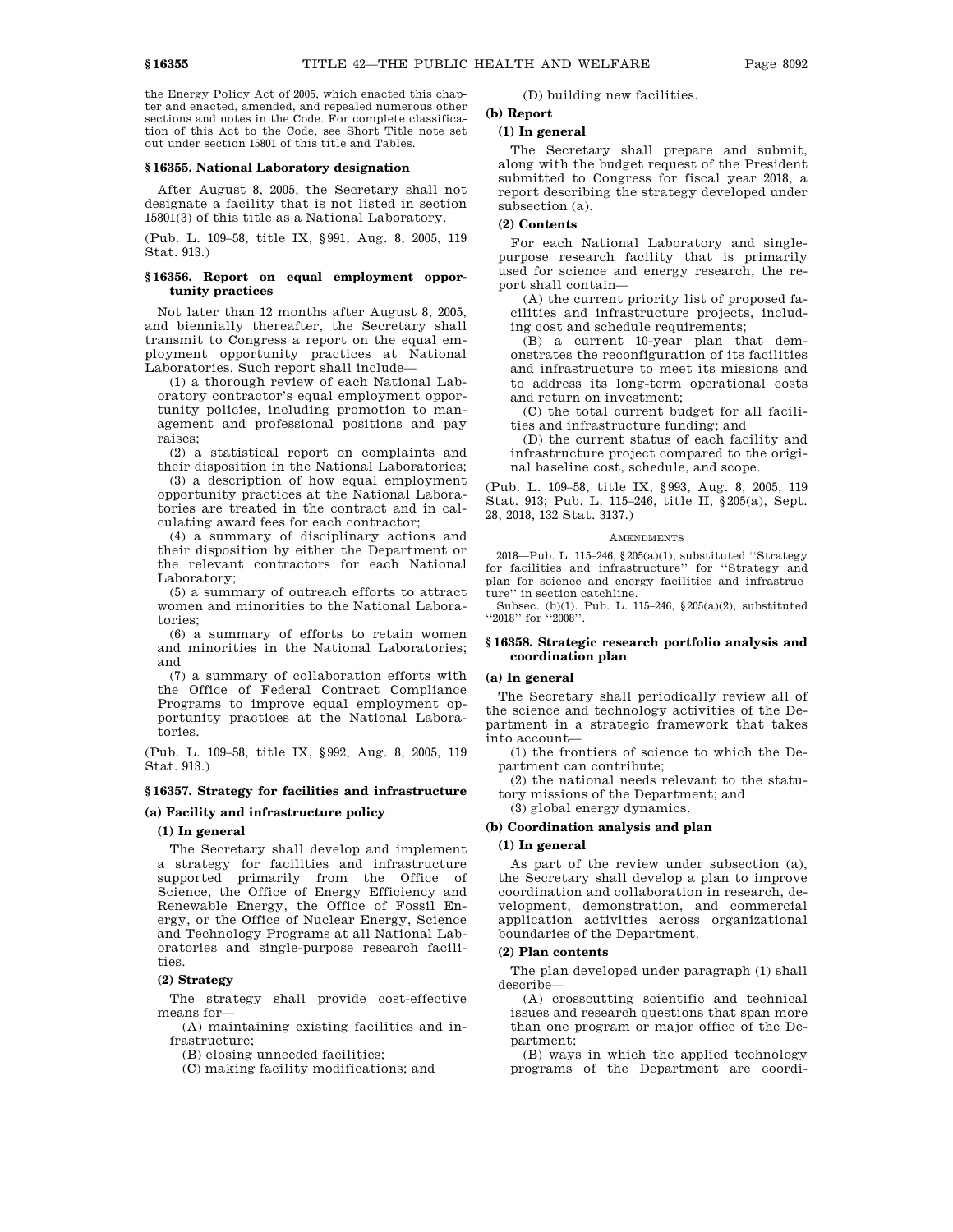the Energy Policy Act of 2005, which enacted this chapter and enacted, amended, and repealed numerous other sections and notes in the Code. For complete classification of this Act to the Code, see Short Title note set out under section 15801 of this title and Tables.

## **§ 16355. National Laboratory designation**

After August 8, 2005, the Secretary shall not designate a facility that is not listed in section 15801(3) of this title as a National Laboratory.

(Pub. L. 109–58, title IX, §991, Aug. 8, 2005, 119 Stat. 913.)

# **§ 16356. Report on equal employment opportunity practices**

Not later than 12 months after August 8, 2005, and biennially thereafter, the Secretary shall transmit to Congress a report on the equal employment opportunity practices at National Laboratories. Such report shall include—

(1) a thorough review of each National Laboratory contractor's equal employment opportunity policies, including promotion to management and professional positions and pay raises;

(2) a statistical report on complaints and their disposition in the National Laboratories;

(3) a description of how equal employment opportunity practices at the National Laboratories are treated in the contract and in calculating award fees for each contractor;

(4) a summary of disciplinary actions and their disposition by either the Department or the relevant contractors for each National Laboratory;

(5) a summary of outreach efforts to attract women and minorities to the National Laboratories;

(6) a summary of efforts to retain women and minorities in the National Laboratories; and

(7) a summary of collaboration efforts with the Office of Federal Contract Compliance Programs to improve equal employment opportunity practices at the National Laboratories.

(Pub. L. 109–58, title IX, §992, Aug. 8, 2005, 119 Stat. 913.)

# **§ 16357. Strategy for facilities and infrastructure**

# **(a) Facility and infrastructure policy**

# **(1) In general**

The Secretary shall develop and implement a strategy for facilities and infrastructure supported primarily from the Office of Science, the Office of Energy Efficiency and Renewable Energy, the Office of Fossil Energy, or the Office of Nuclear Energy, Science and Technology Programs at all National Laboratories and single-purpose research facilities.

#### **(2) Strategy**

The strategy shall provide cost-effective means for—

(A) maintaining existing facilities and infrastructure;

(B) closing unneeded facilities;

(C) making facility modifications; and

(D) building new facilities.

# **(b) Report**

## **(1) In general**

The Secretary shall prepare and submit, along with the budget request of the President submitted to Congress for fiscal year 2018, a report describing the strategy developed under subsection (a).

#### **(2) Contents**

For each National Laboratory and singlepurpose research facility that is primarily used for science and energy research, the report shall contain—

(A) the current priority list of proposed facilities and infrastructure projects, including cost and schedule requirements;

(B) a current 10-year plan that demonstrates the reconfiguration of its facilities and infrastructure to meet its missions and to address its long-term operational costs and return on investment;

(C) the total current budget for all facilities and infrastructure funding; and

(D) the current status of each facility and infrastructure project compared to the original baseline cost, schedule, and scope.

(Pub. L. 109–58, title IX, §993, Aug. 8, 2005, 119 Stat. 913; Pub. L. 115–246, title II, §205(a), Sept. 28, 2018, 132 Stat. 3137.)

#### **AMENDMENTS**

2018—Pub. L. 115–246, §205(a)(1), substituted ''Strategy for facilities and infrastructure'' for ''Strategy and plan for science and energy facilities and infrastructure'' in section catchline.

Subsec. (b)(1). Pub. L. 115–246, §205(a)(2), substituted "2018" for "2008".

#### **§ 16358. Strategic research portfolio analysis and coordination plan**

#### **(a) In general**

The Secretary shall periodically review all of the science and technology activities of the Department in a strategic framework that takes into account—

(1) the frontiers of science to which the Department can contribute;

(2) the national needs relevant to the statutory missions of the Department; and

(3) global energy dynamics.

# **(b) Coordination analysis and plan**

# **(1) In general**

As part of the review under subsection (a), the Secretary shall develop a plan to improve coordination and collaboration in research, development, demonstration, and commercial application activities across organizational boundaries of the Department.

#### **(2) Plan contents**

The plan developed under paragraph (1) shall describe—

(A) crosscutting scientific and technical issues and research questions that span more than one program or major office of the Department;

(B) ways in which the applied technology programs of the Department are coordi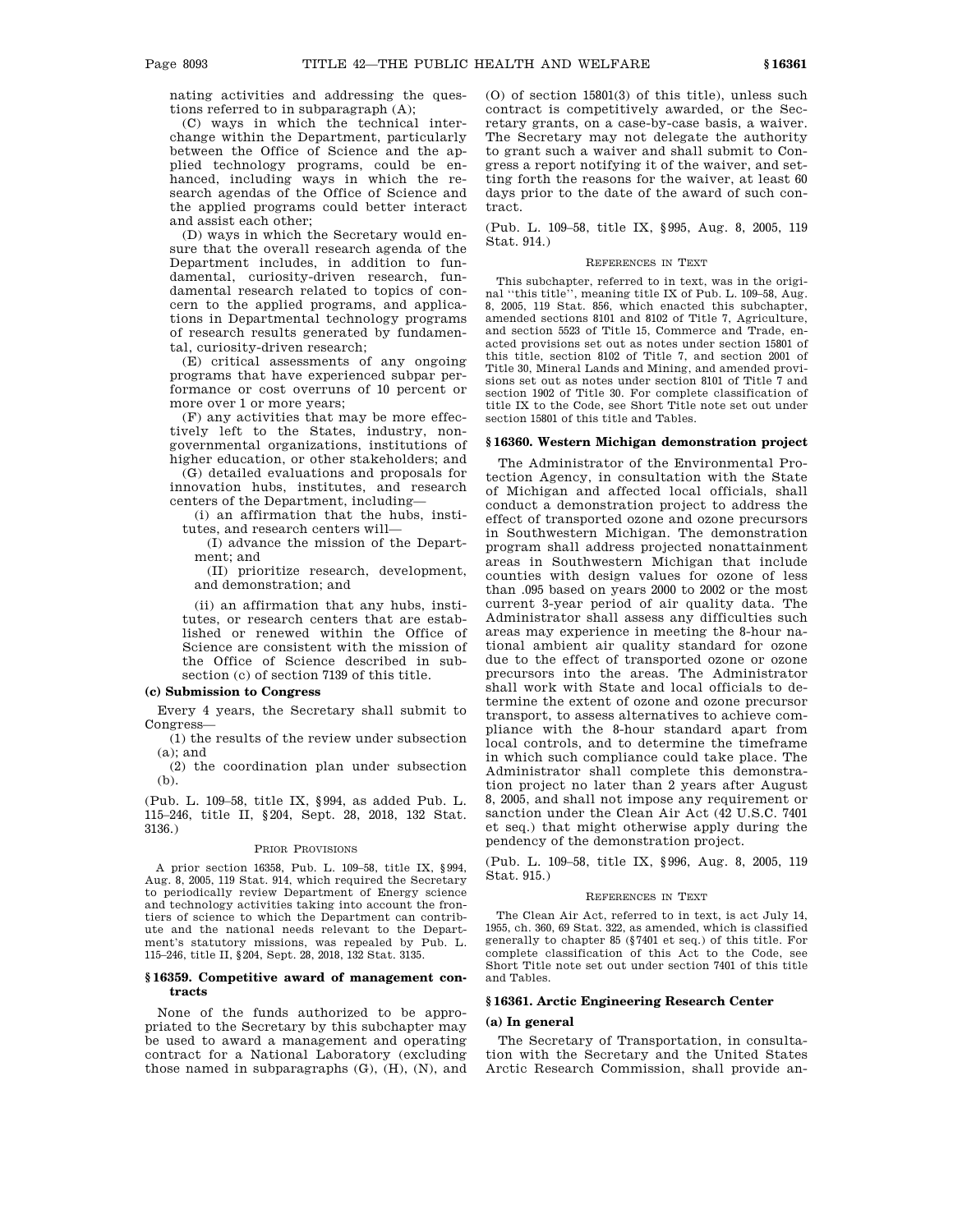nating activities and addressing the questions referred to in subparagraph (A);

(C) ways in which the technical interchange within the Department, particularly between the Office of Science and the applied technology programs, could be enhanced, including ways in which the research agendas of the Office of Science and the applied programs could better interact and assist each other;

(D) ways in which the Secretary would ensure that the overall research agenda of the Department includes, in addition to fundamental, curiosity-driven research, fundamental research related to topics of concern to the applied programs, and applications in Departmental technology programs of research results generated by fundamental, curiosity-driven research;

(E) critical assessments of any ongoing programs that have experienced subpar performance or cost overruns of 10 percent or more over 1 or more years;

(F) any activities that may be more effectively left to the States, industry, nongovernmental organizations, institutions of higher education, or other stakeholders; and

(G) detailed evaluations and proposals for innovation hubs, institutes, and research centers of the Department, including—

(i) an affirmation that the hubs, institutes, and research centers will—

(I) advance the mission of the Department; and

(II) prioritize research, development, and demonstration; and

(ii) an affirmation that any hubs, institutes, or research centers that are established or renewed within the Office of Science are consistent with the mission of the Office of Science described in subsection (c) of section 7139 of this title.

#### **(c) Submission to Congress**

Every 4 years, the Secretary shall submit to Congress—

(1) the results of the review under subsection  $(a)$ ; and

(2) the coordination plan under subsection (b).

(Pub. L. 109–58, title IX, §994, as added Pub. L. 115–246, title II, §204, Sept. 28, 2018, 132 Stat. 3136.)

#### PRIOR PROVISIONS

A prior section 16358, Pub. L. 109–58, title IX, §994, Aug. 8, 2005, 119 Stat. 914, which required the Secretary to periodically review Department of Energy science and technology activities taking into account the frontiers of science to which the Department can contribute and the national needs relevant to the Department's statutory missions, was repealed by Pub. L. 115–246, title II, §204, Sept. 28, 2018, 132 Stat. 3135.

### **§ 16359. Competitive award of management contracts**

None of the funds authorized to be appropriated to the Secretary by this subchapter may be used to award a management and operating contract for a National Laboratory (excluding those named in subparagraphs (G), (H), (N), and (O) of section 15801(3) of this title), unless such contract is competitively awarded, or the Secretary grants, on a case-by-case basis, a waiver. The Secretary may not delegate the authority to grant such a waiver and shall submit to Congress a report notifying it of the waiver, and setting forth the reasons for the waiver, at least 60 days prior to the date of the award of such contract.

(Pub. L. 109–58, title IX, §995, Aug. 8, 2005, 119 Stat. 914.)

## REFERENCES IN TEXT

This subchapter, referred to in text, was in the original ''this title'', meaning title IX of Pub. L. 109–58, Aug. 8, 2005, 119 Stat. 856, which enacted this subchapter, amended sections 8101 and 8102 of Title 7, Agriculture, and section 5523 of Title 15, Commerce and Trade, enacted provisions set out as notes under section 15801 of this title, section 8102 of Title 7, and section 2001 of Title 30, Mineral Lands and Mining, and amended provisions set out as notes under section 8101 of Title 7 and section 1902 of Title 30. For complete classification of title IX to the Code, see Short Title note set out under section 15801 of this title and Tables.

#### **§ 16360. Western Michigan demonstration project**

The Administrator of the Environmental Protection Agency, in consultation with the State of Michigan and affected local officials, shall conduct a demonstration project to address the effect of transported ozone and ozone precursors in Southwestern Michigan. The demonstration program shall address projected nonattainment areas in Southwestern Michigan that include counties with design values for ozone of less than .095 based on years 2000 to 2002 or the most current 3-year period of air quality data. The Administrator shall assess any difficulties such areas may experience in meeting the 8-hour national ambient air quality standard for ozone due to the effect of transported ozone or ozone precursors into the areas. The Administrator shall work with State and local officials to determine the extent of ozone and ozone precursor transport, to assess alternatives to achieve compliance with the 8-hour standard apart from local controls, and to determine the timeframe in which such compliance could take place. The Administrator shall complete this demonstration project no later than 2 years after August 8, 2005, and shall not impose any requirement or sanction under the Clean Air Act (42 U.S.C. 7401 et seq.) that might otherwise apply during the pendency of the demonstration project.

(Pub. L. 109–58, title IX, §996, Aug. 8, 2005, 119 Stat. 915.)

#### REFERENCES IN TEXT

The Clean Air Act, referred to in text, is act July 14, 1955, ch. 360, 69 Stat. 322, as amended, which is classified generally to chapter 85 (§7401 et seq.) of this title. For complete classification of this Act to the Code, see Short Title note set out under section 7401 of this title and Tables.

# **§ 16361. Arctic Engineering Research Center**

#### **(a) In general**

The Secretary of Transportation, in consultation with the Secretary and the United States Arctic Research Commission, shall provide an-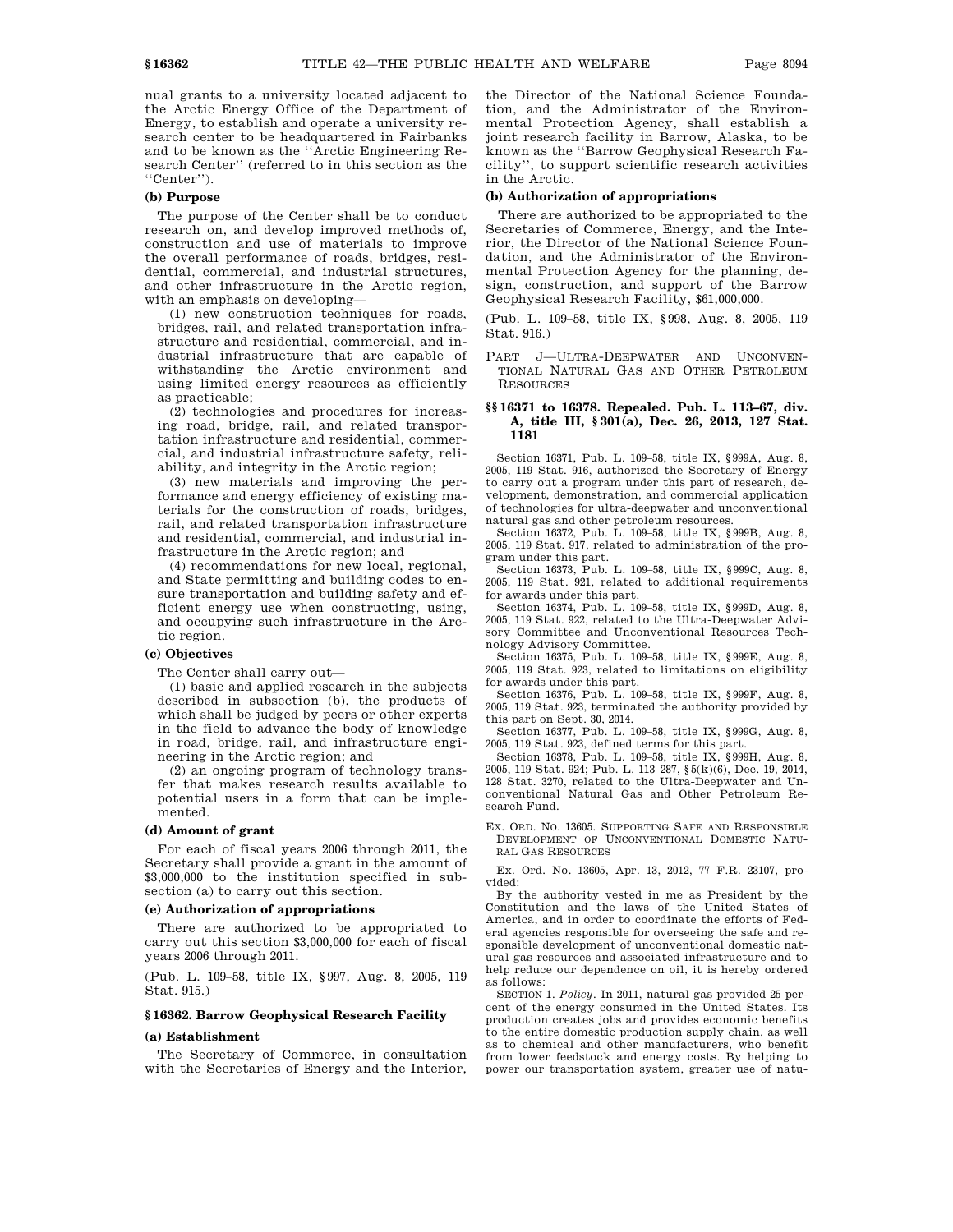nual grants to a university located adjacent to the Arctic Energy Office of the Department of Energy, to establish and operate a university research center to be headquartered in Fairbanks and to be known as the ''Arctic Engineering Research Center'' (referred to in this section as the ''Center'').

# **(b) Purpose**

The purpose of the Center shall be to conduct research on, and develop improved methods of, construction and use of materials to improve the overall performance of roads, bridges, residential, commercial, and industrial structures, and other infrastructure in the Arctic region, with an emphasis on developing—

(1) new construction techniques for roads, bridges, rail, and related transportation infrastructure and residential, commercial, and industrial infrastructure that are capable of withstanding the Arctic environment and using limited energy resources as efficiently as practicable;

(2) technologies and procedures for increasing road, bridge, rail, and related transportation infrastructure and residential, commercial, and industrial infrastructure safety, reliability, and integrity in the Arctic region;

(3) new materials and improving the performance and energy efficiency of existing materials for the construction of roads, bridges, rail, and related transportation infrastructure and residential, commercial, and industrial infrastructure in the Arctic region; and

(4) recommendations for new local, regional, and State permitting and building codes to ensure transportation and building safety and efficient energy use when constructing, using, and occupying such infrastructure in the Arctic region.

## **(c) Objectives**

The Center shall carry out—

(1) basic and applied research in the subjects described in subsection (b), the products of which shall be judged by peers or other experts in the field to advance the body of knowledge in road, bridge, rail, and infrastructure engineering in the Arctic region; and

(2) an ongoing program of technology transfer that makes research results available to potential users in a form that can be implemented.

#### **(d) Amount of grant**

For each of fiscal years 2006 through 2011, the Secretary shall provide a grant in the amount of \$3,000,000 to the institution specified in subsection (a) to carry out this section.

#### **(e) Authorization of appropriations**

There are authorized to be appropriated to carry out this section \$3,000,000 for each of fiscal years 2006 through 2011.

(Pub. L. 109–58, title IX, §997, Aug. 8, 2005, 119 Stat. 915.)

# **§ 16362. Barrow Geophysical Research Facility**

#### **(a) Establishment**

The Secretary of Commerce, in consultation with the Secretaries of Energy and the Interior, the Director of the National Science Foundation, and the Administrator of the Environmental Protection Agency, shall establish a joint research facility in Barrow, Alaska, to be known as the ''Barrow Geophysical Research Facility'', to support scientific research activities in the Arctic.

#### **(b) Authorization of appropriations**

There are authorized to be appropriated to the Secretaries of Commerce, Energy, and the Interior, the Director of the National Science Foundation, and the Administrator of the Environmental Protection Agency for the planning, design, construction, and support of the Barrow Geophysical Research Facility, \$61,000,000.

(Pub. L. 109–58, title IX, §998, Aug. 8, 2005, 119 Stat. 916.)

PART J—ULTRA-DEEPWATER AND UNCONVEN-TIONAL NATURAL GAS AND OTHER PETROLEUM **RESOURCES** 

# **§§ 16371 to 16378. Repealed. Pub. L. 113–67, div. A, title III, § 301(a), Dec. 26, 2013, 127 Stat. 1181**

Section 16371, Pub. L. 109–58, title IX, §999A, Aug. 8, 2005, 119 Stat. 916, authorized the Secretary of Energy to carry out a program under this part of research, development, demonstration, and commercial application of technologies for ultra-deepwater and unconventional natural gas and other petroleum resources.

Section 16372, Pub. L. 109–58, title IX, §999B, Aug. 8, 2005, 119 Stat. 917, related to administration of the program under this part.

Section 16373, Pub. L. 109–58, title IX, §999C, Aug. 8, 2005, 119 Stat. 921, related to additional requirements for awards under this part.

Section 16374, Pub. L. 109–58, title IX, §999D, Aug. 8, 2005, 119 Stat. 922, related to the Ultra-Deepwater Advisory Committee and Unconventional Resources Technology Advisory Committee.

Section 16375, Pub. L. 109–58, title IX, §999E, Aug. 8, 2005, 119 Stat. 923, related to limitations on eligibility for awards under this part.

Section 16376, Pub. L. 109–58, title IX, §999F, Aug. 8, 2005, 119 Stat. 923, terminated the authority provided by this part on Sept. 30, 2014.

Section 16377, Pub. L. 109–58, title IX, §999G, Aug. 8, 2005, 119 Stat. 923, defined terms for this part.

Section 16378, Pub. L. 109–58, title IX, §999H, Aug. 8, 2005, 119 Stat. 924; Pub. L. 113–287, §5(k)(6), Dec. 19, 2014, 128 Stat. 3270, related to the Ultra-Deepwater and Unconventional Natural Gas and Other Petroleum Research Fund.

EX. ORD. NO. 13605. SUPPORTING SAFE AND RESPONSIBLE DEVELOPMENT OF UNCONVENTIONAL DOMESTIC NATU-RAL GAS RESOURCES

Ex. Ord. No. 13605, Apr. 13, 2012, 77 F.R. 23107, provided:

By the authority vested in me as President by the Constitution and the laws of the United States of America, and in order to coordinate the efforts of Federal agencies responsible for overseeing the safe and responsible development of unconventional domestic natural gas resources and associated infrastructure and to help reduce our dependence on oil, it is hereby ordered as follows:

SECTION 1. *Policy*. In 2011, natural gas provided 25 percent of the energy consumed in the United States. Its production creates jobs and provides economic benefits to the entire domestic production supply chain, as well as to chemical and other manufacturers, who benefit from lower feedstock and energy costs. By helping to power our transportation system, greater use of natu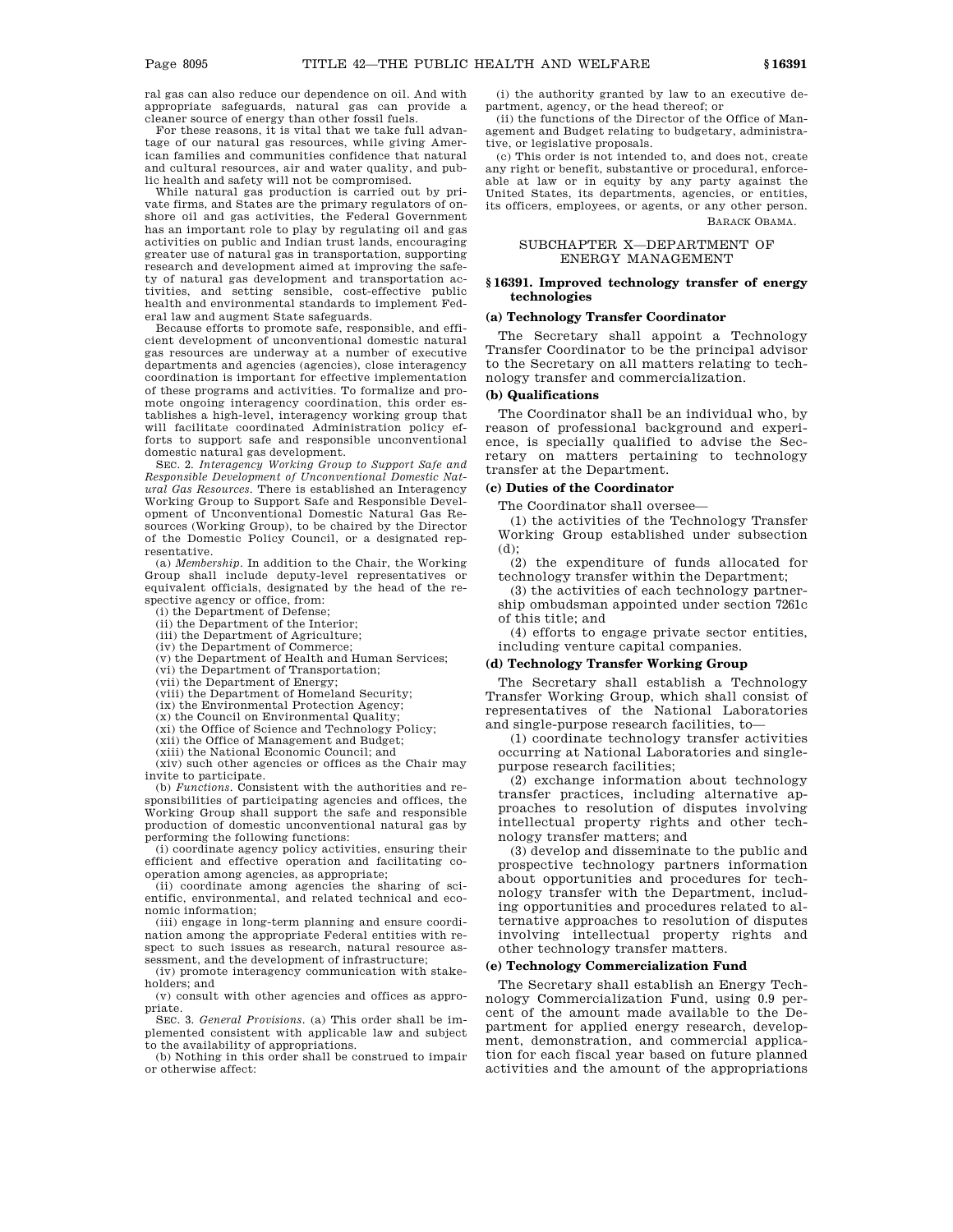ral gas can also reduce our dependence on oil. And with appropriate safeguards, natural gas can provide a cleaner source of energy than other fossil fuels.

For these reasons, it is vital that we take full advantage of our natural gas resources, while giving American families and communities confidence that natural and cultural resources, air and water quality, and public health and safety will not be compromised.

While natural gas production is carried out by private firms, and States are the primary regulators of onshore oil and gas activities, the Federal Government has an important role to play by regulating oil and gas activities on public and Indian trust lands, encouraging greater use of natural gas in transportation, supporting research and development aimed at improving the safety of natural gas development and transportation activities, and setting sensible, cost-effective public health and environmental standards to implement Federal law and augment State safeguards.

Because efforts to promote safe, responsible, and efficient development of unconventional domestic natural gas resources are underway at a number of executive departments and agencies (agencies), close interagency coordination is important for effective implementation of these programs and activities. To formalize and promote ongoing interagency coordination, this order establishes a high-level, interagency working group that will facilitate coordinated Administration policy efforts to support safe and responsible unconventional domestic natural gas development.

SEC. 2. *Interagency Working Group to Support Safe and Responsible Development of Unconventional Domestic Natural Gas Resources*. There is established an Interagency Working Group to Support Safe and Responsible Development of Unconventional Domestic Natural Gas Resources (Working Group), to be chaired by the Director of the Domestic Policy Council, or a designated representative.

(a) *Membership*. In addition to the Chair, the Working Group shall include deputy-level representatives or equivalent officials, designated by the head of the respective agency or office, from:

(i) the Department of Defense;

(ii) the Department of the Interior;

(iii) the Department of Agriculture;

(iv) the Department of Commerce;

(v) the Department of Health and Human Services; (vi) the Department of Transportation;

(vii) the Department of Energy;

(viii) the Department of Homeland Security;

(ix) the Environmental Protection Agency;

(x) the Council on Environmental Quality;

(xi) the Office of Science and Technology Policy;

(xii) the Office of Management and Budget;

(xiii) the National Economic Council; and

(xiv) such other agencies or offices as the Chair may invite to participate.

(b) *Functions*. Consistent with the authorities and responsibilities of participating agencies and offices, the Working Group shall support the safe and responsible production of domestic unconventional natural gas by performing the following functions:

(i) coordinate agency policy activities, ensuring their efficient and effective operation and facilitating cooperation among agencies, as appropriate;

(ii) coordinate among agencies the sharing of scientific, environmental, and related technical and economic information;

(iii) engage in long-term planning and ensure coordination among the appropriate Federal entities with respect to such issues as research, natural resource assessment, and the development of infrastructure;

(iv) promote interagency communication with stakeholders; and

(v) consult with other agencies and offices as appropriate.

SEC. 3. *General Provisions*. (a) This order shall be implemented consistent with applicable law and subject to the availability of appropriations.

(b) Nothing in this order shall be construed to impair or otherwise affect:

(i) the authority granted by law to an executive department, agency, or the head thereof; or

(ii) the functions of the Director of the Office of Management and Budget relating to budgetary, administrative, or legislative proposals.

(c) This order is not intended to, and does not, create any right or benefit, substantive or procedural, enforceable at law or in equity by any party against the United States, its departments, agencies, or entities, its officers, employees, or agents, or any other person. BARACK OBAMA.

> SUBCHAPTER X—DEPARTMENT OF ENERGY MANAGEMENT

# **§ 16391. Improved technology transfer of energy technologies**

# **(a) Technology Transfer Coordinator**

The Secretary shall appoint a Technology Transfer Coordinator to be the principal advisor to the Secretary on all matters relating to technology transfer and commercialization.

# **(b) Qualifications**

The Coordinator shall be an individual who, by reason of professional background and experience, is specially qualified to advise the Secretary on matters pertaining to technology transfer at the Department.

# **(c) Duties of the Coordinator**

The Coordinator shall oversee—

(1) the activities of the Technology Transfer Working Group established under subsection (d);

(2) the expenditure of funds allocated for technology transfer within the Department;

(3) the activities of each technology partnership ombudsman appointed under section 7261c of this title; and

(4) efforts to engage private sector entities, including venture capital companies.

# **(d) Technology Transfer Working Group**

The Secretary shall establish a Technology Transfer Working Group, which shall consist of representatives of the National Laboratories and single-purpose research facilities, to—

(1) coordinate technology transfer activities occurring at National Laboratories and singlepurpose research facilities;

(2) exchange information about technology transfer practices, including alternative approaches to resolution of disputes involving intellectual property rights and other technology transfer matters; and

(3) develop and disseminate to the public and prospective technology partners information about opportunities and procedures for technology transfer with the Department, including opportunities and procedures related to alternative approaches to resolution of disputes involving intellectual property rights and other technology transfer matters.

# **(e) Technology Commercialization Fund**

The Secretary shall establish an Energy Technology Commercialization Fund, using 0.9 percent of the amount made available to the Department for applied energy research, development, demonstration, and commercial application for each fiscal year based on future planned activities and the amount of the appropriations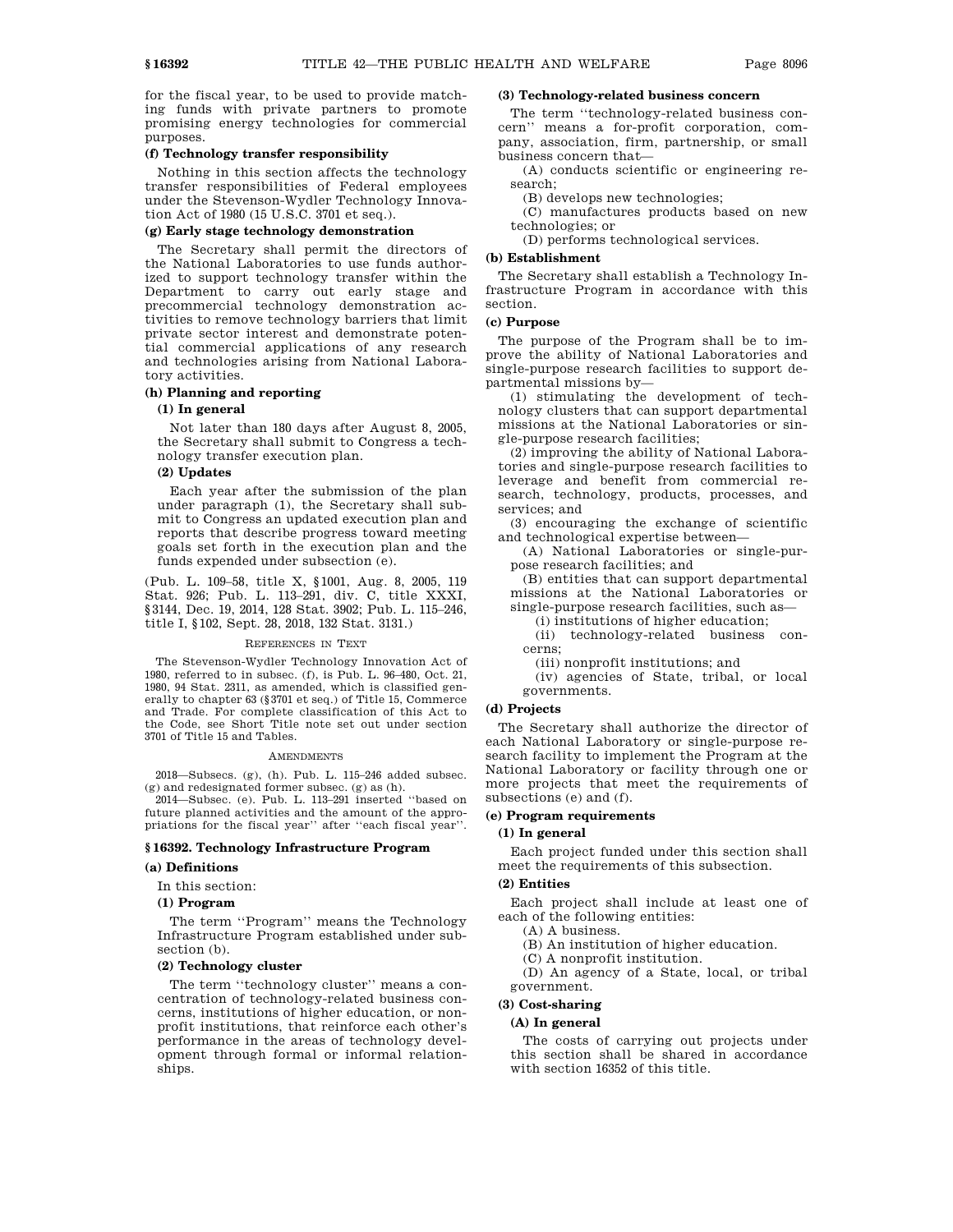for the fiscal year, to be used to provide matching funds with private partners to promote promising energy technologies for commercial purposes.

#### **(f) Technology transfer responsibility**

Nothing in this section affects the technology transfer responsibilities of Federal employees under the Stevenson-Wydler Technology Innovation Act of 1980 (15 U.S.C. 3701 et seq.).

# **(g) Early stage technology demonstration**

The Secretary shall permit the directors of the National Laboratories to use funds authorized to support technology transfer within the Department to carry out early stage and precommercial technology demonstration activities to remove technology barriers that limit private sector interest and demonstrate potential commercial applications of any research and technologies arising from National Laboratory activities.

# **(h) Planning and reporting**

# **(1) In general**

Not later than 180 days after August 8, 2005, the Secretary shall submit to Congress a technology transfer execution plan.

# **(2) Updates**

Each year after the submission of the plan under paragraph (1), the Secretary shall submit to Congress an updated execution plan and reports that describe progress toward meeting goals set forth in the execution plan and the funds expended under subsection (e).

(Pub. L. 109–58, title X, §1001, Aug. 8, 2005, 119 Stat. 926; Pub. L. 113–291, div. C, title XXXI, §3144, Dec. 19, 2014, 128 Stat. 3902; Pub. L. 115–246, title I, §102, Sept. 28, 2018, 132 Stat. 3131.)

#### REFERENCES IN TEXT

The Stevenson-Wydler Technology Innovation Act of 1980, referred to in subsec. (f), is Pub. L. 96–480, Oct. 21, 1980, 94 Stat. 2311, as amended, which is classified generally to chapter 63 (§3701 et seq.) of Title 15, Commerce and Trade. For complete classification of this Act to the Code, see Short Title note set out under section 3701 of Title 15 and Tables.

#### AMENDMENTS

2018—Subsecs. (g), (h). Pub. L. 115–246 added subsec. (g) and redesignated former subsec. (g) as (h).

2014—Subsec. (e). Pub. L. 113–291 inserted ''based on future planned activities and the amount of the appropriations for the fiscal year'' after ''each fiscal year''.

## **§ 16392. Technology Infrastructure Program**

#### **(a) Definitions**

In this section:

#### **(1) Program**

The term ''Program'' means the Technology Infrastructure Program established under subsection (b).

# **(2) Technology cluster**

The term ''technology cluster'' means a concentration of technology-related business concerns, institutions of higher education, or nonprofit institutions, that reinforce each other's performance in the areas of technology development through formal or informal relationships.

# **(3) Technology-related business concern**

The term ''technology-related business concern'' means a for-profit corporation, company, association, firm, partnership, or small business concern that—

(A) conducts scientific or engineering research;

(B) develops new technologies;

(C) manufactures products based on new technologies; or

(D) performs technological services.

#### **(b) Establishment**

The Secretary shall establish a Technology Infrastructure Program in accordance with this section.

# **(c) Purpose**

The purpose of the Program shall be to improve the ability of National Laboratories and single-purpose research facilities to support departmental missions by—

(1) stimulating the development of technology clusters that can support departmental missions at the National Laboratories or single-purpose research facilities;

(2) improving the ability of National Laboratories and single-purpose research facilities to leverage and benefit from commercial research, technology, products, processes, and services; and

(3) encouraging the exchange of scientific and technological expertise between—

(A) National Laboratories or single-purpose research facilities; and

(B) entities that can support departmental missions at the National Laboratories or single-purpose research facilities, such as—

(i) institutions of higher education;

(ii) technology-related business concerns;

(iii) nonprofit institutions; and

(iv) agencies of State, tribal, or local governments.

## **(d) Projects**

The Secretary shall authorize the director of each National Laboratory or single-purpose research facility to implement the Program at the National Laboratory or facility through one or more projects that meet the requirements of subsections (e) and (f).

#### **(e) Program requirements**

# **(1) In general**

Each project funded under this section shall meet the requirements of this subsection.

#### **(2) Entities**

Each project shall include at least one of each of the following entities:

(A) A business.

(B) An institution of higher education.

(C) A nonprofit institution.

(D) An agency of a State, local, or tribal government.

# **(3) Cost-sharing**

#### **(A) In general**

The costs of carrying out projects under this section shall be shared in accordance with section 16352 of this title.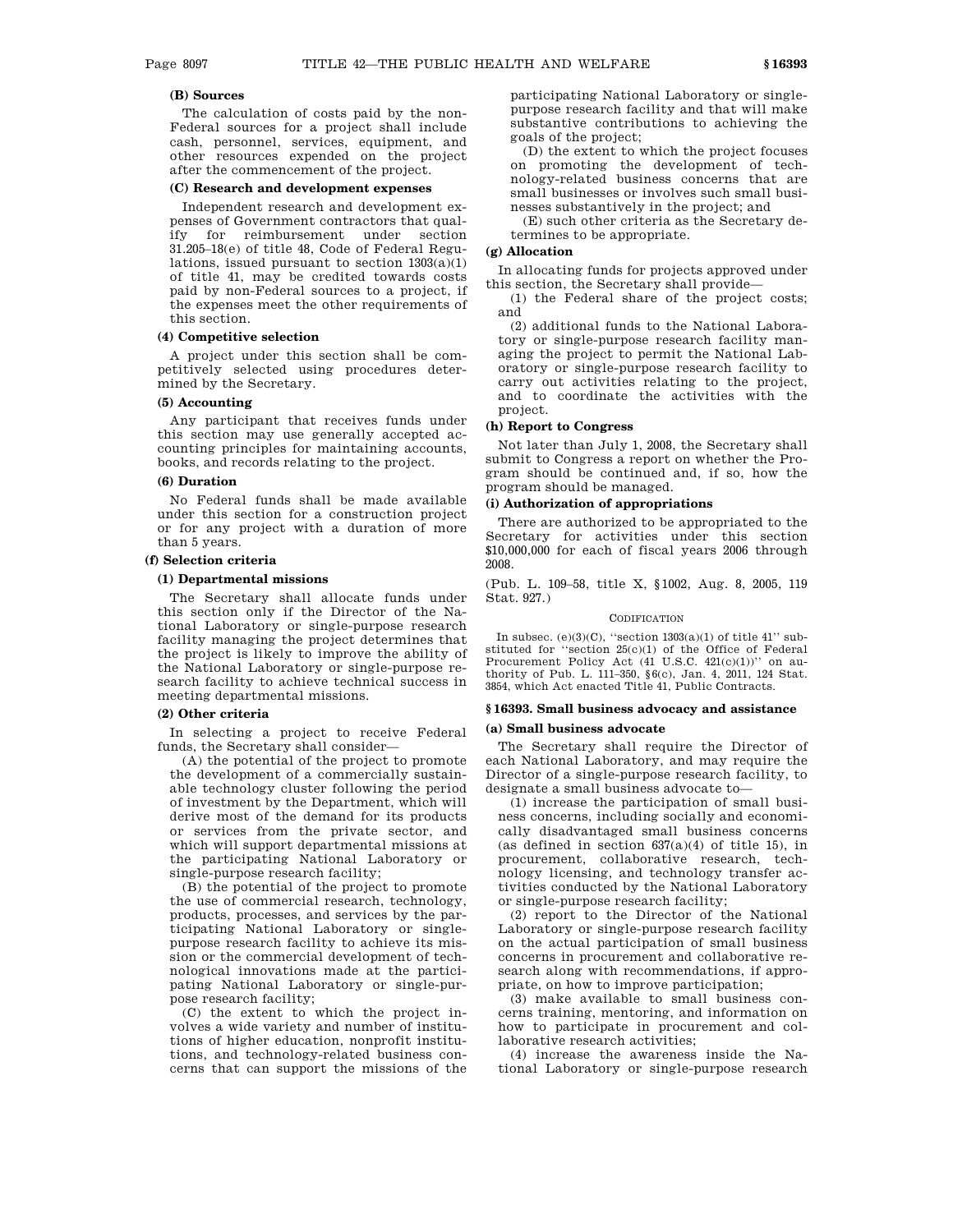The calculation of costs paid by the non-Federal sources for a project shall include cash, personnel, services, equipment, and other resources expended on the project after the commencement of the project.

#### **(C) Research and development expenses**

Independent research and development expenses of Government contractors that qualify for reimbursement under section 31.205–18(e) of title 48, Code of Federal Regulations, issued pursuant to section  $1303(a)(1)$ of title 41, may be credited towards costs paid by non-Federal sources to a project, if the expenses meet the other requirements of this section.

## **(4) Competitive selection**

A project under this section shall be competitively selected using procedures determined by the Secretary.

# **(5) Accounting**

Any participant that receives funds under this section may use generally accepted accounting principles for maintaining accounts, books, and records relating to the project.

# **(6) Duration**

No Federal funds shall be made available under this section for a construction project or for any project with a duration of more than 5 years.

#### **(f) Selection criteria**

# **(1) Departmental missions**

The Secretary shall allocate funds under this section only if the Director of the National Laboratory or single-purpose research facility managing the project determines that the project is likely to improve the ability of the National Laboratory or single-purpose research facility to achieve technical success in meeting departmental missions.

#### **(2) Other criteria**

In selecting a project to receive Federal funds, the Secretary shall consider—

(A) the potential of the project to promote the development of a commercially sustainable technology cluster following the period of investment by the Department, which will derive most of the demand for its products or services from the private sector, and which will support departmental missions at the participating National Laboratory or single-purpose research facility;

(B) the potential of the project to promote the use of commercial research, technology, products, processes, and services by the participating National Laboratory or singlepurpose research facility to achieve its mission or the commercial development of technological innovations made at the participating National Laboratory or single-purpose research facility;

(C) the extent to which the project involves a wide variety and number of institutions of higher education, nonprofit institutions, and technology-related business concerns that can support the missions of the participating National Laboratory or singlepurpose research facility and that will make substantive contributions to achieving the goals of the project;

(D) the extent to which the project focuses on promoting the development of technology-related business concerns that are small businesses or involves such small businesses substantively in the project; and

(E) such other criteria as the Secretary determines to be appropriate.

#### **(g) Allocation**

In allocating funds for projects approved under this section, the Secretary shall provide—

(1) the Federal share of the project costs; and

(2) additional funds to the National Laboratory or single-purpose research facility managing the project to permit the National Laboratory or single-purpose research facility to carry out activities relating to the project, and to coordinate the activities with the project.

# **(h) Report to Congress**

Not later than July 1, 2008, the Secretary shall submit to Congress a report on whether the Program should be continued and, if so, how the program should be managed.

#### **(i) Authorization of appropriations**

There are authorized to be appropriated to the Secretary for activities under this section \$10,000,000 for each of fiscal years 2006 through 2008.

(Pub. L. 109–58, title X, §1002, Aug. 8, 2005, 119 Stat. 927.)

#### **CODIFICATION**

In subsec.  $(e)(3)(C)$ , "section  $1303(a)(1)$  of title 41" substituted for ''section 25(c)(1) of the Office of Federal Procurement Policy Act  $(41 \text{ U.S.C. } 421(c)(1))$ " on authority of Pub. L. 111–350, §6(c), Jan. 4, 2011, 124 Stat. 3854, which Act enacted Title 41, Public Contracts.

#### **§ 16393. Small business advocacy and assistance**

#### **(a) Small business advocate**

The Secretary shall require the Director of each National Laboratory, and may require the Director of a single-purpose research facility, to designate a small business advocate to—

(1) increase the participation of small business concerns, including socially and economically disadvantaged small business concerns (as defined in section  $637(a)(4)$  of title 15), in procurement, collaborative research, technology licensing, and technology transfer activities conducted by the National Laboratory or single-purpose research facility;

(2) report to the Director of the National Laboratory or single-purpose research facility on the actual participation of small business concerns in procurement and collaborative research along with recommendations, if appropriate, on how to improve participation;

(3) make available to small business concerns training, mentoring, and information on how to participate in procurement and collaborative research activities;

(4) increase the awareness inside the National Laboratory or single-purpose research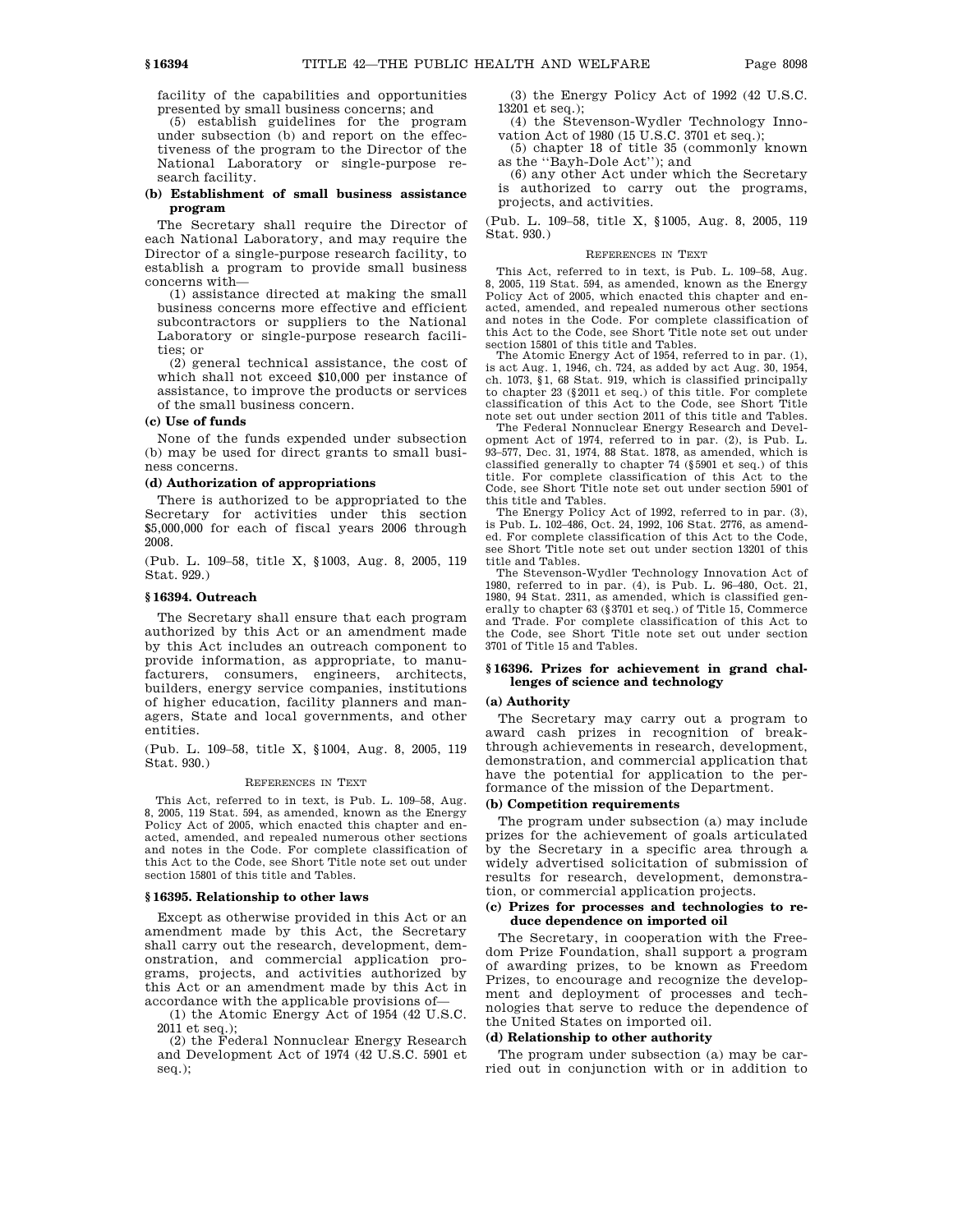facility of the capabilities and opportunities presented by small business concerns; and

(5) establish guidelines for the program under subsection (b) and report on the effectiveness of the program to the Director of the National Laboratory or single-purpose research facility.

## **(b) Establishment of small business assistance program**

The Secretary shall require the Director of each National Laboratory, and may require the Director of a single-purpose research facility, to establish a program to provide small business concerns with—

(1) assistance directed at making the small business concerns more effective and efficient subcontractors or suppliers to the National Laboratory or single-purpose research facilities; or

(2) general technical assistance, the cost of which shall not exceed \$10,000 per instance of assistance, to improve the products or services of the small business concern.

#### **(c) Use of funds**

None of the funds expended under subsection (b) may be used for direct grants to small business concerns.

#### **(d) Authorization of appropriations**

There is authorized to be appropriated to the Secretary for activities under this section \$5,000,000 for each of fiscal years 2006 through 2008.

(Pub. L. 109–58, title X, §1003, Aug. 8, 2005, 119 Stat. 929.)

## **§ 16394. Outreach**

The Secretary shall ensure that each program authorized by this Act or an amendment made by this Act includes an outreach component to provide information, as appropriate, to manufacturers, consumers, engineers, architects, builders, energy service companies, institutions of higher education, facility planners and managers, State and local governments, and other entities.

(Pub. L. 109–58, title X, §1004, Aug. 8, 2005, 119 Stat. 930.)

#### REFERENCES IN TEXT

This Act, referred to in text, is Pub. L. 109–58, Aug. 8, 2005, 119 Stat. 594, as amended, known as the Energy Policy Act of 2005, which enacted this chapter and enacted, amended, and repealed numerous other sections and notes in the Code. For complete classification of this Act to the Code, see Short Title note set out under section 15801 of this title and Tables.

#### **§ 16395. Relationship to other laws**

Except as otherwise provided in this Act or an amendment made by this Act, the Secretary shall carry out the research, development, demonstration, and commercial application programs, projects, and activities authorized by this Act or an amendment made by this Act in accordance with the applicable provisions of—

(1) the Atomic Energy Act of 1954 (42 U.S.C. 2011 et seq.);

(2) the Federal Nonnuclear Energy Research and Development Act of 1974 (42 U.S.C. 5901 et seq.);

(3) the Energy Policy Act of 1992 (42 U.S.C. 13201 et seq.);

(4) the Stevenson-Wydler Technology Innovation Act of 1980 (15 U.S.C. 3701 et seq.);

(5) chapter 18 of title 35 (commonly known as the ''Bayh-Dole Act''); and

(6) any other Act under which the Secretary is authorized to carry out the programs, projects, and activities.

(Pub. L. 109–58, title X, §1005, Aug. 8, 2005, 119 Stat. 930.)

#### REFERENCES IN TEXT

This Act, referred to in text, is Pub. L. 109–58, Aug. 8, 2005, 119 Stat. 594, as amended, known as the Energy Policy Act of 2005, which enacted this chapter and enacted, amended, and repealed numerous other sections and notes in the Code. For complete classification of this Act to the Code, see Short Title note set out under section 15801 of this title and Tables.

The Atomic Energy Act of 1954, referred to in par. (1), is act Aug. 1, 1946, ch. 724, as added by act Aug. 30, 1954, ch. 1073, §1, 68 Stat. 919, which is classified principally to chapter 23 (§2011 et seq.) of this title. For complete classification of this Act to the Code, see Short Title note set out under section 2011 of this title and Tables.

The Federal Nonnuclear Energy Research and Development Act of 1974, referred to in par. (2), is Pub. L. 93–577, Dec. 31, 1974, 88 Stat. 1878, as amended, which is classified generally to chapter 74 (§5901 et seq.) of this title. For complete classification of this Act to the Code, see Short Title note set out under section 5901 of this title and Tables.

The Energy Policy Act of 1992, referred to in par. (3), is Pub. L. 102–486, Oct. 24, 1992, 106 Stat. 2776, as amended. For complete classification of this Act to the Code, see Short Title note set out under section 13201 of this title and Tables.

The Stevenson-Wydler Technology Innovation Act of 1980, referred to in par. (4), is Pub. L. 96–480, Oct. 21, 1980, 94 Stat. 2311, as amended, which is classified generally to chapter 63 (§3701 et seq.) of Title 15, Commerce and Trade. For complete classification of this Act to the Code, see Short Title note set out under section 3701 of Title 15 and Tables.

# **§ 16396. Prizes for achievement in grand challenges of science and technology**

#### **(a) Authority**

The Secretary may carry out a program to award cash prizes in recognition of breakthrough achievements in research, development, demonstration, and commercial application that have the potential for application to the performance of the mission of the Department.

#### **(b) Competition requirements**

The program under subsection (a) may include prizes for the achievement of goals articulated by the Secretary in a specific area through a widely advertised solicitation of submission of results for research, development, demonstration, or commercial application projects.

# **(c) Prizes for processes and technologies to reduce dependence on imported oil**

The Secretary, in cooperation with the Freedom Prize Foundation, shall support a program of awarding prizes, to be known as Freedom Prizes, to encourage and recognize the development and deployment of processes and technologies that serve to reduce the dependence of the United States on imported oil.

#### **(d) Relationship to other authority**

The program under subsection (a) may be carried out in conjunction with or in addition to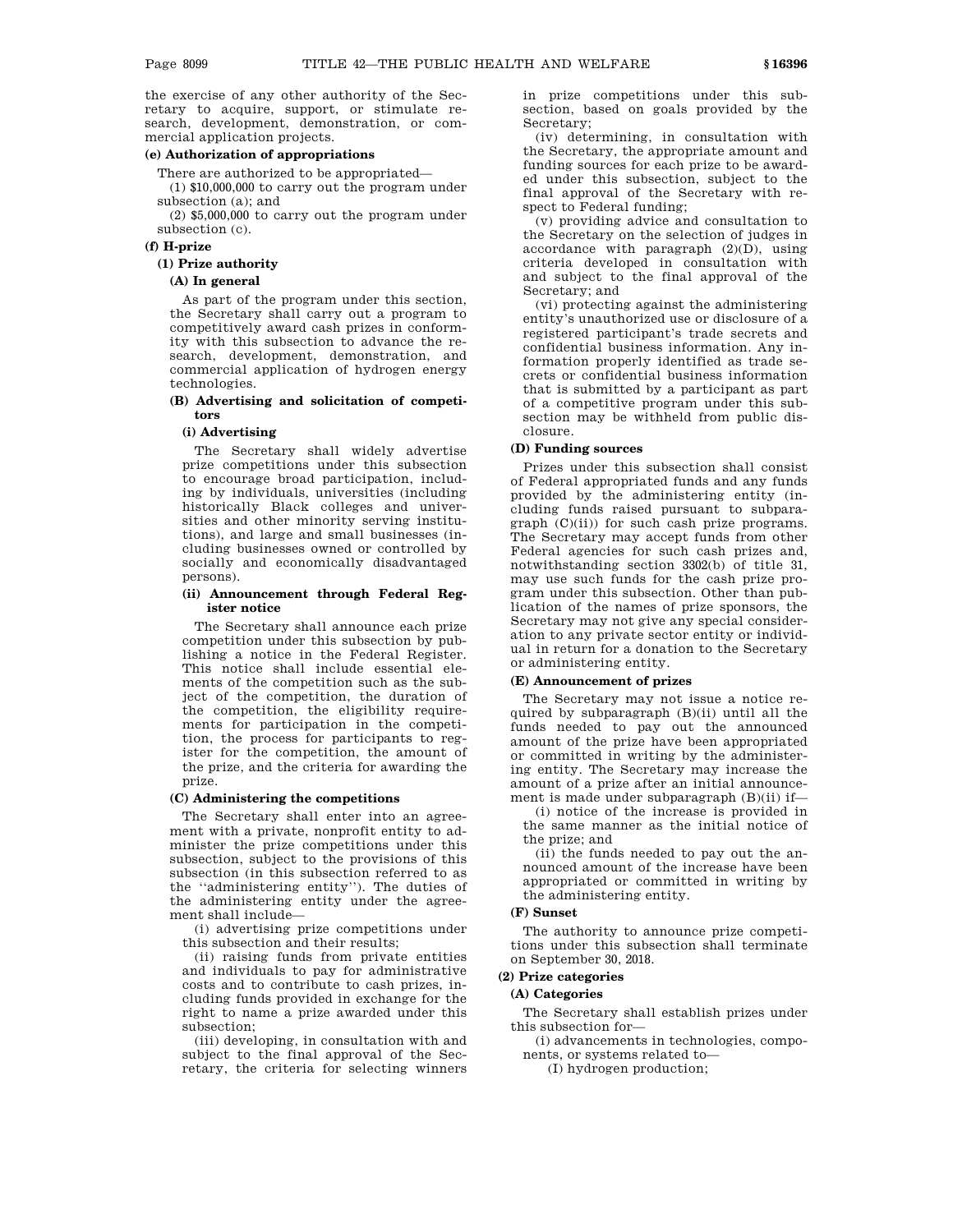the exercise of any other authority of the Secretary to acquire, support, or stimulate research, development, demonstration, or commercial application projects.

#### **(e) Authorization of appropriations**

There are authorized to be appropriated—

(1) \$10,000,000 to carry out the program under subsection (a); and

(2) \$5,000,000 to carry out the program under subsection (c).

# **(f) H-prize**

# **(1) Prize authority**

#### **(A) In general**

As part of the program under this section, the Secretary shall carry out a program to competitively award cash prizes in conformity with this subsection to advance the research, development, demonstration, and commercial application of hydrogen energy technologies.

## **(B) Advertising and solicitation of competitors**

#### **(i) Advertising**

The Secretary shall widely advertise prize competitions under this subsection to encourage broad participation, including by individuals, universities (including historically Black colleges and universities and other minority serving institutions), and large and small businesses (including businesses owned or controlled by socially and economically disadvantaged persons).

#### **(ii) Announcement through Federal Register notice**

The Secretary shall announce each prize competition under this subsection by publishing a notice in the Federal Register. This notice shall include essential elements of the competition such as the subject of the competition, the duration of the competition, the eligibility requirements for participation in the competition, the process for participants to register for the competition, the amount of the prize, and the criteria for awarding the prize.

#### **(C) Administering the competitions**

The Secretary shall enter into an agreement with a private, nonprofit entity to administer the prize competitions under this subsection, subject to the provisions of this subsection (in this subsection referred to as the ''administering entity''). The duties of the administering entity under the agreement shall include—

(i) advertising prize competitions under this subsection and their results;

(ii) raising funds from private entities and individuals to pay for administrative costs and to contribute to cash prizes, including funds provided in exchange for the right to name a prize awarded under this subsection;

(iii) developing, in consultation with and subject to the final approval of the Secretary, the criteria for selecting winners in prize competitions under this subsection, based on goals provided by the Secretary;

(iv) determining, in consultation with the Secretary, the appropriate amount and funding sources for each prize to be awarded under this subsection, subject to the final approval of the Secretary with respect to Federal funding;

(v) providing advice and consultation to the Secretary on the selection of judges in accordance with paragraph (2)(D), using criteria developed in consultation with and subject to the final approval of the Secretary; and

(vi) protecting against the administering entity's unauthorized use or disclosure of a registered participant's trade secrets and confidential business information. Any information properly identified as trade secrets or confidential business information that is submitted by a participant as part of a competitive program under this subsection may be withheld from public disclosure.

#### **(D) Funding sources**

Prizes under this subsection shall consist of Federal appropriated funds and any funds provided by the administering entity (including funds raised pursuant to subparagraph (C)(ii)) for such cash prize programs. The Secretary may accept funds from other Federal agencies for such cash prizes and, notwithstanding section 3302(b) of title 31, may use such funds for the cash prize program under this subsection. Other than publication of the names of prize sponsors, the Secretary may not give any special consideration to any private sector entity or individual in return for a donation to the Secretary or administering entity.

#### **(E) Announcement of prizes**

The Secretary may not issue a notice required by subparagraph (B)(ii) until all the funds needed to pay out the announced amount of the prize have been appropriated or committed in writing by the administering entity. The Secretary may increase the amount of a prize after an initial announcement is made under subparagraph (B)(ii) if—

(i) notice of the increase is provided in the same manner as the initial notice of the prize; and

(ii) the funds needed to pay out the announced amount of the increase have been appropriated or committed in writing by the administering entity.

# **(F) Sunset**

The authority to announce prize competitions under this subsection shall terminate on September 30, 2018.

# **(2) Prize categories**

# **(A) Categories**

The Secretary shall establish prizes under this subsection for—

(i) advancements in technologies, components, or systems related to—

(I) hydrogen production;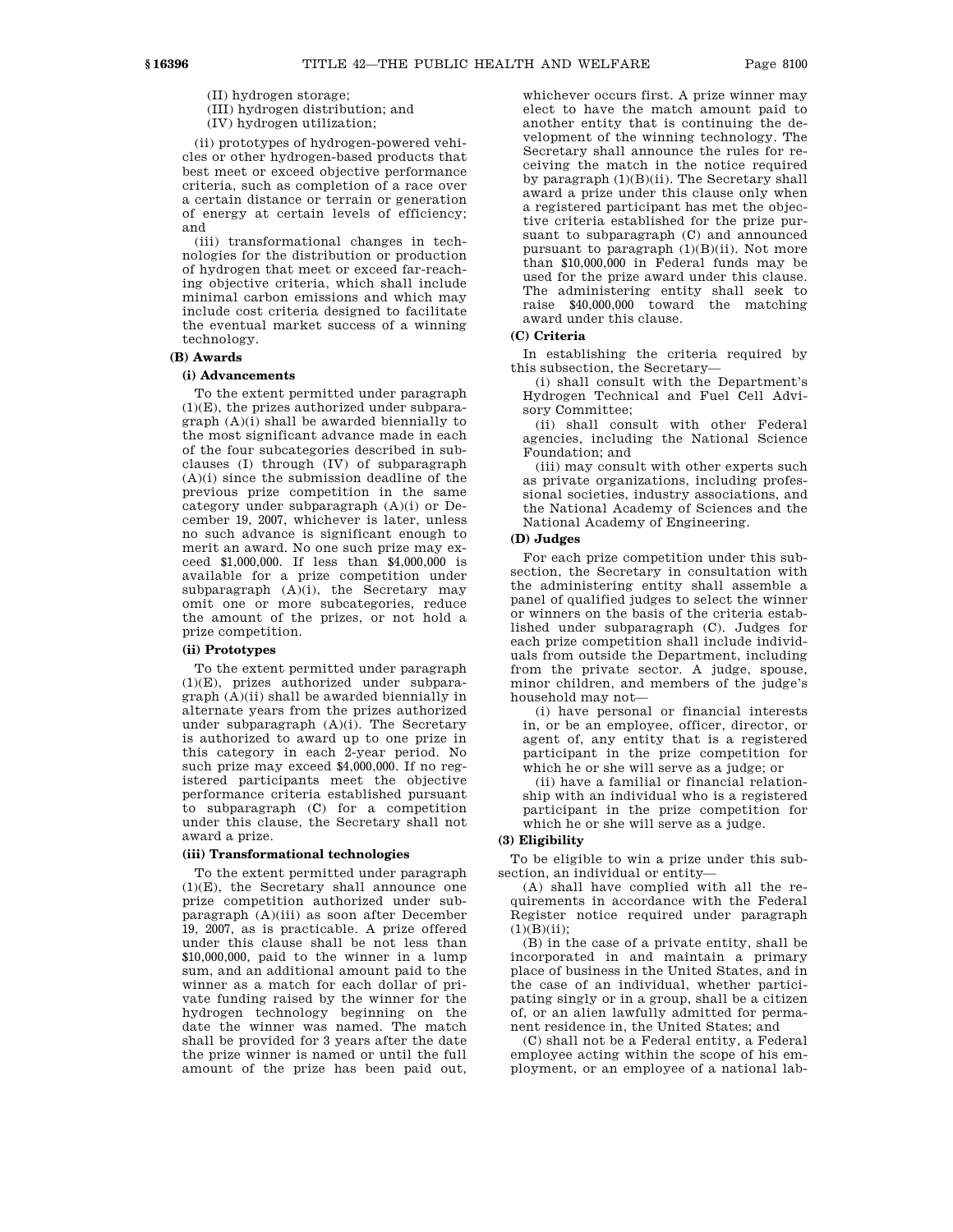(II) hydrogen storage;

(III) hydrogen distribution; and

(IV) hydrogen utilization;

(ii) prototypes of hydrogen-powered vehicles or other hydrogen-based products that best meet or exceed objective performance criteria, such as completion of a race over a certain distance or terrain or generation of energy at certain levels of efficiency; and

(iii) transformational changes in technologies for the distribution or production of hydrogen that meet or exceed far-reaching objective criteria, which shall include minimal carbon emissions and which may include cost criteria designed to facilitate the eventual market success of a winning technology.

# **(B) Awards**

# **(i) Advancements**

To the extent permitted under paragraph (1)(E), the prizes authorized under subparagraph (A)(i) shall be awarded biennially to the most significant advance made in each of the four subcategories described in subclauses (I) through (IV) of subparagraph  $(A)(i)$  since the submission deadline of the previous prize competition in the same category under subparagraph (A)(i) or December 19, 2007, whichever is later, unless no such advance is significant enough to merit an award. No one such prize may exceed \$1,000,000. If less than \$4,000,000 is available for a prize competition under subparagraph  $(A)(i)$ , the Secretary may omit one or more subcategories, reduce the amount of the prizes, or not hold a prize competition.

#### **(ii) Prototypes**

To the extent permitted under paragraph (1)(E), prizes authorized under subparagraph (A)(ii) shall be awarded biennially in alternate years from the prizes authorized under subparagraph (A)(i). The Secretary is authorized to award up to one prize in this category in each 2-year period. No such prize may exceed \$4,000,000. If no registered participants meet the objective performance criteria established pursuant to subparagraph (C) for a competition under this clause, the Secretary shall not award a prize.

# **(iii) Transformational technologies**

To the extent permitted under paragraph (1)(E), the Secretary shall announce one prize competition authorized under subparagraph (A)(iii) as soon after December 19, 2007, as is practicable. A prize offered under this clause shall be not less than \$10,000,000, paid to the winner in a lump sum, and an additional amount paid to the winner as a match for each dollar of private funding raised by the winner for the hydrogen technology beginning on the date the winner was named. The match shall be provided for 3 years after the date the prize winner is named or until the full amount of the prize has been paid out,

whichever occurs first. A prize winner may elect to have the match amount paid to another entity that is continuing the development of the winning technology. The Secretary shall announce the rules for receiving the match in the notice required by paragraph (1)(B)(ii). The Secretary shall award a prize under this clause only when a registered participant has met the objective criteria established for the prize pursuant to subparagraph (C) and announced pursuant to paragraph (1)(B)(ii). Not more than \$10,000,000 in Federal funds may be used for the prize award under this clause. The administering entity shall seek to raise \$40,000,000 toward the matching award under this clause.

#### **(C) Criteria**

In establishing the criteria required by this subsection, the Secretary—

(i) shall consult with the Department's Hydrogen Technical and Fuel Cell Advisory Committee;

(ii) shall consult with other Federal agencies, including the National Science Foundation; and

(iii) may consult with other experts such as private organizations, including professional societies, industry associations, and the National Academy of Sciences and the National Academy of Engineering.

# **(D) Judges**

For each prize competition under this subsection, the Secretary in consultation with the administering entity shall assemble a panel of qualified judges to select the winner or winners on the basis of the criteria established under subparagraph (C). Judges for each prize competition shall include individuals from outside the Department, including from the private sector. A judge, spouse, minor children, and members of the judge's household may not—

(i) have personal or financial interests in, or be an employee, officer, director, or agent of, any entity that is a registered participant in the prize competition for which he or she will serve as a judge; or

(ii) have a familial or financial relationship with an individual who is a registered participant in the prize competition for which he or she will serve as a judge.

### **(3) Eligibility**

To be eligible to win a prize under this subsection, an individual or entity—

(A) shall have complied with all the requirements in accordance with the Federal Register notice required under paragraph  $(1)(B)(ii)$ :

(B) in the case of a private entity, shall be incorporated in and maintain a primary place of business in the United States, and in the case of an individual, whether participating singly or in a group, shall be a citizen of, or an alien lawfully admitted for permanent residence in, the United States; and

(C) shall not be a Federal entity, a Federal employee acting within the scope of his employment, or an employee of a national lab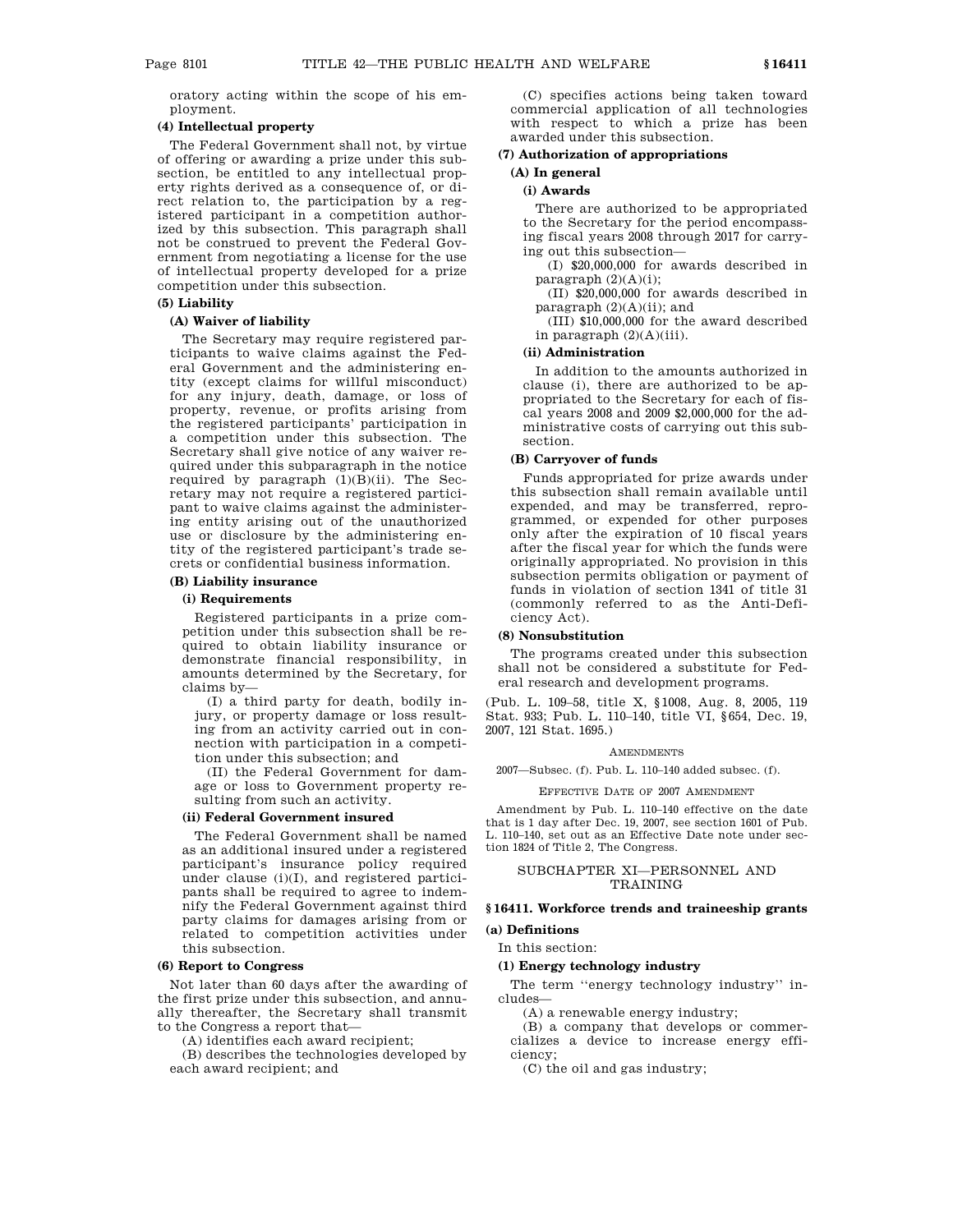oratory acting within the scope of his employment.

# **(4) Intellectual property**

The Federal Government shall not, by virtue of offering or awarding a prize under this subsection, be entitled to any intellectual property rights derived as a consequence of, or direct relation to, the participation by a registered participant in a competition authorized by this subsection. This paragraph shall not be construed to prevent the Federal Government from negotiating a license for the use of intellectual property developed for a prize competition under this subsection.

#### **(5) Liability**

# **(A) Waiver of liability**

The Secretary may require registered participants to waive claims against the Federal Government and the administering entity (except claims for willful misconduct) for any injury, death, damage, or loss of property, revenue, or profits arising from the registered participants' participation in a competition under this subsection. The Secretary shall give notice of any waiver required under this subparagraph in the notice required by paragraph (1)(B)(ii). The Secretary may not require a registered participant to waive claims against the administering entity arising out of the unauthorized use or disclosure by the administering entity of the registered participant's trade secrets or confidential business information.

# **(B) Liability insurance**

# **(i) Requirements**

Registered participants in a prize competition under this subsection shall be required to obtain liability insurance or demonstrate financial responsibility, in amounts determined by the Secretary, for claims by—

(I) a third party for death, bodily injury, or property damage or loss resulting from an activity carried out in connection with participation in a competition under this subsection; and

(II) the Federal Government for damage or loss to Government property resulting from such an activity.

# **(ii) Federal Government insured**

The Federal Government shall be named as an additional insured under a registered participant's insurance policy required under clause (i)(I), and registered participants shall be required to agree to indemnify the Federal Government against third party claims for damages arising from or related to competition activities under this subsection.

# **(6) Report to Congress**

Not later than 60 days after the awarding of the first prize under this subsection, and annually thereafter, the Secretary shall transmit to the Congress a report that—

(A) identifies each award recipient;

(B) describes the technologies developed by each award recipient; and

(C) specifies actions being taken toward commercial application of all technologies with respect to which a prize has been awarded under this subsection.

#### **(7) Authorization of appropriations**

# **(A) In general**

# **(i) Awards**

There are authorized to be appropriated to the Secretary for the period encompassing fiscal years 2008 through 2017 for carrying out this subsection—

(I) \$20,000,000 for awards described in paragraph  $(2)(A)(i)$ ;

(II) \$20,000,000 for awards described in paragraph (2)(A)(ii); and

(III) \$10,000,000 for the award described in paragraph (2)(A)(iii).

# **(ii) Administration**

In addition to the amounts authorized in clause (i), there are authorized to be appropriated to the Secretary for each of fiscal years 2008 and 2009 \$2,000,000 for the administrative costs of carrying out this subsection.

# **(B) Carryover of funds**

Funds appropriated for prize awards under this subsection shall remain available until expended, and may be transferred, reprogrammed, or expended for other purposes only after the expiration of 10 fiscal years after the fiscal year for which the funds were originally appropriated. No provision in this subsection permits obligation or payment of funds in violation of section 1341 of title 31 (commonly referred to as the Anti-Deficiency Act).

#### **(8) Nonsubstitution**

The programs created under this subsection shall not be considered a substitute for Federal research and development programs.

(Pub. L. 109–58, title X, §1008, Aug. 8, 2005, 119 Stat. 933; Pub. L. 110–140, title VI, §654, Dec. 19, 2007, 121 Stat. 1695.)

## **AMENDMENTS**

2007—Subsec. (f). Pub. L. 110–140 added subsec. (f).

#### EFFECTIVE DATE OF 2007 AMENDMENT

Amendment by Pub. L. 110–140 effective on the date that is 1 day after Dec. 19, 2007, see section 1601 of Pub. L. 110–140, set out as an Effective Date note under section 1824 of Title 2, The Congress.

# SUBCHAPTER XI—PERSONNEL AND TRAINING

# **§ 16411. Workforce trends and traineeship grants**

**(a) Definitions**

#### In this section:

# **(1) Energy technology industry**

The term ''energy technology industry'' includes—

(A) a renewable energy industry;

(B) a company that develops or commercializes a device to increase energy efficiency;

(C) the oil and gas industry;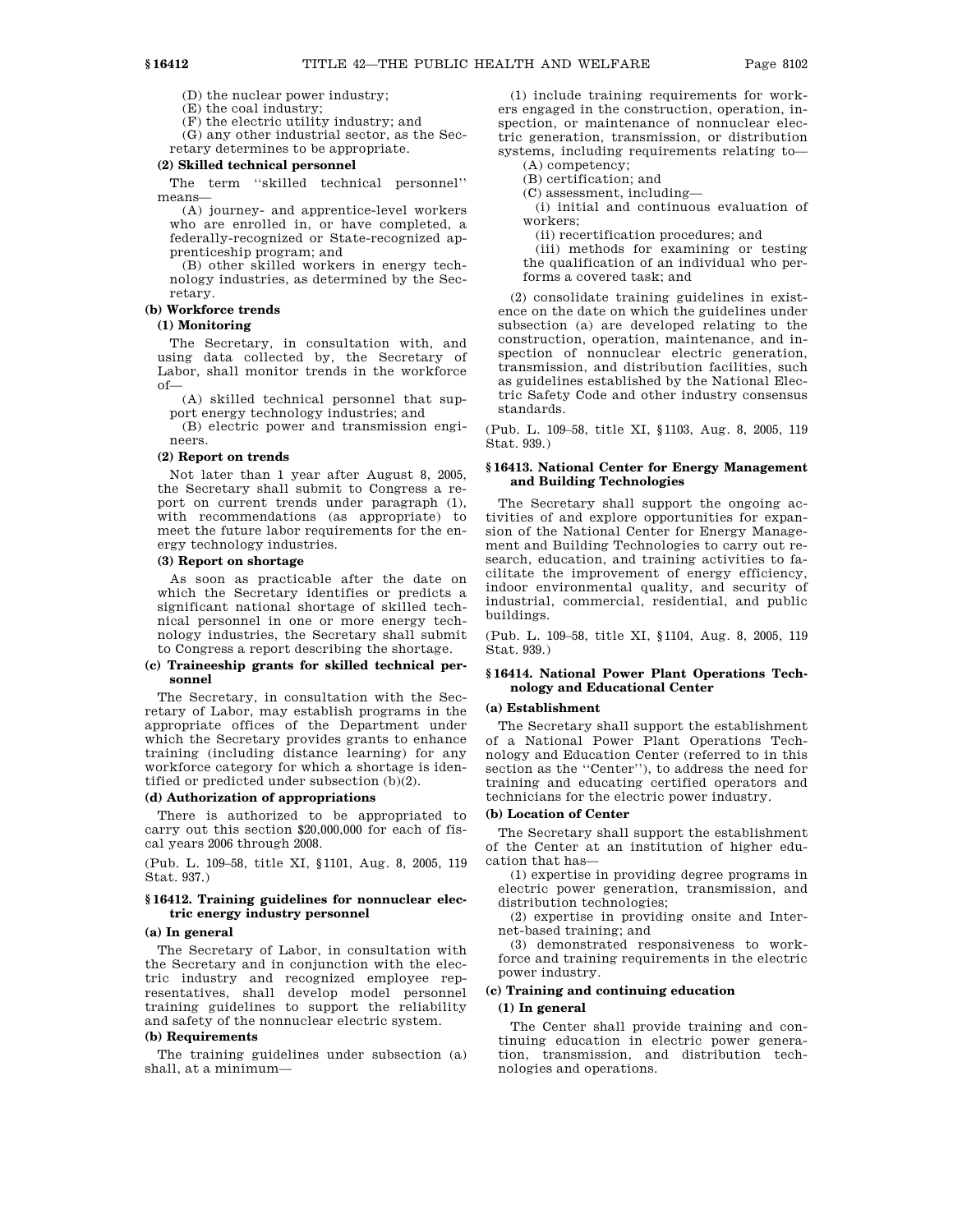(D) the nuclear power industry;

(E) the coal industry;

(F) the electric utility industry; and

(G) any other industrial sector, as the Secretary determines to be appropriate.

#### **(2) Skilled technical personnel**

The term ''skilled technical personnel'' means—

(A) journey- and apprentice-level workers who are enrolled in, or have completed, a federally-recognized or State-recognized apprenticeship program; and

(B) other skilled workers in energy technology industries, as determined by the Secretary.

# **(b) Workforce trends**

# **(1) Monitoring**

The Secretary, in consultation with, and using data collected by, the Secretary of Labor, shall monitor trends in the workforce of—

(A) skilled technical personnel that support energy technology industries; and

(B) electric power and transmission engineers.

#### **(2) Report on trends**

Not later than 1 year after August 8, 2005, the Secretary shall submit to Congress a report on current trends under paragraph (1), with recommendations (as appropriate) to meet the future labor requirements for the energy technology industries.

# **(3) Report on shortage**

As soon as practicable after the date on which the Secretary identifies or predicts a significant national shortage of skilled technical personnel in one or more energy technology industries, the Secretary shall submit to Congress a report describing the shortage.

# **(c) Traineeship grants for skilled technical personnel**

The Secretary, in consultation with the Secretary of Labor, may establish programs in the appropriate offices of the Department under which the Secretary provides grants to enhance training (including distance learning) for any workforce category for which a shortage is identified or predicted under subsection (b)(2).

# **(d) Authorization of appropriations**

There is authorized to be appropriated to carry out this section \$20,000,000 for each of fiscal years 2006 through 2008.

(Pub. L. 109–58, title XI, §1101, Aug. 8, 2005, 119 Stat. 937.)

# **§ 16412. Training guidelines for nonnuclear electric energy industry personnel**

# **(a) In general**

The Secretary of Labor, in consultation with the Secretary and in conjunction with the electric industry and recognized employee representatives, shall develop model personnel training guidelines to support the reliability and safety of the nonnuclear electric system.

#### **(b) Requirements**

The training guidelines under subsection (a) shall, at a minimum—

(1) include training requirements for workers engaged in the construction, operation, inspection, or maintenance of nonnuclear electric generation, transmission, or distribution systems, including requirements relating to— (A) competency;

(B) certification; and

(C) assessment, including—

(i) initial and continuous evaluation of workers;

(ii) recertification procedures; and

(iii) methods for examining or testing the qualification of an individual who performs a covered task; and

(2) consolidate training guidelines in existence on the date on which the guidelines under subsection (a) are developed relating to the construction, operation, maintenance, and inspection of nonnuclear electric generation, transmission, and distribution facilities, such as guidelines established by the National Electric Safety Code and other industry consensus standards.

(Pub. L. 109–58, title XI, §1103, Aug. 8, 2005, 119 Stat. 939.)

### **§ 16413. National Center for Energy Management and Building Technologies**

The Secretary shall support the ongoing activities of and explore opportunities for expansion of the National Center for Energy Management and Building Technologies to carry out research, education, and training activities to facilitate the improvement of energy efficiency, indoor environmental quality, and security of industrial, commercial, residential, and public buildings.

(Pub. L. 109–58, title XI, §1104, Aug. 8, 2005, 119 Stat. 939.)

# **§ 16414. National Power Plant Operations Technology and Educational Center**

# **(a) Establishment**

The Secretary shall support the establishment of a National Power Plant Operations Technology and Education Center (referred to in this section as the "Center"), to address the need for training and educating certified operators and technicians for the electric power industry.

#### **(b) Location of Center**

The Secretary shall support the establishment of the Center at an institution of higher education that has—

(1) expertise in providing degree programs in electric power generation, transmission, and distribution technologies;

(2) expertise in providing onsite and Internet-based training; and

(3) demonstrated responsiveness to workforce and training requirements in the electric power industry.

# **(c) Training and continuing education**

# **(1) In general**

The Center shall provide training and continuing education in electric power generation, transmission, and distribution technologies and operations.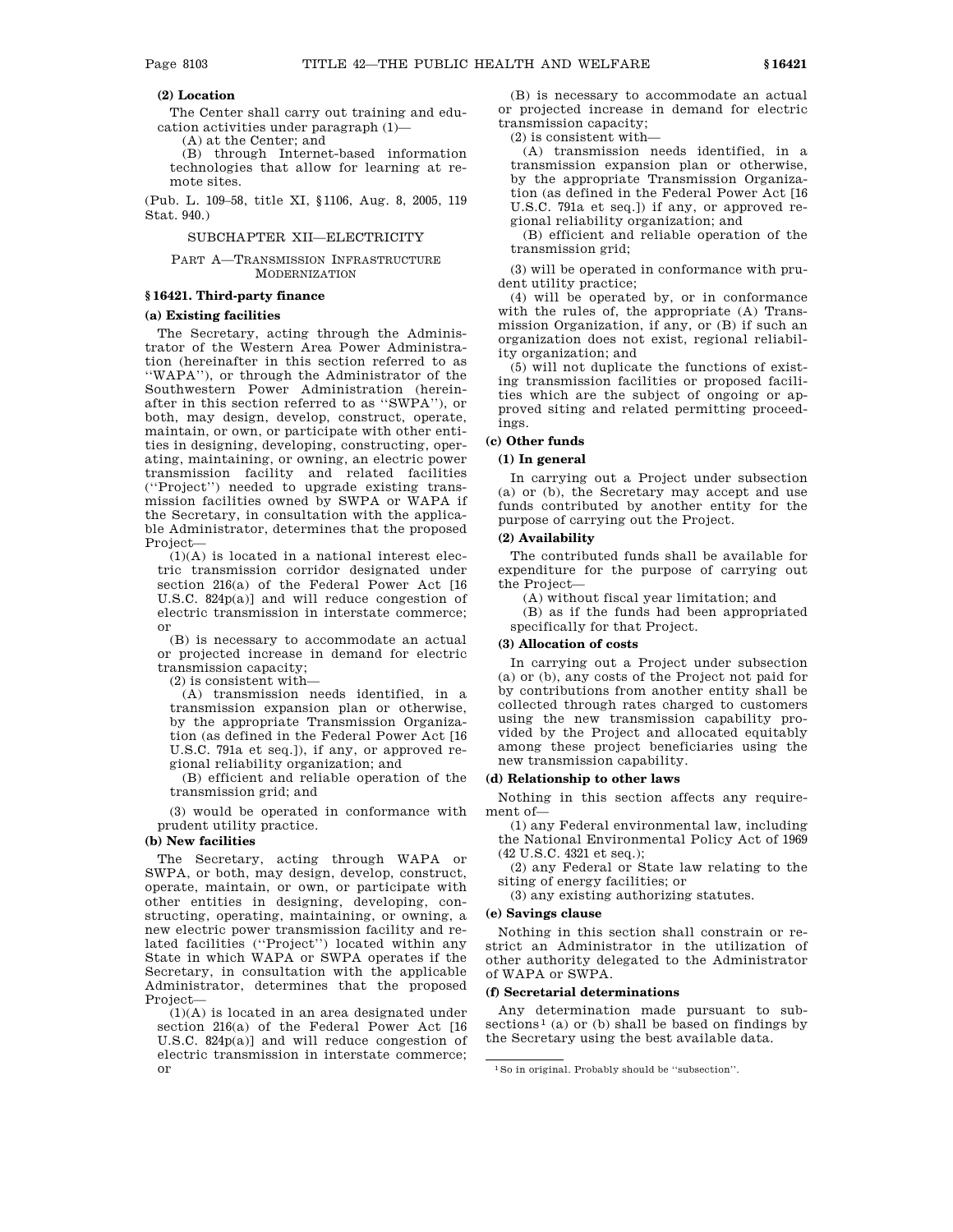# **(2) Location**

The Center shall carry out training and education activities under paragraph (1)— (A) at the Center; and

(B) through Internet-based information technologies that allow for learning at remote sites.

(Pub. L. 109–58, title XI, §1106, Aug. 8, 2005, 119 Stat. 940.)

## SUBCHAPTER XII—ELECTRICITY

# PART A—TRANSMISSION INFRASTRUCTURE MODERNIZATION

# **§ 16421. Third-party finance**

# **(a) Existing facilities**

The Secretary, acting through the Administrator of the Western Area Power Administration (hereinafter in this section referred to as ''WAPA''), or through the Administrator of the Southwestern Power Administration (hereinafter in this section referred to as ''SWPA''), or both, may design, develop, construct, operate, maintain, or own, or participate with other entities in designing, developing, constructing, operating, maintaining, or owning, an electric power transmission facility and related facilities (''Project'') needed to upgrade existing transmission facilities owned by SWPA or WAPA if the Secretary, in consultation with the applicable Administrator, determines that the proposed Project—

 $(1)(A)$  is located in a national interest electric transmission corridor designated under section 216(a) of the Federal Power Act [16 U.S.C. 824p(a)] and will reduce congestion of electric transmission in interstate commerce; or

(B) is necessary to accommodate an actual or projected increase in demand for electric transmission capacity;

(2) is consistent with—

(A) transmission needs identified, in a transmission expansion plan or otherwise, by the appropriate Transmission Organization (as defined in the Federal Power Act [16 U.S.C. 791a et seq.]), if any, or approved regional reliability organization; and

(B) efficient and reliable operation of the transmission grid; and

(3) would be operated in conformance with prudent utility practice.

## **(b) New facilities**

The Secretary, acting through WAPA or SWPA, or both, may design, develop, construct, operate, maintain, or own, or participate with other entities in designing, developing, constructing, operating, maintaining, or owning, a new electric power transmission facility and related facilities (''Project'') located within any State in which WAPA or SWPA operates if the Secretary, in consultation with the applicable Administrator, determines that the proposed Project—

(1)(A) is located in an area designated under section 216(a) of the Federal Power Act [16 U.S.C. 824p(a)] and will reduce congestion of electric transmission in interstate commerce; or

(B) is necessary to accommodate an actual or projected increase in demand for electric transmission capacity;

(2) is consistent with—

(A) transmission needs identified, in a transmission expansion plan or otherwise, by the appropriate Transmission Organization (as defined in the Federal Power Act [16 U.S.C. 791a et seq.]) if any, or approved regional reliability organization; and

(B) efficient and reliable operation of the transmission grid;

(3) will be operated in conformance with prudent utility practice;

(4) will be operated by, or in conformance with the rules of, the appropriate (A) Transmission Organization, if any, or (B) if such an organization does not exist, regional reliability organization; and

(5) will not duplicate the functions of existing transmission facilities or proposed facilities which are the subject of ongoing or approved siting and related permitting proceedings.

# **(c) Other funds**

# **(1) In general**

In carrying out a Project under subsection (a) or (b), the Secretary may accept and use funds contributed by another entity for the purpose of carrying out the Project.

# **(2) Availability**

The contributed funds shall be available for expenditure for the purpose of carrying out the Project—

(A) without fiscal year limitation; and

(B) as if the funds had been appropriated specifically for that Project.

#### **(3) Allocation of costs**

In carrying out a Project under subsection (a) or (b), any costs of the Project not paid for by contributions from another entity shall be collected through rates charged to customers using the new transmission capability provided by the Project and allocated equitably among these project beneficiaries using the new transmission capability.

#### **(d) Relationship to other laws**

Nothing in this section affects any requirement of—

(1) any Federal environmental law, including the National Environmental Policy Act of 1969 (42 U.S.C. 4321 et seq.);

(2) any Federal or State law relating to the siting of energy facilities; or

(3) any existing authorizing statutes.

#### **(e) Savings clause**

Nothing in this section shall constrain or restrict an Administrator in the utilization of other authority delegated to the Administrator of WAPA or SWPA.

#### **(f) Secretarial determinations**

Any determination made pursuant to sub $sections<sup>1</sup>$  (a) or (b) shall be based on findings by the Secretary using the best available data.

<sup>1</sup>So in original. Probably should be ''subsection''.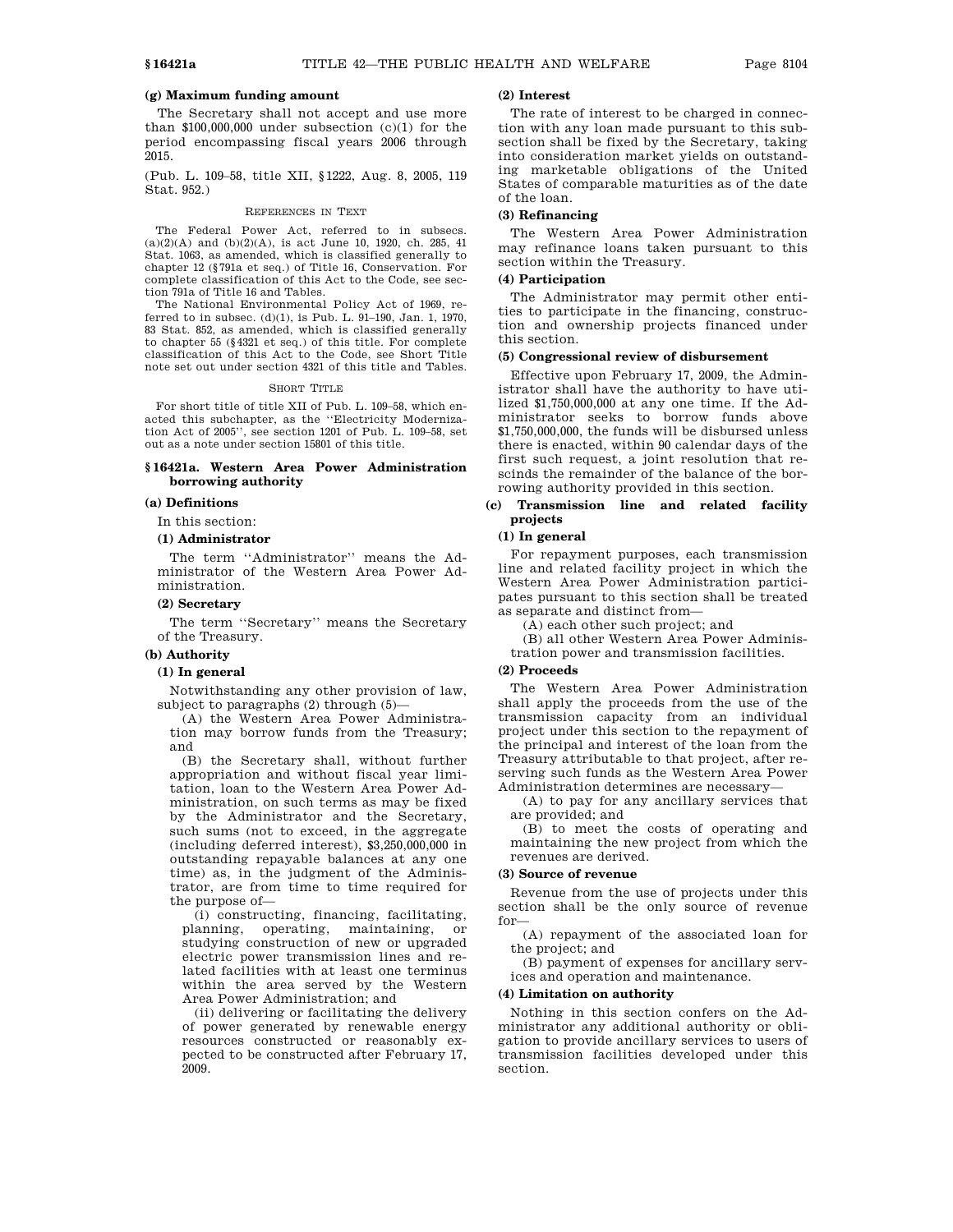# **(g) Maximum funding amount**

The Secretary shall not accept and use more than  $$100,000,000$  under subsection (c)(1) for the period encompassing fiscal years 2006 through 2015.

(Pub. L. 109–58, title XII, §1222, Aug. 8, 2005, 119 Stat. 952.)

#### REFERENCES IN TEXT

The Federal Power Act, referred to in subsecs.  $(a)(2)(A)$  and  $(b)(2)(A)$ , is act June 10, 1920, ch. 285, 41 Stat. 1063, as amended, which is classified generally to chapter 12 (§791a et seq.) of Title 16, Conservation. For complete classification of this Act to the Code, see section 791a of Title 16 and Tables.

The National Environmental Policy Act of 1969, referred to in subsec. (d)(1), is Pub. L. 91–190, Jan. 1, 1970, 83 Stat. 852, as amended, which is classified generally to chapter 55 (§4321 et seq.) of this title. For complete classification of this Act to the Code, see Short Title note set out under section 4321 of this title and Tables.

#### SHORT TITLE

For short title of title XII of Pub. L. 109–58, which enacted this subchapter, as the ''Electricity Modernization Act of 2005'', see section 1201 of Pub. L. 109–58, set out as a note under section 15801 of this title.

# **§ 16421a. Western Area Power Administration borrowing authority**

### **(a) Definitions**

In this section:

# **(1) Administrator**

The term ''Administrator'' means the Administrator of the Western Area Power Administration.

#### **(2) Secretary**

The term ''Secretary'' means the Secretary of the Treasury.

#### **(b) Authority**

#### **(1) In general**

Notwithstanding any other provision of law, subject to paragraphs (2) through (5)—

(A) the Western Area Power Administration may borrow funds from the Treasury; and

(B) the Secretary shall, without further appropriation and without fiscal year limitation, loan to the Western Area Power Administration, on such terms as may be fixed by the Administrator and the Secretary, such sums (not to exceed, in the aggregate (including deferred interest), \$3,250,000,000 in outstanding repayable balances at any one time) as, in the judgment of the Administrator, are from time to time required for the purpose of—

(i) constructing, financing, facilitating, planning, operating, maintaining, or studying construction of new or upgraded electric power transmission lines and related facilities with at least one terminus within the area served by the Western Area Power Administration; and

(ii) delivering or facilitating the delivery of power generated by renewable energy resources constructed or reasonably expected to be constructed after February 17, 2009.

# **(2) Interest**

The rate of interest to be charged in connection with any loan made pursuant to this subsection shall be fixed by the Secretary, taking into consideration market yields on outstanding marketable obligations of the United States of comparable maturities as of the date of the loan.

# **(3) Refinancing**

The Western Area Power Administration may refinance loans taken pursuant to this section within the Treasury.

# **(4) Participation**

The Administrator may permit other entities to participate in the financing, construction and ownership projects financed under this section.

# **(5) Congressional review of disbursement**

Effective upon February 17, 2009, the Administrator shall have the authority to have utilized \$1,750,000,000 at any one time. If the Administrator seeks to borrow funds above \$1,750,000,000, the funds will be disbursed unless there is enacted, within 90 calendar days of the first such request, a joint resolution that rescinds the remainder of the balance of the borrowing authority provided in this section.

# **(c) Transmission line and related facility projects**

# **(1) In general**

For repayment purposes, each transmission line and related facility project in which the Western Area Power Administration participates pursuant to this section shall be treated as separate and distinct from—

(A) each other such project; and

(B) all other Western Area Power Administration power and transmission facilities.

#### **(2) Proceeds**

The Western Area Power Administration shall apply the proceeds from the use of the transmission capacity from an individual project under this section to the repayment of the principal and interest of the loan from the Treasury attributable to that project, after reserving such funds as the Western Area Power Administration determines are necessary—

(A) to pay for any ancillary services that are provided; and

(B) to meet the costs of operating and maintaining the new project from which the revenues are derived.

# **(3) Source of revenue**

Revenue from the use of projects under this section shall be the only source of revenue for—

(A) repayment of the associated loan for the project; and

(B) payment of expenses for ancillary services and operation and maintenance.

# **(4) Limitation on authority**

Nothing in this section confers on the Administrator any additional authority or obligation to provide ancillary services to users of transmission facilities developed under this section.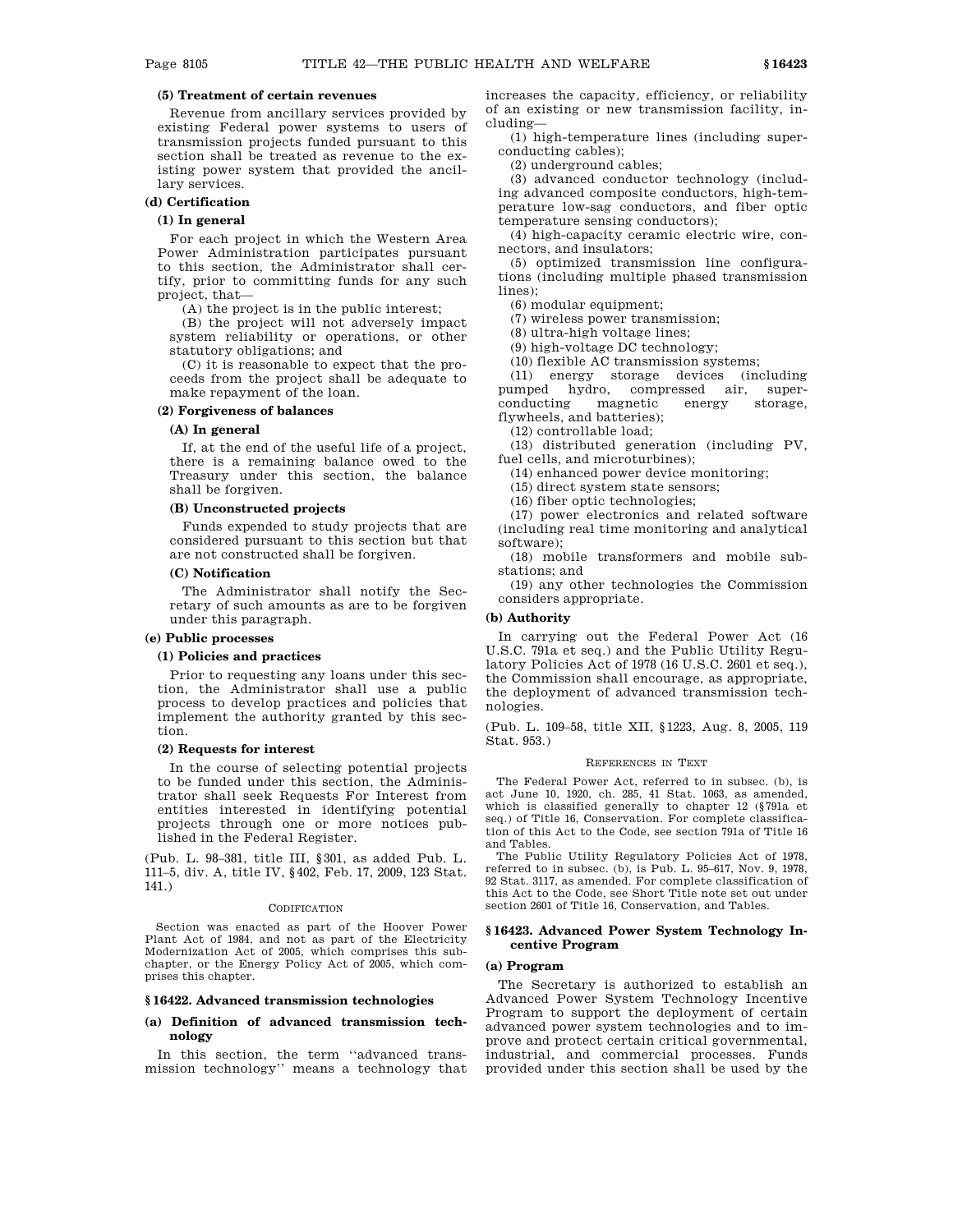# **(5) Treatment of certain revenues**

Revenue from ancillary services provided by existing Federal power systems to users of transmission projects funded pursuant to this section shall be treated as revenue to the existing power system that provided the ancillary services.

#### **(d) Certification**

#### **(1) In general**

For each project in which the Western Area Power Administration participates pursuant to this section, the Administrator shall certify, prior to committing funds for any such project, that—

(A) the project is in the public interest;

(B) the project will not adversely impact system reliability or operations, or other statutory obligations; and

(C) it is reasonable to expect that the proceeds from the project shall be adequate to make repayment of the loan.

# **(2) Forgiveness of balances**

#### **(A) In general**

If, at the end of the useful life of a project, there is a remaining balance owed to the Treasury under this section, the balance shall be forgiven.

#### **(B) Unconstructed projects**

Funds expended to study projects that are considered pursuant to this section but that are not constructed shall be forgiven.

#### **(C) Notification**

The Administrator shall notify the Secretary of such amounts as are to be forgiven under this paragraph.

# **(e) Public processes**

# **(1) Policies and practices**

Prior to requesting any loans under this section, the Administrator shall use a public process to develop practices and policies that implement the authority granted by this section.

#### **(2) Requests for interest**

In the course of selecting potential projects to be funded under this section, the Administrator shall seek Requests For Interest from entities interested in identifying potential projects through one or more notices published in the Federal Register.

(Pub. L. 98–381, title III, §301, as added Pub. L. 111–5, div. A, title IV, §402, Feb. 17, 2009, 123 Stat. 141.)

#### CODIFICATION

Section was enacted as part of the Hoover Power Plant Act of 1984, and not as part of the Electricity Modernization Act of 2005, which comprises this subchapter, or the Energy Policy Act of 2005, which comprises this chapter.

# **§ 16422. Advanced transmission technologies**

#### **(a) Definition of advanced transmission technology**

In this section, the term ''advanced transmission technology'' means a technology that increases the capacity, efficiency, or reliability of an existing or new transmission facility, including—

(1) high-temperature lines (including superconducting cables);

(2) underground cables;

(3) advanced conductor technology (including advanced composite conductors, high-temperature low-sag conductors, and fiber optic temperature sensing conductors);

(4) high-capacity ceramic electric wire, connectors, and insulators;

(5) optimized transmission line configurations (including multiple phased transmission lines);

(6) modular equipment;

(7) wireless power transmission;

(8) ultra-high voltage lines;

(9) high-voltage DC technology;

(10) flexible AC transmission systems;

(11) energy storage devices (including pumped hydro, compressed air, super $conducting$ flywheels, and batteries);

(12) controllable load;

(13) distributed generation (including PV, fuel cells, and microturbines);

(14) enhanced power device monitoring;

(15) direct system state sensors;

(16) fiber optic technologies;

(17) power electronics and related software (including real time monitoring and analytical software);

(18) mobile transformers and mobile substations; and

(19) any other technologies the Commission considers appropriate.

#### **(b) Authority**

In carrying out the Federal Power Act (16 U.S.C. 791a et seq.) and the Public Utility Regulatory Policies Act of 1978 (16 U.S.C. 2601 et seq.), the Commission shall encourage, as appropriate, the deployment of advanced transmission technologies.

(Pub. L. 109–58, title XII, §1223, Aug. 8, 2005, 119 Stat. 953.)

#### REFERENCES IN TEXT

The Federal Power Act, referred to in subsec. (b), is act June 10, 1920, ch. 285, 41 Stat. 1063, as amended, which is classified generally to chapter 12 (§791a et seq.) of Title 16, Conservation. For complete classification of this Act to the Code, see section 791a of Title 16 and Tables.

The Public Utility Regulatory Policies Act of 1978, referred to in subsec. (b), is Pub. L. 95–617, Nov. 9, 1978, 92 Stat. 3117, as amended. For complete classification of this Act to the Code, see Short Title note set out under section 2601 of Title 16, Conservation, and Tables.

#### **§ 16423. Advanced Power System Technology Incentive Program**

# **(a) Program**

The Secretary is authorized to establish an Advanced Power System Technology Incentive Program to support the deployment of certain advanced power system technologies and to improve and protect certain critical governmental, industrial, and commercial processes. Funds provided under this section shall be used by the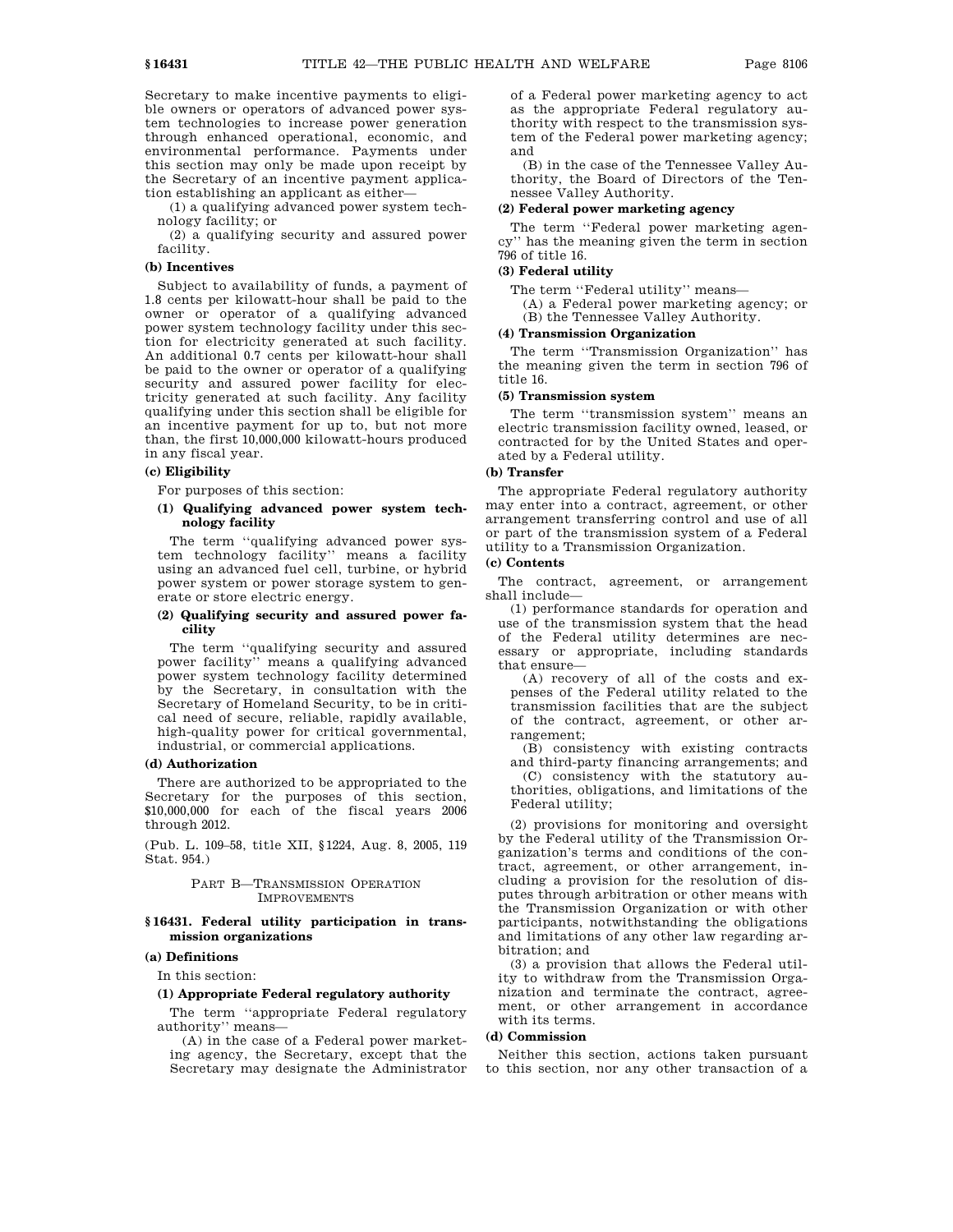Secretary to make incentive payments to eligible owners or operators of advanced power system technologies to increase power generation through enhanced operational, economic, and environmental performance. Payments under this section may only be made upon receipt by the Secretary of an incentive payment application establishing an applicant as either—

(1) a qualifying advanced power system technology facility; or

(2) a qualifying security and assured power facility.

#### **(b) Incentives**

Subject to availability of funds, a payment of 1.8 cents per kilowatt-hour shall be paid to the owner or operator of a qualifying advanced power system technology facility under this section for electricity generated at such facility. An additional 0.7 cents per kilowatt-hour shall be paid to the owner or operator of a qualifying security and assured power facility for electricity generated at such facility. Any facility qualifying under this section shall be eligible for an incentive payment for up to, but not more than, the first 10,000,000 kilowatt-hours produced in any fiscal year.

# **(c) Eligibility**

For purposes of this section:

## **(1) Qualifying advanced power system technology facility**

The term ''qualifying advanced power system technology facility'' means a facility using an advanced fuel cell, turbine, or hybrid power system or power storage system to generate or store electric energy.

## **(2) Qualifying security and assured power facility**

The term ''qualifying security and assured power facility'' means a qualifying advanced power system technology facility determined by the Secretary, in consultation with the Secretary of Homeland Security, to be in critical need of secure, reliable, rapidly available, high-quality power for critical governmental, industrial, or commercial applications.

#### **(d) Authorization**

There are authorized to be appropriated to the Secretary for the purposes of this section, \$10,000,000 for each of the fiscal years 2006 through 2012.

(Pub. L. 109–58, title XII, §1224, Aug. 8, 2005, 119 Stat. 954.)

## PART B—TRANSMISSION OPERATION IMPROVEMENTS

## **§ 16431. Federal utility participation in transmission organizations**

# **(a) Definitions**

In this section:

# **(1) Appropriate Federal regulatory authority**

The term ''appropriate Federal regulatory authority'' means—

(A) in the case of a Federal power marketing agency, the Secretary, except that the Secretary may designate the Administrator of a Federal power marketing agency to act as the appropriate Federal regulatory authority with respect to the transmission system of the Federal power marketing agency; and

(B) in the case of the Tennessee Valley Authority, the Board of Directors of the Tennessee Valley Authority.

#### **(2) Federal power marketing agency**

The term ''Federal power marketing agency'' has the meaning given the term in section 796 of title 16.

#### **(3) Federal utility**

The term ''Federal utility'' means—

(A) a Federal power marketing agency; or

(B) the Tennessee Valley Authority.

# **(4) Transmission Organization**

The term ''Transmission Organization'' has the meaning given the term in section 796 of title 16.

#### **(5) Transmission system**

The term ''transmission system'' means an electric transmission facility owned, leased, or contracted for by the United States and operated by a Federal utility.

# **(b) Transfer**

The appropriate Federal regulatory authority may enter into a contract, agreement, or other arrangement transferring control and use of all or part of the transmission system of a Federal utility to a Transmission Organization.

# **(c) Contents**

The contract, agreement, or arrangement shall include—

(1) performance standards for operation and use of the transmission system that the head of the Federal utility determines are necessary or appropriate, including standards that ensure—

(A) recovery of all of the costs and expenses of the Federal utility related to the transmission facilities that are the subject of the contract, agreement, or other arrangement;

(B) consistency with existing contracts and third-party financing arrangements; and (C) consistency with the statutory authorities, obligations, and limitations of the Federal utility;

(2) provisions for monitoring and oversight by the Federal utility of the Transmission Organization's terms and conditions of the contract, agreement, or other arrangement, including a provision for the resolution of disputes through arbitration or other means with the Transmission Organization or with other participants, notwithstanding the obligations and limitations of any other law regarding arbitration; and

(3) a provision that allows the Federal utility to withdraw from the Transmission Organization and terminate the contract, agreement, or other arrangement in accordance with its terms.

# **(d) Commission**

Neither this section, actions taken pursuant to this section, nor any other transaction of a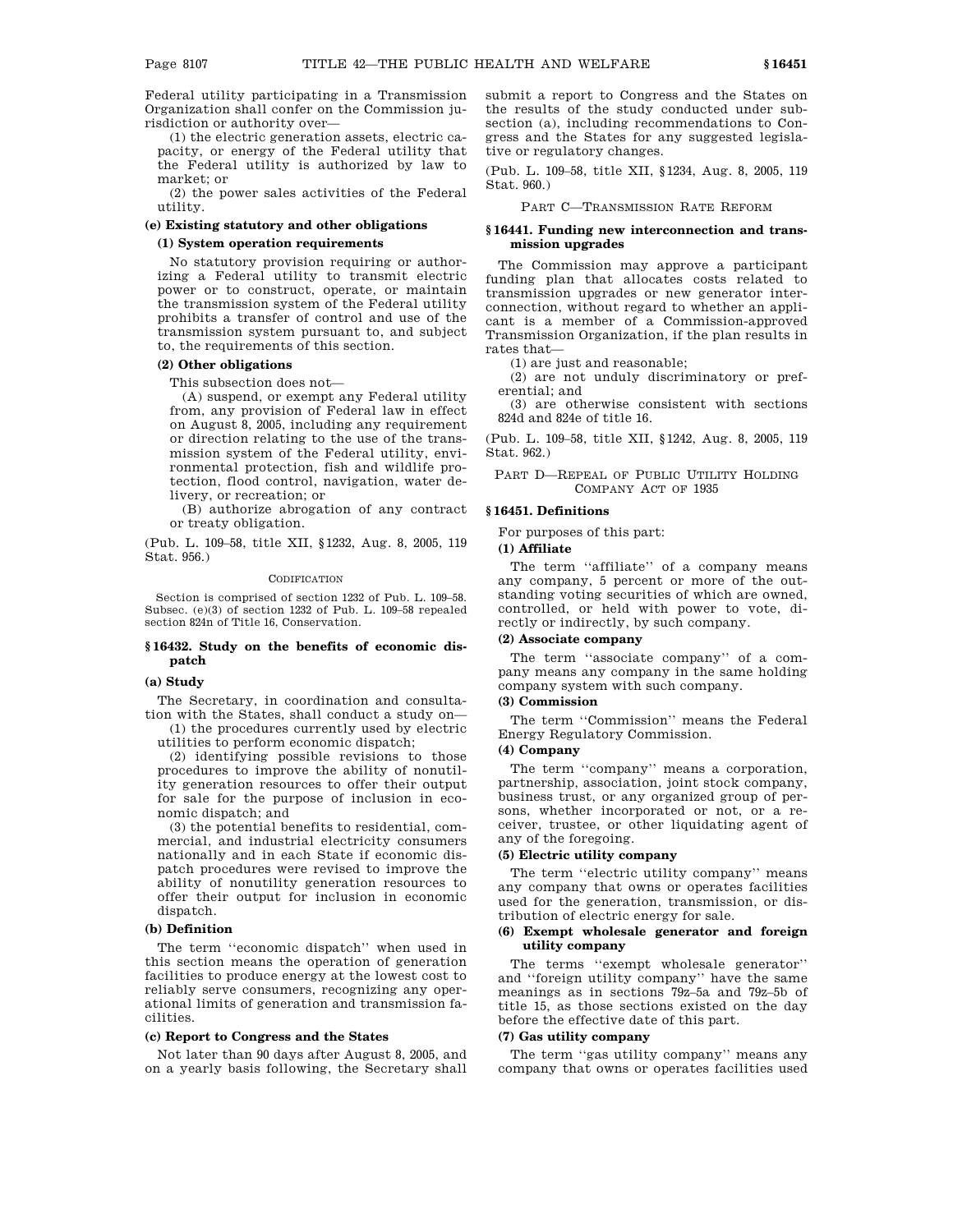Federal utility participating in a Transmission Organization shall confer on the Commission jurisdiction or authority over—

(1) the electric generation assets, electric capacity, or energy of the Federal utility that the Federal utility is authorized by law to market; or

(2) the power sales activities of the Federal utility.

# **(e) Existing statutory and other obligations**

#### **(1) System operation requirements**

No statutory provision requiring or authorizing a Federal utility to transmit electric power or to construct, operate, or maintain the transmission system of the Federal utility prohibits a transfer of control and use of the transmission system pursuant to, and subject to, the requirements of this section.

## **(2) Other obligations**

This subsection does not—

(A) suspend, or exempt any Federal utility from, any provision of Federal law in effect on August 8, 2005, including any requirement or direction relating to the use of the transmission system of the Federal utility, environmental protection, fish and wildlife protection, flood control, navigation, water delivery, or recreation; or

(B) authorize abrogation of any contract or treaty obligation.

(Pub. L. 109–58, title XII, §1232, Aug. 8, 2005, 119 Stat. 956.)

## CODIFICATION

Section is comprised of section 1232 of Pub. L. 109–58. Subsec. (e)(3) of section 1232 of Pub. L. 109–58 repealed section 824n of Title 16, Conservation.

### **§ 16432. Study on the benefits of economic dispatch**

# **(a) Study**

The Secretary, in coordination and consultation with the States, shall conduct a study on—

(1) the procedures currently used by electric utilities to perform economic dispatch;

(2) identifying possible revisions to those procedures to improve the ability of nonutility generation resources to offer their output for sale for the purpose of inclusion in economic dispatch; and

(3) the potential benefits to residential, commercial, and industrial electricity consumers nationally and in each State if economic dispatch procedures were revised to improve the ability of nonutility generation resources to offer their output for inclusion in economic dispatch.

#### **(b) Definition**

The term ''economic dispatch'' when used in this section means the operation of generation facilities to produce energy at the lowest cost to reliably serve consumers, recognizing any operational limits of generation and transmission facilities.

#### **(c) Report to Congress and the States**

Not later than 90 days after August 8, 2005, and on a yearly basis following, the Secretary shall submit a report to Congress and the States on the results of the study conducted under subsection (a), including recommendations to Congress and the States for any suggested legislative or regulatory changes.

(Pub. L. 109–58, title XII, §1234, Aug. 8, 2005, 119 Stat. 960.)

#### PART C—TRANSMISSION RATE REFORM

# **§ 16441. Funding new interconnection and transmission upgrades**

The Commission may approve a participant funding plan that allocates costs related to transmission upgrades or new generator interconnection, without regard to whether an applicant is a member of a Commission-approved Transmission Organization, if the plan results in rates that—

(1) are just and reasonable;

(2) are not unduly discriminatory or preferential; and

(3) are otherwise consistent with sections 824d and 824e of title 16.

(Pub. L. 109–58, title XII, §1242, Aug. 8, 2005, 119 Stat. 962.)

PART D—REPEAL OF PUBLIC UTILITY HOLDING COMPANY ACT OF 1935

# **§ 16451. Definitions**

For purposes of this part:

# **(1) Affiliate**

The term ''affiliate'' of a company means any company, 5 percent or more of the outstanding voting securities of which are owned, controlled, or held with power to vote, directly or indirectly, by such company.

# **(2) Associate company**

The term "associate company" of a company means any company in the same holding company system with such company.

# **(3) Commission**

The term ''Commission'' means the Federal Energy Regulatory Commission.

## **(4) Company**

The term "company" means a corporation, partnership, association, joint stock company, business trust, or any organized group of persons, whether incorporated or not, or a receiver, trustee, or other liquidating agent of any of the foregoing.

#### **(5) Electric utility company**

The term ''electric utility company'' means any company that owns or operates facilities used for the generation, transmission, or distribution of electric energy for sale.

# **(6) Exempt wholesale generator and foreign utility company**

The terms ''exempt wholesale generator'' and ''foreign utility company'' have the same meanings as in sections 79z–5a and 79z–5b of title 15, as those sections existed on the day before the effective date of this part.

## **(7) Gas utility company**

The term "gas utility company" means any company that owns or operates facilities used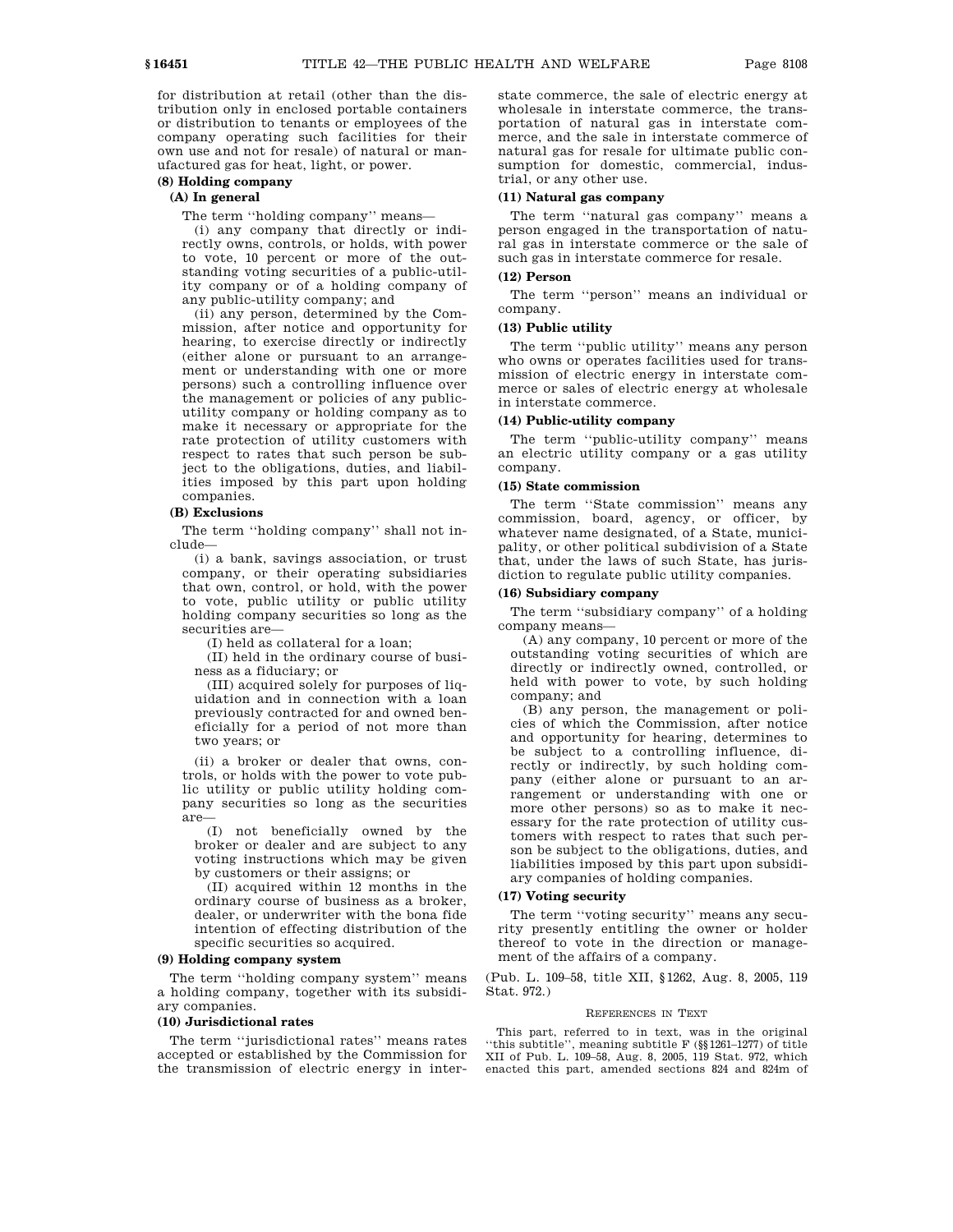for distribution at retail (other than the distribution only in enclosed portable containers or distribution to tenants or employees of the company operating such facilities for their own use and not for resale) of natural or manufactured gas for heat, light, or power.

# **(8) Holding company**

# **(A) In general**

The term ''holding company'' means—

(i) any company that directly or indirectly owns, controls, or holds, with power to vote, 10 percent or more of the outstanding voting securities of a public-utility company or of a holding company of any public-utility company; and

(ii) any person, determined by the Commission, after notice and opportunity for hearing, to exercise directly or indirectly (either alone or pursuant to an arrangement or understanding with one or more persons) such a controlling influence over the management or policies of any publicutility company or holding company as to make it necessary or appropriate for the rate protection of utility customers with respect to rates that such person be subject to the obligations, duties, and liabilities imposed by this part upon holding companies.

# **(B) Exclusions**

The term ''holding company'' shall not include—

(i) a bank, savings association, or trust company, or their operating subsidiaries that own, control, or hold, with the power to vote, public utility or public utility holding company securities so long as the securities are—

(I) held as collateral for a loan;

(II) held in the ordinary course of business as a fiduciary; or

(III) acquired solely for purposes of liquidation and in connection with a loan previously contracted for and owned beneficially for a period of not more than two years; or

(ii) a broker or dealer that owns, controls, or holds with the power to vote public utility or public utility holding company securities so long as the securities are—

(I) not beneficially owned by the broker or dealer and are subject to any voting instructions which may be given by customers or their assigns; or

(II) acquired within 12 months in the ordinary course of business as a broker, dealer, or underwriter with the bona fide intention of effecting distribution of the specific securities so acquired.

#### **(9) Holding company system**

The term ''holding company system'' means a holding company, together with its subsidiary companies.

#### **(10) Jurisdictional rates**

The term ''jurisdictional rates'' means rates accepted or established by the Commission for the transmission of electric energy in interstate commerce, the sale of electric energy at wholesale in interstate commerce, the transportation of natural gas in interstate commerce, and the sale in interstate commerce of natural gas for resale for ultimate public consumption for domestic, commercial, industrial, or any other use.

# **(11) Natural gas company**

The term ''natural gas company'' means a person engaged in the transportation of natural gas in interstate commerce or the sale of such gas in interstate commerce for resale.

# **(12) Person**

The term ''person'' means an individual or company.

# **(13) Public utility**

The term ''public utility'' means any person who owns or operates facilities used for transmission of electric energy in interstate commerce or sales of electric energy at wholesale in interstate commerce.

#### **(14) Public-utility company**

The term ''public-utility company'' means an electric utility company or a gas utility company.

# **(15) State commission**

The term ''State commission'' means any commission, board, agency, or officer, by whatever name designated, of a State, municipality, or other political subdivision of a State that, under the laws of such State, has jurisdiction to regulate public utility companies.

#### **(16) Subsidiary company**

The term ''subsidiary company'' of a holding company means—

(A) any company, 10 percent or more of the outstanding voting securities of which are directly or indirectly owned, controlled, or held with power to vote, by such holding company; and

(B) any person, the management or policies of which the Commission, after notice and opportunity for hearing, determines to be subject to a controlling influence, directly or indirectly, by such holding company (either alone or pursuant to an arrangement or understanding with one or more other persons) so as to make it necessary for the rate protection of utility customers with respect to rates that such person be subject to the obligations, duties, and liabilities imposed by this part upon subsidiary companies of holding companies.

# **(17) Voting security**

The term ''voting security'' means any security presently entitling the owner or holder thereof to vote in the direction or management of the affairs of a company.

(Pub. L. 109–58, title XII, §1262, Aug. 8, 2005, 119 Stat. 972.)

#### REFERENCES IN TEXT

This part, referred to in text, was in the original ''this subtitle'', meaning subtitle F (§§1261–1277) of title XII of Pub. L. 109–58, Aug. 8, 2005, 119 Stat. 972, which enacted this part, amended sections 824 and 824m of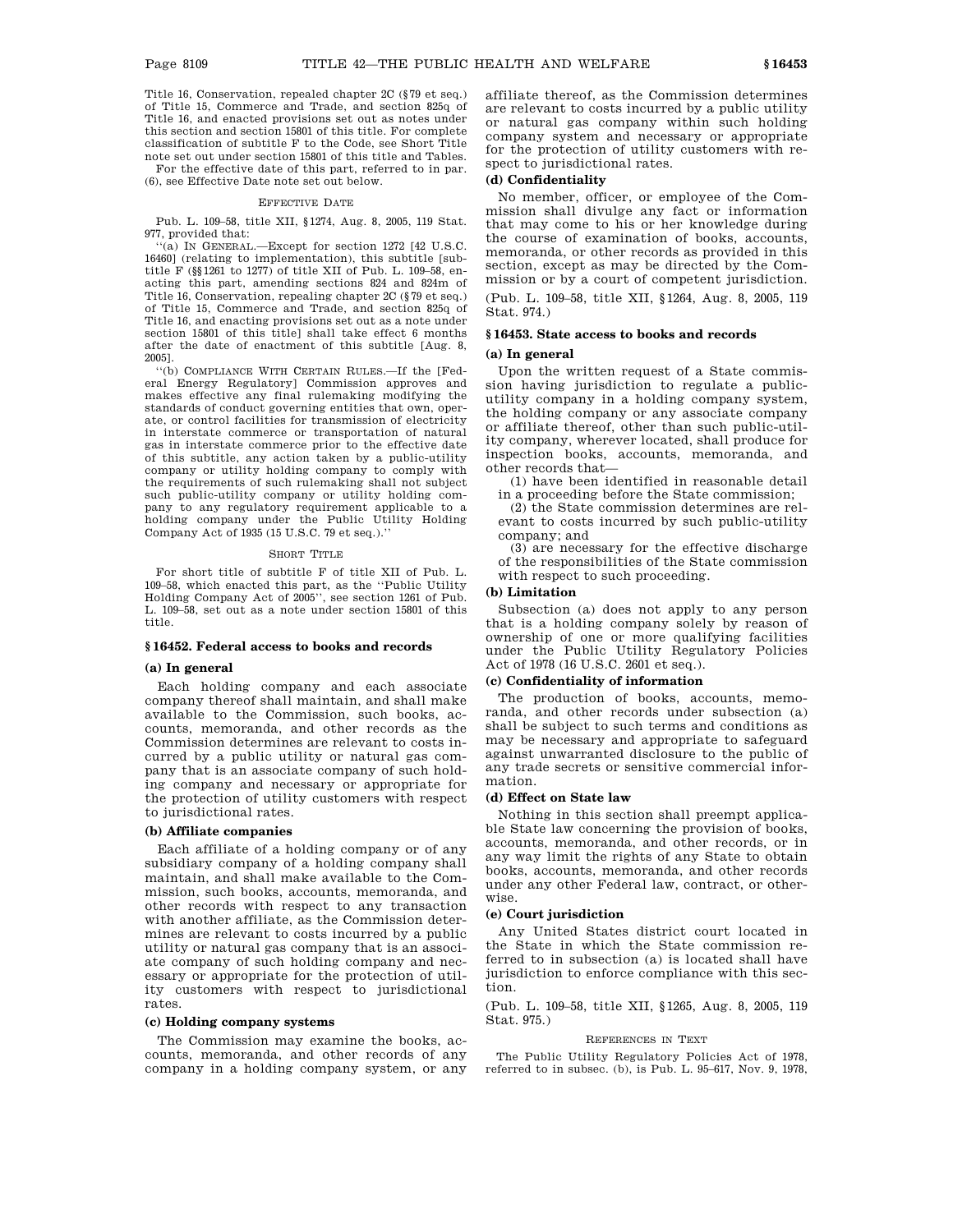Title 16, Conservation, repealed chapter 2C (§79 et seq.) of Title 15, Commerce and Trade, and section 825q of Title 16, and enacted provisions set out as notes under this section and section 15801 of this title. For complete classification of subtitle F to the Code, see Short Title note set out under section 15801 of this title and Tables.

For the effective date of this part, referred to in par. (6), see Effective Date note set out below.

#### EFFECTIVE DATE

Pub. L. 109–58, title XII, §1274, Aug. 8, 2005, 119 Stat. 977, provided that:

''(a) IN GENERAL.—Except for section 1272 [42 U.S.C. 16460] (relating to implementation), this subtitle [subtitle F (§§1261 to 1277) of title XII of Pub. L. 109–58, enacting this part, amending sections 824 and 824m of Title 16, Conservation, repealing chapter 2C (§79 et seq.) of Title 15, Commerce and Trade, and section 825q of Title 16, and enacting provisions set out as a note under section 15801 of this title] shall take effect 6 months after the date of enactment of this subtitle [Aug. 8, 2005].

''(b) COMPLIANCE WITH CERTAIN RULES.—If the [Federal Energy Regulatory] Commission approves and makes effective any final rulemaking modifying the standards of conduct governing entities that own, operate, or control facilities for transmission of electricity in interstate commerce or transportation of natural gas in interstate commerce prior to the effective date of this subtitle, any action taken by a public-utility company or utility holding company to comply with the requirements of such rulemaking shall not subject such public-utility company or utility holding company to any regulatory requirement applicable to a holding company under the Public Utility Holding Company Act of 1935 (15 U.S.C. 79 et seq.).''

#### SHORT TITLE

For short title of subtitle F of title XII of Pub. L. 109–58, which enacted this part, as the ''Public Utility Holding Company Act of 2005'', see section 1261 of Pub. L. 109–58, set out as a note under section 15801 of this title.

#### **§ 16452. Federal access to books and records**

#### **(a) In general**

Each holding company and each associate company thereof shall maintain, and shall make available to the Commission, such books, accounts, memoranda, and other records as the Commission determines are relevant to costs incurred by a public utility or natural gas company that is an associate company of such holding company and necessary or appropriate for the protection of utility customers with respect to jurisdictional rates.

#### **(b) Affiliate companies**

Each affiliate of a holding company or of any subsidiary company of a holding company shall maintain, and shall make available to the Commission, such books, accounts, memoranda, and other records with respect to any transaction with another affiliate, as the Commission determines are relevant to costs incurred by a public utility or natural gas company that is an associate company of such holding company and necessary or appropriate for the protection of utility customers with respect to jurisdictional rates.

#### **(c) Holding company systems**

The Commission may examine the books, accounts, memoranda, and other records of any company in a holding company system, or any affiliate thereof, as the Commission determines are relevant to costs incurred by a public utility or natural gas company within such holding company system and necessary or appropriate for the protection of utility customers with respect to jurisdictional rates.

# **(d) Confidentiality**

No member, officer, or employee of the Commission shall divulge any fact or information that may come to his or her knowledge during the course of examination of books, accounts, memoranda, or other records as provided in this section, except as may be directed by the Commission or by a court of competent jurisdiction.

(Pub. L. 109–58, title XII, §1264, Aug. 8, 2005, 119 Stat. 974.)

# **§ 16453. State access to books and records**

#### **(a) In general**

Upon the written request of a State commission having jurisdiction to regulate a publicutility company in a holding company system, the holding company or any associate company or affiliate thereof, other than such public-utility company, wherever located, shall produce for inspection books, accounts, memoranda, and other records that—

(1) have been identified in reasonable detail in a proceeding before the State commission;

(2) the State commission determines are relevant to costs incurred by such public-utility company; and

(3) are necessary for the effective discharge of the responsibilities of the State commission with respect to such proceeding.

# **(b) Limitation**

Subsection (a) does not apply to any person that is a holding company solely by reason of ownership of one or more qualifying facilities under the Public Utility Regulatory Policies Act of 1978 (16 U.S.C. 2601 et seq.).

#### **(c) Confidentiality of information**

The production of books, accounts, memoranda, and other records under subsection (a) shall be subject to such terms and conditions as may be necessary and appropriate to safeguard against unwarranted disclosure to the public of any trade secrets or sensitive commercial information.

# **(d) Effect on State law**

Nothing in this section shall preempt applicable State law concerning the provision of books, accounts, memoranda, and other records, or in any way limit the rights of any State to obtain books, accounts, memoranda, and other records under any other Federal law, contract, or otherwise.

#### **(e) Court jurisdiction**

Any United States district court located in the State in which the State commission referred to in subsection (a) is located shall have jurisdiction to enforce compliance with this section.

(Pub. L. 109–58, title XII, §1265, Aug. 8, 2005, 119 Stat. 975.)

#### REFERENCES IN TEXT

The Public Utility Regulatory Policies Act of 1978, referred to in subsec. (b), is Pub. L. 95–617, Nov. 9, 1978,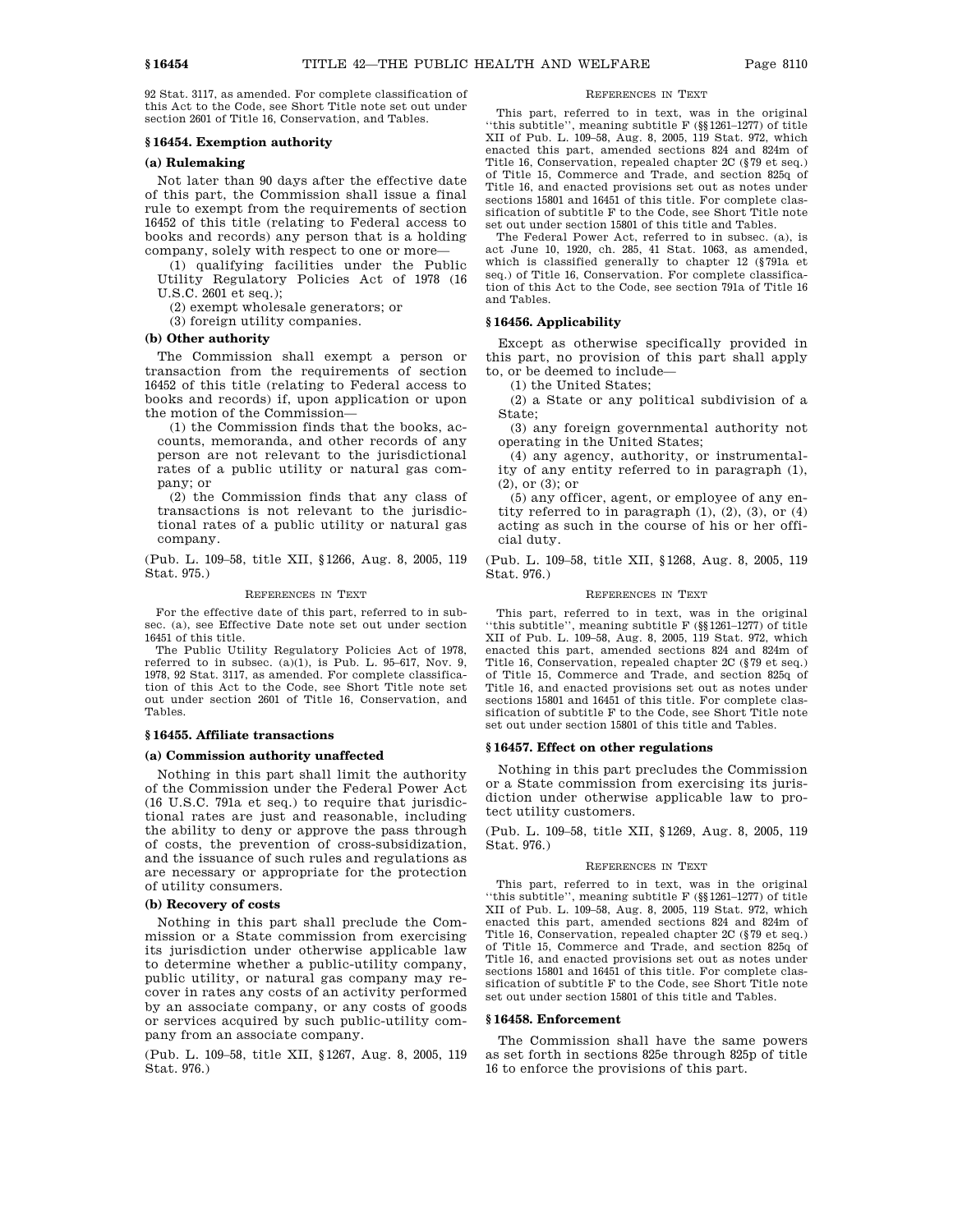92 Stat. 3117, as amended. For complete classification of this Act to the Code, see Short Title note set out under section 2601 of Title 16, Conservation, and Tables.

#### **§ 16454. Exemption authority**

#### **(a) Rulemaking**

Not later than 90 days after the effective date of this part, the Commission shall issue a final rule to exempt from the requirements of section 16452 of this title (relating to Federal access to books and records) any person that is a holding company, solely with respect to one or more—

(1) qualifying facilities under the Public Utility Regulatory Policies Act of 1978 (16 U.S.C. 2601 et seq.);

- (2) exempt wholesale generators; or
- (3) foreign utility companies.

### **(b) Other authority**

The Commission shall exempt a person or transaction from the requirements of section 16452 of this title (relating to Federal access to books and records) if, upon application or upon the motion of the Commission—

(1) the Commission finds that the books, accounts, memoranda, and other records of any person are not relevant to the jurisdictional rates of a public utility or natural gas company; or

(2) the Commission finds that any class of transactions is not relevant to the jurisdictional rates of a public utility or natural gas company.

(Pub. L. 109–58, title XII, §1266, Aug. 8, 2005, 119 Stat. 975.)

#### REFERENCES IN TEXT

For the effective date of this part, referred to in subsec. (a), see Effective Date note set out under section 16451 of this title.

The Public Utility Regulatory Policies Act of 1978, referred to in subsec.  $(a)(1)$ , is Pub. L. 95–617, Nov. 9, 1978, 92 Stat. 3117, as amended. For complete classification of this Act to the Code, see Short Title note set out under section 2601 of Title 16, Conservation, and Tables.

#### **§ 16455. Affiliate transactions**

#### **(a) Commission authority unaffected**

Nothing in this part shall limit the authority of the Commission under the Federal Power Act (16 U.S.C. 791a et seq.) to require that jurisdictional rates are just and reasonable, including the ability to deny or approve the pass through of costs, the prevention of cross-subsidization, and the issuance of such rules and regulations as are necessary or appropriate for the protection of utility consumers.

# **(b) Recovery of costs**

Nothing in this part shall preclude the Commission or a State commission from exercising its jurisdiction under otherwise applicable law to determine whether a public-utility company, public utility, or natural gas company may recover in rates any costs of an activity performed by an associate company, or any costs of goods or services acquired by such public-utility company from an associate company.

(Pub. L. 109–58, title XII, §1267, Aug. 8, 2005, 119 Stat. 976.)

# REFERENCES IN TEXT

This part, referred to in text, was in the original ''this subtitle'', meaning subtitle F (§§1261–1277) of title XII of Pub. L. 109–58, Aug. 8, 2005, 119 Stat. 972, which enacted this part, amended sections 824 and 824m of Title 16, Conservation, repealed chapter 2C (§79 et seq.) of Title 15, Commerce and Trade, and section 825q of Title 16, and enacted provisions set out as notes under sections 15801 and 16451 of this title. For complete classification of subtitle F to the Code, see Short Title note set out under section 15801 of this title and Tables.

The Federal Power Act, referred to in subsec. (a), is act June 10, 1920, ch. 285, 41 Stat. 1063, as amended, which is classified generally to chapter 12 (§791a et seq.) of Title 16, Conservation. For complete classification of this Act to the Code, see section 791a of Title 16 and Tables.

# **§ 16456. Applicability**

Except as otherwise specifically provided in this part, no provision of this part shall apply to, or be deemed to include—

(1) the United States;

(2) a State or any political subdivision of a State;

(3) any foreign governmental authority not operating in the United States;

(4) any agency, authority, or instrumentality of any entity referred to in paragraph (1), (2), or (3); or

(5) any officer, agent, or employee of any entity referred to in paragraph  $(1)$ ,  $(2)$ ,  $(3)$ , or  $(4)$ acting as such in the course of his or her official duty.

(Pub. L. 109–58, title XII, §1268, Aug. 8, 2005, 119 Stat. 976.)

#### REFERENCES IN TEXT

This part, referred to in text, was in the original ''this subtitle'', meaning subtitle F (§§1261–1277) of title XII of Pub. L. 109–58, Aug. 8, 2005, 119 Stat. 972, which enacted this part, amended sections 824 and 824m of Title 16, Conservation, repealed chapter 2C (§79 et seq.) of Title 15, Commerce and Trade, and section 825q of Title 16, and enacted provisions set out as notes under sections 15801 and 16451 of this title. For complete classification of subtitle F to the Code, see Short Title note set out under section 15801 of this title and Tables.

#### **§ 16457. Effect on other regulations**

Nothing in this part precludes the Commission or a State commission from exercising its jurisdiction under otherwise applicable law to protect utility customers.

(Pub. L. 109–58, title XII, §1269, Aug. 8, 2005, 119 Stat. 976.)

#### REFERENCES IN TEXT

This part, referred to in text, was in the original ''this subtitle'', meaning subtitle F (§§1261–1277) of title XII of Pub. L. 109–58, Aug. 8, 2005, 119 Stat. 972, which enacted this part, amended sections 824 and 824m of Title 16, Conservation, repealed chapter 2C (§79 et seq.) of Title 15, Commerce and Trade, and section 825q of Title 16, and enacted provisions set out as notes under sections 15801 and 16451 of this title. For complete classification of subtitle F to the Code, see Short Title note set out under section 15801 of this title and Tables.

## **§ 16458. Enforcement**

The Commission shall have the same powers as set forth in sections 825e through 825p of title 16 to enforce the provisions of this part.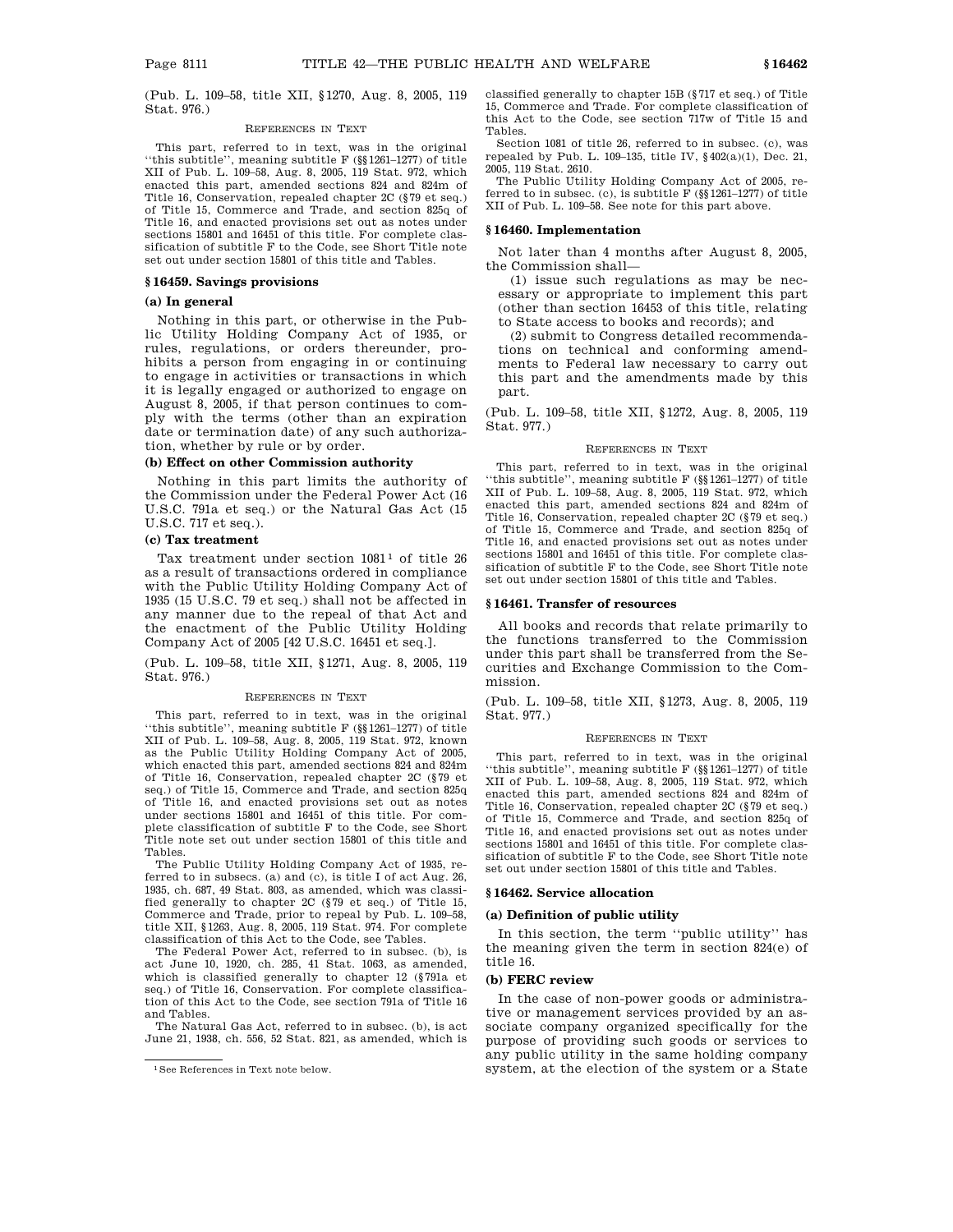(Pub. L. 109–58, title XII, §1270, Aug. 8, 2005, 119 Stat. 976.)

#### REFERENCES IN TEXT

This part, referred to in text, was in the original ''this subtitle'', meaning subtitle F (§§1261–1277) of title XII of Pub. L. 109–58, Aug. 8, 2005, 119 Stat. 972, which enacted this part, amended sections 824 and 824m of Title 16, Conservation, repealed chapter 2C (§79 et seq.) of Title 15, Commerce and Trade, and section 825q of Title 16, and enacted provisions set out as notes under sections 15801 and 16451 of this title. For complete classification of subtitle F to the Code, see Short Title note set out under section 15801 of this title and Tables.

### **§ 16459. Savings provisions**

# **(a) In general**

Nothing in this part, or otherwise in the Public Utility Holding Company Act of 1935, or rules, regulations, or orders thereunder, prohibits a person from engaging in or continuing to engage in activities or transactions in which it is legally engaged or authorized to engage on August 8, 2005, if that person continues to comply with the terms (other than an expiration date or termination date) of any such authorization, whether by rule or by order.

#### **(b) Effect on other Commission authority**

Nothing in this part limits the authority of the Commission under the Federal Power Act (16 U.S.C. 791a et seq.) or the Natural Gas Act (15 U.S.C. 717 et seq.).

### **(c) Tax treatment**

Tax treatment under section  $1081<sup>1</sup>$  of title 26 as a result of transactions ordered in compliance with the Public Utility Holding Company Act of 1935 (15 U.S.C. 79 et seq.) shall not be affected in any manner due to the repeal of that Act and the enactment of the Public Utility Holding Company Act of 2005 [42 U.S.C. 16451 et seq.].

(Pub. L. 109–58, title XII, §1271, Aug. 8, 2005, 119 Stat. 976.)

#### REFERENCES IN TEXT

This part, referred to in text, was in the original ''this subtitle'', meaning subtitle F (§§1261–1277) of title XII of Pub. L. 109–58, Aug. 8, 2005, 119 Stat. 972, known as the Public Utility Holding Company Act of 2005, which enacted this part, amended sections 824 and 824m of Title 16, Conservation, repealed chapter 2C (§79 et seq.) of Title 15, Commerce and Trade, and section 825q of Title 16, and enacted provisions set out as notes under sections 15801 and 16451 of this title. For complete classification of subtitle F to the Code, see Short Title note set out under section 15801 of this title and Tables.

The Public Utility Holding Company Act of 1935, referred to in subsecs. (a) and (c), is title I of act Aug. 26, 1935, ch. 687, 49 Stat. 803, as amended, which was classified generally to chapter 2C (§79 et seq.) of Title 15, Commerce and Trade, prior to repeal by Pub. L. 109–58, title XII, §1263, Aug. 8, 2005, 119 Stat. 974. For complete classification of this Act to the Code, see Tables.

The Federal Power Act, referred to in subsec. (b), is act June 10, 1920, ch. 285, 41 Stat. 1063, as amended, which is classified generally to chapter 12 (§791a et seq.) of Title 16, Conservation. For complete classification of this Act to the Code, see section 791a of Title 16 and Tables.

The Natural Gas Act, referred to in subsec. (b), is act June 21, 1938, ch. 556, 52 Stat. 821, as amended, which is classified generally to chapter 15B (§717 et seq.) of Title 15, Commerce and Trade. For complete classification of this Act to the Code, see section 717w of Title 15 and Tables.

Section 1081 of title 26, referred to in subsec. (c), was repealed by Pub. L. 109-135, title IV,  $\frac{6402(a)(1)}{b}$ , Dec. 21, 2005, 119 Stat. 2610.

The Public Utility Holding Company Act of 2005, referred to in subsec. (c), is subtitle  $\overline{F}$  (§§1261–1277) of title XII of Pub. L. 109–58. See note for this part above.

#### **§ 16460. Implementation**

Not later than 4 months after August 8, 2005, the Commission shall—

(1) issue such regulations as may be necessary or appropriate to implement this part (other than section 16453 of this title, relating to State access to books and records); and

(2) submit to Congress detailed recommendations on technical and conforming amendments to Federal law necessary to carry out this part and the amendments made by this part.

(Pub. L. 109–58, title XII, §1272, Aug. 8, 2005, 119 Stat. 977.)

#### REFERENCES IN TEXT

This part, referred to in text, was in the original ''this subtitle'', meaning subtitle F (§§1261–1277) of title XII of Pub. L. 109–58, Aug. 8, 2005, 119 Stat. 972, which enacted this part, amended sections 824 and 824m of Title 16, Conservation, repealed chapter 2C (§79 et seq.) of Title 15, Commerce and Trade, and section 825q of Title 16, and enacted provisions set out as notes under sections 15801 and 16451 of this title. For complete classification of subtitle F to the Code, see Short Title note set out under section 15801 of this title and Tables.

#### **§ 16461. Transfer of resources**

All books and records that relate primarily to the functions transferred to the Commission under this part shall be transferred from the Securities and Exchange Commission to the Commission.

(Pub. L. 109–58, title XII, §1273, Aug. 8, 2005, 119 Stat. 977.)

#### REFERENCES IN TEXT

This part, referred to in text, was in the original ''this subtitle'', meaning subtitle F (§§1261–1277) of title XII of Pub. L. 109–58, Aug. 8, 2005, 119 Stat. 972, which enacted this part, amended sections 824 and 824m of Title 16, Conservation, repealed chapter 2C (§79 et seq.) of Title 15, Commerce and Trade, and section 825q of Title 16, and enacted provisions set out as notes under sections 15801 and 16451 of this title. For complete classification of subtitle F to the Code, see Short Title note set out under section 15801 of this title and Tables.

#### **§ 16462. Service allocation**

# **(a) Definition of public utility**

In this section, the term ''public utility'' has the meaning given the term in section 824(e) of title 16.

#### **(b) FERC review**

In the case of non-power goods or administrative or management services provided by an associate company organized specifically for the purpose of providing such goods or services to any public utility in the same holding company system, at the election of the system or a State

<sup>1</sup>See References in Text note below.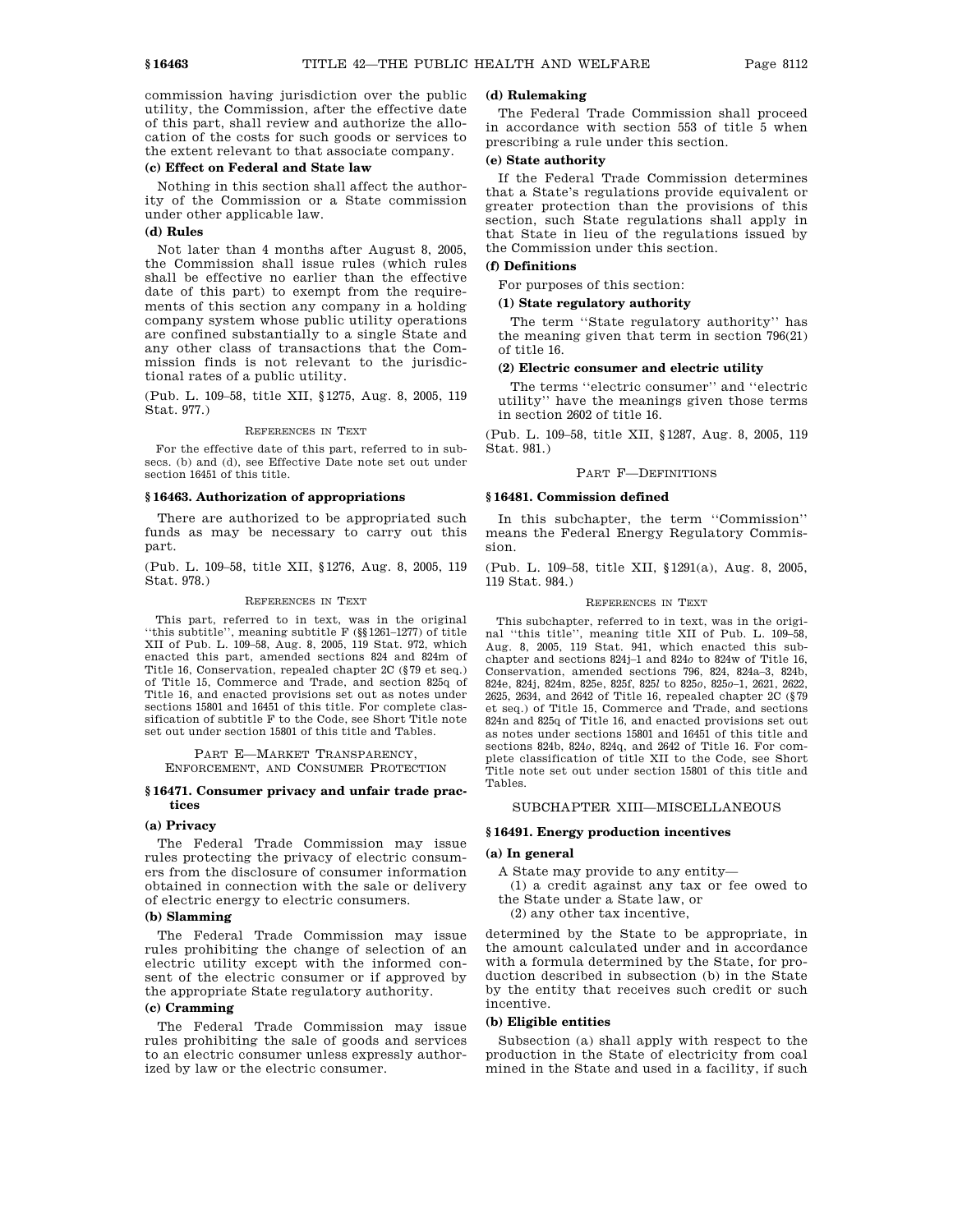commission having jurisdiction over the public utility, the Commission, after the effective date of this part, shall review and authorize the allocation of the costs for such goods or services to the extent relevant to that associate company.

# **(c) Effect on Federal and State law**

Nothing in this section shall affect the authority of the Commission or a State commission under other applicable law.

# **(d) Rules**

Not later than 4 months after August 8, 2005, the Commission shall issue rules (which rules shall be effective no earlier than the effective date of this part) to exempt from the requirements of this section any company in a holding company system whose public utility operations are confined substantially to a single State and any other class of transactions that the Commission finds is not relevant to the jurisdictional rates of a public utility.

(Pub. L. 109–58, title XII, §1275, Aug. 8, 2005, 119 Stat. 977.)

#### REFERENCES IN TEXT

For the effective date of this part, referred to in subsecs. (b) and (d), see Effective Date note set out under section 16451 of this title.

#### **§ 16463. Authorization of appropriations**

There are authorized to be appropriated such funds as may be necessary to carry out this part.

(Pub. L. 109–58, title XII, §1276, Aug. 8, 2005, 119 Stat. 978.)

#### REFERENCES IN TEXT

This part, referred to in text, was in the original ''this subtitle'', meaning subtitle F (§§1261–1277) of title XII of Pub. L. 109–58, Aug. 8, 2005, 119 Stat. 972, which enacted this part, amended sections 824 and 824m of Title 16, Conservation, repealed chapter 2C (§79 et seq.) of Title 15, Commerce and Trade, and section 825q of Title 16, and enacted provisions set out as notes under sections 15801 and 16451 of this title. For complete classification of subtitle F to the Code, see Short Title note set out under section 15801 of this title and Tables.

PART E—MARKET TRANSPARENCY, ENFORCEMENT, AND CONSUMER PROTECTION

#### **§ 16471. Consumer privacy and unfair trade practices**

#### **(a) Privacy**

The Federal Trade Commission may issue rules protecting the privacy of electric consumers from the disclosure of consumer information obtained in connection with the sale or delivery of electric energy to electric consumers.

### **(b) Slamming**

The Federal Trade Commission may issue rules prohibiting the change of selection of an electric utility except with the informed consent of the electric consumer or if approved by the appropriate State regulatory authority.

# **(c) Cramming**

The Federal Trade Commission may issue rules prohibiting the sale of goods and services to an electric consumer unless expressly authorized by law or the electric consumer.

### **(d) Rulemaking**

The Federal Trade Commission shall proceed in accordance with section 553 of title 5 when prescribing a rule under this section.

# **(e) State authority**

If the Federal Trade Commission determines that a State's regulations provide equivalent or greater protection than the provisions of this section, such State regulations shall apply in that State in lieu of the regulations issued by the Commission under this section.

# **(f) Definitions**

For purposes of this section:

#### **(1) State regulatory authority**

The term ''State regulatory authority'' has the meaning given that term in section 796(21) of title 16.

#### **(2) Electric consumer and electric utility**

The terms ''electric consumer'' and ''electric utility'' have the meanings given those terms in section 2602 of title 16.

(Pub. L. 109–58, title XII, §1287, Aug. 8, 2005, 119 Stat. 981.)

## PART F—DEFINITIONS

# **§ 16481. Commission defined**

In this subchapter, the term ''Commission'' means the Federal Energy Regulatory Commission.

(Pub. L. 109–58, title XII, §1291(a), Aug. 8, 2005, 119 Stat. 984.)

#### REFERENCES IN TEXT

This subchapter, referred to in text, was in the original ''this title'', meaning title XII of Pub. L. 109–58, Aug. 8, 2005, 119 Stat. 941, which enacted this subchapter and sections 824j–1 and 824*o* to 824w of Title 16, Conservation, amended sections 796, 824, 824a–3, 824b, 824e, 824j, 824m, 825e, 825f, 825*l* to 825*o*, 825*o*–1, 2621, 2622, 2625, 2634, and 2642 of Title 16, repealed chapter 2C (§79 et seq.) of Title 15, Commerce and Trade, and sections 824n and 825q of Title 16, and enacted provisions set out as notes under sections 15801 and 16451 of this title and sections 824b, 824*o*, 824q, and 2642 of Title 16. For complete classification of title XII to the Code, see Short Title note set out under section 15801 of this title and Tables.

# SUBCHAPTER XIII—MISCELLANEOUS

#### **§ 16491. Energy production incentives**

# **(a) In general**

A State may provide to any entity—

- (1) a credit against any tax or fee owed to the State under a State law, or
	- (2) any other tax incentive,

determined by the State to be appropriate, in the amount calculated under and in accordance with a formula determined by the State, for production described in subsection (b) in the State by the entity that receives such credit or such incentive.

#### **(b) Eligible entities**

Subsection (a) shall apply with respect to the production in the State of electricity from coal mined in the State and used in a facility, if such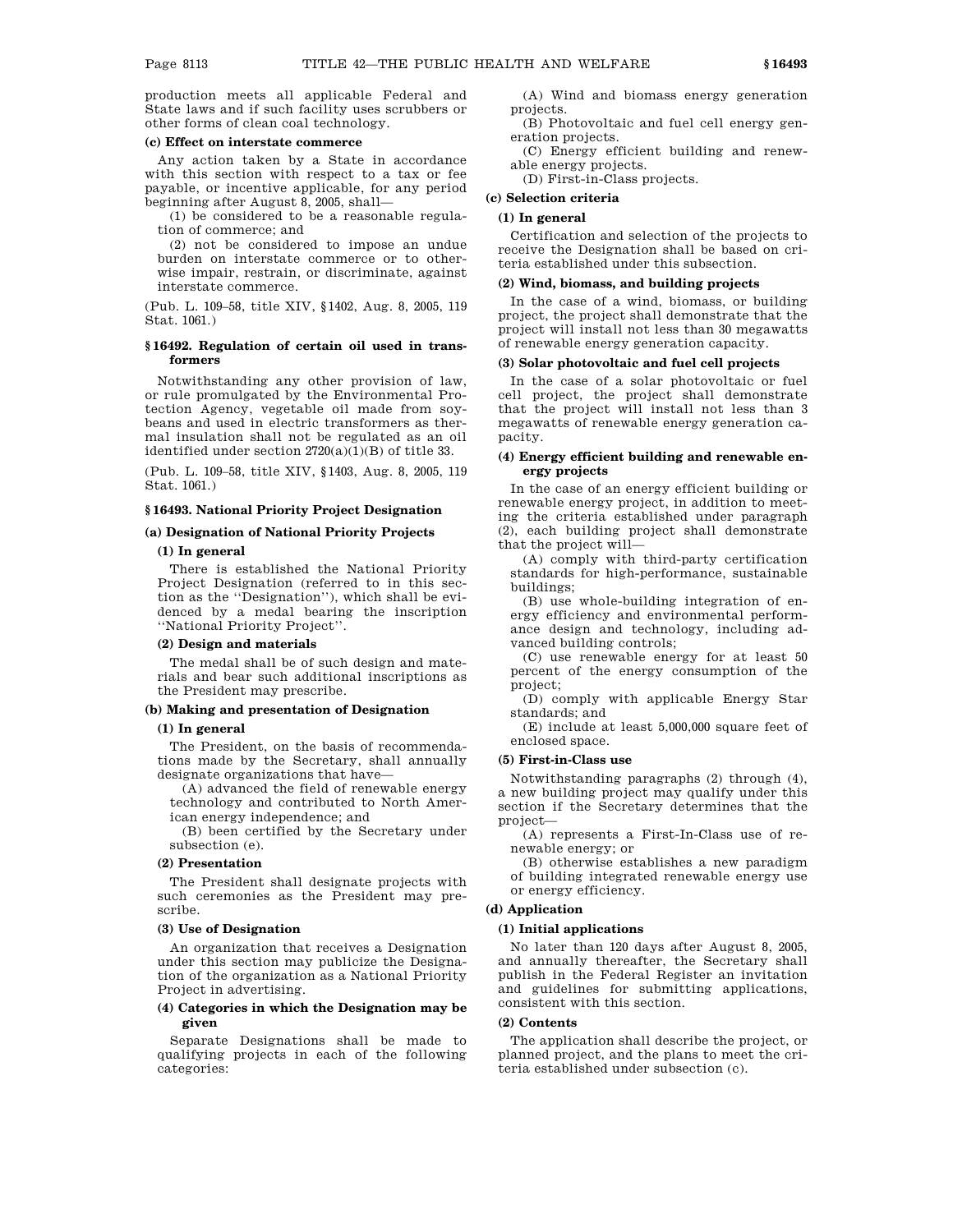production meets all applicable Federal and State laws and if such facility uses scrubbers or other forms of clean coal technology.

# **(c) Effect on interstate commerce**

Any action taken by a State in accordance with this section with respect to a tax or fee payable, or incentive applicable, for any period beginning after August  $\overline{8}$ , 2005, shall-

(1) be considered to be a reasonable regulation of commerce; and

(2) not be considered to impose an undue burden on interstate commerce or to otherwise impair, restrain, or discriminate, against interstate commerce.

(Pub. L. 109–58, title XIV, §1402, Aug. 8, 2005, 119 Stat. 1061.)

# **§ 16492. Regulation of certain oil used in transformers**

Notwithstanding any other provision of law, or rule promulgated by the Environmental Protection Agency, vegetable oil made from soybeans and used in electric transformers as thermal insulation shall not be regulated as an oil identified under section 2720(a)(1)(B) of title 33.

(Pub. L. 109–58, title XIV, §1403, Aug. 8, 2005, 119 Stat. 1061.)

# **§ 16493. National Priority Project Designation**

# **(a) Designation of National Priority Projects**

# **(1) In general**

There is established the National Priority Project Designation (referred to in this section as the ''Designation''), which shall be evidenced by a medal bearing the inscription ''National Priority Project''.

#### **(2) Design and materials**

The medal shall be of such design and materials and bear such additional inscriptions as the President may prescribe.

# **(b) Making and presentation of Designation**

#### **(1) In general**

The President, on the basis of recommendations made by the Secretary, shall annually designate organizations that have—

(A) advanced the field of renewable energy technology and contributed to North American energy independence; and

(B) been certified by the Secretary under subsection (e).

# **(2) Presentation**

The President shall designate projects with such ceremonies as the President may prescribe.

#### **(3) Use of Designation**

An organization that receives a Designation under this section may publicize the Designation of the organization as a National Priority Project in advertising.

## **(4) Categories in which the Designation may be given**

Separate Designations shall be made to qualifying projects in each of the following categories:

(A) Wind and biomass energy generation projects.

(B) Photovoltaic and fuel cell energy generation projects.

(C) Energy efficient building and renewable energy projects.

(D) First-in-Class projects.

# **(c) Selection criteria**

### **(1) In general**

Certification and selection of the projects to receive the Designation shall be based on criteria established under this subsection.

# **(2) Wind, biomass, and building projects**

In the case of a wind, biomass, or building project, the project shall demonstrate that the project will install not less than 30 megawatts of renewable energy generation capacity.

#### **(3) Solar photovoltaic and fuel cell projects**

In the case of a solar photovoltaic or fuel cell project, the project shall demonstrate that the project will install not less than 3 megawatts of renewable energy generation capacity.

# **(4) Energy efficient building and renewable energy projects**

In the case of an energy efficient building or renewable energy project, in addition to meeting the criteria established under paragraph (2), each building project shall demonstrate that the project will—

(A) comply with third-party certification standards for high-performance, sustainable buildings;

(B) use whole-building integration of energy efficiency and environmental performance design and technology, including advanced building controls;

(C) use renewable energy for at least 50 percent of the energy consumption of the project;

(D) comply with applicable Energy Star standards; and

(E) include at least 5,000,000 square feet of enclosed space.

#### **(5) First-in-Class use**

Notwithstanding paragraphs (2) through (4), a new building project may qualify under this section if the Secretary determines that the project—

(A) represents a First-In-Class use of renewable energy; or

(B) otherwise establishes a new paradigm of building integrated renewable energy use or energy efficiency.

# **(d) Application**

#### **(1) Initial applications**

No later than 120 days after August 8, 2005, and annually thereafter, the Secretary shall publish in the Federal Register an invitation and guidelines for submitting applications, consistent with this section.

#### **(2) Contents**

The application shall describe the project, or planned project, and the plans to meet the criteria established under subsection (c).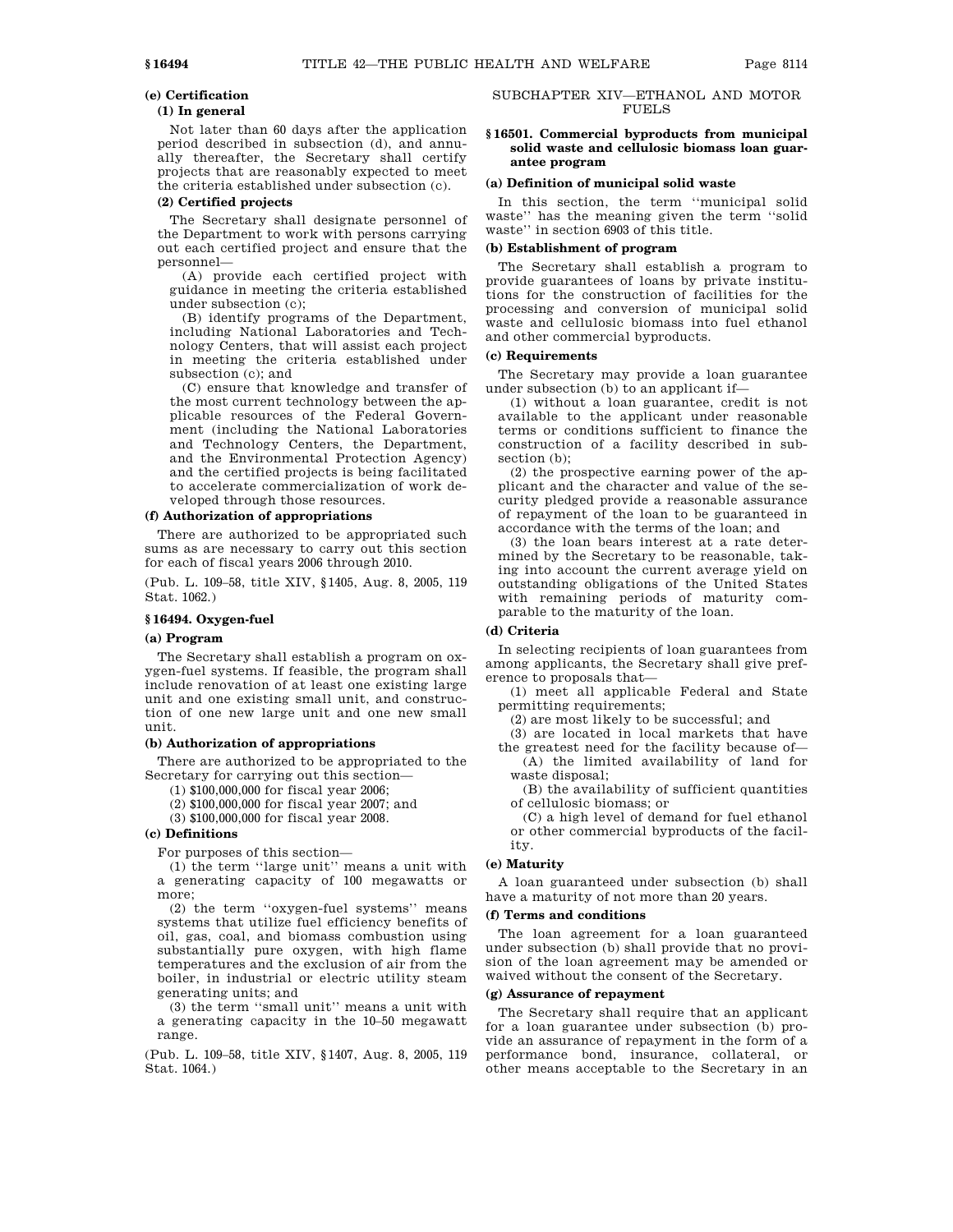## **(e) Certification**

# **(1) In general**

Not later than 60 days after the application period described in subsection (d), and annually thereafter, the Secretary shall certify projects that are reasonably expected to meet the criteria established under subsection (c).

# **(2) Certified projects**

The Secretary shall designate personnel of the Department to work with persons carrying out each certified project and ensure that the personnel—

(A) provide each certified project with guidance in meeting the criteria established under subsection (c);

(B) identify programs of the Department, including National Laboratories and Technology Centers, that will assist each project in meeting the criteria established under subsection (c); and

(C) ensure that knowledge and transfer of the most current technology between the applicable resources of the Federal Government (including the National Laboratories and Technology Centers, the Department, and the Environmental Protection Agency) and the certified projects is being facilitated to accelerate commercialization of work developed through those resources.

#### **(f) Authorization of appropriations**

There are authorized to be appropriated such sums as are necessary to carry out this section for each of fiscal years 2006 through 2010.

(Pub. L. 109–58, title XIV, §1405, Aug. 8, 2005, 119 Stat. 1062.)

# **§ 16494. Oxygen-fuel**

# **(a) Program**

The Secretary shall establish a program on oxygen-fuel systems. If feasible, the program shall include renovation of at least one existing large unit and one existing small unit, and construction of one new large unit and one new small unit.

# **(b) Authorization of appropriations**

There are authorized to be appropriated to the Secretary for carrying out this section—

(1) \$100,000,000 for fiscal year 2006;

(2) \$100,000,000 for fiscal year 2007; and

(3) \$100,000,000 for fiscal year 2008.

# **(c) Definitions**

For purposes of this section—

(1) the term ''large unit'' means a unit with a generating capacity of 100 megawatts or more;

(2) the term ''oxygen-fuel systems'' means systems that utilize fuel efficiency benefits of oil, gas, coal, and biomass combustion using substantially pure oxygen, with high flame temperatures and the exclusion of air from the boiler, in industrial or electric utility steam generating units; and

(3) the term ''small unit'' means a unit with a generating capacity in the 10–50 megawatt range.

(Pub. L. 109–58, title XIV, §1407, Aug. 8, 2005, 119 Stat. 1064.)

# SUBCHAPTER XIV—ETHANOL AND MOTOR FUELS

# **§ 16501. Commercial byproducts from municipal solid waste and cellulosic biomass loan guarantee program**

#### **(a) Definition of municipal solid waste**

In this section, the term ''municipal solid waste'' has the meaning given the term ''solid waste'' in section 6903 of this title.

#### **(b) Establishment of program**

The Secretary shall establish a program to provide guarantees of loans by private institutions for the construction of facilities for the processing and conversion of municipal solid waste and cellulosic biomass into fuel ethanol and other commercial byproducts.

# **(c) Requirements**

The Secretary may provide a loan guarantee under subsection (b) to an applicant if—

(1) without a loan guarantee, credit is not available to the applicant under reasonable terms or conditions sufficient to finance the construction of a facility described in subsection (b);

(2) the prospective earning power of the applicant and the character and value of the security pledged provide a reasonable assurance of repayment of the loan to be guaranteed in accordance with the terms of the loan; and

(3) the loan bears interest at a rate determined by the Secretary to be reasonable, taking into account the current average yield on outstanding obligations of the United States with remaining periods of maturity comparable to the maturity of the loan.

## **(d) Criteria**

In selecting recipients of loan guarantees from among applicants, the Secretary shall give preference to proposals that—

(1) meet all applicable Federal and State permitting requirements;

(2) are most likely to be successful; and

(3) are located in local markets that have the greatest need for the facility because of—

(A) the limited availability of land for waste disposal; (B) the availability of sufficient quantities

of cellulosic biomass; or (C) a high level of demand for fuel ethanol

or other commercial byproducts of the facility.

# **(e) Maturity**

A loan guaranteed under subsection (b) shall have a maturity of not more than 20 years.

#### **(f) Terms and conditions**

The loan agreement for a loan guaranteed under subsection (b) shall provide that no provision of the loan agreement may be amended or waived without the consent of the Secretary.

# **(g) Assurance of repayment**

The Secretary shall require that an applicant for a loan guarantee under subsection (b) provide an assurance of repayment in the form of a performance bond, insurance, collateral, or other means acceptable to the Secretary in an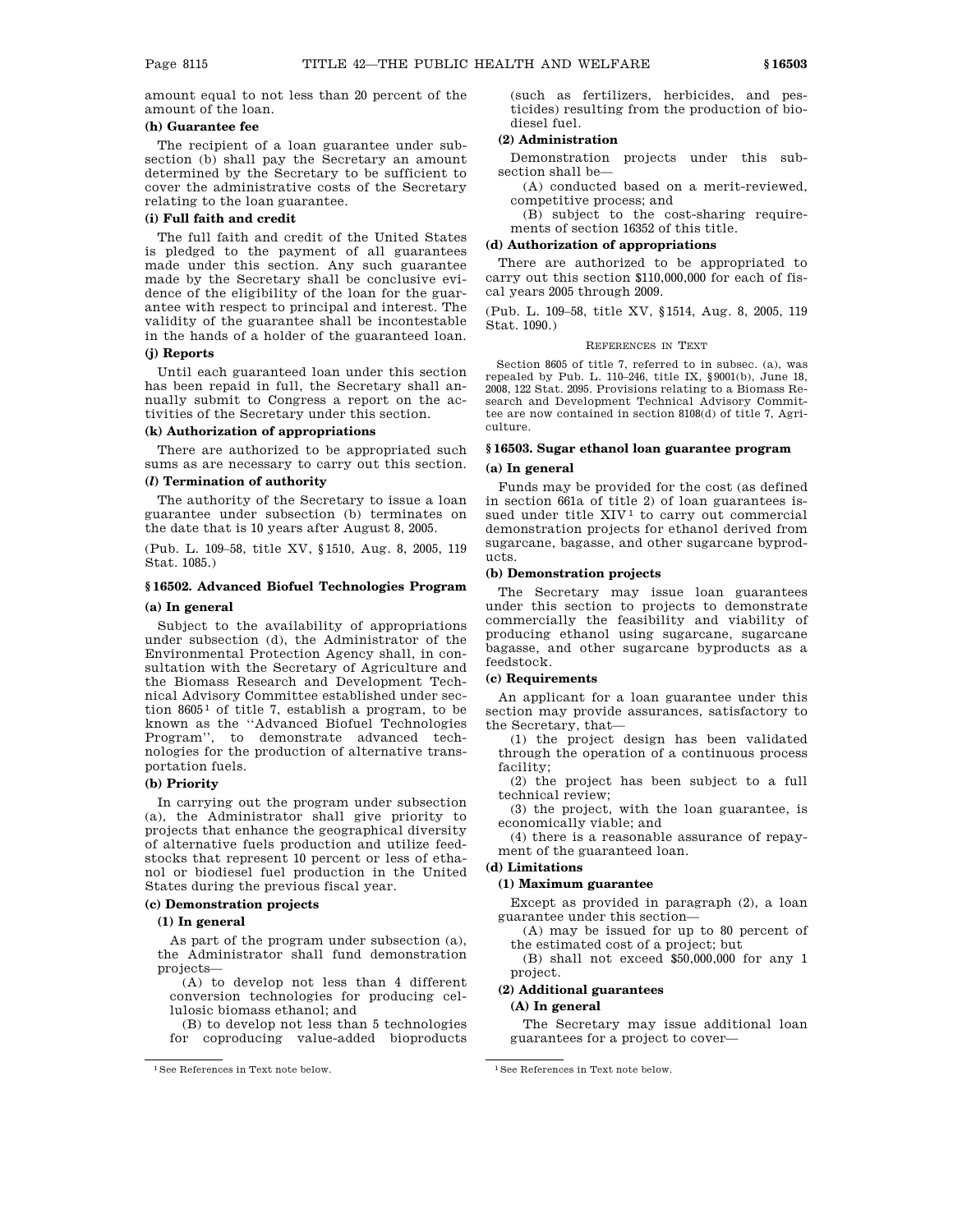amount equal to not less than 20 percent of the amount of the loan.

# **(h) Guarantee fee**

The recipient of a loan guarantee under subsection (b) shall pay the Secretary an amount determined by the Secretary to be sufficient to cover the administrative costs of the Secretary relating to the loan guarantee.

# **(i) Full faith and credit**

The full faith and credit of the United States is pledged to the payment of all guarantees made under this section. Any such guarantee made by the Secretary shall be conclusive evidence of the eligibility of the loan for the guarantee with respect to principal and interest. The validity of the guarantee shall be incontestable in the hands of a holder of the guaranteed loan.

#### **(j) Reports**

Until each guaranteed loan under this section has been repaid in full, the Secretary shall annually submit to Congress a report on the activities of the Secretary under this section.

#### **(k) Authorization of appropriations**

There are authorized to be appropriated such sums as are necessary to carry out this section.

## **(***l***) Termination of authority**

The authority of the Secretary to issue a loan guarantee under subsection (b) terminates on the date that is 10 years after August 8, 2005.

(Pub. L. 109–58, title XV, §1510, Aug. 8, 2005, 119 Stat. 1085.)

# **§ 16502. Advanced Biofuel Technologies Program (a) In general**

# Subject to the availability of appropriations

under subsection (d), the Administrator of the Environmental Protection Agency shall, in consultation with the Secretary of Agriculture and the Biomass Research and Development Technical Advisory Committee established under section  $8605<sup>1</sup>$  of title 7, establish a program, to be known as the ''Advanced Biofuel Technologies Program'', to demonstrate advanced technologies for the production of alternative transportation fuels.

# **(b) Priority**

In carrying out the program under subsection (a), the Administrator shall give priority to projects that enhance the geographical diversity of alternative fuels production and utilize feedstocks that represent 10 percent or less of ethanol or biodiesel fuel production in the United States during the previous fiscal year.

# **(c) Demonstration projects**

## **(1) In general**

As part of the program under subsection (a), the Administrator shall fund demonstration projects—

- (A) to develop not less than 4 different conversion technologies for producing cellulosic biomass ethanol; and
- (B) to develop not less than 5 technologies for coproducing value-added bioproducts

(such as fertilizers, herbicides, and pesticides) resulting from the production of biodiesel fuel.

# **(2) Administration**

Demonstration projects under this subsection shall be—

(A) conducted based on a merit-reviewed, competitive process; and

(B) subject to the cost-sharing requirements of section 16352 of this title.

#### **(d) Authorization of appropriations**

There are authorized to be appropriated to carry out this section \$110,000,000 for each of fiscal years 2005 through 2009.

(Pub. L. 109–58, title XV, §1514, Aug. 8, 2005, 119 Stat. 1090.)

#### REFERENCES IN TEXT

Section 8605 of title 7, referred to in subsec. (a), was repealed by Pub. L. 110–246, title IX, §9001(b), June 18, 2008, 122 Stat. 2095. Provisions relating to a Biomass Research and Development Technical Advisory Committee are now contained in section 8108(d) of title 7, Agriculture.

#### **§ 16503. Sugar ethanol loan guarantee program**

# **(a) In general**

Funds may be provided for the cost (as defined in section 661a of title 2) of loan guarantees issued under title  $XIV<sup>1</sup>$  to carry out commercial demonstration projects for ethanol derived from sugarcane, bagasse, and other sugarcane byproducts.

## **(b) Demonstration projects**

The Secretary may issue loan guarantees under this section to projects to demonstrate commercially the feasibility and viability of producing ethanol using sugarcane, sugarcane bagasse, and other sugarcane byproducts as a feedstock.

# **(c) Requirements**

An applicant for a loan guarantee under this section may provide assurances, satisfactory to the Secretary, that—

(1) the project design has been validated through the operation of a continuous process facility;

(2) the project has been subject to a full technical review;

(3) the project, with the loan guarantee, is economically viable; and

(4) there is a reasonable assurance of repayment of the guaranteed loan.

## **(d) Limitations**

# **(1) Maximum guarantee**

Except as provided in paragraph (2), a loan guarantee under this section—

(A) may be issued for up to 80 percent of the estimated cost of a project; but

(B) shall not exceed \$50,000,000 for any 1 project.

# **(2) Additional guarantees**

# **(A) In general**

The Secretary may issue additional loan guarantees for a project to cover—

<sup>&</sup>lt;sup>1</sup>See References in Text note below. <sup>1</sup>See References in Text note below.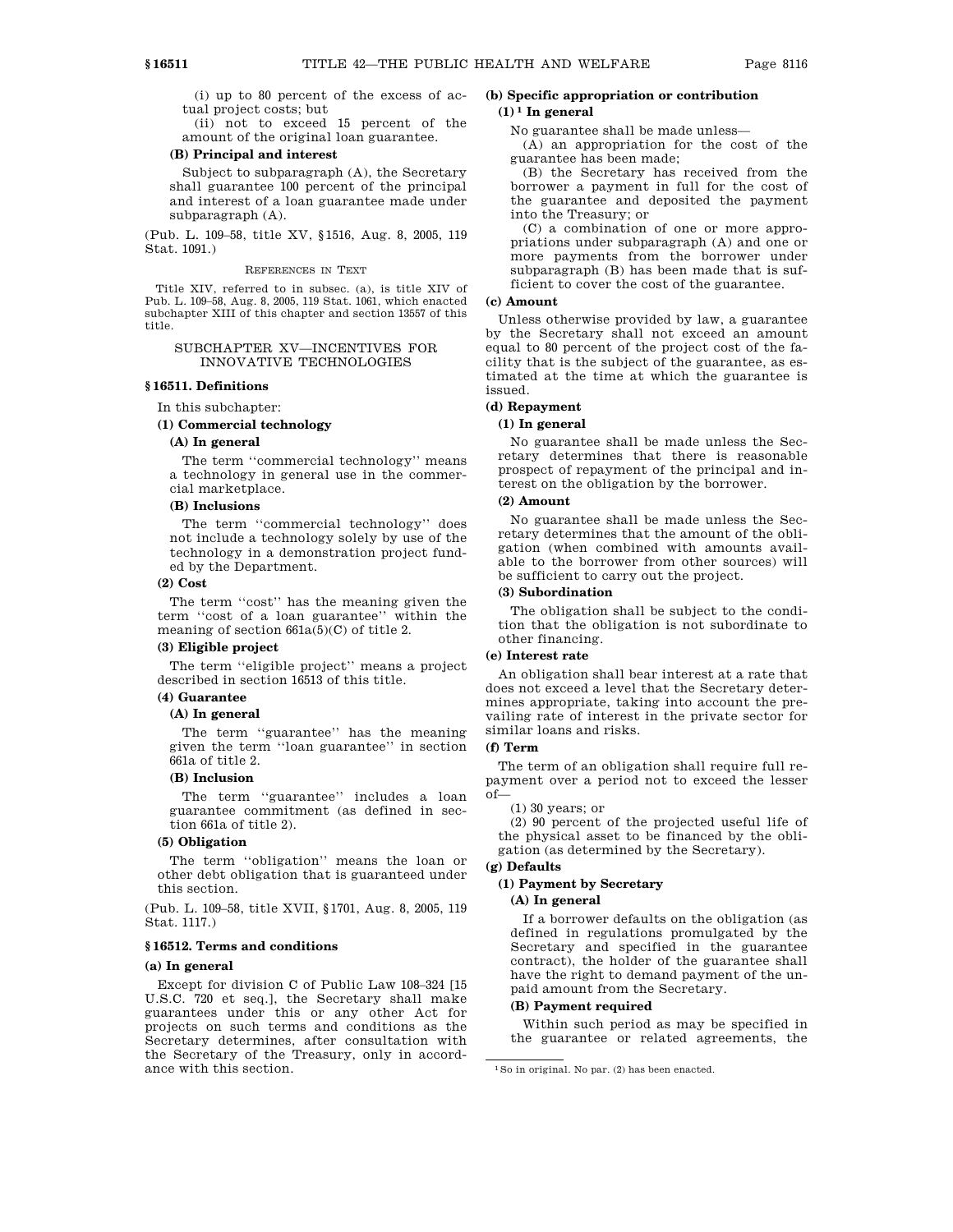(i) up to 80 percent of the excess of actual project costs; but

(ii) not to exceed 15 percent of the amount of the original loan guarantee.

#### **(B) Principal and interest**

Subject to subparagraph (A), the Secretary shall guarantee 100 percent of the principal and interest of a loan guarantee made under subparagraph (A).

(Pub. L. 109–58, title XV, §1516, Aug. 8, 2005, 119 Stat. 1091.)

#### REFERENCES IN TEXT

Title XIV, referred to in subsec. (a), is title XIV of Pub. L. 109–58, Aug. 8, 2005, 119 Stat. 1061, which enacted subchapter XIII of this chapter and section 13557 of this title.

# SUBCHAPTER XV—INCENTIVES FOR INNOVATIVE TECHNOLOGIES

# **§ 16511. Definitions**

#### In this subchapter:

# **(1) Commercial technology**

#### **(A) In general**

The term ''commercial technology'' means a technology in general use in the commercial marketplace.

# **(B) Inclusions**

The term ''commercial technology'' does not include a technology solely by use of the technology in a demonstration project funded by the Department.

# **(2) Cost**

The term ''cost'' has the meaning given the term ''cost of a loan guarantee'' within the meaning of section 661a(5)(C) of title 2.

### **(3) Eligible project**

The term ''eligible project'' means a project described in section 16513 of this title.

# **(4) Guarantee**

#### **(A) In general**

The term ''guarantee'' has the meaning given the term ''loan guarantee'' in section 661a of title 2.

#### **(B) Inclusion**

The term ''guarantee'' includes a loan guarantee commitment (as defined in section 661a of title 2).

# **(5) Obligation**

The term ''obligation'' means the loan or other debt obligation that is guaranteed under this section.

(Pub. L. 109–58, title XVII, §1701, Aug. 8, 2005, 119 Stat. 1117.)

# **§ 16512. Terms and conditions**

# **(a) In general**

Except for division C of Public Law 108–324 [15 U.S.C. 720 et seq.], the Secretary shall make guarantees under this or any other Act for projects on such terms and conditions as the Secretary determines, after consultation with the Secretary of the Treasury, only in accordance with this section.

# **(b) Specific appropriation or contribution**

# $(1)$ <sup>1</sup> In general

No guarantee shall be made unless—

(A) an appropriation for the cost of the guarantee has been made;

(B) the Secretary has received from the borrower a payment in full for the cost of the guarantee and deposited the payment into the Treasury; or

(C) a combination of one or more appropriations under subparagraph (A) and one or more payments from the borrower under subparagraph (B) has been made that is sufficient to cover the cost of the guarantee.

#### **(c) Amount**

Unless otherwise provided by law, a guarantee by the Secretary shall not exceed an amount equal to 80 percent of the project cost of the facility that is the subject of the guarantee, as estimated at the time at which the guarantee is issued.

# **(d) Repayment**

#### **(1) In general**

No guarantee shall be made unless the Secretary determines that there is reasonable prospect of repayment of the principal and interest on the obligation by the borrower.

# **(2) Amount**

No guarantee shall be made unless the Secretary determines that the amount of the obligation (when combined with amounts available to the borrower from other sources) will be sufficient to carry out the project.

# **(3) Subordination**

The obligation shall be subject to the condition that the obligation is not subordinate to other financing.

# **(e) Interest rate**

An obligation shall bear interest at a rate that does not exceed a level that the Secretary determines appropriate, taking into account the prevailing rate of interest in the private sector for similar loans and risks.

#### **(f) Term**

The term of an obligation shall require full repayment over a period not to exceed the lesser  $of$ 

(1) 30 years; or

(2) 90 percent of the projected useful life of the physical asset to be financed by the obligation (as determined by the Secretary).

# **(g) Defaults**

# **(1) Payment by Secretary**

# **(A) In general**

If a borrower defaults on the obligation (as defined in regulations promulgated by the Secretary and specified in the guarantee contract), the holder of the guarantee shall have the right to demand payment of the unpaid amount from the Secretary.

# **(B) Payment required**

Within such period as may be specified in the guarantee or related agreements, the

<sup>1</sup>So in original. No par. (2) has been enacted.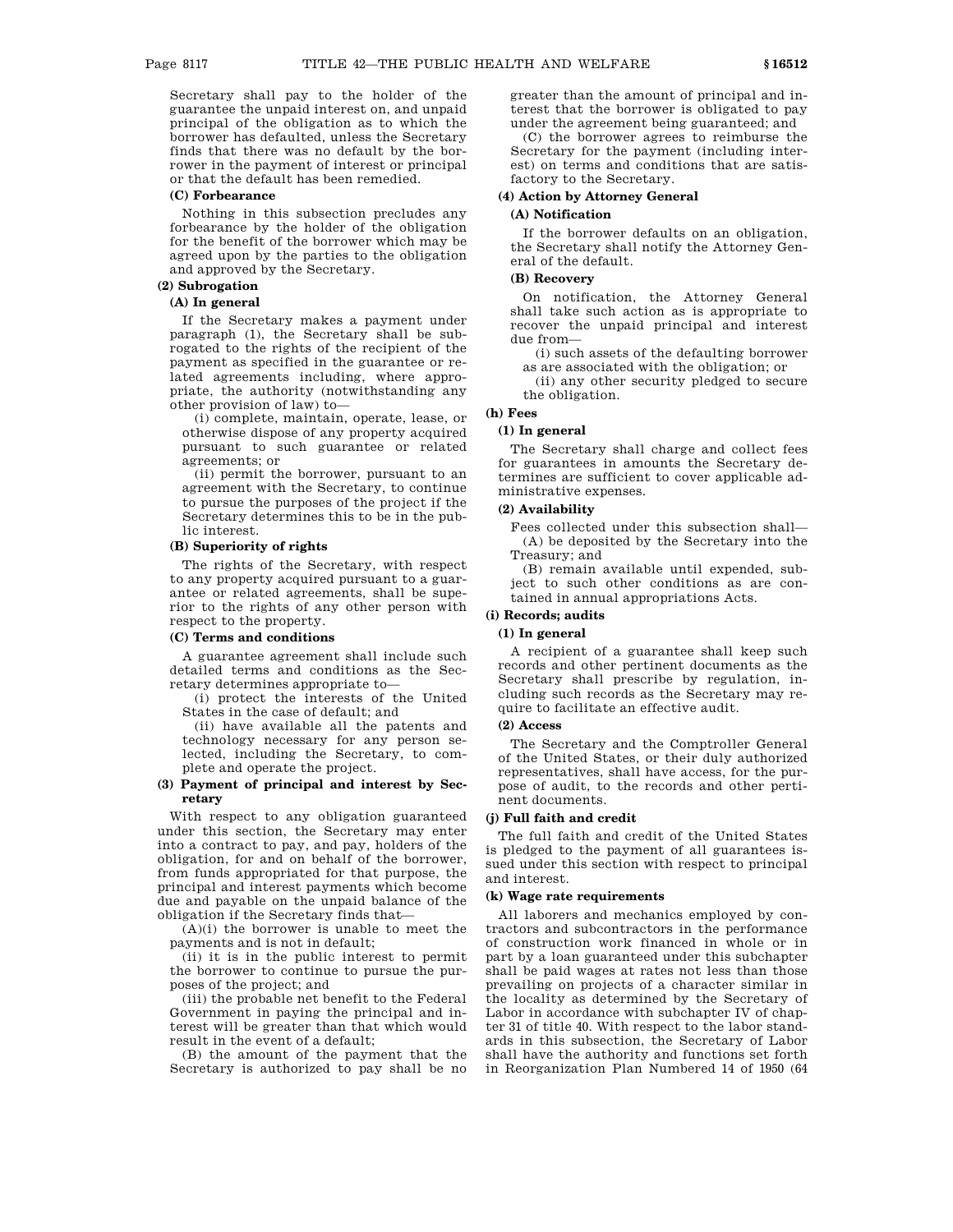Secretary shall pay to the holder of the guarantee the unpaid interest on, and unpaid principal of the obligation as to which the borrower has defaulted, unless the Secretary finds that there was no default by the borrower in the payment of interest or principal or that the default has been remedied.

#### **(C) Forbearance**

Nothing in this subsection precludes any forbearance by the holder of the obligation for the benefit of the borrower which may be agreed upon by the parties to the obligation and approved by the Secretary.

# **(2) Subrogation**

# **(A) In general**

If the Secretary makes a payment under paragraph (1), the Secretary shall be subrogated to the rights of the recipient of the payment as specified in the guarantee or related agreements including, where appropriate, the authority (notwithstanding any other provision of law) to—

(i) complete, maintain, operate, lease, or otherwise dispose of any property acquired pursuant to such guarantee or related agreements; or

(ii) permit the borrower, pursuant to an agreement with the Secretary, to continue to pursue the purposes of the project if the Secretary determines this to be in the public interest.

# **(B) Superiority of rights**

The rights of the Secretary, with respect to any property acquired pursuant to a guarantee or related agreements, shall be superior to the rights of any other person with respect to the property.

## **(C) Terms and conditions**

A guarantee agreement shall include such detailed terms and conditions as the Secretary determines appropriate to—

(i) protect the interests of the United States in the case of default; and

(ii) have available all the patents and technology necessary for any person selected, including the Secretary, to complete and operate the project.

# **(3) Payment of principal and interest by Secretary**

With respect to any obligation guaranteed under this section, the Secretary may enter into a contract to pay, and pay, holders of the obligation, for and on behalf of the borrower, from funds appropriated for that purpose, the principal and interest payments which become due and payable on the unpaid balance of the obligation if the Secretary finds that—

 $(A)(i)$  the borrower is unable to meet the payments and is not in default;

(ii) it is in the public interest to permit the borrower to continue to pursue the purposes of the project; and

(iii) the probable net benefit to the Federal Government in paying the principal and interest will be greater than that which would result in the event of a default;

(B) the amount of the payment that the Secretary is authorized to pay shall be no greater than the amount of principal and interest that the borrower is obligated to pay under the agreement being guaranteed; and

(C) the borrower agrees to reimburse the Secretary for the payment (including interest) on terms and conditions that are satisfactory to the Secretary.

# **(4) Action by Attorney General**

# **(A) Notification**

If the borrower defaults on an obligation, the Secretary shall notify the Attorney General of the default.

# **(B) Recovery**

On notification, the Attorney General shall take such action as is appropriate to recover the unpaid principal and interest due from—

(i) such assets of the defaulting borrower as are associated with the obligation; or

(ii) any other security pledged to secure the obligation.

# **(h) Fees**

#### **(1) In general**

The Secretary shall charge and collect fees for guarantees in amounts the Secretary determines are sufficient to cover applicable administrative expenses.

## **(2) Availability**

Fees collected under this subsection shall— (A) be deposited by the Secretary into the Treasury; and

(B) remain available until expended, subject to such other conditions as are contained in annual appropriations Acts.

# **(i) Records; audits**

# **(1) In general**

A recipient of a guarantee shall keep such records and other pertinent documents as the Secretary shall prescribe by regulation, including such records as the Secretary may require to facilitate an effective audit.

# **(2) Access**

The Secretary and the Comptroller General of the United States, or their duly authorized representatives, shall have access, for the purpose of audit, to the records and other pertinent documents.

# **(j) Full faith and credit**

The full faith and credit of the United States is pledged to the payment of all guarantees issued under this section with respect to principal and interest.

#### **(k) Wage rate requirements**

All laborers and mechanics employed by contractors and subcontractors in the performance of construction work financed in whole or in part by a loan guaranteed under this subchapter shall be paid wages at rates not less than those prevailing on projects of a character similar in the locality as determined by the Secretary of Labor in accordance with subchapter IV of chapter 31 of title 40. With respect to the labor standards in this subsection, the Secretary of Labor shall have the authority and functions set forth in Reorganization Plan Numbered 14 of 1950 (64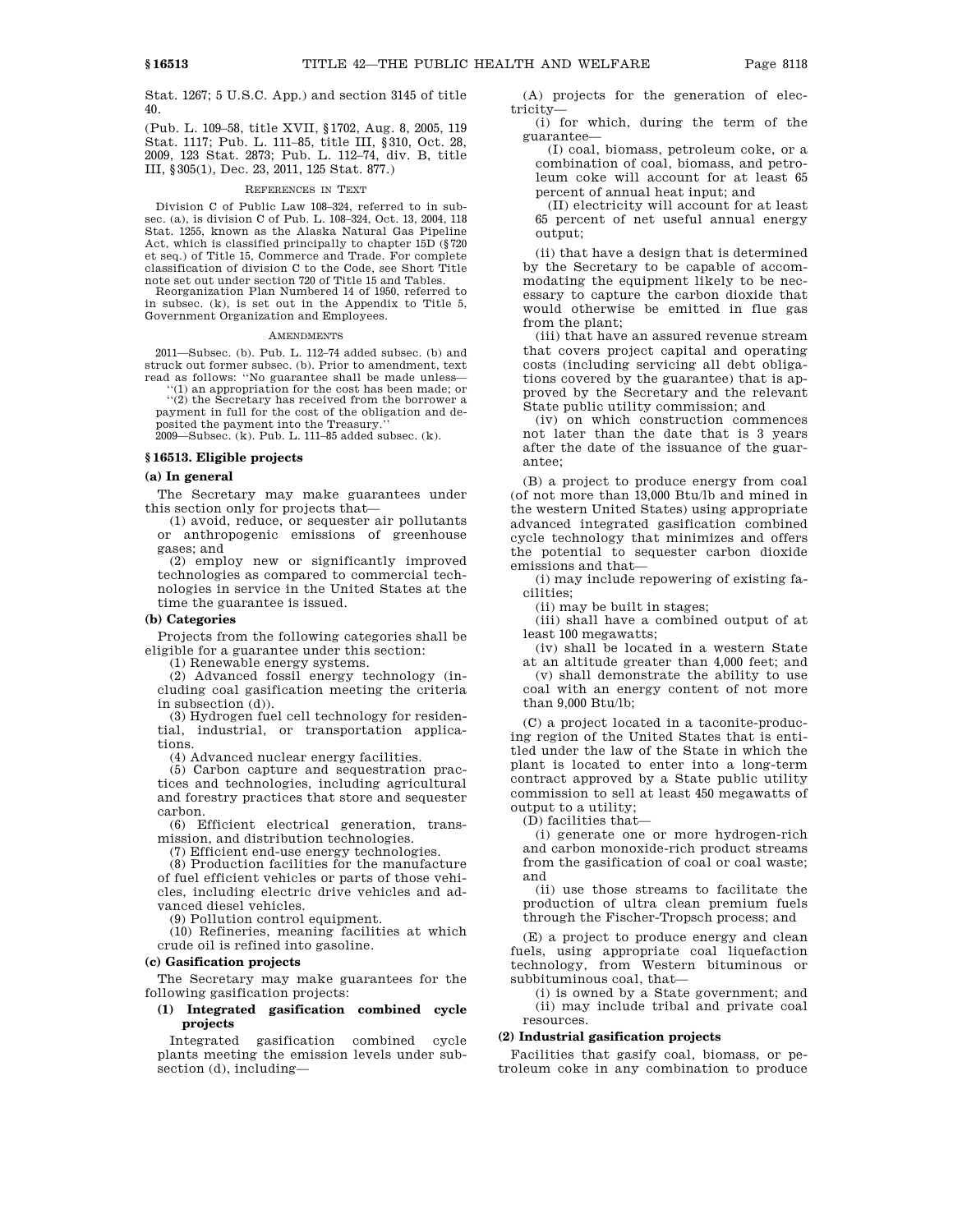Stat. 1267; 5 U.S.C. App.) and section 3145 of title 40.

(Pub. L. 109–58, title XVII, §1702, Aug. 8, 2005, 119 Stat. 1117; Pub. L. 111–85, title III, §310, Oct. 28, 2009, 123 Stat. 2873; Pub. L. 112–74, div. B, title III, §305(1), Dec. 23, 2011, 125 Stat. 877.)

#### REFERENCES IN TEXT

Division C of Public Law 108–324, referred to in subsec. (a), is division C of Pub. L. 108–324, Oct. 13, 2004, 118 Stat. 1255, known as the Alaska Natural Gas Pipeline Act, which is classified principally to chapter 15D (§720 et seq.) of Title 15, Commerce and Trade. For complete classification of division C to the Code, see Short Title note set out under section 720 of Title 15 and Tables.

Reorganization Plan Numbered 14 of 1950, referred to in subsec. (k), is set out in the Appendix to Title 5, Government Organization and Employees.

#### **AMENDMENTS**

2011—Subsec. (b). Pub. L. 112–74 added subsec. (b) and struck out former subsec. (b). Prior to amendment, text read as follows: ''No guarantee shall be made unless—

''(1) an appropriation for the cost has been made; or ''(2) the Secretary has received from the borrower a payment in full for the cost of the obligation and de-

posited the payment into the Treasury.'' 2009—Subsec. (k). Pub. L. 111–85 added subsec. (k).

#### **§ 16513. Eligible projects**

#### **(a) In general**

The Secretary may make guarantees under this section only for projects that—

(1) avoid, reduce, or sequester air pollutants or anthropogenic emissions of greenhouse gases; and

(2) employ new or significantly improved technologies as compared to commercial technologies in service in the United States at the time the guarantee is issued.

#### **(b) Categories**

Projects from the following categories shall be eligible for a guarantee under this section:

(1) Renewable energy systems.

(2) Advanced fossil energy technology (including coal gasification meeting the criteria in subsection (d)).

(3) Hydrogen fuel cell technology for residential, industrial, or transportation applications.

(4) Advanced nuclear energy facilities.

(5) Carbon capture and sequestration practices and technologies, including agricultural and forestry practices that store and sequester carbon.

(6) Efficient electrical generation, transmission, and distribution technologies.

(7) Efficient end-use energy technologies.

(8) Production facilities for the manufacture of fuel efficient vehicles or parts of those vehicles, including electric drive vehicles and advanced diesel vehicles.

(9) Pollution control equipment.

(10) Refineries, meaning facilities at which crude oil is refined into gasoline.

#### **(c) Gasification projects**

The Secretary may make guarantees for the following gasification projects:

# **(1) Integrated gasification combined cycle projects**

Integrated gasification combined cycle plants meeting the emission levels under subsection (d), including—

(A) projects for the generation of electricity—

(i) for which, during the term of the guarantee—

(I) coal, biomass, petroleum coke, or a combination of coal, biomass, and petroleum coke will account for at least 65 percent of annual heat input; and

(II) electricity will account for at least 65 percent of net useful annual energy output;

(ii) that have a design that is determined by the Secretary to be capable of accommodating the equipment likely to be necessary to capture the carbon dioxide that would otherwise be emitted in flue gas from the plant;

(iii) that have an assured revenue stream that covers project capital and operating costs (including servicing all debt obligations covered by the guarantee) that is approved by the Secretary and the relevant State public utility commission; and

(iv) on which construction commences not later than the date that is 3 years after the date of the issuance of the guarantee;

(B) a project to produce energy from coal (of not more than 13,000 Btu/lb and mined in the western United States) using appropriate advanced integrated gasification combined cycle technology that minimizes and offers the potential to sequester carbon dioxide emissions and that—

(i) may include repowering of existing facilities;

(ii) may be built in stages;

(iii) shall have a combined output of at least 100 megawatts;

(iv) shall be located in a western State at an altitude greater than 4,000 feet; and

(v) shall demonstrate the ability to use coal with an energy content of not more than 9,000 Btu/lb;

(C) a project located in a taconite-producing region of the United States that is entitled under the law of the State in which the plant is located to enter into a long-term contract approved by a State public utility commission to sell at least 450 megawatts of output to a utility;

(D) facilities that—

(i) generate one or more hydrogen-rich and carbon monoxide-rich product streams from the gasification of coal or coal waste; and

(ii) use those streams to facilitate the production of ultra clean premium fuels through the Fischer-Tropsch process; and

(E) a project to produce energy and clean fuels, using appropriate coal liquefaction technology, from Western bituminous or subbituminous coal, that—

(i) is owned by a State government; and (ii) may include tribal and private coal resources.

#### **(2) Industrial gasification projects**

Facilities that gasify coal, biomass, or petroleum coke in any combination to produce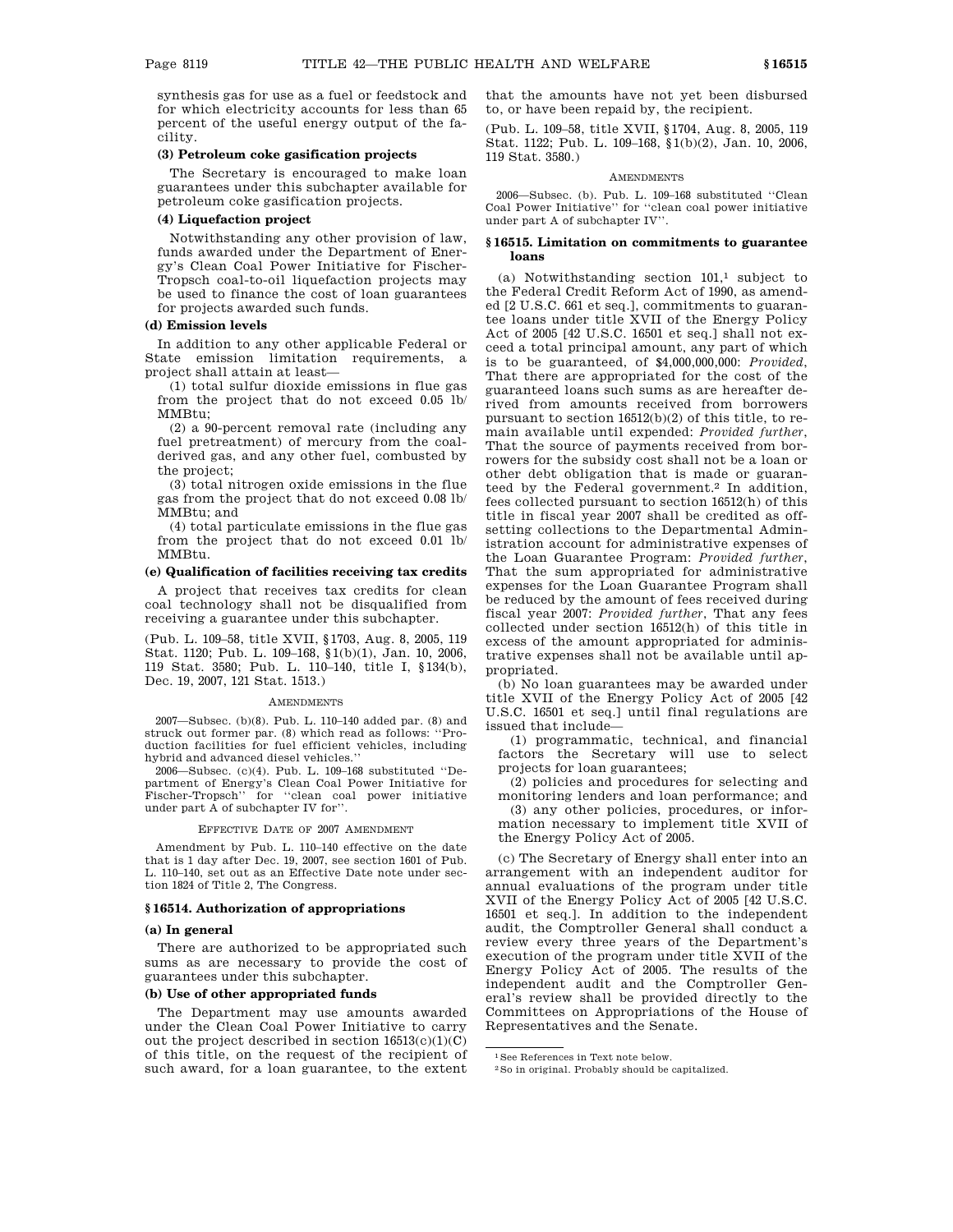synthesis gas for use as a fuel or feedstock and for which electricity accounts for less than 65 percent of the useful energy output of the facility.

# **(3) Petroleum coke gasification projects**

The Secretary is encouraged to make loan guarantees under this subchapter available for petroleum coke gasification projects.

#### **(4) Liquefaction project**

Notwithstanding any other provision of law, funds awarded under the Department of Energy's Clean Coal Power Initiative for Fischer-Tropsch coal-to-oil liquefaction projects may be used to finance the cost of loan guarantees for projects awarded such funds.

## **(d) Emission levels**

In addition to any other applicable Federal or State emission limitation requirements, a project shall attain at least—

(1) total sulfur dioxide emissions in flue gas from the project that do not exceed 0.05 lb/ MMBtu;

(2) a 90-percent removal rate (including any fuel pretreatment) of mercury from the coalderived gas, and any other fuel, combusted by the project;

(3) total nitrogen oxide emissions in the flue gas from the project that do not exceed 0.08 lb/ MMBtu; and

(4) total particulate emissions in the flue gas from the project that do not exceed 0.01 lb/ MMBtu.

# **(e) Qualification of facilities receiving tax credits**

A project that receives tax credits for clean coal technology shall not be disqualified from receiving a guarantee under this subchapter.

(Pub. L. 109–58, title XVII, §1703, Aug. 8, 2005, 119 Stat. 1120; Pub. L. 109–168, §1(b)(1), Jan. 10, 2006, 119 Stat. 3580; Pub. L. 110–140, title I, §134(b), Dec. 19, 2007, 121 Stat. 1513.)

#### **AMENDMENTS**

2007—Subsec. (b)(8). Pub. L. 110–140 added par. (8) and struck out former par. (8) which read as follows: ''Production facilities for fuel efficient vehicles, including hybrid and advanced diesel vehicles.''

2006—Subsec. (c)(4). Pub. L. 109–168 substituted ''Department of Energy's Clean Coal Power Initiative for Fischer-Tropsch'' for ''clean coal power initiative under part A of subchapter IV for''.

EFFECTIVE DATE OF 2007 AMENDMENT

Amendment by Pub. L. 110–140 effective on the date that is 1 day after Dec. 19, 2007, see section 1601 of Pub. L. 110–140, set out as an Effective Date note under section 1824 of Title 2, The Congress.

#### **§ 16514. Authorization of appropriations**

#### **(a) In general**

There are authorized to be appropriated such sums as are necessary to provide the cost of guarantees under this subchapter.

#### **(b) Use of other appropriated funds**

The Department may use amounts awarded under the Clean Coal Power Initiative to carry out the project described in section  $16513(c)(1)(C)$ of this title, on the request of the recipient of such award, for a loan guarantee, to the extent that the amounts have not yet been disbursed to, or have been repaid by, the recipient.

(Pub. L. 109–58, title XVII, §1704, Aug. 8, 2005, 119 Stat. 1122; Pub. L. 109–168, §1(b)(2), Jan. 10, 2006, 119 Stat. 3580.)

#### AMENDMENTS

2006—Subsec. (b). Pub. L. 109–168 substituted ''Clean Coal Power Initiative'' for ''clean coal power initiative under part A of subchapter IV''.

#### **§ 16515. Limitation on commitments to guarantee loans**

(a) Notwithstanding section  $101<sup>1</sup>$  subject to the Federal Credit Reform Act of 1990, as amended [2 U.S.C. 661 et seq.], commitments to guarantee loans under title XVII of the Energy Policy Act of 2005 [42 U.S.C. 16501 et seq.] shall not exceed a total principal amount, any part of which is to be guaranteed, of \$4,000,000,000: *Provided*, That there are appropriated for the cost of the guaranteed loans such sums as are hereafter derived from amounts received from borrowers pursuant to section 16512(b)(2) of this title, to remain available until expended: *Provided further*, That the source of payments received from borrowers for the subsidy cost shall not be a loan or other debt obligation that is made or guaranteed by the Federal government.2 In addition, fees collected pursuant to section 16512(h) of this title in fiscal year 2007 shall be credited as offsetting collections to the Departmental Administration account for administrative expenses of the Loan Guarantee Program: *Provided further*, That the sum appropriated for administrative expenses for the Loan Guarantee Program shall be reduced by the amount of fees received during fiscal year 2007: *Provided further*, That any fees collected under section 16512(h) of this title in excess of the amount appropriated for administrative expenses shall not be available until appropriated.

(b) No loan guarantees may be awarded under title XVII of the Energy Policy Act of 2005 [42 U.S.C. 16501 et seq.] until final regulations are issued that include—

(1) programmatic, technical, and financial factors the Secretary will use to select projects for loan guarantees;

(2) policies and procedures for selecting and monitoring lenders and loan performance; and

(3) any other policies, procedures, or information necessary to implement title XVII of the Energy Policy Act of 2005.

(c) The Secretary of Energy shall enter into an arrangement with an independent auditor for annual evaluations of the program under title XVII of the Energy Policy Act of 2005 [42 U.S.C. 16501 et seq.]. In addition to the independent audit, the Comptroller General shall conduct a review every three years of the Department's execution of the program under title XVII of the Energy Policy Act of 2005. The results of the independent audit and the Comptroller General's review shall be provided directly to the Committees on Appropriations of the House of Representatives and the Senate.

<sup>1</sup>See References in Text note below.

<sup>2</sup>So in original. Probably should be capitalized.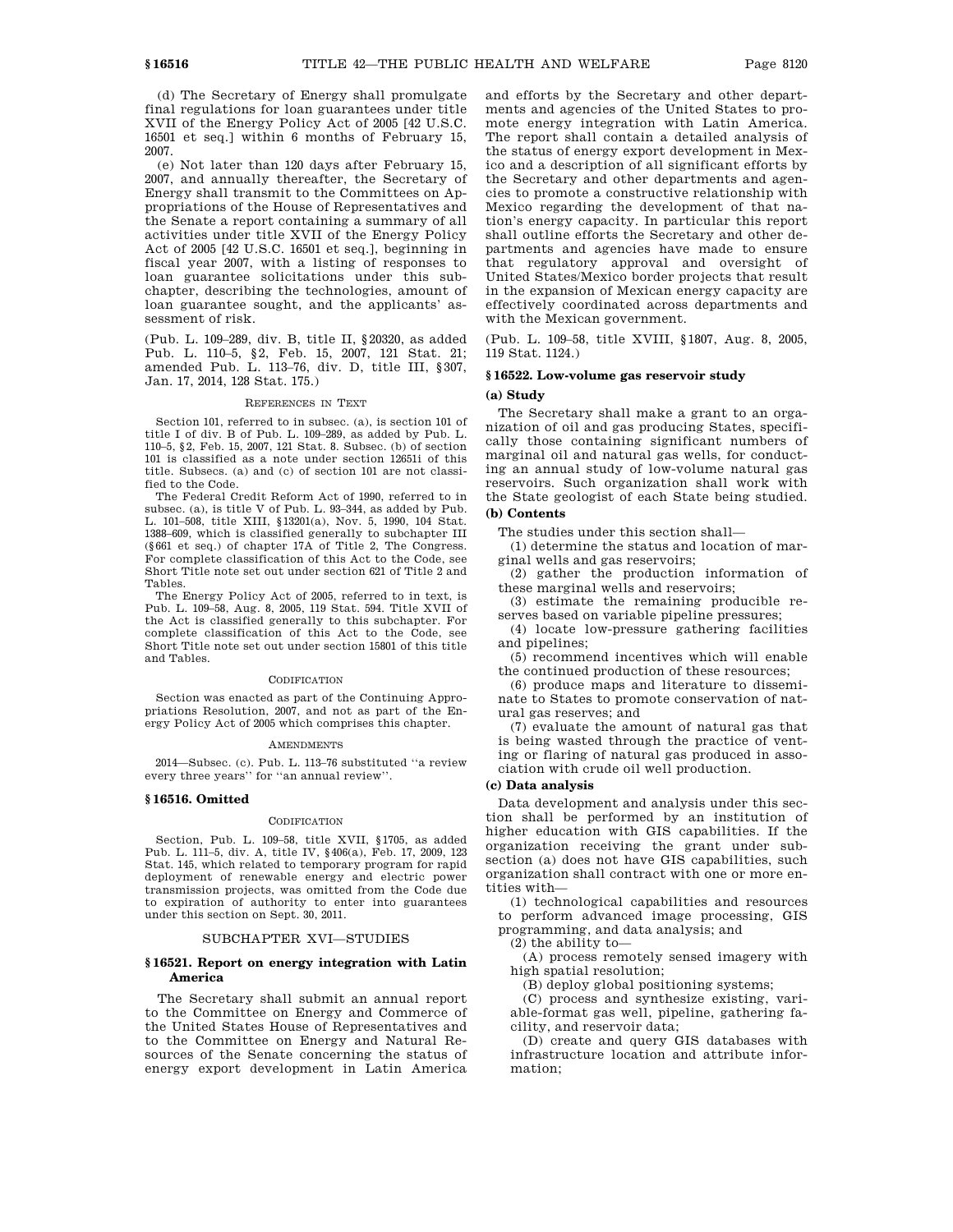(d) The Secretary of Energy shall promulgate final regulations for loan guarantees under title XVII of the Energy Policy Act of 2005 [42 U.S.C. 16501 et seq.] within 6 months of February 15, 2007.

(e) Not later than 120 days after February 15, 2007, and annually thereafter, the Secretary of Energy shall transmit to the Committees on Appropriations of the House of Representatives and the Senate a report containing a summary of all activities under title XVII of the Energy Policy Act of 2005 [42 U.S.C. 16501 et seq.], beginning in fiscal year 2007, with a listing of responses to loan guarantee solicitations under this subchapter, describing the technologies, amount of loan guarantee sought, and the applicants' assessment of risk.

(Pub. L. 109–289, div. B, title II, §20320, as added Pub. L. 110–5, §2, Feb. 15, 2007, 121 Stat. 21; amended Pub. L. 113–76, div. D, title III, §307, Jan. 17, 2014, 128 Stat. 175.)

## REFERENCES IN TEXT

Section 101, referred to in subsec. (a), is section 101 of title I of div. B of Pub. L. 109–289, as added by Pub. L. 110–5, §2, Feb. 15, 2007, 121 Stat. 8. Subsec. (b) of section 101 is classified as a note under section 12651i of this title. Subsecs. (a) and (c) of section 101 are not classified to the Code.

The Federal Credit Reform Act of 1990, referred to in subsec. (a), is title V of Pub. L. 93–344, as added by Pub. L. 101–508, title XIII, §13201(a), Nov. 5, 1990, 104 Stat. 1388–609, which is classified generally to subchapter III (§661 et seq.) of chapter 17A of Title 2, The Congress. For complete classification of this Act to the Code, see Short Title note set out under section 621 of Title 2 and Tables.

The Energy Policy Act of 2005, referred to in text, is Pub. L. 109–58, Aug. 8, 2005, 119 Stat. 594. Title XVII of the Act is classified generally to this subchapter. For complete classification of this Act to the Code, see Short Title note set out under section 15801 of this title and Tables.

#### CODIFICATION

Section was enacted as part of the Continuing Appropriations Resolution, 2007, and not as part of the Energy Policy Act of 2005 which comprises this chapter.

#### **AMENDMENTS**

2014—Subsec. (c). Pub. L. 113–76 substituted ''a review every three years'' for ''an annual review''.

#### **§ 16516. Omitted**

#### **CODIFICATION**

Section, Pub. L. 109–58, title XVII, §1705, as added Pub. L. 111–5, div. A, title IV, §406(a), Feb. 17, 2009, 123 Stat. 145, which related to temporary program for rapid deployment of renewable energy and electric power transmission projects, was omitted from the Code due to expiration of authority to enter into guarantees under this section on Sept. 30, 2011.

#### SUBCHAPTER XVI—STUDIES

#### **§ 16521. Report on energy integration with Latin America**

The Secretary shall submit an annual report to the Committee on Energy and Commerce of the United States House of Representatives and to the Committee on Energy and Natural Resources of the Senate concerning the status of energy export development in Latin America and efforts by the Secretary and other departments and agencies of the United States to promote energy integration with Latin America. The report shall contain a detailed analysis of the status of energy export development in Mexico and a description of all significant efforts by the Secretary and other departments and agencies to promote a constructive relationship with Mexico regarding the development of that nation's energy capacity. In particular this report shall outline efforts the Secretary and other departments and agencies have made to ensure that regulatory approval and oversight of United States/Mexico border projects that result in the expansion of Mexican energy capacity are effectively coordinated across departments and with the Mexican government.

(Pub. L. 109–58, title XVIII, §1807, Aug. 8, 2005, 119 Stat. 1124.)

#### **§ 16522. Low-volume gas reservoir study**

# **(a) Study**

The Secretary shall make a grant to an organization of oil and gas producing States, specifically those containing significant numbers of marginal oil and natural gas wells, for conducting an annual study of low-volume natural gas reservoirs. Such organization shall work with the State geologist of each State being studied. **(b) Contents**

The studies under this section shall—

(1) determine the status and location of marginal wells and gas reservoirs;

(2) gather the production information of these marginal wells and reservoirs;

(3) estimate the remaining producible reserves based on variable pipeline pressures;

(4) locate low-pressure gathering facilities and pipelines;

(5) recommend incentives which will enable the continued production of these resources;

(6) produce maps and literature to disseminate to States to promote conservation of natural gas reserves; and

(7) evaluate the amount of natural gas that is being wasted through the practice of venting or flaring of natural gas produced in association with crude oil well production.

#### **(c) Data analysis**

Data development and analysis under this section shall be performed by an institution of higher education with GIS capabilities. If the organization receiving the grant under subsection (a) does not have GIS capabilities, such organization shall contract with one or more entities with—

(1) technological capabilities and resources to perform advanced image processing, GIS programming, and data analysis; and

(2) the ability to—

(A) process remotely sensed imagery with high spatial resolution;

(B) deploy global positioning systems;

(C) process and synthesize existing, variable-format gas well, pipeline, gathering facility, and reservoir data;

(D) create and query GIS databases with infrastructure location and attribute information;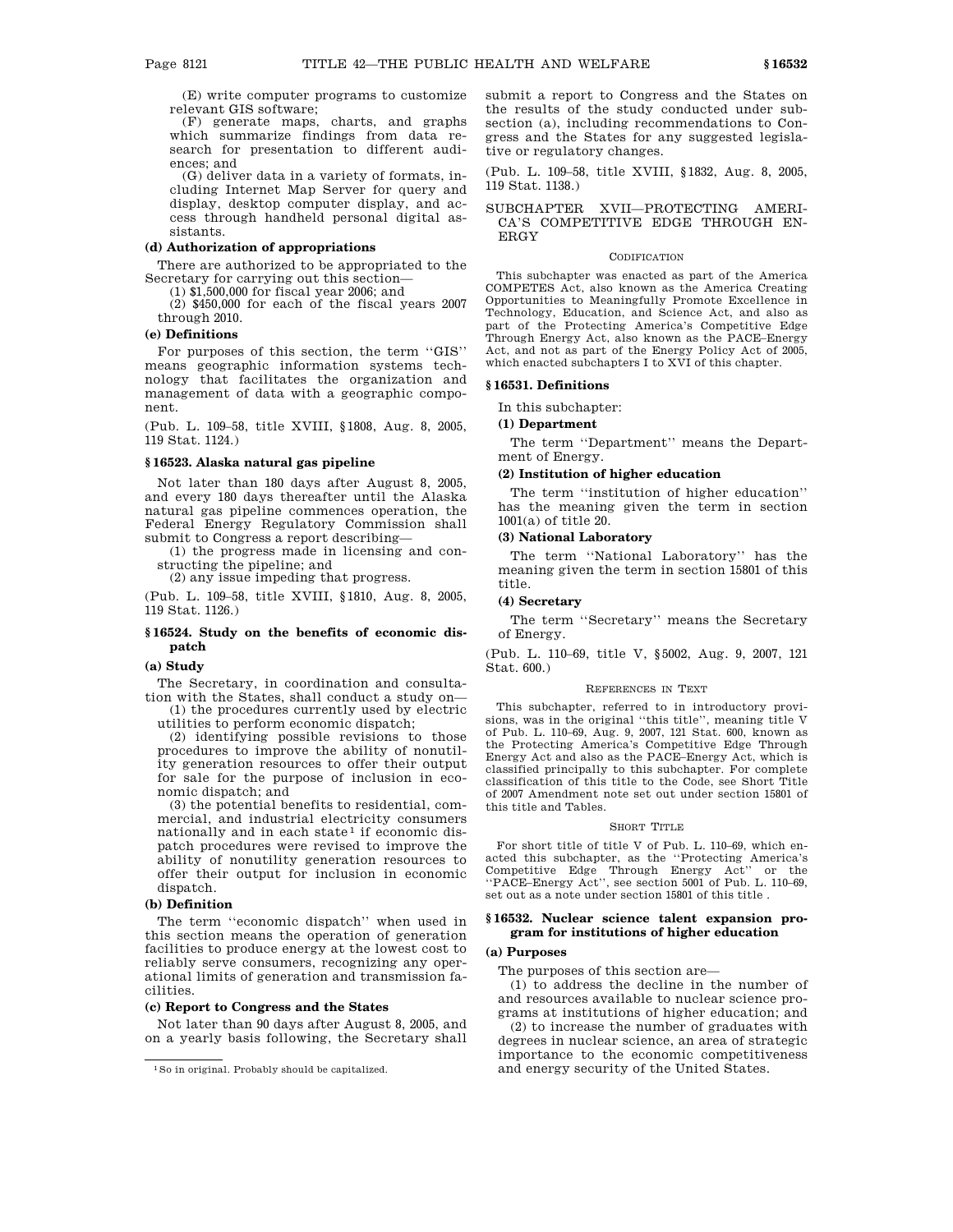(E) write computer programs to customize relevant GIS software;

(F) generate maps, charts, and graphs which summarize findings from data research for presentation to different audiences; and

(G) deliver data in a variety of formats, including Internet Map Server for query and display, desktop computer display, and access through handheld personal digital assistants.

# **(d) Authorization of appropriations**

There are authorized to be appropriated to the Secretary for carrying out this section—

(1) \$1,500,000 for fiscal year 2006; and

(2) \$450,000 for each of the fiscal years 2007 through 2010.

# **(e) Definitions**

For purposes of this section, the term ''GIS'' means geographic information systems technology that facilitates the organization and management of data with a geographic component.

(Pub. L. 109–58, title XVIII, §1808, Aug. 8, 2005, 119 Stat. 1124.)

#### **§ 16523. Alaska natural gas pipeline**

Not later than 180 days after August 8, 2005, and every 180 days thereafter until the Alaska natural gas pipeline commences operation, the Federal Energy Regulatory Commission shall submit to Congress a report describing—

(1) the progress made in licensing and constructing the pipeline; and

(2) any issue impeding that progress.

(Pub. L. 109–58, title XVIII, §1810, Aug. 8, 2005, 119 Stat. 1126.)

# **§ 16524. Study on the benefits of economic dispatch**

#### **(a) Study**

The Secretary, in coordination and consultation with the States, shall conduct a study on—

(1) the procedures currently used by electric utilities to perform economic dispatch;

(2) identifying possible revisions to those procedures to improve the ability of nonutility generation resources to offer their output for sale for the purpose of inclusion in economic dispatch; and

(3) the potential benefits to residential, commercial, and industrial electricity consumers nationally and in each state<sup> $1$ </sup> if economic dispatch procedures were revised to improve the ability of nonutility generation resources to offer their output for inclusion in economic dispatch.

#### **(b) Definition**

The term ''economic dispatch'' when used in this section means the operation of generation facilities to produce energy at the lowest cost to reliably serve consumers, recognizing any operational limits of generation and transmission facilities.

#### **(c) Report to Congress and the States**

Not later than 90 days after August 8, 2005, and on a yearly basis following, the Secretary shall submit a report to Congress and the States on the results of the study conducted under subsection (a), including recommendations to Congress and the States for any suggested legislative or regulatory changes.

(Pub. L. 109–58, title XVIII, §1832, Aug. 8, 2005, 119 Stat. 1138.)

# SUBCHAPTER XVII—PROTECTING AMERI-CA'S COMPETITIVE EDGE THROUGH EN-ERGY

#### CODIFICATION

This subchapter was enacted as part of the America COMPETES Act, also known as the America Creating Opportunities to Meaningfully Promote Excellence in Technology, Education, and Science Act, and also as part of the Protecting America's Competitive Edge Through Energy Act, also known as the PACE–Energy Act, and not as part of the Energy Policy Act of 2005, which enacted subchapters I to XVI of this chapter.

# **§ 16531. Definitions**

In this subchapter:

#### **(1) Department**

The term ''Department'' means the Department of Energy.

#### **(2) Institution of higher education**

The term ''institution of higher education'' has the meaning given the term in section 1001(a) of title 20.

# **(3) National Laboratory**

The term ''National Laboratory'' has the meaning given the term in section 15801 of this title.

# **(4) Secretary**

The term ''Secretary'' means the Secretary of Energy.

(Pub. L. 110–69, title V, §5002, Aug. 9, 2007, 121 Stat. 600.)

#### REFERENCES IN TEXT

This subchapter, referred to in introductory provisions, was in the original ''this title'', meaning title V of Pub. L. 110–69, Aug. 9, 2007, 121 Stat. 600, known as the Protecting America's Competitive Edge Through Energy Act and also as the PACE–Energy Act, which is classified principally to this subchapter. For complete classification of this title to the Code, see Short Title of 2007 Amendment note set out under section 15801 of this title and Tables.

#### SHORT TITLE

For short title of title V of Pub. L. 110–69, which enacted this subchapter, as the ''Protecting America's Competitive Edge Through Energy Act'' or the ''PACE–Energy Act'', see section 5001 of Pub. L. 110–69, set out as a note under section 15801 of this title .

#### **§ 16532. Nuclear science talent expansion program for institutions of higher education**

# **(a) Purposes**

The purposes of this section are—

(1) to address the decline in the number of and resources available to nuclear science programs at institutions of higher education; and

(2) to increase the number of graduates with degrees in nuclear science, an area of strategic importance to the economic competitiveness and energy security of the United States.

<sup>1</sup>So in original. Probably should be capitalized.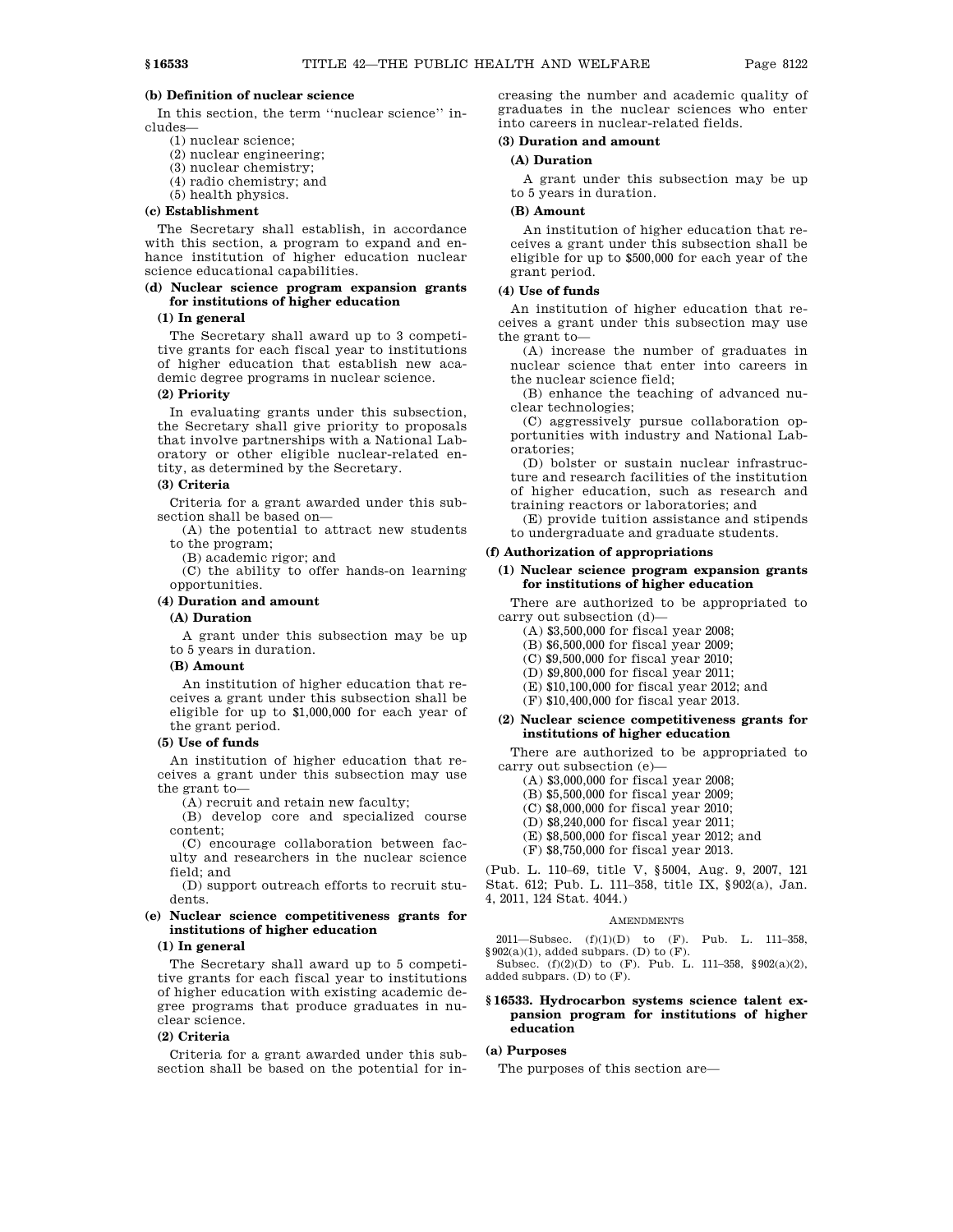## **(b) Definition of nuclear science**

In this section, the term ''nuclear science'' includes—

- (1) nuclear science;
- (2) nuclear engineering;
- (3) nuclear chemistry; (4) radio chemistry; and
- 
- (5) health physics.

# **(c) Establishment**

The Secretary shall establish, in accordance with this section, a program to expand and enhance institution of higher education nuclear science educational capabilities.

# **(d) Nuclear science program expansion grants for institutions of higher education**

#### **(1) In general**

The Secretary shall award up to 3 competitive grants for each fiscal year to institutions of higher education that establish new academic degree programs in nuclear science.

# **(2) Priority**

In evaluating grants under this subsection, the Secretary shall give priority to proposals that involve partnerships with a National Laboratory or other eligible nuclear-related entity, as determined by the Secretary.

# **(3) Criteria**

Criteria for a grant awarded under this subsection shall be based on—

(A) the potential to attract new students to the program;

(B) academic rigor; and

(C) the ability to offer hands-on learning opportunities.

# **(4) Duration and amount**

# **(A) Duration**

A grant under this subsection may be up to 5 years in duration.

#### **(B) Amount**

An institution of higher education that receives a grant under this subsection shall be eligible for up to \$1,000,000 for each year of the grant period.

#### **(5) Use of funds**

An institution of higher education that receives a grant under this subsection may use the grant to—

(A) recruit and retain new faculty;

(B) develop core and specialized course content;

(C) encourage collaboration between faculty and researchers in the nuclear science field; and

(D) support outreach efforts to recruit students.

# **(e) Nuclear science competitiveness grants for institutions of higher education**

# **(1) In general**

The Secretary shall award up to 5 competitive grants for each fiscal year to institutions of higher education with existing academic degree programs that produce graduates in nuclear science.

# **(2) Criteria**

Criteria for a grant awarded under this subsection shall be based on the potential for increasing the number and academic quality of graduates in the nuclear sciences who enter into careers in nuclear-related fields.

#### **(3) Duration and amount**

# **(A) Duration**

A grant under this subsection may be up to 5 years in duration.

#### **(B) Amount**

An institution of higher education that receives a grant under this subsection shall be eligible for up to \$500,000 for each year of the grant period.

# **(4) Use of funds**

An institution of higher education that receives a grant under this subsection may use the grant to—

(A) increase the number of graduates in nuclear science that enter into careers in the nuclear science field;

(B) enhance the teaching of advanced nuclear technologies;

(C) aggressively pursue collaboration opportunities with industry and National Laboratories;

(D) bolster or sustain nuclear infrastructure and research facilities of the institution of higher education, such as research and training reactors or laboratories; and

(E) provide tuition assistance and stipends to undergraduate and graduate students.

#### **(f) Authorization of appropriations**

# **(1) Nuclear science program expansion grants for institutions of higher education**

There are authorized to be appropriated to carry out subsection (d)—

- (A) \$3,500,000 for fiscal year 2008;
- (B) \$6,500,000 for fiscal year 2009;
- (C) \$9,500,000 for fiscal year 2010;
- (D) \$9,800,000 for fiscal year 2011;
- (E) \$10,100,000 for fiscal year 2012; and
- (F) \$10,400,000 for fiscal year 2013.

# **(2) Nuclear science competitiveness grants for institutions of higher education**

There are authorized to be appropriated to carry out subsection (e)—

(A) \$3,000,000 for fiscal year 2008;

- (B) \$5,500,000 for fiscal year 2009;
- (C) \$8,000,000 for fiscal year 2010;
- (D) \$8,240,000 for fiscal year 2011;
- (E) \$8,500,000 for fiscal year 2012; and
- (F) \$8,750,000 for fiscal year 2013.

(Pub. L. 110–69, title V, §5004, Aug. 9, 2007, 121 Stat. 612; Pub. L. 111–358, title IX, §902(a), Jan. 4, 2011, 124 Stat. 4044.)

# AMENDMENTS

2011—Subsec. (f)(1)(D) to (F). Pub. L. 111–358,  $§ 902(a)(1)$ , added subpars. (D) to (F).

Subsec. (f)(2)(D) to (F). Pub. L. 111–358, §902(a)(2), added subpars. (D) to (F).

# **§ 16533. Hydrocarbon systems science talent expansion program for institutions of higher education**

# **(a) Purposes**

The purposes of this section are—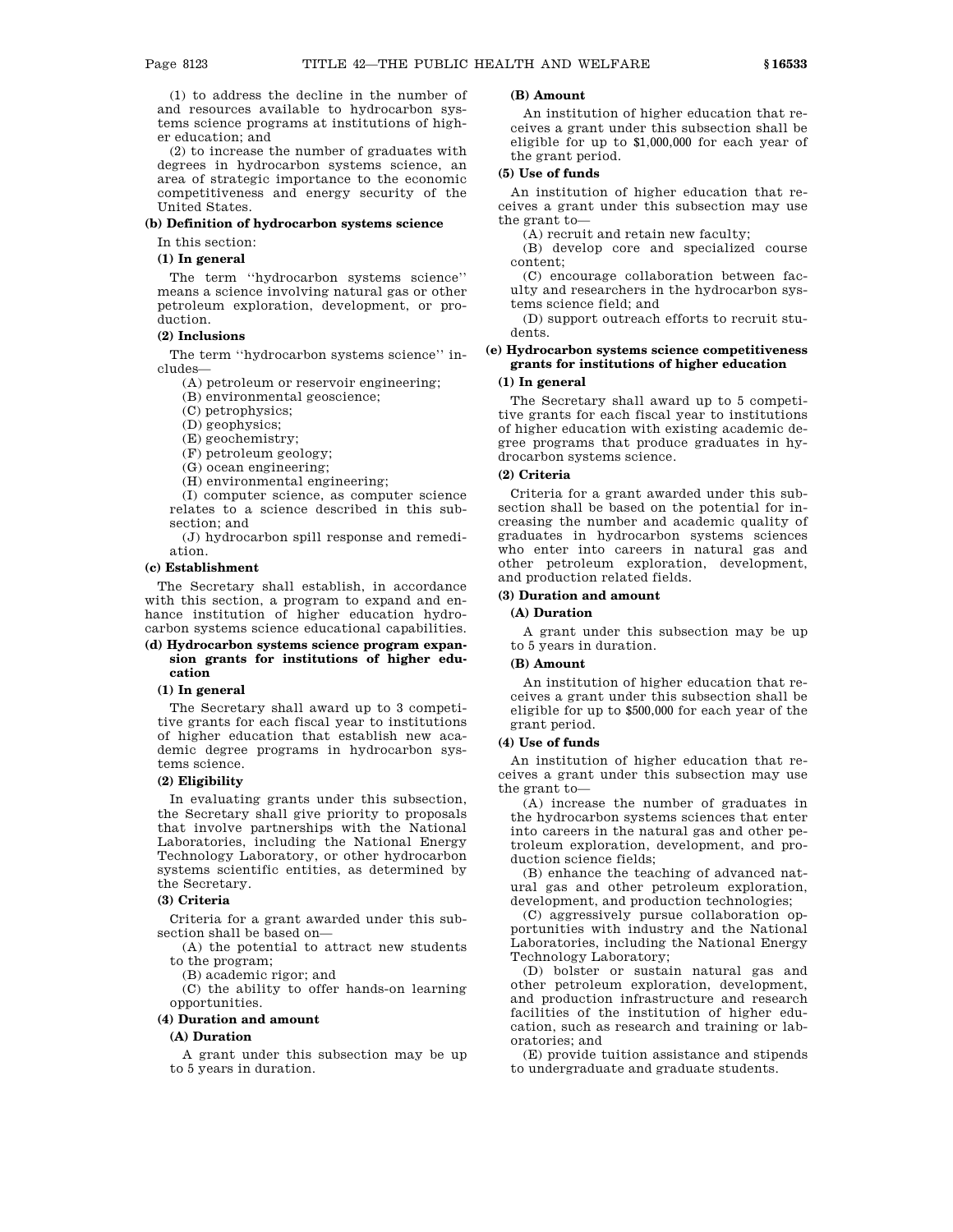(1) to address the decline in the number of and resources available to hydrocarbon systems science programs at institutions of higher education; and

(2) to increase the number of graduates with degrees in hydrocarbon systems science, an area of strategic importance to the economic competitiveness and energy security of the United States.

#### **(b) Definition of hydrocarbon systems science**

In this section:

# **(1) In general**

The term ''hydrocarbon systems science'' means a science involving natural gas or other petroleum exploration, development, or production.

#### **(2) Inclusions**

The term ''hydrocarbon systems science'' includes—

(A) petroleum or reservoir engineering;

(B) environmental geoscience;

(C) petrophysics;

(D) geophysics;

(E) geochemistry;

(F) petroleum geology;

(G) ocean engineering;

(H) environmental engineering;

(I) computer science, as computer science relates to a science described in this subsection; and

(J) hydrocarbon spill response and remediation.

# **(c) Establishment**

The Secretary shall establish, in accordance with this section, a program to expand and enhance institution of higher education hydrocarbon systems science educational capabilities.

## **(d) Hydrocarbon systems science program expansion grants for institutions of higher education**

# **(1) In general**

The Secretary shall award up to 3 competitive grants for each fiscal year to institutions of higher education that establish new academic degree programs in hydrocarbon systems science.

# **(2) Eligibility**

In evaluating grants under this subsection, the Secretary shall give priority to proposals that involve partnerships with the National Laboratories, including the National Energy Technology Laboratory, or other hydrocarbon systems scientific entities, as determined by the Secretary.

# **(3) Criteria**

Criteria for a grant awarded under this subsection shall be based on—

(A) the potential to attract new students to the program;

(B) academic rigor; and

(C) the ability to offer hands-on learning opportunities.

# **(4) Duration and amount**

# **(A) Duration**

A grant under this subsection may be up to 5 years in duration.

# **(B) Amount**

An institution of higher education that receives a grant under this subsection shall be eligible for up to \$1,000,000 for each year of the grant period.

# **(5) Use of funds**

An institution of higher education that receives a grant under this subsection may use the grant to—

(A) recruit and retain new faculty;

(B) develop core and specialized course content;

(C) encourage collaboration between faculty and researchers in the hydrocarbon systems science field; and

(D) support outreach efforts to recruit students.

# **(e) Hydrocarbon systems science competitiveness grants for institutions of higher education**

# **(1) In general**

The Secretary shall award up to 5 competitive grants for each fiscal year to institutions of higher education with existing academic degree programs that produce graduates in hydrocarbon systems science.

#### **(2) Criteria**

Criteria for a grant awarded under this subsection shall be based on the potential for increasing the number and academic quality of graduates in hydrocarbon systems sciences who enter into careers in natural gas and other petroleum exploration, development, and production related fields.

## **(3) Duration and amount**

# **(A) Duration**

A grant under this subsection may be up to 5 years in duration.

#### **(B) Amount**

An institution of higher education that receives a grant under this subsection shall be eligible for up to \$500,000 for each year of the grant period.

# **(4) Use of funds**

An institution of higher education that receives a grant under this subsection may use the grant to—

(A) increase the number of graduates in the hydrocarbon systems sciences that enter into careers in the natural gas and other petroleum exploration, development, and production science fields;

(B) enhance the teaching of advanced natural gas and other petroleum exploration, development, and production technologies;

(C) aggressively pursue collaboration opportunities with industry and the National Laboratories, including the National Energy Technology Laboratory;

(D) bolster or sustain natural gas and other petroleum exploration, development, and production infrastructure and research facilities of the institution of higher education, such as research and training or laboratories; and

(E) provide tuition assistance and stipends to undergraduate and graduate students.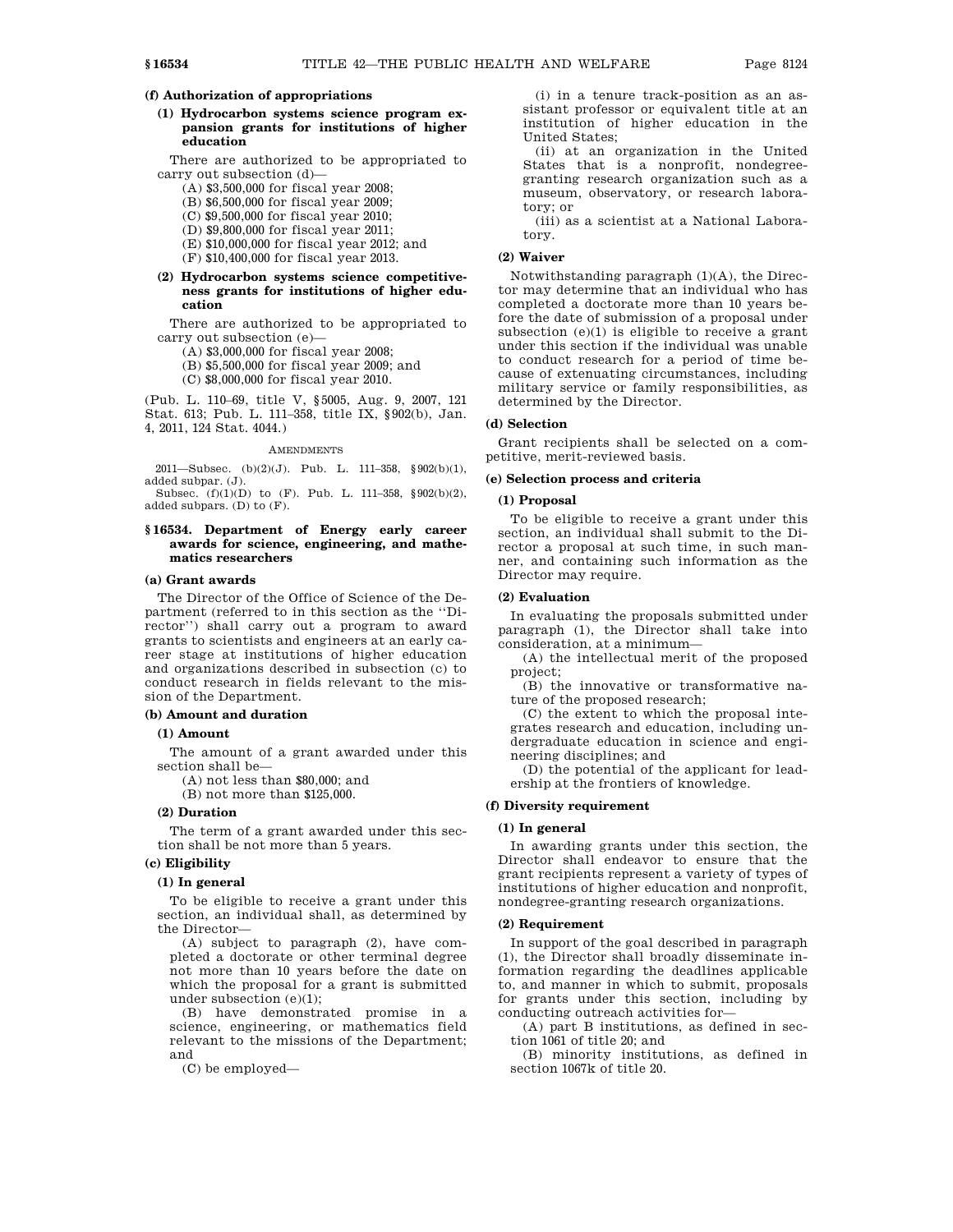# **(f) Authorization of appropriations**

**(1) Hydrocarbon systems science program expansion grants for institutions of higher education**

There are authorized to be appropriated to carry out subsection (d)—

(A) \$3,500,000 for fiscal year 2008;

(B) \$6,500,000 for fiscal year 2009;

(C) \$9,500,000 for fiscal year 2010;

(D) \$9,800,000 for fiscal year 2011;

(E) \$10,000,000 for fiscal year 2012; and

(F) \$10,400,000 for fiscal year 2013.

# **(2) Hydrocarbon systems science competitiveness grants for institutions of higher education**

There are authorized to be appropriated to carry out subsection (e)—

(A) \$3,000,000 for fiscal year 2008;

(B) \$5,500,000 for fiscal year 2009; and

(C) \$8,000,000 for fiscal year 2010.

(Pub. L. 110–69, title V, §5005, Aug. 9, 2007, 121 Stat. 613; Pub. L. 111–358, title IX, §902(b), Jan. 4, 2011, 124 Stat. 4044.)

#### AMENDMENTS

2011—Subsec. (b)(2)(J). Pub. L. 111-358,  $§ 902(b)(1)$ , added subpar. (J).

Subsec. (f)(1)(D) to (F). Pub. L. 111–358, §902(b)(2), added subpars. (D) to (F).

# **§ 16534. Department of Energy early career awards for science, engineering, and mathematics researchers**

# **(a) Grant awards**

The Director of the Office of Science of the Department (referred to in this section as the ''Director'') shall carry out a program to award grants to scientists and engineers at an early career stage at institutions of higher education and organizations described in subsection (c) to conduct research in fields relevant to the mission of the Department.

#### **(b) Amount and duration**

**(1) Amount**

The amount of a grant awarded under this section shall be—

(A) not less than \$80,000; and

(B) not more than \$125,000.

#### **(2) Duration**

The term of a grant awarded under this section shall be not more than 5 years.

# **(c) Eligibility**

#### **(1) In general**

To be eligible to receive a grant under this section, an individual shall, as determined by the Director—

(A) subject to paragraph (2), have completed a doctorate or other terminal degree not more than 10 years before the date on which the proposal for a grant is submitted under subsection (e)(1);

(B) have demonstrated promise in a science, engineering, or mathematics field relevant to the missions of the Department; and

(C) be employed—

(i) in a tenure track-position as an assistant professor or equivalent title at an institution of higher education in the United States;

(ii) at an organization in the United States that is a nonprofit, nondegreegranting research organization such as a museum, observatory, or research laboratory; or

(iii) as a scientist at a National Laboratory.

# **(2) Waiver**

Notwithstanding paragraph (1)(A), the Director may determine that an individual who has completed a doctorate more than 10 years before the date of submission of a proposal under subsection  $(e)(1)$  is eligible to receive a grant under this section if the individual was unable to conduct research for a period of time because of extenuating circumstances, including military service or family responsibilities, as determined by the Director.

#### **(d) Selection**

Grant recipients shall be selected on a competitive, merit-reviewed basis.

#### **(e) Selection process and criteria**

#### **(1) Proposal**

To be eligible to receive a grant under this section, an individual shall submit to the Director a proposal at such time, in such manner, and containing such information as the Director may require.

#### **(2) Evaluation**

In evaluating the proposals submitted under paragraph (1), the Director shall take into consideration, at a minimum—

(A) the intellectual merit of the proposed project;

(B) the innovative or transformative nature of the proposed research;

(C) the extent to which the proposal integrates research and education, including undergraduate education in science and engineering disciplines; and

(D) the potential of the applicant for leadership at the frontiers of knowledge.

# **(f) Diversity requirement**

## **(1) In general**

In awarding grants under this section, the Director shall endeavor to ensure that the grant recipients represent a variety of types of institutions of higher education and nonprofit, nondegree-granting research organizations.

## **(2) Requirement**

In support of the goal described in paragraph (1), the Director shall broadly disseminate information regarding the deadlines applicable to, and manner in which to submit, proposals for grants under this section, including by conducting outreach activities for—

(A) part B institutions, as defined in section 1061 of title 20; and

(B) minority institutions, as defined in section 1067k of title 20.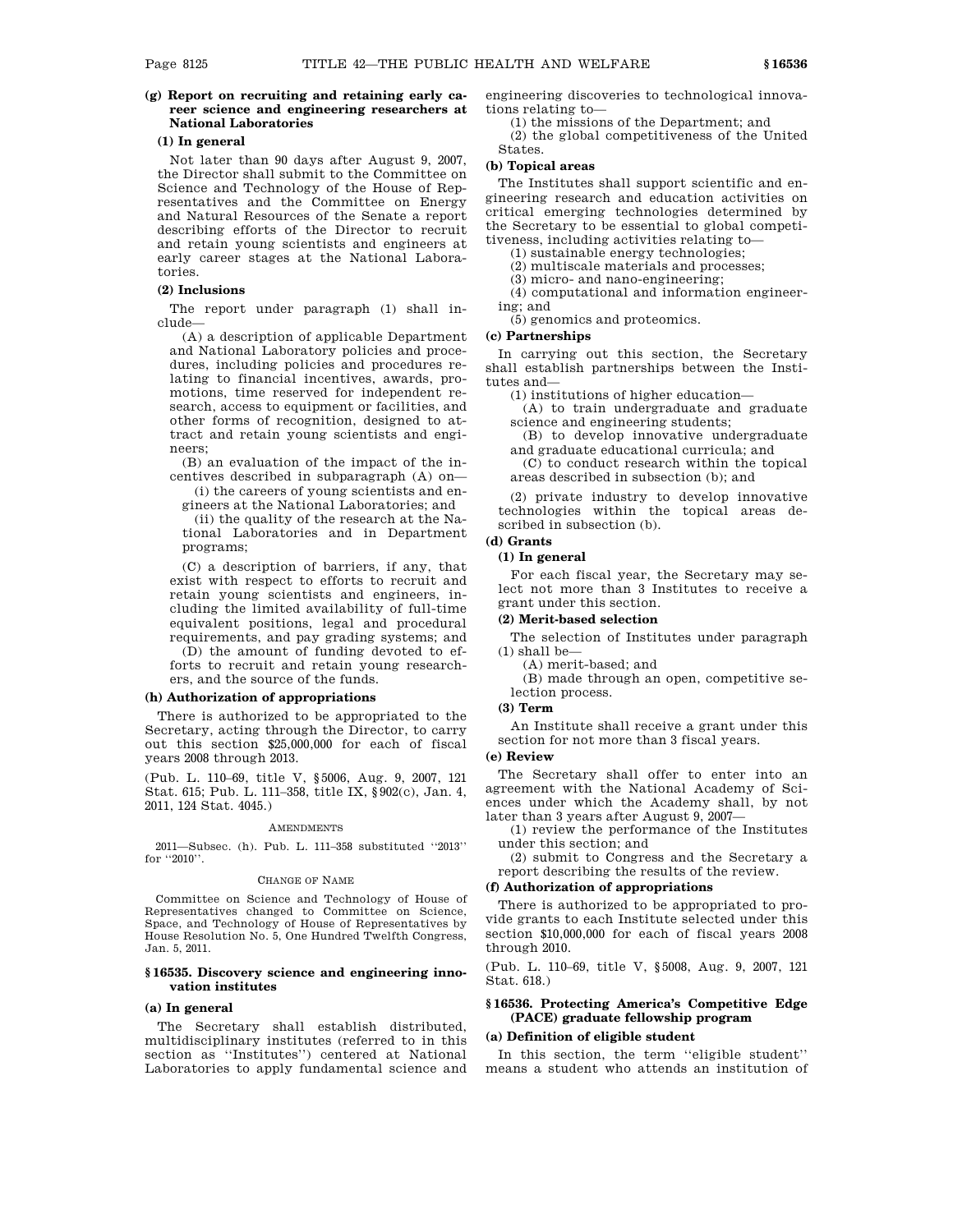# **(g) Report on recruiting and retaining early career science and engineering researchers at National Laboratories**

# **(1) In general**

Not later than 90 days after August 9, 2007, the Director shall submit to the Committee on Science and Technology of the House of Representatives and the Committee on Energy and Natural Resources of the Senate a report describing efforts of the Director to recruit and retain young scientists and engineers at early career stages at the National Laboratories.

# **(2) Inclusions**

The report under paragraph (1) shall include—

(A) a description of applicable Department and National Laboratory policies and procedures, including policies and procedures relating to financial incentives, awards, promotions, time reserved for independent research, access to equipment or facilities, and other forms of recognition, designed to attract and retain young scientists and engineers;

(B) an evaluation of the impact of the incentives described in subparagraph (A) on—

(i) the careers of young scientists and engineers at the National Laboratories; and

(ii) the quality of the research at the National Laboratories and in Department programs;

(C) a description of barriers, if any, that exist with respect to efforts to recruit and retain young scientists and engineers, including the limited availability of full-time equivalent positions, legal and procedural requirements, and pay grading systems; and

(D) the amount of funding devoted to efforts to recruit and retain young researchers, and the source of the funds.

#### **(h) Authorization of appropriations**

There is authorized to be appropriated to the Secretary, acting through the Director, to carry out this section \$25,000,000 for each of fiscal years 2008 through 2013.

(Pub. L. 110–69, title V, §5006, Aug. 9, 2007, 121 Stat. 615; Pub. L. 111–358, title IX, §902(c), Jan. 4, 2011, 124 Stat. 4045.)

#### **AMENDMENTS**

2011—Subsec. (h). Pub. L. 111–358 substituted ''2013'' for ''2010''.

#### CHANGE OF NAME

Committee on Science and Technology of House of Representatives changed to Committee on Science, Space, and Technology of House of Representatives by House Resolution No. 5, One Hundred Twelfth Congress, Jan. 5, 2011.

## **§ 16535. Discovery science and engineering innovation institutes**

# **(a) In general**

The Secretary shall establish distributed, multidisciplinary institutes (referred to in this section as ''Institutes'') centered at National Laboratories to apply fundamental science and engineering discoveries to technological innovations relating to—

(1) the missions of the Department; and

(2) the global competitiveness of the United States.

# **(b) Topical areas**

The Institutes shall support scientific and engineering research and education activities on critical emerging technologies determined by the Secretary to be essential to global competitiveness, including activities relating to—

(1) sustainable energy technologies;

(2) multiscale materials and processes;

(3) micro- and nano-engineering;

(4) computational and information engineering; and

(5) genomics and proteomics.

## **(c) Partnerships**

In carrying out this section, the Secretary shall establish partnerships between the Institutes and—

(1) institutions of higher education—

(A) to train undergraduate and graduate science and engineering students;

(B) to develop innovative undergraduate and graduate educational curricula; and

(C) to conduct research within the topical areas described in subsection (b); and

(2) private industry to develop innovative technologies within the topical areas described in subsection (b).

# **(d) Grants**

# **(1) In general**

For each fiscal year, the Secretary may select not more than 3 Institutes to receive a grant under this section.

#### **(2) Merit-based selection**

The selection of Institutes under paragraph (1) shall be—

(A) merit-based; and (B) made through an open, competitive selection process.

# **(3) Term**

An Institute shall receive a grant under this section for not more than 3 fiscal years.

# **(e) Review**

The Secretary shall offer to enter into an agreement with the National Academy of Sciences under which the Academy shall, by not later than 3 years after August 9, 2007—

(1) review the performance of the Institutes under this section; and

(2) submit to Congress and the Secretary a report describing the results of the review.

# **(f) Authorization of appropriations**

There is authorized to be appropriated to provide grants to each Institute selected under this section \$10,000,000 for each of fiscal years 2008 through 2010.

(Pub. L. 110–69, title V, §5008, Aug. 9, 2007, 121 Stat. 618.)

# **§ 16536. Protecting America's Competitive Edge (PACE) graduate fellowship program**

#### **(a) Definition of eligible student**

In this section, the term ''eligible student'' means a student who attends an institution of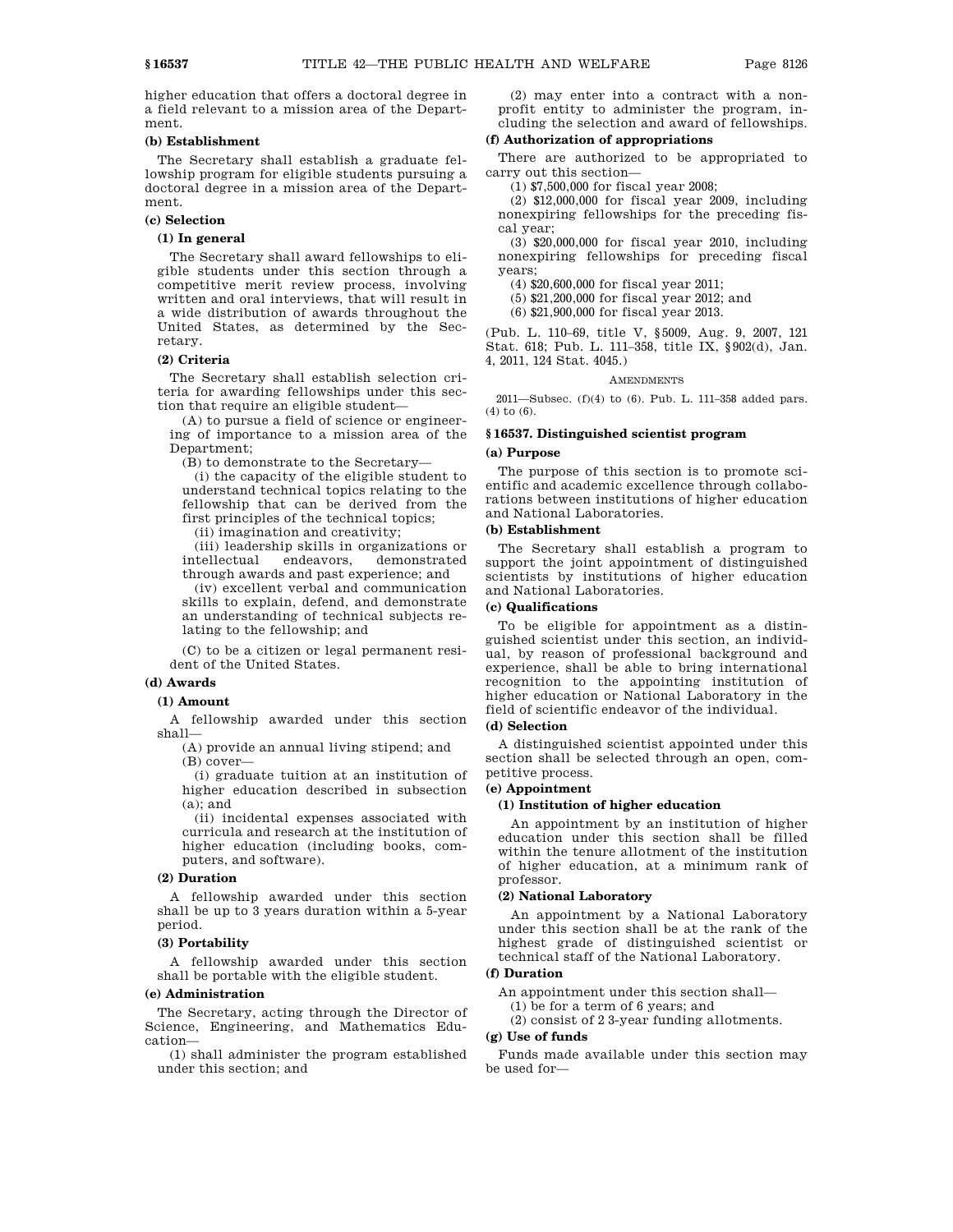higher education that offers a doctoral degree in a field relevant to a mission area of the Department.

#### **(b) Establishment**

The Secretary shall establish a graduate fellowship program for eligible students pursuing a doctoral degree in a mission area of the Department.

# **(c) Selection**

# **(1) In general**

The Secretary shall award fellowships to eligible students under this section through a competitive merit review process, involving written and oral interviews, that will result in a wide distribution of awards throughout the United States, as determined by the Secretary.

### **(2) Criteria**

The Secretary shall establish selection criteria for awarding fellowships under this section that require an eligible student—

(A) to pursue a field of science or engineering of importance to a mission area of the Department;

(B) to demonstrate to the Secretary—

(i) the capacity of the eligible student to understand technical topics relating to the fellowship that can be derived from the first principles of the technical topics;

(ii) imagination and creativity;

(iii) leadership skills in organizations or intellectual endeavors, demonstrated through awards and past experience; and

(iv) excellent verbal and communication skills to explain, defend, and demonstrate an understanding of technical subjects relating to the fellowship; and

(C) to be a citizen or legal permanent resident of the United States.

# **(d) Awards**

#### **(1) Amount**

A fellowship awarded under this section shall—

(A) provide an annual living stipend; and (B) cover—

(i) graduate tuition at an institution of higher education described in subsection  $(a)$ ; and

(ii) incidental expenses associated with curricula and research at the institution of higher education (including books, computers, and software).

# **(2) Duration**

A fellowship awarded under this section shall be up to 3 years duration within a 5-year period.

#### **(3) Portability**

A fellowship awarded under this section shall be portable with the eligible student.

### **(e) Administration**

The Secretary, acting through the Director of Science, Engineering, and Mathematics Education—

(1) shall administer the program established under this section; and

(2) may enter into a contract with a nonprofit entity to administer the program, including the selection and award of fellowships.

# **(f) Authorization of appropriations**

There are authorized to be appropriated to carry out this section—

(1) \$7,500,000 for fiscal year 2008;

(2) \$12,000,000 for fiscal year 2009, including nonexpiring fellowships for the preceding fiscal year;

(3) \$20,000,000 for fiscal year 2010, including nonexpiring fellowships for preceding fiscal years;

(4) \$20,600,000 for fiscal year 2011;

(5) \$21,200,000 for fiscal year 2012; and

(6) \$21,900,000 for fiscal year 2013.

(Pub. L. 110–69, title V, §5009, Aug. 9, 2007, 121 Stat. 618; Pub. L. 111–358, title IX, §902(d), Jan. 4, 2011, 124 Stat. 4045.)

#### AMENDMENTS

2011—Subsec. (f)(4) to (6). Pub. L. 111–358 added pars. (4) to (6).

# **§ 16537. Distinguished scientist program**

#### **(a) Purpose**

The purpose of this section is to promote scientific and academic excellence through collaborations between institutions of higher education and National Laboratories.

# **(b) Establishment**

The Secretary shall establish a program to support the joint appointment of distinguished scientists by institutions of higher education and National Laboratories.

# **(c) Qualifications**

To be eligible for appointment as a distinguished scientist under this section, an individual, by reason of professional background and experience, shall be able to bring international recognition to the appointing institution of higher education or National Laboratory in the field of scientific endeavor of the individual.

## **(d) Selection**

A distinguished scientist appointed under this section shall be selected through an open, competitive process.

#### **(e) Appointment**

## **(1) Institution of higher education**

An appointment by an institution of higher education under this section shall be filled within the tenure allotment of the institution of higher education, at a minimum rank of professor.

# **(2) National Laboratory**

An appointment by a National Laboratory under this section shall be at the rank of the highest grade of distinguished scientist or technical staff of the National Laboratory.

# **(f) Duration**

An appointment under this section shall—

(1) be for a term of 6 years; and

(2) consist of 2 3-year funding allotments.

## **(g) Use of funds**

Funds made available under this section may be used for—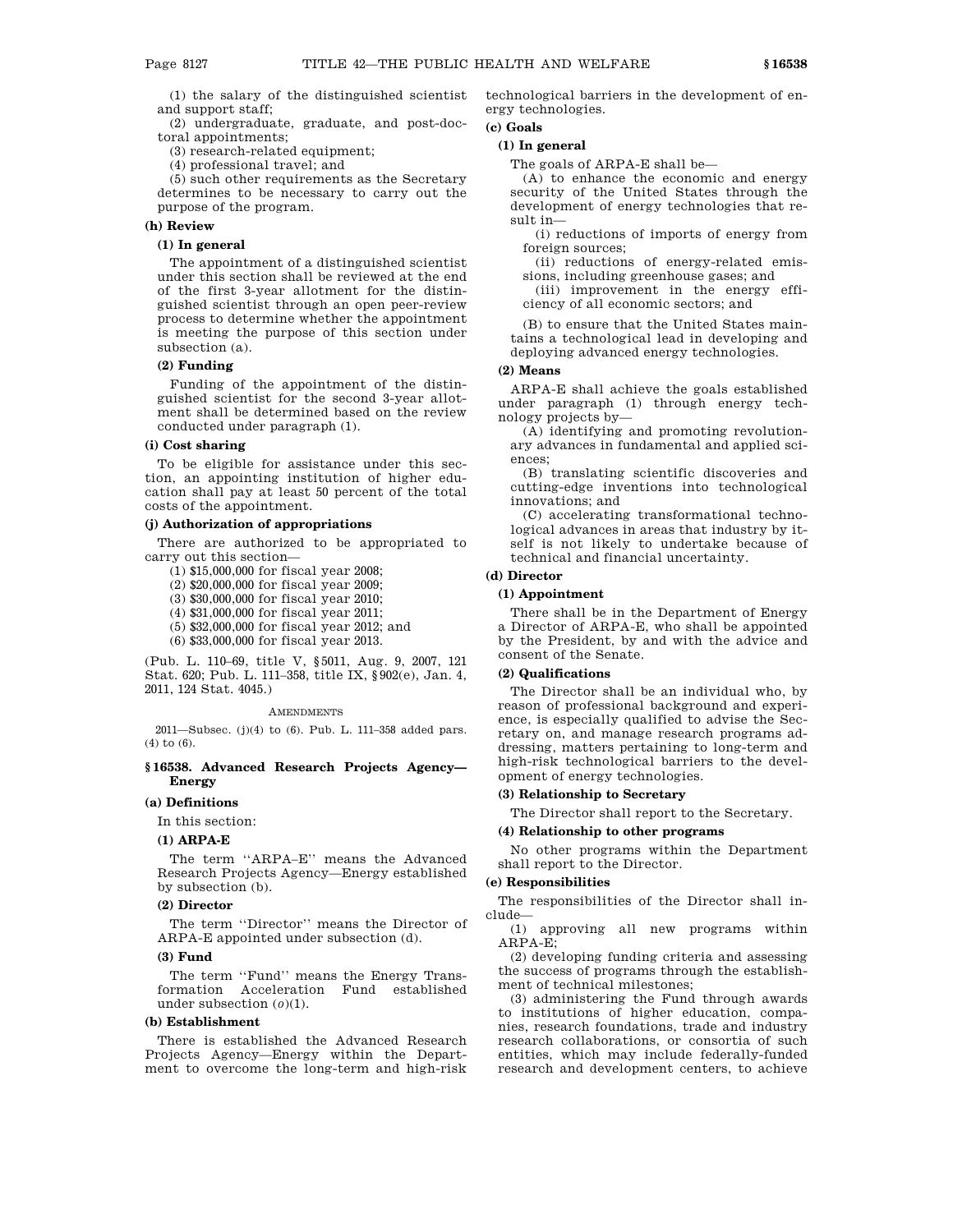(1) the salary of the distinguished scientist and support staff;

(2) undergraduate, graduate, and post-doctoral appointments;

(3) research-related equipment;

(4) professional travel; and

(5) such other requirements as the Secretary determines to be necessary to carry out the purpose of the program.

## **(h) Review**

# **(1) In general**

The appointment of a distinguished scientist under this section shall be reviewed at the end of the first 3-year allotment for the distinguished scientist through an open peer-review process to determine whether the appointment is meeting the purpose of this section under subsection (a).

# **(2) Funding**

Funding of the appointment of the distinguished scientist for the second 3-year allotment shall be determined based on the review conducted under paragraph (1).

# **(i) Cost sharing**

To be eligible for assistance under this section, an appointing institution of higher education shall pay at least 50 percent of the total costs of the appointment.

#### **(j) Authorization of appropriations**

There are authorized to be appropriated to carry out this section—

(1) \$15,000,000 for fiscal year 2008;

(2) \$20,000,000 for fiscal year 2009;

(3) \$30,000,000 for fiscal year 2010;

(4) \$31,000,000 for fiscal year 2011;

(5) \$32,000,000 for fiscal year 2012; and

(6) \$33,000,000 for fiscal year 2013.

(Pub. L. 110–69, title V, §5011, Aug. 9, 2007, 121 Stat. 620; Pub. L. 111–358, title IX, §902(e), Jan. 4, 2011, 124 Stat. 4045.)

#### AMENDMENTS

2011—Subsec. (j)(4) to (6). Pub. L. 111–358 added pars. (4) to (6).

# **§ 16538. Advanced Research Projects Agency— Energy**

# **(a) Definitions**

In this section:

#### **(1) ARPA-E**

The term ''ARPA–E'' means the Advanced Research Projects Agency—Energy established by subsection (b).

## **(2) Director**

The term ''Director'' means the Director of ARPA-E appointed under subsection (d).

### **(3) Fund**

The term ''Fund'' means the Energy Transformation Acceleration Fund established under subsection (*o*)(1).

## **(b) Establishment**

There is established the Advanced Research Projects Agency—Energy within the Department to overcome the long-term and high-risk technological barriers in the development of energy technologies.

# **(c) Goals**

# **(1) In general**

The goals of ARPA-E shall be—

(A) to enhance the economic and energy security of the United States through the development of energy technologies that result in—

(i) reductions of imports of energy from foreign sources;

(ii) reductions of energy-related emissions, including greenhouse gases; and

(iii) improvement in the energy efficiency of all economic sectors; and

(B) to ensure that the United States maintains a technological lead in developing and deploying advanced energy technologies.

## **(2) Means**

ARPA-E shall achieve the goals established under paragraph (1) through energy technology projects by—

(A) identifying and promoting revolutionary advances in fundamental and applied sciences;

(B) translating scientific discoveries and cutting-edge inventions into technological innovations; and

(C) accelerating transformational technological advances in areas that industry by itself is not likely to undertake because of technical and financial uncertainty.

# **(d) Director**

# **(1) Appointment**

There shall be in the Department of Energy a Director of ARPA-E, who shall be appointed by the President, by and with the advice and consent of the Senate.

# **(2) Qualifications**

The Director shall be an individual who, by reason of professional background and experience, is especially qualified to advise the Secretary on, and manage research programs addressing, matters pertaining to long-term and high-risk technological barriers to the development of energy technologies.

#### **(3) Relationship to Secretary**

The Director shall report to the Secretary.

# **(4) Relationship to other programs**

No other programs within the Department shall report to the Director.

#### **(e) Responsibilities**

The responsibilities of the Director shall include—

(1) approving all new programs within ARPA-E;

(2) developing funding criteria and assessing the success of programs through the establishment of technical milestones;

(3) administering the Fund through awards to institutions of higher education, companies, research foundations, trade and industry research collaborations, or consortia of such entities, which may include federally-funded research and development centers, to achieve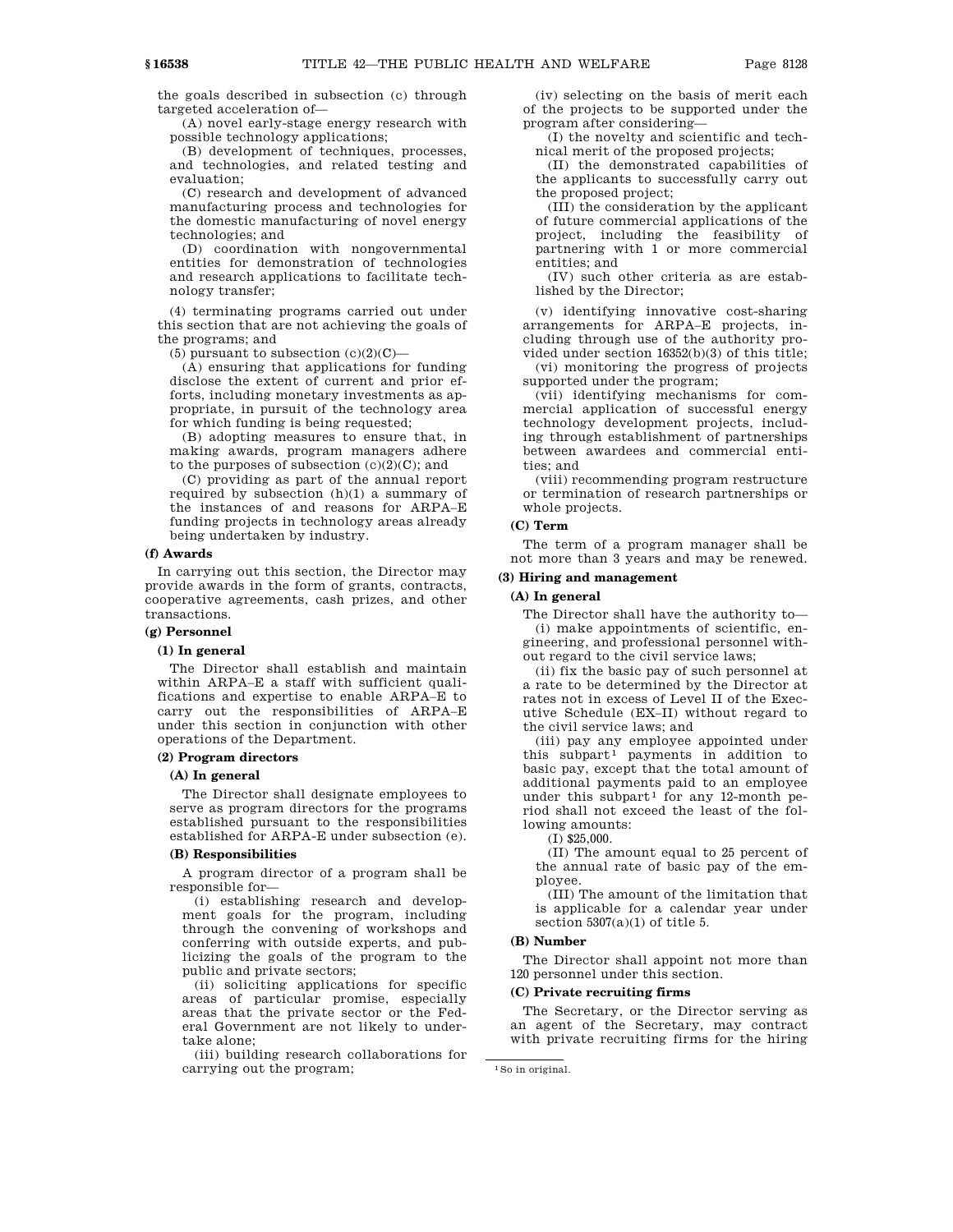the goals described in subsection (c) through

targeted acceleration of— (A) novel early-stage energy research with

possible technology applications;

(B) development of techniques, processes, and technologies, and related testing and evaluation;

(C) research and development of advanced manufacturing process and technologies for the domestic manufacturing of novel energy technologies; and

(D) coordination with nongovernmental entities for demonstration of technologies and research applications to facilitate technology transfer;

(4) terminating programs carried out under this section that are not achieving the goals of the programs; and

(5) pursuant to subsection  $(c)(2)(C)$ —

(A) ensuring that applications for funding disclose the extent of current and prior efforts, including monetary investments as appropriate, in pursuit of the technology area for which funding is being requested;

(B) adopting measures to ensure that, in making awards, program managers adhere to the purposes of subsection  $(c)(2)(C)$ ; and

(C) providing as part of the annual report required by subsection (h)(1) a summary of the instances of and reasons for ARPA–E funding projects in technology areas already being undertaken by industry.

#### **(f) Awards**

In carrying out this section, the Director may provide awards in the form of grants, contracts, cooperative agreements, cash prizes, and other transactions.

## **(g) Personnel**

#### **(1) In general**

The Director shall establish and maintain within ARPA–E a staff with sufficient qualifications and expertise to enable ARPA–E to carry out the responsibilities of ARPA–E under this section in conjunction with other operations of the Department.

#### **(2) Program directors**

### **(A) In general**

The Director shall designate employees to serve as program directors for the programs established pursuant to the responsibilities established for ARPA-E under subsection (e).

# **(B) Responsibilities**

A program director of a program shall be responsible for—

(i) establishing research and development goals for the program, including through the convening of workshops and conferring with outside experts, and publicizing the goals of the program to the public and private sectors;

(ii) soliciting applications for specific areas of particular promise, especially areas that the private sector or the Federal Government are not likely to undertake alone;

(iii) building research collaborations for carrying out the program;

(iv) selecting on the basis of merit each of the projects to be supported under the program after considering—

(I) the novelty and scientific and technical merit of the proposed projects;

(II) the demonstrated capabilities of the applicants to successfully carry out the proposed project;

(III) the consideration by the applicant of future commercial applications of the project, including the feasibility of partnering with 1 or more commercial entities; and

(IV) such other criteria as are established by the Director;

(v) identifying innovative cost-sharing arrangements for ARPA–E projects, including through use of the authority provided under section 16352(b)(3) of this title;

(vi) monitoring the progress of projects supported under the program;

(vii) identifying mechanisms for commercial application of successful energy technology development projects, including through establishment of partnerships between awardees and commercial entities; and

(viii) recommending program restructure or termination of research partnerships or whole projects.

# **(C) Term**

The term of a program manager shall be not more than 3 years and may be renewed.

## **(3) Hiring and management**

# **(A) In general**

The Director shall have the authority to— (i) make appointments of scientific, engineering, and professional personnel without regard to the civil service laws;

(ii) fix the basic pay of such personnel at a rate to be determined by the Director at rates not in excess of Level II of the Executive Schedule (EX–II) without regard to the civil service laws; and

(iii) pay any employee appointed under this subpart<sup>1</sup> payments in addition to basic pay, except that the total amount of additional payments paid to an employee under this subpart<sup>1</sup> for any 12-month period shall not exceed the least of the following amounts:

(I) \$25,000.

(II) The amount equal to 25 percent of the annual rate of basic pay of the employee.

(III) The amount of the limitation that is applicable for a calendar year under section  $5307(a)(1)$  of title 5.

### **(B) Number**

The Director shall appoint not more than 120 personnel under this section.

## **(C) Private recruiting firms**

The Secretary, or the Director serving as an agent of the Secretary, may contract with private recruiting firms for the hiring

<sup>1</sup>So in original.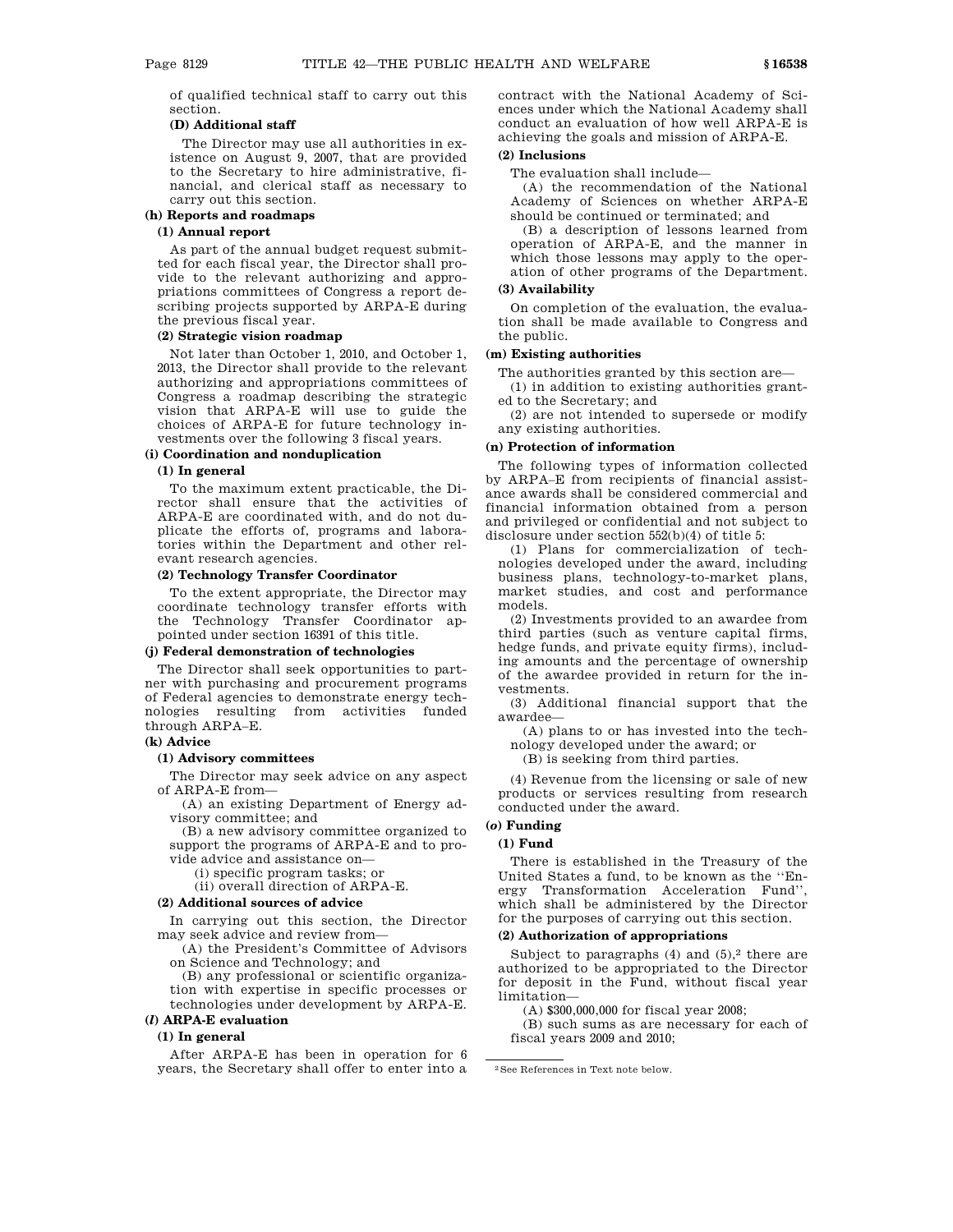of qualified technical staff to carry out this section.

# **(D) Additional staff**

The Director may use all authorities in existence on August 9, 2007, that are provided to the Secretary to hire administrative, financial, and clerical staff as necessary to carry out this section.

#### **(h) Reports and roadmaps**

# **(1) Annual report**

As part of the annual budget request submitted for each fiscal year, the Director shall provide to the relevant authorizing and appropriations committees of Congress a report describing projects supported by ARPA-E during the previous fiscal year.

## **(2) Strategic vision roadmap**

Not later than October 1, 2010, and October 1, 2013, the Director shall provide to the relevant authorizing and appropriations committees of Congress a roadmap describing the strategic vision that ARPA-E will use to guide the choices of ARPA-E for future technology investments over the following 3 fiscal years.

#### **(i) Coordination and nonduplication**

## **(1) In general**

To the maximum extent practicable, the Director shall ensure that the activities of ARPA-E are coordinated with, and do not duplicate the efforts of, programs and laboratories within the Department and other relevant research agencies.

# **(2) Technology Transfer Coordinator**

To the extent appropriate, the Director may coordinate technology transfer efforts with the Technology Transfer Coordinator appointed under section 16391 of this title.

#### **(j) Federal demonstration of technologies**

The Director shall seek opportunities to partner with purchasing and procurement programs of Federal agencies to demonstrate energy technologies resulting from activities funded through ARPA–E.

## **(k) Advice**

# **(1) Advisory committees**

The Director may seek advice on any aspect of ARPA-E from—

(A) an existing Department of Energy advisory committee; and

(B) a new advisory committee organized to support the programs of ARPA-E and to provide advice and assistance on—

(i) specific program tasks; or

(ii) overall direction of ARPA-E.

# **(2) Additional sources of advice**

In carrying out this section, the Director may seek advice and review from—

(A) the President's Committee of Advisors on Science and Technology; and

(B) any professional or scientific organization with expertise in specific processes or technologies under development by ARPA-E. **(***l***) ARPA-E evaluation**

# **(1) In general**

After ARPA-E has been in operation for 6 years, the Secretary shall offer to enter into a contract with the National Academy of Sciences under which the National Academy shall conduct an evaluation of how well ARPA-E is achieving the goals and mission of ARPA-E.

# **(2) Inclusions**

The evaluation shall include—

(A) the recommendation of the National Academy of Sciences on whether ARPA-E should be continued or terminated; and

(B) a description of lessons learned from operation of ARPA-E, and the manner in which those lessons may apply to the operation of other programs of the Department.

#### **(3) Availability**

On completion of the evaluation, the evaluation shall be made available to Congress and the public.

## **(m) Existing authorities**

The authorities granted by this section are—

(1) in addition to existing authorities granted to the Secretary; and

(2) are not intended to supersede or modify any existing authorities.

# **(n) Protection of information**

The following types of information collected by ARPA–E from recipients of financial assistance awards shall be considered commercial and financial information obtained from a person and privileged or confidential and not subject to disclosure under section 552(b)(4) of title 5:

(1) Plans for commercialization of technologies developed under the award, including business plans, technology-to-market plans, market studies, and cost and performance models.

(2) Investments provided to an awardee from third parties (such as venture capital firms, hedge funds, and private equity firms), including amounts and the percentage of ownership of the awardee provided in return for the investments.

(3) Additional financial support that the awardee—

(A) plans to or has invested into the technology developed under the award; or

(B) is seeking from third parties.

(4) Revenue from the licensing or sale of new products or services resulting from research conducted under the award.

# **(***o***) Funding**

# **(1) Fund**

There is established in the Treasury of the United States a fund, to be known as the ''Energy Transformation Acceleration Fund'', which shall be administered by the Director for the purposes of carrying out this section.

## **(2) Authorization of appropriations**

Subject to paragraphs  $(4)$  and  $(5)$ ,<sup>2</sup> there are authorized to be appropriated to the Director for deposit in the Fund, without fiscal year limitation—

(A) \$300,000,000 for fiscal year 2008;

(B) such sums as are necessary for each of fiscal years 2009 and 2010;

<sup>2</sup>See References in Text note below.